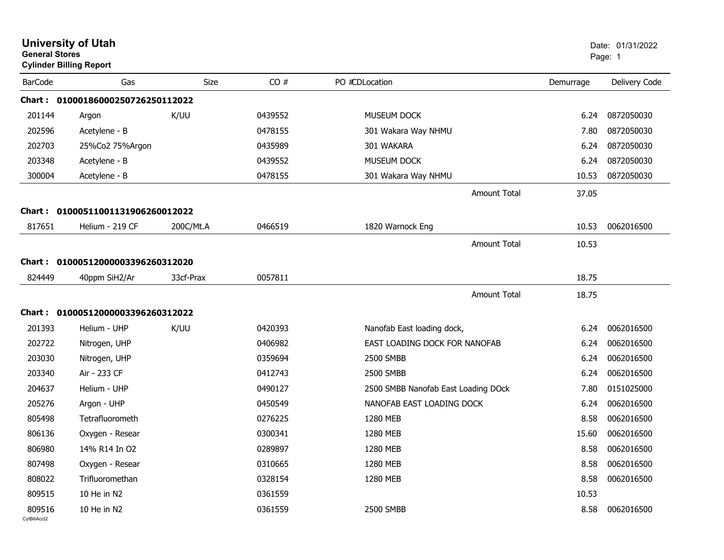|                        | <b>University of Utah</b><br><b>General Stores</b><br><b>Cylinder Billing Report</b> |             |         |                                     |           | Date: 01/31/2022<br>Page: 1 |  |
|------------------------|--------------------------------------------------------------------------------------|-------------|---------|-------------------------------------|-----------|-----------------------------|--|
| <b>BarCode</b>         | Gas                                                                                  | <b>Size</b> | CO#     | PO #CDLocation                      | Demurrage | Delivery Code               |  |
|                        | Chart: 01000186000250726250112022                                                    |             |         |                                     |           |                             |  |
| 201144                 | Argon                                                                                | K/UU        | 0439552 | MUSEUM DOCK                         | 6.24      | 0872050030                  |  |
| 202596                 | Acetylene - B                                                                        |             | 0478155 | 301 Wakara Way NHMU                 | 7.80      | 0872050030                  |  |
| 202703                 | 25%Co2 75%Argon                                                                      |             | 0435989 | 301 WAKARA                          | 6.24      | 0872050030                  |  |
| 203348                 | Acetylene - B                                                                        |             | 0439552 | MUSEUM DOCK                         | 6.24      | 0872050030                  |  |
| 300004                 | Acetylene - B                                                                        |             | 0478155 | 301 Wakara Way NHMU                 | 10.53     | 0872050030                  |  |
|                        |                                                                                      |             |         | Amount Total                        | 37.05     |                             |  |
|                        | Chart: 01000511001131906260012022                                                    |             |         |                                     |           |                             |  |
| 817651                 | Helium - 219 CF                                                                      | 200C/Mt.A   | 0466519 | 1820 Warnock Eng                    | 10.53     | 0062016500                  |  |
|                        |                                                                                      |             |         | Amount Total                        | 10.53     |                             |  |
|                        | Chart: 01000512000003396260312020                                                    |             |         |                                     |           |                             |  |
| 824449                 | 40ppm SiH2/Ar                                                                        | 33cf-Prax   | 0057811 |                                     | 18.75     |                             |  |
|                        |                                                                                      |             |         |                                     |           |                             |  |
|                        |                                                                                      |             |         | <b>Amount Total</b>                 | 18.75     |                             |  |
|                        | Chart: 01000512000003396260312022                                                    |             |         |                                     |           |                             |  |
| 201393                 | Helium - UHP                                                                         | K/UU        | 0420393 | Nanofab East loading dock,          | 6.24      | 0062016500                  |  |
| 202722                 | Nitrogen, UHP                                                                        |             | 0406982 | EAST LOADING DOCK FOR NANOFAB       | 6.24      | 0062016500                  |  |
| 203030                 | Nitrogen, UHP                                                                        |             | 0359694 | 2500 SMBB                           | 6.24      | 0062016500                  |  |
| 203340                 | Air - 233 CF                                                                         |             | 0412743 | 2500 SMBB                           | 6.24      | 0062016500                  |  |
| 204637                 | Helium - UHP                                                                         |             | 0490127 | 2500 SMBB Nanofab East Loading DOck | 7.80      | 0151025000                  |  |
| 205276                 | Argon - UHP                                                                          |             | 0450549 | NANOFAB EAST LOADING DOCK           | 6.24      | 0062016500                  |  |
| 805498                 | Tetrafluorometh                                                                      |             | 0276225 | 1280 MEB                            | 8.58      | 0062016500                  |  |
| 806136                 | Oxygen - Resear                                                                      |             | 0300341 | 1280 MEB                            | 15.60     | 0062016500                  |  |
| 806980                 | 14% R14 In O2                                                                        |             | 0289897 | 1280 MEB                            | 8.58      | 0062016500                  |  |
| 807498                 | Oxygen - Resear                                                                      |             | 0310665 | 1280 MEB                            | 8.58      | 0062016500                  |  |
| 808022                 | Trifluoromethan                                                                      |             | 0328154 | 1280 MEB                            | 8.58      | 0062016500                  |  |
| 809515                 | 10 He in N2                                                                          |             | 0361559 |                                     | 10.53     |                             |  |
| 809516<br>CylBillAcct2 | 10 He in N2                                                                          |             | 0361559 | 2500 SMBB                           | 8.58      | 0062016500                  |  |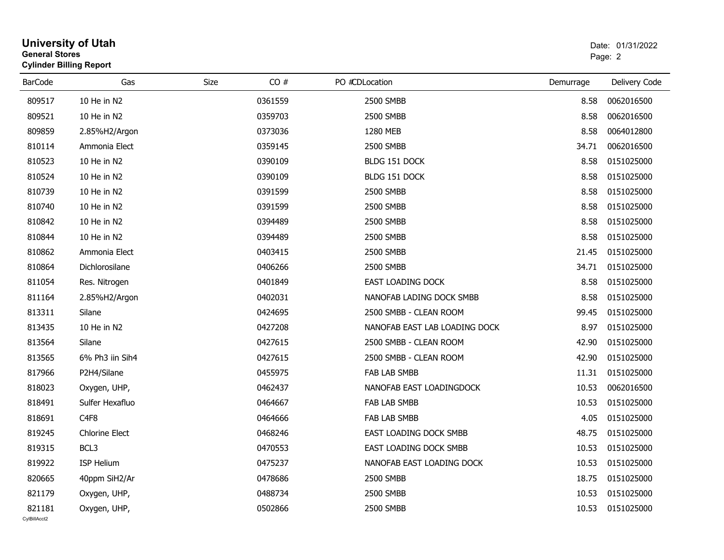| <b>General Stores</b>  | <b>University of Utah</b><br><b>Cylinder Billing Report</b> |      |         |                               |           |               |
|------------------------|-------------------------------------------------------------|------|---------|-------------------------------|-----------|---------------|
| <b>BarCode</b>         | Gas                                                         | Size | CO#     | PO #CDLocation                | Demurrage | Delivery Code |
| 809517                 | 10 He in N2                                                 |      | 0361559 | 2500 SMBB                     | 8.58      | 0062016500    |
| 809521                 | 10 He in N2                                                 |      | 0359703 | 2500 SMBB                     | 8.58      | 0062016500    |
| 809859                 | 2.85%H2/Argon                                               |      | 0373036 | 1280 MEB                      | 8.58      | 0064012800    |
| 810114                 | Ammonia Elect                                               |      | 0359145 | 2500 SMBB                     | 34.71     | 0062016500    |
| 810523                 | 10 He in N2                                                 |      | 0390109 | BLDG 151 DOCK                 | 8.58      | 0151025000    |
| 810524                 | 10 He in N2                                                 |      | 0390109 | BLDG 151 DOCK                 | 8.58      | 0151025000    |
| 810739                 | 10 He in N2                                                 |      | 0391599 | 2500 SMBB                     | 8.58      | 0151025000    |
| 810740                 | 10 He in N2                                                 |      | 0391599 | 2500 SMBB                     | 8.58      | 0151025000    |
| 810842                 | 10 He in N2                                                 |      | 0394489 | 2500 SMBB                     | 8.58      | 0151025000    |
| 810844                 | 10 He in N2                                                 |      | 0394489 | 2500 SMBB                     | 8.58      | 0151025000    |
| 810862                 | Ammonia Elect                                               |      | 0403415 | 2500 SMBB                     | 21.45     | 0151025000    |
| 810864                 | Dichlorosilane                                              |      | 0406266 | 2500 SMBB                     | 34.71     | 0151025000    |
| 811054                 | Res. Nitrogen                                               |      | 0401849 | <b>EAST LOADING DOCK</b>      | 8.58      | 0151025000    |
| 811164                 | 2.85%H2/Argon                                               |      | 0402031 | NANOFAB LADING DOCK SMBB      | 8.58      | 0151025000    |
| 813311                 | Silane                                                      |      | 0424695 | 2500 SMBB - CLEAN ROOM        | 99.45     | 0151025000    |
| 813435                 | 10 He in N2                                                 |      | 0427208 | NANOFAB EAST LAB LOADING DOCK | 8.97      | 0151025000    |
| 813564                 | Silane                                                      |      | 0427615 | 2500 SMBB - CLEAN ROOM        | 42.90     | 0151025000    |
| 813565                 | 6% Ph3 iin Sih4                                             |      | 0427615 | 2500 SMBB - CLEAN ROOM        | 42.90     | 0151025000    |
| 817966                 | P2H4/Silane                                                 |      | 0455975 | FAB LAB SMBB                  | 11.31     | 0151025000    |
| 818023                 | Oxygen, UHP,                                                |      | 0462437 | NANOFAB EAST LOADINGDOCK      | 10.53     | 0062016500    |
| 818491                 | Sulfer Hexafluo                                             |      | 0464667 | FAB LAB SMBB                  | 10.53     | 0151025000    |
| 818691                 | C <sub>4F8</sub>                                            |      | 0464666 | <b>FAB LAB SMBB</b>           | 4.05      | 0151025000    |
| 819245                 | <b>Chlorine Elect</b>                                       |      | 0468246 | EAST LOADING DOCK SMBB        | 48.75     | 0151025000    |
| 819315                 | BCL3                                                        |      | 0470553 | EAST LOADING DOCK SMBB        | 10.53     | 0151025000    |
| 819922                 | ISP Helium                                                  |      | 0475237 | NANOFAB EAST LOADING DOCK     | 10.53     | 0151025000    |
| 820665                 | 40ppm SiH2/Ar                                               |      | 0478686 | 2500 SMBB                     | 18.75     | 0151025000    |
| 821179                 | Oxygen, UHP,                                                |      | 0488734 | 2500 SMBB                     | 10.53     | 0151025000    |
| 821181<br>CvIBillAcct2 | Oxygen, UHP,                                                |      | 0502866 | 2500 SMBB                     | 10.53     | 0151025000    |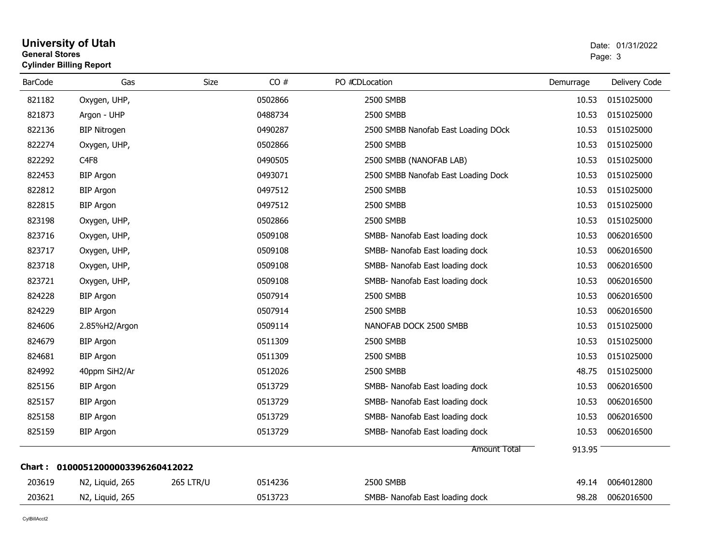### **University of Utah** Date: 01/31/2022 **General Stores**end and the state of the state of the state of the state of the state of the state of the state of the state of the state of the state of the state of the state of the state of the state of the state of the state of the st **Cylinder Billing Report**

| <b>BarCode</b> | Gas                               | Size             | CO#     | PO #CDLocation                      | Demurrage | Delivery Code |
|----------------|-----------------------------------|------------------|---------|-------------------------------------|-----------|---------------|
| 821182         | Oxygen, UHP,                      |                  | 0502866 | 2500 SMBB                           | 10.53     | 0151025000    |
| 821873         | Argon - UHP                       |                  | 0488734 | 2500 SMBB                           | 10.53     | 0151025000    |
| 822136         | <b>BIP Nitrogen</b>               |                  | 0490287 | 2500 SMBB Nanofab East Loading DOck | 10.53     | 0151025000    |
| 822274         | Oxygen, UHP,                      |                  | 0502866 | 2500 SMBB                           | 10.53     | 0151025000    |
| 822292         | C <sub>4F8</sub>                  |                  | 0490505 | 2500 SMBB (NANOFAB LAB)             | 10.53     | 0151025000    |
| 822453         | <b>BIP Argon</b>                  |                  | 0493071 | 2500 SMBB Nanofab East Loading Dock | 10.53     | 0151025000    |
| 822812         | <b>BIP Argon</b>                  |                  | 0497512 | 2500 SMBB                           | 10.53     | 0151025000    |
| 822815         | <b>BIP Argon</b>                  |                  | 0497512 | 2500 SMBB                           | 10.53     | 0151025000    |
| 823198         | Oxygen, UHP,                      |                  | 0502866 | 2500 SMBB                           | 10.53     | 0151025000    |
| 823716         | Oxygen, UHP,                      |                  | 0509108 | SMBB- Nanofab East loading dock     | 10.53     | 0062016500    |
| 823717         | Oxygen, UHP,                      |                  | 0509108 | SMBB- Nanofab East loading dock     | 10.53     | 0062016500    |
| 823718         | Oxygen, UHP,                      |                  | 0509108 | SMBB- Nanofab East loading dock     | 10.53     | 0062016500    |
| 823721         | Oxygen, UHP,                      |                  | 0509108 | SMBB- Nanofab East loading dock     | 10.53     | 0062016500    |
| 824228         | <b>BIP Argon</b>                  |                  | 0507914 | 2500 SMBB                           | 10.53     | 0062016500    |
| 824229         | <b>BIP Argon</b>                  |                  | 0507914 | 2500 SMBB                           | 10.53     | 0062016500    |
| 824606         | 2.85%H2/Argon                     |                  | 0509114 | NANOFAB DOCK 2500 SMBB              | 10.53     | 0151025000    |
| 824679         | <b>BIP Argon</b>                  |                  | 0511309 | 2500 SMBB                           | 10.53     | 0151025000    |
| 824681         | <b>BIP Argon</b>                  |                  | 0511309 | 2500 SMBB                           | 10.53     | 0151025000    |
| 824992         | 40ppm SiH2/Ar                     |                  | 0512026 | 2500 SMBB                           | 48.75     | 0151025000    |
| 825156         | <b>BIP Argon</b>                  |                  | 0513729 | SMBB- Nanofab East loading dock     | 10.53     | 0062016500    |
| 825157         | <b>BIP Argon</b>                  |                  | 0513729 | SMBB- Nanofab East loading dock     | 10.53     | 0062016500    |
| 825158         | <b>BIP Argon</b>                  |                  | 0513729 | SMBB- Nanofab East loading dock     | 10.53     | 0062016500    |
| 825159         | <b>BIP Argon</b>                  |                  | 0513729 | SMBB- Nanofab East loading dock     | 10.53     | 0062016500    |
|                |                                   |                  |         | <b>Amount Total</b>                 | 913.95    |               |
|                | Chart: 01000512000003396260412022 |                  |         |                                     |           |               |
| 203619         | N2, Liquid, 265                   | <b>265 LTR/U</b> | 0514236 | 2500 SMBB                           | 49.14     | 0064012800    |
| 203621         | N2, Liquid, 265                   |                  | 0513723 | SMBB- Nanofab East loading dock     | 98.28     | 0062016500    |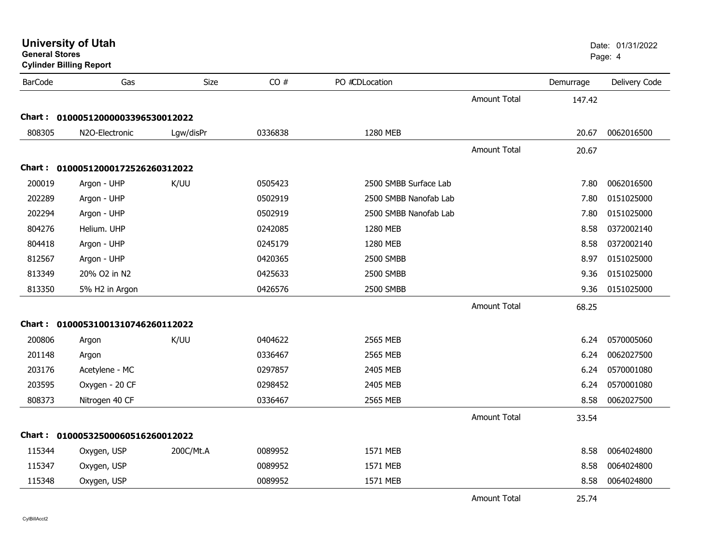| General Stores | <b>Cylinder Billing Report</b>    |           |         |                       |                     |           | Page: 4       |
|----------------|-----------------------------------|-----------|---------|-----------------------|---------------------|-----------|---------------|
| <b>BarCode</b> | Gas                               | Size      | CO#     | PO #CDLocation        |                     | Demurrage | Delivery Code |
|                |                                   |           |         |                       | <b>Amount Total</b> | 147.42    |               |
|                | Chart: 01000512000003396530012022 |           |         |                       |                     |           |               |
| 808305         | N2O-Electronic                    | Lgw/disPr | 0336838 | 1280 MEB              |                     | 20.67     | 0062016500    |
|                |                                   |           |         |                       | <b>Amount Total</b> | 20.67     |               |
|                | Chart: 01000512000172526260312022 |           |         |                       |                     |           |               |
| 200019         | Argon - UHP                       | K/UU      | 0505423 | 2500 SMBB Surface Lab |                     | 7.80      | 0062016500    |
| 202289         | Argon - UHP                       |           | 0502919 | 2500 SMBB Nanofab Lab |                     | 7.80      | 0151025000    |
| 202294         | Argon - UHP                       |           | 0502919 | 2500 SMBB Nanofab Lab |                     | 7.80      | 0151025000    |
| 804276         | Helium. UHP                       |           | 0242085 | 1280 MEB              |                     | 8.58      | 0372002140    |
| 804418         | Argon - UHP                       |           | 0245179 | 1280 MEB              |                     | 8.58      | 0372002140    |
| 812567         | Argon - UHP                       |           | 0420365 | 2500 SMBB             |                     | 8.97      | 0151025000    |
| 813349         | 20% O2 in N2                      |           | 0425633 | 2500 SMBB             |                     | 9.36      | 0151025000    |
| 813350         | 5% H2 in Argon                    |           | 0426576 | 2500 SMBB             |                     | 9.36      | 0151025000    |
|                |                                   |           |         |                       | <b>Amount Total</b> | 68.25     |               |
|                | Chart: 01000531001310746260112022 |           |         |                       |                     |           |               |
| 200806         | Argon                             | K/UU      | 0404622 | 2565 MEB              |                     | 6.24      | 0570005060    |
| 201148         | Argon                             |           | 0336467 | 2565 MEB              |                     | 6.24      | 0062027500    |
| 203176         | Acetylene - MC                    |           | 0297857 | 2405 MEB              |                     | 6.24      | 0570001080    |
| 203595         | Oxygen - 20 CF                    |           | 0298452 | 2405 MEB              |                     | 6.24      | 0570001080    |
| 808373         | Nitrogen 40 CF                    |           | 0336467 | 2565 MEB              |                     | 8.58      | 0062027500    |
|                |                                   |           |         |                       | <b>Amount Total</b> | 33.54     |               |
|                | Chart: 01000532500060516260012022 |           |         |                       |                     |           |               |
| 115344         | Oxygen, USP                       | 200C/Mt.A | 0089952 | 1571 MEB              |                     | 8.58      | 0064024800    |
| 115347         | Oxygen, USP                       |           | 0089952 | 1571 MEB              |                     | 8.58      | 0064024800    |
| 115348         | Oxygen, USP                       |           | 0089952 | 1571 MEB              |                     | 8.58      | 0064024800    |
|                |                                   |           |         |                       | <b>Amount Total</b> | 25.74     |               |

**University of Utah** Date: 01/31/2022

**General Stores**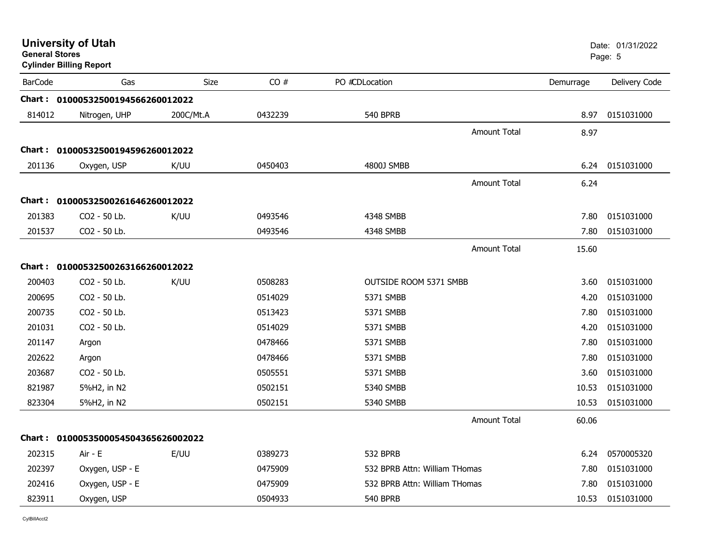| <b>General Stores</b> | <b>University of Utah</b><br><b>Cylinder Billing Report</b> |             |         |                               |                     |           | Date: 01/31/2022<br>Page: 5 |
|-----------------------|-------------------------------------------------------------|-------------|---------|-------------------------------|---------------------|-----------|-----------------------------|
| <b>BarCode</b>        | Gas                                                         | <b>Size</b> | CO#     | PO #CDLocation                |                     | Demurrage | Delivery Code               |
|                       | Chart: 01000532500194566260012022                           |             |         |                               |                     |           |                             |
| 814012                | Nitrogen, UHP                                               | 200C/Mt.A   | 0432239 | <b>540 BPRB</b>               |                     | 8.97      | 0151031000                  |
|                       |                                                             |             |         |                               | <b>Amount Total</b> | 8.97      |                             |
|                       | Chart: 01000532500194596260012022                           |             |         |                               |                     |           |                             |
| 201136                | Oxygen, USP                                                 | K/UU        | 0450403 | 4800J SMBB                    |                     | 6.24      | 0151031000                  |
|                       |                                                             |             |         |                               | Amount Total        | 6.24      |                             |
|                       | Chart: 01000532500261646260012022                           |             |         |                               |                     |           |                             |
| 201383                | CO2 - 50 Lb.                                                | K/UU        | 0493546 | 4348 SMBB                     |                     | 7.80      | 0151031000                  |
| 201537                | CO2 - 50 Lb.                                                |             | 0493546 | 4348 SMBB                     |                     | 7.80      | 0151031000                  |
|                       |                                                             |             |         |                               | <b>Amount Total</b> | 15.60     |                             |
|                       | Chart: 01000532500263166260012022                           |             |         |                               |                     |           |                             |
| 200403                | CO2 - 50 Lb.                                                | K/UU        | 0508283 | OUTSIDE ROOM 5371 SMBB        |                     | 3.60      | 0151031000                  |
| 200695                | CO <sub>2</sub> - 50 Lb.                                    |             | 0514029 | 5371 SMBB                     |                     | 4.20      | 0151031000                  |
| 200735                | CO2 - 50 Lb.                                                |             | 0513423 | 5371 SMBB                     |                     | 7.80      | 0151031000                  |
| 201031                | CO2 - 50 Lb.                                                |             | 0514029 | 5371 SMBB                     |                     | 4.20      | 0151031000                  |
| 201147                | Argon                                                       |             | 0478466 | 5371 SMBB                     |                     | 7.80      | 0151031000                  |
| 202622                | Argon                                                       |             | 0478466 | 5371 SMBB                     |                     | 7.80      | 0151031000                  |
| 203687                | CO2 - 50 Lb.                                                |             | 0505551 | 5371 SMBB                     |                     | 3.60      | 0151031000                  |
| 821987                | 5%H2, in N2                                                 |             | 0502151 | 5340 SMBB                     |                     | 10.53     | 0151031000                  |
| 823304                | 5%H2, in N2                                                 |             | 0502151 | 5340 SMBB                     |                     | 10.53     | 0151031000                  |
|                       |                                                             |             |         |                               | <b>Amount Total</b> | 60.06     |                             |
|                       | Chart: 0100053500054504365626002022                         |             |         |                               |                     |           |                             |
| 202315                | Air - E                                                     | E/UU        | 0389273 | 532 BPRB                      |                     | 6.24      | 0570005320                  |
| 202397                | Oxygen, USP - E                                             |             | 0475909 | 532 BPRB Attn: William THomas |                     | 7.80      | 0151031000                  |
| 202416                | Oxygen, USP - E                                             |             | 0475909 | 532 BPRB Attn: William THomas |                     | 7.80      | 0151031000                  |
| 823911                | Oxygen, USP                                                 |             | 0504933 | <b>540 BPRB</b>               |                     | 10.53     | 0151031000                  |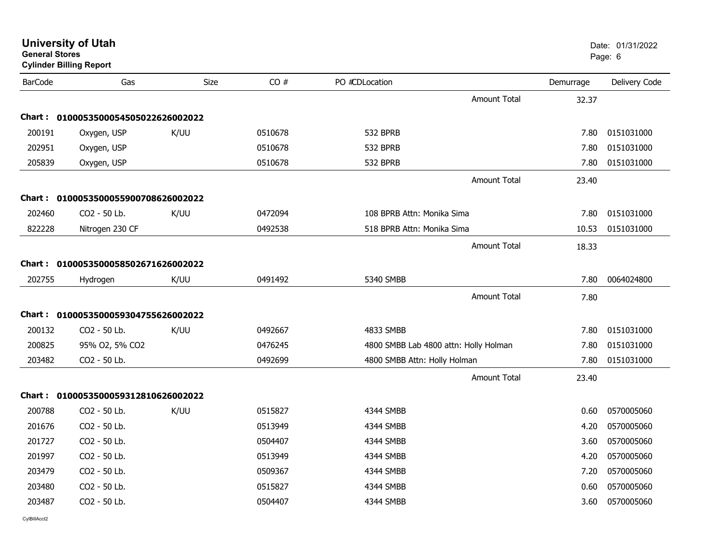| General Stores | <b>Cylinder Billing Report</b>      |             |         |                              |                                       |           | Page: 6       |
|----------------|-------------------------------------|-------------|---------|------------------------------|---------------------------------------|-----------|---------------|
| <b>BarCode</b> | Gas                                 | <b>Size</b> | CO#     | PO #CDLocation               |                                       | Demurrage | Delivery Code |
|                |                                     |             |         |                              | <b>Amount Total</b>                   | 32.37     |               |
|                | Chart: 0100053500054505022626002022 |             |         |                              |                                       |           |               |
| 200191         | Oxygen, USP                         | K/UU        | 0510678 | 532 BPRB                     |                                       | 7.80      | 0151031000    |
| 202951         | Oxygen, USP                         |             | 0510678 | <b>532 BPRB</b>              |                                       | 7.80      | 0151031000    |
| 205839         | Oxygen, USP                         |             | 0510678 | 532 BPRB                     |                                       | 7.80      | 0151031000    |
|                |                                     |             |         |                              | <b>Amount Total</b>                   | 23.40     |               |
|                | Chart: 0100053500055900708626002022 |             |         |                              |                                       |           |               |
| 202460         | CO2 - 50 Lb.                        | K/UU        | 0472094 | 108 BPRB Attn: Monika Sima   |                                       | 7.80      | 0151031000    |
| 822228         | Nitrogen 230 CF                     |             | 0492538 | 518 BPRB Attn: Monika Sima   |                                       | 10.53     | 0151031000    |
|                |                                     |             |         |                              | <b>Amount Total</b>                   | 18.33     |               |
|                | Chart: 0100053500058502671626002022 |             |         |                              |                                       |           |               |
| 202755         | Hydrogen                            | K/UU        | 0491492 | 5340 SMBB                    |                                       | 7.80      | 0064024800    |
|                |                                     |             |         |                              | <b>Amount Total</b>                   | 7.80      |               |
|                | Chart: 0100053500059304755626002022 |             |         |                              |                                       |           |               |
| 200132         | CO2 - 50 Lb.                        | K/UU        | 0492667 | 4833 SMBB                    |                                       | 7.80      | 0151031000    |
| 200825         | 95% O2, 5% CO2                      |             | 0476245 |                              | 4800 SMBB Lab 4800 attn: Holly Holman | 7.80      | 0151031000    |
| 203482         | CO2 - 50 Lb.                        |             | 0492699 | 4800 SMBB Attn: Holly Holman |                                       | 7.80      | 0151031000    |
|                |                                     |             |         |                              | <b>Amount Total</b>                   | 23.40     |               |
|                | Chart: 0100053500059312810626002022 |             |         |                              |                                       |           |               |
| 200788         | CO2 - 50 Lb.                        | K/UU        | 0515827 | 4344 SMBB                    |                                       | 0.60      | 0570005060    |
| 201676         | CO2 - 50 Lb.                        |             | 0513949 | 4344 SMBB                    |                                       | 4.20      | 0570005060    |
| 201727         | CO2 - 50 Lb.                        |             | 0504407 | 4344 SMBB                    |                                       | 3.60      | 0570005060    |
| 201997         | CO2 - 50 Lb.                        |             | 0513949 | 4344 SMBB                    |                                       | 4.20      | 0570005060    |
| 203479         | CO2 - 50 Lb.                        |             | 0509367 | 4344 SMBB                    |                                       | 7.20      | 0570005060    |
| 203480         | CO2 - 50 Lb.                        |             | 0515827 | 4344 SMBB                    |                                       | 0.60      | 0570005060    |
| 203487         | CO2 - 50 Lb.                        |             | 0504407 | 4344 SMBB                    |                                       | 3.60      | 0570005060    |
|                |                                     |             |         |                              |                                       |           |               |

**University of Utah** Date: 01/31/2022

**General Stores**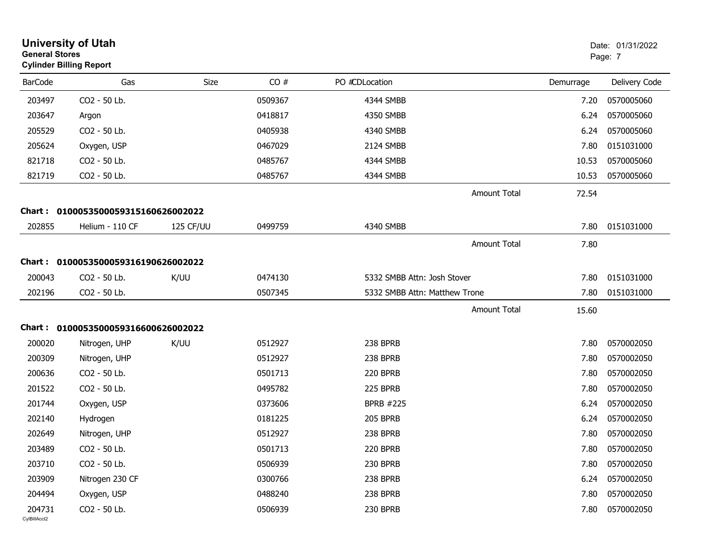| <b>General Stores</b>  | <b>University of Utah</b><br><b>Cylinder Billing Report</b> |           |                    |                               |                     |              | Date: 01/31/2022<br>Page: 7 |
|------------------------|-------------------------------------------------------------|-----------|--------------------|-------------------------------|---------------------|--------------|-----------------------------|
| <b>BarCode</b>         | Gas                                                         | Size      | CO#                | PO #CDLocation                |                     | Demurrage    | Delivery Code               |
| 203497                 | CO2 - 50 Lb.                                                |           | 0509367            | 4344 SMBB                     |                     | 7.20         | 0570005060                  |
| 203647                 | Argon                                                       |           | 0418817            | 4350 SMBB                     |                     | 6.24         | 0570005060                  |
| 205529                 | CO2 - 50 Lb.                                                |           | 0405938            | 4340 SMBB                     |                     | 6.24         | 0570005060                  |
| 205624                 | Oxygen, USP                                                 |           | 0467029            | 2124 SMBB                     |                     | 7.80         | 0151031000                  |
| 821718                 | CO2 - 50 Lb.                                                |           | 0485767            | 4344 SMBB                     |                     | 10.53        | 0570005060                  |
| 821719                 | CO2 - 50 Lb.                                                |           | 0485767            | 4344 SMBB                     |                     | 10.53        | 0570005060                  |
|                        |                                                             |           |                    |                               | <b>Amount Total</b> | 72.54        |                             |
| <b>Chart:</b>          | 0100053500059315160626002022                                |           |                    |                               |                     |              |                             |
| 202855                 | Helium - 110 CF                                             | 125 CF/UU | 0499759            | 4340 SMBB                     |                     | 7.80         | 0151031000                  |
|                        |                                                             |           |                    |                               | <b>Amount Total</b> | 7.80         |                             |
|                        | Chart: 0100053500059316190626002022                         |           |                    |                               |                     |              |                             |
| 200043                 | CO2 - 50 Lb.                                                | K/UU      |                    | 5332 SMBB Attn: Josh Stover   |                     |              | 0151031000                  |
| 202196                 | CO2 - 50 Lb.                                                |           | 0474130<br>0507345 | 5332 SMBB Attn: Matthew Trone |                     | 7.80<br>7.80 | 0151031000                  |
|                        |                                                             |           |                    |                               |                     |              |                             |
|                        |                                                             |           |                    |                               | <b>Amount Total</b> | 15.60        |                             |
|                        | Chart: 0100053500059316600626002022                         |           |                    |                               |                     |              |                             |
| 200020                 | Nitrogen, UHP                                               | K/UU      | 0512927            | 238 BPRB                      |                     | 7.80         | 0570002050                  |
| 200309                 | Nitrogen, UHP                                               |           | 0512927            | 238 BPRB                      |                     | 7.80         | 0570002050                  |
| 200636                 | CO2 - 50 Lb.                                                |           | 0501713            | 220 BPRB                      |                     | 7.80         | 0570002050                  |
| 201522                 | CO2 - 50 Lb.                                                |           | 0495782            | 225 BPRB                      |                     | 7.80         | 0570002050                  |
| 201744                 | Oxygen, USP                                                 |           | 0373606            | <b>BPRB #225</b>              |                     | 6.24         | 0570002050                  |
| 202140                 | Hydrogen                                                    |           | 0181225            | 205 BPRB                      |                     | 6.24         | 0570002050                  |
| 202649                 | Nitrogen, UHP                                               |           | 0512927            | 238 BPRB                      |                     | 7.80         | 0570002050                  |
| 203489                 | CO2 - 50 Lb.                                                |           | 0501713            | 220 BPRB                      |                     | 7.80         | 0570002050                  |
| 203710                 | CO2 - 50 Lb.                                                |           | 0506939            | 230 BPRB                      |                     | 7.80         | 0570002050                  |
| 203909                 | Nitrogen 230 CF                                             |           | 0300766            | 238 BPRB                      |                     | 6.24         | 0570002050                  |
| 204494                 | Oxygen, USP                                                 |           | 0488240            | 238 BPRB                      |                     | 7.80         | 0570002050                  |
| 204731<br>CylBillAcct2 | CO2 - 50 Lb.                                                |           | 0506939            | 230 BPRB                      |                     | 7.80         | 0570002050                  |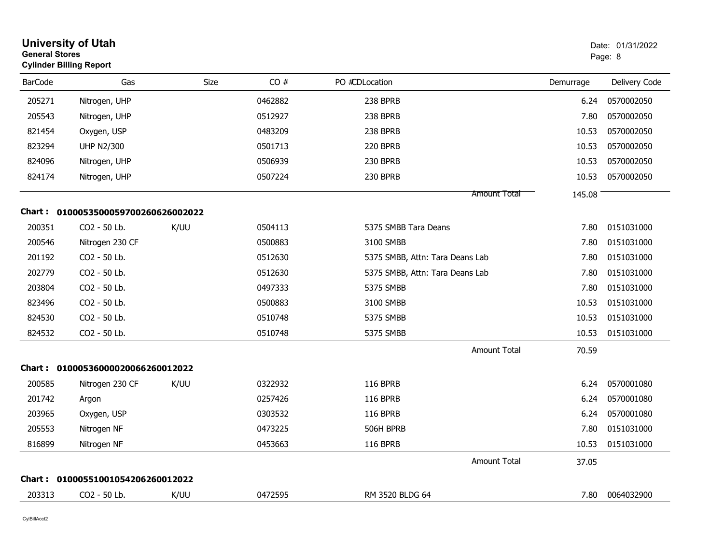|                | <b>University of Utah</b><br><b>General Stores</b><br><b>Cylinder Billing Report</b> |      |         |                                 |           | Date: 01/31/2022<br>Page: 8 |  |
|----------------|--------------------------------------------------------------------------------------|------|---------|---------------------------------|-----------|-----------------------------|--|
| <b>BarCode</b> | Gas                                                                                  | Size | CO#     | PO #CDLocation                  | Demurrage | Delivery Code               |  |
| 205271         | Nitrogen, UHP                                                                        |      | 0462882 | 238 BPRB                        | 6.24      | 0570002050                  |  |
| 205543         | Nitrogen, UHP                                                                        |      | 0512927 | 238 BPRB                        | 7.80      | 0570002050                  |  |
| 821454         | Oxygen, USP                                                                          |      | 0483209 | 238 BPRB                        | 10.53     | 0570002050                  |  |
| 823294         | <b>UHP N2/300</b>                                                                    |      | 0501713 | 220 BPRB                        | 10.53     | 0570002050                  |  |
| 824096         | Nitrogen, UHP                                                                        |      | 0506939 | 230 BPRB                        | 10.53     | 0570002050                  |  |
| 824174         | Nitrogen, UHP                                                                        |      | 0507224 | 230 BPRB                        | 10.53     | 0570002050                  |  |
|                |                                                                                      |      |         | <b>Amount Total</b>             | 145.08    |                             |  |
| Chart :        | 0100053500059700260626002022                                                         |      |         |                                 |           |                             |  |
| 200351         | CO2 - 50 Lb.                                                                         | K/UU | 0504113 | 5375 SMBB Tara Deans            | 7.80      | 0151031000                  |  |
| 200546         | Nitrogen 230 CF                                                                      |      | 0500883 | 3100 SMBB                       | 7.80      | 0151031000                  |  |
| 201192         | CO <sub>2</sub> - 50 Lb.                                                             |      | 0512630 | 5375 SMBB, Attn: Tara Deans Lab | 7.80      | 0151031000                  |  |
| 202779         | CO2 - 50 Lb.                                                                         |      | 0512630 | 5375 SMBB, Attn: Tara Deans Lab | 7.80      | 0151031000                  |  |
| 203804         | CO2 - 50 Lb.                                                                         |      | 0497333 | 5375 SMBB                       | 7.80      | 0151031000                  |  |
| 823496         | CO2 - 50 Lb.                                                                         |      | 0500883 | 3100 SMBB                       | 10.53     | 0151031000                  |  |
| 824530         | CO2 - 50 Lb.                                                                         |      | 0510748 | 5375 SMBB                       | 10.53     | 0151031000                  |  |
| 824532         | CO2 - 50 Lb.                                                                         |      | 0510748 | 5375 SMBB                       | 10.53     | 0151031000                  |  |
|                |                                                                                      |      |         | <b>Amount Total</b>             | 70.59     |                             |  |
|                | Chart: 01000536000020066260012022                                                    |      |         |                                 |           |                             |  |
| 200585         | Nitrogen 230 CF                                                                      | K/UU | 0322932 | <b>116 BPRB</b>                 | 6.24      | 0570001080                  |  |
| 201742         | Argon                                                                                |      | 0257426 | 116 BPRB                        | 6.24      | 0570001080                  |  |
| 203965         | Oxygen, USP                                                                          |      | 0303532 | <b>116 BPRB</b>                 | 6.24      | 0570001080                  |  |
| 205553         | Nitrogen NF                                                                          |      | 0473225 | 506H BPRB                       | 7.80      | 0151031000                  |  |
| 816899         | Nitrogen NF                                                                          |      | 0453663 | <b>116 BPRB</b>                 | 10.53     | 0151031000                  |  |
|                |                                                                                      |      |         | <b>Amount Total</b>             | 37.05     |                             |  |
|                | Chart: 01000551001054206260012022                                                    |      |         |                                 |           |                             |  |
| 203313         | CO2 - 50 Lb.                                                                         | K/UU | 0472595 | RM 3520 BLDG 64                 | 7.80      | 0064032900                  |  |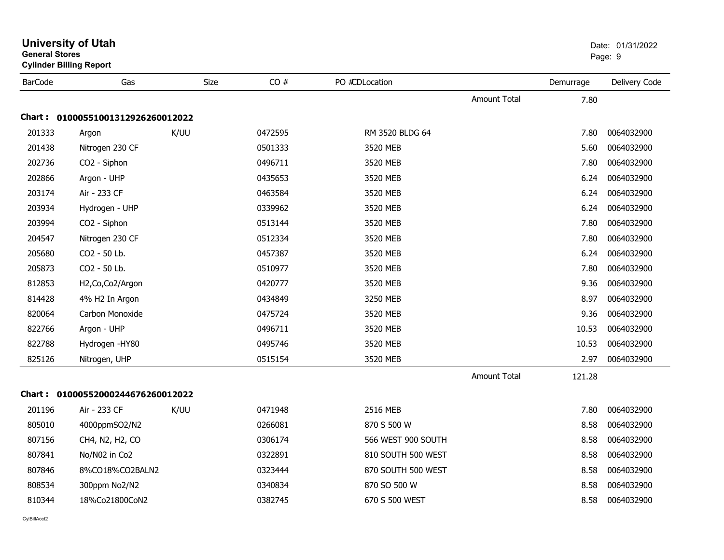| <b>General Stores</b> | <b>Cylinder Billing Report</b> |      |         |                    |                     |           | Page: 9       |
|-----------------------|--------------------------------|------|---------|--------------------|---------------------|-----------|---------------|
| <b>BarCode</b>        | Gas                            | Size | CO#     | PO #CDLocation     |                     | Demurrage | Delivery Code |
|                       |                                |      |         |                    | <b>Amount Total</b> | 7.80      |               |
| Chart :               | 01000551001312926260012022     |      |         |                    |                     |           |               |
| 201333                | Argon                          | K/UU | 0472595 | RM 3520 BLDG 64    |                     | 7.80      | 0064032900    |
| 201438                | Nitrogen 230 CF                |      | 0501333 | 3520 MEB           |                     | 5.60      | 0064032900    |
| 202736                | CO2 - Siphon                   |      | 0496711 | 3520 MEB           |                     | 7.80      | 0064032900    |
| 202866                | Argon - UHP                    |      | 0435653 | 3520 MEB           |                     | 6.24      | 0064032900    |
| 203174                | Air - 233 CF                   |      | 0463584 | 3520 MEB           |                     | 6.24      | 0064032900    |
| 203934                | Hydrogen - UHP                 |      | 0339962 | 3520 MEB           |                     | 6.24      | 0064032900    |
| 203994                | CO <sub>2</sub> - Siphon       |      | 0513144 | 3520 MEB           |                     | 7.80      | 0064032900    |
| 204547                | Nitrogen 230 CF                |      | 0512334 | 3520 MEB           |                     | 7.80      | 0064032900    |
| 205680                | CO2 - 50 Lb.                   |      | 0457387 | 3520 MEB           |                     | 6.24      | 0064032900    |
| 205873                | CO2 - 50 Lb.                   |      | 0510977 | 3520 MEB           |                     | 7.80      | 0064032900    |
| 812853                | H2, Co, Co2/Argon              |      | 0420777 | 3520 MEB           |                     | 9.36      | 0064032900    |
| 814428                | 4% H2 In Argon                 |      | 0434849 | 3250 MEB           |                     | 8.97      | 0064032900    |
| 820064                | Carbon Monoxide                |      | 0475724 | 3520 MEB           |                     | 9.36      | 0064032900    |
| 822766                | Argon - UHP                    |      | 0496711 | 3520 MEB           |                     | 10.53     | 0064032900    |
| 822788                | Hydrogen - HY80                |      | 0495746 | 3520 MEB           |                     | 10.53     | 0064032900    |
| 825126                | Nitrogen, UHP                  |      | 0515154 | 3520 MEB           |                     | 2.97      | 0064032900    |
|                       |                                |      |         |                    | <b>Amount Total</b> | 121.28    |               |
| Chart :               | 01000552000244676260012022     |      |         |                    |                     |           |               |
| 201196                | Air - 233 CF                   | K/UU | 0471948 | 2516 MEB           |                     | 7.80      | 0064032900    |
| 805010                | 4000ppmSO2/N2                  |      | 0266081 | 870 S 500 W        |                     | 8.58      | 0064032900    |
| 807156                | CH4, N2, H2, CO                |      | 0306174 | 566 WEST 900 SOUTH |                     | 8.58      | 0064032900    |
| 807841                | No/N02 in Co2                  |      | 0322891 | 810 SOUTH 500 WEST |                     | 8.58      | 0064032900    |
| 807846                | 8%CO18%CO2BALN2                |      | 0323444 | 870 SOUTH 500 WEST |                     | 8.58      | 0064032900    |
| 808534                | 300ppm No2/N2                  |      | 0340834 | 870 SO 500 W       |                     | 8.58      | 0064032900    |
| 810344                | 18%Co21800CoN2                 |      | 0382745 | 670 S 500 WEST     |                     | 8.58      | 0064032900    |
|                       |                                |      |         |                    |                     |           |               |

**University of Utah** Date: 01/31/2022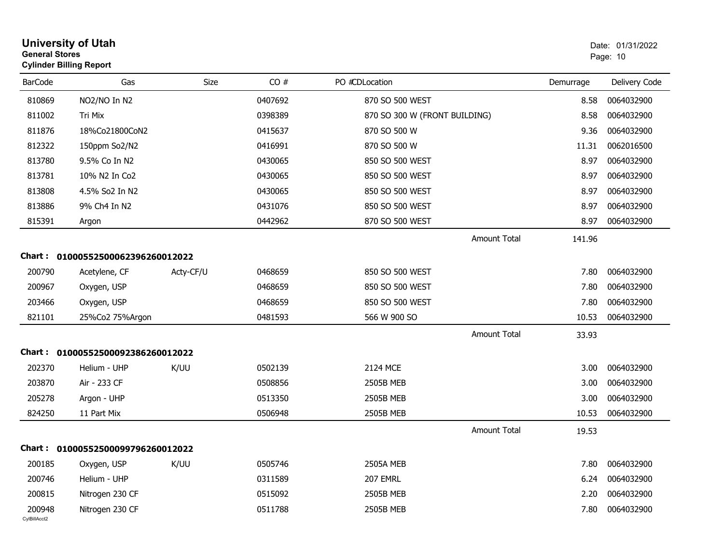| <b>General Stores</b>  | <b>Cylinder Billing Report</b>    |           |         |                               |           | Page: 10      |
|------------------------|-----------------------------------|-----------|---------|-------------------------------|-----------|---------------|
| <b>BarCode</b>         | Gas                               | Size      | CO#     | PO #CDLocation                | Demurrage | Delivery Code |
| 810869                 | NO2/NO In N2                      |           | 0407692 | 870 SO 500 WEST               | 8.58      | 0064032900    |
| 811002                 | Tri Mix                           |           | 0398389 | 870 SO 300 W (FRONT BUILDING) | 8.58      | 0064032900    |
| 811876                 | 18%Co21800CoN2                    |           | 0415637 | 870 SO 500 W                  | 9.36      | 0064032900    |
| 812322                 | 150ppm So2/N2                     |           | 0416991 | 870 SO 500 W                  | 11.31     | 0062016500    |
| 813780                 | 9.5% Co In N2                     |           | 0430065 | 850 SO 500 WEST               | 8.97      | 0064032900    |
| 813781                 | 10% N2 In Co2                     |           | 0430065 | 850 SO 500 WEST               | 8.97      | 0064032900    |
| 813808                 | 4.5% So2 In N2                    |           | 0430065 | 850 SO 500 WEST               | 8.97      | 0064032900    |
| 813886                 | 9% Ch4 In N2                      |           | 0431076 | 850 SO 500 WEST               | 8.97      | 0064032900    |
| 815391                 | Argon                             |           | 0442962 | 870 SO 500 WEST               | 8.97      | 0064032900    |
|                        |                                   |           |         | <b>Amount Total</b>           | 141.96    |               |
|                        | Chart: 01000552500062396260012022 |           |         |                               |           |               |
| 200790                 | Acetylene, CF                     | Acty-CF/U | 0468659 | 850 SO 500 WEST               | 7.80      | 0064032900    |
| 200967                 | Oxygen, USP                       |           | 0468659 | 850 SO 500 WEST               | 7.80      | 0064032900    |
| 203466                 | Oxygen, USP                       |           | 0468659 | 850 SO 500 WEST               | 7.80      | 0064032900    |
| 821101                 | 25%Co2 75%Argon                   |           | 0481593 | 566 W 900 SO                  | 10.53     | 0064032900    |
|                        |                                   |           |         | <b>Amount Total</b>           | 33.93     |               |
| Chart :                | 01000552500092386260012022        |           |         |                               |           |               |
| 202370                 | Helium - UHP                      | K/UU      | 0502139 | 2124 MCE                      | 3.00      | 0064032900    |
| 203870                 | Air - 233 CF                      |           | 0508856 | 2505B MEB                     | 3.00      | 0064032900    |
| 205278                 | Argon - UHP                       |           | 0513350 | 2505B MEB                     | 3.00      | 0064032900    |
| 824250                 | 11 Part Mix                       |           | 0506948 | 2505B MEB                     | 10.53     | 0064032900    |
|                        |                                   |           |         | <b>Amount Total</b>           | 19.53     |               |
|                        | Chart: 01000552500099796260012022 |           |         |                               |           |               |
| 200185                 | Oxygen, USP                       | K/UU      | 0505746 | <b>2505A MEB</b>              | 7.80      | 0064032900    |
| 200746                 | Helium - UHP                      |           | 0311589 | 207 EMRL                      | 6.24      | 0064032900    |
| 200815                 | Nitrogen 230 CF                   |           | 0515092 | 2505B MEB                     | 2.20      | 0064032900    |
| 200948<br>CvIBillAcct2 | Nitrogen 230 CF                   |           | 0511788 | <b>2505B MEB</b>              | 7.80      | 0064032900    |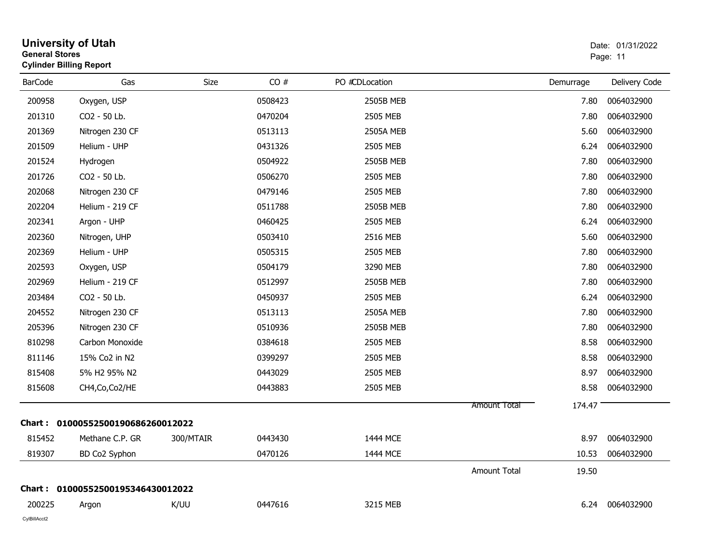| <b>General Stores</b> | <b>University of Utah</b><br><b>Cylinder Billing Report</b> |             |         |                  |                     | Date: 01/31/2022<br>Page: 11 |                 |
|-----------------------|-------------------------------------------------------------|-------------|---------|------------------|---------------------|------------------------------|-----------------|
| <b>BarCode</b>        | Gas                                                         | <b>Size</b> | CO#     | PO #CDLocation   |                     | Demurrage                    | Delivery Code   |
| 200958                | Oxygen, USP                                                 |             | 0508423 | 2505B MEB        |                     | 7.80                         | 0064032900      |
| 201310                | CO2 - 50 Lb.                                                |             | 0470204 | 2505 MEB         |                     | 7.80                         | 0064032900      |
| 201369                | Nitrogen 230 CF                                             |             | 0513113 | <b>2505A MEB</b> |                     | 5.60                         | 0064032900      |
| 201509                | Helium - UHP                                                |             | 0431326 | 2505 MEB         |                     | 6.24                         | 0064032900      |
| 201524                | Hydrogen                                                    |             | 0504922 | 2505B MEB        |                     | 7.80                         | 0064032900      |
| 201726                | CO2 - 50 Lb.                                                |             | 0506270 | 2505 MEB         |                     | 7.80                         | 0064032900      |
| 202068                | Nitrogen 230 CF                                             |             | 0479146 | 2505 MEB         |                     | 7.80                         | 0064032900      |
| 202204                | Helium - 219 CF                                             |             | 0511788 | 2505B MEB        |                     | 7.80                         | 0064032900      |
| 202341                | Argon - UHP                                                 |             | 0460425 | 2505 MEB         |                     | 6.24                         | 0064032900      |
| 202360                | Nitrogen, UHP                                               |             | 0503410 | 2516 MEB         |                     | 5.60                         | 0064032900      |
| 202369                | Helium - UHP                                                |             | 0505315 | 2505 MEB         |                     | 7.80                         | 0064032900      |
| 202593                | Oxygen, USP                                                 |             | 0504179 | 3290 MEB         |                     | 7.80                         | 0064032900      |
| 202969                | Helium - 219 CF                                             |             | 0512997 | 2505B MEB        |                     | 7.80                         | 0064032900      |
| 203484                | CO2 - 50 Lb.                                                |             | 0450937 | 2505 MEB         |                     | 6.24                         | 0064032900      |
| 204552                | Nitrogen 230 CF                                             |             | 0513113 | <b>2505A MEB</b> |                     | 7.80                         | 0064032900      |
| 205396                | Nitrogen 230 CF                                             |             | 0510936 | 2505B MEB        |                     | 7.80                         | 0064032900      |
| 810298                | Carbon Monoxide                                             |             | 0384618 | 2505 MEB         |                     | 8.58                         | 0064032900      |
| 811146                | 15% Co2 in N2                                               |             | 0399297 | 2505 MEB         |                     | 8.58                         | 0064032900      |
| 815408                | 5% H2 95% N2                                                |             | 0443029 | 2505 MEB         |                     | 8.97                         | 0064032900      |
| 815608                | CH4, Co, Co2/HE                                             |             | 0443883 | 2505 MEB         |                     | 8.58                         | 0064032900      |
|                       |                                                             |             |         |                  | <b>Amount Total</b> | 174.47                       |                 |
|                       | Chart: 01000552500190686260012022                           |             |         |                  |                     |                              |                 |
| 815452                | Methane C.P. GR                                             | 300/MTAIR   | 0443430 | 1444 MCE         |                     | 8.97                         | 0064032900      |
| 819307                | BD Co2 Syphon                                               |             | 0470126 | 1444 MCE         |                     | 10.53                        | 0064032900      |
|                       |                                                             |             |         |                  | Amount Total        | 19.50                        |                 |
|                       | Chart: 01000552500195346430012022                           |             |         |                  |                     |                              |                 |
| 200225                | Argon                                                       | K/UU        | 0447616 | 3215 MEB         |                     |                              | 6.24 0064032900 |
| CylBillAcct2          |                                                             |             |         |                  |                     |                              |                 |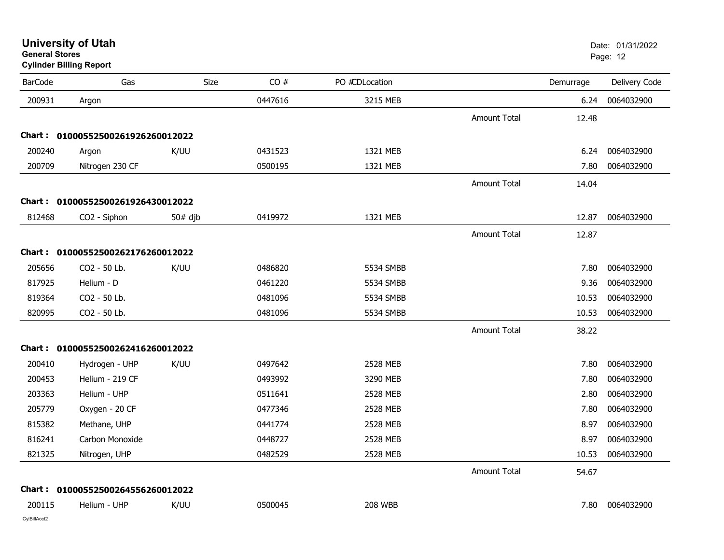**Cylinder Billing Report**

| <b>BarCode</b> | Gas                               | <b>Size</b> | CO#     | PO #CDLocation |                     | Demurrage | Delivery Code |
|----------------|-----------------------------------|-------------|---------|----------------|---------------------|-----------|---------------|
| 200931         | Argon                             |             | 0447616 | 3215 MEB       |                     | 6.24      | 0064032900    |
|                |                                   |             |         |                | <b>Amount Total</b> | 12.48     |               |
|                | Chart: 01000552500261926260012022 |             |         |                |                     |           |               |
| 200240         | Argon                             | K/UU        | 0431523 | 1321 MEB       |                     | 6.24      | 0064032900    |
| 200709         | Nitrogen 230 CF                   |             | 0500195 | 1321 MEB       |                     | 7.80      | 0064032900    |
|                |                                   |             |         |                | <b>Amount Total</b> | 14.04     |               |
|                | Chart: 01000552500261926430012022 |             |         |                |                     |           |               |
| 812468         | CO2 - Siphon                      | $50#$ djb   | 0419972 | 1321 MEB       |                     | 12.87     | 0064032900    |
|                |                                   |             |         |                | <b>Amount Total</b> | 12.87     |               |
|                | Chart: 01000552500262176260012022 |             |         |                |                     |           |               |
| 205656         | CO2 - 50 Lb.                      | K/UU        | 0486820 | 5534 SMBB      |                     | 7.80      | 0064032900    |
| 817925         | Helium - D                        |             | 0461220 | 5534 SMBB      |                     | 9.36      | 0064032900    |
| 819364         | CO2 - 50 Lb.                      |             | 0481096 | 5534 SMBB      |                     | 10.53     | 0064032900    |
| 820995         | CO2 - 50 Lb.                      |             | 0481096 | 5534 SMBB      |                     | 10.53     | 0064032900    |
|                |                                   |             |         |                | <b>Amount Total</b> | 38.22     |               |
|                | Chart: 01000552500262416260012022 |             |         |                |                     |           |               |
| 200410         | Hydrogen - UHP                    | K/UU        | 0497642 | 2528 MEB       |                     | 7.80      | 0064032900    |
| 200453         | Helium - 219 CF                   |             | 0493992 | 3290 MEB       |                     | 7.80      | 0064032900    |
| 203363         | Helium - UHP                      |             | 0511641 | 2528 MEB       |                     | 2.80      | 0064032900    |
| 205779         | Oxygen - 20 CF                    |             | 0477346 | 2528 MEB       |                     | 7.80      | 0064032900    |
| 815382         | Methane, UHP                      |             | 0441774 | 2528 MEB       |                     | 8.97      | 0064032900    |
| 816241         | Carbon Monoxide                   |             | 0448727 | 2528 MEB       |                     | 8.97      | 0064032900    |
| 821325         | Nitrogen, UHP                     |             | 0482529 | 2528 MEB       |                     | 10.53     | 0064032900    |
|                |                                   |             |         |                | <b>Amount Total</b> | 54.67     |               |
|                | Chart: 01000552500264556260012022 |             |         |                |                     |           |               |
| 200115         | Helium - UHP                      | K/UU        | 0500045 | <b>208 WBB</b> |                     | 7.80      | 0064032900    |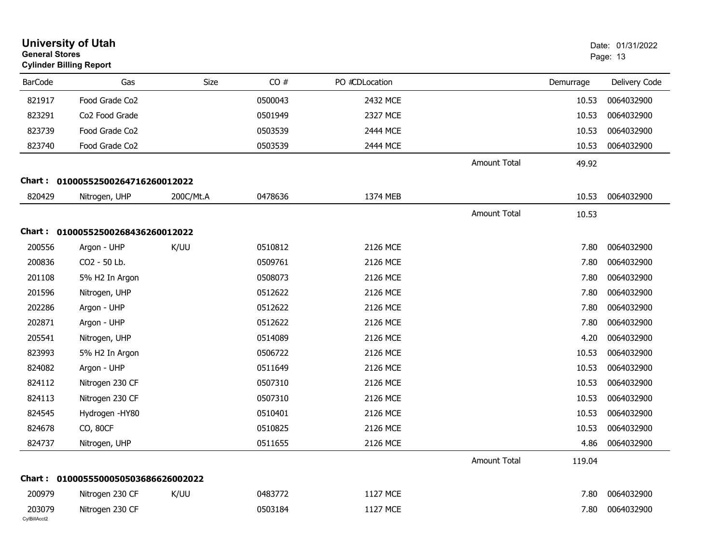|                        | <b>University of Utah</b><br>Date: 01/31/2022<br><b>General Stores</b><br>Page: 13<br><b>Cylinder Billing Report</b> |           |         |                |                     |           |               |
|------------------------|----------------------------------------------------------------------------------------------------------------------|-----------|---------|----------------|---------------------|-----------|---------------|
| <b>BarCode</b>         | Gas                                                                                                                  | Size      | CO#     | PO #CDLocation |                     | Demurrage | Delivery Code |
| 821917                 | Food Grade Co2                                                                                                       |           | 0500043 | 2432 MCE       |                     | 10.53     | 0064032900    |
| 823291                 | Co2 Food Grade                                                                                                       |           | 0501949 | 2327 MCE       |                     | 10.53     | 0064032900    |
| 823739                 | Food Grade Co2                                                                                                       |           | 0503539 | 2444 MCE       |                     | 10.53     | 0064032900    |
| 823740                 | Food Grade Co2                                                                                                       |           | 0503539 | 2444 MCE       |                     | 10.53     | 0064032900    |
|                        |                                                                                                                      |           |         |                | <b>Amount Total</b> | 49.92     |               |
| Chart :                | 01000552500264716260012022                                                                                           |           |         |                |                     |           |               |
| 820429                 | Nitrogen, UHP                                                                                                        | 200C/Mt.A | 0478636 | 1374 MEB       |                     | 10.53     | 0064032900    |
|                        |                                                                                                                      |           |         |                | <b>Amount Total</b> | 10.53     |               |
|                        | Chart: 01000552500268436260012022                                                                                    |           |         |                |                     |           |               |
| 200556                 | Argon - UHP                                                                                                          | K/UU      | 0510812 | 2126 MCE       |                     | 7.80      | 0064032900    |
| 200836                 | CO2 - 50 Lb.                                                                                                         |           | 0509761 | 2126 MCE       |                     | 7.80      | 0064032900    |
| 201108                 | 5% H2 In Argon                                                                                                       |           | 0508073 | 2126 MCE       |                     | 7.80      | 0064032900    |
| 201596                 | Nitrogen, UHP                                                                                                        |           | 0512622 | 2126 MCE       |                     | 7.80      | 0064032900    |
| 202286                 | Argon - UHP                                                                                                          |           | 0512622 | 2126 MCE       |                     | 7.80      | 0064032900    |
| 202871                 | Argon - UHP                                                                                                          |           | 0512622 | 2126 MCE       |                     | 7.80      | 0064032900    |
| 205541                 | Nitrogen, UHP                                                                                                        |           | 0514089 | 2126 MCE       |                     | 4.20      | 0064032900    |
| 823993                 | 5% H2 In Argon                                                                                                       |           | 0506722 | 2126 MCE       |                     | 10.53     | 0064032900    |
| 824082                 | Argon - UHP                                                                                                          |           | 0511649 | 2126 MCE       |                     | 10.53     | 0064032900    |
| 824112                 | Nitrogen 230 CF                                                                                                      |           | 0507310 | 2126 MCE       |                     | 10.53     | 0064032900    |
| 824113                 | Nitrogen 230 CF                                                                                                      |           | 0507310 | 2126 MCE       |                     | 10.53     | 0064032900    |
| 824545                 | Hydrogen - HY80                                                                                                      |           | 0510401 | 2126 MCE       |                     | 10.53     | 0064032900    |
| 824678                 | CO, 80CF                                                                                                             |           | 0510825 | 2126 MCE       |                     | 10.53     | 0064032900    |
| 824737                 | Nitrogen, UHP                                                                                                        |           | 0511655 | 2126 MCE       |                     | 4.86      | 0064032900    |
|                        |                                                                                                                      |           |         |                | <b>Amount Total</b> | 119.04    |               |
|                        | Chart: 0100055500050503686626002022                                                                                  |           |         |                |                     |           |               |
| 200979                 | Nitrogen 230 CF                                                                                                      | K/UU      | 0483772 | 1127 MCE       |                     | 7.80      | 0064032900    |
| 203079<br>CylBillAcct2 | Nitrogen 230 CF                                                                                                      |           | 0503184 | 1127 MCE       |                     | 7.80      | 0064032900    |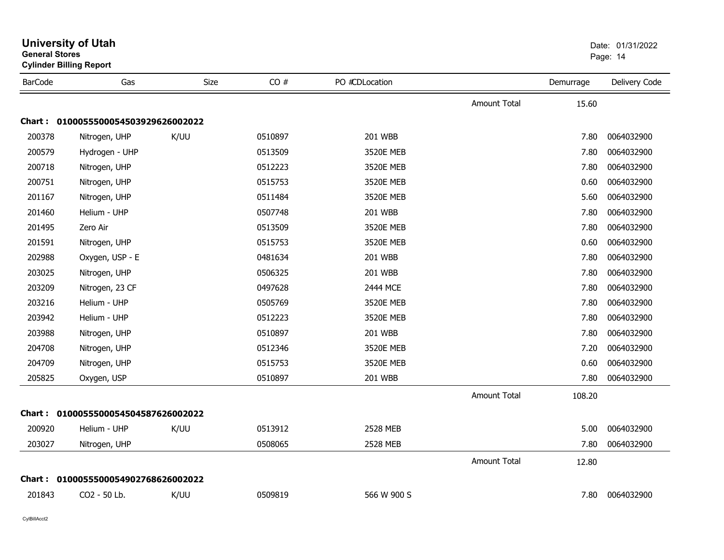| General Stores | <b>Cylinder Billing Report</b>      |      |         |                 |                     |           | Page: 14      |
|----------------|-------------------------------------|------|---------|-----------------|---------------------|-----------|---------------|
| <b>BarCode</b> | Gas                                 | Size | CO#     | PO #CDLocation  |                     | Demurrage | Delivery Code |
|                |                                     |      |         |                 | <b>Amount Total</b> | 15.60     |               |
|                | Chart: 0100055500054503929626002022 |      |         |                 |                     |           |               |
| 200378         | Nitrogen, UHP                       | K/UU | 0510897 | <b>201 WBB</b>  |                     | 7.80      | 0064032900    |
| 200579         | Hydrogen - UHP                      |      | 0513509 | 3520E MEB       |                     | 7.80      | 0064032900    |
| 200718         | Nitrogen, UHP                       |      | 0512223 | 3520E MEB       |                     | 7.80      | 0064032900    |
| 200751         | Nitrogen, UHP                       |      | 0515753 | 3520E MEB       |                     | 0.60      | 0064032900    |
| 201167         | Nitrogen, UHP                       |      | 0511484 | 3520E MEB       |                     | 5.60      | 0064032900    |
| 201460         | Helium - UHP                        |      | 0507748 | 201 WBB         |                     | 7.80      | 0064032900    |
| 201495         | Zero Air                            |      | 0513509 | 3520E MEB       |                     | 7.80      | 0064032900    |
| 201591         | Nitrogen, UHP                       |      | 0515753 | 3520E MEB       |                     | 0.60      | 0064032900    |
| 202988         | Oxygen, USP - E                     |      | 0481634 | 201 WBB         |                     | 7.80      | 0064032900    |
| 203025         | Nitrogen, UHP                       |      | 0506325 | 201 WBB         |                     | 7.80      | 0064032900    |
| 203209         | Nitrogen, 23 CF                     |      | 0497628 | 2444 MCE        |                     | 7.80      | 0064032900    |
| 203216         | Helium - UHP                        |      | 0505769 | 3520E MEB       |                     | 7.80      | 0064032900    |
| 203942         | Helium - UHP                        |      | 0512223 | 3520E MEB       |                     | 7.80      | 0064032900    |
| 203988         | Nitrogen, UHP                       |      | 0510897 | <b>201 WBB</b>  |                     | 7.80      | 0064032900    |
| 204708         | Nitrogen, UHP                       |      | 0512346 | 3520E MEB       |                     | 7.20      | 0064032900    |
| 204709         | Nitrogen, UHP                       |      | 0515753 | 3520E MEB       |                     | 0.60      | 0064032900    |
| 205825         | Oxygen, USP                         |      | 0510897 | 201 WBB         |                     | 7.80      | 0064032900    |
|                |                                     |      |         |                 | <b>Amount Total</b> | 108.20    |               |
|                | Chart: 0100055500054504587626002022 |      |         |                 |                     |           |               |
| 200920         | Helium - UHP                        | K/UU | 0513912 | <b>2528 MEB</b> |                     | 5.00      | 0064032900    |
| 203027         | Nitrogen, UHP                       |      | 0508065 | 2528 MEB        |                     | 7.80      | 0064032900    |
|                |                                     |      |         |                 | <b>Amount Total</b> | 12.80     |               |
|                | Chart: 0100055500054902768626002022 |      |         |                 |                     |           |               |
| 201843         | CO2 - 50 Lb.                        | K/UU | 0509819 | 566 W 900 S     |                     | 7.80      | 0064032900    |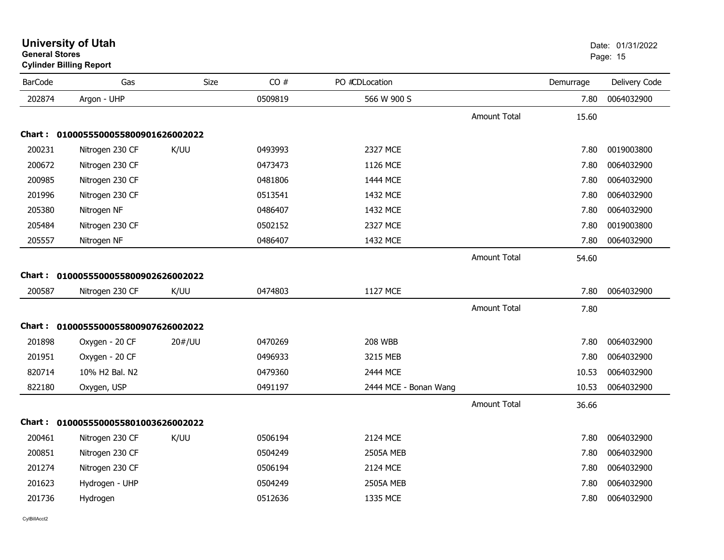| <b>BarCode</b> | Gas                                 | Size   | CO#     | PO #CDLocation        |                     | Demurrage | Delivery Code |
|----------------|-------------------------------------|--------|---------|-----------------------|---------------------|-----------|---------------|
| 202874         | Argon - UHP                         |        | 0509819 | 566 W 900 S           |                     | 7.80      | 0064032900    |
|                |                                     |        |         |                       | <b>Amount Total</b> | 15.60     |               |
|                | Chart: 0100055500055800901626002022 |        |         |                       |                     |           |               |
| 200231         | Nitrogen 230 CF                     | K/UU   | 0493993 | 2327 MCE              |                     | 7.80      | 0019003800    |
| 200672         | Nitrogen 230 CF                     |        | 0473473 | 1126 MCE              |                     | 7.80      | 0064032900    |
| 200985         | Nitrogen 230 CF                     |        | 0481806 | 1444 MCE              |                     | 7.80      | 0064032900    |
| 201996         | Nitrogen 230 CF                     |        | 0513541 | 1432 MCE              |                     | 7.80      | 0064032900    |
| 205380         | Nitrogen NF                         |        | 0486407 | 1432 MCE              |                     | 7.80      | 0064032900    |
| 205484         | Nitrogen 230 CF                     |        | 0502152 | 2327 MCE              |                     | 7.80      | 0019003800    |
| 205557         | Nitrogen NF                         |        | 0486407 | 1432 MCE              |                     | 7.80      | 0064032900    |
|                |                                     |        |         |                       | <b>Amount Total</b> | 54.60     |               |
|                | Chart: 0100055500055800902626002022 |        |         |                       |                     |           |               |
| 200587         | Nitrogen 230 CF                     | K/UU   | 0474803 | 1127 MCE              |                     | 7.80      | 0064032900    |
|                |                                     |        |         |                       | <b>Amount Total</b> | 7.80      |               |
|                |                                     |        |         |                       |                     |           |               |
|                | Chart: 0100055500055800907626002022 |        |         |                       |                     |           |               |
| 201898         | Oxygen - 20 CF                      | 20#/UU | 0470269 | <b>208 WBB</b>        |                     | 7.80      | 0064032900    |
| 201951         | Oxygen - 20 CF                      |        | 0496933 | 3215 MEB              |                     | 7.80      | 0064032900    |
| 820714         | 10% H2 Bal. N2                      |        | 0479360 | 2444 MCE              |                     | 10.53     | 0064032900    |
| 822180         | Oxygen, USP                         |        | 0491197 | 2444 MCE - Bonan Wang |                     | 10.53     | 0064032900    |
|                |                                     |        |         |                       | <b>Amount Total</b> | 36.66     |               |
|                | Chart: 0100055500055801003626002022 |        |         |                       |                     |           |               |
| 200461         | Nitrogen 230 CF                     | K/UU   | 0506194 | 2124 MCE              |                     | 7.80      | 0064032900    |
| 200851         | Nitrogen 230 CF                     |        | 0504249 | <b>2505A MEB</b>      |                     | 7.80      | 0064032900    |
| 201274         | Nitrogen 230 CF                     |        | 0506194 | 2124 MCE              |                     | 7.80      | 0064032900    |
| 201623         | Hydrogen - UHP                      |        | 0504249 | <b>2505A MEB</b>      |                     | 7.80      | 0064032900    |
| 201736         | Hydrogen                            |        | 0512636 | 1335 MCE              |                     | 7.80      | 0064032900    |

### **University of Utah** Date: 01/31/2022 **General Stores**end and the state of the state of the state of the state of the state of the state of the Page: 15  $\,$  Page: 15  $\,$

**Cylinder Billing Report**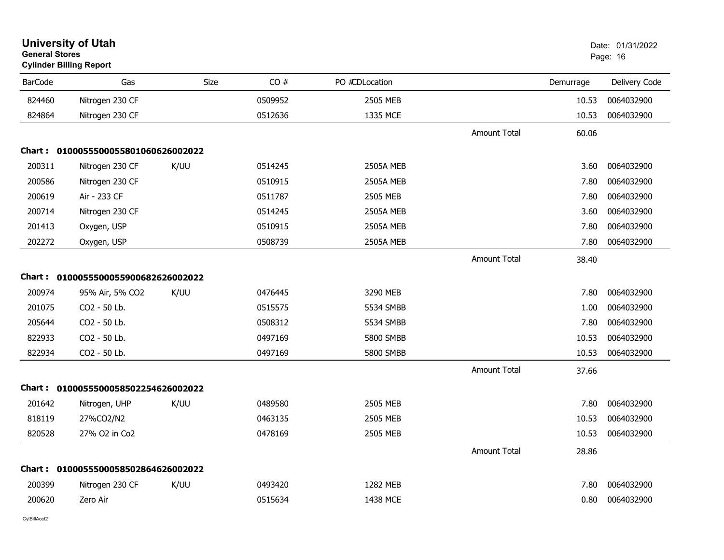| <b>General Stores</b> | <b>University of Utah</b><br><b>Cylinder Billing Report</b> |      |         |                  |                     |           | Date: 01/31/2022<br>Page: 16 |
|-----------------------|-------------------------------------------------------------|------|---------|------------------|---------------------|-----------|------------------------------|
| <b>BarCode</b>        | Gas                                                         | Size | CO#     | PO #CDLocation   |                     | Demurrage | Delivery Code                |
| 824460                | Nitrogen 230 CF                                             |      | 0509952 | 2505 MEB         |                     | 10.53     | 0064032900                   |
| 824864                | Nitrogen 230 CF                                             |      | 0512636 | 1335 MCE         |                     | 10.53     | 0064032900                   |
|                       |                                                             |      |         |                  | <b>Amount Total</b> | 60.06     |                              |
|                       | Chart: 0100055500055801060626002022                         |      |         |                  |                     |           |                              |
| 200311                | Nitrogen 230 CF                                             | K/UU | 0514245 | <b>2505A MEB</b> |                     | 3.60      | 0064032900                   |
| 200586                | Nitrogen 230 CF                                             |      | 0510915 | <b>2505A MEB</b> |                     | 7.80      | 0064032900                   |
| 200619                | Air - 233 CF                                                |      | 0511787 | 2505 MEB         |                     | 7.80      | 0064032900                   |
| 200714                | Nitrogen 230 CF                                             |      | 0514245 | <b>2505A MEB</b> |                     | 3.60      | 0064032900                   |
| 201413                | Oxygen, USP                                                 |      | 0510915 | 2505A MEB        |                     | 7.80      | 0064032900                   |
| 202272                | Oxygen, USP                                                 |      | 0508739 | 2505A MEB        |                     | 7.80      | 0064032900                   |
|                       |                                                             |      |         |                  | <b>Amount Total</b> | 38.40     |                              |
|                       | Chart: 0100055500055900682626002022                         |      |         |                  |                     |           |                              |
| 200974                | 95% Air, 5% CO2                                             | K/UU | 0476445 | 3290 MEB         |                     | 7.80      | 0064032900                   |
| 201075                | CO2 - 50 Lb.                                                |      | 0515575 | 5534 SMBB        |                     | 1.00      | 0064032900                   |
| 205644                | CO2 - 50 Lb.                                                |      | 0508312 | 5534 SMBB        |                     | 7.80      | 0064032900                   |
| 822933                | CO <sub>2</sub> - 50 Lb.                                    |      | 0497169 | 5800 SMBB        |                     | 10.53     | 0064032900                   |
| 822934                | CO2 - 50 Lb.                                                |      | 0497169 | 5800 SMBB        |                     | 10.53     | 0064032900                   |
|                       |                                                             |      |         |                  | <b>Amount Total</b> | 37.66     |                              |
|                       | Chart: 0100055500058502254626002022                         |      |         |                  |                     |           |                              |
| 201642                | Nitrogen, UHP                                               | K/UU | 0489580 | 2505 MEB         |                     | 7.80      | 0064032900                   |
| 818119                | 27%CO2/N2                                                   |      | 0463135 | 2505 MEB         |                     | 10.53     | 0064032900                   |
| 820528                | 27% O2 in Co2                                               |      | 0478169 | 2505 MEB         |                     | 10.53     | 0064032900                   |
|                       |                                                             |      |         |                  | <b>Amount Total</b> | 28.86     |                              |
|                       | Chart: 0100055500058502864626002022                         |      |         |                  |                     |           |                              |
| 200399                | Nitrogen 230 CF                                             | K/UU | 0493420 | 1282 MEB         |                     | 7.80      | 0064032900                   |
| 200620                | Zero Air                                                    |      | 0515634 | 1438 MCE         |                     | 0.80      | 0064032900                   |
|                       |                                                             |      |         |                  |                     |           |                              |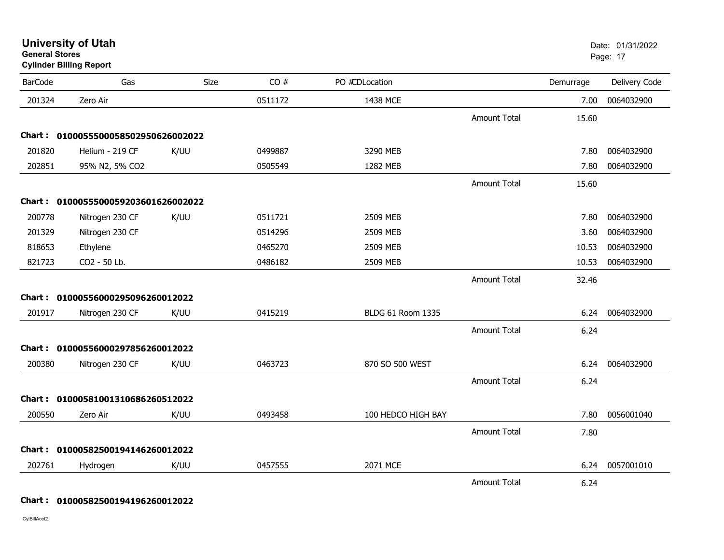**Cylinder Billing Report**

| <b>BarCode</b> | Gas                                 | Size | CO#     | PO #CDLocation     |                     | Demurrage | Delivery Code |
|----------------|-------------------------------------|------|---------|--------------------|---------------------|-----------|---------------|
| 201324         | Zero Air                            |      | 0511172 | 1438 MCE           |                     | 7.00      | 0064032900    |
|                |                                     |      |         |                    | <b>Amount Total</b> | 15.60     |               |
|                | Chart: 0100055500058502950626002022 |      |         |                    |                     |           |               |
| 201820         | Helium - 219 CF                     | K/UU | 0499887 | 3290 MEB           |                     | 7.80      | 0064032900    |
| 202851         | 95% N2, 5% CO2                      |      | 0505549 | 1282 MEB           |                     | 7.80      | 0064032900    |
|                |                                     |      |         |                    | <b>Amount Total</b> | 15.60     |               |
|                | Chart: 0100055500059203601626002022 |      |         |                    |                     |           |               |
| 200778         | Nitrogen 230 CF                     | K/UU | 0511721 | 2509 MEB           |                     | 7.80      | 0064032900    |
| 201329         | Nitrogen 230 CF                     |      | 0514296 | 2509 MEB           |                     | 3.60      | 0064032900    |
| 818653         | Ethylene                            |      | 0465270 | 2509 MEB           |                     | 10.53     | 0064032900    |
| 821723         | CO2 - 50 Lb.                        |      | 0486182 | 2509 MEB           |                     | 10.53     | 0064032900    |
|                |                                     |      |         |                    | Amount Total        | 32.46     |               |
|                | Chart: 01000556000295096260012022   |      |         |                    |                     |           |               |
| 201917         | Nitrogen 230 CF                     | K/UU | 0415219 | BLDG 61 Room 1335  |                     | 6.24      | 0064032900    |
|                |                                     |      |         |                    | <b>Amount Total</b> | 6.24      |               |
|                | Chart: 01000556000297856260012022   |      |         |                    |                     |           |               |
| 200380         | Nitrogen 230 CF                     | K/UU | 0463723 | 870 SO 500 WEST    |                     | 6.24      | 0064032900    |
|                |                                     |      |         |                    | <b>Amount Total</b> | 6.24      |               |
|                | Chart: 01000581001310686260512022   |      |         |                    |                     |           |               |
| 200550         | Zero Air                            | K/UU | 0493458 | 100 HEDCO HIGH BAY |                     | 7.80      | 0056001040    |
|                |                                     |      |         |                    | <b>Amount Total</b> | 7.80      |               |
| Chart :        | 01000582500194146260012022          |      |         |                    |                     |           |               |
| 202761         | Hydrogen                            | K/UU | 0457555 | 2071 MCE           |                     | 6.24      | 0057001010    |
|                |                                     |      |         |                    | <b>Amount Total</b> | 6.24      |               |

**Chart : 01000582500194196260012022**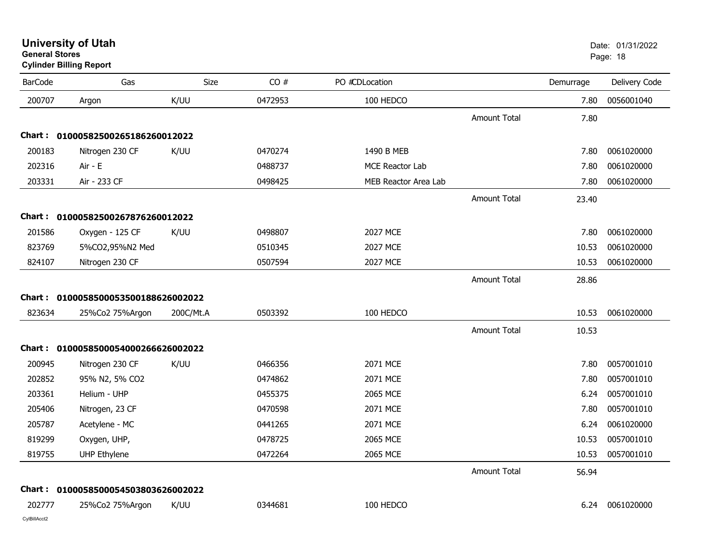| <b>University of Utah</b> |  |
|---------------------------|--|
| <b>General Stores</b>     |  |

# **Cylinder Billing Report**

| <b>BarCode</b> | Gas                                 | Size      | CO#     | PO #CDLocation       |                     | Demurrage | Delivery Code   |
|----------------|-------------------------------------|-----------|---------|----------------------|---------------------|-----------|-----------------|
| 200707         | Argon                               | K/UU      | 0472953 | 100 HEDCO            |                     | 7.80      | 0056001040      |
|                |                                     |           |         |                      | <b>Amount Total</b> | 7.80      |                 |
|                | Chart: 01000582500265186260012022   |           |         |                      |                     |           |                 |
| 200183         | Nitrogen 230 CF                     | K/UU      | 0470274 | 1490 B MEB           |                     | 7.80      | 0061020000      |
| 202316         | Air - E                             |           | 0488737 | MCE Reactor Lab      |                     | 7.80      | 0061020000      |
| 203331         | Air - 233 CF                        |           | 0498425 | MEB Reactor Area Lab |                     | 7.80      | 0061020000      |
|                |                                     |           |         |                      | <b>Amount Total</b> | 23.40     |                 |
|                | Chart: 01000582500267876260012022   |           |         |                      |                     |           |                 |
| 201586         | Oxygen - 125 CF                     | K/UU      | 0498807 | 2027 MCE             |                     | 7.80      | 0061020000      |
| 823769         | 5%CO2,95%N2 Med                     |           | 0510345 | 2027 MCE             |                     | 10.53     | 0061020000      |
| 824107         | Nitrogen 230 CF                     |           | 0507594 | 2027 MCE             |                     | 10.53     | 0061020000      |
|                |                                     |           |         |                      | <b>Amount Total</b> | 28.86     |                 |
|                | Chart: 0100058500053500188626002022 |           |         |                      |                     |           |                 |
| 823634         | 25%Co2 75%Argon                     | 200C/Mt.A | 0503392 | 100 HEDCO            |                     | 10.53     | 0061020000      |
|                |                                     |           |         |                      | <b>Amount Total</b> | 10.53     |                 |
|                | Chart: 0100058500054000266626002022 |           |         |                      |                     |           |                 |
| 200945         | Nitrogen 230 CF                     | K/UU      | 0466356 | 2071 MCE             |                     | 7.80      | 0057001010      |
| 202852         | 95% N2, 5% CO2                      |           | 0474862 | 2071 MCE             |                     | 7.80      | 0057001010      |
| 203361         | Helium - UHP                        |           | 0455375 | 2065 MCE             |                     | 6.24      | 0057001010      |
| 205406         | Nitrogen, 23 CF                     |           | 0470598 | 2071 MCE             |                     | 7.80      | 0057001010      |
| 205787         | Acetylene - MC                      |           | 0441265 | 2071 MCE             |                     | 6.24      | 0061020000      |
| 819299         | Oxygen, UHP,                        |           | 0478725 | 2065 MCE             |                     | 10.53     | 0057001010      |
| 819755         | <b>UHP Ethylene</b>                 |           | 0472264 | 2065 MCE             |                     | 10.53     | 0057001010      |
|                |                                     |           |         |                      | <b>Amount Total</b> | 56.94     |                 |
|                | Chart: 0100058500054503803626002022 |           |         |                      |                     |           |                 |
| 202777         | 25%Co2 75%Argon                     | K/UU      | 0344681 | 100 HEDCO            |                     |           | 6.24 0061020000 |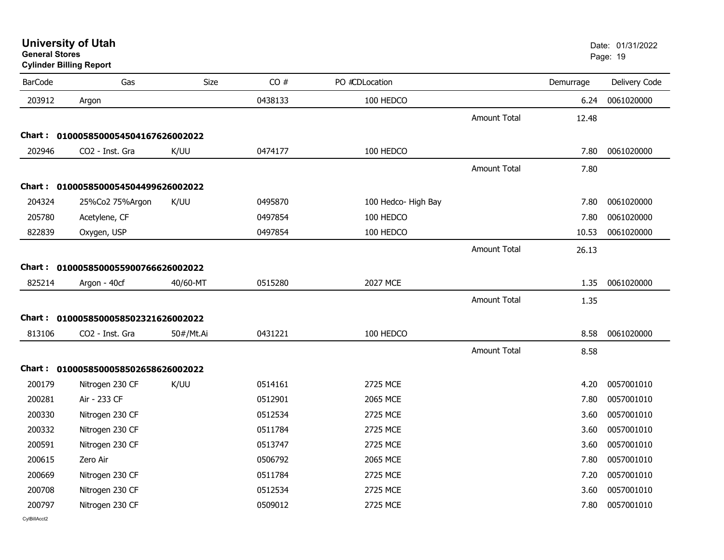**University of Utah** Date: 01/31/2022

| <b>BarCode</b> | Gas                                 | <b>Size</b> | CO#     | PO #CDLocation      |                     | Demurrage | Delivery Code |
|----------------|-------------------------------------|-------------|---------|---------------------|---------------------|-----------|---------------|
| 203912         | Argon                               |             | 0438133 | 100 HEDCO           |                     | 6.24      | 0061020000    |
|                |                                     |             |         |                     | <b>Amount Total</b> | 12.48     |               |
| Chart :        | 0100058500054504167626002022        |             |         |                     |                     |           |               |
| 202946         | CO2 - Inst. Gra                     | K/UU        | 0474177 | 100 HEDCO           |                     | 7.80      | 0061020000    |
|                |                                     |             |         |                     | <b>Amount Total</b> | 7.80      |               |
|                | Chart: 0100058500054504499626002022 |             |         |                     |                     |           |               |
| 204324         | 25%Co2 75%Argon                     | K/UU        | 0495870 | 100 Hedco- High Bay |                     | 7.80      | 0061020000    |
| 205780         | Acetylene, CF                       |             | 0497854 | 100 HEDCO           |                     | 7.80      | 0061020000    |
| 822839         | Oxygen, USP                         |             | 0497854 | 100 HEDCO           |                     | 10.53     | 0061020000    |
|                |                                     |             |         |                     | <b>Amount Total</b> | 26.13     |               |
|                | Chart: 0100058500055900766626002022 |             |         |                     |                     |           |               |
| 825214         | Argon - 40cf                        | 40/60-MT    | 0515280 | 2027 MCE            |                     | 1.35      | 0061020000    |
|                |                                     |             |         |                     | <b>Amount Total</b> | 1.35      |               |
|                | Chart: 0100058500058502321626002022 |             |         |                     |                     |           |               |
| 813106         | CO2 - Inst. Gra                     | 50#/Mt.Ai   | 0431221 | 100 HEDCO           |                     | 8.58      | 0061020000    |
|                |                                     |             |         |                     | <b>Amount Total</b> | 8.58      |               |
|                | Chart: 0100058500058502658626002022 |             |         |                     |                     |           |               |
| 200179         | Nitrogen 230 CF                     | K/UU        | 0514161 | 2725 MCE            |                     | 4.20      | 0057001010    |
| 200281         | Air - 233 CF                        |             | 0512901 | 2065 MCE            |                     | 7.80      | 0057001010    |
| 200330         | Nitrogen 230 CF                     |             | 0512534 | 2725 MCE            |                     | 3.60      | 0057001010    |
| 200332         | Nitrogen 230 CF                     |             | 0511784 | 2725 MCE            |                     | 3.60      | 0057001010    |
| 200591         | Nitrogen 230 CF                     |             | 0513747 | 2725 MCE            |                     | 3.60      | 0057001010    |
| 200615         | Zero Air                            |             | 0506792 | 2065 MCE            |                     | 7.80      | 0057001010    |
| 200669         | Nitrogen 230 CF                     |             | 0511784 | 2725 MCE            |                     | 7.20      | 0057001010    |
| 200708         | Nitrogen 230 CF                     |             | 0512534 | 2725 MCE            |                     | 3.60      | 0057001010    |
| 200797         | Nitrogen 230 CF                     |             | 0509012 | 2725 MCE            |                     | 7.80      | 0057001010    |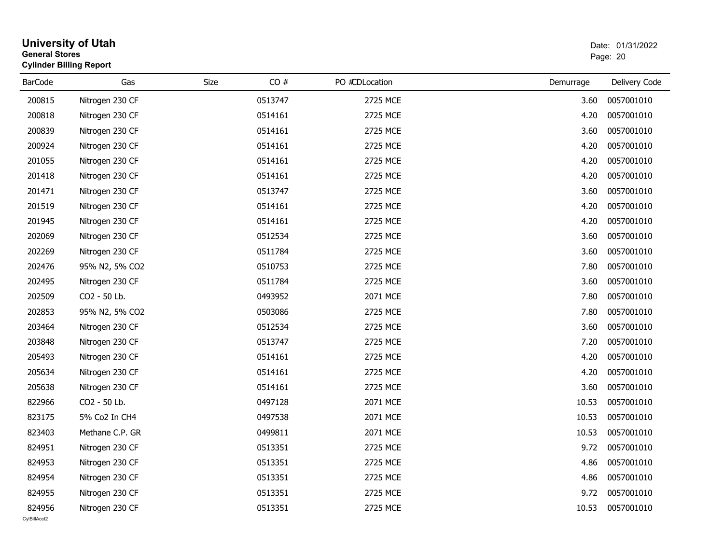| <b>General Stores</b>  | <b>University of Utah</b><br><b>Cylinder Billing Report</b> |      |         |                |           | Date: 01/31/2022<br>Page: 20 |
|------------------------|-------------------------------------------------------------|------|---------|----------------|-----------|------------------------------|
| <b>BarCode</b>         | Gas                                                         | Size | CO#     | PO #CDLocation | Demurrage | Delivery Code                |
| 200815                 | Nitrogen 230 CF                                             |      | 0513747 | 2725 MCE       | 3.60      | 0057001010                   |
| 200818                 | Nitrogen 230 CF                                             |      | 0514161 | 2725 MCE       | 4.20      | 0057001010                   |
| 200839                 | Nitrogen 230 CF                                             |      | 0514161 | 2725 MCE       | 3.60      | 0057001010                   |
| 200924                 | Nitrogen 230 CF                                             |      | 0514161 | 2725 MCE       | 4.20      | 0057001010                   |
| 201055                 | Nitrogen 230 CF                                             |      | 0514161 | 2725 MCE       | 4.20      | 0057001010                   |
| 201418                 | Nitrogen 230 CF                                             |      | 0514161 | 2725 MCE       | 4.20      | 0057001010                   |
| 201471                 | Nitrogen 230 CF                                             |      | 0513747 | 2725 MCE       | 3.60      | 0057001010                   |
| 201519                 | Nitrogen 230 CF                                             |      | 0514161 | 2725 MCE       | 4.20      | 0057001010                   |
| 201945                 | Nitrogen 230 CF                                             |      | 0514161 | 2725 MCE       | 4.20      | 0057001010                   |
| 202069                 | Nitrogen 230 CF                                             |      | 0512534 | 2725 MCE       | 3.60      | 0057001010                   |
| 202269                 | Nitrogen 230 CF                                             |      | 0511784 | 2725 MCE       | 3.60      | 0057001010                   |
| 202476                 | 95% N2, 5% CO2                                              |      | 0510753 | 2725 MCE       | 7.80      | 0057001010                   |
| 202495                 | Nitrogen 230 CF                                             |      | 0511784 | 2725 MCE       | 3.60      | 0057001010                   |
| 202509                 | CO2 - 50 Lb.                                                |      | 0493952 | 2071 MCE       | 7.80      | 0057001010                   |
| 202853                 | 95% N2, 5% CO2                                              |      | 0503086 | 2725 MCE       | 7.80      | 0057001010                   |
| 203464                 | Nitrogen 230 CF                                             |      | 0512534 | 2725 MCE       | 3.60      | 0057001010                   |
| 203848                 | Nitrogen 230 CF                                             |      | 0513747 | 2725 MCE       | 7.20      | 0057001010                   |
| 205493                 | Nitrogen 230 CF                                             |      | 0514161 | 2725 MCE       | 4.20      | 0057001010                   |
| 205634                 | Nitrogen 230 CF                                             |      | 0514161 | 2725 MCE       | 4.20      | 0057001010                   |
| 205638                 | Nitrogen 230 CF                                             |      | 0514161 | 2725 MCE       | 3.60      | 0057001010                   |
| 822966                 | CO2 - 50 Lb.                                                |      | 0497128 | 2071 MCE       | 10.53     | 0057001010                   |
| 823175                 | 5% Co2 In CH4                                               |      | 0497538 | 2071 MCE       | 10.53     | 0057001010                   |
| 823403                 | Methane C.P. GR                                             |      | 0499811 | 2071 MCE       | 10.53     | 0057001010                   |
| 824951                 | Nitrogen 230 CF                                             |      | 0513351 | 2725 MCE       |           | 9.72 0057001010              |
| 824953                 | Nitrogen 230 CF                                             |      | 0513351 | 2725 MCE       | 4.86      | 0057001010                   |
| 824954                 | Nitrogen 230 CF                                             |      | 0513351 | 2725 MCE       | 4.86      | 0057001010                   |
| 824955                 | Nitrogen 230 CF                                             |      | 0513351 | 2725 MCE       | 9.72      | 0057001010                   |
| 824956<br>CvIBillAcct2 | Nitrogen 230 CF                                             |      | 0513351 | 2725 MCE       | 10.53     | 0057001010                   |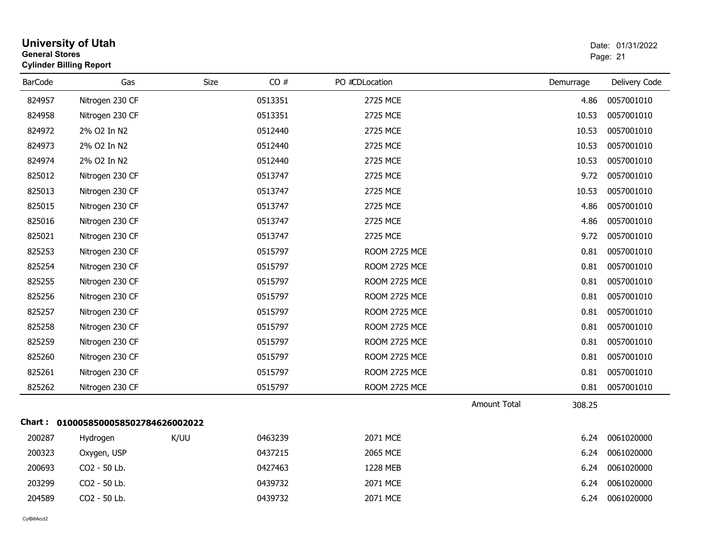| <b>General Stores</b> | <b>University of Utah</b><br><b>Cylinder Billing Report</b> |      |         |                      |                     |           | Date: 01/31/2022<br>Page: 21 |
|-----------------------|-------------------------------------------------------------|------|---------|----------------------|---------------------|-----------|------------------------------|
| <b>BarCode</b>        | Gas                                                         | Size | CO#     | PO #CDLocation       |                     | Demurrage | Delivery Code                |
| 824957                | Nitrogen 230 CF                                             |      | 0513351 | 2725 MCE             |                     | 4.86      | 0057001010                   |
| 824958                | Nitrogen 230 CF                                             |      | 0513351 | 2725 MCE             |                     | 10.53     | 0057001010                   |
| 824972                | 2% O2 In N2                                                 |      | 0512440 | 2725 MCE             |                     | 10.53     | 0057001010                   |
| 824973                | 2% O2 In N2                                                 |      | 0512440 | 2725 MCE             |                     | 10.53     | 0057001010                   |
| 824974                | 2% O2 In N2                                                 |      | 0512440 | 2725 MCE             |                     | 10.53     | 0057001010                   |
| 825012                | Nitrogen 230 CF                                             |      | 0513747 | 2725 MCE             |                     | 9.72      | 0057001010                   |
| 825013                | Nitrogen 230 CF                                             |      | 0513747 | 2725 MCE             |                     | 10.53     | 0057001010                   |
| 825015                | Nitrogen 230 CF                                             |      | 0513747 | 2725 MCE             |                     | 4.86      | 0057001010                   |
| 825016                | Nitrogen 230 CF                                             |      | 0513747 | 2725 MCE             |                     | 4.86      | 0057001010                   |
| 825021                | Nitrogen 230 CF                                             |      | 0513747 | 2725 MCE             |                     | 9.72      | 0057001010                   |
| 825253                | Nitrogen 230 CF                                             |      | 0515797 | ROOM 2725 MCE        |                     | 0.81      | 0057001010                   |
| 825254                | Nitrogen 230 CF                                             |      | 0515797 | <b>ROOM 2725 MCE</b> |                     | 0.81      | 0057001010                   |
| 825255                | Nitrogen 230 CF                                             |      | 0515797 | ROOM 2725 MCE        |                     | 0.81      | 0057001010                   |
| 825256                | Nitrogen 230 CF                                             |      | 0515797 | <b>ROOM 2725 MCE</b> |                     | 0.81      | 0057001010                   |
| 825257                | Nitrogen 230 CF                                             |      | 0515797 | ROOM 2725 MCE        |                     | 0.81      | 0057001010                   |
| 825258                | Nitrogen 230 CF                                             |      | 0515797 | ROOM 2725 MCE        |                     | 0.81      | 0057001010                   |
| 825259                | Nitrogen 230 CF                                             |      | 0515797 | ROOM 2725 MCE        |                     | 0.81      | 0057001010                   |
| 825260                | Nitrogen 230 CF                                             |      | 0515797 | ROOM 2725 MCE        |                     | 0.81      | 0057001010                   |
| 825261                | Nitrogen 230 CF                                             |      | 0515797 | <b>ROOM 2725 MCE</b> |                     | 0.81      | 0057001010                   |
| 825262                | Nitrogen 230 CF                                             |      | 0515797 | ROOM 2725 MCE        |                     | 0.81      | 0057001010                   |
|                       |                                                             |      |         |                      | <b>Amount Total</b> | 308.25    |                              |
|                       | Chart: 0100058500058502784626002022                         |      |         |                      |                     |           |                              |
| 200287                | Hydrogen                                                    | K/UU | 0463239 | 2071 MCE             |                     | 6.24      | 0061020000                   |
| 200323                | Oxygen, USP                                                 |      | 0437215 | 2065 MCE             |                     | 6.24      | 0061020000                   |
| 200693                | CO2 - 50 Lb.                                                |      | 0427463 | 1228 MEB             |                     | 6.24      | 0061020000                   |
| 203299                | CO2 - 50 Lb.                                                |      | 0439732 | 2071 MCE             |                     | 6.24      | 0061020000                   |
| 204589                | CO2 - 50 Lb.                                                |      | 0439732 | 2071 MCE             |                     | 6.24      | 0061020000                   |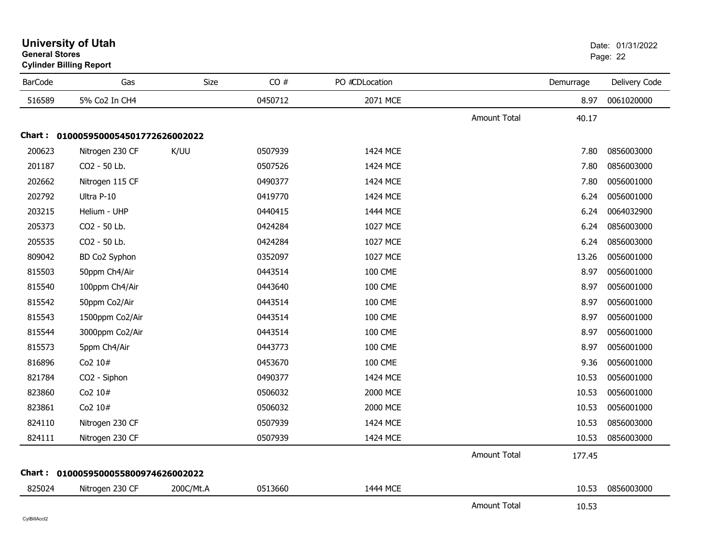|                | Cylinder Billing Report             |             |         |                |                     |           |               |
|----------------|-------------------------------------|-------------|---------|----------------|---------------------|-----------|---------------|
| <b>BarCode</b> | Gas                                 | <b>Size</b> | CO#     | PO #CDLocation |                     | Demurrage | Delivery Code |
| 516589         | 5% Co2 In CH4                       |             | 0450712 | 2071 MCE       |                     | 8.97      | 0061020000    |
|                |                                     |             |         |                | <b>Amount Total</b> | 40.17     |               |
|                | Chart: 0100059500054501772626002022 |             |         |                |                     |           |               |
| 200623         | Nitrogen 230 CF                     | K/UU        | 0507939 | 1424 MCE       |                     | 7.80      | 0856003000    |
| 201187         | CO2 - 50 Lb.                        |             | 0507526 | 1424 MCE       |                     | 7.80      | 0856003000    |
| 202662         | Nitrogen 115 CF                     |             | 0490377 | 1424 MCE       |                     | 7.80      | 0056001000    |
| 202792         | Ultra P-10                          |             | 0419770 | 1424 MCE       |                     | 6.24      | 0056001000    |
| 203215         | Helium - UHP                        |             | 0440415 | 1444 MCE       |                     | 6.24      | 0064032900    |
| 205373         | CO2 - 50 Lb.                        |             | 0424284 | 1027 MCE       |                     | 6.24      | 0856003000    |
| 205535         | CO2 - 50 Lb.                        |             | 0424284 | 1027 MCE       |                     | 6.24      | 0856003000    |
| 809042         | BD Co2 Syphon                       |             | 0352097 | 1027 MCE       |                     | 13.26     | 0056001000    |
| 815503         | 50ppm Ch4/Air                       |             | 0443514 | <b>100 CME</b> |                     | 8.97      | 0056001000    |
| 815540         | 100ppm Ch4/Air                      |             | 0443640 | <b>100 CME</b> |                     | 8.97      | 0056001000    |
| 815542         | 50ppm Co2/Air                       |             | 0443514 | <b>100 CME</b> |                     | 8.97      | 0056001000    |
| 815543         | 1500ppm Co2/Air                     |             | 0443514 | <b>100 CME</b> |                     | 8.97      | 0056001000    |
| 815544         | 3000ppm Co2/Air                     |             | 0443514 | <b>100 CME</b> |                     | 8.97      | 0056001000    |
| 815573         | 5ppm Ch4/Air                        |             | 0443773 | <b>100 CME</b> |                     | 8.97      | 0056001000    |
| 816896         | Co2 10#                             |             | 0453670 | <b>100 CME</b> |                     | 9.36      | 0056001000    |
| 821784         | CO2 - Siphon                        |             | 0490377 | 1424 MCE       |                     | 10.53     | 0056001000    |
| 823860         | Co2 10#                             |             | 0506032 | 2000 MCE       |                     | 10.53     | 0056001000    |
| 823861         | Co2 10#                             |             | 0506032 | 2000 MCE       |                     | 10.53     | 0056001000    |
| 824110         | Nitrogen 230 CF                     |             | 0507939 | 1424 MCE       |                     | 10.53     | 0856003000    |
| 824111         | Nitrogen 230 CF                     |             | 0507939 | 1424 MCE       |                     | 10.53     | 0856003000    |
|                |                                     |             |         |                | <b>Amount Total</b> | 177.45    |               |
|                | Chart: 0100059500055800974626002022 |             |         |                |                     |           |               |
| 825024         | Nitrogen 230 CF                     | 200C/Mt.A   | 0513660 | 1444 MCE       |                     | 10.53     | 0856003000    |
|                |                                     |             |         |                | <b>Amount Total</b> | 10.53     |               |

### **University of Utah** Date: 01/31/2022 **General Stores**end and the state of the state of the state of the state of the state of the state of the state of the state of the state of the state of the state of the state of the state of the state of the state of the state of the st **Cylinder Billing Report**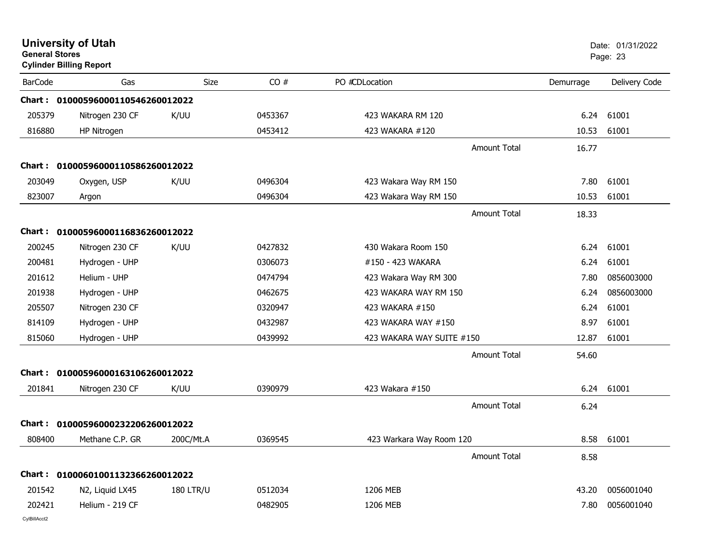| <b>General Stores</b> | <b>University of Utah</b><br><b>Cylinder Billing Report</b> |                  |         |                           |           | Date: 01/31/2022<br>Page: 23 |
|-----------------------|-------------------------------------------------------------|------------------|---------|---------------------------|-----------|------------------------------|
| <b>BarCode</b>        | Gas                                                         | <b>Size</b>      | CO#     | PO #CDLocation            | Demurrage | Delivery Code                |
|                       | Chart: 01000596000110546260012022                           |                  |         |                           |           |                              |
| 205379                | Nitrogen 230 CF                                             | K/UU             | 0453367 | 423 WAKARA RM 120         | 6.24      | 61001                        |
| 816880                | HP Nitrogen                                                 |                  | 0453412 | 423 WAKARA #120           | 10.53     | 61001                        |
|                       |                                                             |                  |         | Amount Total              | 16.77     |                              |
|                       | Chart: 01000596000110586260012022                           |                  |         |                           |           |                              |
| 203049                | Oxygen, USP                                                 | K/UU             | 0496304 | 423 Wakara Way RM 150     | 7.80      | 61001                        |
| 823007                | Argon                                                       |                  | 0496304 | 423 Wakara Way RM 150     | 10.53     | 61001                        |
|                       |                                                             |                  |         | <b>Amount Total</b>       | 18.33     |                              |
|                       | Chart: 01000596000116836260012022                           |                  |         |                           |           |                              |
| 200245                | Nitrogen 230 CF                                             | K/UU             | 0427832 | 430 Wakara Room 150       | 6.24      | 61001                        |
| 200481                | Hydrogen - UHP                                              |                  | 0306073 | #150 - 423 WAKARA         | 6.24      | 61001                        |
| 201612                | Helium - UHP                                                |                  | 0474794 | 423 Wakara Way RM 300     | 7.80      | 0856003000                   |
| 201938                | Hydrogen - UHP                                              |                  | 0462675 | 423 WAKARA WAY RM 150     | 6.24      | 0856003000                   |
| 205507                | Nitrogen 230 CF                                             |                  | 0320947 | 423 WAKARA #150           | 6.24      | 61001                        |
| 814109                | Hydrogen - UHP                                              |                  | 0432987 | 423 WAKARA WAY #150       | 8.97      | 61001                        |
| 815060                | Hydrogen - UHP                                              |                  | 0439992 | 423 WAKARA WAY SUITE #150 | 12.87     | 61001                        |
|                       |                                                             |                  |         | <b>Amount Total</b>       | 54.60     |                              |
|                       | Chart: 01000596000163106260012022                           |                  |         |                           |           |                              |
| 201841                | Nitrogen 230 CF                                             | K/UU             | 0390979 | 423 Wakara #150           | 6.24      | 61001                        |
|                       |                                                             |                  |         | <b>Amount Total</b>       | 6.24      |                              |
|                       | Chart: 01000596000232206260012022                           |                  |         |                           |           |                              |
| 808400                | Methane C.P. GR                                             | 200C/Mt.A        | 0369545 | 423 Warkara Way Room 120  | 8.58      | 61001                        |
|                       |                                                             |                  |         | <b>Amount Total</b>       | 8.58      |                              |
|                       | Chart: 01000601001132366260012022                           |                  |         |                           |           |                              |
| 201542                | N2, Liquid LX45                                             | <b>180 LTR/U</b> | 0512034 | 1206 MEB                  | 43.20     | 0056001040                   |
| 202421                | Helium - 219 CF                                             |                  | 0482905 | 1206 MEB                  | 7.80      | 0056001040                   |
|                       |                                                             |                  |         |                           |           |                              |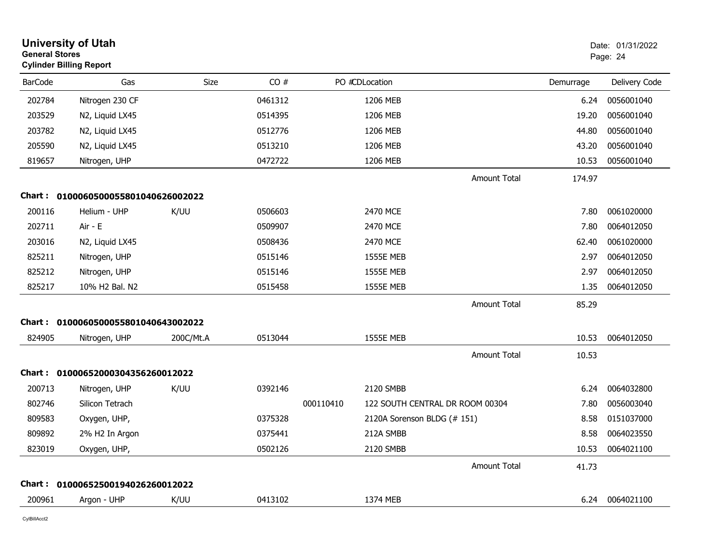| <b>General Stores</b> | <b>University of Utah</b><br><b>Cylinder Billing Report</b> |           |         |           |                                 |                     |           | Date: 01/31/2022<br>Page: 24 |
|-----------------------|-------------------------------------------------------------|-----------|---------|-----------|---------------------------------|---------------------|-----------|------------------------------|
| <b>BarCode</b>        | Gas                                                         | Size      | CO#     |           | PO #CDLocation                  |                     | Demurrage | Delivery Code                |
| 202784                | Nitrogen 230 CF                                             |           | 0461312 |           | 1206 MEB                        |                     | 6.24      | 0056001040                   |
| 203529                | N2, Liquid LX45                                             |           | 0514395 |           | 1206 MEB                        |                     | 19.20     | 0056001040                   |
| 203782                | N2, Liquid LX45                                             |           | 0512776 |           | 1206 MEB                        |                     | 44.80     | 0056001040                   |
| 205590                | N2, Liquid LX45                                             |           | 0513210 |           | 1206 MEB                        |                     | 43.20     | 0056001040                   |
| 819657                | Nitrogen, UHP                                               |           | 0472722 |           | 1206 MEB                        |                     | 10.53     | 0056001040                   |
|                       |                                                             |           |         |           |                                 | <b>Amount Total</b> | 174.97    |                              |
|                       | Chart: 0100060500055801040626002022                         |           |         |           |                                 |                     |           |                              |
| 200116                | Helium - UHP                                                | K/UU      | 0506603 |           | 2470 MCE                        |                     | 7.80      | 0061020000                   |
| 202711                | Air - E                                                     |           | 0509907 |           | 2470 MCE                        |                     | 7.80      | 0064012050                   |
| 203016                | N2, Liquid LX45                                             |           | 0508436 |           | 2470 MCE                        |                     | 62.40     | 0061020000                   |
| 825211                | Nitrogen, UHP                                               |           | 0515146 |           | <b>1555E MEB</b>                |                     | 2.97      | 0064012050                   |
| 825212                | Nitrogen, UHP                                               |           | 0515146 |           | <b>1555E MEB</b>                |                     | 2.97      | 0064012050                   |
| 825217                | 10% H2 Bal. N2                                              |           | 0515458 |           | <b>1555E MEB</b>                |                     | 1.35      | 0064012050                   |
|                       |                                                             |           |         |           |                                 | <b>Amount Total</b> | 85.29     |                              |
| Chart :               | 0100060500055801040643002022                                |           |         |           |                                 |                     |           |                              |
| 824905                | Nitrogen, UHP                                               | 200C/Mt.A | 0513044 |           | <b>1555E MEB</b>                |                     | 10.53     | 0064012050                   |
|                       |                                                             |           |         |           |                                 | <b>Amount Total</b> | 10.53     |                              |
|                       | Chart: 01000652000304356260012022                           |           |         |           |                                 |                     |           |                              |
| 200713                | Nitrogen, UHP                                               | K/UU      | 0392146 |           | 2120 SMBB                       |                     | 6.24      | 0064032800                   |
| 802746                | Silicon Tetrach                                             |           |         | 000110410 | 122 SOUTH CENTRAL DR ROOM 00304 |                     | 7.80      | 0056003040                   |
| 809583                | Oxygen, UHP,                                                |           | 0375328 |           | 2120A Sorenson BLDG (# 151)     |                     | 8.58      | 0151037000                   |
| 809892                | 2% H2 In Argon                                              |           | 0375441 |           | 212A SMBB                       |                     | 8.58      | 0064023550                   |
| 823019                | Oxygen, UHP,                                                |           | 0502126 |           | 2120 SMBB                       |                     | 10.53     | 0064021100                   |
|                       |                                                             |           |         |           |                                 | <b>Amount Total</b> | 41.73     |                              |
| Chart :               | 01000652500194026260012022                                  |           |         |           |                                 |                     |           |                              |
| 200961                | Argon - UHP                                                 | K/UU      | 0413102 |           | 1374 MEB                        |                     | 6.24      | 0064021100                   |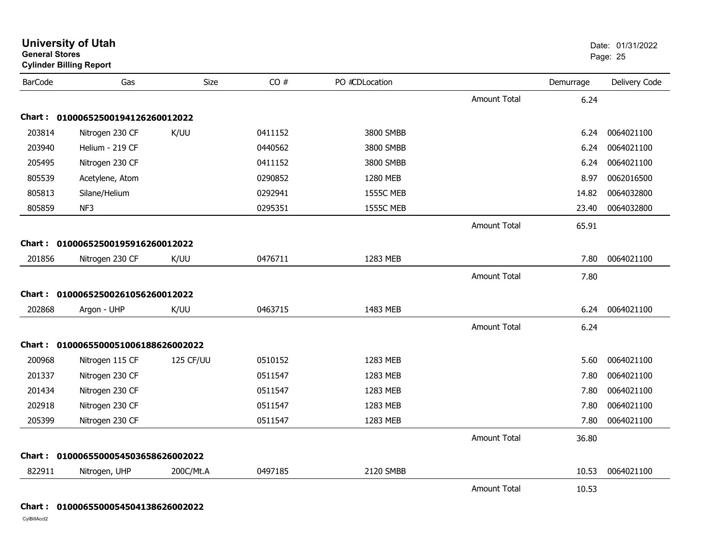| <b>General Stores</b> | <b>Cylinder Billing Report</b>      |           |         |                  |                     |           | Page: 25      |
|-----------------------|-------------------------------------|-----------|---------|------------------|---------------------|-----------|---------------|
| <b>BarCode</b>        | Gas                                 | Size      | CO#     | PO #CDLocation   |                     | Demurrage | Delivery Code |
|                       |                                     |           |         |                  | Amount Total        | 6.24      |               |
|                       | Chart: 01000652500194126260012022   |           |         |                  |                     |           |               |
| 203814                | Nitrogen 230 CF                     | K/UU      | 0411152 | 3800 SMBB        |                     | 6.24      | 0064021100    |
| 203940                | Helium - 219 CF                     |           | 0440562 | 3800 SMBB        |                     | 6.24      | 0064021100    |
| 205495                | Nitrogen 230 CF                     |           | 0411152 | 3800 SMBB        |                     | 6.24      | 0064021100    |
| 805539                | Acetylene, Atom                     |           | 0290852 | 1280 MEB         |                     | 8.97      | 0062016500    |
| 805813                | Silane/Helium                       |           | 0292941 | <b>1555C MEB</b> |                     | 14.82     | 0064032800    |
| 805859                | NF3                                 |           | 0295351 | <b>1555C MEB</b> |                     | 23.40     | 0064032800    |
|                       |                                     |           |         |                  | <b>Amount Total</b> | 65.91     |               |
| <b>Chart :</b>        | 01000652500195916260012022          |           |         |                  |                     |           |               |
| 201856                | Nitrogen 230 CF                     | K/UU      | 0476711 | 1283 MEB         |                     | 7.80      | 0064021100    |
|                       |                                     |           |         |                  | <b>Amount Total</b> | 7.80      |               |
| Chart :               | 01000652500261056260012022          |           |         |                  |                     |           |               |
| 202868                | Argon - UHP                         | K/UU      | 0463715 | 1483 MEB         |                     | 6.24      | 0064021100    |
|                       |                                     |           |         |                  | <b>Amount Total</b> | 6.24      |               |
|                       | Chart: 0100065500051006188626002022 |           |         |                  |                     |           |               |
| 200968                | Nitrogen 115 CF                     | 125 CF/UU | 0510152 | 1283 MEB         |                     | 5.60      | 0064021100    |
| 201337                | Nitrogen 230 CF                     |           | 0511547 | 1283 MEB         |                     | 7.80      | 0064021100    |
| 201434                | Nitrogen 230 CF                     |           | 0511547 | 1283 MEB         |                     | 7.80      | 0064021100    |
| 202918                | Nitrogen 230 CF                     |           | 0511547 | 1283 MEB         |                     | 7.80      | 0064021100    |
| 205399                | Nitrogen 230 CF                     |           | 0511547 | 1283 MEB         |                     | 7.80      | 0064021100    |
|                       |                                     |           |         |                  | <b>Amount Total</b> | 36.80     |               |
|                       | Chart: 0100065500054503658626002022 |           |         |                  |                     |           |               |
| 822911                | Nitrogen, UHP                       | 200C/Mt.A | 0497185 | 2120 SMBB        |                     | 10.53     | 0064021100    |
|                       |                                     |           |         |                  | <b>Amount Total</b> | 10.53     |               |

**University of Utah** Date: 01/31/2022

**Chart : 0100065500054504138626002022**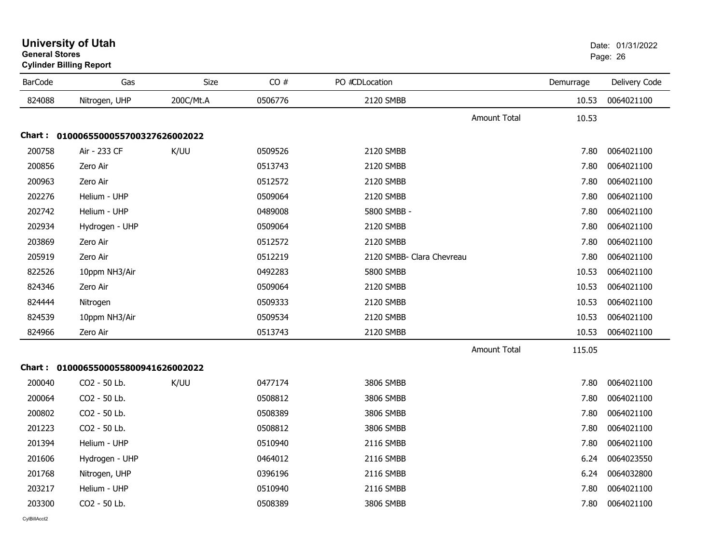| General Stores | <b>Cylinder Billing Report</b>      |           |         |                           |                     |           | Page: 26      |
|----------------|-------------------------------------|-----------|---------|---------------------------|---------------------|-----------|---------------|
| <b>BarCode</b> | Gas                                 | Size      | CO#     | PO #CDLocation            |                     | Demurrage | Delivery Code |
| 824088         | Nitrogen, UHP                       | 200C/Mt.A | 0506776 | 2120 SMBB                 |                     | 10.53     | 0064021100    |
|                |                                     |           |         |                           | <b>Amount Total</b> | 10.53     |               |
|                | Chart: 0100065500055700327626002022 |           |         |                           |                     |           |               |
| 200758         | Air - 233 CF                        | K/UU      | 0509526 | 2120 SMBB                 |                     | 7.80      | 0064021100    |
| 200856         | Zero Air                            |           | 0513743 | 2120 SMBB                 |                     | 7.80      | 0064021100    |
| 200963         | Zero Air                            |           | 0512572 | 2120 SMBB                 |                     | 7.80      | 0064021100    |
| 202276         | Helium - UHP                        |           | 0509064 | 2120 SMBB                 |                     | 7.80      | 0064021100    |
| 202742         | Helium - UHP                        |           | 0489008 | 5800 SMBB -               |                     | 7.80      | 0064021100    |
| 202934         | Hydrogen - UHP                      |           | 0509064 | 2120 SMBB                 |                     | 7.80      | 0064021100    |
| 203869         | Zero Air                            |           | 0512572 | 2120 SMBB                 |                     | 7.80      | 0064021100    |
| 205919         | Zero Air                            |           | 0512219 | 2120 SMBB- Clara Chevreau |                     | 7.80      | 0064021100    |
| 822526         | 10ppm NH3/Air                       |           | 0492283 | 5800 SMBB                 |                     | 10.53     | 0064021100    |
| 824346         | Zero Air                            |           | 0509064 | 2120 SMBB                 |                     | 10.53     | 0064021100    |
| 824444         | Nitrogen                            |           | 0509333 | 2120 SMBB                 |                     | 10.53     | 0064021100    |
| 824539         | 10ppm NH3/Air                       |           | 0509534 | 2120 SMBB                 |                     | 10.53     | 0064021100    |
| 824966         | Zero Air                            |           | 0513743 | 2120 SMBB                 |                     | 10.53     | 0064021100    |
|                |                                     |           |         |                           | <b>Amount Total</b> | 115.05    |               |
|                | Chart: 0100065500055800941626002022 |           |         |                           |                     |           |               |
| 200040         | CO2 - 50 Lb.                        | K/UU      | 0477174 | 3806 SMBB                 |                     | 7.80      | 0064021100    |
| 200064         | CO2 - 50 Lb.                        |           | 0508812 | 3806 SMBB                 |                     | 7.80      | 0064021100    |
| 200802         | CO2 - 50 Lb.                        |           | 0508389 | 3806 SMBB                 |                     | 7.80      | 0064021100    |
| 201223         | CO2 - 50 Lb.                        |           | 0508812 | 3806 SMBB                 |                     | 7.80      | 0064021100    |
| 201394         | Helium - UHP                        |           | 0510940 | 2116 SMBB                 |                     | 7.80      | 0064021100    |
| 201606         | Hydrogen - UHP                      |           | 0464012 | 2116 SMBB                 |                     | 6.24      | 0064023550    |
| 201768         | Nitrogen, UHP                       |           | 0396196 | 2116 SMBB                 |                     | 6.24      | 0064032800    |
| 203217         | Helium - UHP                        |           | 0510940 | 2116 SMBB                 |                     | 7.80      | 0064021100    |
| 203300         | CO2 - 50 Lb.                        |           | 0508389 | 3806 SMBB                 |                     | 7.80      | 0064021100    |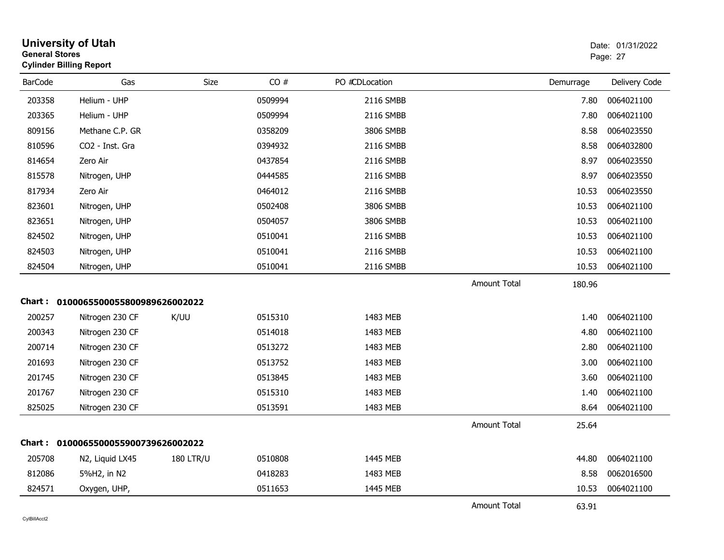| <b>General Stores</b> | <b>University of Utah</b><br><b>Cylinder Billing Report</b> |                  |         |                |                     |           | Date: 01/31/2022<br>Page: 27 |
|-----------------------|-------------------------------------------------------------|------------------|---------|----------------|---------------------|-----------|------------------------------|
| <b>BarCode</b>        | Gas                                                         | Size             | CO#     | PO #CDLocation |                     | Demurrage | Delivery Code                |
| 203358                | Helium - UHP                                                |                  | 0509994 | 2116 SMBB      |                     | 7.80      | 0064021100                   |
| 203365                | Helium - UHP                                                |                  | 0509994 | 2116 SMBB      |                     | 7.80      | 0064021100                   |
| 809156                | Methane C.P. GR                                             |                  | 0358209 | 3806 SMBB      |                     | 8.58      | 0064023550                   |
| 810596                | CO2 - Inst. Gra                                             |                  | 0394932 | 2116 SMBB      |                     | 8.58      | 0064032800                   |
| 814654                | Zero Air                                                    |                  | 0437854 | 2116 SMBB      |                     | 8.97      | 0064023550                   |
| 815578                | Nitrogen, UHP                                               |                  | 0444585 | 2116 SMBB      |                     | 8.97      | 0064023550                   |
| 817934                | Zero Air                                                    |                  | 0464012 | 2116 SMBB      |                     | 10.53     | 0064023550                   |
| 823601                | Nitrogen, UHP                                               |                  | 0502408 | 3806 SMBB      |                     | 10.53     | 0064021100                   |
| 823651                | Nitrogen, UHP                                               |                  | 0504057 | 3806 SMBB      |                     | 10.53     | 0064021100                   |
| 824502                | Nitrogen, UHP                                               |                  | 0510041 | 2116 SMBB      |                     | 10.53     | 0064021100                   |
| 824503                | Nitrogen, UHP                                               |                  | 0510041 | 2116 SMBB      |                     | 10.53     | 0064021100                   |
| 824504                | Nitrogen, UHP                                               |                  | 0510041 | 2116 SMBB      |                     | 10.53     | 0064021100                   |
|                       |                                                             |                  |         |                | Amount Total        | 180.96    |                              |
|                       | Chart: 0100065500055800989626002022                         |                  |         |                |                     |           |                              |
| 200257                | Nitrogen 230 CF                                             | K/UU             | 0515310 | 1483 MEB       |                     | 1.40      | 0064021100                   |
| 200343                | Nitrogen 230 CF                                             |                  | 0514018 | 1483 MEB       |                     | 4.80      | 0064021100                   |
| 200714                | Nitrogen 230 CF                                             |                  | 0513272 | 1483 MEB       |                     | 2.80      | 0064021100                   |
| 201693                | Nitrogen 230 CF                                             |                  | 0513752 | 1483 MEB       |                     | 3.00      | 0064021100                   |
| 201745                | Nitrogen 230 CF                                             |                  | 0513845 | 1483 MEB       |                     | 3.60      | 0064021100                   |
| 201767                | Nitrogen 230 CF                                             |                  | 0515310 | 1483 MEB       |                     | 1.40      | 0064021100                   |
| 825025                | Nitrogen 230 CF                                             |                  | 0513591 | 1483 MEB       |                     | 8.64      | 0064021100                   |
|                       |                                                             |                  |         |                | Amount Total        | 25.64     |                              |
|                       | Chart: 0100065500055900739626002022                         |                  |         |                |                     |           |                              |
| 205708                | N2, Liquid LX45                                             | <b>180 LTR/U</b> | 0510808 | 1445 MEB       |                     | 44.80     | 0064021100                   |
| 812086                | 5%H2, in N2                                                 |                  | 0418283 | 1483 MEB       |                     | 8.58      | 0062016500                   |
| 824571                | Oxygen, UHP,                                                |                  | 0511653 | 1445 MEB       |                     | 10.53     | 0064021100                   |
|                       |                                                             |                  |         |                | <b>Amount Total</b> | 63.91     |                              |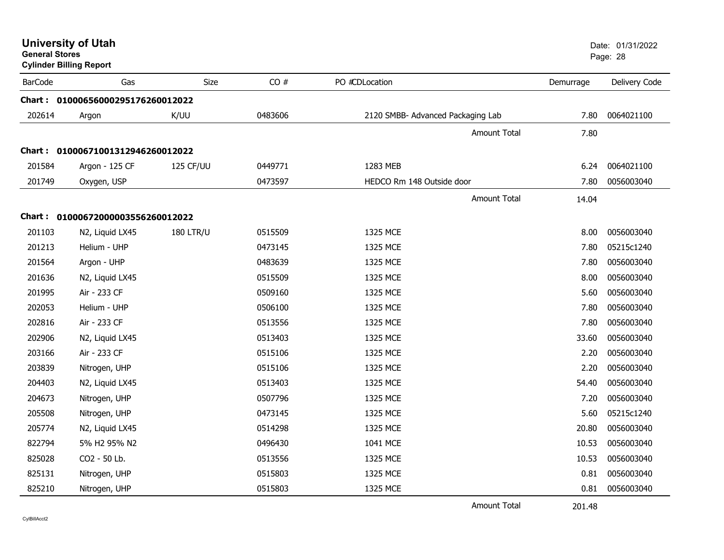| <b>General Stores</b> | <b>University of Utah</b><br><b>Cylinder Billing Report</b> |                  |         |                                   |           | Date: 01/31/2022<br>Page: 28 |
|-----------------------|-------------------------------------------------------------|------------------|---------|-----------------------------------|-----------|------------------------------|
| <b>BarCode</b>        | Gas                                                         | <b>Size</b>      | CO#     | PO #CDLocation                    | Demurrage | Delivery Code                |
|                       | Chart: 01000656000295176260012022                           |                  |         |                                   |           |                              |
| 202614                | Argon                                                       | K/UU             | 0483606 | 2120 SMBB- Advanced Packaging Lab | 7.80      | 0064021100                   |
|                       |                                                             |                  |         | <b>Amount Total</b>               | 7.80      |                              |
|                       | Chart: 01000671001312946260012022                           |                  |         |                                   |           |                              |
| 201584                | Argon - 125 CF                                              | 125 CF/UU        | 0449771 | 1283 MEB                          | 6.24      | 0064021100                   |
| 201749                | Oxygen, USP                                                 |                  | 0473597 | HEDCO Rm 148 Outside door         | 7.80      | 0056003040                   |
|                       |                                                             |                  |         | Amount Total                      | 14.04     |                              |
|                       | Chart: 01000672000003556260012022                           |                  |         |                                   |           |                              |
| 201103                | N2, Liquid LX45                                             | <b>180 LTR/U</b> | 0515509 | 1325 MCE                          | 8.00      | 0056003040                   |
| 201213                | Helium - UHP                                                |                  | 0473145 | 1325 MCE                          | 7.80      | 05215c1240                   |
| 201564                | Argon - UHP                                                 |                  | 0483639 | 1325 MCE                          | 7.80      | 0056003040                   |
| 201636                | N2, Liquid LX45                                             |                  | 0515509 | 1325 MCE                          | 8.00      | 0056003040                   |
| 201995                | Air - 233 CF                                                |                  | 0509160 | 1325 MCE                          | 5.60      | 0056003040                   |
| 202053                | Helium - UHP                                                |                  | 0506100 | 1325 MCE                          | 7.80      | 0056003040                   |
| 202816                | Air - 233 CF                                                |                  | 0513556 | 1325 MCE                          | 7.80      | 0056003040                   |
| 202906                | N2, Liquid LX45                                             |                  | 0513403 | 1325 MCE                          | 33.60     | 0056003040                   |
| 203166                | Air - 233 CF                                                |                  | 0515106 | 1325 MCE                          | 2.20      | 0056003040                   |
| 203839                | Nitrogen, UHP                                               |                  | 0515106 | 1325 MCE                          | 2.20      | 0056003040                   |
| 204403                | N2, Liquid LX45                                             |                  | 0513403 | 1325 MCE                          | 54.40     | 0056003040                   |
| 204673                | Nitrogen, UHP                                               |                  | 0507796 | 1325 MCE                          | 7.20      | 0056003040                   |
| 205508                | Nitrogen, UHP                                               |                  | 0473145 | 1325 MCE                          | 5.60      | 05215c1240                   |
| 205774                | N2, Liquid LX45                                             |                  | 0514298 | 1325 MCE                          | 20.80     | 0056003040                   |
| 822794                | 5% H2 95% N2                                                |                  | 0496430 | 1041 MCE                          | 10.53     | 0056003040                   |
| 825028                | CO2 - 50 Lb.                                                |                  | 0513556 | 1325 MCE                          | 10.53     | 0056003040                   |
| 825131                | Nitrogen, UHP                                               |                  | 0515803 | 1325 MCE                          | 0.81      | 0056003040                   |
| 825210                | Nitrogen, UHP                                               |                  | 0515803 | 1325 MCE                          | 0.81      | 0056003040                   |

Amount Total201.48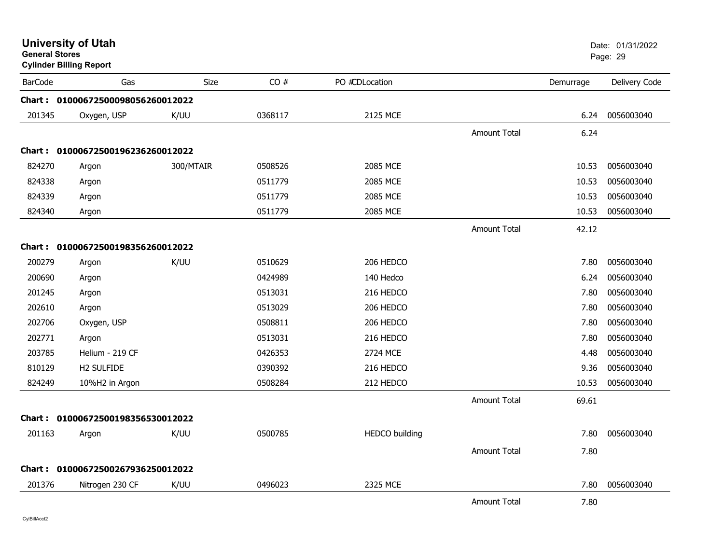| <b>General Stores</b> | <b>University of Utah</b><br><b>Cylinder Billing Report</b> |           |         |                       |                     | Date: 01/31/2022<br>Page: 29 |               |
|-----------------------|-------------------------------------------------------------|-----------|---------|-----------------------|---------------------|------------------------------|---------------|
| <b>BarCode</b>        | Gas                                                         | Size      | CO#     | PO #CDLocation        |                     | Demurrage                    | Delivery Code |
|                       | Chart: 01000672500098056260012022                           |           |         |                       |                     |                              |               |
| 201345                | Oxygen, USP                                                 | K/UU      | 0368117 | 2125 MCE              |                     | 6.24                         | 0056003040    |
|                       |                                                             |           |         |                       | <b>Amount Total</b> | 6.24                         |               |
|                       | Chart: 01000672500196236260012022                           |           |         |                       |                     |                              |               |
| 824270                | Argon                                                       | 300/MTAIR | 0508526 | 2085 MCE              |                     | 10.53                        | 0056003040    |
| 824338                | Argon                                                       |           | 0511779 | 2085 MCE              |                     | 10.53                        | 0056003040    |
| 824339                | Argon                                                       |           | 0511779 | 2085 MCE              |                     | 10.53                        | 0056003040    |
| 824340                | Argon                                                       |           | 0511779 | 2085 MCE              |                     | 10.53                        | 0056003040    |
|                       |                                                             |           |         |                       | <b>Amount Total</b> | 42.12                        |               |
|                       | Chart: 01000672500198356260012022                           |           |         |                       |                     |                              |               |
| 200279                | Argon                                                       | K/UU      | 0510629 | 206 HEDCO             |                     | 7.80                         | 0056003040    |
| 200690                | Argon                                                       |           | 0424989 | 140 Hedco             |                     | 6.24                         | 0056003040    |
| 201245                | Argon                                                       |           | 0513031 | 216 HEDCO             |                     | 7.80                         | 0056003040    |
| 202610                | Argon                                                       |           | 0513029 | 206 HEDCO             |                     | 7.80                         | 0056003040    |
| 202706                | Oxygen, USP                                                 |           | 0508811 | 206 HEDCO             |                     | 7.80                         | 0056003040    |
| 202771                | Argon                                                       |           | 0513031 | 216 HEDCO             |                     | 7.80                         | 0056003040    |
| 203785                | Helium - 219 CF                                             |           | 0426353 | 2724 MCE              |                     | 4.48                         | 0056003040    |
| 810129                | H2 SULFIDE                                                  |           | 0390392 | 216 HEDCO             |                     | 9.36                         | 0056003040    |
| 824249                | 10%H2 in Argon                                              |           | 0508284 | 212 HEDCO             |                     | 10.53                        | 0056003040    |
|                       |                                                             |           |         |                       | <b>Amount Total</b> | 69.61                        |               |
|                       | Chart: 01000672500198356530012022                           |           |         |                       |                     |                              |               |
| 201163                | Argon                                                       | K/UU      | 0500785 | <b>HEDCO</b> building |                     | 7.80                         | 0056003040    |
|                       |                                                             |           |         |                       | <b>Amount Total</b> | 7.80                         |               |
|                       | Chart: 01000672500267936250012022                           |           |         |                       |                     |                              |               |
| 201376                | Nitrogen 230 CF                                             | K/UU      | 0496023 | 2325 MCE              |                     | 7.80                         | 0056003040    |
|                       |                                                             |           |         |                       | <b>Amount Total</b> | 7.80                         |               |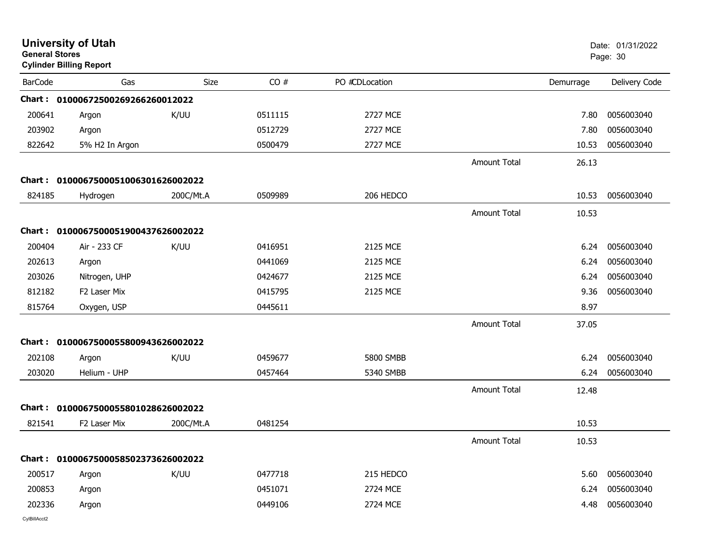| <b>General Stores</b> | <b>University of Utah</b><br><b>Cylinder Billing Report</b> |           |         |                 |                     |           | Date: 01/31/2022<br>Page: 30 |
|-----------------------|-------------------------------------------------------------|-----------|---------|-----------------|---------------------|-----------|------------------------------|
| <b>BarCode</b>        | Gas                                                         | Size      | CO#     | PO #CDLocation  |                     | Demurrage | Delivery Code                |
|                       | Chart: 01000672500269266260012022                           |           |         |                 |                     |           |                              |
| 200641                | Argon                                                       | K/UU      | 0511115 | 2727 MCE        |                     | 7.80      | 0056003040                   |
| 203902                | Argon                                                       |           | 0512729 | 2727 MCE        |                     | 7.80      | 0056003040                   |
| 822642                | 5% H2 In Argon                                              |           | 0500479 | <b>2727 MCE</b> |                     | 10.53     | 0056003040                   |
|                       |                                                             |           |         |                 | <b>Amount Total</b> | 26.13     |                              |
| Chart :               | 0100067500051006301626002022                                |           |         |                 |                     |           |                              |
| 824185                | Hydrogen                                                    | 200C/Mt.A | 0509989 | 206 HEDCO       |                     | 10.53     | 0056003040                   |
|                       |                                                             |           |         |                 | <b>Amount Total</b> | 10.53     |                              |
|                       | Chart: 0100067500051900437626002022                         |           |         |                 |                     |           |                              |
| 200404                | Air - 233 CF                                                | K/UU      | 0416951 | 2125 MCE        |                     | 6.24      | 0056003040                   |
| 202613                | Argon                                                       |           | 0441069 | 2125 MCE        |                     | 6.24      | 0056003040                   |
| 203026                | Nitrogen, UHP                                               |           | 0424677 | 2125 MCE        |                     | 6.24      | 0056003040                   |
| 812182                | F2 Laser Mix                                                |           | 0415795 | 2125 MCE        |                     | 9.36      | 0056003040                   |
| 815764                | Oxygen, USP                                                 |           | 0445611 |                 |                     | 8.97      |                              |
|                       |                                                             |           |         |                 | <b>Amount Total</b> | 37.05     |                              |
|                       | Chart: 0100067500055800943626002022                         |           |         |                 |                     |           |                              |
| 202108                | Argon                                                       | K/UU      | 0459677 | 5800 SMBB       |                     | 6.24      | 0056003040                   |
| 203020                | Helium - UHP                                                |           | 0457464 | 5340 SMBB       |                     | 6.24      | 0056003040                   |
|                       |                                                             |           |         |                 | <b>Amount Total</b> | 12.48     |                              |
|                       | Chart: 0100067500055801028626002022                         |           |         |                 |                     |           |                              |
| 821541                | F2 Laser Mix                                                | 200C/Mt.A | 0481254 |                 |                     | 10.53     |                              |
|                       |                                                             |           |         |                 | <b>Amount Total</b> | 10.53     |                              |
|                       | Chart: 0100067500058502373626002022                         |           |         |                 |                     |           |                              |
| 200517                | Argon                                                       | K/UU      | 0477718 | 215 HEDCO       |                     | 5.60      | 0056003040                   |
| 200853                | Argon                                                       |           | 0451071 | 2724 MCE        |                     | 6.24      | 0056003040                   |
| 202336                | Argon                                                       |           | 0449106 | 2724 MCE        |                     | 4.48      | 0056003040                   |
| CylBillAcct2          |                                                             |           |         |                 |                     |           |                              |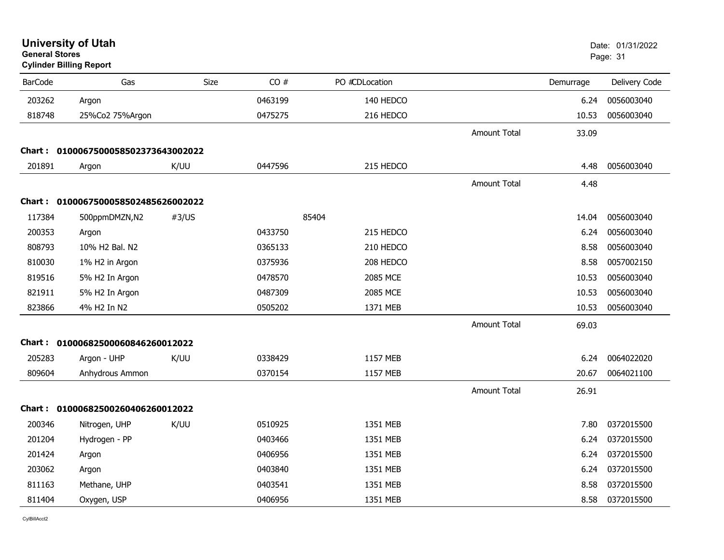| <b>General Stores</b> | <b>University of Utah</b><br><b>Cylinder Billing Report</b> |             |         |                |                     |           | Date: 01/31/2022<br>Page: 31 |
|-----------------------|-------------------------------------------------------------|-------------|---------|----------------|---------------------|-----------|------------------------------|
| <b>BarCode</b>        | Gas                                                         | <b>Size</b> | CO#     | PO #CDLocation |                     | Demurrage | Delivery Code                |
| 203262                | Argon                                                       |             | 0463199 | 140 HEDCO      |                     | 6.24      | 0056003040                   |
| 818748                | 25%Co2 75%Argon                                             |             | 0475275 | 216 HEDCO      |                     | 10.53     | 0056003040                   |
|                       |                                                             |             |         |                | <b>Amount Total</b> | 33.09     |                              |
|                       | Chart: 0100067500058502373643002022                         |             |         |                |                     |           |                              |
| 201891                | Argon                                                       | K/UU        | 0447596 | 215 HEDCO      |                     | 4.48      | 0056003040                   |
|                       |                                                             |             |         |                | Amount Total        | 4.48      |                              |
| Chart :               | 0100067500058502485626002022                                |             |         |                |                     |           |                              |
| 117384                | 500ppmDMZN,N2                                               | #3/US       |         | 85404          |                     | 14.04     | 0056003040                   |
| 200353                | Argon                                                       |             | 0433750 | 215 HEDCO      |                     | 6.24      | 0056003040                   |
| 808793                | 10% H2 Bal. N2                                              |             | 0365133 | 210 HEDCO      |                     | 8.58      | 0056003040                   |
| 810030                | 1% H2 in Argon                                              |             | 0375936 | 208 HEDCO      |                     | 8.58      | 0057002150                   |
| 819516                | 5% H2 In Argon                                              |             | 0478570 | 2085 MCE       |                     | 10.53     | 0056003040                   |
| 821911                | 5% H2 In Argon                                              |             | 0487309 | 2085 MCE       |                     | 10.53     | 0056003040                   |
| 823866                | 4% H2 In N2                                                 |             | 0505202 | 1371 MEB       |                     | 10.53     | 0056003040                   |
|                       |                                                             |             |         |                | <b>Amount Total</b> | 69.03     |                              |
|                       | Chart: 01000682500060846260012022                           |             |         |                |                     |           |                              |
| 205283                | Argon - UHP                                                 | K/UU        | 0338429 | 1157 MEB       |                     | 6.24      | 0064022020                   |
| 809604                | Anhydrous Ammon                                             |             | 0370154 | 1157 MEB       |                     | 20.67     | 0064021100                   |
|                       |                                                             |             |         |                | <b>Amount Total</b> | 26.91     |                              |
|                       | Chart: 01000682500260406260012022                           |             |         |                |                     |           |                              |
| 200346                | Nitrogen, UHP                                               | K/UU        | 0510925 | 1351 MEB       |                     | 7.80      | 0372015500                   |
| 201204                | Hydrogen - PP                                               |             | 0403466 | 1351 MEB       |                     | 6.24      | 0372015500                   |
| 201424                | Argon                                                       |             | 0406956 | 1351 MEB       |                     | 6.24      | 0372015500                   |
| 203062                | Argon                                                       |             | 0403840 | 1351 MEB       |                     | 6.24      | 0372015500                   |
| 811163                | Methane, UHP                                                |             | 0403541 | 1351 MEB       |                     | 8.58      | 0372015500                   |
| 811404                | Oxygen, USP                                                 |             | 0406956 | 1351 MEB       |                     | 8.58      | 0372015500                   |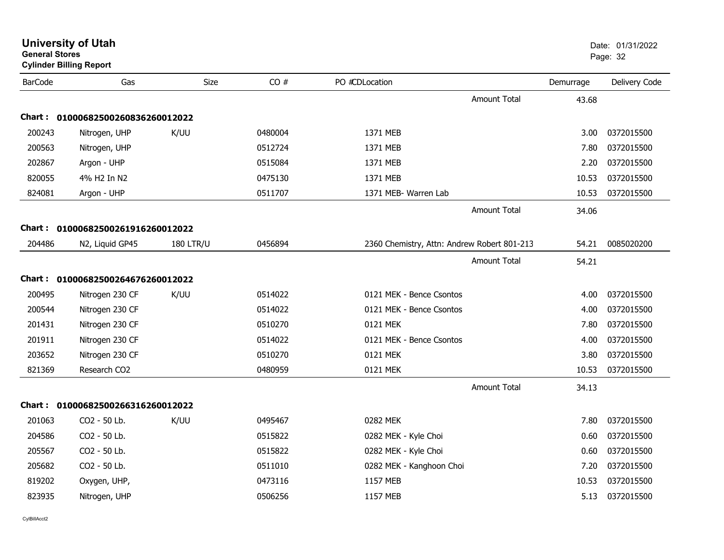| <b>General Stores</b> | <b>University of Utah</b><br><b>Cylinder Billing Report</b> |                  |         |                                             |                     |           | Date: 01/31/2022<br>Page: 32 |
|-----------------------|-------------------------------------------------------------|------------------|---------|---------------------------------------------|---------------------|-----------|------------------------------|
| <b>BarCode</b>        | Gas                                                         | Size             | CO#     | PO #CDLocation                              |                     | Demurrage | Delivery Code                |
|                       |                                                             |                  |         |                                             | <b>Amount Total</b> | 43.68     |                              |
| Chart :               | 01000682500260836260012022                                  |                  |         |                                             |                     |           |                              |
| 200243                | Nitrogen, UHP                                               | K/UU             | 0480004 | 1371 MEB                                    |                     | 3.00      | 0372015500                   |
| 200563                | Nitrogen, UHP                                               |                  | 0512724 | 1371 MEB                                    |                     | 7.80      | 0372015500                   |
| 202867                | Argon - UHP                                                 |                  | 0515084 | 1371 MEB                                    |                     | 2.20      | 0372015500                   |
| 820055                | 4% H2 In N2                                                 |                  | 0475130 | 1371 MEB                                    |                     | 10.53     | 0372015500                   |
| 824081                | Argon - UHP                                                 |                  | 0511707 | 1371 MEB- Warren Lab                        |                     | 10.53     | 0372015500                   |
|                       |                                                             |                  |         |                                             | <b>Amount Total</b> | 34.06     |                              |
| Chart :               | 01000682500261916260012022                                  |                  |         |                                             |                     |           |                              |
| 204486                | N2, Liquid GP45                                             | <b>180 LTR/U</b> | 0456894 | 2360 Chemistry, Attn: Andrew Robert 801-213 |                     | 54.21     | 0085020200                   |
|                       |                                                             |                  |         |                                             | <b>Amount Total</b> | 54.21     |                              |
|                       | Chart: 01000682500264676260012022                           |                  |         |                                             |                     |           |                              |
| 200495                | Nitrogen 230 CF                                             | K/UU             | 0514022 | 0121 MEK - Bence Csontos                    |                     | 4.00      | 0372015500                   |
| 200544                | Nitrogen 230 CF                                             |                  | 0514022 | 0121 MEK - Bence Csontos                    |                     | 4.00      | 0372015500                   |
| 201431                | Nitrogen 230 CF                                             |                  | 0510270 | 0121 MEK                                    |                     | 7.80      | 0372015500                   |
| 201911                | Nitrogen 230 CF                                             |                  | 0514022 | 0121 MEK - Bence Csontos                    |                     | 4.00      | 0372015500                   |
| 203652                | Nitrogen 230 CF                                             |                  | 0510270 | 0121 MEK                                    |                     | 3.80      | 0372015500                   |
| 821369                | Research CO2                                                |                  | 0480959 | 0121 MEK                                    |                     | 10.53     | 0372015500                   |
|                       |                                                             |                  |         |                                             | <b>Amount Total</b> | 34.13     |                              |
| Chart : _             | 01000682500266316260012022                                  |                  |         |                                             |                     |           |                              |
| 201063                | CO2 - 50 Lb.                                                | K/UU             | 0495467 | 0282 MEK                                    |                     | 7.80      | 0372015500                   |
| 204586                | CO2 - 50 Lb.                                                |                  | 0515822 | 0282 MEK - Kyle Choi                        |                     | 0.60      | 0372015500                   |
| 205567                | CO2 - 50 Lb.                                                |                  | 0515822 | 0282 MEK - Kyle Choi                        |                     | 0.60      | 0372015500                   |
| 205682                | CO2 - 50 Lb.                                                |                  | 0511010 | 0282 MEK - Kanghoon Choi                    |                     | 7.20      | 0372015500                   |
| 819202                | Oxygen, UHP,                                                |                  | 0473116 | 1157 MEB                                    |                     | 10.53     | 0372015500                   |
| 823935                | Nitrogen, UHP                                               |                  | 0506256 | 1157 MEB                                    |                     | 5.13      | 0372015500                   |
|                       |                                                             |                  |         |                                             |                     |           |                              |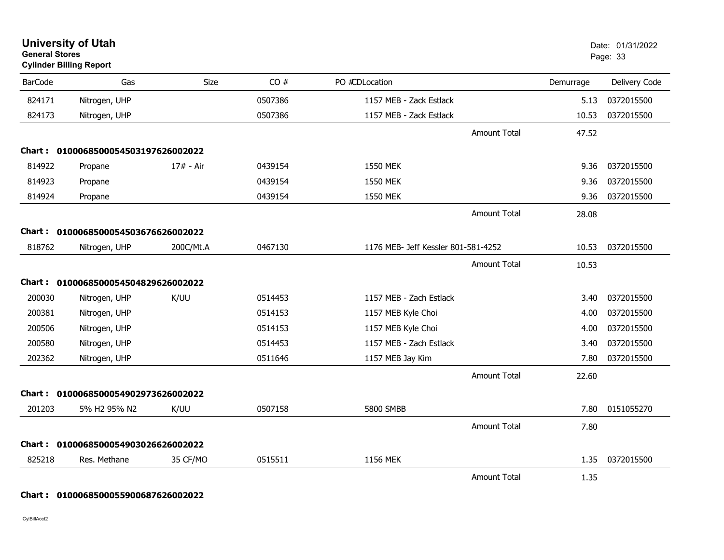| <b>General Stores</b> | <b>University of Utah</b><br><b>Cylinder Billing Report</b> |             |         |                                     |                     |           | Date: 01/31/2022<br>Page: 33 |
|-----------------------|-------------------------------------------------------------|-------------|---------|-------------------------------------|---------------------|-----------|------------------------------|
| <b>BarCode</b>        | Gas                                                         | <b>Size</b> | CO#     | PO #CDLocation                      |                     | Demurrage | Delivery Code                |
| 824171                | Nitrogen, UHP                                               |             | 0507386 | 1157 MEB - Zack Estlack             |                     | 5.13      | 0372015500                   |
| 824173                | Nitrogen, UHP                                               |             | 0507386 | 1157 MEB - Zack Estlack             |                     | 10.53     | 0372015500                   |
|                       |                                                             |             |         |                                     | <b>Amount Total</b> | 47.52     |                              |
|                       | Chart: 0100068500054503197626002022                         |             |         |                                     |                     |           |                              |
| 814922                | Propane                                                     | 17# - Air   | 0439154 | <b>1550 MEK</b>                     |                     | 9.36      | 0372015500                   |
| 814923                | Propane                                                     |             | 0439154 | <b>1550 MEK</b>                     |                     | 9.36      | 0372015500                   |
| 814924                | Propane                                                     |             | 0439154 | 1550 MEK                            |                     | 9.36      | 0372015500                   |
|                       |                                                             |             |         |                                     | <b>Amount Total</b> | 28.08     |                              |
| Chart :               | 0100068500054503676626002022                                |             |         |                                     |                     |           |                              |
| 818762                | Nitrogen, UHP                                               | 200C/Mt.A   | 0467130 | 1176 MEB- Jeff Kessler 801-581-4252 |                     | 10.53     | 0372015500                   |
|                       |                                                             |             |         |                                     | <b>Amount Total</b> | 10.53     |                              |
|                       | Chart: 0100068500054504829626002022                         |             |         |                                     |                     |           |                              |
| 200030                | Nitrogen, UHP                                               | K/UU        | 0514453 | 1157 MEB - Zach Estlack             |                     | 3.40      | 0372015500                   |
| 200381                | Nitrogen, UHP                                               |             | 0514153 | 1157 MEB Kyle Choi                  |                     | 4.00      | 0372015500                   |
| 200506                | Nitrogen, UHP                                               |             | 0514153 | 1157 MEB Kyle Choi                  |                     | 4.00      | 0372015500                   |
| 200580                | Nitrogen, UHP                                               |             | 0514453 | 1157 MEB - Zach Estlack             |                     | 3.40      | 0372015500                   |
| 202362                | Nitrogen, UHP                                               |             | 0511646 | 1157 MEB Jay Kim                    |                     | 7.80      | 0372015500                   |
|                       |                                                             |             |         |                                     | <b>Amount Total</b> | 22.60     |                              |
|                       | Chart: 0100068500054902973626002022                         |             |         |                                     |                     |           |                              |
| 201203                | 5% H2 95% N2                                                | K/UU        | 0507158 | 5800 SMBB                           |                     | 7.80      | 0151055270                   |
|                       |                                                             |             |         |                                     | <b>Amount Total</b> | 7.80      |                              |
| Chart :               | 0100068500054903026626002022                                |             |         |                                     |                     |           |                              |
| 825218                | Res. Methane                                                | 35 CF/MO    | 0515511 | 1156 MEK                            |                     | 1.35      | 0372015500                   |
|                       |                                                             |             |         |                                     | <b>Amount Total</b> | 1.35      |                              |

## **Chart : 0100068500055900687626002022**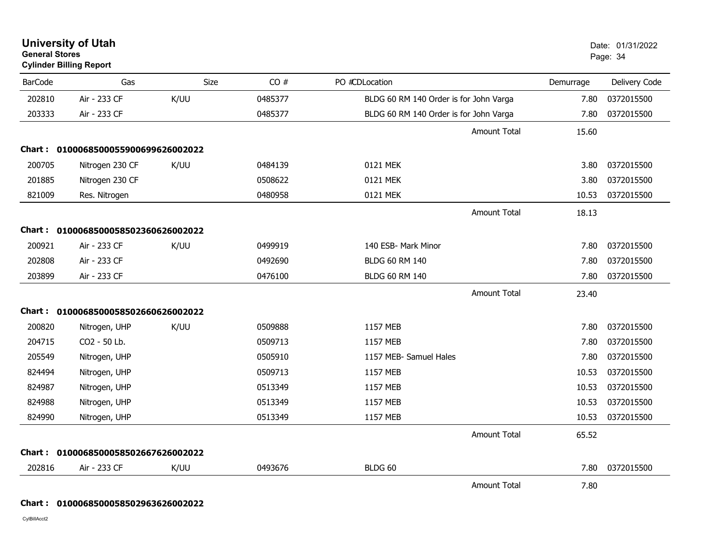| General Stores | <b>Cylinder Billing Report</b>      |             |         |                                        |                     |           | Page: 34      |
|----------------|-------------------------------------|-------------|---------|----------------------------------------|---------------------|-----------|---------------|
| <b>BarCode</b> | Gas                                 | <b>Size</b> | CO#     | PO #CDLocation                         |                     | Demurrage | Delivery Code |
| 202810         | Air - 233 CF                        | K/UU        | 0485377 | BLDG 60 RM 140 Order is for John Varga |                     | 7.80      | 0372015500    |
| 203333         | Air - 233 CF                        |             | 0485377 | BLDG 60 RM 140 Order is for John Varga |                     | 7.80      | 0372015500    |
|                |                                     |             |         |                                        | <b>Amount Total</b> | 15.60     |               |
|                | Chart: 0100068500055900699626002022 |             |         |                                        |                     |           |               |
| 200705         | Nitrogen 230 CF                     | K/UU        | 0484139 | 0121 MEK                               |                     | 3.80      | 0372015500    |
| 201885         | Nitrogen 230 CF                     |             | 0508622 | 0121 MEK                               |                     | 3.80      | 0372015500    |
| 821009         | Res. Nitrogen                       |             | 0480958 | 0121 MEK                               |                     | 10.53     | 0372015500    |
|                |                                     |             |         |                                        | <b>Amount Total</b> | 18.13     |               |
|                | Chart: 0100068500058502360626002022 |             |         |                                        |                     |           |               |
| 200921         | Air - 233 CF                        | K/UU        | 0499919 | 140 ESB- Mark Minor                    |                     | 7.80      | 0372015500    |
| 202808         | Air - 233 CF                        |             | 0492690 | <b>BLDG 60 RM 140</b>                  |                     | 7.80      | 0372015500    |
| 203899         | Air - 233 CF                        |             | 0476100 | <b>BLDG 60 RM 140</b>                  |                     | 7.80      | 0372015500    |
|                |                                     |             |         |                                        | <b>Amount Total</b> | 23.40     |               |
|                | Chart: 0100068500058502660626002022 |             |         |                                        |                     |           |               |
| 200820         | Nitrogen, UHP                       | K/UU        | 0509888 | 1157 MEB                               |                     | 7.80      | 0372015500    |
| 204715         | CO2 - 50 Lb.                        |             | 0509713 | 1157 MEB                               |                     | 7.80      | 0372015500    |
| 205549         | Nitrogen, UHP                       |             | 0505910 | 1157 MEB- Samuel Hales                 |                     | 7.80      | 0372015500    |
| 824494         | Nitrogen, UHP                       |             | 0509713 | 1157 MEB                               |                     | 10.53     | 0372015500    |
| 824987         | Nitrogen, UHP                       |             | 0513349 | 1157 MEB                               |                     | 10.53     | 0372015500    |
| 824988         | Nitrogen, UHP                       |             | 0513349 | 1157 MEB                               |                     | 10.53     | 0372015500    |
| 824990         | Nitrogen, UHP                       |             | 0513349 | 1157 MEB                               |                     | 10.53     | 0372015500    |
|                |                                     |             |         |                                        | <b>Amount Total</b> | 65.52     |               |
|                | Chart: 0100068500058502667626002022 |             |         |                                        |                     |           |               |
| 202816         | Air - 233 CF                        | K/UU        | 0493676 | BLDG 60                                |                     | 7.80      | 0372015500    |
|                |                                     |             |         |                                        | <b>Amount Total</b> | 7.80      |               |

CylBillAcct2

**Chart : 0100068500058502963626002022**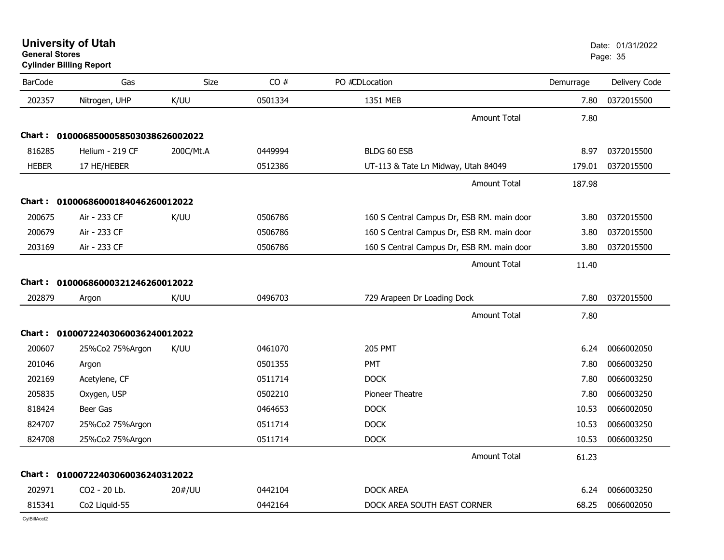**University of Utah** Date: 01/31/2022 **General Stores**s and the contract of the contract of the contract of the contract of the contract of the contract of the contract of the contract of the contract of the contract of the contract of the contract of the contract of the cont **Cylinder Billing Report**

| <b>BarCode</b> | Gas                                 | Size      | CO#     | PO #CDLocation                             | Demurrage | Delivery Code |
|----------------|-------------------------------------|-----------|---------|--------------------------------------------|-----------|---------------|
| 202357         | Nitrogen, UHP                       | K/UU      | 0501334 | 1351 MEB                                   | 7.80      | 0372015500    |
|                |                                     |           |         | <b>Amount Total</b>                        | 7.80      |               |
|                | Chart: 0100068500058503038626002022 |           |         |                                            |           |               |
| 816285         | Helium - 219 CF                     | 200C/Mt.A | 0449994 | BLDG 60 ESB                                | 8.97      | 0372015500    |
| <b>HEBER</b>   | 17 HE/HEBER                         |           | 0512386 | UT-113 & Tate Ln Midway, Utah 84049        | 179.01    | 0372015500    |
|                |                                     |           |         | <b>Amount Total</b>                        | 187.98    |               |
|                | Chart: 01000686000184046260012022   |           |         |                                            |           |               |
| 200675         | Air - 233 CF                        | K/UU      | 0506786 | 160 S Central Campus Dr, ESB RM. main door | 3.80      | 0372015500    |
| 200679         | Air - 233 CF                        |           | 0506786 | 160 S Central Campus Dr, ESB RM. main door | 3.80      | 0372015500    |
| 203169         | Air - 233 CF                        |           | 0506786 | 160 S Central Campus Dr, ESB RM. main door | 3.80      | 0372015500    |
|                |                                     |           |         | Amount Total                               | 11.40     |               |
|                | Chart: 01000686000321246260012022   |           |         |                                            |           |               |
| 202879         | Argon                               | K/UU      | 0496703 | 729 Arapeen Dr Loading Dock                | 7.80      | 0372015500    |
|                |                                     |           |         | <b>Amount Total</b>                        | 7.80      |               |
|                | Chart: 01000722403060036240012022   |           |         |                                            |           |               |
| 200607         | 25%Co2 75%Argon                     | K/UU      | 0461070 | <b>205 PMT</b>                             | 6.24      | 0066002050    |
| 201046         | Argon                               |           | 0501355 | <b>PMT</b>                                 | 7.80      | 0066003250    |
| 202169         | Acetylene, CF                       |           | 0511714 | <b>DOCK</b>                                | 7.80      | 0066003250    |
| 205835         | Oxygen, USP                         |           | 0502210 | Pioneer Theatre                            | 7.80      | 0066003250    |
| 818424         | Beer Gas                            |           | 0464653 | <b>DOCK</b>                                | 10.53     | 0066002050    |
| 824707         | 25%Co2 75%Argon                     |           | 0511714 | <b>DOCK</b>                                | 10.53     | 0066003250    |
| 824708         | 25%Co2 75%Argon                     |           | 0511714 | <b>DOCK</b>                                | 10.53     | 0066003250    |
|                |                                     |           |         | <b>Amount Total</b>                        | 61.23     |               |
| Chart :        | 01000722403060036240312022          |           |         |                                            |           |               |
| 202971         | CO2 - 20 Lb.                        | 20#/UU    | 0442104 | <b>DOCK AREA</b>                           | 6.24      | 0066003250    |
| 815341         | Co2 Liquid-55                       |           | 0442164 | DOCK AREA SOUTH EAST CORNER                | 68.25     | 0066002050    |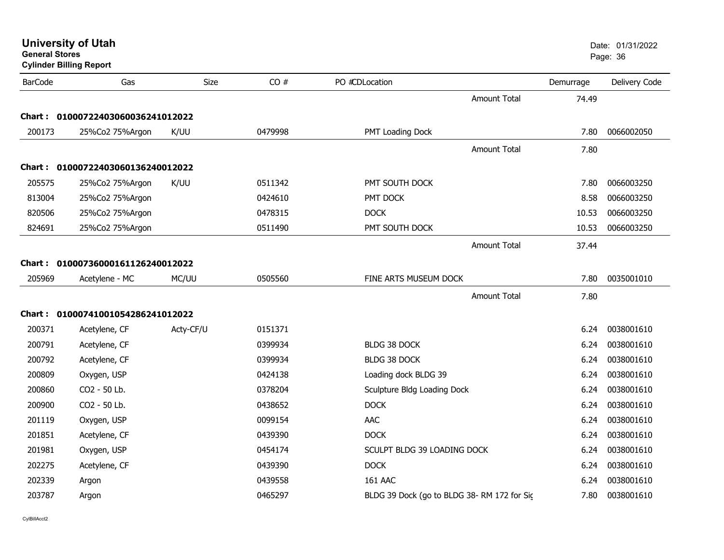| <b>General Stores</b><br><b>Cylinder Billing Report</b> |                                   |           |         |                                            |           | Page: 36      |  |
|---------------------------------------------------------|-----------------------------------|-----------|---------|--------------------------------------------|-----------|---------------|--|
| <b>BarCode</b>                                          | Gas                               | Size      | CO#     | PO #CDLocation                             | Demurrage | Delivery Code |  |
|                                                         |                                   |           |         | <b>Amount Total</b>                        | 74.49     |               |  |
| Chart :                                                 | 01000722403060036241012022        |           |         |                                            |           |               |  |
| 200173                                                  | 25%Co2 75%Argon                   | K/UU      | 0479998 | PMT Loading Dock                           | 7.80      | 0066002050    |  |
|                                                         |                                   |           |         | <b>Amount Total</b>                        | 7.80      |               |  |
|                                                         | Chart: 01000722403060136240012022 |           |         |                                            |           |               |  |
| 205575                                                  | 25%Co2 75%Argon                   | K/UU      | 0511342 | PMT SOUTH DOCK                             | 7.80      | 0066003250    |  |
| 813004                                                  | 25%Co2 75%Argon                   |           | 0424610 | PMT DOCK                                   | 8.58      | 0066003250    |  |
| 820506                                                  | 25%Co2 75%Argon                   |           | 0478315 | <b>DOCK</b>                                | 10.53     | 0066003250    |  |
| 824691                                                  | 25%Co2 75%Argon                   |           | 0511490 | PMT SOUTH DOCK                             | 10.53     | 0066003250    |  |
|                                                         |                                   |           |         | <b>Amount Total</b>                        | 37.44     |               |  |
| Chart :                                                 | 01000736000161126240012022        |           |         |                                            |           |               |  |
| 205969                                                  | Acetylene - MC                    | MC/UU     | 0505560 | FINE ARTS MUSEUM DOCK                      | 7.80      | 0035001010    |  |
|                                                         |                                   |           |         | <b>Amount Total</b>                        | 7.80      |               |  |
|                                                         | Chart: 01000741001054286241012022 |           |         |                                            |           |               |  |
| 200371                                                  | Acetylene, CF                     | Acty-CF/U | 0151371 |                                            | 6.24      | 0038001610    |  |
| 200791                                                  | Acetylene, CF                     |           | 0399934 | <b>BLDG 38 DOCK</b>                        | 6.24      | 0038001610    |  |
| 200792                                                  | Acetylene, CF                     |           | 0399934 | <b>BLDG 38 DOCK</b>                        | 6.24      | 0038001610    |  |
| 200809                                                  | Oxygen, USP                       |           | 0424138 | Loading dock BLDG 39                       | 6.24      | 0038001610    |  |
| 200860                                                  | CO2 - 50 Lb.                      |           | 0378204 | Sculpture Bldg Loading Dock                | 6.24      | 0038001610    |  |
| 200900                                                  | CO2 - 50 Lb.                      |           | 0438652 | <b>DOCK</b>                                | 6.24      | 0038001610    |  |
| 201119                                                  | Oxygen, USP                       |           | 0099154 | AAC                                        | 6.24      | 0038001610    |  |
| 201851                                                  | Acetylene, CF                     |           | 0439390 | <b>DOCK</b>                                | 6.24      | 0038001610    |  |
| 201981                                                  | Oxygen, USP                       |           | 0454174 | SCULPT BLDG 39 LOADING DOCK                | 6.24      | 0038001610    |  |
| 202275                                                  | Acetylene, CF                     |           | 0439390 | <b>DOCK</b>                                | 6.24      | 0038001610    |  |
| 202339                                                  | Argon                             |           | 0439558 | 161 AAC                                    | 6.24      | 0038001610    |  |
| 203787                                                  | Argon                             |           | 0465297 | BLDG 39 Dock (go to BLDG 38-RM 172 for Sic | 7.80      | 0038001610    |  |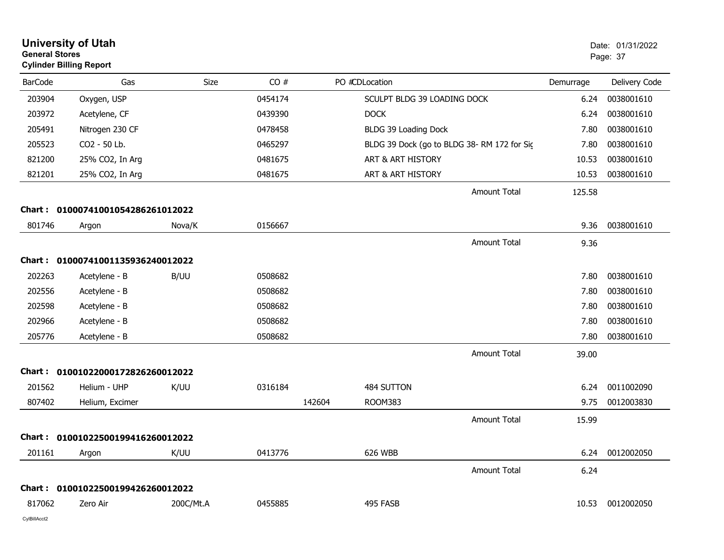| <b>General Stores</b> | <b>University of Utah</b><br><b>Cylinder Billing Report</b> |           |         |        |                                            |                     |           | Date: 01/31/2022<br>Page: 37 |
|-----------------------|-------------------------------------------------------------|-----------|---------|--------|--------------------------------------------|---------------------|-----------|------------------------------|
| <b>BarCode</b>        | Gas                                                         | Size      | CO#     |        | PO #CDLocation                             |                     | Demurrage | Delivery Code                |
| 203904                | Oxygen, USP                                                 |           | 0454174 |        | SCULPT BLDG 39 LOADING DOCK                |                     | 6.24      | 0038001610                   |
| 203972                | Acetylene, CF                                               |           | 0439390 |        | <b>DOCK</b>                                |                     | 6.24      | 0038001610                   |
| 205491                | Nitrogen 230 CF                                             |           | 0478458 |        | BLDG 39 Loading Dock                       |                     | 7.80      | 0038001610                   |
| 205523                | CO2 - 50 Lb.                                                |           | 0465297 |        | BLDG 39 Dock (go to BLDG 38-RM 172 for Sic |                     | 7.80      | 0038001610                   |
| 821200                | 25% CO2, In Arg                                             |           | 0481675 |        | ART & ART HISTORY                          |                     | 10.53     | 0038001610                   |
| 821201                | 25% CO2, In Arg                                             |           | 0481675 |        | ART & ART HISTORY                          |                     | 10.53     | 0038001610                   |
|                       |                                                             |           |         |        |                                            | <b>Amount Total</b> | 125.58    |                              |
|                       | Chart: 01000741001054286261012022                           |           |         |        |                                            |                     |           |                              |
| 801746                | Argon                                                       | Nova/K    | 0156667 |        |                                            |                     | 9.36      | 0038001610                   |
|                       |                                                             |           |         |        |                                            | <b>Amount Total</b> | 9.36      |                              |
|                       | Chart: 01000741001135936240012022                           |           |         |        |                                            |                     |           |                              |
| 202263                | Acetylene - B                                               | B/UU      | 0508682 |        |                                            |                     | 7.80      | 0038001610                   |
| 202556                | Acetylene - B                                               |           | 0508682 |        |                                            |                     | 7.80      | 0038001610                   |
| 202598                | Acetylene - B                                               |           | 0508682 |        |                                            |                     | 7.80      | 0038001610                   |
| 202966                | Acetylene - B                                               |           | 0508682 |        |                                            |                     | 7.80      | 0038001610                   |
| 205776                | Acetylene - B                                               |           | 0508682 |        |                                            |                     | 7.80      | 0038001610                   |
|                       |                                                             |           |         |        |                                            | <b>Amount Total</b> | 39.00     |                              |
| Chart :               | 01001022000172826260012022                                  |           |         |        |                                            |                     |           |                              |
| 201562                | Helium - UHP                                                | K/UU      | 0316184 |        | 484 SUTTON                                 |                     | 6.24      | 0011002090                   |
| 807402                | Helium, Excimer                                             |           |         | 142604 | <b>ROOM383</b>                             |                     | 9.75      | 0012003830                   |
|                       |                                                             |           |         |        |                                            | <b>Amount Total</b> | 15.99     |                              |
|                       | Chart: 01001022500199416260012022                           |           |         |        |                                            |                     |           |                              |
| 201161                | Argon                                                       | K/UU      | 0413776 |        | 626 WBB                                    |                     | 6.24      | 0012002050                   |
|                       |                                                             |           |         |        |                                            | <b>Amount Total</b> | 6.24      |                              |
|                       | Chart: 01001022500199426260012022                           |           |         |        |                                            |                     |           |                              |
| 817062                | Zero Air                                                    | 200C/Mt.A | 0455885 |        | 495 FASB                                   |                     | 10.53     | 0012002050                   |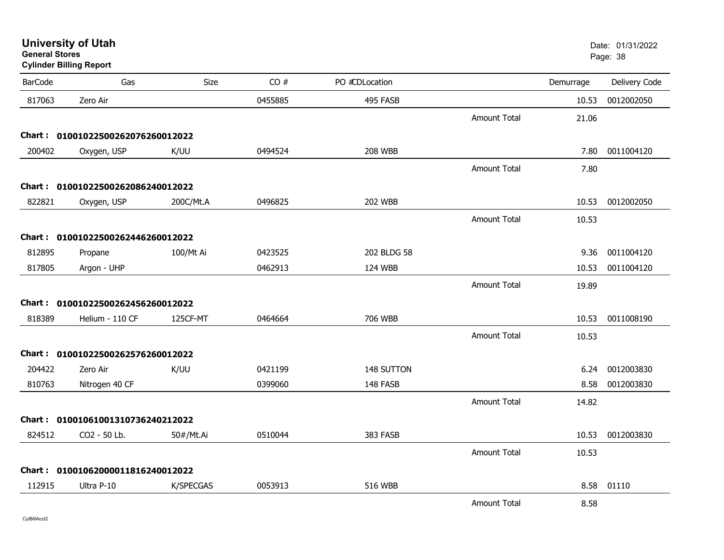| General Stores | <b>Cylinder Billing Report</b>    |           |         |                |                     |           | Page: 38      |
|----------------|-----------------------------------|-----------|---------|----------------|---------------------|-----------|---------------|
| <b>BarCode</b> | Gas                               | Size      | CO#     | PO #CDLocation |                     | Demurrage | Delivery Code |
| 817063         | Zero Air                          |           | 0455885 | 495 FASB       |                     | 10.53     | 0012002050    |
|                |                                   |           |         |                | <b>Amount Total</b> | 21.06     |               |
|                | Chart: 01001022500262076260012022 |           |         |                |                     |           |               |
| 200402         | Oxygen, USP                       | K/UU      | 0494524 | <b>208 WBB</b> |                     | 7.80      | 0011004120    |
|                |                                   |           |         |                | <b>Amount Total</b> | 7.80      |               |
|                | Chart: 01001022500262086240012022 |           |         |                |                     |           |               |
| 822821         | Oxygen, USP                       | 200C/Mt.A | 0496825 | <b>202 WBB</b> |                     | 10.53     | 0012002050    |
|                |                                   |           |         |                | <b>Amount Total</b> | 10.53     |               |
|                | Chart: 01001022500262446260012022 |           |         |                |                     |           |               |
| 812895         | Propane                           | 100/Mt Ai | 0423525 | 202 BLDG 58    |                     | 9.36      | 0011004120    |
| 817805         | Argon - UHP                       |           | 0462913 | 124 WBB        |                     | 10.53     | 0011004120    |
|                |                                   |           |         |                | <b>Amount Total</b> | 19.89     |               |
|                | Chart: 01001022500262456260012022 |           |         |                |                     |           |               |
| 818389         | Helium - 110 CF                   | 125CF-MT  | 0464664 | 706 WBB        |                     | 10.53     | 0011008190    |
|                |                                   |           |         |                | <b>Amount Total</b> | 10.53     |               |
|                | Chart: 01001022500262576260012022 |           |         |                |                     |           |               |
| 204422         | Zero Air                          | K/UU      | 0421199 | 148 SUTTON     |                     | 6.24      | 0012003830    |
| 810763         | Nitrogen 40 CF                    |           | 0399060 | 148 FASB       |                     | 8.58      | 0012003830    |
|                |                                   |           |         |                | <b>Amount Total</b> | 14.82     |               |
|                | Chart: 01001061001310736240212022 |           |         |                |                     |           |               |
| 824512         | CO2 - 50 Lb.                      | 50#/Mt.Ai | 0510044 | 383 FASB       |                     | 10.53     | 0012003830    |
|                |                                   |           |         |                | <b>Amount Total</b> | 10.53     |               |
|                | Chart: 01001062000011816240012022 |           |         |                |                     |           |               |
| 112915         | Ultra P-10                        | K/SPECGAS | 0053913 | <b>516 WBB</b> |                     | 8.58      | 01110         |
|                |                                   |           |         |                | <b>Amount Total</b> | 8.58      |               |

**University of Utah** Date: 01/31/2022

CylBillAcct2

**General Stores**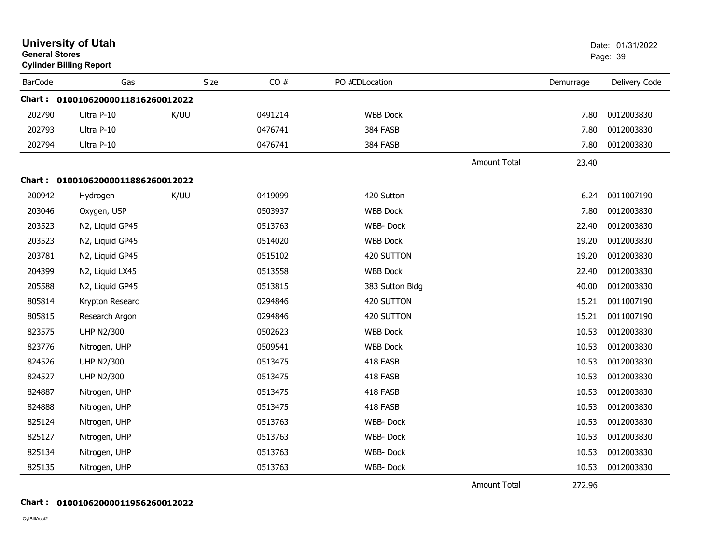| <b>General Stores</b> | <b>University of Utah</b><br><b>Cylinder Billing Report</b> |      |      |         |                 |                     |           | Date: 01/31/2022<br>Page: 39 |
|-----------------------|-------------------------------------------------------------|------|------|---------|-----------------|---------------------|-----------|------------------------------|
| <b>BarCode</b>        | Gas                                                         |      | Size | CO#     | PO #CDLocation  |                     | Demurrage | Delivery Code                |
| Chart :               | 01001062000011816260012022                                  |      |      |         |                 |                     |           |                              |
| 202790                | Ultra P-10                                                  | K/UU |      | 0491214 | <b>WBB Dock</b> |                     | 7.80      | 0012003830                   |
| 202793                | Ultra P-10                                                  |      |      | 0476741 | 384 FASB        |                     | 7.80      | 0012003830                   |
| 202794                | Ultra P-10                                                  |      |      | 0476741 | 384 FASB        |                     | 7.80      | 0012003830                   |
|                       |                                                             |      |      |         |                 | <b>Amount Total</b> | 23.40     |                              |
|                       | Chart: 01001062000011886260012022                           |      |      |         |                 |                     |           |                              |
| 200942                | Hydrogen                                                    | K/UU |      | 0419099 | 420 Sutton      |                     | 6.24      | 0011007190                   |
| 203046                | Oxygen, USP                                                 |      |      | 0503937 | <b>WBB Dock</b> |                     | 7.80      | 0012003830                   |
| 203523                | N2, Liquid GP45                                             |      |      | 0513763 | <b>WBB-Dock</b> |                     | 22.40     | 0012003830                   |
| 203523                | N2, Liquid GP45                                             |      |      | 0514020 | <b>WBB Dock</b> |                     | 19.20     | 0012003830                   |
| 203781                | N2, Liquid GP45                                             |      |      | 0515102 | 420 SUTTON      |                     | 19.20     | 0012003830                   |
| 204399                | N2, Liquid LX45                                             |      |      | 0513558 | <b>WBB Dock</b> |                     | 22.40     | 0012003830                   |
| 205588                | N2, Liquid GP45                                             |      |      | 0513815 | 383 Sutton Bldg |                     | 40.00     | 0012003830                   |
| 805814                | Krypton Researc                                             |      |      | 0294846 | 420 SUTTON      |                     | 15.21     | 0011007190                   |
| 805815                | Research Argon                                              |      |      | 0294846 | 420 SUTTON      |                     | 15.21     | 0011007190                   |
| 823575                | <b>UHP N2/300</b>                                           |      |      | 0502623 | <b>WBB Dock</b> |                     | 10.53     | 0012003830                   |
| 823776                | Nitrogen, UHP                                               |      |      | 0509541 | <b>WBB Dock</b> |                     | 10.53     | 0012003830                   |
| 824526                | <b>UHP N2/300</b>                                           |      |      | 0513475 | 418 FASB        |                     | 10.53     | 0012003830                   |
| 824527                | <b>UHP N2/300</b>                                           |      |      | 0513475 | 418 FASB        |                     | 10.53     | 0012003830                   |
| 824887                | Nitrogen, UHP                                               |      |      | 0513475 | 418 FASB        |                     | 10.53     | 0012003830                   |
| 824888                | Nitrogen, UHP                                               |      |      | 0513475 | 418 FASB        |                     | 10.53     | 0012003830                   |
| 825124                | Nitrogen, UHP                                               |      |      | 0513763 | <b>WBB-Dock</b> |                     | 10.53     | 0012003830                   |
| 825127                | Nitrogen, UHP                                               |      |      | 0513763 | WBB-Dock        |                     | 10.53     | 0012003830                   |
| 825134                | Nitrogen, UHP                                               |      |      | 0513763 | WBB-Dock        |                     | 10.53     | 0012003830                   |
| 825135                | Nitrogen, UHP                                               |      |      | 0513763 | WBB-Dock        |                     | 10.53     | 0012003830                   |

Amount Total 272.96

272.96

#### **Chart : 01001062000011956260012022**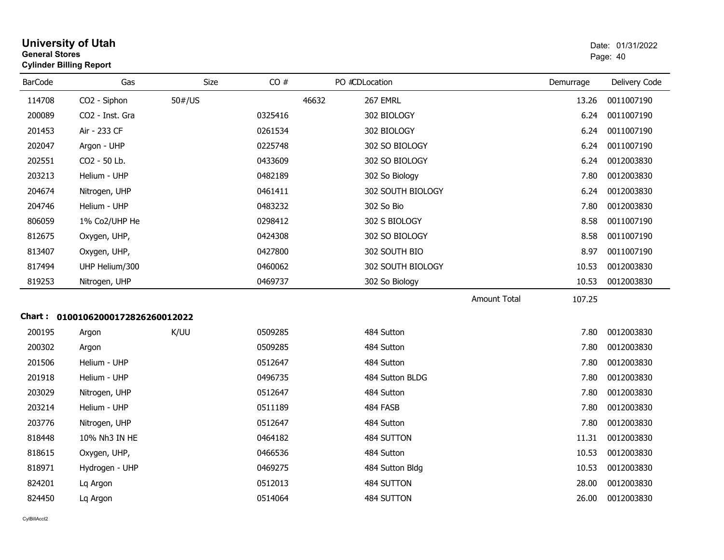| General Stores | <b>Cylinder Billing Report</b>    |        |         |                   |                     |           | Page: 40      |
|----------------|-----------------------------------|--------|---------|-------------------|---------------------|-----------|---------------|
| <b>BarCode</b> | Gas                               | Size   | CO#     | PO #CDLocation    |                     | Demurrage | Delivery Code |
| 114708         | CO2 - Siphon                      | 50#/US |         | 46632<br>267 EMRL |                     | 13.26     | 0011007190    |
| 200089         | CO2 - Inst. Gra                   |        | 0325416 | 302 BIOLOGY       |                     | 6.24      | 0011007190    |
| 201453         | Air - 233 CF                      |        | 0261534 | 302 BIOLOGY       |                     | 6.24      | 0011007190    |
| 202047         | Argon - UHP                       |        | 0225748 | 302 SO BIOLOGY    |                     | 6.24      | 0011007190    |
| 202551         | CO2 - 50 Lb.                      |        | 0433609 | 302 SO BIOLOGY    |                     | 6.24      | 0012003830    |
| 203213         | Helium - UHP                      |        | 0482189 | 302 So Biology    |                     | 7.80      | 0012003830    |
| 204674         | Nitrogen, UHP                     |        | 0461411 | 302 SOUTH BIOLOGY |                     | 6.24      | 0012003830    |
| 204746         | Helium - UHP                      |        | 0483232 | 302 So Bio        |                     | 7.80      | 0012003830    |
| 806059         | 1% Co2/UHP He                     |        | 0298412 | 302 S BIOLOGY     |                     | 8.58      | 0011007190    |
| 812675         | Oxygen, UHP,                      |        | 0424308 | 302 SO BIOLOGY    |                     | 8.58      | 0011007190    |
| 813407         | Oxygen, UHP,                      |        | 0427800 | 302 SOUTH BIO     |                     | 8.97      | 0011007190    |
| 817494         | UHP Helium/300                    |        | 0460062 | 302 SOUTH BIOLOGY |                     | 10.53     | 0012003830    |
| 819253         | Nitrogen, UHP                     |        | 0469737 | 302 So Biology    |                     | 10.53     | 0012003830    |
|                |                                   |        |         |                   | <b>Amount Total</b> | 107.25    |               |
|                | Chart: 01001062000172826260012022 |        |         |                   |                     |           |               |
| 200195         | Argon                             | K/UU   | 0509285 | 484 Sutton        |                     | 7.80      | 0012003830    |
| 200302         | Argon                             |        | 0509285 | 484 Sutton        |                     | 7.80      | 0012003830    |
| 201506         | Helium - UHP                      |        | 0512647 | 484 Sutton        |                     | 7.80      | 0012003830    |
| 201918         | Helium - UHP                      |        | 0496735 | 484 Sutton BLDG   |                     | 7.80      | 0012003830    |
| 203029         | Nitrogen, UHP                     |        | 0512647 | 484 Sutton        |                     | 7.80      | 0012003830    |
| 203214         | Helium - UHP                      |        | 0511189 | 484 FASB          |                     | 7.80      | 0012003830    |
| 203776         | Nitrogen, UHP                     |        | 0512647 | 484 Sutton        |                     | 7.80      | 0012003830    |
| 818448         | 10% Nh3 IN HE                     |        | 0464182 | 484 SUTTON        |                     | 11.31     | 0012003830    |
| 818615         | Oxygen, UHP,                      |        | 0466536 | 484 Sutton        |                     | 10.53     | 0012003830    |
| 818971         | Hydrogen - UHP                    |        | 0469275 | 484 Sutton Bldg   |                     | 10.53     | 0012003830    |
| 824201         | Lq Argon                          |        | 0512013 | 484 SUTTON        |                     | 28.00     | 0012003830    |
| 824450         | Lq Argon                          |        | 0514064 | 484 SUTTON        |                     | 26.00     | 0012003830    |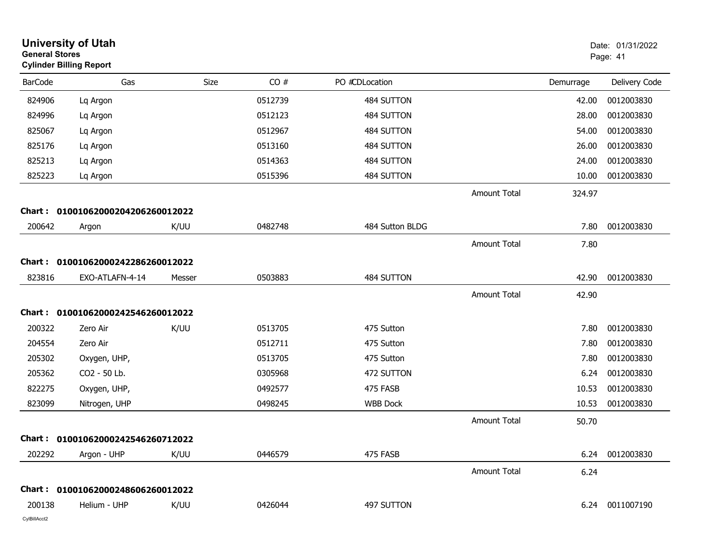| <b>General Stores</b>  | <b>University of Utah</b><br><b>Cylinder Billing Report</b> |        |         |                 |                     |           | Date: 01/31/2022<br>Page: 41 |
|------------------------|-------------------------------------------------------------|--------|---------|-----------------|---------------------|-----------|------------------------------|
| <b>BarCode</b>         | Gas                                                         | Size   | CO#     | PO #CDLocation  |                     | Demurrage | Delivery Code                |
| 824906                 | Lq Argon                                                    |        | 0512739 | 484 SUTTON      |                     | 42.00     | 0012003830                   |
| 824996                 | Lq Argon                                                    |        | 0512123 | 484 SUTTON      |                     | 28.00     | 0012003830                   |
| 825067                 | Lq Argon                                                    |        | 0512967 | 484 SUTTON      |                     | 54.00     | 0012003830                   |
| 825176                 | Lq Argon                                                    |        | 0513160 | 484 SUTTON      |                     | 26.00     | 0012003830                   |
| 825213                 | Lq Argon                                                    |        | 0514363 | 484 SUTTON      |                     | 24.00     | 0012003830                   |
| 825223                 | Lq Argon                                                    |        | 0515396 | 484 SUTTON      |                     | 10.00     | 0012003830                   |
|                        |                                                             |        |         |                 | Amount Total        | 324.97    |                              |
| Chart :                | 01001062000204206260012022                                  |        |         |                 |                     |           |                              |
| 200642                 | Argon                                                       | K/UU   | 0482748 | 484 Sutton BLDG |                     | 7.80      | 0012003830                   |
|                        |                                                             |        |         |                 | Amount Total        | 7.80      |                              |
|                        | Chart: 01001062000242286260012022                           |        |         |                 |                     |           |                              |
| 823816                 | EXO-ATLAFN-4-14                                             | Messer | 0503883 | 484 SUTTON      |                     | 42.90     | 0012003830                   |
|                        |                                                             |        |         |                 | Amount Total        |           |                              |
|                        |                                                             |        |         |                 |                     | 42.90     |                              |
|                        | Chart: 01001062000242546260012022                           |        |         |                 |                     |           |                              |
| 200322                 | Zero Air                                                    | K/UU   | 0513705 | 475 Sutton      |                     | 7.80      | 0012003830                   |
| 204554                 | Zero Air                                                    |        | 0512711 | 475 Sutton      |                     | 7.80      | 0012003830                   |
| 205302                 | Oxygen, UHP,                                                |        | 0513705 | 475 Sutton      |                     | 7.80      | 0012003830                   |
| 205362                 | CO2 - 50 Lb.                                                |        | 0305968 | 472 SUTTON      |                     | 6.24      | 0012003830                   |
| 822275                 | Oxygen, UHP,                                                |        | 0492577 | 475 FASB        |                     | 10.53     | 0012003830                   |
| 823099                 | Nitrogen, UHP                                               |        | 0498245 | <b>WBB Dock</b> |                     | 10.53     | 0012003830                   |
|                        |                                                             |        |         |                 | <b>Amount Total</b> | 50.70     |                              |
|                        | Chart: 01001062000242546260712022                           |        |         |                 |                     |           |                              |
| 202292                 | Argon - UHP                                                 | K/UU   | 0446579 | 475 FASB        |                     | 6.24      | 0012003830                   |
|                        |                                                             |        |         |                 | <b>Amount Total</b> | 6.24      |                              |
|                        |                                                             |        |         |                 |                     |           |                              |
|                        | Chart: 01001062000248606260012022                           |        |         |                 |                     |           |                              |
| 200138<br>CylBillAcct2 | Helium - UHP                                                | K/UU   | 0426044 | 497 SUTTON      |                     | 6.24      | 0011007190                   |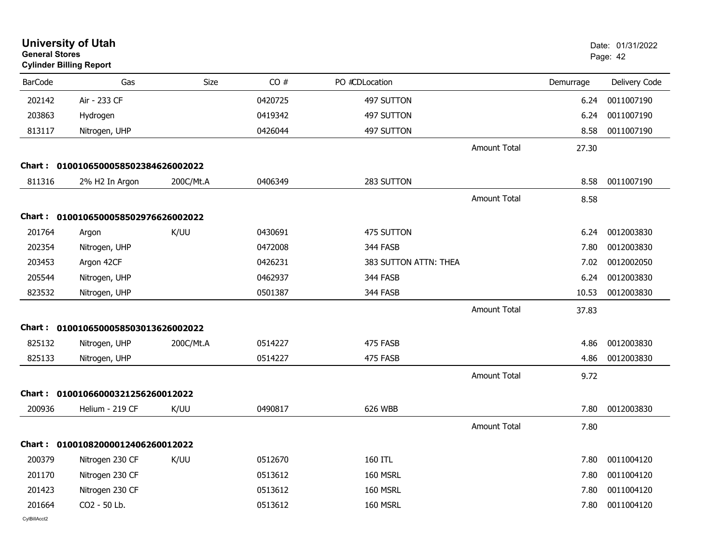| <b>General Stores</b> | <b>University of Utah</b><br><b>Cylinder Billing Report</b> |             |         |                       |                     |           | Date: 01/31/2022<br>Page: 42 |
|-----------------------|-------------------------------------------------------------|-------------|---------|-----------------------|---------------------|-----------|------------------------------|
| <b>BarCode</b>        | Gas                                                         | <b>Size</b> | CO#     | PO #CDLocation        |                     | Demurrage | Delivery Code                |
| 202142                | Air - 233 CF                                                |             | 0420725 | 497 SUTTON            |                     | 6.24      | 0011007190                   |
| 203863                | Hydrogen                                                    |             | 0419342 | 497 SUTTON            |                     | 6.24      | 0011007190                   |
| 813117                | Nitrogen, UHP                                               |             | 0426044 | 497 SUTTON            |                     | 8.58      | 0011007190                   |
|                       |                                                             |             |         |                       | <b>Amount Total</b> | 27.30     |                              |
|                       | Chart: 0100106500058502384626002022                         |             |         |                       |                     |           |                              |
| 811316                | 2% H2 In Argon                                              | 200C/Mt.A   | 0406349 | 283 SUTTON            |                     | 8.58      | 0011007190                   |
|                       |                                                             |             |         |                       | <b>Amount Total</b> | 8.58      |                              |
|                       | Chart: 0100106500058502976626002022                         |             |         |                       |                     |           |                              |
| 201764                | Argon                                                       | K/UU        | 0430691 | 475 SUTTON            |                     | 6.24      | 0012003830                   |
| 202354                | Nitrogen, UHP                                               |             | 0472008 | 344 FASB              |                     | 7.80      | 0012003830                   |
| 203453                | Argon 42CF                                                  |             | 0426231 | 383 SUTTON ATTN: THEA |                     | 7.02      | 0012002050                   |
| 205544                | Nitrogen, UHP                                               |             | 0462937 | 344 FASB              |                     | 6.24      | 0012003830                   |
| 823532                | Nitrogen, UHP                                               |             | 0501387 | 344 FASB              |                     | 10.53     | 0012003830                   |
|                       |                                                             |             |         |                       | Amount Total        | 37.83     |                              |
|                       | Chart: 0100106500058503013626002022                         |             |         |                       |                     |           |                              |
| 825132                | Nitrogen, UHP                                               | 200C/Mt.A   | 0514227 | 475 FASB              |                     | 4.86      | 0012003830                   |
| 825133                | Nitrogen, UHP                                               |             | 0514227 | 475 FASB              |                     | 4.86      | 0012003830                   |
|                       |                                                             |             |         |                       | Amount Total        | 9.72      |                              |
| Chart :               | 01001066000321256260012022                                  |             |         |                       |                     |           |                              |
| 200936                | Helium - 219 CF                                             | K/UU        | 0490817 | 626 WBB               |                     | 7.80      | 0012003830                   |
|                       |                                                             |             |         |                       | Amount Total        | 7.80      |                              |
|                       | Chart: 01001082000012406260012022                           |             |         |                       |                     |           |                              |
| 200379                | Nitrogen 230 CF                                             | K/UU        | 0512670 | 160 ITL               |                     | 7.80      | 0011004120                   |
| 201170                | Nitrogen 230 CF                                             |             | 0513612 | 160 MSRL              |                     | 7.80      | 0011004120                   |
| 201423                | Nitrogen 230 CF                                             |             | 0513612 | 160 MSRL              |                     | 7.80      | 0011004120                   |
| 201664                | CO2 - 50 Lb.                                                |             | 0513612 | 160 MSRL              |                     | 7.80      | 0011004120                   |
|                       |                                                             |             |         |                       |                     |           |                              |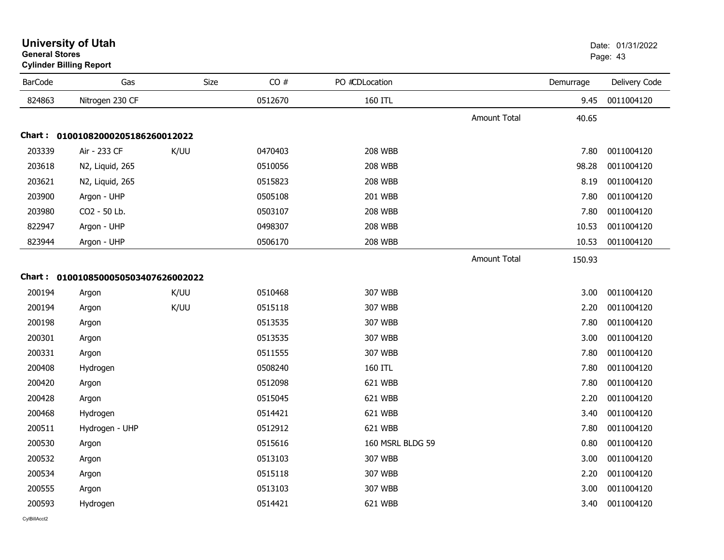| <b>BarCode</b> | Gas                                 | Size | CO#     | PO #CDLocation   |                     | Demurrage | Delivery Code |
|----------------|-------------------------------------|------|---------|------------------|---------------------|-----------|---------------|
| 824863         | Nitrogen 230 CF                     |      | 0512670 | 160 ITL          |                     | 9.45      | 0011004120    |
|                |                                     |      |         |                  | <b>Amount Total</b> | 40.65     |               |
|                | Chart: 01001082000205186260012022   |      |         |                  |                     |           |               |
| 203339         | Air - 233 CF                        | K/UU | 0470403 | <b>208 WBB</b>   |                     | 7.80      | 0011004120    |
| 203618         | N2, Liquid, 265                     |      | 0510056 | <b>208 WBB</b>   |                     | 98.28     | 0011004120    |
| 203621         | N2, Liquid, 265                     |      | 0515823 | <b>208 WBB</b>   |                     | 8.19      | 0011004120    |
| 203900         | Argon - UHP                         |      | 0505108 | <b>201 WBB</b>   |                     | 7.80      | 0011004120    |
| 203980         | CO2 - 50 Lb.                        |      | 0503107 | <b>208 WBB</b>   |                     | 7.80      | 0011004120    |
| 822947         | Argon - UHP                         |      | 0498307 | <b>208 WBB</b>   |                     | 10.53     | 0011004120    |
| 823944         | Argon - UHP                         |      | 0506170 | <b>208 WBB</b>   |                     | 10.53     | 0011004120    |
|                |                                     |      |         |                  | <b>Amount Total</b> | 150.93    |               |
|                | Chart: 0100108500050503407626002022 |      |         |                  |                     |           |               |
| 200194         | Argon                               | K/UU | 0510468 | 307 WBB          |                     | 3.00      | 0011004120    |
| 200194         | Argon                               | K/UU | 0515118 | 307 WBB          |                     | 2.20      | 0011004120    |
| 200198         | Argon                               |      | 0513535 | 307 WBB          |                     | 7.80      | 0011004120    |
| 200301         | Argon                               |      | 0513535 | 307 WBB          |                     | 3.00      | 0011004120    |
| 200331         | Argon                               |      | 0511555 | 307 WBB          |                     | 7.80      | 0011004120    |
| 200408         | Hydrogen                            |      | 0508240 | 160 ITL          |                     | 7.80      | 0011004120    |
| 200420         | Argon                               |      | 0512098 | 621 WBB          |                     | 7.80      | 0011004120    |
| 200428         | Argon                               |      | 0515045 | 621 WBB          |                     | 2.20      | 0011004120    |
| 200468         | Hydrogen                            |      | 0514421 | 621 WBB          |                     | 3.40      | 0011004120    |
| 200511         | Hydrogen - UHP                      |      | 0512912 | 621 WBB          |                     | 7.80      | 0011004120    |
| 200530         | Argon                               |      | 0515616 | 160 MSRL BLDG 59 |                     | 0.80      | 0011004120    |
| 200532         | Argon                               |      | 0513103 | 307 WBB          |                     | 3.00      | 0011004120    |
| 200534         | Argon                               |      | 0515118 | 307 WBB          |                     | 2.20      | 0011004120    |
| 200555         | Argon                               |      | 0513103 | 307 WBB          |                     | 3.00      | 0011004120    |
| 200593         | Hydrogen                            |      | 0514421 | 621 WBB          |                     | 3.40      | 0011004120    |

**Cylinder Billing Report**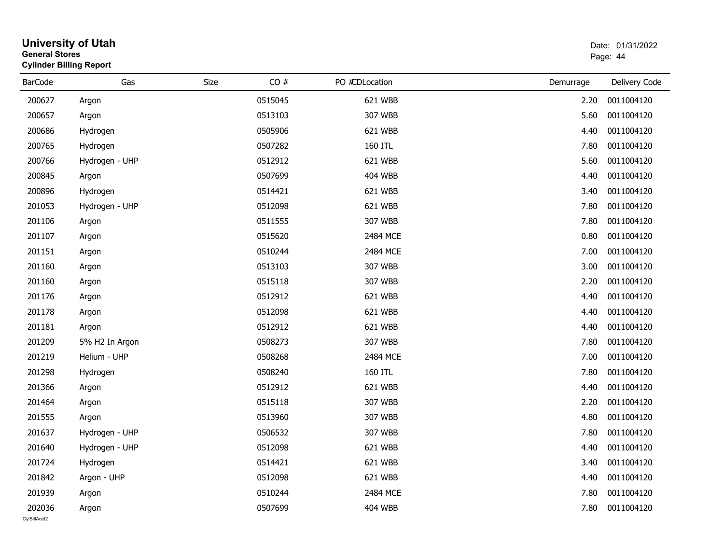|                        | <b>University of Utah</b><br>Date: 01/31/2022<br><b>General Stores</b><br>Page: 44<br><b>Cylinder Billing Report</b> |      |         |                |           |                 |  |
|------------------------|----------------------------------------------------------------------------------------------------------------------|------|---------|----------------|-----------|-----------------|--|
| <b>BarCode</b>         | Gas                                                                                                                  | Size | CO#     | PO #CDLocation | Demurrage | Delivery Code   |  |
| 200627                 | Argon                                                                                                                |      | 0515045 | 621 WBB        | 2.20      | 0011004120      |  |
| 200657                 | Argon                                                                                                                |      | 0513103 | 307 WBB        | 5.60      | 0011004120      |  |
| 200686                 | Hydrogen                                                                                                             |      | 0505906 | 621 WBB        | 4.40      | 0011004120      |  |
| 200765                 | Hydrogen                                                                                                             |      | 0507282 | 160 ITL        | 7.80      | 0011004120      |  |
| 200766                 | Hydrogen - UHP                                                                                                       |      | 0512912 | 621 WBB        | 5.60      | 0011004120      |  |
| 200845                 | Argon                                                                                                                |      | 0507699 | <b>404 WBB</b> | 4.40      | 0011004120      |  |
| 200896                 | Hydrogen                                                                                                             |      | 0514421 | 621 WBB        | 3.40      | 0011004120      |  |
| 201053                 | Hydrogen - UHP                                                                                                       |      | 0512098 | 621 WBB        | 7.80      | 0011004120      |  |
| 201106                 | Argon                                                                                                                |      | 0511555 | 307 WBB        | 7.80      | 0011004120      |  |
| 201107                 | Argon                                                                                                                |      | 0515620 | 2484 MCE       | 0.80      | 0011004120      |  |
| 201151                 | Argon                                                                                                                |      | 0510244 | 2484 MCE       | 7.00      | 0011004120      |  |
| 201160                 | Argon                                                                                                                |      | 0513103 | 307 WBB        | 3.00      | 0011004120      |  |
| 201160                 | Argon                                                                                                                |      | 0515118 | 307 WBB        | 2.20      | 0011004120      |  |
| 201176                 | Argon                                                                                                                |      | 0512912 | 621 WBB        | 4.40      | 0011004120      |  |
| 201178                 | Argon                                                                                                                |      | 0512098 | 621 WBB        | 4.40      | 0011004120      |  |
| 201181                 | Argon                                                                                                                |      | 0512912 | 621 WBB        | 4.40      | 0011004120      |  |
| 201209                 | 5% H2 In Argon                                                                                                       |      | 0508273 | 307 WBB        | 7.80      | 0011004120      |  |
| 201219                 | Helium - UHP                                                                                                         |      | 0508268 | 2484 MCE       | 7.00      | 0011004120      |  |
| 201298                 | Hydrogen                                                                                                             |      | 0508240 | 160 ITL        | 7.80      | 0011004120      |  |
| 201366                 | Argon                                                                                                                |      | 0512912 | 621 WBB        | 4.40      | 0011004120      |  |
| 201464                 | Argon                                                                                                                |      | 0515118 | 307 WBB        | 2.20      | 0011004120      |  |
| 201555                 | Argon                                                                                                                |      | 0513960 | 307 WBB        | 4.80      | 0011004120      |  |
| 201637                 | Hydrogen - UHP                                                                                                       |      | 0506532 | 307 WBB        | 7.80      | 0011004120      |  |
| 201640                 | Hydrogen - UHP                                                                                                       |      | 0512098 | 621 WBB        |           | 4.40 0011004120 |  |
| 201724                 | Hydrogen                                                                                                             |      | 0514421 | 621 WBB        | 3.40      | 0011004120      |  |
| 201842                 | Argon - UHP                                                                                                          |      | 0512098 | 621 WBB        | 4.40      | 0011004120      |  |
| 201939                 | Argon                                                                                                                |      | 0510244 | 2484 MCE       | 7.80      | 0011004120      |  |
| 202036<br>CylBillAcct2 | Argon                                                                                                                |      | 0507699 | <b>404 WBB</b> | 7.80      | 0011004120      |  |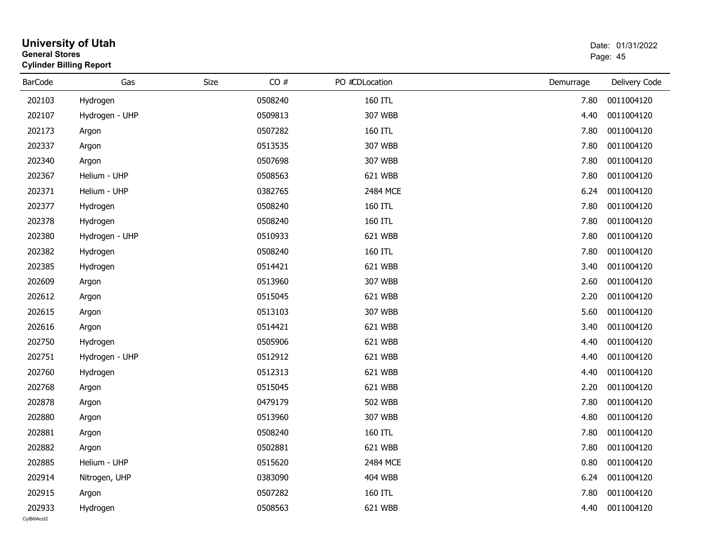| <b>General Stores</b>  | <b>University of Utah</b><br><b>Cylinder Billing Report</b> |      |         |                | Date: 01/31/2022<br>Page: 45 |                 |  |
|------------------------|-------------------------------------------------------------|------|---------|----------------|------------------------------|-----------------|--|
| <b>BarCode</b>         | Gas                                                         | Size | CO#     | PO #CDLocation | Demurrage                    | Delivery Code   |  |
| 202103                 | Hydrogen                                                    |      | 0508240 | 160 ITL        | 7.80                         | 0011004120      |  |
| 202107                 | Hydrogen - UHP                                              |      | 0509813 | 307 WBB        | 4.40                         | 0011004120      |  |
| 202173                 | Argon                                                       |      | 0507282 | 160 ITL        | 7.80                         | 0011004120      |  |
| 202337                 | Argon                                                       |      | 0513535 | 307 WBB        | 7.80                         | 0011004120      |  |
| 202340                 | Argon                                                       |      | 0507698 | 307 WBB        | 7.80                         | 0011004120      |  |
| 202367                 | Helium - UHP                                                |      | 0508563 | 621 WBB        | 7.80                         | 0011004120      |  |
| 202371                 | Helium - UHP                                                |      | 0382765 | 2484 MCE       | 6.24                         | 0011004120      |  |
| 202377                 | Hydrogen                                                    |      | 0508240 | 160 ITL        | 7.80                         | 0011004120      |  |
| 202378                 | Hydrogen                                                    |      | 0508240 | 160 ITL        | 7.80                         | 0011004120      |  |
| 202380                 | Hydrogen - UHP                                              |      | 0510933 | 621 WBB        | 7.80                         | 0011004120      |  |
| 202382                 | Hydrogen                                                    |      | 0508240 | 160 ITL        | 7.80                         | 0011004120      |  |
| 202385                 | Hydrogen                                                    |      | 0514421 | 621 WBB        | 3.40                         | 0011004120      |  |
| 202609                 | Argon                                                       |      | 0513960 | 307 WBB        | 2.60                         | 0011004120      |  |
| 202612                 | Argon                                                       |      | 0515045 | 621 WBB        | 2.20                         | 0011004120      |  |
| 202615                 | Argon                                                       |      | 0513103 | 307 WBB        | 5.60                         | 0011004120      |  |
| 202616                 | Argon                                                       |      | 0514421 | 621 WBB        | 3.40                         | 0011004120      |  |
| 202750                 | Hydrogen                                                    |      | 0505906 | 621 WBB        | 4.40                         | 0011004120      |  |
| 202751                 | Hydrogen - UHP                                              |      | 0512912 | 621 WBB        | 4.40                         | 0011004120      |  |
| 202760                 | Hydrogen                                                    |      | 0512313 | 621 WBB        | 4.40                         | 0011004120      |  |
| 202768                 | Argon                                                       |      | 0515045 | 621 WBB        | 2.20                         | 0011004120      |  |
| 202878                 | Argon                                                       |      | 0479179 | 502 WBB        | 7.80                         | 0011004120      |  |
| 202880                 | Argon                                                       |      | 0513960 | 307 WBB        | 4.80                         | 0011004120      |  |
| 202881                 | Argon                                                       |      | 0508240 | 160 ITL        | 7.80                         | 0011004120      |  |
| 202882                 | Argon                                                       |      | 0502881 | 621 WBB        |                              | 7.80 0011004120 |  |
| 202885                 | Helium - UHP                                                |      | 0515620 | 2484 MCE       | 0.80                         | 0011004120      |  |
| 202914                 | Nitrogen, UHP                                               |      | 0383090 | <b>404 WBB</b> | 6.24                         | 0011004120      |  |
| 202915                 | Argon                                                       |      | 0507282 | 160 ITL        | 7.80                         | 0011004120      |  |
| 202933<br>CylBillAcct2 | Hydrogen                                                    |      | 0508563 | 621 WBB        | 4.40                         | 0011004120      |  |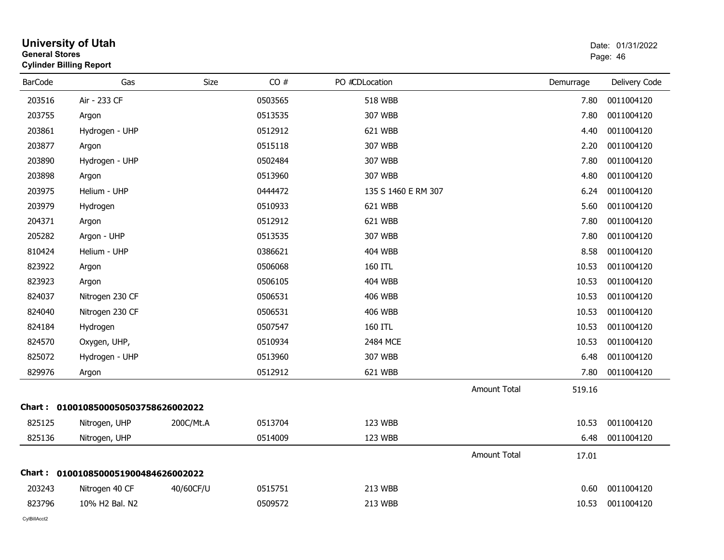| <b>General Stores</b> | <b>Cylinder Billing Report</b>      |           |         |                     |                     |           | Page: 46      |
|-----------------------|-------------------------------------|-----------|---------|---------------------|---------------------|-----------|---------------|
| <b>BarCode</b>        | Gas                                 | Size      | CO#     | PO #CDLocation      |                     | Demurrage | Delivery Code |
| 203516                | Air - 233 CF                        |           | 0503565 | 518 WBB             |                     | 7.80      | 0011004120    |
| 203755                | Argon                               |           | 0513535 | 307 WBB             |                     | 7.80      | 0011004120    |
| 203861                | Hydrogen - UHP                      |           | 0512912 | 621 WBB             |                     | 4.40      | 0011004120    |
| 203877                | Argon                               |           | 0515118 | 307 WBB             |                     | 2.20      | 0011004120    |
| 203890                | Hydrogen - UHP                      |           | 0502484 | 307 WBB             |                     | 7.80      | 0011004120    |
| 203898                | Argon                               |           | 0513960 | 307 WBB             |                     | 4.80      | 0011004120    |
| 203975                | Helium - UHP                        |           | 0444472 | 135 S 1460 E RM 307 |                     | 6.24      | 0011004120    |
| 203979                | Hydrogen                            |           | 0510933 | 621 WBB             |                     | 5.60      | 0011004120    |
| 204371                | Argon                               |           | 0512912 | 621 WBB             |                     | 7.80      | 0011004120    |
| 205282                | Argon - UHP                         |           | 0513535 | 307 WBB             |                     | 7.80      | 0011004120    |
| 810424                | Helium - UHP                        |           | 0386621 | <b>404 WBB</b>      |                     | 8.58      | 0011004120    |
| 823922                | Argon                               |           | 0506068 | 160 ITL             |                     | 10.53     | 0011004120    |
| 823923                | Argon                               |           | 0506105 | <b>404 WBB</b>      |                     | 10.53     | 0011004120    |
| 824037                | Nitrogen 230 CF                     |           | 0506531 | <b>406 WBB</b>      |                     | 10.53     | 0011004120    |
| 824040                | Nitrogen 230 CF                     |           | 0506531 | <b>406 WBB</b>      |                     | 10.53     | 0011004120    |
| 824184                | Hydrogen                            |           | 0507547 | 160 ITL             |                     | 10.53     | 0011004120    |
| 824570                | Oxygen, UHP,                        |           | 0510934 | 2484 MCE            |                     | 10.53     | 0011004120    |
| 825072                | Hydrogen - UHP                      |           | 0513960 | 307 WBB             |                     | 6.48      | 0011004120    |
| 829976                | Argon                               |           | 0512912 | 621 WBB             |                     | 7.80      | 0011004120    |
|                       |                                     |           |         |                     | Amount Total        | 519.16    |               |
|                       | Chart: 0100108500050503758626002022 |           |         |                     |                     |           |               |
| 825125                | Nitrogen, UHP                       | 200C/Mt.A | 0513704 | 123 WBB             |                     | 10.53     | 0011004120    |
| 825136                | Nitrogen, UHP                       |           | 0514009 | 123 WBB             |                     | 6.48      | 0011004120    |
|                       |                                     |           |         |                     | <b>Amount Total</b> | 17.01     |               |
|                       | Chart: 0100108500051900484626002022 |           |         |                     |                     |           |               |
| 203243                | Nitrogen 40 CF                      | 40/60CF/U | 0515751 | 213 WBB             |                     | 0.60      | 0011004120    |
| 823796                | 10% H2 Bal. N2                      |           | 0509572 | 213 WBB             |                     | 10.53     | 0011004120    |
|                       |                                     |           |         |                     |                     |           |               |

**University of Utah** Date: 01/31/2022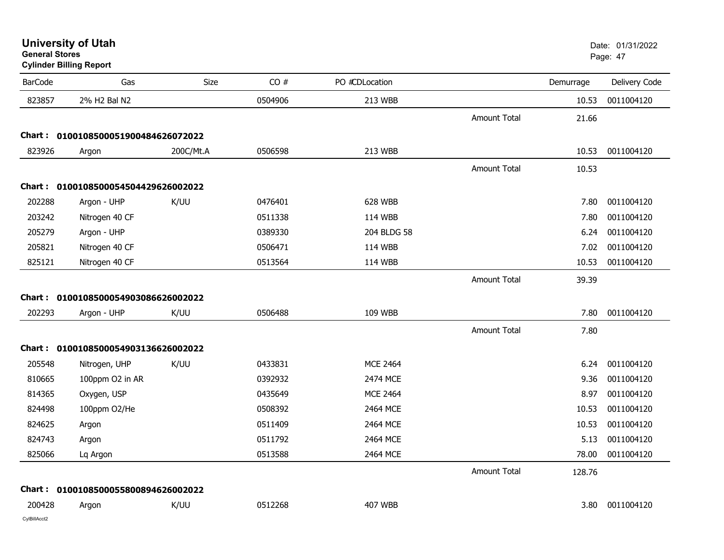| <b>University of Utah</b> |  |
|---------------------------|--|
| <b>General Stores</b>     |  |

**Cylinder Billing Report**

| <b>BarCode</b> | Gas                                 | Size      | CO#     | PO #CDLocation  |                     | Demurrage | Delivery Code |
|----------------|-------------------------------------|-----------|---------|-----------------|---------------------|-----------|---------------|
| 823857         | 2% H2 Bal N2                        |           | 0504906 | 213 WBB         |                     | 10.53     | 0011004120    |
|                |                                     |           |         |                 | <b>Amount Total</b> | 21.66     |               |
|                | Chart: 0100108500051900484626072022 |           |         |                 |                     |           |               |
| 823926         | Argon                               | 200C/Mt.A | 0506598 | 213 WBB         |                     | 10.53     | 0011004120    |
|                |                                     |           |         |                 | <b>Amount Total</b> | 10.53     |               |
|                | Chart: 0100108500054504429626002022 |           |         |                 |                     |           |               |
| 202288         | Argon - UHP                         | K/UU      | 0476401 | 628 WBB         |                     | 7.80      | 0011004120    |
| 203242         | Nitrogen 40 CF                      |           | 0511338 | 114 WBB         |                     | 7.80      | 0011004120    |
| 205279         | Argon - UHP                         |           | 0389330 | 204 BLDG 58     |                     | 6.24      | 0011004120    |
| 205821         | Nitrogen 40 CF                      |           | 0506471 | 114 WBB         |                     | 7.02      | 0011004120    |
| 825121         | Nitrogen 40 CF                      |           | 0513564 | 114 WBB         |                     | 10.53     | 0011004120    |
|                |                                     |           |         |                 | <b>Amount Total</b> | 39.39     |               |
|                | Chart: 0100108500054903086626002022 |           |         |                 |                     |           |               |
| 202293         | Argon - UHP                         | K/UU      | 0506488 | 109 WBB         |                     | 7.80      | 0011004120    |
|                |                                     |           |         |                 | <b>Amount Total</b> | 7.80      |               |
|                | Chart: 0100108500054903136626002022 |           |         |                 |                     |           |               |
| 205548         | Nitrogen, UHP                       | K/UU      | 0433831 | <b>MCE 2464</b> |                     | 6.24      | 0011004120    |
| 810665         | 100ppm O2 in AR                     |           | 0392932 | 2474 MCE        |                     | 9.36      | 0011004120    |
| 814365         | Oxygen, USP                         |           | 0435649 | <b>MCE 2464</b> |                     | 8.97      | 0011004120    |
| 824498         | 100ppm O2/He                        |           | 0508392 | 2464 MCE        |                     | 10.53     | 0011004120    |
| 824625         | Argon                               |           | 0511409 | 2464 MCE        |                     | 10.53     | 0011004120    |
| 824743         | Argon                               |           | 0511792 | 2464 MCE        |                     | 5.13      | 0011004120    |
| 825066         | Lq Argon                            |           | 0513588 | 2464 MCE        |                     | 78.00     | 0011004120    |
|                |                                     |           |         |                 | <b>Amount Total</b> | 128.76    |               |
|                | Chart: 0100108500055800894626002022 |           |         |                 |                     |           |               |
| 200428         | Argon                               | K/UU      | 0512268 | <b>407 WBB</b>  |                     | 3.80      | 0011004120    |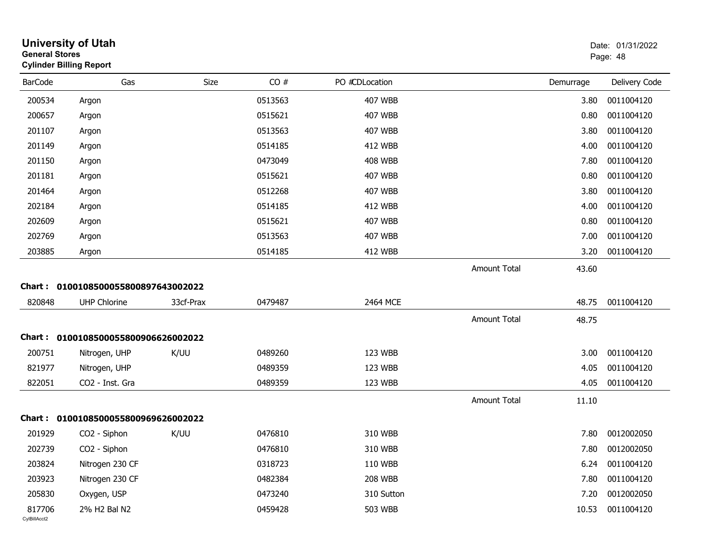| <b>General Stores</b>  | <b>University of Utah</b><br><b>Cylinder Billing Report</b> |           |         |                |                     |           | Date: 01/31/2022<br>Page: 48 |
|------------------------|-------------------------------------------------------------|-----------|---------|----------------|---------------------|-----------|------------------------------|
| <b>BarCode</b>         | Gas                                                         | Size      | CO#     | PO #CDLocation |                     | Demurrage | Delivery Code                |
| 200534                 | Argon                                                       |           | 0513563 | 407 WBB        |                     | 3.80      | 0011004120                   |
| 200657                 | Argon                                                       |           | 0515621 | 407 WBB        |                     | 0.80      | 0011004120                   |
| 201107                 | Argon                                                       |           | 0513563 | <b>407 WBB</b> |                     | 3.80      | 0011004120                   |
| 201149                 | Argon                                                       |           | 0514185 | 412 WBB        |                     | 4.00      | 0011004120                   |
| 201150                 | Argon                                                       |           | 0473049 | <b>408 WBB</b> |                     | 7.80      | 0011004120                   |
| 201181                 | Argon                                                       |           | 0515621 | 407 WBB        |                     | 0.80      | 0011004120                   |
| 201464                 | Argon                                                       |           | 0512268 | <b>407 WBB</b> |                     | 3.80      | 0011004120                   |
| 202184                 | Argon                                                       |           | 0514185 | 412 WBB        |                     | 4.00      | 0011004120                   |
| 202609                 | Argon                                                       |           | 0515621 | 407 WBB        |                     | 0.80      | 0011004120                   |
| 202769                 | Argon                                                       |           | 0513563 | 407 WBB        |                     | 7.00      | 0011004120                   |
| 203885                 | Argon                                                       |           | 0514185 | <b>412 WBB</b> |                     | 3.20      | 0011004120                   |
|                        |                                                             |           |         |                | <b>Amount Total</b> | 43.60     |                              |
|                        | Chart: 0100108500055800897643002022                         |           |         |                |                     |           |                              |
| 820848                 | <b>UHP Chlorine</b>                                         | 33cf-Prax | 0479487 | 2464 MCE       |                     | 48.75     | 0011004120                   |
|                        |                                                             |           |         |                | <b>Amount Total</b> | 48.75     |                              |
| Chart :                | 0100108500055800906626002022                                |           |         |                |                     |           |                              |
| 200751                 | Nitrogen, UHP                                               | K/UU      | 0489260 | 123 WBB        |                     | 3.00      | 0011004120                   |
| 821977                 | Nitrogen, UHP                                               |           | 0489359 | 123 WBB        |                     | 4.05      | 0011004120                   |
| 822051                 | CO2 - Inst. Gra                                             |           | 0489359 | 123 WBB        |                     | 4.05      | 0011004120                   |
|                        |                                                             |           |         |                | <b>Amount Total</b> | 11.10     |                              |
|                        | Chart: 0100108500055800969626002022                         |           |         |                |                     |           |                              |
| 201929                 | CO <sub>2</sub> - Siphon                                    | K/UU      | 0476810 | 310 WBB        |                     | 7.80      | 0012002050                   |
| 202739                 | CO2 - Siphon                                                |           | 0476810 | 310 WBB        |                     | 7.80      | 0012002050                   |
| 203824                 | Nitrogen 230 CF                                             |           | 0318723 | 110 WBB        |                     | 6.24      | 0011004120                   |
| 203923                 | Nitrogen 230 CF                                             |           | 0482384 | <b>208 WBB</b> |                     | 7.80      | 0011004120                   |
| 205830                 | Oxygen, USP                                                 |           | 0473240 | 310 Sutton     |                     | 7.20      | 0012002050                   |
| 817706<br>CylBillAcct2 | 2% H2 Bal N2                                                |           | 0459428 | 503 WBB        |                     | 10.53     | 0011004120                   |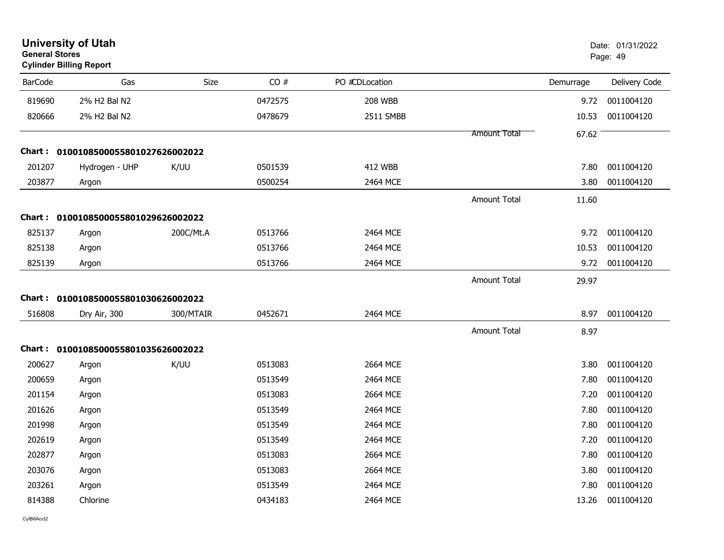| <b>General Stores</b> | <b>University of Utah</b><br><b>Cylinder Billing Report</b> |           |         |                |                     |           | Date: 01/31/2022<br>Page: 49 |
|-----------------------|-------------------------------------------------------------|-----------|---------|----------------|---------------------|-----------|------------------------------|
| <b>BarCode</b>        | Gas                                                         | Size      | CO#     | PO #CDLocation |                     | Demurrage | Delivery Code                |
| 819690                | 2% H2 Bal N2                                                |           | 0472575 | <b>208 WBB</b> |                     | 9.72      | 0011004120                   |
| 820666                | 2% H2 Bal N2                                                |           | 0478679 | 2511 SMBB      |                     | 10.53     | 0011004120                   |
|                       |                                                             |           |         |                | Amount Total        | 67.62     |                              |
|                       | Chart: 0100108500055801027626002022                         |           |         |                |                     |           |                              |
| 201207                | Hydrogen - UHP                                              | K/UU      | 0501539 | 412 WBB        |                     | 7.80      | 0011004120                   |
| 203877                | Argon                                                       |           | 0500254 | 2464 MCE       |                     | 3.80      | 0011004120                   |
|                       |                                                             |           |         |                | <b>Amount Total</b> | 11.60     |                              |
|                       | Chart: 0100108500055801029626002022                         |           |         |                |                     |           |                              |
| 825137                | Argon                                                       | 200C/Mt.A | 0513766 | 2464 MCE       |                     | 9.72      | 0011004120                   |
| 825138                | Argon                                                       |           | 0513766 | 2464 MCE       |                     | 10.53     | 0011004120                   |
| 825139                | Argon                                                       |           | 0513766 | 2464 MCE       |                     | 9.72      | 0011004120                   |
|                       |                                                             |           |         |                | <b>Amount Total</b> | 29.97     |                              |
|                       | Chart: 0100108500055801030626002022                         |           |         |                |                     |           |                              |
| 516808                | Dry Air, 300                                                | 300/MTAIR | 0452671 | 2464 MCE       |                     | 8.97      | 0011004120                   |
|                       |                                                             |           |         |                | <b>Amount Total</b> | 8.97      |                              |
|                       | Chart: 0100108500055801035626002022                         |           |         |                |                     |           |                              |
| 200627                | Argon                                                       | K/UU      | 0513083 | 2664 MCE       |                     | 3.80      | 0011004120                   |
| 200659                | Argon                                                       |           | 0513549 | 2464 MCE       |                     | 7.80      | 0011004120                   |
| 201154                | Argon                                                       |           | 0513083 | 2664 MCE       |                     | 7.20      | 0011004120                   |
| 201626                | Argon                                                       |           | 0513549 | 2464 MCE       |                     | 7.80      | 0011004120                   |
| 201998                | Argon                                                       |           | 0513549 | 2464 MCE       |                     | 7.80      | 0011004120                   |
| 202619                | Argon                                                       |           | 0513549 | 2464 MCE       |                     | 7.20      | 0011004120                   |
| 202877                | Argon                                                       |           | 0513083 | 2664 MCE       |                     | 7.80      | 0011004120                   |
| 203076                | Argon                                                       |           | 0513083 | 2664 MCE       |                     | 3.80      | 0011004120                   |
| 203261                | Argon                                                       |           | 0513549 | 2464 MCE       |                     | 7.80      | 0011004120                   |
| 814388                | Chlorine                                                    |           | 0434183 | 2464 MCE       |                     | 13.26     | 0011004120                   |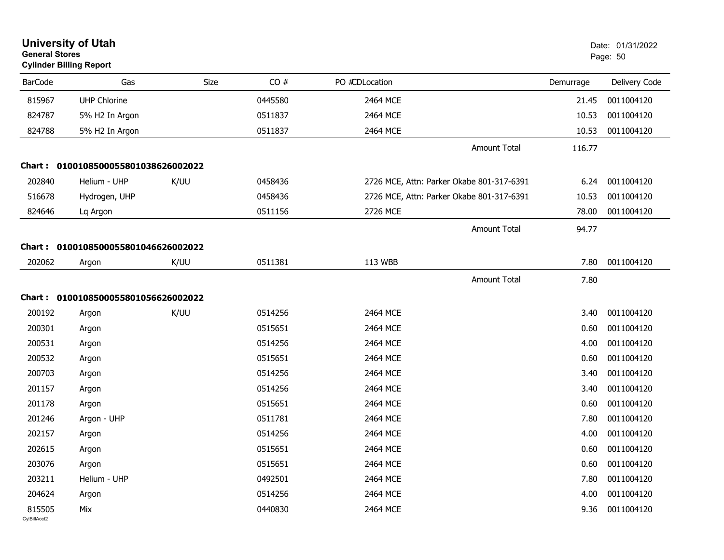| <b>General Stores</b>  | <b>University of Utah</b><br><b>Cylinder Billing Report</b> |      |         |                                           |           | Date: 01/31/2022<br>Page: 50 |
|------------------------|-------------------------------------------------------------|------|---------|-------------------------------------------|-----------|------------------------------|
| <b>BarCode</b>         | Gas                                                         | Size | CO#     | PO #CDLocation                            | Demurrage | Delivery Code                |
| 815967                 | <b>UHP Chlorine</b>                                         |      | 0445580 | 2464 MCE                                  | 21.45     | 0011004120                   |
| 824787                 | 5% H2 In Argon                                              |      | 0511837 | 2464 MCE                                  | 10.53     | 0011004120                   |
| 824788                 | 5% H2 In Argon                                              |      | 0511837 | 2464 MCE                                  | 10.53     | 0011004120                   |
|                        |                                                             |      |         | <b>Amount Total</b>                       | 116.77    |                              |
|                        | Chart: 0100108500055801038626002022                         |      |         |                                           |           |                              |
| 202840                 | Helium - UHP                                                | K/UU | 0458436 | 2726 MCE, Attn: Parker Okabe 801-317-6391 | 6.24      | 0011004120                   |
| 516678                 | Hydrogen, UHP                                               |      | 0458436 | 2726 MCE, Attn: Parker Okabe 801-317-6391 | 10.53     | 0011004120                   |
| 824646                 | Lq Argon                                                    |      | 0511156 | 2726 MCE                                  | 78.00     | 0011004120                   |
|                        |                                                             |      |         | <b>Amount Total</b>                       | 94.77     |                              |
|                        | Chart: 0100108500055801046626002022                         |      |         |                                           |           |                              |
| 202062                 | Argon                                                       | K/UU | 0511381 | 113 WBB                                   | 7.80      | 0011004120                   |
|                        |                                                             |      |         | <b>Amount Total</b>                       | 7.80      |                              |
|                        | Chart: 0100108500055801056626002022                         |      |         |                                           |           |                              |
| 200192                 | Argon                                                       | K/UU | 0514256 | 2464 MCE                                  | 3.40      | 0011004120                   |
| 200301                 | Argon                                                       |      | 0515651 | 2464 MCE                                  | 0.60      | 0011004120                   |
| 200531                 | Argon                                                       |      | 0514256 | 2464 MCE                                  | 4.00      | 0011004120                   |
| 200532                 | Argon                                                       |      | 0515651 | 2464 MCE                                  | 0.60      | 0011004120                   |
| 200703                 | Argon                                                       |      | 0514256 | 2464 MCE                                  | 3.40      | 0011004120                   |
| 201157                 | Argon                                                       |      | 0514256 | 2464 MCE                                  | 3.40      | 0011004120                   |
| 201178                 | Argon                                                       |      | 0515651 | 2464 MCE                                  | 0.60      | 0011004120                   |
| 201246                 | Argon - UHP                                                 |      | 0511781 | 2464 MCE                                  | 7.80      | 0011004120                   |
| 202157                 | Argon                                                       |      | 0514256 | 2464 MCE                                  | 4.00      | 0011004120                   |
| 202615                 | Argon                                                       |      | 0515651 | 2464 MCE                                  | 0.60      | 0011004120                   |
| 203076                 | Argon                                                       |      | 0515651 | 2464 MCE                                  | 0.60      | 0011004120                   |
| 203211                 | Helium - UHP                                                |      | 0492501 | 2464 MCE                                  | 7.80      | 0011004120                   |
| 204624                 | Argon                                                       |      | 0514256 | 2464 MCE                                  | 4.00      | 0011004120                   |
| 815505<br>CylBillAcct2 | Mix                                                         |      | 0440830 | 2464 MCE                                  | 9.36      | 0011004120                   |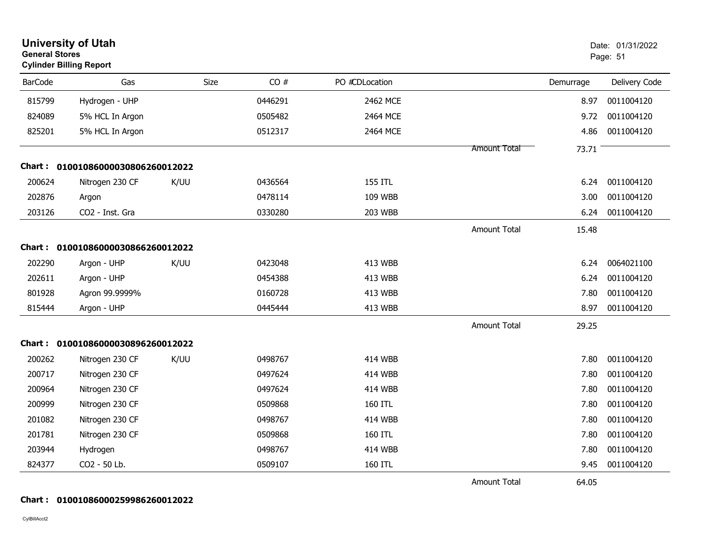| <b>General Stores</b> | <b>University of Utah</b><br><b>Cylinder Billing Report</b> |      |         |                |                     |           | Date: 01/31/2022<br>Page: 51 |
|-----------------------|-------------------------------------------------------------|------|---------|----------------|---------------------|-----------|------------------------------|
| <b>BarCode</b>        | Gas                                                         | Size | CO#     | PO #CDLocation |                     | Demurrage | Delivery Code                |
| 815799                | Hydrogen - UHP                                              |      | 0446291 | 2462 MCE       |                     | 8.97      | 0011004120                   |
| 824089                | 5% HCL In Argon                                             |      | 0505482 | 2464 MCE       |                     | 9.72      | 0011004120                   |
| 825201                | 5% HCL In Argon                                             |      | 0512317 | 2464 MCE       |                     | 4.86      | 0011004120                   |
|                       |                                                             |      |         |                | <b>Amount Total</b> | 73.71     |                              |
|                       | Chart: 01001086000030806260012022                           |      |         |                |                     |           |                              |
| 200624                | Nitrogen 230 CF                                             | K/UU | 0436564 | 155 ITL        |                     | 6.24      | 0011004120                   |
| 202876                | Argon                                                       |      | 0478114 | 109 WBB        |                     | 3.00      | 0011004120                   |
| 203126                | CO2 - Inst. Gra                                             |      | 0330280 | 203 WBB        |                     | 6.24      | 0011004120                   |
|                       |                                                             |      |         |                | <b>Amount Total</b> | 15.48     |                              |
|                       | Chart: 01001086000030866260012022                           |      |         |                |                     |           |                              |
| 202290                | Argon - UHP                                                 | K/UU | 0423048 | 413 WBB        |                     | 6.24      | 0064021100                   |
| 202611                | Argon - UHP                                                 |      | 0454388 | 413 WBB        |                     | 6.24      | 0011004120                   |
| 801928                | Agron 99.9999%                                              |      | 0160728 | 413 WBB        |                     | 7.80      | 0011004120                   |
| 815444                | Argon - UHP                                                 |      | 0445444 | 413 WBB        |                     | 8.97      | 0011004120                   |
|                       |                                                             |      |         |                | <b>Amount Total</b> | 29.25     |                              |
|                       | Chart: 01001086000030896260012022                           |      |         |                |                     |           |                              |
| 200262                | Nitrogen 230 CF                                             | K/UU | 0498767 | <b>414 WBB</b> |                     | 7.80      | 0011004120                   |
| 200717                | Nitrogen 230 CF                                             |      | 0497624 | <b>414 WBB</b> |                     | 7.80      | 0011004120                   |
| 200964                | Nitrogen 230 CF                                             |      | 0497624 | <b>414 WBB</b> |                     | 7.80      | 0011004120                   |
| 200999                | Nitrogen 230 CF                                             |      | 0509868 | 160 ITL        |                     | 7.80      | 0011004120                   |
| 201082                | Nitrogen 230 CF                                             |      | 0498767 | <b>414 WBB</b> |                     | 7.80      | 0011004120                   |
| 201781                | Nitrogen 230 CF                                             |      | 0509868 | 160 ITL        |                     | 7.80      | 0011004120                   |
| 203944                | Hydrogen                                                    |      | 0498767 | <b>414 WBB</b> |                     | 7.80      | 0011004120                   |
| 824377                | CO2 - 50 Lb.                                                |      | 0509107 | 160 ITL        |                     | 9.45      | 0011004120                   |
|                       |                                                             |      |         |                | <b>Amount Total</b> | 64.05     |                              |

#### **Chart : 01001086000259986260012022**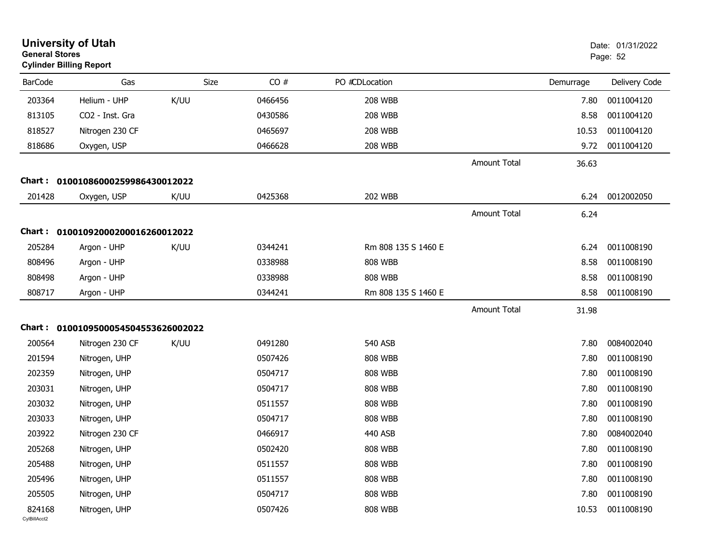| <b>General Stores</b>  | <b>University of Utah</b><br><b>Cylinder Billing Report</b> |      |         |                     |                     |           | Date: 01/31/2022<br>Page: 52 |
|------------------------|-------------------------------------------------------------|------|---------|---------------------|---------------------|-----------|------------------------------|
| <b>BarCode</b>         | Gas                                                         | Size | CO#     | PO #CDLocation      |                     | Demurrage | Delivery Code                |
| 203364                 | Helium - UHP                                                | K/UU | 0466456 | <b>208 WBB</b>      |                     | 7.80      | 0011004120                   |
| 813105                 | CO2 - Inst. Gra                                             |      | 0430586 | <b>208 WBB</b>      |                     | 8.58      | 0011004120                   |
| 818527                 | Nitrogen 230 CF                                             |      | 0465697 | <b>208 WBB</b>      |                     | 10.53     | 0011004120                   |
| 818686                 | Oxygen, USP                                                 |      | 0466628 | <b>208 WBB</b>      |                     | 9.72      | 0011004120                   |
|                        |                                                             |      |         |                     | <b>Amount Total</b> | 36.63     |                              |
| Chart :                | 01001086000259986430012022                                  |      |         |                     |                     |           |                              |
| 201428                 | Oxygen, USP                                                 | K/UU | 0425368 | <b>202 WBB</b>      |                     | 6.24      | 0012002050                   |
|                        |                                                             |      |         |                     | <b>Amount Total</b> | 6.24      |                              |
|                        | Chart: 01001092000200016260012022                           |      |         |                     |                     |           |                              |
| 205284                 | Argon - UHP                                                 | K/UU | 0344241 | Rm 808 135 S 1460 E |                     | 6.24      | 0011008190                   |
| 808496                 | Argon - UHP                                                 |      | 0338988 | <b>808 WBB</b>      |                     | 8.58      | 0011008190                   |
| 808498                 | Argon - UHP                                                 |      | 0338988 | <b>808 WBB</b>      |                     | 8.58      | 0011008190                   |
| 808717                 | Argon - UHP                                                 |      | 0344241 | Rm 808 135 S 1460 E |                     | 8.58      | 0011008190                   |
|                        |                                                             |      |         |                     | <b>Amount Total</b> | 31.98     |                              |
|                        | Chart: 0100109500054504553626002022                         |      |         |                     |                     |           |                              |
| 200564                 | Nitrogen 230 CF                                             | K/UU | 0491280 | 540 ASB             |                     | 7.80      | 0084002040                   |
| 201594                 | Nitrogen, UHP                                               |      | 0507426 | <b>808 WBB</b>      |                     | 7.80      | 0011008190                   |
| 202359                 | Nitrogen, UHP                                               |      | 0504717 | <b>808 WBB</b>      |                     | 7.80      | 0011008190                   |
| 203031                 | Nitrogen, UHP                                               |      | 0504717 | <b>808 WBB</b>      |                     | 7.80      | 0011008190                   |
| 203032                 | Nitrogen, UHP                                               |      | 0511557 | <b>808 WBB</b>      |                     | 7.80      | 0011008190                   |
| 203033                 | Nitrogen, UHP                                               |      | 0504717 | <b>808 WBB</b>      |                     | 7.80      | 0011008190                   |
| 203922                 | Nitrogen 230 CF                                             |      | 0466917 | 440 ASB             |                     | 7.80      | 0084002040                   |
| 205268                 | Nitrogen, UHP                                               |      | 0502420 | <b>808 WBB</b>      |                     | 7.80      | 0011008190                   |
| 205488                 | Nitrogen, UHP                                               |      | 0511557 | <b>808 WBB</b>      |                     | 7.80      | 0011008190                   |
| 205496                 | Nitrogen, UHP                                               |      | 0511557 | <b>808 WBB</b>      |                     | 7.80      | 0011008190                   |
| 205505                 | Nitrogen, UHP                                               |      | 0504717 | <b>808 WBB</b>      |                     | 7.80      | 0011008190                   |
| 824168<br>CvIBillAcct2 | Nitrogen, UHP                                               |      | 0507426 | <b>808 WBB</b>      |                     | 10.53     | 0011008190                   |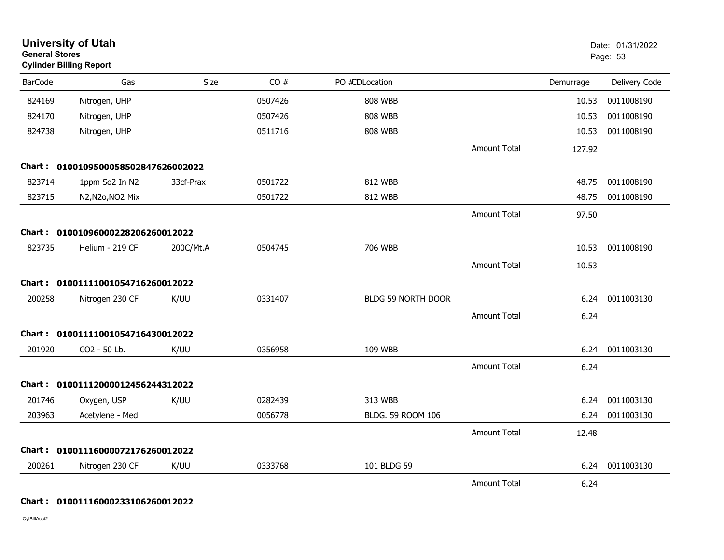| <b>General Stores</b> | <b>University of Utah</b><br><b>Cylinder Billing Report</b> |           |         |                    |                     |           | Date: 01/31/2022<br>Page: 53 |
|-----------------------|-------------------------------------------------------------|-----------|---------|--------------------|---------------------|-----------|------------------------------|
| <b>BarCode</b>        | Gas                                                         | Size      | CO#     | PO #CDLocation     |                     | Demurrage | Delivery Code                |
| 824169                | Nitrogen, UHP                                               |           | 0507426 | <b>808 WBB</b>     |                     | 10.53     | 0011008190                   |
| 824170                | Nitrogen, UHP                                               |           | 0507426 | <b>808 WBB</b>     |                     | 10.53     | 0011008190                   |
| 824738                | Nitrogen, UHP                                               |           | 0511716 | <b>808 WBB</b>     |                     | 10.53     | 0011008190                   |
|                       |                                                             |           |         |                    | <b>Amount Total</b> | 127.92    |                              |
|                       | Chart: 0100109500058502847626002022                         |           |         |                    |                     |           |                              |
| 823714                | 1ppm So2 In N2                                              | 33cf-Prax | 0501722 | 812 WBB            |                     | 48.75     | 0011008190                   |
| 823715                | N2, N2o, NO2 Mix                                            |           | 0501722 | 812 WBB            |                     | 48.75     | 0011008190                   |
|                       |                                                             |           |         |                    | <b>Amount Total</b> | 97.50     |                              |
|                       | Chart: 01001096000228206260012022                           |           |         |                    |                     |           |                              |
| 823735                | Helium - 219 CF                                             | 200C/Mt.A | 0504745 | 706 WBB            |                     | 10.53     | 0011008190                   |
|                       |                                                             |           |         |                    | <b>Amount Total</b> | 10.53     |                              |
|                       | Chart: 01001111001054716260012022                           |           |         |                    |                     |           |                              |
| 200258                | Nitrogen 230 CF                                             | K/UU      | 0331407 | BLDG 59 NORTH DOOR |                     | 6.24      | 0011003130                   |
|                       |                                                             |           |         |                    | <b>Amount Total</b> | 6.24      |                              |
|                       | Chart: 01001111001054716430012022                           |           |         |                    |                     |           |                              |
| 201920                | CO <sub>2</sub> - 50 Lb.                                    | K/UU      | 0356958 | 109 WBB            |                     | 6.24      | 0011003130                   |
|                       |                                                             |           |         |                    | <b>Amount Total</b> | 6.24      |                              |
|                       | Chart: 01001112000012456244312022                           |           |         |                    |                     |           |                              |
| 201746                | Oxygen, USP                                                 | K/UU      | 0282439 | 313 WBB            |                     | 6.24      | 0011003130                   |
| 203963                | Acetylene - Med                                             |           | 0056778 | BLDG. 59 ROOM 106  |                     | 6.24      | 0011003130                   |
|                       |                                                             |           |         |                    | <b>Amount Total</b> | 12.48     |                              |
|                       | Chart: 01001116000072176260012022                           |           |         |                    |                     |           |                              |
| 200261                | Nitrogen 230 CF                                             | K/UU      | 0333768 | 101 BLDG 59        |                     | 6.24      | 0011003130                   |
|                       |                                                             |           |         |                    | <b>Amount Total</b> | 6.24      |                              |

#### **Chart : 01001116000233106260012022**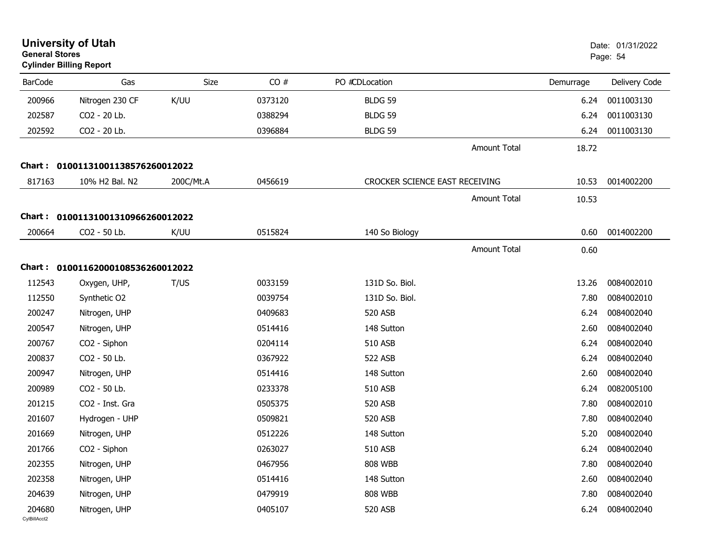| <b>General Stores</b>  | <b>University of Utah</b><br><b>Cylinder Billing Report</b> |           |         |                                |                     |           | Date: 01/31/2022<br>Page: 54 |
|------------------------|-------------------------------------------------------------|-----------|---------|--------------------------------|---------------------|-----------|------------------------------|
| <b>BarCode</b>         | Gas                                                         | Size      | CO#     | PO #CDLocation                 |                     | Demurrage | Delivery Code                |
| 200966                 | Nitrogen 230 CF                                             | K/UU      | 0373120 | <b>BLDG 59</b>                 |                     | 6.24      | 0011003130                   |
| 202587                 | CO2 - 20 Lb.                                                |           | 0388294 | <b>BLDG 59</b>                 |                     | 6.24      | 0011003130                   |
| 202592                 | CO2 - 20 Lb.                                                |           | 0396884 | <b>BLDG 59</b>                 |                     | 6.24      | 0011003130                   |
|                        |                                                             |           |         |                                | <b>Amount Total</b> | 18.72     |                              |
|                        | Chart: 01001131001138576260012022                           |           |         |                                |                     |           |                              |
| 817163                 | 10% H2 Bal. N2                                              | 200C/Mt.A | 0456619 | CROCKER SCIENCE EAST RECEIVING |                     | 10.53     | 0014002200                   |
|                        |                                                             |           |         |                                | <b>Amount Total</b> | 10.53     |                              |
|                        | Chart: 01001131001310966260012022                           |           |         |                                |                     |           |                              |
| 200664                 | CO2 - 50 Lb.                                                | K/UU      | 0515824 | 140 So Biology                 |                     | 0.60      | 0014002200                   |
|                        |                                                             |           |         |                                | <b>Amount Total</b> | 0.60      |                              |
| Chart :                | 01001162000108536260012022                                  |           |         |                                |                     |           |                              |
| 112543                 | Oxygen, UHP,                                                | T/US      | 0033159 | 131D So. Biol.                 |                     | 13.26     | 0084002010                   |
| 112550                 | Synthetic O2                                                |           | 0039754 | 131D So. Biol.                 |                     | 7.80      | 0084002010                   |
| 200247                 | Nitrogen, UHP                                               |           | 0409683 | 520 ASB                        |                     | 6.24      | 0084002040                   |
| 200547                 | Nitrogen, UHP                                               |           | 0514416 | 148 Sutton                     |                     | 2.60      | 0084002040                   |
| 200767                 | CO2 - Siphon                                                |           | 0204114 | 510 ASB                        |                     | 6.24      | 0084002040                   |
| 200837                 | CO2 - 50 Lb.                                                |           | 0367922 | 522 ASB                        |                     | 6.24      | 0084002040                   |
| 200947                 | Nitrogen, UHP                                               |           | 0514416 | 148 Sutton                     |                     | 2.60      | 0084002040                   |
| 200989                 | CO2 - 50 Lb.                                                |           | 0233378 | 510 ASB                        |                     | 6.24      | 0082005100                   |
| 201215                 | CO2 - Inst. Gra                                             |           | 0505375 | 520 ASB                        |                     | 7.80      | 0084002010                   |
| 201607                 | Hydrogen - UHP                                              |           | 0509821 | 520 ASB                        |                     | 7.80      | 0084002040                   |
| 201669                 | Nitrogen, UHP                                               |           | 0512226 | 148 Sutton                     |                     | 5.20      | 0084002040                   |
| 201766                 | CO2 - Siphon                                                |           | 0263027 | 510 ASB                        |                     | 6.24      | 0084002040                   |
| 202355                 | Nitrogen, UHP                                               |           | 0467956 | <b>808 WBB</b>                 |                     | 7.80      | 0084002040                   |
| 202358                 | Nitrogen, UHP                                               |           | 0514416 | 148 Sutton                     |                     | 2.60      | 0084002040                   |
| 204639                 | Nitrogen, UHP                                               |           | 0479919 | <b>808 WBB</b>                 |                     | 7.80      | 0084002040                   |
| 204680<br>CylBillAcct2 | Nitrogen, UHP                                               |           | 0405107 | 520 ASB                        |                     | 6.24      | 0084002040                   |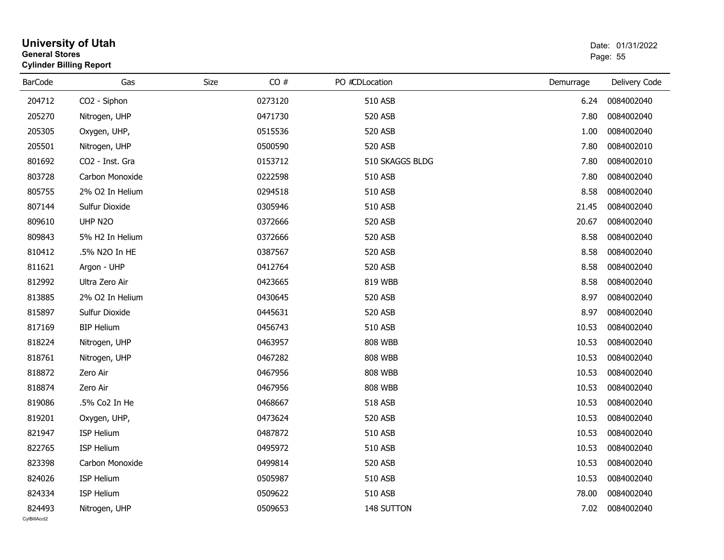| <b>General Stores</b>  | <b>University of Utah</b><br><b>Cylinder Billing Report</b> |      |         |                 |           | Date: 01/31/2022<br>Page: 55 |
|------------------------|-------------------------------------------------------------|------|---------|-----------------|-----------|------------------------------|
| <b>BarCode</b>         | Gas                                                         | Size | CO#     | PO #CDLocation  | Demurrage | Delivery Code                |
| 204712                 | CO2 - Siphon                                                |      | 0273120 | 510 ASB         | 6.24      | 0084002040                   |
| 205270                 | Nitrogen, UHP                                               |      | 0471730 | 520 ASB         | 7.80      | 0084002040                   |
| 205305                 | Oxygen, UHP,                                                |      | 0515536 | <b>520 ASB</b>  | 1.00      | 0084002040                   |
| 205501                 | Nitrogen, UHP                                               |      | 0500590 | 520 ASB         | 7.80      | 0084002010                   |
| 801692                 | CO2 - Inst. Gra                                             |      | 0153712 | 510 SKAGGS BLDG | 7.80      | 0084002010                   |
| 803728                 | Carbon Monoxide                                             |      | 0222598 | 510 ASB         | 7.80      | 0084002040                   |
| 805755                 | 2% O2 In Helium                                             |      | 0294518 | 510 ASB         | 8.58      | 0084002040                   |
| 807144                 | Sulfur Dioxide                                              |      | 0305946 | 510 ASB         | 21.45     | 0084002040                   |
| 809610                 | UHP N2O                                                     |      | 0372666 | 520 ASB         | 20.67     | 0084002040                   |
| 809843                 | 5% H2 In Helium                                             |      | 0372666 | 520 ASB         | 8.58      | 0084002040                   |
| 810412                 | .5% N2O In HE                                               |      | 0387567 | 520 ASB         | 8.58      | 0084002040                   |
| 811621                 | Argon - UHP                                                 |      | 0412764 | 520 ASB         | 8.58      | 0084002040                   |
| 812992                 | Ultra Zero Air                                              |      | 0423665 | 819 WBB         | 8.58      | 0084002040                   |
| 813885                 | 2% O2 In Helium                                             |      | 0430645 | 520 ASB         | 8.97      | 0084002040                   |
| 815897                 | Sulfur Dioxide                                              |      | 0445631 | 520 ASB         | 8.97      | 0084002040                   |
| 817169                 | <b>BIP Helium</b>                                           |      | 0456743 | 510 ASB         | 10.53     | 0084002040                   |
| 818224                 | Nitrogen, UHP                                               |      | 0463957 | <b>808 WBB</b>  | 10.53     | 0084002040                   |
| 818761                 | Nitrogen, UHP                                               |      | 0467282 | <b>808 WBB</b>  | 10.53     | 0084002040                   |
| 818872                 | Zero Air                                                    |      | 0467956 | <b>808 WBB</b>  | 10.53     | 0084002040                   |
| 818874                 | Zero Air                                                    |      | 0467956 | <b>808 WBB</b>  | 10.53     | 0084002040                   |
| 819086                 | .5% Co2 In He                                               |      | 0468667 | 518 ASB         | 10.53     | 0084002040                   |
| 819201                 | Oxygen, UHP,                                                |      | 0473624 | 520 ASB         | 10.53     | 0084002040                   |
| 821947                 | ISP Helium                                                  |      | 0487872 | 510 ASB         | 10.53     | 0084002040                   |
| 822765                 | ISP Helium                                                  |      | 0495972 | 510 ASB         | 10.53     | 0084002040                   |
| 823398                 | Carbon Monoxide                                             |      | 0499814 | 520 ASB         | 10.53     | 0084002040                   |
| 824026                 | ISP Helium                                                  |      | 0505987 | 510 ASB         | 10.53     | 0084002040                   |
| 824334                 | ISP Helium                                                  |      | 0509622 | 510 ASB         | 78.00     | 0084002040                   |
| 824493<br>CvIBillAcct2 | Nitrogen, UHP                                               |      | 0509653 | 148 SUTTON      | 7.02      | 0084002040                   |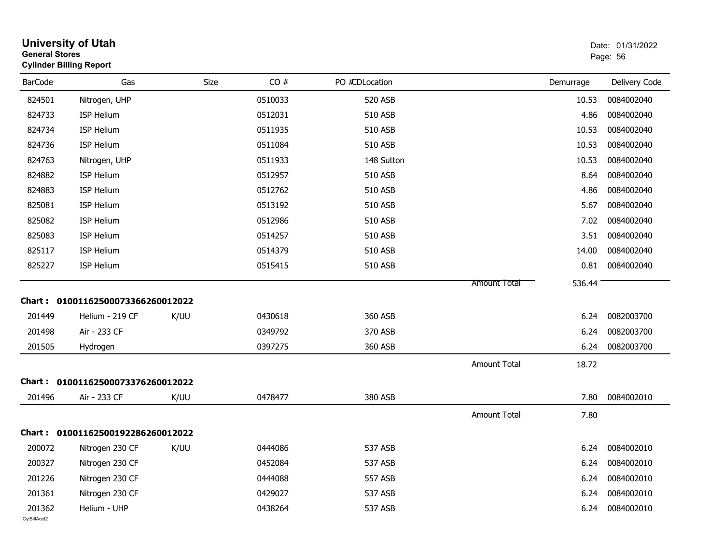| <b>General Stores</b>  | <b>University of Utah</b><br><b>Cylinder Billing Report</b> |      |         |                |                     |           | Date: 01/31/2022<br>Page: 56 |
|------------------------|-------------------------------------------------------------|------|---------|----------------|---------------------|-----------|------------------------------|
| <b>BarCode</b>         | Gas                                                         | Size | CO#     | PO #CDLocation |                     | Demurrage | Delivery Code                |
| 824501                 | Nitrogen, UHP                                               |      | 0510033 | <b>520 ASB</b> |                     | 10.53     | 0084002040                   |
| 824733                 | ISP Helium                                                  |      | 0512031 | 510 ASB        |                     | 4.86      | 0084002040                   |
| 824734                 | <b>ISP Helium</b>                                           |      | 0511935 | 510 ASB        |                     | 10.53     | 0084002040                   |
| 824736                 | <b>ISP Helium</b>                                           |      | 0511084 | 510 ASB        |                     | 10.53     | 0084002040                   |
| 824763                 | Nitrogen, UHP                                               |      | 0511933 | 148 Sutton     |                     | 10.53     | 0084002040                   |
| 824882                 | <b>ISP Helium</b>                                           |      | 0512957 | 510 ASB        |                     | 8.64      | 0084002040                   |
| 824883                 | <b>ISP Helium</b>                                           |      | 0512762 | 510 ASB        |                     | 4.86      | 0084002040                   |
| 825081                 | ISP Helium                                                  |      | 0513192 | 510 ASB        |                     | 5.67      | 0084002040                   |
| 825082                 | <b>ISP Helium</b>                                           |      | 0512986 | 510 ASB        |                     | 7.02      | 0084002040                   |
| 825083                 | ISP Helium                                                  |      | 0514257 | 510 ASB        |                     | 3.51      | 0084002040                   |
| 825117                 | <b>ISP Helium</b>                                           |      | 0514379 | 510 ASB        |                     | 14.00     | 0084002040                   |
| 825227                 | ISP Helium                                                  |      | 0515415 | 510 ASB        |                     | 0.81      | 0084002040                   |
|                        |                                                             |      |         |                | <b>Amount Total</b> | 536.44    |                              |
|                        | Chart: 01001162500073366260012022                           |      |         |                |                     |           |                              |
| 201449                 | Helium - 219 CF                                             | K/UU | 0430618 | 360 ASB        |                     | 6.24      | 0082003700                   |
| 201498                 | Air - 233 CF                                                |      | 0349792 | 370 ASB        |                     | 6.24      | 0082003700                   |
| 201505                 | Hydrogen                                                    |      | 0397275 | 360 ASB        |                     | 6.24      | 0082003700                   |
|                        |                                                             |      |         |                | Amount Total        | 18.72     |                              |
|                        | Chart: 01001162500073376260012022                           |      |         |                |                     |           |                              |
| 201496                 | Air - 233 CF                                                | K/UU | 0478477 | 380 ASB        |                     | 7.80      | 0084002010                   |
|                        |                                                             |      |         |                | <b>Amount Total</b> | 7.80      |                              |
|                        | Chart: 01001162500192286260012022                           |      |         |                |                     |           |                              |
| 200072                 | Nitrogen 230 CF                                             | K/UU | 0444086 | 537 ASB        |                     | 6.24      | 0084002010                   |
| 200327                 | Nitrogen 230 CF                                             |      | 0452084 | 537 ASB        |                     |           | 6.24 0084002010              |
| 201226                 | Nitrogen 230 CF                                             |      | 0444088 | 557 ASB        |                     | 6.24      | 0084002010                   |
| 201361                 | Nitrogen 230 CF                                             |      | 0429027 | 537 ASB        |                     | 6.24      | 0084002010                   |
| 201362<br>CylBillAcct2 | Helium - UHP                                                |      | 0438264 | 537 ASB        |                     | 6.24      | 0084002010                   |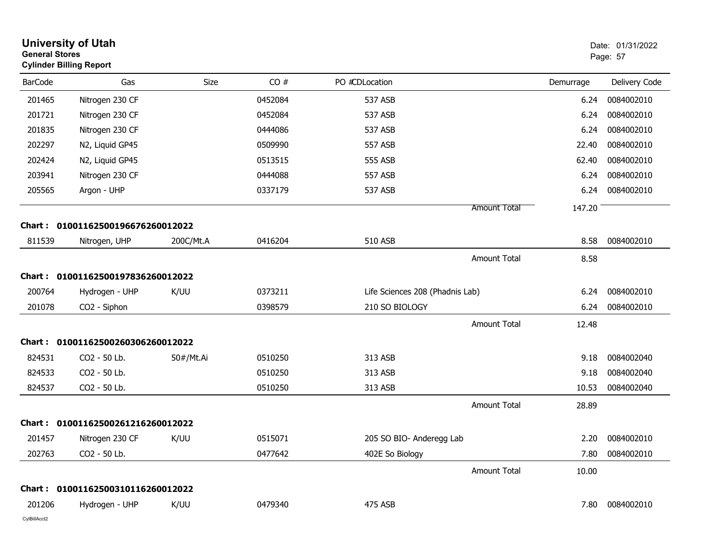| <b>General Stores</b> | <b>University of Utah</b><br><b>Cylinder Billing Report</b> |           |         |                                 |                     |           | Date: 01/31/2022<br>Page: 57 |
|-----------------------|-------------------------------------------------------------|-----------|---------|---------------------------------|---------------------|-----------|------------------------------|
| <b>BarCode</b>        | Gas                                                         | Size      | CO#     | PO #CDLocation                  |                     | Demurrage | Delivery Code                |
| 201465                | Nitrogen 230 CF                                             |           | 0452084 | 537 ASB                         |                     | 6.24      | 0084002010                   |
| 201721                | Nitrogen 230 CF                                             |           | 0452084 | 537 ASB                         |                     | 6.24      | 0084002010                   |
| 201835                | Nitrogen 230 CF                                             |           | 0444086 | 537 ASB                         |                     | 6.24      | 0084002010                   |
| 202297                | N2, Liquid GP45                                             |           | 0509990 | 557 ASB                         |                     | 22.40     | 0084002010                   |
| 202424                | N2, Liquid GP45                                             |           | 0513515 | 555 ASB                         |                     | 62.40     | 0084002010                   |
| 203941                | Nitrogen 230 CF                                             |           | 0444088 | 557 ASB                         |                     | 6.24      | 0084002010                   |
| 205565                | Argon - UHP                                                 |           | 0337179 | 537 ASB                         |                     | 6.24      | 0084002010                   |
|                       |                                                             |           |         |                                 | Amount Total        | 147.20    |                              |
| Chart :               | 01001162500196676260012022                                  |           |         |                                 |                     |           |                              |
| 811539                | Nitrogen, UHP                                               | 200C/Mt.A | 0416204 | 510 ASB                         |                     | 8.58      | 0084002010                   |
|                       |                                                             |           |         |                                 | <b>Amount Total</b> | 8.58      |                              |
| Chart :               | 01001162500197836260012022                                  |           |         |                                 |                     |           |                              |
| 200764                | Hydrogen - UHP                                              | K/UU      | 0373211 | Life Sciences 208 (Phadnis Lab) |                     | 6.24      | 0084002010                   |
| 201078                | CO2 - Siphon                                                |           | 0398579 | 210 SO BIOLOGY                  |                     | 6.24      | 0084002010                   |
|                       |                                                             |           |         |                                 | Amount Total        | 12.48     |                              |
| Chart :               | 01001162500260306260012022                                  |           |         |                                 |                     |           |                              |
| 824531                | CO2 - 50 Lb.                                                | 50#/Mt.Ai | 0510250 | 313 ASB                         |                     | 9.18      | 0084002040                   |
| 824533                | CO2 - 50 Lb.                                                |           | 0510250 | 313 ASB                         |                     | 9.18      | 0084002040                   |
| 824537                | CO2 - 50 Lb.                                                |           | 0510250 | 313 ASB                         |                     | 10.53     | 0084002040                   |
|                       |                                                             |           |         |                                 | <b>Amount Total</b> | 28.89     |                              |
| Chart :               | 01001162500261216260012022                                  |           |         |                                 |                     |           |                              |
| 201457                | Nitrogen 230 CF                                             | K/UU      | 0515071 | 205 SO BIO- Anderegg Lab        |                     | 2.20      | 0084002010                   |
| 202763                | CO2 - 50 Lb.                                                |           | 0477642 | 402E So Biology                 |                     | 7.80      | 0084002010                   |
|                       |                                                             |           |         |                                 | Amount Total        | 10.00     |                              |
|                       | Chart: 01001162500310116260012022                           |           |         |                                 |                     |           |                              |
| 201206                | Hydrogen - UHP                                              | K/UU      | 0479340 | 475 ASB                         |                     | 7.80      | 0084002010                   |
| CylBillAcct2          |                                                             |           |         |                                 |                     |           |                              |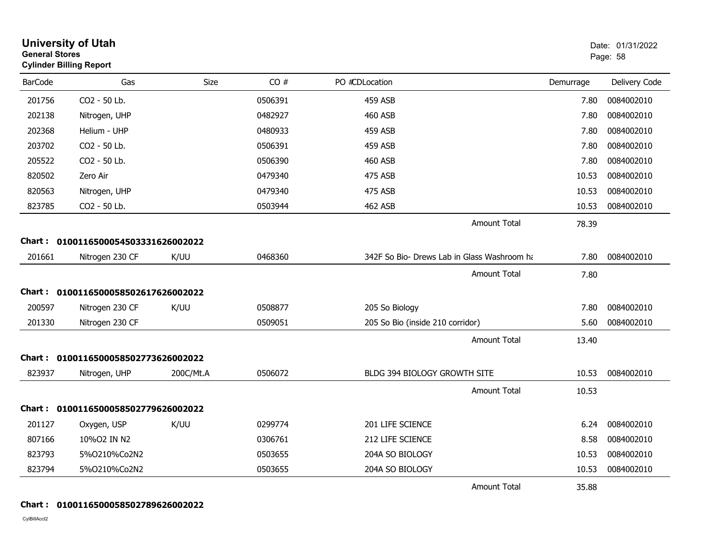| <b>General Stores</b> | <b>University of Utah</b><br><b>Cylinder Billing Report</b> |           |         |                                             |           | Date: 01/31/2022<br>Page: 58 |
|-----------------------|-------------------------------------------------------------|-----------|---------|---------------------------------------------|-----------|------------------------------|
| <b>BarCode</b>        | Gas                                                         | Size      | CO#     | PO #CDLocation                              | Demurrage | Delivery Code                |
| 201756                | CO2 - 50 Lb.                                                |           | 0506391 | 459 ASB                                     | 7.80      | 0084002010                   |
| 202138                | Nitrogen, UHP                                               |           | 0482927 | <b>460 ASB</b>                              | 7.80      | 0084002010                   |
| 202368                | Helium - UHP                                                |           | 0480933 | 459 ASB                                     | 7.80      | 0084002010                   |
| 203702                | CO2 - 50 Lb.                                                |           | 0506391 | 459 ASB                                     | 7.80      | 0084002010                   |
| 205522                | CO2 - 50 Lb.                                                |           | 0506390 | 460 ASB                                     | 7.80      | 0084002010                   |
| 820502                | Zero Air                                                    |           | 0479340 | 475 ASB                                     | 10.53     | 0084002010                   |
| 820563                | Nitrogen, UHP                                               |           | 0479340 | 475 ASB                                     | 10.53     | 0084002010                   |
| 823785                | CO2 - 50 Lb.                                                |           | 0503944 | <b>462 ASB</b>                              | 10.53     | 0084002010                   |
|                       |                                                             |           |         | <b>Amount Total</b>                         | 78.39     |                              |
|                       | Chart: 0100116500054503331626002022                         |           |         |                                             |           |                              |
| 201661                | Nitrogen 230 CF                                             | K/UU      | 0468360 | 342F So Bio- Drews Lab in Glass Washroom ha | 7.80      | 0084002010                   |
|                       |                                                             |           |         | <b>Amount Total</b>                         | 7.80      |                              |
|                       | Chart: 0100116500058502617626002022                         |           |         |                                             |           |                              |
| 200597                | Nitrogen 230 CF                                             | K/UU      | 0508877 | 205 So Biology                              | 7.80      | 0084002010                   |
| 201330                | Nitrogen 230 CF                                             |           | 0509051 | 205 So Bio (inside 210 corridor)            | 5.60      | 0084002010                   |
|                       |                                                             |           |         | <b>Amount Total</b>                         | 13.40     |                              |
| Chart :               | 0100116500058502773626002022                                |           |         |                                             |           |                              |
| 823937                | Nitrogen, UHP                                               | 200C/Mt.A | 0506072 | <b>BLDG 394 BIOLOGY GROWTH SITE</b>         | 10.53     | 0084002010                   |
|                       |                                                             |           |         | <b>Amount Total</b>                         | 10.53     |                              |
|                       | Chart: 0100116500058502779626002022                         |           |         |                                             |           |                              |
| 201127                | Oxygen, USP                                                 | K/UU      | 0299774 | 201 LIFE SCIENCE                            | 6.24      | 0084002010                   |
| 807166                | 10%02 IN N2                                                 |           | 0306761 | <b>212 LIFE SCIENCE</b>                     | 8.58      | 0084002010                   |
| 823793                | 5%0210%Co2N2                                                |           | 0503655 | 204A SO BIOLOGY                             | 10.53     | 0084002010                   |
| 823794                | 5%0210%Co2N2                                                |           | 0503655 | 204A SO BIOLOGY                             | 10.53     | 0084002010                   |
|                       |                                                             |           |         | <b>Amount Total</b>                         | 35.88     |                              |

#### **Chart : 0100116500058502789626002022**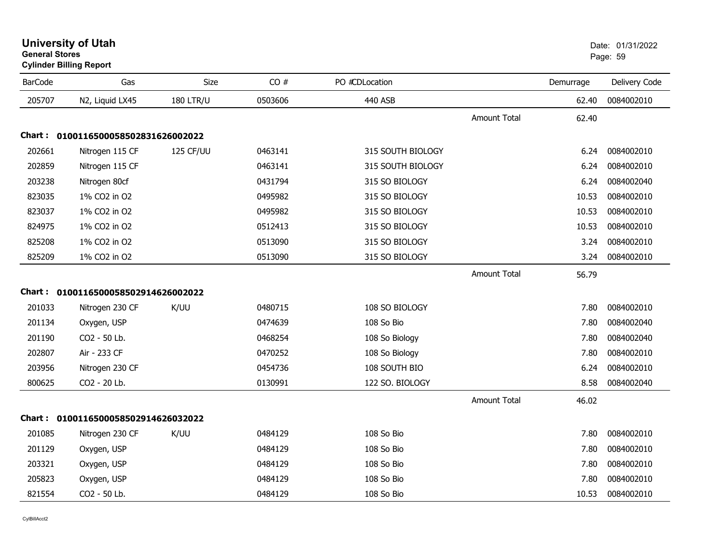|                | <b>Cylinder Billing Report</b>      |                  |         |                   |                     |           |               |
|----------------|-------------------------------------|------------------|---------|-------------------|---------------------|-----------|---------------|
| <b>BarCode</b> | Gas                                 | <b>Size</b>      | CO#     | PO #CDLocation    |                     | Demurrage | Delivery Code |
| 205707         | N2, Liquid LX45                     | <b>180 LTR/U</b> | 0503606 | 440 ASB           |                     | 62.40     | 0084002010    |
|                |                                     |                  |         |                   | <b>Amount Total</b> | 62.40     |               |
|                | Chart: 0100116500058502831626002022 |                  |         |                   |                     |           |               |
| 202661         | Nitrogen 115 CF                     | 125 CF/UU        | 0463141 | 315 SOUTH BIOLOGY |                     | 6.24      | 0084002010    |
| 202859         | Nitrogen 115 CF                     |                  | 0463141 | 315 SOUTH BIOLOGY |                     | 6.24      | 0084002010    |
| 203238         | Nitrogen 80cf                       |                  | 0431794 | 315 SO BIOLOGY    |                     | 6.24      | 0084002040    |
| 823035         | 1% CO2 in O2                        |                  | 0495982 | 315 SO BIOLOGY    |                     | 10.53     | 0084002010    |
| 823037         | 1% CO2 in O2                        |                  | 0495982 | 315 SO BIOLOGY    |                     | 10.53     | 0084002010    |
| 824975         | 1% CO2 in O2                        |                  | 0512413 | 315 SO BIOLOGY    |                     | 10.53     | 0084002010    |
| 825208         | 1% CO2 in O2                        |                  | 0513090 | 315 SO BIOLOGY    |                     | 3.24      | 0084002010    |
| 825209         | 1% CO2 in O2                        |                  | 0513090 | 315 SO BIOLOGY    |                     | 3.24      | 0084002010    |
|                |                                     |                  |         |                   | <b>Amount Total</b> | 56.79     |               |
|                | Chart: 0100116500058502914626002022 |                  |         |                   |                     |           |               |
| 201033         | Nitrogen 230 CF                     | K/UU             | 0480715 | 108 SO BIOLOGY    |                     | 7.80      | 0084002010    |
| 201134         | Oxygen, USP                         |                  | 0474639 | 108 So Bio        |                     | 7.80      | 0084002040    |
| 201190         | CO2 - 50 Lb.                        |                  | 0468254 | 108 So Biology    |                     | 7.80      | 0084002040    |
| 202807         | Air - 233 CF                        |                  | 0470252 | 108 So Biology    |                     | 7.80      | 0084002010    |
| 203956         | Nitrogen 230 CF                     |                  | 0454736 | 108 SOUTH BIO     |                     | 6.24      | 0084002010    |
| 800625         | CO2 - 20 Lb.                        |                  | 0130991 | 122 SO. BIOLOGY   |                     | 8.58      | 0084002040    |
|                |                                     |                  |         |                   | <b>Amount Total</b> | 46.02     |               |
|                | Chart: 0100116500058502914626032022 |                  |         |                   |                     |           |               |
| 201085         | Nitrogen 230 CF                     | K/UU             | 0484129 | 108 So Bio        |                     | 7.80      | 0084002010    |
| 201129         | Oxygen, USP                         |                  | 0484129 | 108 So Bio        |                     | 7.80      | 0084002010    |
| 203321         | Oxygen, USP                         |                  | 0484129 | 108 So Bio        |                     | 7.80      | 0084002010    |
| 205823         | Oxygen, USP                         |                  | 0484129 | 108 So Bio        |                     | 7.80      | 0084002010    |
| 821554         | CO2 - 50 Lb.                        |                  | 0484129 | 108 So Bio        |                     | 10.53     | 0084002010    |

#### **University of Utah** Date: 01/31/2022 **General Stores**en de la provincia de la provincia de la provincia de la provincia de la provincia de la provincia de la provi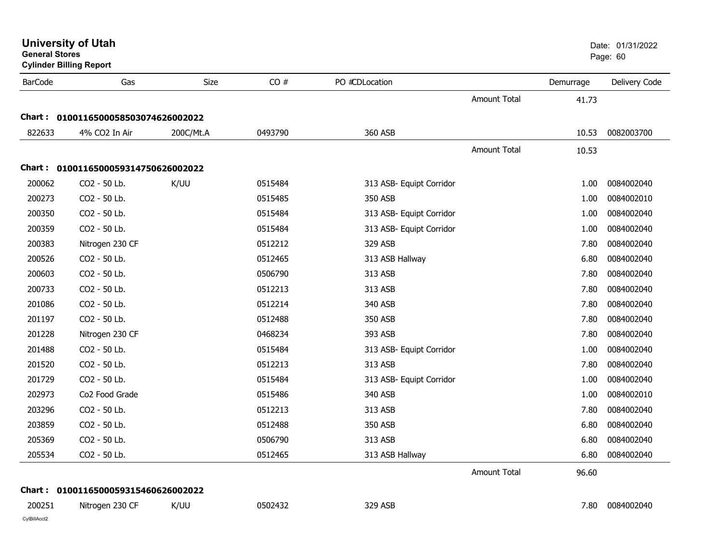| <b>General Stores</b>  | <b>University of Utah</b><br><b>Cylinder Billing Report</b> |           |         |                          |                     |           | Date: 01/31/2022<br>Page: 60 |
|------------------------|-------------------------------------------------------------|-----------|---------|--------------------------|---------------------|-----------|------------------------------|
| <b>BarCode</b>         | Gas                                                         | Size      | CO#     | PO #CDLocation           |                     | Demurrage | Delivery Code                |
|                        |                                                             |           |         |                          | <b>Amount Total</b> | 41.73     |                              |
| Chart :                | 0100116500058503074626002022                                |           |         |                          |                     |           |                              |
| 822633                 | 4% CO2 In Air                                               | 200C/Mt.A | 0493790 | 360 ASB                  |                     | 10.53     | 0082003700                   |
|                        |                                                             |           |         |                          | Amount Total        | 10.53     |                              |
|                        | Chart: 0100116500059314750626002022                         |           |         |                          |                     |           |                              |
| 200062                 | CO2 - 50 Lb.                                                | K/UU      | 0515484 | 313 ASB- Equipt Corridor |                     | 1.00      | 0084002040                   |
| 200273                 | CO2 - 50 Lb.                                                |           | 0515485 | 350 ASB                  |                     | 1.00      | 0084002010                   |
| 200350                 | CO2 - 50 Lb.                                                |           | 0515484 | 313 ASB- Equipt Corridor |                     | 1.00      | 0084002040                   |
| 200359                 | CO2 - 50 Lb.                                                |           | 0515484 | 313 ASB- Equipt Corridor |                     | 1.00      | 0084002040                   |
| 200383                 | Nitrogen 230 CF                                             |           | 0512212 | 329 ASB                  |                     | 7.80      | 0084002040                   |
| 200526                 | CO2 - 50 Lb.                                                |           | 0512465 | 313 ASB Hallway          |                     | 6.80      | 0084002040                   |
| 200603                 | CO2 - 50 Lb.                                                |           | 0506790 | 313 ASB                  |                     | 7.80      | 0084002040                   |
| 200733                 | CO2 - 50 Lb.                                                |           | 0512213 | 313 ASB                  |                     | 7.80      | 0084002040                   |
| 201086                 | CO2 - 50 Lb.                                                |           | 0512214 | 340 ASB                  |                     | 7.80      | 0084002040                   |
| 201197                 | CO2 - 50 Lb.                                                |           | 0512488 | 350 ASB                  |                     | 7.80      | 0084002040                   |
| 201228                 | Nitrogen 230 CF                                             |           | 0468234 | 393 ASB                  |                     | 7.80      | 0084002040                   |
| 201488                 | CO2 - 50 Lb.                                                |           | 0515484 | 313 ASB- Equipt Corridor |                     | 1.00      | 0084002040                   |
| 201520                 | CO2 - 50 Lb.                                                |           | 0512213 | 313 ASB                  |                     | 7.80      | 0084002040                   |
| 201729                 | CO2 - 50 Lb.                                                |           | 0515484 | 313 ASB- Equipt Corridor |                     | 1.00      | 0084002040                   |
| 202973                 | Co2 Food Grade                                              |           | 0515486 | 340 ASB                  |                     | 1.00      | 0084002010                   |
| 203296                 | CO2 - 50 Lb.                                                |           | 0512213 | 313 ASB                  |                     | 7.80      | 0084002040                   |
| 203859                 | CO2 - 50 Lb.                                                |           | 0512488 | 350 ASB                  |                     | 6.80      | 0084002040                   |
| 205369                 | CO2 - 50 Lb.                                                |           | 0506790 | 313 ASB                  |                     | 6.80      | 0084002040                   |
| 205534                 | CO2 - 50 Lb.                                                |           | 0512465 | 313 ASB Hallway          |                     | 6.80      | 0084002040                   |
|                        |                                                             |           |         |                          | Amount Total        | 96.60     |                              |
|                        | Chart: 0100116500059315460626002022                         |           |         |                          |                     |           |                              |
| 200251<br>CylBillAcct2 | Nitrogen 230 CF                                             | K/UU      | 0502432 | 329 ASB                  |                     | 7.80      | 0084002040                   |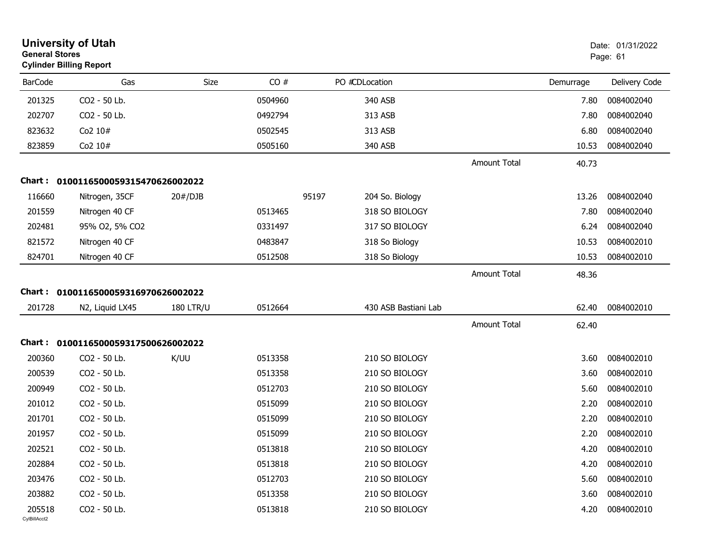| <b>General Stores</b>  | <b>University of Utah</b><br><b>Cylinder Billing Report</b> |                  |         |                          |                     |           | Date: 01/31/2022<br>Page: 61 |
|------------------------|-------------------------------------------------------------|------------------|---------|--------------------------|---------------------|-----------|------------------------------|
| <b>BarCode</b>         | Gas                                                         | Size             | CO#     | PO #CDLocation           |                     | Demurrage | Delivery Code                |
| 201325                 | CO2 - 50 Lb.                                                |                  | 0504960 | 340 ASB                  |                     | 7.80      | 0084002040                   |
| 202707                 | CO2 - 50 Lb.                                                |                  | 0492794 | 313 ASB                  |                     | 7.80      | 0084002040                   |
| 823632                 | Co2 10#                                                     |                  | 0502545 | 313 ASB                  |                     | 6.80      | 0084002040                   |
| 823859                 | Co2 10#                                                     |                  | 0505160 | 340 ASB                  |                     | 10.53     | 0084002040                   |
|                        |                                                             |                  |         |                          | <b>Amount Total</b> | 40.73     |                              |
| Chart :                | 0100116500059315470626002022                                |                  |         |                          |                     |           |                              |
| 116660                 | Nitrogen, 35CF                                              | 20#/DJB          |         | 95197<br>204 So. Biology |                     | 13.26     | 0084002040                   |
| 201559                 | Nitrogen 40 CF                                              |                  | 0513465 | 318 SO BIOLOGY           |                     | 7.80      | 0084002040                   |
| 202481                 | 95% O2, 5% CO2                                              |                  | 0331497 | 317 SO BIOLOGY           |                     | 6.24      | 0084002040                   |
| 821572                 | Nitrogen 40 CF                                              |                  | 0483847 | 318 So Biology           |                     | 10.53     | 0084002010                   |
| 824701                 | Nitrogen 40 CF                                              |                  | 0512508 | 318 So Biology           |                     | 10.53     | 0084002010                   |
|                        |                                                             |                  |         |                          | <b>Amount Total</b> | 48.36     |                              |
| Chart :                | 0100116500059316970626002022                                |                  |         |                          |                     |           |                              |
| 201728                 | N2, Liquid LX45                                             | <b>180 LTR/U</b> | 0512664 | 430 ASB Bastiani Lab     |                     | 62.40     | 0084002010                   |
|                        |                                                             |                  |         |                          | <b>Amount Total</b> | 62.40     |                              |
| Chart :                | 0100116500059317500626002022                                |                  |         |                          |                     |           |                              |
| 200360                 | CO2 - 50 Lb.                                                | K/UU             | 0513358 | 210 SO BIOLOGY           |                     | 3.60      | 0084002010                   |
| 200539                 | CO2 - 50 Lb.                                                |                  | 0513358 | 210 SO BIOLOGY           |                     | 3.60      | 0084002010                   |
| 200949                 | CO2 - 50 Lb.                                                |                  | 0512703 | 210 SO BIOLOGY           |                     | 5.60      | 0084002010                   |
| 201012                 | CO2 - 50 Lb.                                                |                  | 0515099 | 210 SO BIOLOGY           |                     | 2.20      | 0084002010                   |
| 201701                 | CO2 - 50 Lb.                                                |                  | 0515099 | 210 SO BIOLOGY           |                     | 2.20      | 0084002010                   |
| 201957                 | CO2 - 50 Lb.                                                |                  | 0515099 | 210 SO BIOLOGY           |                     | 2.20      | 0084002010                   |
| 202521                 | CO2 - 50 Lb.                                                |                  | 0513818 | 210 SO BIOLOGY           |                     | 4.20      | 0084002010                   |
| 202884                 | CO2 - 50 Lb.                                                |                  | 0513818 | 210 SO BIOLOGY           |                     | 4.20      | 0084002010                   |
| 203476                 | CO2 - 50 Lb.                                                |                  | 0512703 | 210 SO BIOLOGY           |                     | 5.60      | 0084002010                   |
| 203882                 | CO2 - 50 Lb.                                                |                  | 0513358 | 210 SO BIOLOGY           |                     | 3.60      | 0084002010                   |
| 205518<br>CvIBillAcct2 | CO2 - 50 Lb.                                                |                  | 0513818 | 210 SO BIOLOGY           |                     | 4.20      | 0084002010                   |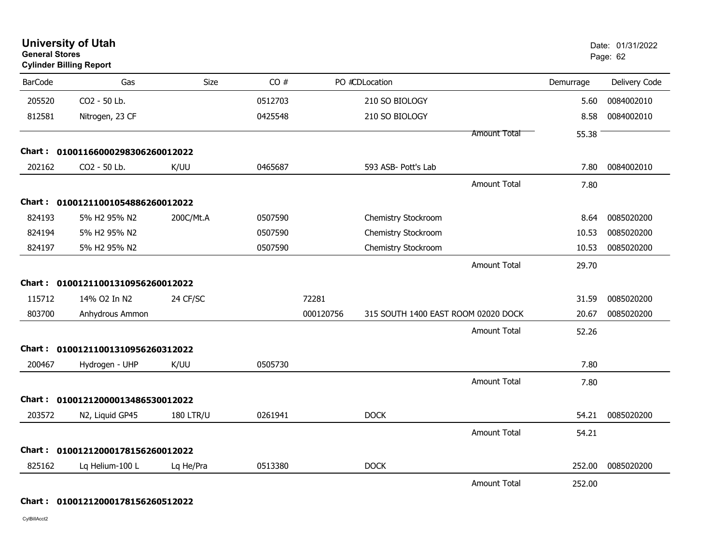| <b>General Stores</b> | <b>Cylinder Billing Report</b>    |                  |         |           |                                     |                     |           | Page: 62      |
|-----------------------|-----------------------------------|------------------|---------|-----------|-------------------------------------|---------------------|-----------|---------------|
| <b>BarCode</b>        | Gas                               | Size             | CO#     |           | PO #CDLocation                      |                     | Demurrage | Delivery Code |
| 205520                | CO2 - 50 Lb.                      |                  | 0512703 |           | 210 SO BIOLOGY                      |                     | 5.60      | 0084002010    |
| 812581                | Nitrogen, 23 CF                   |                  | 0425548 |           | 210 SO BIOLOGY                      |                     | 8.58      | 0084002010    |
|                       |                                   |                  |         |           |                                     | Amount Total        | 55.38     |               |
| Chart :               | 01001166000298306260012022        |                  |         |           |                                     |                     |           |               |
| 202162                | CO2 - 50 Lb.                      | K/UU             | 0465687 |           | 593 ASB- Pott's Lab                 |                     | 7.80      | 0084002010    |
|                       |                                   |                  |         |           |                                     | <b>Amount Total</b> | 7.80      |               |
|                       | Chart: 01001211001054886260012022 |                  |         |           |                                     |                     |           |               |
| 824193                | 5% H2 95% N2                      | 200C/Mt.A        | 0507590 |           | Chemistry Stockroom                 |                     | 8.64      | 0085020200    |
| 824194                | 5% H2 95% N2                      |                  | 0507590 |           | Chemistry Stockroom                 |                     | 10.53     | 0085020200    |
| 824197                | 5% H2 95% N2                      |                  | 0507590 |           | Chemistry Stockroom                 |                     | 10.53     | 0085020200    |
|                       |                                   |                  |         |           |                                     | <b>Amount Total</b> | 29.70     |               |
| Chart:                | 01001211001310956260012022        |                  |         |           |                                     |                     |           |               |
| 115712                | 14% O2 In N2                      | 24 CF/SC         |         | 72281     |                                     |                     | 31.59     | 0085020200    |
| 803700                | Anhydrous Ammon                   |                  |         | 000120756 | 315 SOUTH 1400 EAST ROOM 02020 DOCK |                     | 20.67     | 0085020200    |
|                       |                                   |                  |         |           |                                     | <b>Amount Total</b> | 52.26     |               |
| Chart:                | 01001211001310956260312022        |                  |         |           |                                     |                     |           |               |
| 200467                | Hydrogen - UHP                    | K/UU             | 0505730 |           |                                     |                     | 7.80      |               |
|                       |                                   |                  |         |           |                                     | <b>Amount Total</b> | 7.80      |               |
| <b>Chart :</b>        | 01001212000013486530012022        |                  |         |           |                                     |                     |           |               |
| 203572                | N2, Liquid GP45                   | <b>180 LTR/U</b> | 0261941 |           | <b>DOCK</b>                         |                     | 54.21     | 0085020200    |
|                       |                                   |                  |         |           |                                     | <b>Amount Total</b> | 54.21     |               |
| Chart :               | 01001212000178156260012022        |                  |         |           |                                     |                     |           |               |
| 825162                | Lq Helium-100 L                   | Lq He/Pra        | 0513380 |           | <b>DOCK</b>                         |                     | 252.00    | 0085020200    |
|                       |                                   |                  |         |           |                                     | <b>Amount Total</b> | 252.00    |               |

**University of Utah** Date: 01/31/2022

#### **Chart : 01001212000178156260512022**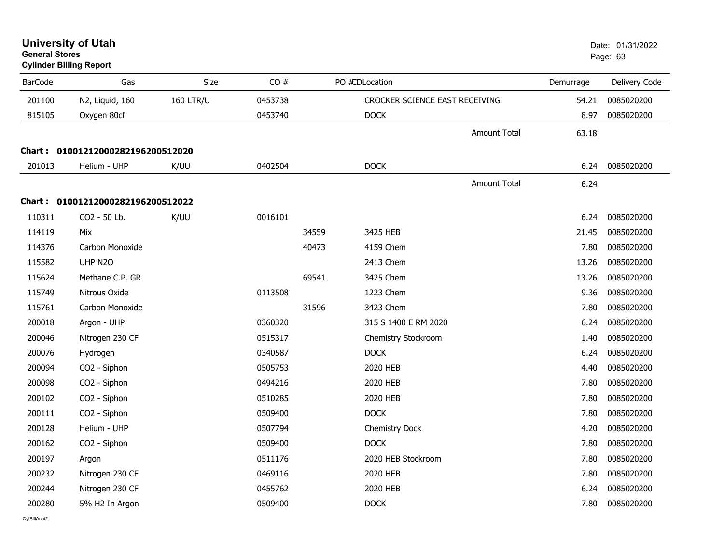| <b>General Stores</b> | <b>University of Utah</b><br><b>Cylinder Billing Report</b> |                  |         |       |                                |           | Date: 01/31/2022<br>Page: 63 |  |
|-----------------------|-------------------------------------------------------------|------------------|---------|-------|--------------------------------|-----------|------------------------------|--|
| <b>BarCode</b>        | Gas                                                         | Size             | CO#     |       | PO #CDLocation                 | Demurrage | Delivery Code                |  |
| 201100                | N2, Liquid, 160                                             | <b>160 LTR/U</b> | 0453738 |       | CROCKER SCIENCE EAST RECEIVING | 54.21     | 0085020200                   |  |
| 815105                | Oxygen 80cf                                                 |                  | 0453740 |       | <b>DOCK</b>                    | 8.97      | 0085020200                   |  |
|                       |                                                             |                  |         |       | <b>Amount Total</b>            | 63.18     |                              |  |
|                       | Chart: 01001212000282196200512020                           |                  |         |       |                                |           |                              |  |
| 201013                | Helium - UHP                                                | K/UU             | 0402504 |       | <b>DOCK</b>                    | 6.24      | 0085020200                   |  |
|                       |                                                             |                  |         |       | <b>Amount Total</b>            | 6.24      |                              |  |
|                       | Chart: 01001212000282196200512022                           |                  |         |       |                                |           |                              |  |
| 110311                | CO <sub>2</sub> - 50 Lb.                                    | K/UU             | 0016101 |       |                                | 6.24      | 0085020200                   |  |
| 114119                | Mix                                                         |                  |         | 34559 | 3425 HEB                       | 21.45     | 0085020200                   |  |
| 114376                | Carbon Monoxide                                             |                  |         | 40473 | 4159 Chem                      | 7.80      | 0085020200                   |  |
| 115582                | UHP N2O                                                     |                  |         |       | 2413 Chem                      | 13.26     | 0085020200                   |  |
| 115624                | Methane C.P. GR                                             |                  |         | 69541 | 3425 Chem                      | 13.26     | 0085020200                   |  |
| 115749                | Nitrous Oxide                                               |                  | 0113508 |       | 1223 Chem                      | 9.36      | 0085020200                   |  |
| 115761                | Carbon Monoxide                                             |                  |         | 31596 | 3423 Chem                      | 7.80      | 0085020200                   |  |
| 200018                | Argon - UHP                                                 |                  | 0360320 |       | 315 S 1400 E RM 2020           | 6.24      | 0085020200                   |  |
| 200046                | Nitrogen 230 CF                                             |                  | 0515317 |       | Chemistry Stockroom            | 1.40      | 0085020200                   |  |
| 200076                | Hydrogen                                                    |                  | 0340587 |       | <b>DOCK</b>                    | 6.24      | 0085020200                   |  |
| 200094                | CO <sub>2</sub> - Siphon                                    |                  | 0505753 |       | 2020 HEB                       | 4.40      | 0085020200                   |  |
| 200098                | CO2 - Siphon                                                |                  | 0494216 |       | 2020 HEB                       | 7.80      | 0085020200                   |  |
| 200102                | CO2 - Siphon                                                |                  | 0510285 |       | 2020 HEB                       | 7.80      | 0085020200                   |  |
| 200111                | CO2 - Siphon                                                |                  | 0509400 |       | <b>DOCK</b>                    | 7.80      | 0085020200                   |  |
| 200128                | Helium - UHP                                                |                  | 0507794 |       | Chemistry Dock                 | 4.20      | 0085020200                   |  |
| 200162                | CO2 - Siphon                                                |                  | 0509400 |       | <b>DOCK</b>                    | 7.80      | 0085020200                   |  |
| 200197                | Argon                                                       |                  | 0511176 |       | 2020 HEB Stockroom             | 7.80      | 0085020200                   |  |
| 200232                | Nitrogen 230 CF                                             |                  | 0469116 |       | 2020 HEB                       | 7.80      | 0085020200                   |  |
| 200244                | Nitrogen 230 CF                                             |                  | 0455762 |       | 2020 HEB                       | 6.24      | 0085020200                   |  |
| 200280                | 5% H <sub>2</sub> In Argon                                  |                  | 0509400 |       | <b>DOCK</b>                    | 7.80      | 0085020200                   |  |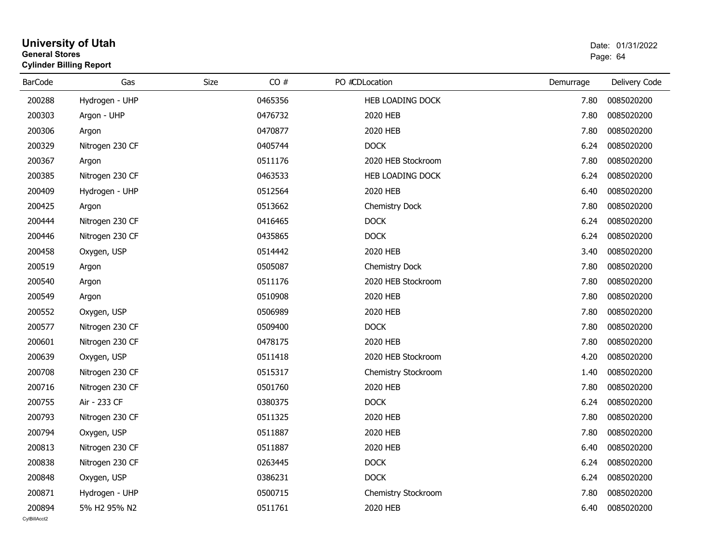#### **University of Utah** Date: 01/31/2022 **General Stores**end and the state of the state of the state of the state of the state of the state of the Page: 64  $\,$ **Cylinder Billing Report**

| <b>BarCode</b> | Gas             | CO#<br>Size | PO #CDLocation      | Demurrage | Delivery Code |
|----------------|-----------------|-------------|---------------------|-----------|---------------|
| 200288         | Hydrogen - UHP  | 0465356     | HEB LOADING DOCK    | 7.80      | 0085020200    |
| 200303         | Argon - UHP     | 0476732     | 2020 HEB            | 7.80      | 0085020200    |
| 200306         | Argon           | 0470877     | 2020 HEB            | 7.80      | 0085020200    |
| 200329         | Nitrogen 230 CF | 0405744     | <b>DOCK</b>         | 6.24      | 0085020200    |
| 200367         | Argon           | 0511176     | 2020 HEB Stockroom  | 7.80      | 0085020200    |
| 200385         | Nitrogen 230 CF | 0463533     | HEB LOADING DOCK    | 6.24      | 0085020200    |
| 200409         | Hydrogen - UHP  | 0512564     | 2020 HEB            | 6.40      | 0085020200    |
| 200425         | Argon           | 0513662     | Chemistry Dock      | 7.80      | 0085020200    |
| 200444         | Nitrogen 230 CF | 0416465     | <b>DOCK</b>         | 6.24      | 0085020200    |
| 200446         | Nitrogen 230 CF | 0435865     | <b>DOCK</b>         | 6.24      | 0085020200    |
| 200458         | Oxygen, USP     | 0514442     | 2020 HEB            | 3.40      | 0085020200    |
| 200519         | Argon           | 0505087     | Chemistry Dock      | 7.80      | 0085020200    |
| 200540         | Argon           | 0511176     | 2020 HEB Stockroom  | 7.80      | 0085020200    |
| 200549         | Argon           | 0510908     | 2020 HEB            | 7.80      | 0085020200    |
| 200552         | Oxygen, USP     | 0506989     | 2020 HEB            | 7.80      | 0085020200    |
| 200577         | Nitrogen 230 CF | 0509400     | <b>DOCK</b>         | 7.80      | 0085020200    |
| 200601         | Nitrogen 230 CF | 0478175     | 2020 HEB            | 7.80      | 0085020200    |
| 200639         | Oxygen, USP     | 0511418     | 2020 HEB Stockroom  | 4.20      | 0085020200    |
| 200708         | Nitrogen 230 CF | 0515317     | Chemistry Stockroom | 1.40      | 0085020200    |
| 200716         | Nitrogen 230 CF | 0501760     | 2020 HEB            | 7.80      | 0085020200    |
| 200755         | Air - 233 CF    | 0380375     | <b>DOCK</b>         | 6.24      | 0085020200    |
| 200793         | Nitrogen 230 CF | 0511325     | 2020 HEB            | 7.80      | 0085020200    |
| 200794         | Oxygen, USP     | 0511887     | 2020 HEB            | 7.80      | 0085020200    |
| 200813         | Nitrogen 230 CF | 0511887     | 2020 HEB            | 6.40      | 0085020200    |
| 200838         | Nitrogen 230 CF | 0263445     | <b>DOCK</b>         | 6.24      | 0085020200    |
| 200848         | Oxygen, USP     | 0386231     | <b>DOCK</b>         | 6.24      | 0085020200    |
| 200871         | Hydrogen - UHP  | 0500715     | Chemistry Stockroom | 7.80      | 0085020200    |
| 200894         | 5% H2 95% N2    | 0511761     | 2020 HEB            | 6.40      | 0085020200    |
| CvIBillAcct2   |                 |             |                     |           |               |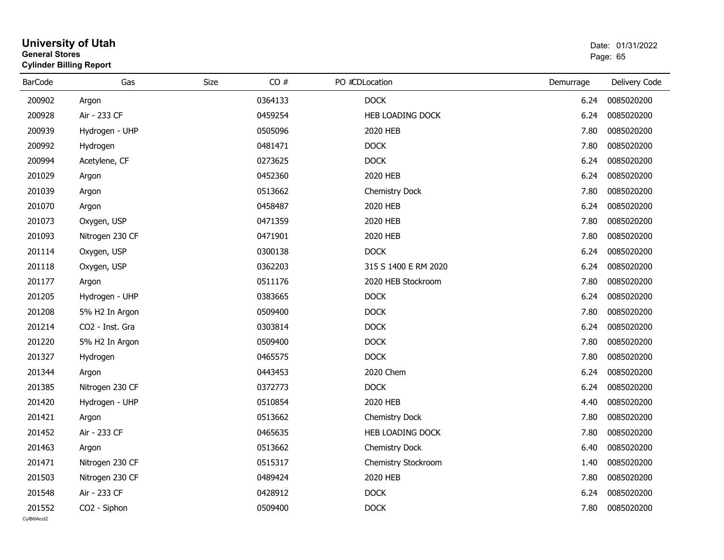| General Stores | <b>Cylinder Billing Report</b> |             |         |                         | Page: 65  |               |  |
|----------------|--------------------------------|-------------|---------|-------------------------|-----------|---------------|--|
| <b>BarCode</b> | Gas                            | <b>Size</b> | CO#     | PO #CDLocation          | Demurrage | Delivery Code |  |
| 200902         | Argon                          |             | 0364133 | <b>DOCK</b>             | 6.24      | 0085020200    |  |
| 200928         | Air - 233 CF                   |             | 0459254 | HEB LOADING DOCK        | 6.24      | 0085020200    |  |
| 200939         | Hydrogen - UHP                 |             | 0505096 | 2020 HEB                | 7.80      | 0085020200    |  |
| 200992         | Hydrogen                       |             | 0481471 | <b>DOCK</b>             | 7.80      | 0085020200    |  |
| 200994         | Acetylene, CF                  |             | 0273625 | <b>DOCK</b>             | 6.24      | 0085020200    |  |
| 201029         | Argon                          |             | 0452360 | 2020 HEB                | 6.24      | 0085020200    |  |
| 201039         | Argon                          |             | 0513662 | Chemistry Dock          | 7.80      | 0085020200    |  |
| 201070         | Argon                          |             | 0458487 | 2020 HEB                | 6.24      | 0085020200    |  |
| 201073         | Oxygen, USP                    |             | 0471359 | 2020 HEB                | 7.80      | 0085020200    |  |
| 201093         | Nitrogen 230 CF                |             | 0471901 | 2020 HEB                | 7.80      | 0085020200    |  |
| 201114         | Oxygen, USP                    |             | 0300138 | <b>DOCK</b>             | 6.24      | 0085020200    |  |
| 201118         | Oxygen, USP                    |             | 0362203 | 315 S 1400 E RM 2020    | 6.24      | 0085020200    |  |
| 201177         | Argon                          |             | 0511176 | 2020 HEB Stockroom      | 7.80      | 0085020200    |  |
| 201205         | Hydrogen - UHP                 |             | 0383665 | <b>DOCK</b>             | 6.24      | 0085020200    |  |
| 201208         | 5% H2 In Argon                 |             | 0509400 | <b>DOCK</b>             | 7.80      | 0085020200    |  |
| 201214         | CO2 - Inst. Gra                |             | 0303814 | <b>DOCK</b>             | 6.24      | 0085020200    |  |
| 201220         | 5% H2 In Argon                 |             | 0509400 | <b>DOCK</b>             | 7.80      | 0085020200    |  |
| 201327         | Hydrogen                       |             | 0465575 | <b>DOCK</b>             | 7.80      | 0085020200    |  |
| 201344         | Argon                          |             | 0443453 | 2020 Chem               | 6.24      | 0085020200    |  |
| 201385         | Nitrogen 230 CF                |             | 0372773 | <b>DOCK</b>             | 6.24      | 0085020200    |  |
| 201420         | Hydrogen - UHP                 |             | 0510854 | 2020 HEB                | 4.40      | 0085020200    |  |
| 201421         | Argon                          |             | 0513662 | <b>Chemistry Dock</b>   | 7.80      | 0085020200    |  |
| 201452         | Air - 233 CF                   |             | 0465635 | <b>HEB LOADING DOCK</b> | 7.80      | 0085020200    |  |
| 201463         | Argon                          |             | 0513662 | Chemistry Dock          | 6.40      | 0085020200    |  |
| 201471         | Nitrogen 230 CF                |             | 0515317 | Chemistry Stockroom     | 1.40      | 0085020200    |  |
| 201503         | Nitrogen 230 CF                |             | 0489424 | 2020 HEB                | 7.80      | 0085020200    |  |
| 201548         | Air - 233 CF                   |             | 0428912 | <b>DOCK</b>             | 6.24      | 0085020200    |  |
| 201552         | CO2 - Siphon                   |             | 0509400 | <b>DOCK</b>             | 7.80      | 0085020200    |  |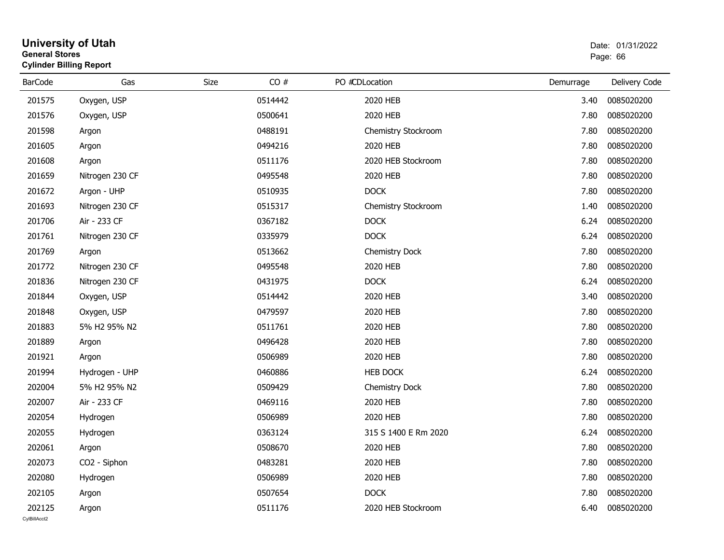| General Stores | <b>Cylinder Billing Report</b> |             |         |                |                       | Page: 66  |               |  |
|----------------|--------------------------------|-------------|---------|----------------|-----------------------|-----------|---------------|--|
| <b>BarCode</b> | Gas                            | <b>Size</b> | CO#     | PO #CDLocation |                       | Demurrage | Delivery Code |  |
| 201575         | Oxygen, USP                    |             | 0514442 |                | 2020 HEB              | 3.40      | 0085020200    |  |
| 201576         | Oxygen, USP                    |             | 0500641 |                | 2020 HEB              | 7.80      | 0085020200    |  |
| 201598         | Argon                          |             | 0488191 |                | Chemistry Stockroom   | 7.80      | 0085020200    |  |
| 201605         | Argon                          |             | 0494216 |                | 2020 HEB              | 7.80      | 0085020200    |  |
| 201608         | Argon                          |             | 0511176 |                | 2020 HEB Stockroom    | 7.80      | 0085020200    |  |
| 201659         | Nitrogen 230 CF                |             | 0495548 |                | 2020 HEB              | 7.80      | 0085020200    |  |
| 201672         | Argon - UHP                    |             | 0510935 |                | <b>DOCK</b>           | 7.80      | 0085020200    |  |
| 201693         | Nitrogen 230 CF                |             | 0515317 |                | Chemistry Stockroom   | 1.40      | 0085020200    |  |
| 201706         | Air - 233 CF                   |             | 0367182 |                | <b>DOCK</b>           | 6.24      | 0085020200    |  |
| 201761         | Nitrogen 230 CF                |             | 0335979 |                | <b>DOCK</b>           | 6.24      | 0085020200    |  |
| 201769         | Argon                          |             | 0513662 |                | Chemistry Dock        | 7.80      | 0085020200    |  |
| 201772         | Nitrogen 230 CF                |             | 0495548 |                | 2020 HEB              | 7.80      | 0085020200    |  |
| 201836         | Nitrogen 230 CF                |             | 0431975 |                | <b>DOCK</b>           | 6.24      | 0085020200    |  |
| 201844         | Oxygen, USP                    |             | 0514442 |                | 2020 HEB              | 3.40      | 0085020200    |  |
| 201848         | Oxygen, USP                    |             | 0479597 |                | 2020 HEB              | 7.80      | 0085020200    |  |
| 201883         | 5% H2 95% N2                   |             | 0511761 |                | 2020 HEB              | 7.80      | 0085020200    |  |
| 201889         | Argon                          |             | 0496428 |                | 2020 HEB              | 7.80      | 0085020200    |  |
| 201921         | Argon                          |             | 0506989 |                | 2020 HEB              | 7.80      | 0085020200    |  |
| 201994         | Hydrogen - UHP                 |             | 0460886 |                | <b>HEB DOCK</b>       | 6.24      | 0085020200    |  |
| 202004         | 5% H2 95% N2                   |             | 0509429 |                | <b>Chemistry Dock</b> | 7.80      | 0085020200    |  |
| 202007         | Air - 233 CF                   |             | 0469116 |                | 2020 HEB              | 7.80      | 0085020200    |  |
| 202054         | Hydrogen                       |             | 0506989 |                | 2020 HEB              | 7.80      | 0085020200    |  |
| 202055         | Hydrogen                       |             | 0363124 |                | 315 S 1400 E Rm 2020  | 6.24      | 0085020200    |  |
| 202061         | Argon                          |             | 0508670 |                | 2020 HEB              | 7.80      | 0085020200    |  |
| 202073         | CO2 - Siphon                   |             | 0483281 |                | 2020 HEB              | 7.80      | 0085020200    |  |
| 202080         | Hydrogen                       |             | 0506989 |                | 2020 HEB              | 7.80      | 0085020200    |  |
| 202105         | Argon                          |             | 0507654 |                | <b>DOCK</b>           | 7.80      | 0085020200    |  |
| 202125         | Argon                          |             | 0511176 |                | 2020 HEB Stockroom    | 6.40      | 0085020200    |  |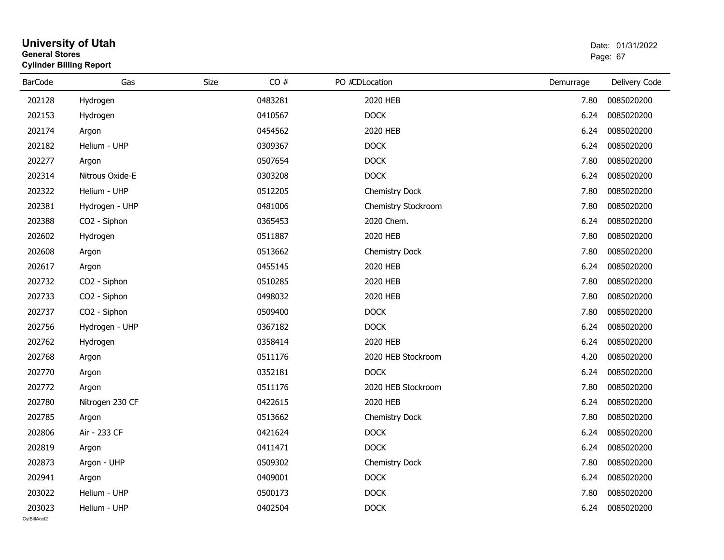#### **University of Utah** Date: 01/31/2022 **General Stores**end and the state of the state of the state of the state of the state of the state of the state of the state of the state of the state of the state of the state of the state of the state of the state of the state of the st **Cylinder Billing Report**

| <b>BarCode</b>         | Gas             | <b>Size</b> | CO# | PO #CDLocation      | Demurrage | Delivery Code |
|------------------------|-----------------|-------------|-----|---------------------|-----------|---------------|
| 202128                 | Hydrogen        | 0483281     |     | 2020 HEB            | 7.80      | 0085020200    |
| 202153                 | Hydrogen        | 0410567     |     | <b>DOCK</b>         | 6.24      | 0085020200    |
| 202174                 | Argon           | 0454562     |     | 2020 HEB            | 6.24      | 0085020200    |
| 202182                 | Helium - UHP    | 0309367     |     | <b>DOCK</b>         | 6.24      | 0085020200    |
| 202277                 | Argon           | 0507654     |     | <b>DOCK</b>         | 7.80      | 0085020200    |
| 202314                 | Nitrous Oxide-E | 0303208     |     | <b>DOCK</b>         | 6.24      | 0085020200    |
| 202322                 | Helium - UHP    | 0512205     |     | Chemistry Dock      | 7.80      | 0085020200    |
| 202381                 | Hydrogen - UHP  | 0481006     |     | Chemistry Stockroom | 7.80      | 0085020200    |
| 202388                 | CO2 - Siphon    | 0365453     |     | 2020 Chem.          | 6.24      | 0085020200    |
| 202602                 | Hydrogen        | 0511887     |     | 2020 HEB            | 7.80      | 0085020200    |
| 202608                 | Argon           | 0513662     |     | Chemistry Dock      | 7.80      | 0085020200    |
| 202617                 | Argon           | 0455145     |     | 2020 HEB            | 6.24      | 0085020200    |
| 202732                 | CO2 - Siphon    | 0510285     |     | 2020 HEB            | 7.80      | 0085020200    |
| 202733                 | CO2 - Siphon    | 0498032     |     | 2020 HEB            | 7.80      | 0085020200    |
| 202737                 | CO2 - Siphon    | 0509400     |     | <b>DOCK</b>         | 7.80      | 0085020200    |
| 202756                 | Hydrogen - UHP  | 0367182     |     | <b>DOCK</b>         | 6.24      | 0085020200    |
| 202762                 | Hydrogen        | 0358414     |     | 2020 HEB            | 6.24      | 0085020200    |
| 202768                 | Argon           | 0511176     |     | 2020 HEB Stockroom  | 4.20      | 0085020200    |
| 202770                 | Argon           | 0352181     |     | <b>DOCK</b>         | 6.24      | 0085020200    |
| 202772                 | Argon           | 0511176     |     | 2020 HEB Stockroom  | 7.80      | 0085020200    |
| 202780                 | Nitrogen 230 CF | 0422615     |     | 2020 HEB            | 6.24      | 0085020200    |
| 202785                 | Argon           | 0513662     |     | Chemistry Dock      | 7.80      | 0085020200    |
| 202806                 | Air - 233 CF    | 0421624     |     | <b>DOCK</b>         | 6.24      | 0085020200    |
| 202819                 | Argon           | 0411471     |     | <b>DOCK</b>         | 6.24      | 0085020200    |
| 202873                 | Argon - UHP     | 0509302     |     | Chemistry Dock      | 7.80      | 0085020200    |
| 202941                 | Argon           | 0409001     |     | <b>DOCK</b>         | 6.24      | 0085020200    |
| 203022                 | Helium - UHP    | 0500173     |     | <b>DOCK</b>         | 7.80      | 0085020200    |
| 203023<br>CvIBillAcct2 | Helium - UHP    | 0402504     |     | <b>DOCK</b>         | 6.24      | 0085020200    |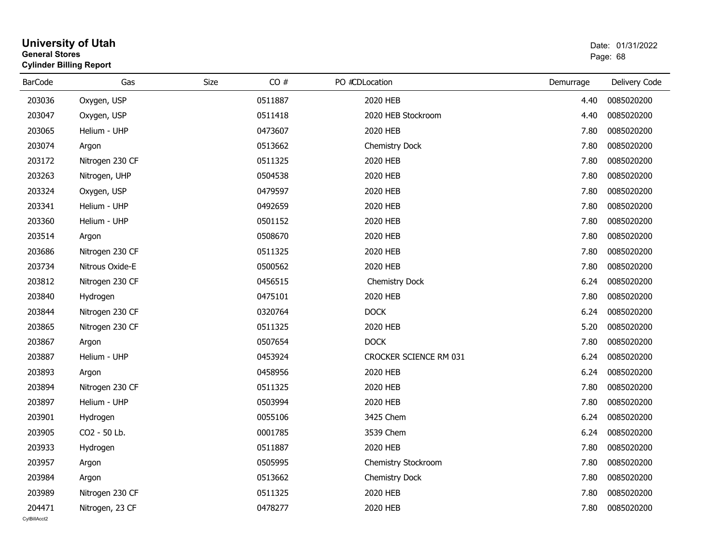| General Stores | <b>Cylinder Billing Report</b> |      |         |                        |           | Page: 68      |  |  |
|----------------|--------------------------------|------|---------|------------------------|-----------|---------------|--|--|
| <b>BarCode</b> | Gas                            | Size | CO#     | PO #CDLocation         | Demurrage | Delivery Code |  |  |
| 203036         | Oxygen, USP                    |      | 0511887 | 2020 HEB               | 4.40      | 0085020200    |  |  |
| 203047         | Oxygen, USP                    |      | 0511418 | 2020 HEB Stockroom     | 4.40      | 0085020200    |  |  |
| 203065         | Helium - UHP                   |      | 0473607 | 2020 HEB               | 7.80      | 0085020200    |  |  |
| 203074         | Argon                          |      | 0513662 | Chemistry Dock         | 7.80      | 0085020200    |  |  |
| 203172         | Nitrogen 230 CF                |      | 0511325 | 2020 HEB               | 7.80      | 0085020200    |  |  |
| 203263         | Nitrogen, UHP                  |      | 0504538 | 2020 HEB               | 7.80      | 0085020200    |  |  |
| 203324         | Oxygen, USP                    |      | 0479597 | 2020 HEB               | 7.80      | 0085020200    |  |  |
| 203341         | Helium - UHP                   |      | 0492659 | 2020 HEB               | 7.80      | 0085020200    |  |  |
| 203360         | Helium - UHP                   |      | 0501152 | 2020 HEB               | 7.80      | 0085020200    |  |  |
| 203514         | Argon                          |      | 0508670 | 2020 HEB               | 7.80      | 0085020200    |  |  |
| 203686         | Nitrogen 230 CF                |      | 0511325 | 2020 HEB               | 7.80      | 0085020200    |  |  |
| 203734         | Nitrous Oxide-E                |      | 0500562 | 2020 HEB               | 7.80      | 0085020200    |  |  |
| 203812         | Nitrogen 230 CF                |      | 0456515 | Chemistry Dock         | 6.24      | 0085020200    |  |  |
| 203840         | Hydrogen                       |      | 0475101 | 2020 HEB               | 7.80      | 0085020200    |  |  |
| 203844         | Nitrogen 230 CF                |      | 0320764 | <b>DOCK</b>            | 6.24      | 0085020200    |  |  |
| 203865         | Nitrogen 230 CF                |      | 0511325 | 2020 HEB               | 5.20      | 0085020200    |  |  |
| 203867         | Argon                          |      | 0507654 | <b>DOCK</b>            | 7.80      | 0085020200    |  |  |
| 203887         | Helium - UHP                   |      | 0453924 | CROCKER SCIENCE RM 031 | 6.24      | 0085020200    |  |  |
| 203893         | Argon                          |      | 0458956 | 2020 HEB               | 6.24      | 0085020200    |  |  |
| 203894         | Nitrogen 230 CF                |      | 0511325 | 2020 HEB               | 7.80      | 0085020200    |  |  |
| 203897         | Helium - UHP                   |      | 0503994 | 2020 HEB               | 7.80      | 0085020200    |  |  |
| 203901         | Hydrogen                       |      | 0055106 | 3425 Chem              | 6.24      | 0085020200    |  |  |
| 203905         | CO2 - 50 Lb.                   |      | 0001785 | 3539 Chem              | 6.24      | 0085020200    |  |  |
| 203933         | Hydrogen                       |      | 0511887 | 2020 HEB               | 7.80      | 0085020200    |  |  |
| 203957         | Argon                          |      | 0505995 | Chemistry Stockroom    | 7.80      | 0085020200    |  |  |
| 203984         | Argon                          |      | 0513662 | Chemistry Dock         | 7.80      | 0085020200    |  |  |
| 203989         | Nitrogen 230 CF                |      | 0511325 | 2020 HEB               | 7.80      | 0085020200    |  |  |

Nitrogen, 23 CF 2020 2020 HEB 2020 HEB 2020 HEB 2020 HEB 2020 HEB 2020 FIEB 2020 FIEB

# **University of Utah** Date: 01/31/2022 **General Stores**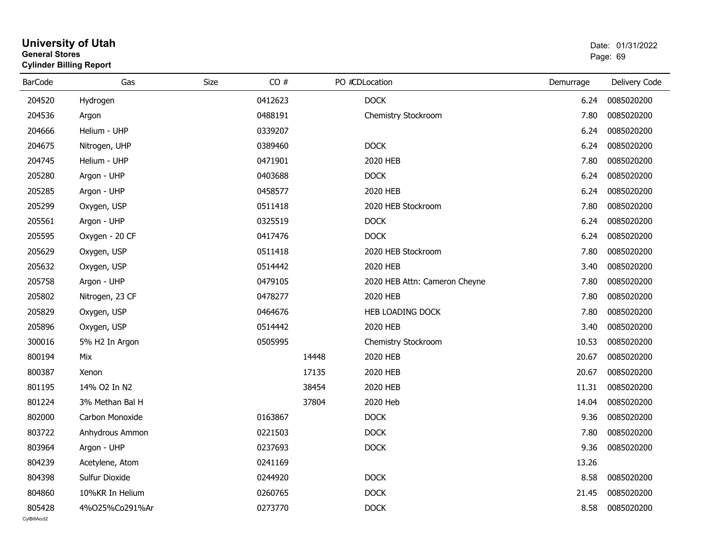#### **University of Utah** Date: 01/31/2022 **General Stores**en de la provincia de la provincia de la provincia de la provincia de la provincia de la provincia de la provi **Cylinder Billing Report**

| <b>BarCode</b> | Gas             | Size | CO#     |       | PO #CDLocation                | Demurrage | Delivery Code |
|----------------|-----------------|------|---------|-------|-------------------------------|-----------|---------------|
| 204520         | Hydrogen        |      | 0412623 |       | <b>DOCK</b>                   | 6.24      | 0085020200    |
| 204536         | Argon           |      | 0488191 |       | Chemistry Stockroom           | 7.80      | 0085020200    |
| 204666         | Helium - UHP    |      | 0339207 |       |                               | 6.24      | 0085020200    |
| 204675         | Nitrogen, UHP   |      | 0389460 |       | <b>DOCK</b>                   | 6.24      | 0085020200    |
| 204745         | Helium - UHP    |      | 0471901 |       | 2020 HEB                      | 7.80      | 0085020200    |
| 205280         | Argon - UHP     |      | 0403688 |       | <b>DOCK</b>                   | 6.24      | 0085020200    |
| 205285         | Argon - UHP     |      | 0458577 |       | 2020 HEB                      | 6.24      | 0085020200    |
| 205299         | Oxygen, USP     |      | 0511418 |       | 2020 HEB Stockroom            | 7.80      | 0085020200    |
| 205561         | Argon - UHP     |      | 0325519 |       | <b>DOCK</b>                   | 6.24      | 0085020200    |
| 205595         | Oxygen - 20 CF  |      | 0417476 |       | <b>DOCK</b>                   | 6.24      | 0085020200    |
| 205629         | Oxygen, USP     |      | 0511418 |       | 2020 HEB Stockroom            | 7.80      | 0085020200    |
| 205632         | Oxygen, USP     |      | 0514442 |       | 2020 HEB                      | 3.40      | 0085020200    |
| 205758         | Argon - UHP     |      | 0479105 |       | 2020 HEB Attn: Cameron Cheyne | 7.80      | 0085020200    |
| 205802         | Nitrogen, 23 CF |      | 0478277 |       | 2020 HEB                      | 7.80      | 0085020200    |
| 205829         | Oxygen, USP     |      | 0464676 |       | HEB LOADING DOCK              | 7.80      | 0085020200    |
| 205896         | Oxygen, USP     |      | 0514442 |       | 2020 HEB                      | 3.40      | 0085020200    |
| 300016         | 5% H2 In Argon  |      | 0505995 |       | Chemistry Stockroom           | 10.53     | 0085020200    |
| 800194         | Mix             |      |         | 14448 | 2020 HEB                      | 20.67     | 0085020200    |
| 800387         | Xenon           |      |         | 17135 | 2020 HEB                      | 20.67     | 0085020200    |
| 801195         | 14% O2 In N2    |      |         | 38454 | 2020 HEB                      | 11.31     | 0085020200    |
| 801224         | 3% Methan Bal H |      |         | 37804 | 2020 Heb                      | 14.04     | 0085020200    |
| 802000         | Carbon Monoxide |      | 0163867 |       | <b>DOCK</b>                   | 9.36      | 0085020200    |
| 803722         | Anhydrous Ammon |      | 0221503 |       | <b>DOCK</b>                   | 7.80      | 0085020200    |
| 803964         | Argon - UHP     |      | 0237693 |       | <b>DOCK</b>                   | 9.36      | 0085020200    |
| 804239         | Acetylene, Atom |      | 0241169 |       |                               | 13.26     |               |
| 804398         | Sulfur Dioxide  |      | 0244920 |       | <b>DOCK</b>                   | 8.58      | 0085020200    |
| 804860         | 10%KR In Helium |      | 0260765 |       | <b>DOCK</b>                   | 21.45     | 0085020200    |
| 805428         | 4%025%Co291%Ar  |      | 0273770 |       | <b>DOCK</b>                   | 8.58      | 0085020200    |
| CvIBillAcct2   |                 |      |         |       |                               |           |               |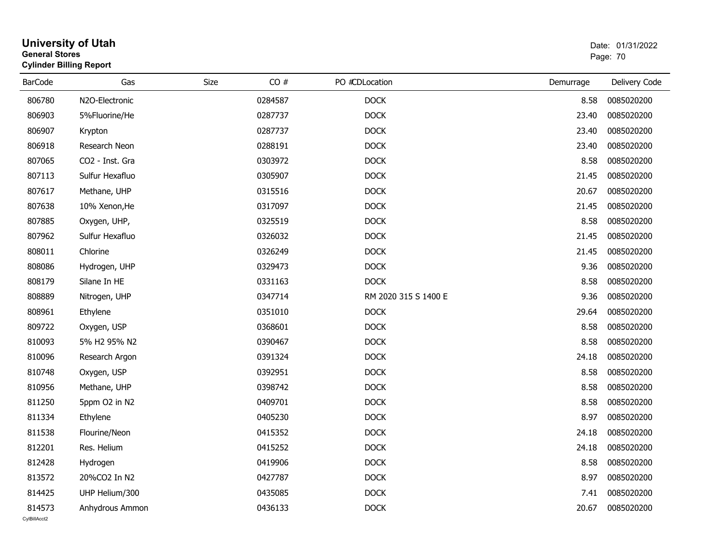| <b>General Stores</b>  | <b>University of Utah</b><br><b>Cylinder Billing Report</b> |      |         |                      | Date: 01/31/2022<br>Page: 70 |               |  |
|------------------------|-------------------------------------------------------------|------|---------|----------------------|------------------------------|---------------|--|
| <b>BarCode</b>         | Gas                                                         | Size | CO#     | PO #CDLocation       | Demurrage                    | Delivery Code |  |
| 806780                 | N2O-Electronic                                              |      | 0284587 | <b>DOCK</b>          | 8.58                         | 0085020200    |  |
| 806903                 | 5%Fluorine/He                                               |      | 0287737 | <b>DOCK</b>          | 23.40                        | 0085020200    |  |
| 806907                 | Krypton                                                     |      | 0287737 | <b>DOCK</b>          | 23.40                        | 0085020200    |  |
| 806918                 | Research Neon                                               |      | 0288191 | <b>DOCK</b>          | 23.40                        | 0085020200    |  |
| 807065                 | CO2 - Inst. Gra                                             |      | 0303972 | <b>DOCK</b>          | 8.58                         | 0085020200    |  |
| 807113                 | Sulfur Hexafluo                                             |      | 0305907 | <b>DOCK</b>          | 21.45                        | 0085020200    |  |
| 807617                 | Methane, UHP                                                |      | 0315516 | <b>DOCK</b>          | 20.67                        | 0085020200    |  |
| 807638                 | 10% Xenon, He                                               |      | 0317097 | <b>DOCK</b>          | 21.45                        | 0085020200    |  |
| 807885                 | Oxygen, UHP,                                                |      | 0325519 | <b>DOCK</b>          | 8.58                         | 0085020200    |  |
| 807962                 | Sulfur Hexafluo                                             |      | 0326032 | <b>DOCK</b>          | 21.45                        | 0085020200    |  |
| 808011                 | Chlorine                                                    |      | 0326249 | <b>DOCK</b>          | 21.45                        | 0085020200    |  |
| 808086                 | Hydrogen, UHP                                               |      | 0329473 | <b>DOCK</b>          | 9.36                         | 0085020200    |  |
| 808179                 | Silane In HE                                                |      | 0331163 | <b>DOCK</b>          | 8.58                         | 0085020200    |  |
| 808889                 | Nitrogen, UHP                                               |      | 0347714 | RM 2020 315 S 1400 E | 9.36                         | 0085020200    |  |
| 808961                 | Ethylene                                                    |      | 0351010 | <b>DOCK</b>          | 29.64                        | 0085020200    |  |
| 809722                 | Oxygen, USP                                                 |      | 0368601 | <b>DOCK</b>          | 8.58                         | 0085020200    |  |
| 810093                 | 5% H2 95% N2                                                |      | 0390467 | <b>DOCK</b>          | 8.58                         | 0085020200    |  |
| 810096                 | Research Argon                                              |      | 0391324 | <b>DOCK</b>          | 24.18                        | 0085020200    |  |
| 810748                 | Oxygen, USP                                                 |      | 0392951 | <b>DOCK</b>          | 8.58                         | 0085020200    |  |
| 810956                 | Methane, UHP                                                |      | 0398742 | <b>DOCK</b>          | 8.58                         | 0085020200    |  |
| 811250                 | 5ppm O2 in N2                                               |      | 0409701 | <b>DOCK</b>          | 8.58                         | 0085020200    |  |
| 811334                 | Ethylene                                                    |      | 0405230 | <b>DOCK</b>          | 8.97                         | 0085020200    |  |
| 811538                 | Flourine/Neon                                               |      | 0415352 | <b>DOCK</b>          | 24.18                        | 0085020200    |  |
| 812201                 | Res. Helium                                                 |      | 0415252 | <b>DOCK</b>          | 24.18                        | 0085020200    |  |
| 812428                 | Hydrogen                                                    |      | 0419906 | <b>DOCK</b>          | 8.58                         | 0085020200    |  |
| 813572                 | 20%CO2 In N2                                                |      | 0427787 | <b>DOCK</b>          | 8.97                         | 0085020200    |  |
| 814425                 | UHP Helium/300                                              |      | 0435085 | <b>DOCK</b>          | 7.41                         | 0085020200    |  |
| 814573<br>CvIBillAcct2 | Anhydrous Ammon                                             |      | 0436133 | <b>DOCK</b>          | 20.67                        | 0085020200    |  |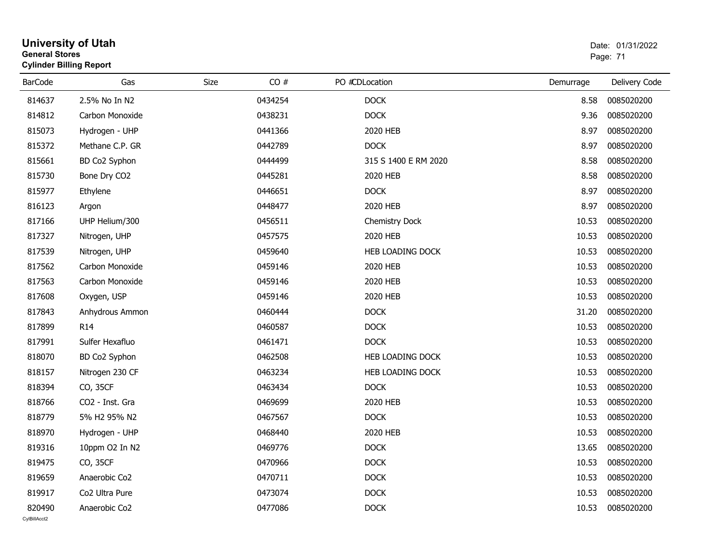| General Stores | <b>Cylinder Billing Report</b> |             |         |                      | Page: 71  |               |  |
|----------------|--------------------------------|-------------|---------|----------------------|-----------|---------------|--|
| <b>BarCode</b> | Gas                            | <b>Size</b> | CO#     | PO #CDLocation       | Demurrage | Delivery Code |  |
| 814637         | 2.5% No In N2                  |             | 0434254 | <b>DOCK</b>          | 8.58      | 0085020200    |  |
| 814812         | Carbon Monoxide                |             | 0438231 | <b>DOCK</b>          | 9.36      | 0085020200    |  |
| 815073         | Hydrogen - UHP                 |             | 0441366 | 2020 HEB             | 8.97      | 0085020200    |  |
| 815372         | Methane C.P. GR                |             | 0442789 | <b>DOCK</b>          | 8.97      | 0085020200    |  |
| 815661         | BD Co2 Syphon                  |             | 0444499 | 315 S 1400 E RM 2020 | 8.58      | 0085020200    |  |
| 815730         | Bone Dry CO2                   |             | 0445281 | 2020 HEB             | 8.58      | 0085020200    |  |
| 815977         | Ethylene                       |             | 0446651 | <b>DOCK</b>          | 8.97      | 0085020200    |  |
| 816123         | Argon                          |             | 0448477 | 2020 HEB             | 8.97      | 0085020200    |  |
| 817166         | UHP Helium/300                 |             | 0456511 | Chemistry Dock       | 10.53     | 0085020200    |  |
| 817327         | Nitrogen, UHP                  |             | 0457575 | 2020 HEB             | 10.53     | 0085020200    |  |
| 817539         | Nitrogen, UHP                  |             | 0459640 | HEB LOADING DOCK     | 10.53     | 0085020200    |  |
| 817562         | Carbon Monoxide                |             | 0459146 | 2020 HEB             | 10.53     | 0085020200    |  |
| 817563         | Carbon Monoxide                |             | 0459146 | 2020 HEB             | 10.53     | 0085020200    |  |
| 817608         | Oxygen, USP                    |             | 0459146 | 2020 HEB             | 10.53     | 0085020200    |  |
| 817843         | Anhydrous Ammon                |             | 0460444 | <b>DOCK</b>          | 31.20     | 0085020200    |  |
| 817899         | R <sub>14</sub>                |             | 0460587 | <b>DOCK</b>          | 10.53     | 0085020200    |  |
| 817991         | Sulfer Hexafluo                |             | 0461471 | <b>DOCK</b>          | 10.53     | 0085020200    |  |
| 818070         | BD Co2 Syphon                  |             | 0462508 | HEB LOADING DOCK     | 10.53     | 0085020200    |  |
| 818157         | Nitrogen 230 CF                |             | 0463234 | HEB LOADING DOCK     | 10.53     | 0085020200    |  |
| 818394         | CO, 35CF                       |             | 0463434 | <b>DOCK</b>          | 10.53     | 0085020200    |  |
| 818766         | CO2 - Inst. Gra                |             | 0469699 | 2020 HEB             | 10.53     | 0085020200    |  |
| 818779         | 5% H2 95% N2                   |             | 0467567 | <b>DOCK</b>          | 10.53     | 0085020200    |  |
| 818970         | Hydrogen - UHP                 |             | 0468440 | 2020 HEB             | 10.53     | 0085020200    |  |
| 819316         | 10ppm O2 In N2                 |             | 0469776 | <b>DOCK</b>          | 13.65     | 0085020200    |  |
| 819475         | CO, 35CF                       |             | 0470966 | <b>DOCK</b>          | 10.53     | 0085020200    |  |
| 819659         | Anaerobic Co2                  |             | 0470711 | <b>DOCK</b>          | 10.53     | 0085020200    |  |
| 819917         | Co2 Ultra Pure                 |             | 0473074 | <b>DOCK</b>          | 10.53     | 0085020200    |  |
| 820490         | Anaerobic Co2                  |             | 0477086 | <b>DOCK</b>          | 10.53     | 0085020200    |  |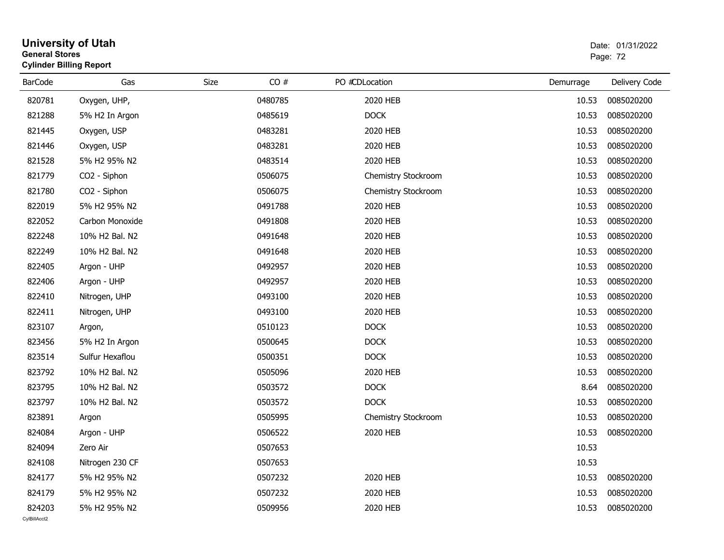| General Stores<br><b>Cylinder Billing Report</b> |                 |      |         |                     |           | Page: 72      |  |
|--------------------------------------------------|-----------------|------|---------|---------------------|-----------|---------------|--|
| <b>BarCode</b>                                   | Gas             | Size | CO#     | PO #CDLocation      | Demurrage | Delivery Code |  |
| 820781                                           | Oxygen, UHP,    |      | 0480785 | 2020 HEB            | 10.53     | 0085020200    |  |
| 821288                                           | 5% H2 In Argon  |      | 0485619 | <b>DOCK</b>         | 10.53     | 0085020200    |  |
| 821445                                           | Oxygen, USP     |      | 0483281 | 2020 HEB            | 10.53     | 0085020200    |  |
| 821446                                           | Oxygen, USP     |      | 0483281 | 2020 HEB            | 10.53     | 0085020200    |  |
| 821528                                           | 5% H2 95% N2    |      | 0483514 | 2020 HEB            | 10.53     | 0085020200    |  |
| 821779                                           | CO2 - Siphon    |      | 0506075 | Chemistry Stockroom | 10.53     | 0085020200    |  |
| 821780                                           | CO2 - Siphon    |      | 0506075 | Chemistry Stockroom | 10.53     | 0085020200    |  |
| 822019                                           | 5% H2 95% N2    |      | 0491788 | 2020 HEB            | 10.53     | 0085020200    |  |
| 822052                                           | Carbon Monoxide |      | 0491808 | 2020 HEB            | 10.53     | 0085020200    |  |
| 822248                                           | 10% H2 Bal. N2  |      | 0491648 | 2020 HEB            | 10.53     | 0085020200    |  |
| 822249                                           | 10% H2 Bal. N2  |      | 0491648 | 2020 HEB            | 10.53     | 0085020200    |  |
| 822405                                           | Argon - UHP     |      | 0492957 | 2020 HEB            | 10.53     | 0085020200    |  |
| 822406                                           | Argon - UHP     |      | 0492957 | 2020 HEB            | 10.53     | 0085020200    |  |
| 822410                                           | Nitrogen, UHP   |      | 0493100 | 2020 HEB            | 10.53     | 0085020200    |  |
| 822411                                           | Nitrogen, UHP   |      | 0493100 | 2020 HEB            | 10.53     | 0085020200    |  |
| 823107                                           | Argon,          |      | 0510123 | <b>DOCK</b>         | 10.53     | 0085020200    |  |
| 823456                                           | 5% H2 In Argon  |      | 0500645 | <b>DOCK</b>         | 10.53     | 0085020200    |  |
| 823514                                           | Sulfur Hexaflou |      | 0500351 | <b>DOCK</b>         | 10.53     | 0085020200    |  |
| 823792                                           | 10% H2 Bal. N2  |      | 0505096 | 2020 HEB            | 10.53     | 0085020200    |  |
| 823795                                           | 10% H2 Bal. N2  |      | 0503572 | <b>DOCK</b>         | 8.64      | 0085020200    |  |
| 823797                                           | 10% H2 Bal. N2  |      | 0503572 | <b>DOCK</b>         | 10.53     | 0085020200    |  |
| 823891                                           | Argon           |      | 0505995 | Chemistry Stockroom | 10.53     | 0085020200    |  |
| 824084                                           | Argon - UHP     |      | 0506522 | 2020 HEB            | 10.53     | 0085020200    |  |
| 824094                                           | Zero Air        |      | 0507653 |                     | 10.53     |               |  |
| 824108                                           | Nitrogen 230 CF |      | 0507653 |                     | 10.53     |               |  |
| 824177                                           | 5% H2 95% N2    |      | 0507232 | 2020 HEB            | 10.53     | 0085020200    |  |
| 824179                                           | 5% H2 95% N2    |      | 0507232 | 2020 HEB            | 10.53     | 0085020200    |  |
| 824203                                           | 5% H2 95% N2    |      | 0509956 | 2020 HEB            | 10.53     | 0085020200    |  |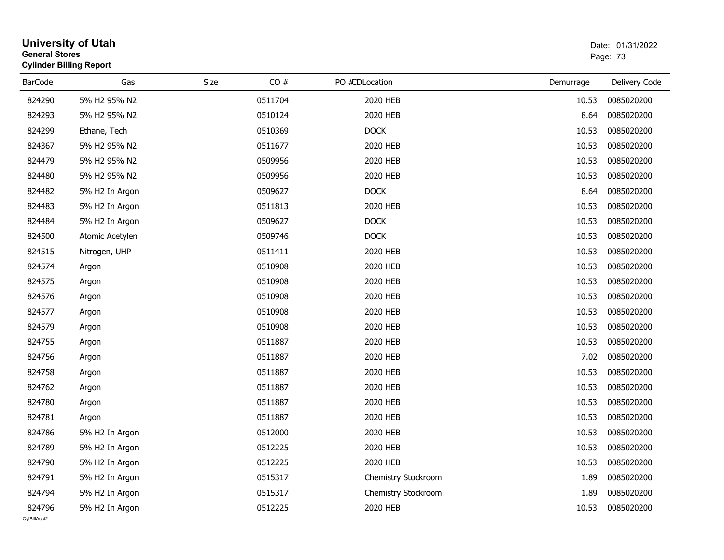| <b>General Stores</b> | <b>University of Utah</b><br><b>Cylinder Billing Report</b> |      |         |                     |           | Date: 01/31/2022<br>Page: 73 |
|-----------------------|-------------------------------------------------------------|------|---------|---------------------|-----------|------------------------------|
| <b>BarCode</b>        | Gas                                                         | Size | CO#     | PO #CDLocation      | Demurrage | Delivery Code                |
| 824290                | 5% H2 95% N2                                                |      | 0511704 | 2020 HEB            | 10.53     | 0085020200                   |
| 824293                | 5% H2 95% N2                                                |      | 0510124 | 2020 HEB            | 8.64      | 0085020200                   |
| 824299                | Ethane, Tech                                                |      | 0510369 | <b>DOCK</b>         | 10.53     | 0085020200                   |
| 824367                | 5% H2 95% N2                                                |      | 0511677 | 2020 HEB            | 10.53     | 0085020200                   |
| 824479                | 5% H2 95% N2                                                |      | 0509956 | 2020 HEB            | 10.53     | 0085020200                   |
| 824480                | 5% H2 95% N2                                                |      | 0509956 | 2020 HEB            | 10.53     | 0085020200                   |
| 824482                | 5% H2 In Argon                                              |      | 0509627 | <b>DOCK</b>         | 8.64      | 0085020200                   |
| 824483                | 5% H2 In Argon                                              |      | 0511813 | 2020 HEB            | 10.53     | 0085020200                   |
| 824484                | 5% H2 In Argon                                              |      | 0509627 | <b>DOCK</b>         | 10.53     | 0085020200                   |
| 824500                | Atomic Acetylen                                             |      | 0509746 | <b>DOCK</b>         | 10.53     | 0085020200                   |
| 824515                | Nitrogen, UHP                                               |      | 0511411 | 2020 HEB            | 10.53     | 0085020200                   |
| 824574                | Argon                                                       |      | 0510908 | 2020 HEB            | 10.53     | 0085020200                   |
| 824575                | Argon                                                       |      | 0510908 | 2020 HEB            | 10.53     | 0085020200                   |
| 824576                | Argon                                                       |      | 0510908 | 2020 HEB            | 10.53     | 0085020200                   |
| 824577                | Argon                                                       |      | 0510908 | 2020 HEB            | 10.53     | 0085020200                   |
| 824579                | Argon                                                       |      | 0510908 | 2020 HEB            | 10.53     | 0085020200                   |
| 824755                | Argon                                                       |      | 0511887 | 2020 HEB            | 10.53     | 0085020200                   |
| 824756                | Argon                                                       |      | 0511887 | 2020 HEB            | 7.02      | 0085020200                   |
| 824758                | Argon                                                       |      | 0511887 | 2020 HEB            | 10.53     | 0085020200                   |
| 824762                | Argon                                                       |      | 0511887 | 2020 HEB            | 10.53     | 0085020200                   |
| 824780                | Argon                                                       |      | 0511887 | 2020 HEB            | 10.53     | 0085020200                   |
| 824781                | Argon                                                       |      | 0511887 | 2020 HEB            | 10.53     | 0085020200                   |
| 824786                | 5% H2 In Argon                                              |      | 0512000 | 2020 HEB            | 10.53     | 0085020200                   |
| 824789                | 5% H2 In Argon                                              |      | 0512225 | 2020 HEB            | 10.53     | 0085020200                   |
| 824790                | 5% H2 In Argon                                              |      | 0512225 | 2020 HEB            | 10.53     | 0085020200                   |
| 824791                | 5% H2 In Argon                                              |      | 0515317 | Chemistry Stockroom | 1.89      | 0085020200                   |
| 824794                | 5% H2 In Argon                                              |      | 0515317 | Chemistry Stockroom | 1.89      | 0085020200                   |
| 824796                | 5% H2 In Argon                                              |      | 0512225 | 2020 HEB            | 10.53     | 0085020200                   |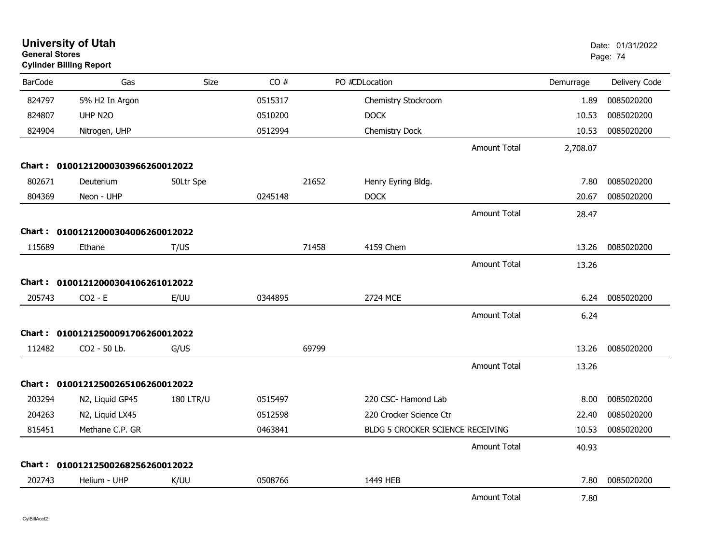| <b>General Stores</b> | <b>University of Utah</b><br><b>Cylinder Billing Report</b> |                  |         |       |                                  |                     |           | Date: 01/31/2022<br>Page: 74 |
|-----------------------|-------------------------------------------------------------|------------------|---------|-------|----------------------------------|---------------------|-----------|------------------------------|
| <b>BarCode</b>        | Gas                                                         | Size             | CO#     |       | PO #CDLocation                   |                     | Demurrage | Delivery Code                |
| 824797                | 5% H2 In Argon                                              |                  | 0515317 |       | Chemistry Stockroom              |                     | 1.89      | 0085020200                   |
| 824807                | UHP N2O                                                     |                  | 0510200 |       | <b>DOCK</b>                      |                     | 10.53     | 0085020200                   |
| 824904                | Nitrogen, UHP                                               |                  | 0512994 |       | Chemistry Dock                   |                     | 10.53     | 0085020200                   |
|                       |                                                             |                  |         |       |                                  | <b>Amount Total</b> | 2,708.07  |                              |
|                       | Chart: 01001212000303966260012022                           |                  |         |       |                                  |                     |           |                              |
| 802671                | Deuterium                                                   | 50Ltr Spe        |         | 21652 | Henry Eyring Bldg.               |                     | 7.80      | 0085020200                   |
| 804369                | Neon - UHP                                                  |                  | 0245148 |       | <b>DOCK</b>                      |                     | 20.67     | 0085020200                   |
|                       |                                                             |                  |         |       |                                  | <b>Amount Total</b> | 28.47     |                              |
|                       | Chart: 01001212000304006260012022                           |                  |         |       |                                  |                     |           |                              |
| 115689                | Ethane                                                      | T/US             |         | 71458 | 4159 Chem                        |                     | 13.26     | 0085020200                   |
|                       |                                                             |                  |         |       |                                  | <b>Amount Total</b> | 13.26     |                              |
|                       | Chart: 01001212000304106261012022                           |                  |         |       |                                  |                     |           |                              |
| 205743                | $CO2 - E$                                                   | E/UU             | 0344895 |       | 2724 MCE                         |                     | 6.24      | 0085020200                   |
|                       |                                                             |                  |         |       |                                  | <b>Amount Total</b> | 6.24      |                              |
|                       | Chart: 01001212500091706260012022                           |                  |         |       |                                  |                     |           |                              |
| 112482                | CO2 - 50 Lb.                                                | G/US             |         | 69799 |                                  |                     | 13.26     | 0085020200                   |
|                       |                                                             |                  |         |       |                                  | <b>Amount Total</b> | 13.26     |                              |
|                       | Chart: 01001212500265106260012022                           |                  |         |       |                                  |                     |           |                              |
| 203294                | N2, Liquid GP45                                             | <b>180 LTR/U</b> | 0515497 |       | 220 CSC- Hamond Lab              |                     | 8.00      | 0085020200                   |
| 204263                | N2, Liquid LX45                                             |                  | 0512598 |       | 220 Crocker Science Ctr          |                     | 22.40     | 0085020200                   |
| 815451                | Methane C.P. GR                                             |                  | 0463841 |       | BLDG 5 CROCKER SCIENCE RECEIVING |                     | 10.53     | 0085020200                   |
|                       |                                                             |                  |         |       |                                  | <b>Amount Total</b> | 40.93     |                              |
|                       | Chart: 01001212500268256260012022                           |                  |         |       |                                  |                     |           |                              |
| 202743                | Helium - UHP                                                | K/UU             | 0508766 |       | 1449 HEB                         |                     | 7.80      | 0085020200                   |
|                       |                                                             |                  |         |       |                                  | <b>Amount Total</b> | 7.80      |                              |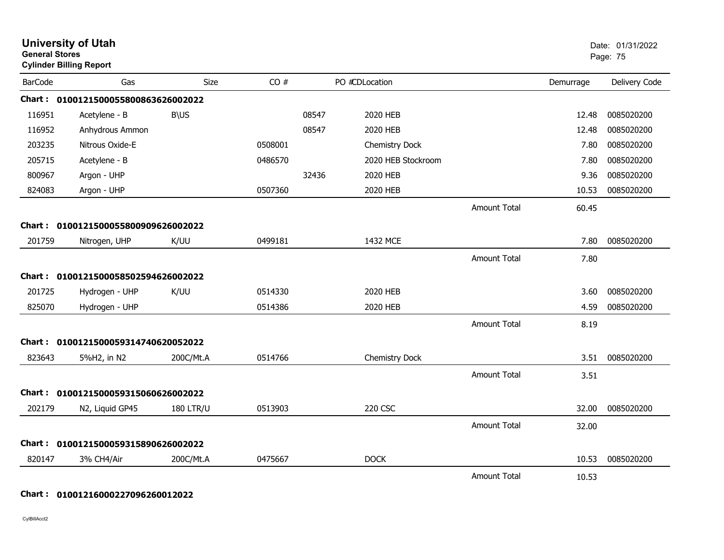| <b>General Stores</b> | <b>University of Utah</b><br><b>Cylinder Billing Report</b> |                  |         |       |                    |                     |           | Date: 01/31/2022<br>Page: 75 |
|-----------------------|-------------------------------------------------------------|------------------|---------|-------|--------------------|---------------------|-----------|------------------------------|
| <b>BarCode</b>        | Gas                                                         | Size             | CO#     |       | PO #CDLocation     |                     | Demurrage | Delivery Code                |
|                       | Chart: 0100121500055800863626002022                         |                  |         |       |                    |                     |           |                              |
| 116951                | Acetylene - B                                               | <b>B\US</b>      |         | 08547 | 2020 HEB           |                     | 12.48     | 0085020200                   |
| 116952                | Anhydrous Ammon                                             |                  |         | 08547 | 2020 HEB           |                     | 12.48     | 0085020200                   |
| 203235                | Nitrous Oxide-E                                             |                  | 0508001 |       | Chemistry Dock     |                     | 7.80      | 0085020200                   |
| 205715                | Acetylene - B                                               |                  | 0486570 |       | 2020 HEB Stockroom |                     | 7.80      | 0085020200                   |
| 800967                | Argon - UHP                                                 |                  |         | 32436 | 2020 HEB           |                     | 9.36      | 0085020200                   |
| 824083                | Argon - UHP                                                 |                  | 0507360 |       | 2020 HEB           |                     | 10.53     | 0085020200                   |
|                       |                                                             |                  |         |       |                    | <b>Amount Total</b> | 60.45     |                              |
|                       | Chart: 0100121500055800909626002022                         |                  |         |       |                    |                     |           |                              |
| 201759                | Nitrogen, UHP                                               | K/UU             | 0499181 |       | 1432 MCE           |                     | 7.80      | 0085020200                   |
|                       |                                                             |                  |         |       |                    | Amount Total        | 7.80      |                              |
|                       | Chart: 0100121500058502594626002022                         |                  |         |       |                    |                     |           |                              |
| 201725                | Hydrogen - UHP                                              | K/UU             | 0514330 |       | 2020 HEB           |                     | 3.60      | 0085020200                   |
| 825070                | Hydrogen - UHP                                              |                  | 0514386 |       | 2020 HEB           |                     | 4.59      | 0085020200                   |
|                       |                                                             |                  |         |       |                    | <b>Amount Total</b> | 8.19      |                              |
|                       | Chart: 0100121500059314740620052022                         |                  |         |       |                    |                     |           |                              |
| 823643                | 5%H2, in N2                                                 | 200C/Mt.A        | 0514766 |       | Chemistry Dock     |                     | 3.51      | 0085020200                   |
|                       |                                                             |                  |         |       |                    | <b>Amount Total</b> | 3.51      |                              |
| Chart : _             | 0100121500059315060626002022                                |                  |         |       |                    |                     |           |                              |
| 202179                | N2, Liquid GP45                                             | <b>180 LTR/U</b> | 0513903 |       | 220 CSC            |                     | 32.00     | 0085020200                   |
|                       |                                                             |                  |         |       |                    | <b>Amount Total</b> | 32.00     |                              |
| Chart :               | 0100121500059315890626002022                                |                  |         |       |                    |                     |           |                              |
| 820147                | 3% CH4/Air                                                  | 200C/Mt.A        | 0475667 |       | <b>DOCK</b>        |                     | 10.53     | 0085020200                   |
|                       |                                                             |                  |         |       |                    | <b>Amount Total</b> | 10.53     |                              |

### **Chart : 01001216000227096260012022**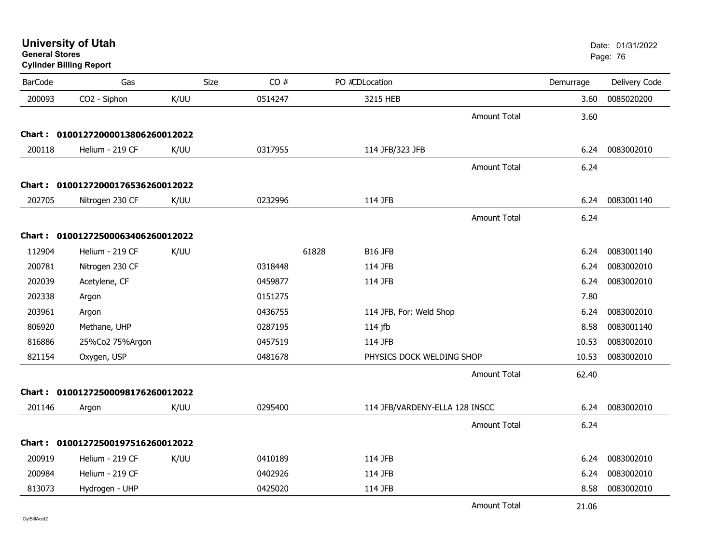| OBIIBI AI JIUI BS | <b>Cylinder Billing Report</b>    |      |         |                                |           | Page: 76      |
|-------------------|-----------------------------------|------|---------|--------------------------------|-----------|---------------|
| <b>BarCode</b>    | Gas                               | Size | CO#     | PO #CDLocation                 | Demurrage | Delivery Code |
| 200093            | CO2 - Siphon                      | K/UU | 0514247 | 3215 HEB                       | 3.60      | 0085020200    |
|                   |                                   |      |         | <b>Amount Total</b>            | 3.60      |               |
|                   | Chart: 01001272000013806260012022 |      |         |                                |           |               |
| 200118            | Helium - 219 CF                   | K/UU | 0317955 | 114 JFB/323 JFB                | 6.24      | 0083002010    |
|                   |                                   |      |         | <b>Amount Total</b>            | 6.24      |               |
|                   | Chart: 01001272000176536260012022 |      |         |                                |           |               |
| 202705            | Nitrogen 230 CF                   | K/UU | 0232996 | 114 JFB                        | 6.24      | 0083001140    |
|                   |                                   |      |         | <b>Amount Total</b>            | 6.24      |               |
|                   | Chart: 01001272500063406260012022 |      |         |                                |           |               |
| 112904            | Helium - 219 CF                   | K/UU |         | 61828<br>B16 JFB               | 6.24      | 0083001140    |
| 200781            | Nitrogen 230 CF                   |      | 0318448 | 114 JFB                        | 6.24      | 0083002010    |
| 202039            | Acetylene, CF                     |      | 0459877 | 114 JFB                        | 6.24      | 0083002010    |
| 202338            | Argon                             |      | 0151275 |                                | 7.80      |               |
| 203961            | Argon                             |      | 0436755 | 114 JFB, For: Weld Shop        | 6.24      | 0083002010    |
| 806920            | Methane, UHP                      |      | 0287195 | $114$ jfb                      | 8.58      | 0083001140    |
| 816886            | 25%Co2 75%Argon                   |      | 0457519 | 114 JFB                        | 10.53     | 0083002010    |
| 821154            | Oxygen, USP                       |      | 0481678 | PHYSICS DOCK WELDING SHOP      | 10.53     | 0083002010    |
|                   |                                   |      |         | <b>Amount Total</b>            | 62.40     |               |
|                   | Chart: 01001272500098176260012022 |      |         |                                |           |               |
| 201146            | Argon                             | K/UU | 0295400 | 114 JFB/VARDENY-ELLA 128 INSCC | 6.24      | 0083002010    |
|                   |                                   |      |         | <b>Amount Total</b>            | 6.24      |               |
|                   | Chart: 01001272500197516260012022 |      |         |                                |           |               |
| 200919            | Helium - 219 CF                   | K/UU | 0410189 | 114 JFB                        | 6.24      | 0083002010    |
| 200984            | Helium - 219 CF                   |      | 0402926 | 114 JFB                        | 6.24      | 0083002010    |
| 813073            | Hydrogen - UHP                    |      | 0425020 | 114 JFB                        | 8.58      | 0083002010    |
|                   |                                   |      |         |                                |           |               |

**University of Utah** Date: 01/31/2022

end and the state of the state of the state of the state of the state of the state of the Page: 76  $\,$  Page: 76  $\,$ 

Amount Total21.06

CylBillAcct2

**General Stores**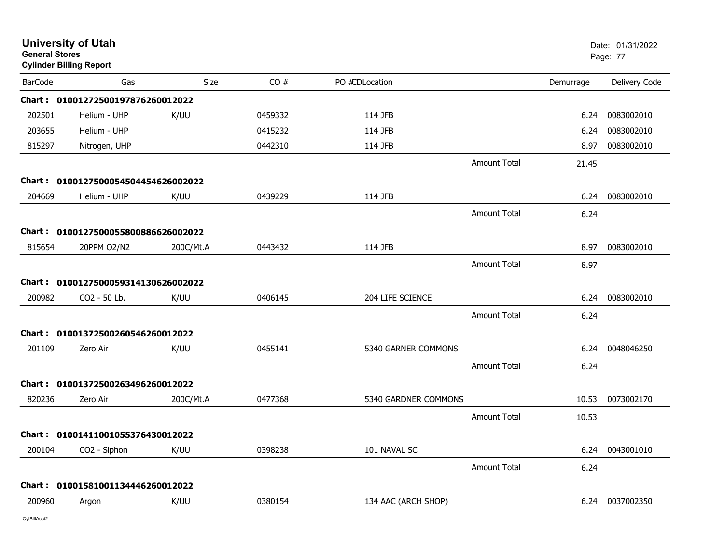| <b>General Stores</b> | <b>University of Utah</b><br><b>Cylinder Billing Report</b> |           |         |                      |                     |           | Date: 01/31/2022<br>Page: 77 |
|-----------------------|-------------------------------------------------------------|-----------|---------|----------------------|---------------------|-----------|------------------------------|
| <b>BarCode</b>        | Gas                                                         | Size      | CO#     | PO #CDLocation       |                     | Demurrage | Delivery Code                |
|                       | Chart: 01001272500197876260012022                           |           |         |                      |                     |           |                              |
| 202501                | Helium - UHP                                                | K/UU      | 0459332 | 114 JFB              |                     | 6.24      | 0083002010                   |
| 203655                | Helium - UHP                                                |           | 0415232 | 114 JFB              |                     | 6.24      | 0083002010                   |
| 815297                | Nitrogen, UHP                                               |           | 0442310 | 114 JFB              |                     | 8.97      | 0083002010                   |
|                       |                                                             |           |         |                      | <b>Amount Total</b> | 21.45     |                              |
| <b>Chart :</b>        | 0100127500054504454626002022                                |           |         |                      |                     |           |                              |
| 204669                | Helium - UHP                                                | K/UU      | 0439229 | 114 JFB              |                     | 6.24      | 0083002010                   |
|                       |                                                             |           |         |                      | <b>Amount Total</b> | 6.24      |                              |
|                       | Chart: 0100127500055800886626002022                         |           |         |                      |                     |           |                              |
| 815654                | 20PPM O2/N2                                                 | 200C/Mt.A | 0443432 | 114 JFB              |                     | 8.97      | 0083002010                   |
|                       |                                                             |           |         |                      | <b>Amount Total</b> | 8.97      |                              |
|                       | Chart: 0100127500059314130626002022                         |           |         |                      |                     |           |                              |
| 200982                | CO2 - 50 Lb.                                                | K/UU      | 0406145 | 204 LIFE SCIENCE     |                     | 6.24      | 0083002010                   |
|                       |                                                             |           |         |                      | <b>Amount Total</b> | 6.24      |                              |
|                       | Chart: 01001372500260546260012022                           |           |         |                      |                     |           |                              |
| 201109                | Zero Air                                                    | K/UU      | 0455141 | 5340 GARNER COMMONS  |                     | 6.24      | 0048046250                   |
|                       |                                                             |           |         |                      | <b>Amount Total</b> | 6.24      |                              |
|                       | Chart: 01001372500263496260012022                           |           |         |                      |                     |           |                              |
| 820236                | Zero Air                                                    | 200C/Mt.A | 0477368 | 5340 GARDNER COMMONS |                     | 10.53     | 0073002170                   |
|                       |                                                             |           |         |                      | <b>Amount Total</b> | 10.53     |                              |
|                       | Chart: 01001411001055376430012022                           |           |         |                      |                     |           |                              |
| 200104                | CO2 - Siphon                                                | K/UU      | 0398238 | 101 NAVAL SC         |                     | 6.24      | 0043001010                   |
|                       |                                                             |           |         |                      | <b>Amount Total</b> | 6.24      |                              |
|                       | Chart: 01001581001134446260012022                           |           |         |                      |                     |           |                              |
| 200960                | Argon                                                       | K/UU      | 0380154 | 134 AAC (ARCH SHOP)  |                     | 6.24      | 0037002350                   |
|                       |                                                             |           |         |                      |                     |           |                              |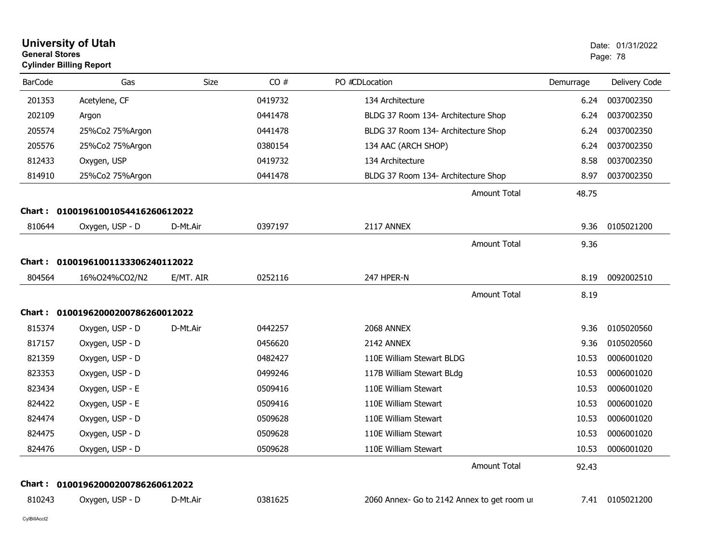|                | <b>University of Utah</b><br><b>General Stores</b><br><b>Cylinder Billing Report</b> |           |         | Date: 01/31/2022<br>Page: 78                |           |               |
|----------------|--------------------------------------------------------------------------------------|-----------|---------|---------------------------------------------|-----------|---------------|
| <b>BarCode</b> | Gas                                                                                  | Size      | CO#     | PO #CDLocation                              | Demurrage | Delivery Code |
| 201353         | Acetylene, CF                                                                        |           | 0419732 | 134 Architecture                            | 6.24      | 0037002350    |
| 202109         | Argon                                                                                |           | 0441478 | BLDG 37 Room 134- Architecture Shop         | 6.24      | 0037002350    |
| 205574         | 25%Co2 75%Argon                                                                      |           | 0441478 | BLDG 37 Room 134- Architecture Shop         | 6.24      | 0037002350    |
| 205576         | 25%Co2 75%Argon                                                                      |           | 0380154 | 134 AAC (ARCH SHOP)                         | 6.24      | 0037002350    |
| 812433         | Oxygen, USP                                                                          |           | 0419732 | 134 Architecture                            | 8.58      | 0037002350    |
| 814910         | 25%Co2 75%Argon                                                                      |           | 0441478 | BLDG 37 Room 134- Architecture Shop         | 8.97      | 0037002350    |
|                |                                                                                      |           |         | <b>Amount Total</b>                         | 48.75     |               |
| Chart :        | 01001961001054416260612022                                                           |           |         |                                             |           |               |
| 810644         | Oxygen, USP - D                                                                      | D-Mt.Air  | 0397197 | 2117 ANNEX                                  | 9.36      | 0105021200    |
|                |                                                                                      |           |         | <b>Amount Total</b>                         | 9.36      |               |
| Chart :        | 01001961001133306240112022                                                           |           |         |                                             |           |               |
| 804564         | 16%O24%CO2/N2                                                                        | E/MT. AIR | 0252116 | 247 HPER-N                                  | 8.19      | 0092002510    |
|                |                                                                                      |           |         | <b>Amount Total</b>                         | 8.19      |               |
|                | Chart: 01001962000200786260012022                                                    |           |         |                                             |           |               |
| 815374         | Oxygen, USP - D                                                                      | D-Mt.Air  | 0442257 | 2068 ANNEX                                  | 9.36      | 0105020560    |
| 817157         | Oxygen, USP - D                                                                      |           | 0456620 | 2142 ANNEX                                  | 9.36      | 0105020560    |
| 821359         | Oxygen, USP - D                                                                      |           | 0482427 | 110E William Stewart BLDG                   | 10.53     | 0006001020    |
| 823353         | Oxygen, USP - D                                                                      |           | 0499246 | 117B William Stewart BLdg                   | 10.53     | 0006001020    |
| 823434         | Oxygen, USP - E                                                                      |           | 0509416 | 110E William Stewart                        | 10.53     | 0006001020    |
| 824422         | Oxygen, USP - E                                                                      |           | 0509416 | 110E William Stewart                        | 10.53     | 0006001020    |
| 824474         | Oxygen, USP - D                                                                      |           | 0509628 | 110E William Stewart                        | 10.53     | 0006001020    |
| 824475         | Oxygen, USP - D                                                                      |           | 0509628 | 110E William Stewart                        | 10.53     | 0006001020    |
| 824476         | Oxygen, USP - D                                                                      |           | 0509628 | 110E William Stewart                        | 10.53     | 0006001020    |
|                |                                                                                      |           |         | <b>Amount Total</b>                         | 92.43     |               |
| Chart :        | 01001962000200786260612022                                                           |           |         |                                             |           |               |
| 810243         | Oxygen, USP - D                                                                      | D-Mt.Air  | 0381625 | 2060 Annex- Go to 2142 Annex to get room ur | 7.41      | 0105021200    |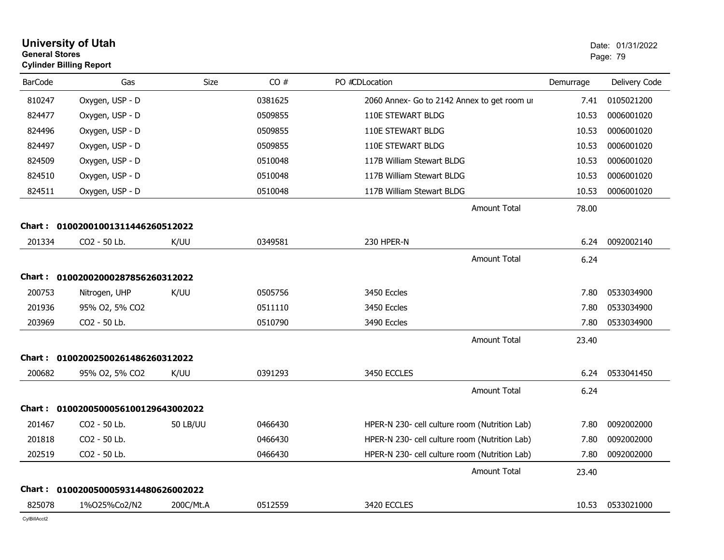| <b>General Stores</b> | <b>University of Utah</b><br><b>Cylinder Billing Report</b> |                 |         |                                               |           | Date: 01/31/2022<br>Page: 79 |
|-----------------------|-------------------------------------------------------------|-----------------|---------|-----------------------------------------------|-----------|------------------------------|
| <b>BarCode</b>        | Gas                                                         | <b>Size</b>     | CO#     | PO #CDLocation                                | Demurrage | Delivery Code                |
| 810247                | Oxygen, USP - D                                             |                 | 0381625 | 2060 Annex- Go to 2142 Annex to get room ur   | 7.41      | 0105021200                   |
| 824477                | Oxygen, USP - D                                             |                 | 0509855 | 110E STEWART BLDG                             | 10.53     | 0006001020                   |
| 824496                | Oxygen, USP - D                                             |                 | 0509855 | 110E STEWART BLDG                             | 10.53     | 0006001020                   |
| 824497                | Oxygen, USP - D                                             |                 | 0509855 | 110E STEWART BLDG                             | 10.53     | 0006001020                   |
| 824509                | Oxygen, USP - D                                             |                 | 0510048 | 117B William Stewart BLDG                     | 10.53     | 0006001020                   |
| 824510                | Oxygen, USP - D                                             |                 | 0510048 | 117B William Stewart BLDG                     | 10.53     | 0006001020                   |
| 824511                | Oxygen, USP - D                                             |                 | 0510048 | 117B William Stewart BLDG                     | 10.53     | 0006001020                   |
|                       |                                                             |                 |         | <b>Amount Total</b>                           | 78.00     |                              |
| Chart : .             | 01002001001311446260512022                                  |                 |         |                                               |           |                              |
| 201334                | CO2 - 50 Lb.                                                | K/UU            | 0349581 | 230 HPER-N                                    | 6.24      | 0092002140                   |
|                       |                                                             |                 |         | <b>Amount Total</b>                           | 6.24      |                              |
|                       | Chart: 01002002000287856260312022                           |                 |         |                                               |           |                              |
| 200753                | Nitrogen, UHP                                               | K/UU            | 0505756 | 3450 Eccles                                   | 7.80      | 0533034900                   |
| 201936                | 95% O2, 5% CO2                                              |                 | 0511110 | 3450 Eccles                                   | 7.80      | 0533034900                   |
| 203969                | CO2 - 50 Lb.                                                |                 | 0510790 | 3490 Eccles                                   | 7.80      | 0533034900                   |
|                       |                                                             |                 |         | <b>Amount Total</b>                           | 23.40     |                              |
| Chart :               | 01002002500261486260312022                                  |                 |         |                                               |           |                              |
| 200682                | 95% O2, 5% CO2                                              | K/UU            | 0391293 | 3450 ECCLES                                   | 6.24      | 0533041450                   |
|                       |                                                             |                 |         | <b>Amount Total</b>                           | 6.24      |                              |
| Chart :               | 0100200500056100129643002022                                |                 |         |                                               |           |                              |
| 201467                | CO2 - 50 Lb.                                                | <b>50 LB/UU</b> | 0466430 | HPER-N 230- cell culture room (Nutrition Lab) | 7.80      | 0092002000                   |
| 201818                | CO2 - 50 Lb.                                                |                 | 0466430 | HPER-N 230- cell culture room (Nutrition Lab) | 7.80      | 0092002000                   |
| 202519                | CO2 - 50 Lb.                                                |                 | 0466430 | HPER-N 230- cell culture room (Nutrition Lab) | 7.80      | 0092002000                   |
|                       |                                                             |                 |         | <b>Amount Total</b>                           | 23.40     |                              |
| <b>Chart:</b>         | 0100200500059314480626002022                                |                 |         |                                               |           |                              |
| 825078                | 1%025%Co2/N2                                                | 200C/Mt.A       | 0512559 | 3420 ECCLES                                   | 10.53     | 0533021000                   |
| CvIBillAcct2          |                                                             |                 |         |                                               |           |                              |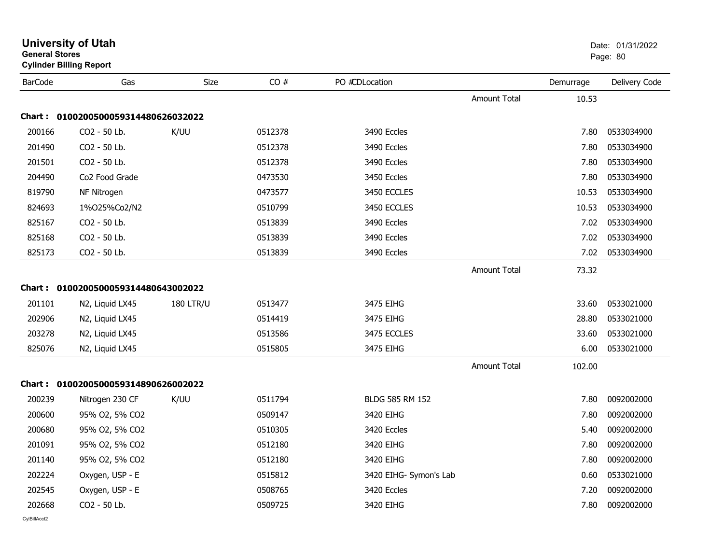| <b>General Stores</b> | <b>Cylinder Billing Report</b>      |                  |         |                        |                     |           | Page: 80      |
|-----------------------|-------------------------------------|------------------|---------|------------------------|---------------------|-----------|---------------|
| <b>BarCode</b>        | Gas                                 | Size             | CO#     | PO #CDLocation         |                     | Demurrage | Delivery Code |
|                       |                                     |                  |         |                        | <b>Amount Total</b> | 10.53     |               |
|                       | Chart: 0100200500059314480626032022 |                  |         |                        |                     |           |               |
| 200166                | CO <sub>2</sub> - 50 Lb.            | K/UU             | 0512378 | 3490 Eccles            |                     | 7.80      | 0533034900    |
| 201490                | CO2 - 50 Lb.                        |                  | 0512378 | 3490 Eccles            |                     | 7.80      | 0533034900    |
| 201501                | CO2 - 50 Lb.                        |                  | 0512378 | 3490 Eccles            |                     | 7.80      | 0533034900    |
| 204490                | Co <sub>2</sub> Food Grade          |                  | 0473530 | 3450 Eccles            |                     | 7.80      | 0533034900    |
| 819790                | NF Nitrogen                         |                  | 0473577 | 3450 ECCLES            |                     | 10.53     | 0533034900    |
| 824693                | 1%025%Co2/N2                        |                  | 0510799 | 3450 ECCLES            |                     | 10.53     | 0533034900    |
| 825167                | CO2 - 50 Lb.                        |                  | 0513839 | 3490 Eccles            |                     | 7.02      | 0533034900    |
| 825168                | CO2 - 50 Lb.                        |                  | 0513839 | 3490 Eccles            |                     | 7.02      | 0533034900    |
| 825173                | CO2 - 50 Lb.                        |                  | 0513839 | 3490 Eccles            |                     | 7.02      | 0533034900    |
|                       |                                     |                  |         |                        | <b>Amount Total</b> | 73.32     |               |
|                       | Chart: 0100200500059314480643002022 |                  |         |                        |                     |           |               |
| 201101                | N2, Liquid LX45                     | <b>180 LTR/U</b> | 0513477 | 3475 EIHG              |                     | 33.60     | 0533021000    |
| 202906                | N2, Liquid LX45                     |                  | 0514419 | 3475 EIHG              |                     | 28.80     | 0533021000    |
| 203278                | N2, Liquid LX45                     |                  | 0513586 | 3475 ECCLES            |                     | 33.60     | 0533021000    |
| 825076                | N2, Liquid LX45                     |                  | 0515805 | 3475 EIHG              |                     | 6.00      | 0533021000    |
|                       |                                     |                  |         |                        | Amount Total        | 102.00    |               |
|                       | Chart: 0100200500059314890626002022 |                  |         |                        |                     |           |               |
| 200239                | Nitrogen 230 CF                     | K/UU             | 0511794 | BLDG 585 RM 152        |                     | 7.80      | 0092002000    |
| 200600                | 95% O2, 5% CO2                      |                  | 0509147 | 3420 EIHG              |                     | 7.80      | 0092002000    |
| 200680                | 95% O2, 5% CO2                      |                  | 0510305 | 3420 Eccles            |                     | 5.40      | 0092002000    |
| 201091                | 95% O2, 5% CO2                      |                  | 0512180 | 3420 EIHG              |                     | 7.80      | 0092002000    |
| 201140                | 95% O2, 5% CO2                      |                  | 0512180 | 3420 EIHG              |                     | 7.80      | 0092002000    |
| 202224                | Oxygen, USP - E                     |                  | 0515812 | 3420 EIHG- Symon's Lab |                     | 0.60      | 0533021000    |
| 202545                | Oxygen, USP - E                     |                  | 0508765 | 3420 Eccles            |                     | 7.20      | 0092002000    |
| 202668                | CO2 - 50 Lb.                        |                  | 0509725 | 3420 EIHG              |                     | 7.80      | 0092002000    |
|                       |                                     |                  |         |                        |                     |           |               |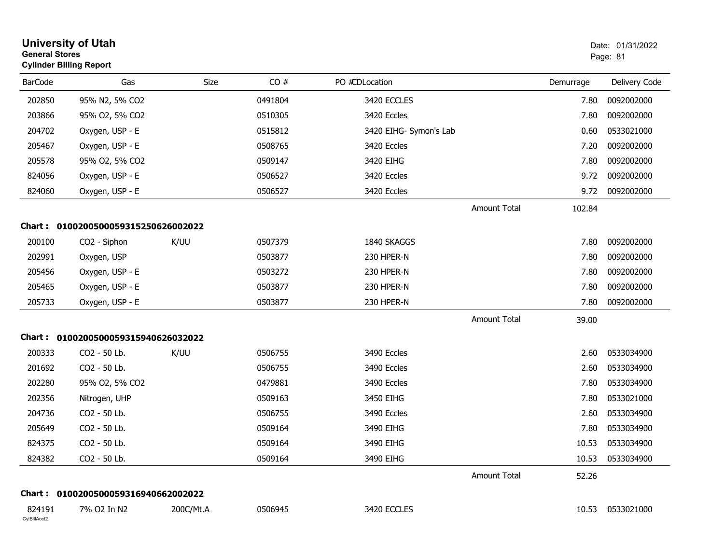| <b>General Stores</b>  | <b>University of Utah</b><br><b>Cylinder Billing Report</b> |           |         |                        |                     |           | Date: 01/31/2022<br>Page: 81 |
|------------------------|-------------------------------------------------------------|-----------|---------|------------------------|---------------------|-----------|------------------------------|
| <b>BarCode</b>         | Gas                                                         | Size      | CO#     | PO #CDLocation         |                     | Demurrage | Delivery Code                |
| 202850                 | 95% N2, 5% CO2                                              |           | 0491804 | 3420 ECCLES            |                     | 7.80      | 0092002000                   |
| 203866                 | 95% O2, 5% CO2                                              |           | 0510305 | 3420 Eccles            |                     | 7.80      | 0092002000                   |
| 204702                 | Oxygen, USP - E                                             |           | 0515812 | 3420 EIHG- Symon's Lab |                     | 0.60      | 0533021000                   |
| 205467                 | Oxygen, USP - E                                             |           | 0508765 | 3420 Eccles            |                     | 7.20      | 0092002000                   |
| 205578                 | 95% O2, 5% CO2                                              |           | 0509147 | 3420 EIHG              |                     | 7.80      | 0092002000                   |
| 824056                 | Oxygen, USP - E                                             |           | 0506527 | 3420 Eccles            |                     | 9.72      | 0092002000                   |
| 824060                 | Oxygen, USP - E                                             |           | 0506527 | 3420 Eccles            |                     | 9.72      | 0092002000                   |
|                        |                                                             |           |         |                        | <b>Amount Total</b> | 102.84    |                              |
| <b>Chart:</b>          | 0100200500059315250626002022                                |           |         |                        |                     |           |                              |
| 200100                 | CO <sub>2</sub> - Siphon                                    | K/UU      | 0507379 | 1840 SKAGGS            |                     | 7.80      | 0092002000                   |
| 202991                 | Oxygen, USP                                                 |           | 0503877 | 230 HPER-N             |                     | 7.80      | 0092002000                   |
| 205456                 | Oxygen, USP - E                                             |           | 0503272 | 230 HPER-N             |                     | 7.80      | 0092002000                   |
| 205465                 | Oxygen, USP - E                                             |           | 0503877 | 230 HPER-N             |                     | 7.80      | 0092002000                   |
| 205733                 | Oxygen, USP - E                                             |           | 0503877 | 230 HPER-N             |                     | 7.80      | 0092002000                   |
|                        |                                                             |           |         |                        | <b>Amount Total</b> | 39.00     |                              |
|                        | Chart: 0100200500059315940626032022                         |           |         |                        |                     |           |                              |
| 200333                 | CO2 - 50 Lb.                                                | K/UU      | 0506755 | 3490 Eccles            |                     | 2.60      | 0533034900                   |
| 201692                 | CO2 - 50 Lb.                                                |           | 0506755 | 3490 Eccles            |                     | 2.60      | 0533034900                   |
| 202280                 | 95% O2, 5% CO2                                              |           | 0479881 | 3490 Eccles            |                     | 7.80      | 0533034900                   |
| 202356                 | Nitrogen, UHP                                               |           | 0509163 | 3450 EIHG              |                     | 7.80      | 0533021000                   |
| 204736                 | CO2 - 50 Lb.                                                |           | 0506755 | 3490 Eccles            |                     | 2.60      | 0533034900                   |
| 205649                 | CO2 - 50 Lb.                                                |           | 0509164 | 3490 EIHG              |                     | 7.80      | 0533034900                   |
| 824375                 | CO2 - 50 Lb.                                                |           | 0509164 | 3490 EIHG              |                     | 10.53     | 0533034900                   |
| 824382                 | CO2 - 50 Lb.                                                |           | 0509164 | 3490 EIHG              |                     | 10.53     | 0533034900                   |
|                        |                                                             |           |         |                        | Amount Total        | 52.26     |                              |
|                        | Chart: 0100200500059316940662002022                         |           |         |                        |                     |           |                              |
| 824191<br>CylBillAcct2 | 7% O2 In N2                                                 | 200C/Mt.A | 0506945 | 3420 ECCLES            |                     | 10.53     | 0533021000                   |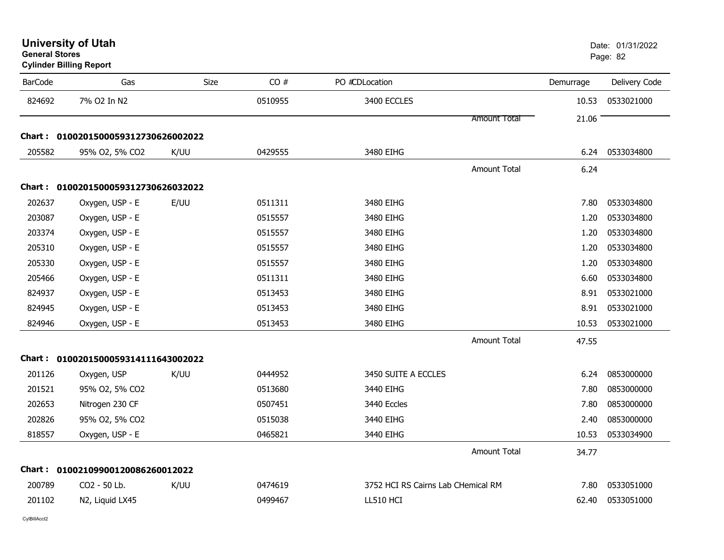| General Stores | <b>Cylinder Billing Report</b>      |      |         |                                    |                     |           | Page: 82      |
|----------------|-------------------------------------|------|---------|------------------------------------|---------------------|-----------|---------------|
| <b>BarCode</b> | Gas                                 | Size | CO#     | PO #CDLocation                     |                     | Demurrage | Delivery Code |
| 824692         | 7% O2 In N2                         |      | 0510955 | 3400 ECCLES                        |                     | 10.53     | 0533021000    |
|                |                                     |      |         |                                    | <b>Amount Total</b> | 21.06     |               |
|                | Chart: 0100201500059312730626002022 |      |         |                                    |                     |           |               |
| 205582         | 95% O2, 5% CO2                      | K/UU | 0429555 | 3480 EIHG                          |                     | 6.24      | 0533034800    |
|                |                                     |      |         |                                    | <b>Amount Total</b> | 6.24      |               |
|                | Chart: 0100201500059312730626032022 |      |         |                                    |                     |           |               |
| 202637         | Oxygen, USP - E                     | E/UU | 0511311 | 3480 EIHG                          |                     | 7.80      | 0533034800    |
| 203087         | Oxygen, USP - E                     |      | 0515557 | 3480 EIHG                          |                     | 1.20      | 0533034800    |
| 203374         | Oxygen, USP - E                     |      | 0515557 | 3480 EIHG                          |                     | 1.20      | 0533034800    |
| 205310         | Oxygen, USP - E                     |      | 0515557 | 3480 EIHG                          |                     | 1.20      | 0533034800    |
| 205330         | Oxygen, USP - E                     |      | 0515557 | 3480 EIHG                          |                     | 1.20      | 0533034800    |
| 205466         | Oxygen, USP - E                     |      | 0511311 | 3480 EIHG                          |                     | 6.60      | 0533034800    |
| 824937         | Oxygen, USP - E                     |      | 0513453 | 3480 EIHG                          |                     | 8.91      | 0533021000    |
| 824945         | Oxygen, USP - E                     |      | 0513453 | 3480 EIHG                          |                     | 8.91      | 0533021000    |
| 824946         | Oxygen, USP - E                     |      | 0513453 | 3480 EIHG                          |                     | 10.53     | 0533021000    |
|                |                                     |      |         |                                    | <b>Amount Total</b> | 47.55     |               |
|                | Chart: 0100201500059314111643002022 |      |         |                                    |                     |           |               |
| 201126         | Oxygen, USP                         | K/UU | 0444952 | 3450 SUITE A ECCLES                |                     | 6.24      | 0853000000    |
| 201521         | 95% O2, 5% CO2                      |      | 0513680 | 3440 EIHG                          |                     | 7.80      | 0853000000    |
| 202653         | Nitrogen 230 CF                     |      | 0507451 | 3440 Eccles                        |                     | 7.80      | 0853000000    |
| 202826         | 95% O2, 5% CO2                      |      | 0515038 | 3440 EIHG                          |                     | 2.40      | 0853000000    |
| 818557         | Oxygen, USP - E                     |      | 0465821 | 3440 EIHG                          |                     | 10.53     | 0533034900    |
|                |                                     |      |         |                                    | <b>Amount Total</b> | 34.77     |               |
|                | Chart: 01002109900120086260012022   |      |         |                                    |                     |           |               |
| 200789         | CO2 - 50 Lb.                        | K/UU | 0474619 | 3752 HCI RS Cairns Lab CHemical RM |                     | 7.80      | 0533051000    |
| 201102         | N2, Liquid LX45                     |      | 0499467 | LL510 HCI                          |                     | 62.40     | 0533051000    |
|                |                                     |      |         |                                    |                     |           |               |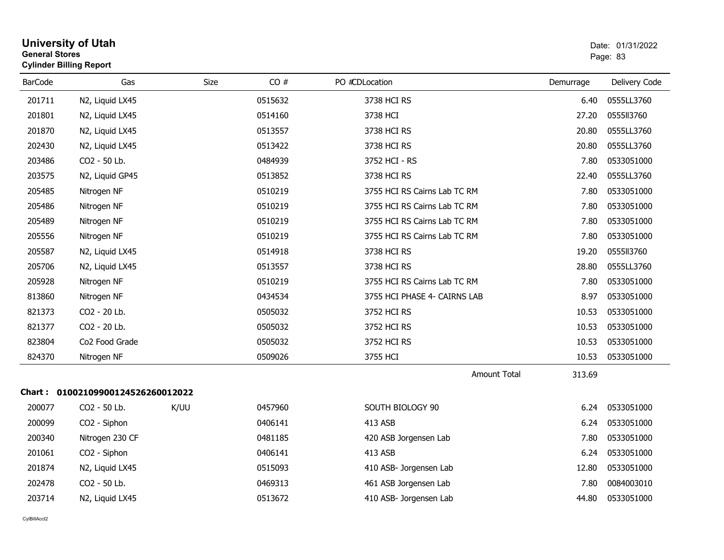| <b>General Stores</b> | <b>University of Utah</b><br><b>Cylinder Billing Report</b> | Date: 01/31/2022<br>Page: 83 |         |                              |           |               |
|-----------------------|-------------------------------------------------------------|------------------------------|---------|------------------------------|-----------|---------------|
| <b>BarCode</b>        | Gas                                                         | Size                         | CO#     | PO #CDLocation               | Demurrage | Delivery Code |
| 201711                | N2, Liquid LX45                                             |                              | 0515632 | 3738 HCI RS                  | 6.40      | 0555LL3760    |
| 201801                | N2, Liquid LX45                                             |                              | 0514160 | 3738 HCI                     | 27.20     | 0555113760    |
| 201870                | N2, Liquid LX45                                             |                              | 0513557 | 3738 HCI RS                  | 20.80     | 0555LL3760    |
| 202430                | N2, Liquid LX45                                             |                              | 0513422 | 3738 HCI RS                  | 20.80     | 0555LL3760    |
| 203486                | CO2 - 50 Lb.                                                |                              | 0484939 | 3752 HCI - RS                | 7.80      | 0533051000    |
| 203575                | N2, Liquid GP45                                             |                              | 0513852 | 3738 HCI RS                  | 22.40     | 0555LL3760    |
| 205485                | Nitrogen NF                                                 |                              | 0510219 | 3755 HCI RS Cairns Lab TC RM | 7.80      | 0533051000    |
| 205486                | Nitrogen NF                                                 |                              | 0510219 | 3755 HCI RS Cairns Lab TC RM | 7.80      | 0533051000    |
| 205489                | Nitrogen NF                                                 |                              | 0510219 | 3755 HCI RS Cairns Lab TC RM | 7.80      | 0533051000    |
| 205556                | Nitrogen NF                                                 |                              | 0510219 | 3755 HCI RS Cairns Lab TC RM | 7.80      | 0533051000    |
| 205587                | N2, Liquid LX45                                             |                              | 0514918 | 3738 HCI RS                  | 19.20     | 0555113760    |
| 205706                | N2, Liquid LX45                                             |                              | 0513557 | 3738 HCI RS                  | 28.80     | 0555LL3760    |
| 205928                | Nitrogen NF                                                 |                              | 0510219 | 3755 HCI RS Cairns Lab TC RM | 7.80      | 0533051000    |
| 813860                | Nitrogen NF                                                 |                              | 0434534 | 3755 HCI PHASE 4- CAIRNS LAB | 8.97      | 0533051000    |
| 821373                | CO2 - 20 Lb.                                                |                              | 0505032 | 3752 HCI RS                  | 10.53     | 0533051000    |
| 821377                | CO2 - 20 Lb.                                                |                              | 0505032 | 3752 HCI RS                  | 10.53     | 0533051000    |
| 823804                | Co2 Food Grade                                              |                              | 0505032 | 3752 HCI RS                  | 10.53     | 0533051000    |
| 824370                | Nitrogen NF                                                 |                              | 0509026 | 3755 HCI                     | 10.53     | 0533051000    |
|                       |                                                             |                              |         | <b>Amount Total</b>          | 313.69    |               |
|                       | Chart: 01002109900124526260012022                           |                              |         |                              |           |               |
| 200077                | CO2 - 50 Lb.                                                | K/UU                         | 0457960 | SOUTH BIOLOGY 90             | 6.24      | 0533051000    |
| 200099                | CO2 - Siphon                                                |                              | 0406141 | 413 ASB                      | 6.24      | 0533051000    |
| 200340                | Nitrogen 230 CF                                             |                              | 0481185 | 420 ASB Jorgensen Lab        | 7.80      | 0533051000    |
| 201061                | CO2 - Siphon                                                |                              | 0406141 | 413 ASB                      | 6.24      | 0533051000    |
| 201874                | N2, Liquid LX45                                             |                              | 0515093 | 410 ASB- Jorgensen Lab       | 12.80     | 0533051000    |
| 202478                | CO2 - 50 Lb.                                                |                              | 0469313 | 461 ASB Jorgensen Lab        | 7.80      | 0084003010    |
| 203714                | N2, Liquid LX45                                             |                              | 0513672 | 410 ASB- Jorgensen Lab       | 44.80     | 0533051000    |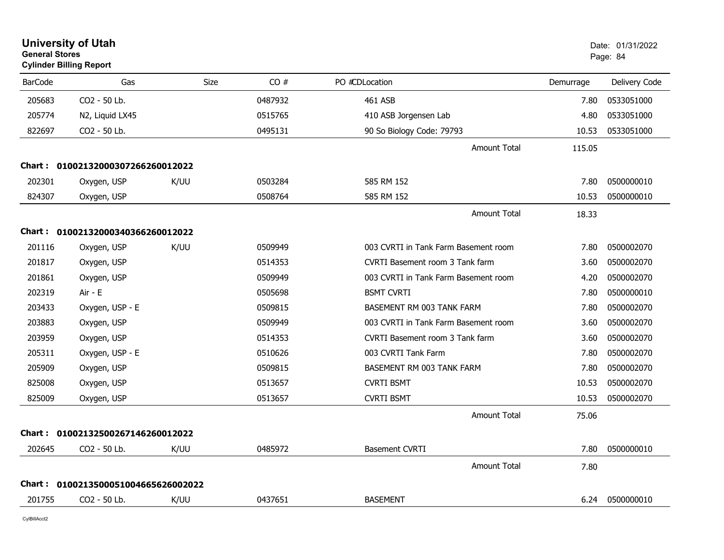| <b>General Stores</b> | <b>University of Utah</b><br><b>Cylinder Billing Report</b> |      |         |                                      |           | Date: 01/31/2022<br>Page: 84 |
|-----------------------|-------------------------------------------------------------|------|---------|--------------------------------------|-----------|------------------------------|
| <b>BarCode</b>        | Gas                                                         | Size | CO#     | PO #CDLocation                       | Demurrage | Delivery Code                |
| 205683                | CO2 - 50 Lb.                                                |      | 0487932 | 461 ASB                              | 7.80      | 0533051000                   |
| 205774                | N2, Liquid LX45                                             |      | 0515765 | 410 ASB Jorgensen Lab                | 4.80      | 0533051000                   |
| 822697                | CO2 - 50 Lb.                                                |      | 0495131 | 90 So Biology Code: 79793            | 10.53     | 0533051000                   |
|                       |                                                             |      |         | <b>Amount Total</b>                  | 115.05    |                              |
| Chart :               | 01002132000307266260012022                                  |      |         |                                      |           |                              |
| 202301                | Oxygen, USP                                                 | K/UU | 0503284 | 585 RM 152                           | 7.80      | 0500000010                   |
| 824307                | Oxygen, USP                                                 |      | 0508764 | 585 RM 152                           | 10.53     | 0500000010                   |
|                       |                                                             |      |         | <b>Amount Total</b>                  | 18.33     |                              |
| Chart :               | 01002132000340366260012022                                  |      |         |                                      |           |                              |
| 201116                | Oxygen, USP                                                 | K/UU | 0509949 | 003 CVRTI in Tank Farm Basement room | 7.80      | 0500002070                   |
| 201817                | Oxygen, USP                                                 |      | 0514353 | CVRTI Basement room 3 Tank farm      | 3.60      | 0500002070                   |
| 201861                | Oxygen, USP                                                 |      | 0509949 | 003 CVRTI in Tank Farm Basement room | 4.20      | 0500002070                   |
| 202319                | Air - E                                                     |      | 0505698 | <b>BSMT CVRTI</b>                    | 7.80      | 0500000010                   |
| 203433                | Oxygen, USP - E                                             |      | 0509815 | BASEMENT RM 003 TANK FARM            | 7.80      | 0500002070                   |
| 203883                | Oxygen, USP                                                 |      | 0509949 | 003 CVRTI in Tank Farm Basement room | 3.60      | 0500002070                   |
| 203959                | Oxygen, USP                                                 |      | 0514353 | CVRTI Basement room 3 Tank farm      | 3.60      | 0500002070                   |
| 205311                | Oxygen, USP - E                                             |      | 0510626 | 003 CVRTI Tank Farm                  | 7.80      | 0500002070                   |
| 205909                | Oxygen, USP                                                 |      | 0509815 | BASEMENT RM 003 TANK FARM            | 7.80      | 0500002070                   |
| 825008                | Oxygen, USP                                                 |      | 0513657 | <b>CVRTI BSMT</b>                    | 10.53     | 0500002070                   |
| 825009                | Oxygen, USP                                                 |      | 0513657 | <b>CVRTI BSMT</b>                    | 10.53     | 0500002070                   |
|                       |                                                             |      |         | <b>Amount Total</b>                  | 75.06     |                              |
| Chart :               | 01002132500267146260012022                                  |      |         |                                      |           |                              |
| 202645                | CO2 - 50 Lb.                                                | K/UU | 0485972 | <b>Basement CVRTI</b>                | 7.80      | 0500000010                   |
|                       |                                                             |      |         | <b>Amount Total</b>                  | 7.80      |                              |
| Chart :               | 0100213500051004665626002022                                |      |         |                                      |           |                              |
| 201755                | CO2 - 50 Lb.                                                | K/UU | 0437651 | <b>BASEMENT</b>                      | 6.24      | 0500000010                   |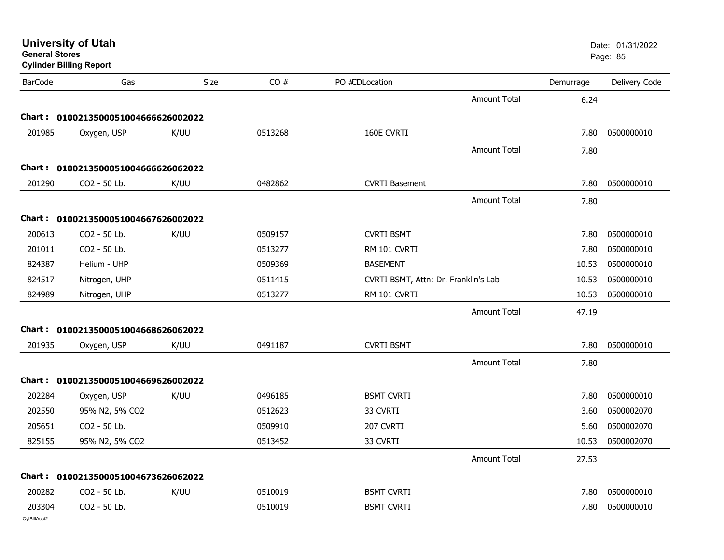|                        | <b>University of Utah</b><br><b>General Stores</b><br><b>Cylinder Billing Report</b> |      |         |                                      |                     |           | Date: 01/31/2022<br>Page: 85 |  |
|------------------------|--------------------------------------------------------------------------------------|------|---------|--------------------------------------|---------------------|-----------|------------------------------|--|
| <b>BarCode</b>         | Gas                                                                                  | Size | CO#     | PO #CDLocation                       |                     | Demurrage | Delivery Code                |  |
|                        |                                                                                      |      |         |                                      | <b>Amount Total</b> | 6.24      |                              |  |
|                        | Chart: 0100213500051004666626002022                                                  |      |         |                                      |                     |           |                              |  |
| 201985                 | Oxygen, USP                                                                          | K/UU | 0513268 | 160E CVRTI                           |                     | 7.80      | 0500000010                   |  |
|                        |                                                                                      |      |         |                                      | <b>Amount Total</b> | 7.80      |                              |  |
|                        | Chart: 0100213500051004666626062022                                                  |      |         |                                      |                     |           |                              |  |
| 201290                 | CO2 - 50 Lb.                                                                         | K/UU | 0482862 | <b>CVRTI Basement</b>                |                     | 7.80      | 0500000010                   |  |
|                        |                                                                                      |      |         |                                      | <b>Amount Total</b> | 7.80      |                              |  |
|                        | Chart: 0100213500051004667626002022                                                  |      |         |                                      |                     |           |                              |  |
| 200613                 | CO2 - 50 Lb.                                                                         | K/UU | 0509157 | <b>CVRTI BSMT</b>                    |                     | 7.80      | 0500000010                   |  |
| 201011                 | CO2 - 50 Lb.                                                                         |      | 0513277 | RM 101 CVRTI                         |                     | 7.80      | 0500000010                   |  |
| 824387                 | Helium - UHP                                                                         |      | 0509369 | <b>BASEMENT</b>                      |                     | 10.53     | 0500000010                   |  |
| 824517                 | Nitrogen, UHP                                                                        |      | 0511415 | CVRTI BSMT, Attn: Dr. Franklin's Lab |                     | 10.53     | 0500000010                   |  |
| 824989                 | Nitrogen, UHP                                                                        |      | 0513277 | RM 101 CVRTI                         |                     | 10.53     | 0500000010                   |  |
|                        |                                                                                      |      |         |                                      | <b>Amount Total</b> | 47.19     |                              |  |
|                        | Chart: 0100213500051004668626062022                                                  |      |         |                                      |                     |           |                              |  |
| 201935                 | Oxygen, USP                                                                          | K/UU | 0491187 | <b>CVRTI BSMT</b>                    |                     | 7.80      | 0500000010                   |  |
|                        |                                                                                      |      |         |                                      | <b>Amount Total</b> | 7.80      |                              |  |
|                        | Chart: 0100213500051004669626002022                                                  |      |         |                                      |                     |           |                              |  |
| 202284                 | Oxygen, USP                                                                          | K/UU | 0496185 | <b>BSMT CVRTI</b>                    |                     | 7.80      | 0500000010                   |  |
| 202550                 | 95% N2, 5% CO2                                                                       |      | 0512623 | 33 CVRTI                             |                     | 3.60      | 0500002070                   |  |
| 205651                 | CO2 - 50 Lb.                                                                         |      | 0509910 | 207 CVRTI                            |                     | 5.60      | 0500002070                   |  |
| 825155                 | 95% N2, 5% CO2                                                                       |      | 0513452 | 33 CVRTI                             |                     | 10.53     | 0500002070                   |  |
|                        |                                                                                      |      |         |                                      | <b>Amount Total</b> | 27.53     |                              |  |
|                        | Chart: 0100213500051004673626062022                                                  |      |         |                                      |                     |           |                              |  |
| 200282                 | CO2 - 50 Lb.                                                                         | K/UU | 0510019 | <b>BSMT CVRTI</b>                    |                     | 7.80      | 0500000010                   |  |
| 203304<br>CylBillAcct2 | CO2 - 50 Lb.                                                                         |      | 0510019 | <b>BSMT CVRTI</b>                    |                     | 7.80      | 0500000010                   |  |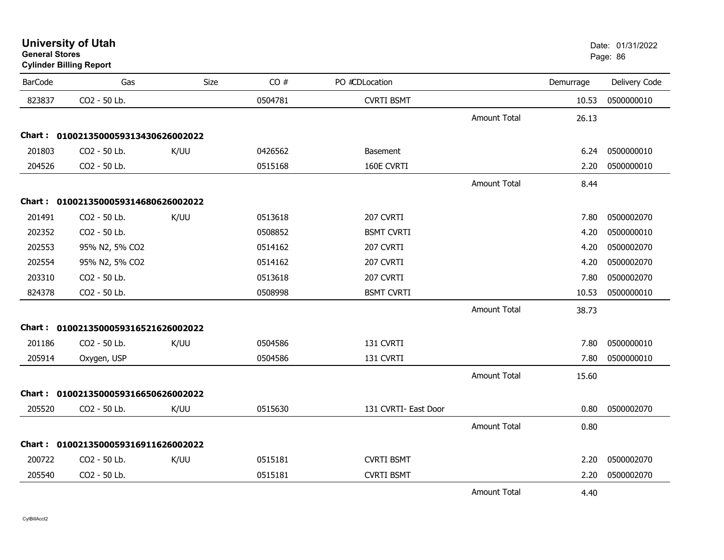### **Cylinder Billing Report**

| <b>BarCode</b> | Gas                                 | Size | CO#     | PO #CDLocation       |                     | Demurrage | Delivery Code |
|----------------|-------------------------------------|------|---------|----------------------|---------------------|-----------|---------------|
| 823837         | CO2 - 50 Lb.                        |      | 0504781 | <b>CVRTI BSMT</b>    |                     | 10.53     | 0500000010    |
|                |                                     |      |         |                      | <b>Amount Total</b> | 26.13     |               |
|                | Chart: 0100213500059313430626002022 |      |         |                      |                     |           |               |
| 201803         | CO2 - 50 Lb.                        | K/UU | 0426562 | <b>Basement</b>      |                     | 6.24      | 0500000010    |
| 204526         | CO2 - 50 Lb.                        |      | 0515168 | 160E CVRTI           |                     | 2.20      | 0500000010    |
|                |                                     |      |         |                      | <b>Amount Total</b> | 8.44      |               |
|                | Chart: 0100213500059314680626002022 |      |         |                      |                     |           |               |
| 201491         | CO2 - 50 Lb.                        | K/UU | 0513618 | 207 CVRTI            |                     | 7.80      | 0500002070    |
| 202352         | CO2 - 50 Lb.                        |      | 0508852 | <b>BSMT CVRTI</b>    |                     | 4.20      | 0500000010    |
| 202553         | 95% N2, 5% CO2                      |      | 0514162 | 207 CVRTI            |                     | 4.20      | 0500002070    |
| 202554         | 95% N2, 5% CO2                      |      | 0514162 | 207 CVRTI            |                     | 4.20      | 0500002070    |
| 203310         | CO2 - 50 Lb.                        |      | 0513618 | 207 CVRTI            |                     | 7.80      | 0500002070    |
| 824378         | CO2 - 50 Lb.                        |      | 0508998 | <b>BSMT CVRTI</b>    |                     | 10.53     | 0500000010    |
|                |                                     |      |         |                      | <b>Amount Total</b> | 38.73     |               |
|                | Chart: 0100213500059316521626002022 |      |         |                      |                     |           |               |
| 201186         | CO2 - 50 Lb.                        | K/UU | 0504586 | 131 CVRTI            |                     | 7.80      | 0500000010    |
| 205914         | Oxygen, USP                         |      | 0504586 | 131 CVRTI            |                     | 7.80      | 0500000010    |
|                |                                     |      |         |                      | <b>Amount Total</b> | 15.60     |               |
|                | Chart: 0100213500059316650626002022 |      |         |                      |                     |           |               |
| 205520         | CO2 - 50 Lb.                        | K/UU | 0515630 | 131 CVRTI- East Door |                     | 0.80      | 0500002070    |
|                |                                     |      |         |                      | <b>Amount Total</b> | 0.80      |               |
|                | Chart: 0100213500059316911626002022 |      |         |                      |                     |           |               |
| 200722         | CO2 - 50 Lb.                        | K/UU | 0515181 | <b>CVRTI BSMT</b>    |                     | 2.20      | 0500002070    |
| 205540         | CO2 - 50 Lb.                        |      | 0515181 | <b>CVRTI BSMT</b>    |                     | 2.20      | 0500002070    |
|                |                                     |      |         |                      | <b>Amount Total</b> | 4.40      |               |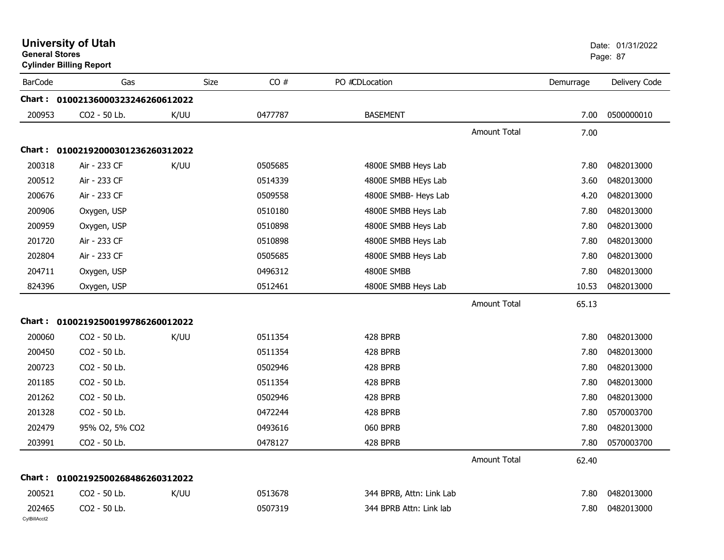| <b>General Stores</b>  | <b>Cylinder Billing Report</b>    |             |         |                          |                     |           | Page: 87      |
|------------------------|-----------------------------------|-------------|---------|--------------------------|---------------------|-----------|---------------|
| <b>BarCode</b>         | Gas                               | <b>Size</b> | CO#     | PO #CDLocation           |                     | Demurrage | Delivery Code |
|                        | Chart: 01002136000323246260612022 |             |         |                          |                     |           |               |
| 200953                 | CO2 - 50 Lb.                      | K/UU        | 0477787 | <b>BASEMENT</b>          |                     | 7.00      | 0500000010    |
|                        |                                   |             |         |                          | <b>Amount Total</b> | 7.00      |               |
|                        | Chart: 01002192000301236260312022 |             |         |                          |                     |           |               |
| 200318                 | Air - 233 CF                      | K/UU        | 0505685 | 4800E SMBB Heys Lab      |                     | 7.80      | 0482013000    |
| 200512                 | Air - 233 CF                      |             | 0514339 | 4800E SMBB HEys Lab      |                     | 3.60      | 0482013000    |
| 200676                 | Air - 233 CF                      |             | 0509558 | 4800E SMBB- Heys Lab     |                     | 4.20      | 0482013000    |
| 200906                 | Oxygen, USP                       |             | 0510180 | 4800E SMBB Heys Lab      |                     | 7.80      | 0482013000    |
| 200959                 | Oxygen, USP                       |             | 0510898 | 4800E SMBB Heys Lab      |                     | 7.80      | 0482013000    |
| 201720                 | Air - 233 CF                      |             | 0510898 | 4800E SMBB Heys Lab      |                     | 7.80      | 0482013000    |
| 202804                 | Air - 233 CF                      |             | 0505685 | 4800E SMBB Heys Lab      |                     | 7.80      | 0482013000    |
| 204711                 | Oxygen, USP                       |             | 0496312 | 4800E SMBB               |                     | 7.80      | 0482013000    |
| 824396                 | Oxygen, USP                       |             | 0512461 | 4800E SMBB Heys Lab      |                     | 10.53     | 0482013000    |
|                        |                                   |             |         |                          | <b>Amount Total</b> | 65.13     |               |
| Chart :                | 01002192500199786260012022        |             |         |                          |                     |           |               |
| 200060                 | CO2 - 50 Lb.                      | K/UU        | 0511354 | 428 BPRB                 |                     | 7.80      | 0482013000    |
| 200450                 | CO2 - 50 Lb.                      |             | 0511354 | 428 BPRB                 |                     | 7.80      | 0482013000    |
| 200723                 | CO2 - 50 Lb.                      |             | 0502946 | 428 BPRB                 |                     | 7.80      | 0482013000    |
| 201185                 | CO2 - 50 Lb.                      |             | 0511354 | 428 BPRB                 |                     | 7.80      | 0482013000    |
| 201262                 | CO2 - 50 Lb.                      |             | 0502946 | 428 BPRB                 |                     | 7.80      | 0482013000    |
| 201328                 | CO <sub>2</sub> - 50 Lb.          |             | 0472244 | 428 BPRB                 |                     | 7.80      | 0570003700    |
| 202479                 | 95% O2, 5% CO2                    |             | 0493616 | 060 BPRB                 |                     | 7.80      | 0482013000    |
| 203991                 | CO2 - 50 Lb.                      |             | 0478127 | 428 BPRB                 |                     | 7.80      | 0570003700    |
|                        |                                   |             |         |                          | <b>Amount Total</b> | 62.40     |               |
|                        | Chart: 01002192500268486260312022 |             |         |                          |                     |           |               |
| 200521                 | CO2 - 50 Lb.                      | K/UU        | 0513678 | 344 BPRB, Attn: Link Lab |                     | 7.80      | 0482013000    |
| 202465<br>CylBillAcct2 | CO2 - 50 Lb.                      |             | 0507319 | 344 BPRB Attn: Link lab  |                     | 7.80      | 0482013000    |

# **University of Utah** Date: 01/31/2022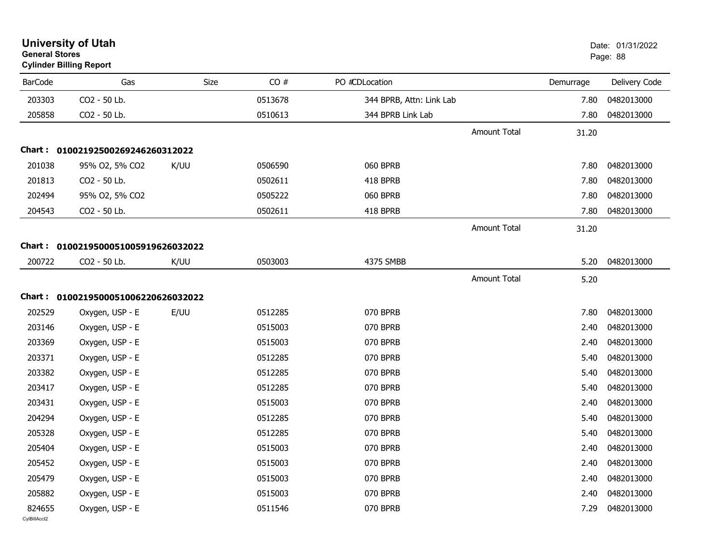| General Stores         | <b>Cylinder Billing Report</b>      |      |         |                          |                     |           | Page: 88      |
|------------------------|-------------------------------------|------|---------|--------------------------|---------------------|-----------|---------------|
| <b>BarCode</b>         | Gas                                 | Size | CO#     | PO #CDLocation           |                     | Demurrage | Delivery Code |
| 203303                 | CO2 - 50 Lb.                        |      | 0513678 | 344 BPRB, Attn: Link Lab |                     | 7.80      | 0482013000    |
| 205858                 | CO2 - 50 Lb.                        |      | 0510613 | 344 BPRB Link Lab        |                     | 7.80      | 0482013000    |
|                        |                                     |      |         |                          | <b>Amount Total</b> | 31.20     |               |
|                        | Chart: 01002192500269246260312022   |      |         |                          |                     |           |               |
| 201038                 | 95% O2, 5% CO2                      | K/UU | 0506590 | 060 BPRB                 |                     | 7.80      | 0482013000    |
| 201813                 | CO2 - 50 Lb.                        |      | 0502611 | 418 BPRB                 |                     | 7.80      | 0482013000    |
| 202494                 | 95% O2, 5% CO2                      |      | 0505222 | 060 BPRB                 |                     | 7.80      | 0482013000    |
| 204543                 | CO2 - 50 Lb.                        |      | 0502611 | 418 BPRB                 |                     | 7.80      | 0482013000    |
|                        |                                     |      |         |                          | <b>Amount Total</b> | 31.20     |               |
|                        | Chart: 0100219500051005919626032022 |      |         |                          |                     |           |               |
| 200722                 | CO2 - 50 Lb.                        | K/UU | 0503003 | 4375 SMBB                |                     | 5.20      | 0482013000    |
|                        |                                     |      |         |                          | <b>Amount Total</b> | 5.20      |               |
|                        | Chart: 0100219500051006220626032022 |      |         |                          |                     |           |               |
| 202529                 | Oxygen, USP - E                     | E/UU | 0512285 | 070 BPRB                 |                     | 7.80      | 0482013000    |
| 203146                 | Oxygen, USP - E                     |      | 0515003 | 070 BPRB                 |                     | 2.40      | 0482013000    |
| 203369                 | Oxygen, USP - E                     |      | 0515003 | 070 BPRB                 |                     | 2.40      | 0482013000    |
| 203371                 | Oxygen, USP - E                     |      | 0512285 | 070 BPRB                 |                     | 5.40      | 0482013000    |
| 203382                 | Oxygen, USP - E                     |      | 0512285 | 070 BPRB                 |                     | 5.40      | 0482013000    |
| 203417                 | Oxygen, USP - E                     |      | 0512285 | 070 BPRB                 |                     | 5.40      | 0482013000    |
| 203431                 | Oxygen, USP - E                     |      | 0515003 | 070 BPRB                 |                     | 2.40      | 0482013000    |
| 204294                 | Oxygen, USP - E                     |      | 0512285 | 070 BPRB                 |                     | 5.40      | 0482013000    |
| 205328                 | Oxygen, USP - E                     |      | 0512285 | 070 BPRB                 |                     | 5.40      | 0482013000    |
| 205404                 | Oxygen, USP - E                     |      | 0515003 | 070 BPRB                 |                     | 2.40      | 0482013000    |
| 205452                 | Oxygen, USP - E                     |      | 0515003 | 070 BPRB                 |                     | 2.40      | 0482013000    |
| 205479                 | Oxygen, USP - E                     |      | 0515003 | 070 BPRB                 |                     | 2.40      | 0482013000    |
| 205882                 | Oxygen, USP - E                     |      | 0515003 | 070 BPRB                 |                     | 2.40      | 0482013000    |
| 824655<br>CylBillAcct2 | Oxygen, USP - E                     |      | 0511546 | 070 BPRB                 |                     | 7.29      | 0482013000    |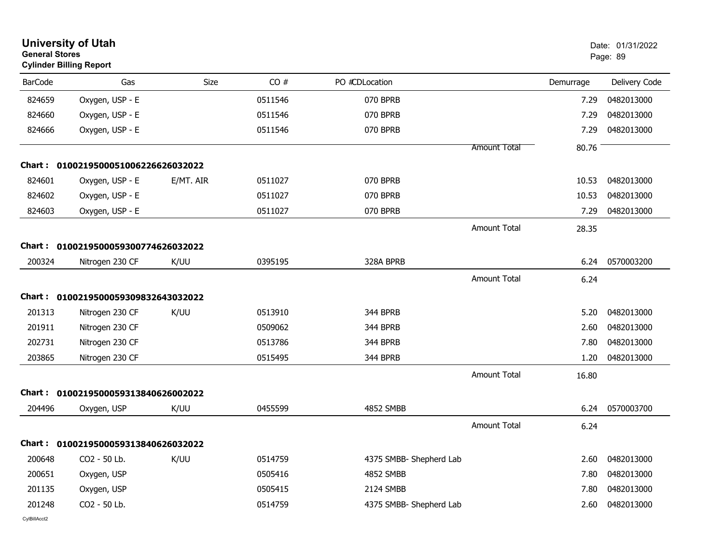|                | <b>University of Utah</b><br><b>General Stores</b><br><b>Cylinder Billing Report</b> |           |         |                         |                     |           | Date: 01/31/2022<br>Page: 89 |  |
|----------------|--------------------------------------------------------------------------------------|-----------|---------|-------------------------|---------------------|-----------|------------------------------|--|
| <b>BarCode</b> | Gas                                                                                  | Size      | CO#     | PO #CDLocation          |                     | Demurrage | Delivery Code                |  |
| 824659         | Oxygen, USP - E                                                                      |           | 0511546 | 070 BPRB                |                     | 7.29      | 0482013000                   |  |
| 824660         | Oxygen, USP - E                                                                      |           | 0511546 | 070 BPRB                |                     | 7.29      | 0482013000                   |  |
| 824666         | Oxygen, USP - E                                                                      |           | 0511546 | 070 BPRB                |                     | 7.29      | 0482013000                   |  |
|                |                                                                                      |           |         |                         | <b>Amount Total</b> | 80.76     |                              |  |
|                | Chart: 0100219500051006226626032022                                                  |           |         |                         |                     |           |                              |  |
| 824601         | Oxygen, USP - E                                                                      | E/MT. AIR | 0511027 | 070 BPRB                |                     | 10.53     | 0482013000                   |  |
| 824602         | Oxygen, USP - E                                                                      |           | 0511027 | 070 BPRB                |                     | 10.53     | 0482013000                   |  |
| 824603         | Oxygen, USP - E                                                                      |           | 0511027 | 070 BPRB                |                     | 7.29      | 0482013000                   |  |
|                |                                                                                      |           |         |                         | <b>Amount Total</b> | 28.35     |                              |  |
| Chart :        | 0100219500059300774626032022                                                         |           |         |                         |                     |           |                              |  |
| 200324         | Nitrogen 230 CF                                                                      | K/UU      | 0395195 | 328A BPRB               |                     | 6.24      | 0570003200                   |  |
|                |                                                                                      |           |         |                         | <b>Amount Total</b> | 6.24      |                              |  |
|                | Chart: 0100219500059309832643032022                                                  |           |         |                         |                     |           |                              |  |
| 201313         | Nitrogen 230 CF                                                                      | K/UU      | 0513910 | 344 BPRB                |                     | 5.20      | 0482013000                   |  |
| 201911         | Nitrogen 230 CF                                                                      |           | 0509062 | 344 BPRB                |                     | 2.60      | 0482013000                   |  |
| 202731         | Nitrogen 230 CF                                                                      |           | 0513786 | 344 BPRB                |                     | 7.80      | 0482013000                   |  |
| 203865         | Nitrogen 230 CF                                                                      |           | 0515495 | 344 BPRB                |                     | 1.20      | 0482013000                   |  |
|                |                                                                                      |           |         |                         | <b>Amount Total</b> | 16.80     |                              |  |
| Chart :        | 0100219500059313840626002022                                                         |           |         |                         |                     |           |                              |  |
| 204496         | Oxygen, USP                                                                          | K/UU      | 0455599 | <b>4852 SMBB</b>        |                     | 6.24      | 0570003700                   |  |
|                |                                                                                      |           |         |                         | <b>Amount Total</b> | 6.24      |                              |  |
|                | Chart: 0100219500059313840626032022                                                  |           |         |                         |                     |           |                              |  |
| 200648         | CO2 - 50 Lb.                                                                         | K/UU      | 0514759 | 4375 SMBB- Shepherd Lab |                     | 2.60      | 0482013000                   |  |
| 200651         | Oxygen, USP                                                                          |           | 0505416 | 4852 SMBB               |                     | 7.80      | 0482013000                   |  |
| 201135         | Oxygen, USP                                                                          |           | 0505415 | 2124 SMBB               |                     | 7.80      | 0482013000                   |  |
| 201248         | CO2 - 50 Lb.                                                                         |           | 0514759 | 4375 SMBB- Shepherd Lab |                     | 2.60      | 0482013000                   |  |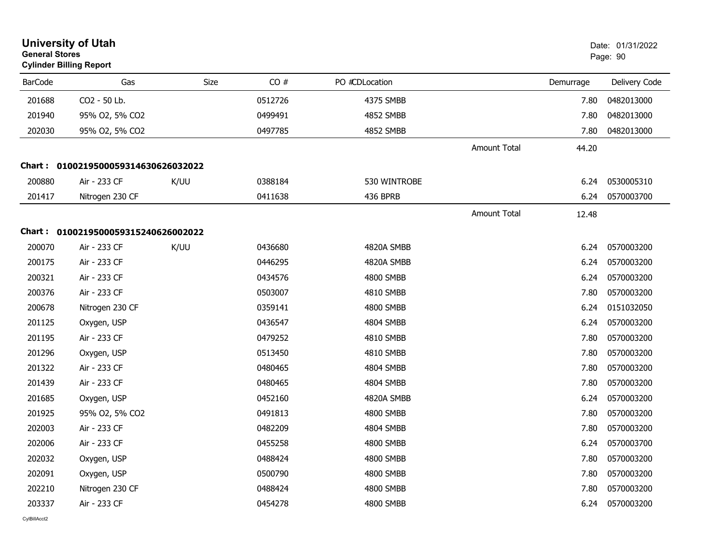|                | <b>University of Utah</b><br><b>General Stores</b><br><b>Cylinder Billing Report</b> |      |         |                |                     |           |               |  |
|----------------|--------------------------------------------------------------------------------------|------|---------|----------------|---------------------|-----------|---------------|--|
| <b>BarCode</b> | Gas                                                                                  | Size | CO#     | PO #CDLocation |                     | Demurrage | Delivery Code |  |
| 201688         | CO <sub>2</sub> - 50 Lb.                                                             |      | 0512726 | 4375 SMBB      |                     | 7.80      | 0482013000    |  |
| 201940         | 95% O2, 5% CO2                                                                       |      | 0499491 | 4852 SMBB      |                     | 7.80      | 0482013000    |  |
| 202030         | 95% O2, 5% CO2                                                                       |      | 0497785 | 4852 SMBB      |                     | 7.80      | 0482013000    |  |
|                |                                                                                      |      |         |                | Amount Total        | 44.20     |               |  |
|                | Chart: 0100219500059314630626032022                                                  |      |         |                |                     |           |               |  |
| 200880         | Air - 233 CF                                                                         | K/UU | 0388184 | 530 WINTROBE   |                     | 6.24      | 0530005310    |  |
| 201417         | Nitrogen 230 CF                                                                      |      | 0411638 | 436 BPRB       |                     | 6.24      | 0570003700    |  |
|                |                                                                                      |      |         |                | <b>Amount Total</b> | 12.48     |               |  |
|                | Chart: 0100219500059315240626002022                                                  |      |         |                |                     |           |               |  |
| 200070         | Air - 233 CF                                                                         | K/UU | 0436680 | 4820A SMBB     |                     | 6.24      | 0570003200    |  |
| 200175         | Air - 233 CF                                                                         |      | 0446295 | 4820A SMBB     |                     | 6.24      | 0570003200    |  |
| 200321         | Air - 233 CF                                                                         |      | 0434576 | 4800 SMBB      |                     | 6.24      | 0570003200    |  |
| 200376         | Air - 233 CF                                                                         |      | 0503007 | 4810 SMBB      |                     | 7.80      | 0570003200    |  |
| 200678         | Nitrogen 230 CF                                                                      |      | 0359141 | 4800 SMBB      |                     | 6.24      | 0151032050    |  |
| 201125         | Oxygen, USP                                                                          |      | 0436547 | 4804 SMBB      |                     | 6.24      | 0570003200    |  |
| 201195         | Air - 233 CF                                                                         |      | 0479252 | 4810 SMBB      |                     | 7.80      | 0570003200    |  |
| 201296         | Oxygen, USP                                                                          |      | 0513450 | 4810 SMBB      |                     | 7.80      | 0570003200    |  |
| 201322         | Air - 233 CF                                                                         |      | 0480465 | 4804 SMBB      |                     | 7.80      | 0570003200    |  |
| 201439         | Air - 233 CF                                                                         |      | 0480465 | 4804 SMBB      |                     | 7.80      | 0570003200    |  |
| 201685         | Oxygen, USP                                                                          |      | 0452160 | 4820A SMBB     |                     | 6.24      | 0570003200    |  |
| 201925         | 95% O2, 5% CO2                                                                       |      | 0491813 | 4800 SMBB      |                     | 7.80      | 0570003200    |  |
| 202003         | Air - 233 CF                                                                         |      | 0482209 | 4804 SMBB      |                     | 7.80      | 0570003200    |  |
| 202006         | Air - 233 CF                                                                         |      | 0455258 | 4800 SMBB      |                     | 6.24      | 0570003700    |  |
| 202032         | Oxygen, USP                                                                          |      | 0488424 | 4800 SMBB      |                     | 7.80      | 0570003200    |  |
| 202091         | Oxygen, USP                                                                          |      | 0500790 | 4800 SMBB      |                     | 7.80      | 0570003200    |  |
| 202210         | Nitrogen 230 CF                                                                      |      | 0488424 | 4800 SMBB      |                     | 7.80      | 0570003200    |  |
| 203337         | Air - 233 CF                                                                         |      | 0454278 | 4800 SMBB      |                     | 6.24      | 0570003200    |  |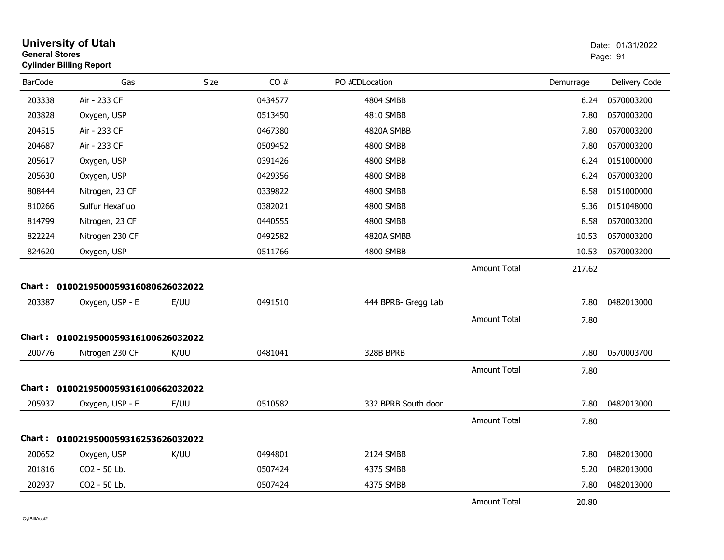| <b>General Stores</b> | <b>University of Utah</b><br><b>Cylinder Billing Report</b> |      | Date: 01/31/2022<br>Page: 91 |                     |                     |           |               |
|-----------------------|-------------------------------------------------------------|------|------------------------------|---------------------|---------------------|-----------|---------------|
| <b>BarCode</b>        | Gas                                                         | Size | CO#                          | PO #CDLocation      |                     | Demurrage | Delivery Code |
| 203338                | Air - 233 CF                                                |      | 0434577                      | 4804 SMBB           |                     | 6.24      | 0570003200    |
| 203828                | Oxygen, USP                                                 |      | 0513450                      | 4810 SMBB           |                     | 7.80      | 0570003200    |
| 204515                | Air - 233 CF                                                |      | 0467380                      | 4820A SMBB          |                     | 7.80      | 0570003200    |
| 204687                | Air - 233 CF                                                |      | 0509452                      | 4800 SMBB           |                     | 7.80      | 0570003200    |
| 205617                | Oxygen, USP                                                 |      | 0391426                      | 4800 SMBB           |                     | 6.24      | 0151000000    |
| 205630                | Oxygen, USP                                                 |      | 0429356                      | 4800 SMBB           |                     | 6.24      | 0570003200    |
| 808444                | Nitrogen, 23 CF                                             |      | 0339822                      | 4800 SMBB           |                     | 8.58      | 0151000000    |
| 810266                | Sulfur Hexafluo                                             |      | 0382021                      | 4800 SMBB           |                     | 9.36      | 0151048000    |
| 814799                | Nitrogen, 23 CF                                             |      | 0440555                      | 4800 SMBB           |                     | 8.58      | 0570003200    |
| 822224                | Nitrogen 230 CF                                             |      | 0492582                      | 4820A SMBB          |                     | 10.53     | 0570003200    |
| 824620                | Oxygen, USP                                                 |      | 0511766                      | 4800 SMBB           |                     | 10.53     | 0570003200    |
|                       | Chart: 0100219500059316080626032022                         |      |                              |                     | <b>Amount Total</b> | 217.62    |               |
| 203387                | Oxygen, USP - E                                             | E/UU | 0491510                      | 444 BPRB- Gregg Lab |                     | 7.80      | 0482013000    |
|                       |                                                             |      |                              |                     | Amount Total        | 7.80      |               |
|                       | Chart: 0100219500059316100626032022                         |      |                              |                     |                     |           |               |
| 200776                | Nitrogen 230 CF                                             | K/UU | 0481041                      | 328B BPRB           |                     | 7.80      | 0570003700    |
|                       |                                                             |      |                              |                     | <b>Amount Total</b> | 7.80      |               |
|                       | Chart: 0100219500059316100662032022                         |      |                              |                     |                     |           |               |
| 205937                | Oxygen, USP - E                                             | E/UU | 0510582                      | 332 BPRB South door |                     | 7.80      | 0482013000    |
|                       |                                                             |      |                              |                     | <b>Amount Total</b> | 7.80      |               |
|                       | Chart: 0100219500059316253626032022                         |      |                              |                     |                     |           |               |
| 200652                | Oxygen, USP                                                 | K/UU | 0494801                      | 2124 SMBB           |                     | 7.80      | 0482013000    |
| 201816                | CO2 - 50 Lb.                                                |      | 0507424                      | 4375 SMBB           |                     | 5.20      | 0482013000    |
| 202937                | CO2 - 50 Lb.                                                |      | 0507424                      | 4375 SMBB           |                     | 7.80      | 0482013000    |
|                       |                                                             |      |                              |                     | <b>Amount Total</b> | 20.80     |               |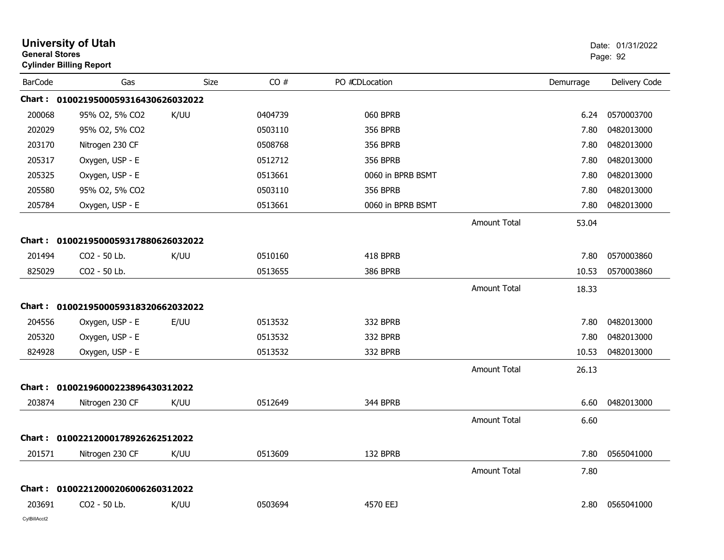| <b>General Stores</b> | <b>University of Utah</b><br><b>Cylinder Billing Report</b> |      | Date: 01/31/2022<br>Page: 92 |                   |                     |           |               |
|-----------------------|-------------------------------------------------------------|------|------------------------------|-------------------|---------------------|-----------|---------------|
| <b>BarCode</b>        | Gas                                                         | Size | CO#                          | PO #CDLocation    |                     | Demurrage | Delivery Code |
|                       | Chart: 0100219500059316430626032022                         |      |                              |                   |                     |           |               |
| 200068                | 95% O2, 5% CO2                                              | K/UU | 0404739                      | 060 BPRB          |                     | 6.24      | 0570003700    |
| 202029                | 95% O2, 5% CO2                                              |      | 0503110                      | <b>356 BPRB</b>   |                     | 7.80      | 0482013000    |
| 203170                | Nitrogen 230 CF                                             |      | 0508768                      | <b>356 BPRB</b>   |                     | 7.80      | 0482013000    |
| 205317                | Oxygen, USP - E                                             |      | 0512712                      | <b>356 BPRB</b>   |                     | 7.80      | 0482013000    |
| 205325                | Oxygen, USP - E                                             |      | 0513661                      | 0060 in BPRB BSMT |                     | 7.80      | 0482013000    |
| 205580                | 95% O2, 5% CO2                                              |      | 0503110                      | <b>356 BPRB</b>   |                     | 7.80      | 0482013000    |
| 205784                | Oxygen, USP - E                                             |      | 0513661                      | 0060 in BPRB BSMT |                     | 7.80      | 0482013000    |
|                       |                                                             |      |                              |                   | <b>Amount Total</b> | 53.04     |               |
|                       | Chart: 0100219500059317880626032022                         |      |                              |                   |                     |           |               |
| 201494                | CO2 - 50 Lb.                                                | K/UU | 0510160                      | 418 BPRB          |                     | 7.80      | 0570003860    |
| 825029                | CO2 - 50 Lb.                                                |      | 0513655                      | <b>386 BPRB</b>   |                     | 10.53     | 0570003860    |
|                       |                                                             |      |                              |                   | <b>Amount Total</b> | 18.33     |               |
|                       | Chart: 0100219500059318320662032022                         |      |                              |                   |                     |           |               |
| 204556                | Oxygen, USP - E                                             | E/UU | 0513532                      | 332 BPRB          |                     | 7.80      | 0482013000    |
| 205320                | Oxygen, USP - E                                             |      | 0513532                      | 332 BPRB          |                     | 7.80      | 0482013000    |
| 824928                | Oxygen, USP - E                                             |      | 0513532                      | 332 BPRB          |                     | 10.53     | 0482013000    |
|                       |                                                             |      |                              |                   | <b>Amount Total</b> | 26.13     |               |
| <b>Chart:</b>         | 01002196000223896430312022                                  |      |                              |                   |                     |           |               |
| 203874                | Nitrogen 230 CF                                             | K/UU | 0512649                      | 344 BPRB          |                     | 6.60      | 0482013000    |
|                       |                                                             |      |                              |                   | <b>Amount Total</b> | 6.60      |               |
|                       | Chart: 01002212000178926262512022                           |      |                              |                   |                     |           |               |
| 201571                | Nitrogen 230 CF                                             | K/UU | 0513609                      | 132 BPRB          |                     | 7.80      | 0565041000    |
|                       |                                                             |      |                              |                   | Amount Total        | 7.80      |               |
|                       | Chart: 01002212000206006260312022                           |      |                              |                   |                     |           |               |
| 203691                | CO2 - 50 Lb.                                                | K/UU | 0503694                      | 4570 EEJ          |                     | 2.80      | 0565041000    |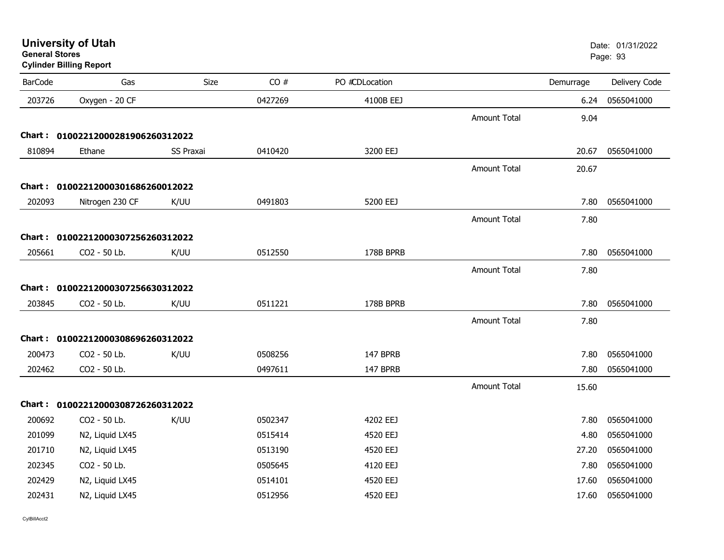| <b>University of Utah</b> |  |
|---------------------------|--|
| <b>General Stores</b>     |  |

### **Cylinder Billing Report**

| <b>BarCode</b> | Gas                               | Size             | CO#     | PO #CDLocation |                     | Demurrage | Delivery Code |
|----------------|-----------------------------------|------------------|---------|----------------|---------------------|-----------|---------------|
| 203726         | Oxygen - 20 CF                    |                  | 0427269 | 4100B EEJ      |                     | 6.24      | 0565041000    |
|                |                                   |                  |         |                | Amount Total        | 9.04      |               |
|                | Chart: 01002212000281906260312022 |                  |         |                |                     |           |               |
| 810894         | Ethane                            | <b>SS Praxai</b> | 0410420 | 3200 EEJ       |                     | 20.67     | 0565041000    |
|                |                                   |                  |         |                | <b>Amount Total</b> | 20.67     |               |
|                | Chart: 01002212000301686260012022 |                  |         |                |                     |           |               |
| 202093         | Nitrogen 230 CF                   | K/UU             | 0491803 | 5200 EEJ       |                     | 7.80      | 0565041000    |
|                |                                   |                  |         |                | <b>Amount Total</b> | 7.80      |               |
|                | Chart: 01002212000307256260312022 |                  |         |                |                     |           |               |
| 205661         | CO2 - 50 Lb.                      | K/UU             | 0512550 | 178B BPRB      |                     | 7.80      | 0565041000    |
|                |                                   |                  |         |                | <b>Amount Total</b> | 7.80      |               |
|                | Chart: 01002212000307256630312022 |                  |         |                |                     |           |               |
| 203845         | CO2 - 50 Lb.                      | K/UU             | 0511221 | 178B BPRB      |                     | 7.80      | 0565041000    |
|                |                                   |                  |         |                | <b>Amount Total</b> | 7.80      |               |
|                | Chart: 01002212000308696260312022 |                  |         |                |                     |           |               |
| 200473         | CO2 - 50 Lb.                      | K/UU             | 0508256 | 147 BPRB       |                     | 7.80      | 0565041000    |
| 202462         | CO2 - 50 Lb.                      |                  | 0497611 | 147 BPRB       |                     | 7.80      | 0565041000    |
|                |                                   |                  |         |                | <b>Amount Total</b> | 15.60     |               |
|                | Chart: 01002212000308726260312022 |                  |         |                |                     |           |               |
| 200692         | CO2 - 50 Lb.                      | K/UU             | 0502347 | 4202 EEJ       |                     | 7.80      | 0565041000    |
| 201099         | N2, Liquid LX45                   |                  | 0515414 | 4520 EEJ       |                     | 4.80      | 0565041000    |
| 201710         | N2, Liquid LX45                   |                  | 0513190 | 4520 EEJ       |                     | 27.20     | 0565041000    |
| 202345         | CO2 - 50 Lb.                      |                  | 0505645 | 4120 EEJ       |                     | 7.80      | 0565041000    |
| 202429         | N2, Liquid LX45                   |                  | 0514101 | 4520 EEJ       |                     | 17.60     | 0565041000    |
| 202431         | N2, Liquid LX45                   |                  | 0512956 | 4520 EEJ       |                     | 17.60     | 0565041000    |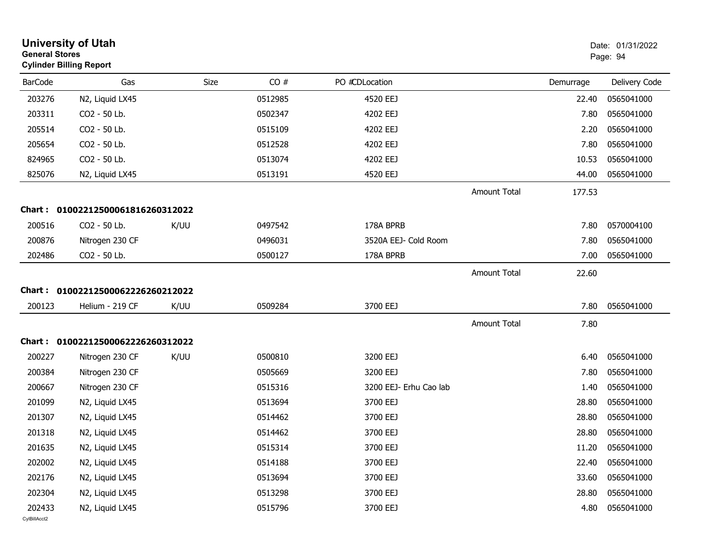|                | <b>University of Utah</b><br><b>General Stores</b><br><b>Cylinder Billing Report</b> |      |         |                        |                     |           | Date: 01/31/2022<br>Page: 94 |  |
|----------------|--------------------------------------------------------------------------------------|------|---------|------------------------|---------------------|-----------|------------------------------|--|
| <b>BarCode</b> | Gas                                                                                  | Size | CO#     | PO #CDLocation         |                     | Demurrage | Delivery Code                |  |
| 203276         | N2, Liquid LX45                                                                      |      | 0512985 | 4520 EEJ               |                     | 22.40     | 0565041000                   |  |
| 203311         | CO2 - 50 Lb.                                                                         |      | 0502347 | 4202 EEJ               |                     | 7.80      | 0565041000                   |  |
| 205514         | CO2 - 50 Lb.                                                                         |      | 0515109 | 4202 EEJ               |                     | 2.20      | 0565041000                   |  |
| 205654         | CO2 - 50 Lb.                                                                         |      | 0512528 | 4202 EEJ               |                     | 7.80      | 0565041000                   |  |
| 824965         | CO2 - 50 Lb.                                                                         |      | 0513074 | 4202 EEJ               |                     | 10.53     | 0565041000                   |  |
| 825076         | N2, Liquid LX45                                                                      |      | 0513191 | 4520 EEJ               |                     | 44.00     | 0565041000                   |  |
|                |                                                                                      |      |         |                        | <b>Amount Total</b> | 177.53    |                              |  |
| <b>Chart :</b> | 01002212500061816260312022                                                           |      |         |                        |                     |           |                              |  |
| 200516         | CO2 - 50 Lb.                                                                         | K/UU | 0497542 | 178A BPRB              |                     | 7.80      | 0570004100                   |  |
| 200876         | Nitrogen 230 CF                                                                      |      | 0496031 | 3520A EEJ- Cold Room   |                     | 7.80      | 0565041000                   |  |
| 202486         | CO2 - 50 Lb.                                                                         |      | 0500127 | 178A BPRB              |                     | 7.00      | 0565041000                   |  |
|                |                                                                                      |      |         |                        | <b>Amount Total</b> | 22.60     |                              |  |
|                | Chart: 01002212500062226260212022                                                    |      |         |                        |                     |           |                              |  |
| 200123         | Helium - 219 CF                                                                      | K/UU | 0509284 | 3700 EEJ               |                     | 7.80      | 0565041000                   |  |
|                |                                                                                      |      |         |                        | <b>Amount Total</b> |           |                              |  |
|                |                                                                                      |      |         |                        |                     | 7.80      |                              |  |
| Chart :        | 01002212500062226260312022                                                           |      |         |                        |                     |           |                              |  |
| 200227         | Nitrogen 230 CF                                                                      | K/UU | 0500810 | 3200 EEJ               |                     | 6.40      | 0565041000                   |  |
| 200384         | Nitrogen 230 CF                                                                      |      | 0505669 | 3200 EEJ               |                     | 7.80      | 0565041000                   |  |
| 200667         | Nitrogen 230 CF                                                                      |      | 0515316 | 3200 EEJ- Erhu Cao lab |                     | 1.40      | 0565041000                   |  |
| 201099         | N2, Liquid LX45                                                                      |      | 0513694 | 3700 EEJ               |                     | 28.80     | 0565041000                   |  |
| 201307         | N2, Liquid LX45                                                                      |      | 0514462 | 3700 EEJ               |                     | 28.80     | 0565041000                   |  |
| 201318         | N2, Liquid LX45                                                                      |      | 0514462 | 3700 EEJ               |                     | 28.80     | 0565041000                   |  |
| 201635         | N2, Liquid LX45                                                                      |      | 0515314 | 3700 EEJ               |                     | 11.20     | 0565041000                   |  |
| 202002         | N2, Liquid LX45                                                                      |      | 0514188 | 3700 EEJ               |                     | 22.40     | 0565041000                   |  |
| 202176         | N2, Liquid LX45                                                                      |      | 0513694 | 3700 EEJ               |                     | 33.60     | 0565041000                   |  |
| 202304         | N2, Liquid LX45                                                                      |      | 0513298 | 3700 EEJ               |                     | 28.80     | 0565041000                   |  |
| 202433         | N2, Liquid LX45                                                                      |      | 0515796 | 3700 EEJ               |                     | 4.80      | 0565041000                   |  |
| CvIBillAcct2   |                                                                                      |      |         |                        |                     |           |                              |  |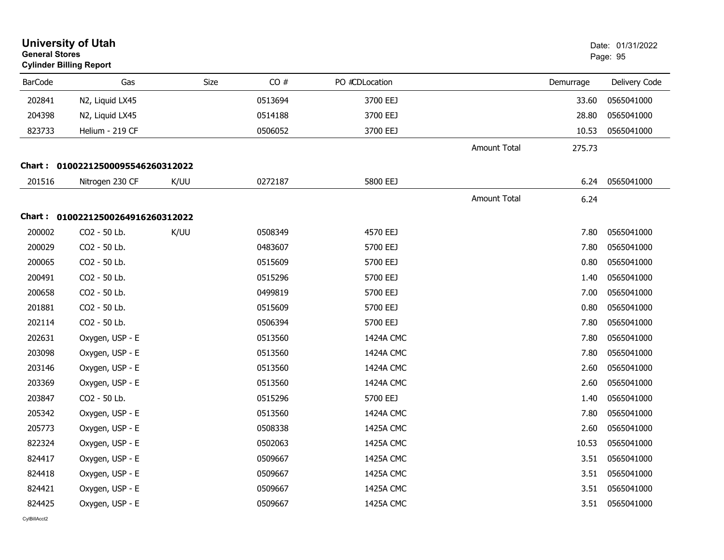| <b>General Stores</b> | <b>University of Utah</b><br><b>Cylinder Billing Report</b> |      |         |     |                |                     |           | Date: 01/31/2022<br>Page: 95 |  |
|-----------------------|-------------------------------------------------------------|------|---------|-----|----------------|---------------------|-----------|------------------------------|--|
| <b>BarCode</b>        | Gas                                                         |      | Size    | CO# | PO #CDLocation |                     | Demurrage | Delivery Code                |  |
| 202841                | N2, Liquid LX45                                             |      | 0513694 |     | 3700 EEJ       |                     | 33.60     | 0565041000                   |  |
| 204398                | N2, Liquid LX45                                             |      | 0514188 |     | 3700 EEJ       |                     | 28.80     | 0565041000                   |  |
| 823733                | Helium - 219 CF                                             |      | 0506052 |     | 3700 EEJ       |                     | 10.53     | 0565041000                   |  |
|                       |                                                             |      |         |     |                | Amount Total        | 275.73    |                              |  |
|                       | Chart: 01002212500095546260312022                           |      |         |     |                |                     |           |                              |  |
| 201516                | Nitrogen 230 CF                                             | K/UU | 0272187 |     | 5800 EEJ       |                     | 6.24      | 0565041000                   |  |
|                       |                                                             |      |         |     |                | <b>Amount Total</b> | 6.24      |                              |  |
|                       | Chart: 01002212500264916260312022                           |      |         |     |                |                     |           |                              |  |
| 200002                | CO2 - 50 Lb.                                                | K/UU | 0508349 |     | 4570 EEJ       |                     | 7.80      | 0565041000                   |  |
| 200029                | CO2 - 50 Lb.                                                |      | 0483607 |     | 5700 EEJ       |                     | 7.80      | 0565041000                   |  |
| 200065                | CO2 - 50 Lb.                                                |      | 0515609 |     | 5700 EEJ       |                     | 0.80      | 0565041000                   |  |
| 200491                | CO2 - 50 Lb.                                                |      | 0515296 |     | 5700 EEJ       |                     | 1.40      | 0565041000                   |  |
| 200658                | CO2 - 50 Lb.                                                |      | 0499819 |     | 5700 EEJ       |                     | 7.00      | 0565041000                   |  |
| 201881                | CO2 - 50 Lb.                                                |      | 0515609 |     | 5700 EEJ       |                     | 0.80      | 0565041000                   |  |
| 202114                | CO2 - 50 Lb.                                                |      | 0506394 |     | 5700 EEJ       |                     | 7.80      | 0565041000                   |  |
| 202631                | Oxygen, USP - E                                             |      | 0513560 |     | 1424A CMC      |                     | 7.80      | 0565041000                   |  |
| 203098                | Oxygen, USP - E                                             |      | 0513560 |     | 1424A CMC      |                     | 7.80      | 0565041000                   |  |
| 203146                | Oxygen, USP - E                                             |      | 0513560 |     | 1424A CMC      |                     | 2.60      | 0565041000                   |  |
| 203369                | Oxygen, USP - E                                             |      | 0513560 |     | 1424A CMC      |                     | 2.60      | 0565041000                   |  |
| 203847                | CO2 - 50 Lb.                                                |      | 0515296 |     | 5700 EEJ       |                     | 1.40      | 0565041000                   |  |
| 205342                | Oxygen, USP - E                                             |      | 0513560 |     | 1424A CMC      |                     | 7.80      | 0565041000                   |  |
| 205773                | Oxygen, USP - E                                             |      | 0508338 |     | 1425A CMC      |                     | 2.60      | 0565041000                   |  |
| 822324                | Oxygen, USP - E                                             |      | 0502063 |     | 1425A CMC      |                     | 10.53     | 0565041000                   |  |
| 824417                | Oxygen, USP - E                                             |      | 0509667 |     | 1425A CMC      |                     | 3.51      | 0565041000                   |  |
| 824418                | Oxygen, USP - E                                             |      | 0509667 |     | 1425A CMC      |                     | 3.51      | 0565041000                   |  |
| 824421                | Oxygen, USP - E                                             |      | 0509667 |     | 1425A CMC      |                     | 3.51      | 0565041000                   |  |
| 824425                | Oxygen, USP - E                                             |      | 0509667 |     | 1425A CMC      |                     | 3.51      | 0565041000                   |  |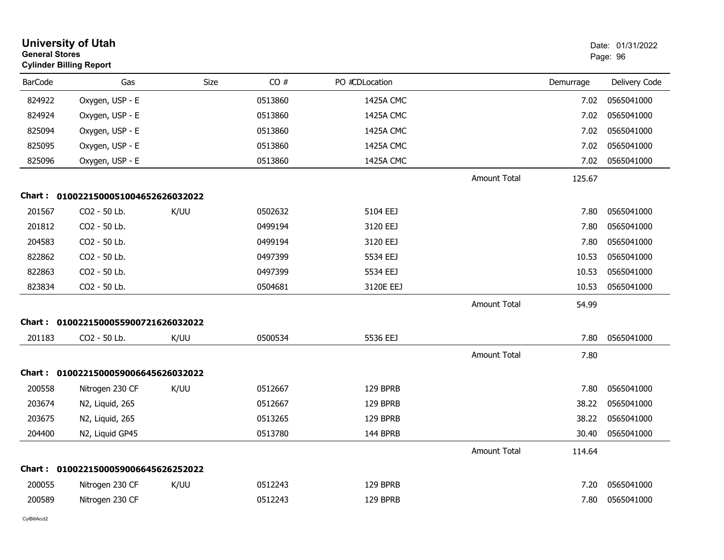|                | <b>University of Utah</b><br><b>General Stores</b><br><b>Cylinder Billing Report</b> |      |         |                |                     |           | Date: 01/31/2022<br>Page: 96 |
|----------------|--------------------------------------------------------------------------------------|------|---------|----------------|---------------------|-----------|------------------------------|
| <b>BarCode</b> | Gas                                                                                  | Size | CO#     | PO #CDLocation |                     | Demurrage | Delivery Code                |
| 824922         | Oxygen, USP - E                                                                      |      | 0513860 | 1425A CMC      |                     | 7.02      | 0565041000                   |
| 824924         | Oxygen, USP - E                                                                      |      | 0513860 | 1425A CMC      |                     | 7.02      | 0565041000                   |
| 825094         | Oxygen, USP - E                                                                      |      | 0513860 | 1425A CMC      |                     | 7.02      | 0565041000                   |
| 825095         | Oxygen, USP - E                                                                      |      | 0513860 | 1425A CMC      |                     | 7.02      | 0565041000                   |
| 825096         | Oxygen, USP - E                                                                      |      | 0513860 | 1425A CMC      |                     | 7.02      | 0565041000                   |
|                |                                                                                      |      |         |                | <b>Amount Total</b> | 125.67    |                              |
|                | Chart: 0100221500051004652626032022                                                  |      |         |                |                     |           |                              |
| 201567         | CO2 - 50 Lb.                                                                         | K/UU | 0502632 | 5104 EEJ       |                     | 7.80      | 0565041000                   |
| 201812         | CO2 - 50 Lb.                                                                         |      | 0499194 | 3120 EEJ       |                     | 7.80      | 0565041000                   |
| 204583         | CO2 - 50 Lb.                                                                         |      | 0499194 | 3120 EEJ       |                     | 7.80      | 0565041000                   |
| 822862         | CO2 - 50 Lb.                                                                         |      | 0497399 | 5534 EEJ       |                     | 10.53     | 0565041000                   |
| 822863         | CO2 - 50 Lb.                                                                         |      | 0497399 | 5534 EEJ       |                     | 10.53     | 0565041000                   |
| 823834         | CO2 - 50 Lb.                                                                         |      | 0504681 | 3120E EEJ      |                     | 10.53     | 0565041000                   |
|                |                                                                                      |      |         |                | Amount Total        | 54.99     |                              |
|                | Chart: 0100221500055900721626032022                                                  |      |         |                |                     |           |                              |
| 201183         | CO2 - 50 Lb.                                                                         | K/UU | 0500534 | 5536 EEJ       |                     | 7.80      | 0565041000                   |
|                |                                                                                      |      |         |                | <b>Amount Total</b> | 7.80      |                              |
|                | Chart: 0100221500059006645626032022                                                  |      |         |                |                     |           |                              |
| 200558         | Nitrogen 230 CF                                                                      | K/UU | 0512667 | 129 BPRB       |                     | 7.80      | 0565041000                   |
| 203674         | N2, Liquid, 265                                                                      |      | 0512667 | 129 BPRB       |                     | 38.22     | 0565041000                   |
| 203675         | N2, Liquid, 265                                                                      |      | 0513265 | 129 BPRB       |                     | 38.22     | 0565041000                   |
| 204400         | N2, Liquid GP45                                                                      |      | 0513780 | 144 BPRB       |                     | 30.40     | 0565041000                   |
|                |                                                                                      |      |         |                | <b>Amount Total</b> | 114.64    |                              |
| Chart :        | 0100221500059006645626252022                                                         |      |         |                |                     |           |                              |
| 200055         | Nitrogen 230 CF                                                                      | K/UU | 0512243 | 129 BPRB       |                     | 7.20      | 0565041000                   |
| 200589         | Nitrogen 230 CF                                                                      |      | 0512243 | 129 BPRB       |                     | 7.80      | 0565041000                   |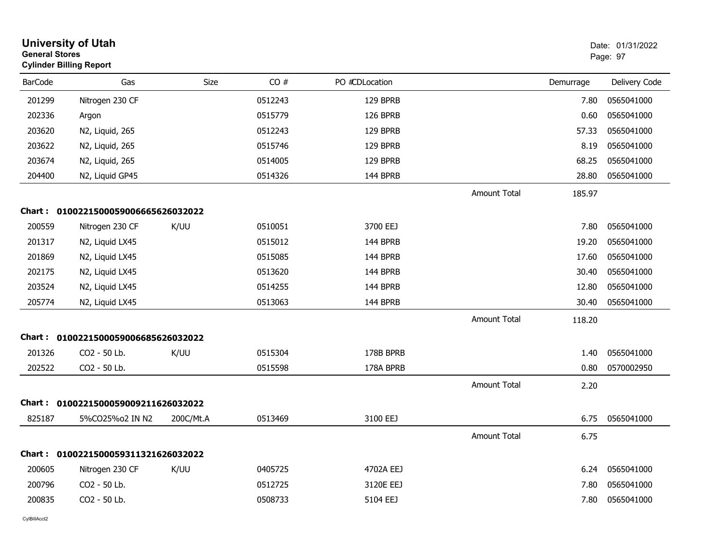|                | <b>University of Utah</b><br><b>General Stores</b><br><b>Cylinder Billing Report</b> |             |         |                |                     |           | Date: 01/31/2022<br>Page: 97 |
|----------------|--------------------------------------------------------------------------------------|-------------|---------|----------------|---------------------|-----------|------------------------------|
| <b>BarCode</b> | Gas                                                                                  | <b>Size</b> | CO#     | PO #CDLocation |                     | Demurrage | Delivery Code                |
| 201299         | Nitrogen 230 CF                                                                      |             | 0512243 | 129 BPRB       |                     | 7.80      | 0565041000                   |
| 202336         | Argon                                                                                |             | 0515779 | 126 BPRB       |                     | 0.60      | 0565041000                   |
| 203620         | N2, Liquid, 265                                                                      |             | 0512243 | 129 BPRB       |                     | 57.33     | 0565041000                   |
| 203622         | N2, Liquid, 265                                                                      |             | 0515746 | 129 BPRB       |                     | 8.19      | 0565041000                   |
| 203674         | N2, Liquid, 265                                                                      |             | 0514005 | 129 BPRB       |                     | 68.25     | 0565041000                   |
| 204400         | N2, Liquid GP45                                                                      |             | 0514326 | 144 BPRB       |                     | 28.80     | 0565041000                   |
|                |                                                                                      |             |         |                | <b>Amount Total</b> | 185.97    |                              |
|                | Chart: 0100221500059006665626032022                                                  |             |         |                |                     |           |                              |
| 200559         | Nitrogen 230 CF                                                                      | K/UU        | 0510051 | 3700 EEJ       |                     | 7.80      | 0565041000                   |
| 201317         | N2, Liquid LX45                                                                      |             | 0515012 | 144 BPRB       |                     | 19.20     | 0565041000                   |
| 201869         | N2, Liquid LX45                                                                      |             | 0515085 | 144 BPRB       |                     | 17.60     | 0565041000                   |
| 202175         | N2, Liquid LX45                                                                      |             | 0513620 | 144 BPRB       |                     | 30.40     | 0565041000                   |
| 203524         | N2, Liquid LX45                                                                      |             | 0514255 | 144 BPRB       |                     | 12.80     | 0565041000                   |
| 205774         | N2, Liquid LX45                                                                      |             | 0513063 | 144 BPRB       |                     | 30.40     | 0565041000                   |
|                |                                                                                      |             |         |                | <b>Amount Total</b> | 118.20    |                              |
|                | Chart: 0100221500059006685626032022                                                  |             |         |                |                     |           |                              |
| 201326         | CO <sub>2</sub> - 50 Lb.                                                             | K/UU        | 0515304 | 178B BPRB      |                     | 1.40      | 0565041000                   |
| 202522         | CO2 - 50 Lb.                                                                         |             | 0515598 | 178A BPRB      |                     | 0.80      | 0570002950                   |
|                |                                                                                      |             |         |                | <b>Amount Total</b> | 2.20      |                              |
|                | Chart: 0100221500059009211626032022                                                  |             |         |                |                     |           |                              |
| 825187         | 5%CO25%o2 IN N2                                                                      | 200C/Mt.A   | 0513469 | 3100 EEJ       |                     | 6.75      | 0565041000                   |
|                |                                                                                      |             |         |                | <b>Amount Total</b> | 6.75      |                              |
|                | Chart: 0100221500059311321626032022                                                  |             |         |                |                     |           |                              |
| 200605         | Nitrogen 230 CF                                                                      | K/UU        | 0405725 | 4702A EEJ      |                     | 6.24      | 0565041000                   |
| 200796         | CO2 - 50 Lb.                                                                         |             | 0512725 | 3120E EEJ      |                     | 7.80      | 0565041000                   |
| 200835         | CO2 - 50 Lb.                                                                         |             | 0508733 | 5104 EEJ       |                     | 7.80      | 0565041000                   |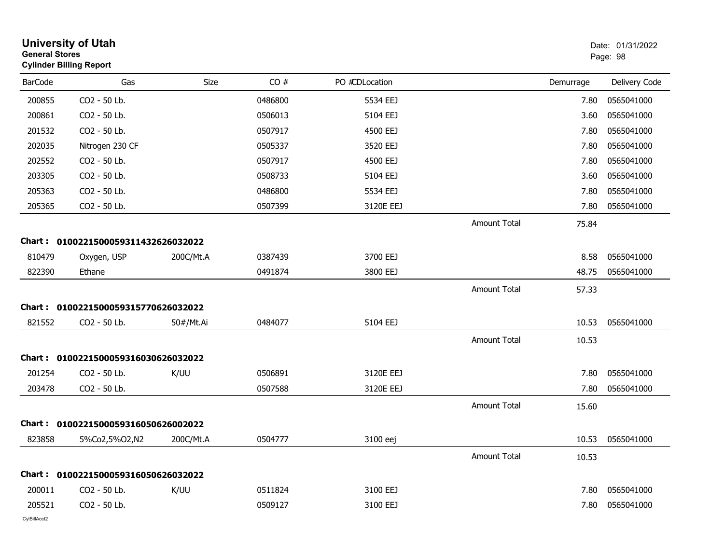| <b>General Stores</b> | <b>University of Utah</b><br><b>Cylinder Billing Report</b> |           |         |                |                     |           | Date: 01/31/2022<br>Page: 98 |
|-----------------------|-------------------------------------------------------------|-----------|---------|----------------|---------------------|-----------|------------------------------|
| <b>BarCode</b>        | Gas                                                         | Size      | CO#     | PO #CDLocation |                     | Demurrage | Delivery Code                |
| 200855                | CO2 - 50 Lb.                                                |           | 0486800 | 5534 EEJ       |                     | 7.80      | 0565041000                   |
| 200861                | CO2 - 50 Lb.                                                |           | 0506013 | 5104 EEJ       |                     | 3.60      | 0565041000                   |
| 201532                | CO2 - 50 Lb.                                                |           | 0507917 | 4500 EEJ       |                     | 7.80      | 0565041000                   |
| 202035                | Nitrogen 230 CF                                             |           | 0505337 | 3520 EEJ       |                     | 7.80      | 0565041000                   |
| 202552                | CO2 - 50 Lb.                                                |           | 0507917 | 4500 EEJ       |                     | 7.80      | 0565041000                   |
| 203305                | CO2 - 50 Lb.                                                |           | 0508733 | 5104 EEJ       |                     | 3.60      | 0565041000                   |
| 205363                | CO2 - 50 Lb.                                                |           | 0486800 | 5534 EEJ       |                     | 7.80      | 0565041000                   |
| 205365                | CO2 - 50 Lb.                                                |           | 0507399 | 3120E EEJ      |                     | 7.80      | 0565041000                   |
|                       |                                                             |           |         |                | <b>Amount Total</b> | 75.84     |                              |
|                       | Chart: 0100221500059311432626032022                         |           |         |                |                     |           |                              |
| 810479                | Oxygen, USP                                                 | 200C/Mt.A | 0387439 | 3700 EEJ       |                     | 8.58      | 0565041000                   |
| 822390                | Ethane                                                      |           | 0491874 | 3800 EEJ       |                     | 48.75     | 0565041000                   |
|                       |                                                             |           |         |                | <b>Amount Total</b> | 57.33     |                              |
|                       | Chart: 0100221500059315770626032022                         |           |         |                |                     |           |                              |
| 821552                | CO2 - 50 Lb.                                                | 50#/Mt.Ai | 0484077 | 5104 EEJ       |                     | 10.53     | 0565041000                   |
|                       |                                                             |           |         |                | <b>Amount Total</b> | 10.53     |                              |
|                       | Chart: 0100221500059316030626032022                         |           |         |                |                     |           |                              |
| 201254                | CO2 - 50 Lb.                                                | K/UU      | 0506891 | 3120E EEJ      |                     | 7.80      | 0565041000                   |
| 203478                | CO2 - 50 Lb.                                                |           | 0507588 | 3120E EEJ      |                     | 7.80      | 0565041000                   |
|                       |                                                             |           |         |                | <b>Amount Total</b> | 15.60     |                              |
| Chart :               | 0100221500059316050626002022                                |           |         |                |                     |           |                              |
| 823858                | 5%Co2,5%O2,N2                                               | 200C/Mt.A | 0504777 | 3100 eej       |                     | 10.53     | 0565041000                   |
|                       |                                                             |           |         |                | Amount Total        | 10.53     |                              |
|                       | Chart: 0100221500059316050626032022                         |           |         |                |                     |           |                              |
| 200011                | CO2 - 50 Lb.                                                | K/UU      | 0511824 | 3100 EEJ       |                     | 7.80      | 0565041000                   |
| 205521                | CO2 - 50 Lb.                                                |           | 0509127 | 3100 EEJ       |                     | 7.80      | 0565041000                   |
|                       |                                                             |           |         |                |                     |           |                              |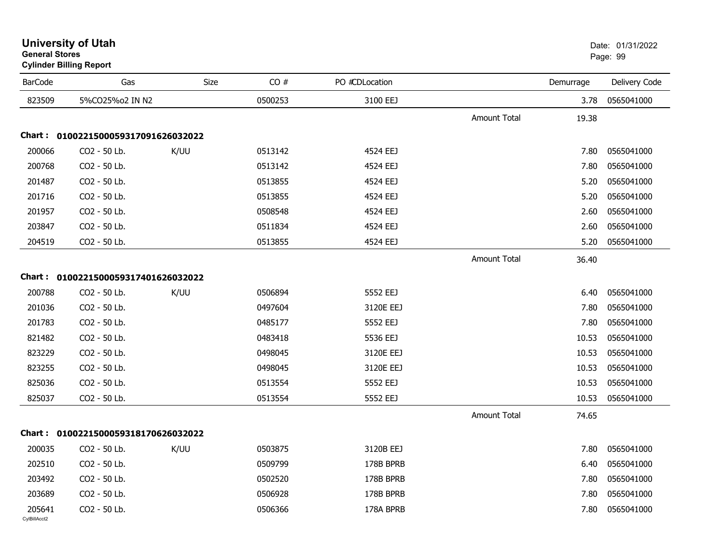| <b>BarCode</b>         | Gas                                 | Size | CO#     | PO #CDLocation |                     | Demurrage | Delivery Code |
|------------------------|-------------------------------------|------|---------|----------------|---------------------|-----------|---------------|
| 823509                 | 5%CO25%o2 IN N2                     |      | 0500253 | 3100 EEJ       |                     | 3.78      | 0565041000    |
|                        |                                     |      |         |                | Amount Total        | 19.38     |               |
|                        | Chart: 0100221500059317091626032022 |      |         |                |                     |           |               |
| 200066                 | CO2 - 50 Lb.                        | K/UU | 0513142 | 4524 EEJ       |                     | 7.80      | 0565041000    |
| 200768                 | CO2 - 50 Lb.                        |      | 0513142 | 4524 EEJ       |                     | 7.80      | 0565041000    |
| 201487                 | CO2 - 50 Lb.                        |      | 0513855 | 4524 EEJ       |                     | 5.20      | 0565041000    |
| 201716                 | CO2 - 50 Lb.                        |      | 0513855 | 4524 EEJ       |                     | 5.20      | 0565041000    |
| 201957                 | CO2 - 50 Lb.                        |      | 0508548 | 4524 EEJ       |                     | 2.60      | 0565041000    |
| 203847                 | CO2 - 50 Lb.                        |      | 0511834 | 4524 EEJ       |                     | 2.60      | 0565041000    |
| 204519                 | CO2 - 50 Lb.                        |      | 0513855 | 4524 EEJ       |                     | 5.20      | 0565041000    |
|                        |                                     |      |         |                | <b>Amount Total</b> | 36.40     |               |
|                        | Chart: 0100221500059317401626032022 |      |         |                |                     |           |               |
| 200788                 | CO2 - 50 Lb.                        | K/UU | 0506894 | 5552 EEJ       |                     | 6.40      | 0565041000    |
| 201036                 | CO2 - 50 Lb.                        |      | 0497604 | 3120E EEJ      |                     | 7.80      | 0565041000    |
| 201783                 | CO2 - 50 Lb.                        |      | 0485177 | 5552 EEJ       |                     | 7.80      | 0565041000    |
| 821482                 | CO2 - 50 Lb.                        |      | 0483418 | 5536 EEJ       |                     | 10.53     | 0565041000    |
| 823229                 | CO2 - 50 Lb.                        |      | 0498045 | 3120E EEJ      |                     | 10.53     | 0565041000    |
| 823255                 | CO2 - 50 Lb.                        |      | 0498045 | 3120E EEJ      |                     | 10.53     | 0565041000    |
| 825036                 | CO2 - 50 Lb.                        |      | 0513554 | 5552 EEJ       |                     | 10.53     | 0565041000    |
| 825037                 | CO2 - 50 Lb.                        |      | 0513554 | 5552 EEJ       |                     | 10.53     | 0565041000    |
|                        |                                     |      |         |                | Amount Total        | 74.65     |               |
|                        | Chart: 0100221500059318170626032022 |      |         |                |                     |           |               |
| 200035                 | CO <sub>2</sub> - 50 Lb.            | K/UU | 0503875 | 3120B EEJ      |                     | 7.80      | 0565041000    |
| 202510                 | CO2 - 50 Lb.                        |      | 0509799 | 178B BPRB      |                     | 6.40      | 0565041000    |
| 203492                 | CO2 - 50 Lb.                        |      | 0502520 | 178B BPRB      |                     | 7.80      | 0565041000    |
| 203689                 | CO2 - 50 Lb.                        |      | 0506928 | 178B BPRB      |                     | 7.80      | 0565041000    |
| 205641<br>CvIBillAcct2 | CO2 - 50 Lb.                        |      | 0506366 | 178A BPRB      |                     | 7.80      | 0565041000    |

**Cylinder Billing Report**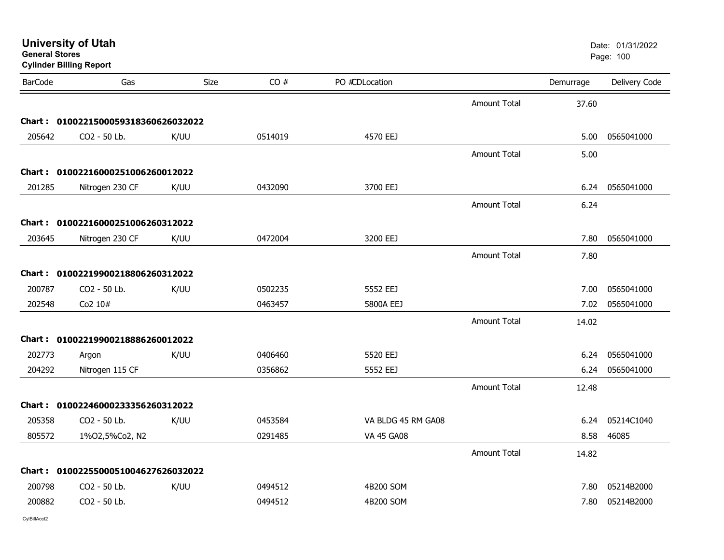|                | <b>Cylinder Billing Report</b>      |      |         |                    |                     |           |               |
|----------------|-------------------------------------|------|---------|--------------------|---------------------|-----------|---------------|
| <b>BarCode</b> | Gas                                 | Size | CO#     | PO #CDLocation     |                     | Demurrage | Delivery Code |
|                |                                     |      |         |                    | <b>Amount Total</b> | 37.60     |               |
|                | Chart: 0100221500059318360626032022 |      |         |                    |                     |           |               |
| 205642         | CO2 - 50 Lb.                        | K/UU | 0514019 | 4570 EEJ           |                     | 5.00      | 0565041000    |
|                |                                     |      |         |                    | <b>Amount Total</b> | 5.00      |               |
|                | Chart: 01002216000251006260012022   |      |         |                    |                     |           |               |
| 201285         | Nitrogen 230 CF                     | K/UU | 0432090 | 3700 EEJ           |                     | 6.24      | 0565041000    |
|                |                                     |      |         |                    | <b>Amount Total</b> | 6.24      |               |
|                | Chart: 01002216000251006260312022   |      |         |                    |                     |           |               |
| 203645         | Nitrogen 230 CF                     | K/UU | 0472004 | 3200 EEJ           |                     | 7.80      | 0565041000    |
|                |                                     |      |         |                    | <b>Amount Total</b> | 7.80      |               |
|                | Chart: 01002219900218806260312022   |      |         |                    |                     |           |               |
|                |                                     |      |         |                    |                     |           |               |
| 200787         | CO2 - 50 Lb.                        | K/UU | 0502235 | 5552 EEJ           |                     | 7.00      | 0565041000    |
| 202548         | Co2 10#                             |      | 0463457 | 5800A EEJ          |                     | 7.02      | 0565041000    |
|                |                                     |      |         |                    | <b>Amount Total</b> | 14.02     |               |
|                | Chart: 01002219900218886260012022   |      |         |                    |                     |           |               |
| 202773         | Argon                               | K/UU | 0406460 | 5520 EEJ           |                     | 6.24      | 0565041000    |
| 204292         | Nitrogen 115 CF                     |      | 0356862 | 5552 EEJ           |                     | 6.24      | 0565041000    |
|                |                                     |      |         |                    | <b>Amount Total</b> | 12.48     |               |
|                | Chart: 01002246000233356260312022   |      |         |                    |                     |           |               |
| 205358         | CO2 - 50 Lb.                        | K/UU | 0453584 | VA BLDG 45 RM GA08 |                     | 6.24      | 05214C1040    |
| 805572         | 1%02,5%Co2, N2                      |      | 0291485 | <b>VA 45 GA08</b>  |                     | 8.58      | 46085         |
|                |                                     |      |         |                    | <b>Amount Total</b> | 14.82     |               |
|                | Chart: 0100225500051004627626032022 |      |         |                    |                     |           |               |
| 200798         | CO2 - 50 Lb.                        | K/UU | 0494512 | 4B200 SOM          |                     | 7.80      | 05214B2000    |
| 200882         | CO2 - 50 Lb.                        |      | 0494512 | 4B200 SOM          |                     | 7.80      | 05214B2000    |

**University of Utah** Date: 01/31/2022

er and the state of the state of the state of the state of the state of the state of the state of the state of the state of the state of the state of the state of the state of the state of the state of the state of the sta

**General Stores**

CylBillAcct2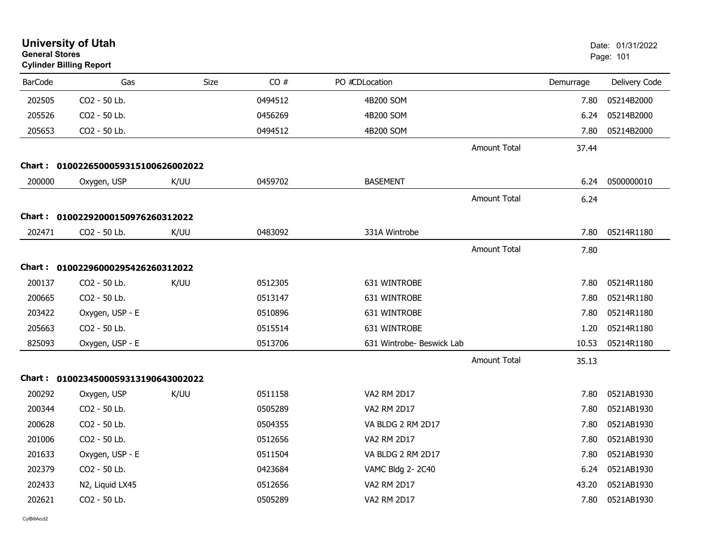| <b>General Stores</b> | <b>University of Utah</b><br><b>Cylinder Billing Report</b> |      |         |                           |                     |           | Date: 01/31/2022<br>Page: 101 |
|-----------------------|-------------------------------------------------------------|------|---------|---------------------------|---------------------|-----------|-------------------------------|
| <b>BarCode</b>        | Gas                                                         | Size | CO#     | PO #CDLocation            |                     | Demurrage | Delivery Code                 |
| 202505                | CO2 - 50 Lb.                                                |      | 0494512 | 4B200 SOM                 |                     | 7.80      | 05214B2000                    |
| 205526                | CO2 - 50 Lb.                                                |      | 0456269 | 4B200 SOM                 |                     | 6.24      | 05214B2000                    |
| 205653                | CO2 - 50 Lb.                                                |      | 0494512 | 4B200 SOM                 |                     | 7.80      | 05214B2000                    |
|                       |                                                             |      |         |                           | <b>Amount Total</b> | 37.44     |                               |
|                       | Chart: 0100226500059315100626002022                         |      |         |                           |                     |           |                               |
| 200000                | Oxygen, USP                                                 | K/UU | 0459702 | <b>BASEMENT</b>           |                     | 6.24      | 0500000010                    |
|                       |                                                             |      |         |                           | <b>Amount Total</b> | 6.24      |                               |
|                       | Chart: 01002292000150976260312022                           |      |         |                           |                     |           |                               |
| 202471                | CO2 - 50 Lb.                                                | K/UU | 0483092 | 331A Wintrobe             |                     | 7.80      | 05214R1180                    |
|                       |                                                             |      |         |                           | <b>Amount Total</b> | 7.80      |                               |
|                       | Chart: 01002296000295426260312022                           |      |         |                           |                     |           |                               |
| 200137                | CO2 - 50 Lb.                                                | K/UU | 0512305 | 631 WINTROBE              |                     | 7.80      | 05214R1180                    |
| 200665                | CO2 - 50 Lb.                                                |      | 0513147 | 631 WINTROBE              |                     | 7.80      | 05214R1180                    |
| 203422                | Oxygen, USP - E                                             |      | 0510896 | 631 WINTROBE              |                     | 7.80      | 05214R1180                    |
| 205663                | CO2 - 50 Lb.                                                |      | 0515514 | 631 WINTROBE              |                     | 1.20      | 05214R1180                    |
| 825093                | Oxygen, USP - E                                             |      | 0513706 | 631 Wintrobe- Beswick Lab |                     | 10.53     | 05214R1180                    |
|                       |                                                             |      |         |                           | <b>Amount Total</b> | 35.13     |                               |
|                       | Chart: 0100234500059313190643002022                         |      |         |                           |                     |           |                               |
| 200292                | Oxygen, USP                                                 | K/UU | 0511158 | VA2 RM 2D17               |                     | 7.80      | 0521AB1930                    |
| 200344                | CO2 - 50 Lb.                                                |      | 0505289 | VA2 RM 2D17               |                     | 7.80      | 0521AB1930                    |
| 200628                | CO2 - 50 Lb.                                                |      | 0504355 | VA BLDG 2 RM 2D17         |                     | 7.80      | 0521AB1930                    |
| 201006                | CO2 - 50 Lb.                                                |      | 0512656 | VA2 RM 2D17               |                     | 7.80      | 0521AB1930                    |
| 201633                | Oxygen, USP - E                                             |      | 0511504 | VA BLDG 2 RM 2D17         |                     | 7.80      | 0521AB1930                    |
| 202379                | CO2 - 50 Lb.                                                |      | 0423684 | VAMC Bldg 2-2C40          |                     | 6.24      | 0521AB1930                    |
| 202433                | N2, Liquid LX45                                             |      | 0512656 | <b>VA2 RM 2D17</b>        |                     | 43.20     | 0521AB1930                    |
| 202621                | CO2 - 50 Lb.                                                |      | 0505289 | VA2 RM 2D17               |                     | 7.80      | 0521AB1930                    |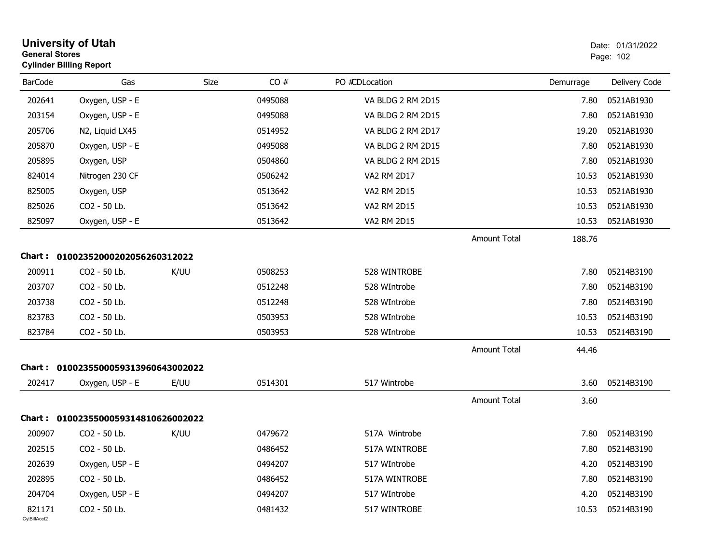| <b>General Stores</b>  | <b>University of Utah</b><br><b>Cylinder Billing Report</b> |      |         |                   |                     |           | Date: 01/31/2022<br>Page: 102 |
|------------------------|-------------------------------------------------------------|------|---------|-------------------|---------------------|-----------|-------------------------------|
| <b>BarCode</b>         | Gas                                                         | Size | CO#     | PO #CDLocation    |                     | Demurrage | Delivery Code                 |
| 202641                 | Oxygen, USP - E                                             |      | 0495088 | VA BLDG 2 RM 2D15 |                     | 7.80      | 0521AB1930                    |
| 203154                 | Oxygen, USP - E                                             |      | 0495088 | VA BLDG 2 RM 2D15 |                     | 7.80      | 0521AB1930                    |
| 205706                 | N2, Liquid LX45                                             |      | 0514952 | VA BLDG 2 RM 2D17 |                     | 19.20     | 0521AB1930                    |
| 205870                 | Oxygen, USP - E                                             |      | 0495088 | VA BLDG 2 RM 2D15 |                     | 7.80      | 0521AB1930                    |
| 205895                 | Oxygen, USP                                                 |      | 0504860 | VA BLDG 2 RM 2D15 |                     | 7.80      | 0521AB1930                    |
| 824014                 | Nitrogen 230 CF                                             |      | 0506242 | VA2 RM 2D17       |                     | 10.53     | 0521AB1930                    |
| 825005                 | Oxygen, USP                                                 |      | 0513642 | VA2 RM 2D15       |                     | 10.53     | 0521AB1930                    |
| 825026                 | CO2 - 50 Lb.                                                |      | 0513642 | VA2 RM 2D15       |                     | 10.53     | 0521AB1930                    |
| 825097                 | Oxygen, USP - E                                             |      | 0513642 | VA2 RM 2D15       |                     | 10.53     | 0521AB1930                    |
|                        |                                                             |      |         |                   | <b>Amount Total</b> | 188.76    |                               |
|                        | Chart: 01002352000202056260312022                           |      |         |                   |                     |           |                               |
| 200911                 | CO2 - 50 Lb.                                                | K/UU | 0508253 | 528 WINTROBE      |                     | 7.80      | 05214B3190                    |
| 203707                 | CO2 - 50 Lb.                                                |      | 0512248 | 528 WIntrobe      |                     | 7.80      | 05214B3190                    |
| 203738                 | CO2 - 50 Lb.                                                |      | 0512248 | 528 WIntrobe      |                     | 7.80      | 05214B3190                    |
| 823783                 | CO2 - 50 Lb.                                                |      | 0503953 | 528 WIntrobe      |                     | 10.53     | 05214B3190                    |
| 823784                 | CO2 - 50 Lb.                                                |      | 0503953 | 528 WIntrobe      |                     | 10.53     | 05214B3190                    |
|                        |                                                             |      |         |                   | <b>Amount Total</b> | 44.46     |                               |
|                        | Chart: 0100235500059313960643002022                         |      |         |                   |                     |           |                               |
| 202417                 | Oxygen, USP - E                                             | E/UU | 0514301 | 517 Wintrobe      |                     | 3.60      | 05214B3190                    |
|                        |                                                             |      |         |                   | <b>Amount Total</b> | 3.60      |                               |
|                        | Chart: 0100235500059314810626002022                         |      |         |                   |                     |           |                               |
| 200907                 | CO2 - 50 Lb.                                                | K/UU | 0479672 | 517A Wintrobe     |                     | 7.80      | 05214B3190                    |
| 202515                 | CO2 - 50 Lb.                                                |      | 0486452 | 517A WINTROBE     |                     | 7.80      | 05214B3190                    |
| 202639                 | Oxygen, USP - E                                             |      | 0494207 | 517 WIntrobe      |                     | 4.20      | 05214B3190                    |
| 202895                 | CO2 - 50 Lb.                                                |      | 0486452 | 517A WINTROBE     |                     | 7.80      | 05214B3190                    |
| 204704                 | Oxygen, USP - E                                             |      | 0494207 | 517 WIntrobe      |                     | 4.20      | 05214B3190                    |
| 821171<br>CylBillAcct2 | CO2 - 50 Lb.                                                |      | 0481432 | 517 WINTROBE      |                     | 10.53     | 05214B3190                    |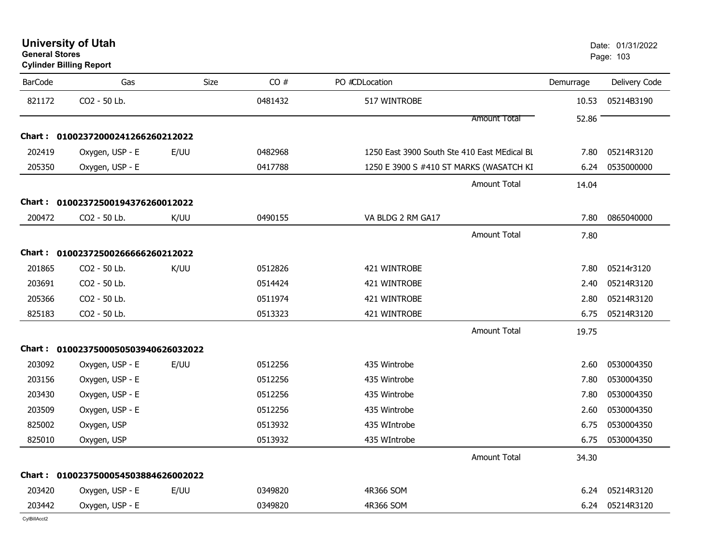| <b>University of Utah</b> |  |
|---------------------------|--|
| <b>General Stores</b>     |  |

| <b>BarCode</b> | Gas                                 | <b>Size</b> | CO#     | PO #CDLocation                               | Demurrage | Delivery Code |
|----------------|-------------------------------------|-------------|---------|----------------------------------------------|-----------|---------------|
| 821172         | CO2 - 50 Lb.                        |             | 0481432 | 517 WINTROBE                                 | 10.53     | 05214B3190    |
|                |                                     |             |         | <b>Amount Total</b>                          | 52.86     |               |
|                | Chart: 01002372000241266260212022   |             |         |                                              |           |               |
| 202419         | Oxygen, USP - E                     | E/UU        | 0482968 | 1250 East 3900 South Ste 410 East MEdical BL | 7.80      | 05214R3120    |
| 205350         | Oxygen, USP - E                     |             | 0417788 | 1250 E 3900 S #410 ST MARKS (WASATCH KI      | 6.24      | 0535000000    |
|                |                                     |             |         | <b>Amount Total</b>                          | 14.04     |               |
|                | Chart: 01002372500194376260012022   |             |         |                                              |           |               |
| 200472         | CO2 - 50 Lb.                        | K/UU        | 0490155 | VA BLDG 2 RM GA17                            | 7.80      | 0865040000    |
|                |                                     |             |         | <b>Amount Total</b>                          | 7.80      |               |
|                | Chart: 01002372500266666260212022   |             |         |                                              |           |               |
| 201865         | CO2 - 50 Lb.                        | K/UU        | 0512826 | 421 WINTROBE                                 | 7.80      | 05214r3120    |
| 203691         | CO2 - 50 Lb.                        |             | 0514424 | 421 WINTROBE                                 | 2.40      | 05214R3120    |
| 205366         | CO2 - 50 Lb.                        |             | 0511974 | 421 WINTROBE                                 | 2.80      | 05214R3120    |
| 825183         | CO2 - 50 Lb.                        |             | 0513323 | 421 WINTROBE                                 | 6.75      | 05214R3120    |
|                |                                     |             |         | <b>Amount Total</b>                          | 19.75     |               |
|                | Chart: 0100237500050503940626032022 |             |         |                                              |           |               |
| 203092         | Oxygen, USP - E                     | E/UU        | 0512256 | 435 Wintrobe                                 | 2.60      | 0530004350    |
| 203156         | Oxygen, USP - E                     |             | 0512256 | 435 Wintrobe                                 | 7.80      | 0530004350    |
| 203430         | Oxygen, USP - E                     |             | 0512256 | 435 Wintrobe                                 | 7.80      | 0530004350    |
| 203509         | Oxygen, USP - E                     |             | 0512256 | 435 Wintrobe                                 | 2.60      | 0530004350    |
| 825002         | Oxygen, USP                         |             | 0513932 | 435 WIntrobe                                 | 6.75      | 0530004350    |
| 825010         | Oxygen, USP                         |             | 0513932 | 435 WIntrobe                                 | 6.75      | 0530004350    |
|                |                                     |             |         | <b>Amount Total</b>                          | 34.30     |               |
|                | Chart: 0100237500054503884626002022 |             |         |                                              |           |               |
| 203420         | Oxygen, USP - E                     | E/UU        | 0349820 | 4R366 SOM                                    | 6.24      | 05214R3120    |
| 203442         | Oxygen, USP - E                     |             | 0349820 | 4R366 SOM                                    | 6.24      | 05214R3120    |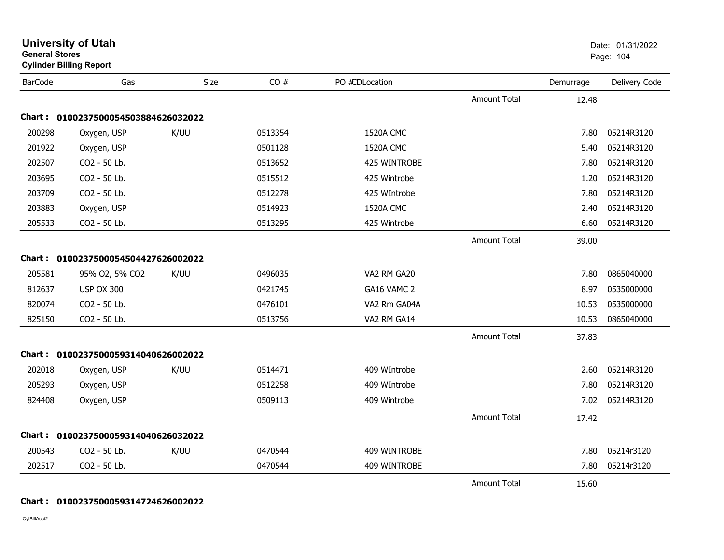| <b>General Stores</b> | <b>Cylinder Billing Report</b>      |      |         |                  |                     |           | Page: 104     |
|-----------------------|-------------------------------------|------|---------|------------------|---------------------|-----------|---------------|
| <b>BarCode</b>        | Gas                                 | Size | CO#     | PO #CDLocation   |                     | Demurrage | Delivery Code |
|                       |                                     |      |         |                  | <b>Amount Total</b> | 12.48     |               |
|                       | Chart: 0100237500054503884626032022 |      |         |                  |                     |           |               |
| 200298                | Oxygen, USP                         | K/UU | 0513354 | 1520A CMC        |                     | 7.80      | 05214R3120    |
| 201922                | Oxygen, USP                         |      | 0501128 | 1520A CMC        |                     | 5.40      | 05214R3120    |
| 202507                | CO2 - 50 Lb.                        |      | 0513652 | 425 WINTROBE     |                     | 7.80      | 05214R3120    |
| 203695                | CO2 - 50 Lb.                        |      | 0515512 | 425 Wintrobe     |                     | 1.20      | 05214R3120    |
| 203709                | CO2 - 50 Lb.                        |      | 0512278 | 425 WIntrobe     |                     | 7.80      | 05214R3120    |
| 203883                | Oxygen, USP                         |      | 0514923 | <b>1520A CMC</b> |                     | 2.40      | 05214R3120    |
| 205533                | CO2 - 50 Lb.                        |      | 0513295 | 425 Wintrobe     |                     | 6.60      | 05214R3120    |
|                       |                                     |      |         |                  | <b>Amount Total</b> | 39.00     |               |
|                       | Chart: 0100237500054504427626002022 |      |         |                  |                     |           |               |
| 205581                | 95% O2, 5% CO2                      | K/UU | 0496035 | VA2 RM GA20      |                     | 7.80      | 0865040000    |
| 812637                | <b>USP OX 300</b>                   |      | 0421745 | GA16 VAMC 2      |                     | 8.97      | 0535000000    |
| 820074                | CO2 - 50 Lb.                        |      | 0476101 | VA2 Rm GA04A     |                     | 10.53     | 0535000000    |
| 825150                | CO2 - 50 Lb.                        |      | 0513756 | VA2 RM GA14      |                     | 10.53     | 0865040000    |
|                       |                                     |      |         |                  | <b>Amount Total</b> | 37.83     |               |
|                       | Chart: 0100237500059314040626002022 |      |         |                  |                     |           |               |
| 202018                | Oxygen, USP                         | K/UU | 0514471 | 409 WIntrobe     |                     | 2.60      | 05214R3120    |
| 205293                | Oxygen, USP                         |      | 0512258 | 409 WIntrobe     |                     | 7.80      | 05214R3120    |
| 824408                | Oxygen, USP                         |      | 0509113 | 409 Wintrobe     |                     | 7.02      | 05214R3120    |
|                       |                                     |      |         |                  | <b>Amount Total</b> | 17.42     |               |
|                       | Chart: 0100237500059314040626032022 |      |         |                  |                     |           |               |
| 200543                | CO2 - 50 Lb.                        | K/UU | 0470544 | 409 WINTROBE     |                     | 7.80      | 05214r3120    |
| 202517                | CO2 - 50 Lb.                        |      | 0470544 | 409 WINTROBE     |                     | 7.80      | 05214r3120    |
|                       |                                     |      |         |                  | <b>Amount Total</b> | 15.60     |               |

**University of Utah** Date: 01/31/2022

## **Chart : 0100237500059314724626002022**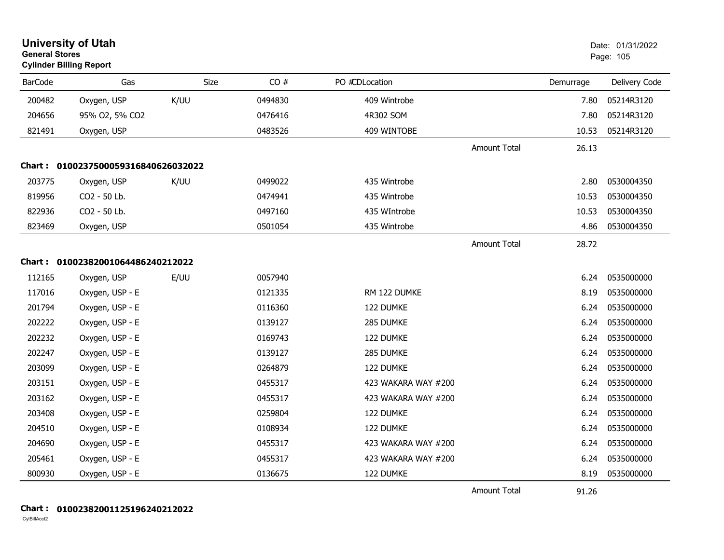| <b>General Stores</b> | <b>University of Utah</b><br><b>Cylinder Billing Report</b> |      |         |                     |                     |           | Date: 01/31/2022<br>Page: 105 |
|-----------------------|-------------------------------------------------------------|------|---------|---------------------|---------------------|-----------|-------------------------------|
| <b>BarCode</b>        | Gas                                                         | Size | CO#     | PO #CDLocation      |                     | Demurrage | Delivery Code                 |
| 200482                | Oxygen, USP                                                 | K/UU | 0494830 | 409 Wintrobe        |                     | 7.80      | 05214R3120                    |
| 204656                | 95% O2, 5% CO2                                              |      | 0476416 | 4R302 SOM           |                     | 7.80      | 05214R3120                    |
| 821491                | Oxygen, USP                                                 |      | 0483526 | 409 WINTOBE         |                     | 10.53     | 05214R3120                    |
|                       |                                                             |      |         |                     | <b>Amount Total</b> | 26.13     |                               |
|                       | Chart: 0100237500059316840626032022                         |      |         |                     |                     |           |                               |
| 203775                | Oxygen, USP                                                 | K/UU | 0499022 | 435 Wintrobe        |                     | 2.80      | 0530004350                    |
| 819956                | CO2 - 50 Lb.                                                |      | 0474941 | 435 Wintrobe        |                     | 10.53     | 0530004350                    |
| 822936                | CO2 - 50 Lb.                                                |      | 0497160 | 435 WIntrobe        |                     | 10.53     | 0530004350                    |
| 823469                | Oxygen, USP                                                 |      | 0501054 | 435 Wintrobe        |                     | 4.86      | 0530004350                    |
|                       |                                                             |      |         |                     | <b>Amount Total</b> | 28.72     |                               |
|                       | Chart: 01002382001064486240212022                           |      |         |                     |                     |           |                               |
| 112165                | Oxygen, USP                                                 | E/UU | 0057940 |                     |                     | 6.24      | 0535000000                    |
| 117016                | Oxygen, USP - E                                             |      | 0121335 | RM 122 DUMKE        |                     | 8.19      | 0535000000                    |
| 201794                | Oxygen, USP - E                                             |      | 0116360 | 122 DUMKE           |                     | 6.24      | 0535000000                    |
| 202222                | Oxygen, USP - E                                             |      | 0139127 | 285 DUMKE           |                     | 6.24      | 0535000000                    |
| 202232                | Oxygen, USP - E                                             |      | 0169743 | 122 DUMKE           |                     | 6.24      | 0535000000                    |
| 202247                | Oxygen, USP - E                                             |      | 0139127 | 285 DUMKE           |                     | 6.24      | 0535000000                    |
| 203099                | Oxygen, USP - E                                             |      | 0264879 | 122 DUMKE           |                     | 6.24      | 0535000000                    |
| 203151                | Oxygen, USP - E                                             |      | 0455317 | 423 WAKARA WAY #200 |                     | 6.24      | 0535000000                    |
| 203162                | Oxygen, USP - E                                             |      | 0455317 | 423 WAKARA WAY #200 |                     | 6.24      | 0535000000                    |
| 203408                | Oxygen, USP - E                                             |      | 0259804 | 122 DUMKE           |                     | 6.24      | 0535000000                    |
| 204510                | Oxygen, USP - E                                             |      | 0108934 | 122 DUMKE           |                     | 6.24      | 0535000000                    |
| 204690                | Oxygen, USP - E                                             |      | 0455317 | 423 WAKARA WAY #200 |                     | 6.24      | 0535000000                    |
| 205461                | Oxygen, USP - E                                             |      | 0455317 | 423 WAKARA WAY #200 |                     | 6.24      | 0535000000                    |
| 800930                | Oxygen, USP - E                                             |      | 0136675 | 122 DUMKE           |                     | 8.19      | 0535000000                    |
|                       |                                                             |      |         |                     | <b>Amount Total</b> | 91.26     |                               |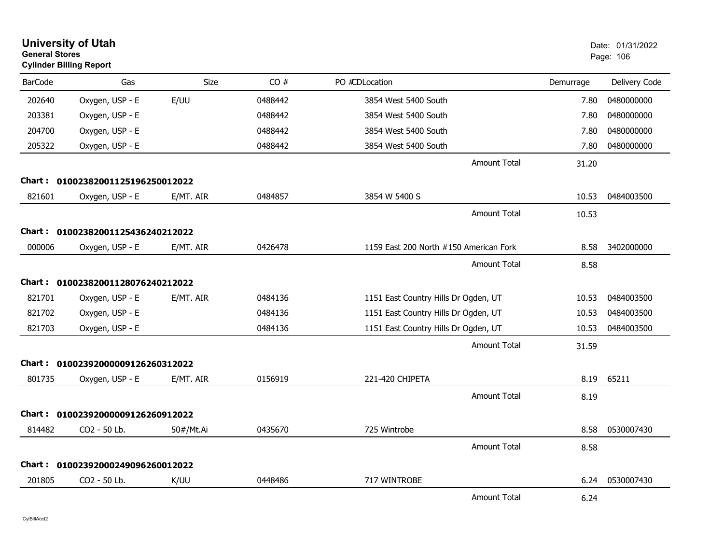| <b>General Stores</b> | <b>University of Utah</b><br><b>Cylinder Billing Report</b> |             |         |                                        |           | Date: 01/31/2022<br>Page: 106 |
|-----------------------|-------------------------------------------------------------|-------------|---------|----------------------------------------|-----------|-------------------------------|
| <b>BarCode</b>        | Gas                                                         | <b>Size</b> | CO#     | PO #CDLocation                         | Demurrage | Delivery Code                 |
| 202640                | Oxygen, USP - E                                             | E/UU        | 0488442 | 3854 West 5400 South                   | 7.80      | 0480000000                    |
| 203381                | Oxygen, USP - E                                             |             | 0488442 | 3854 West 5400 South                   | 7.80      | 0480000000                    |
| 204700                | Oxygen, USP - E                                             |             | 0488442 | 3854 West 5400 South                   | 7.80      | 0480000000                    |
| 205322                | Oxygen, USP - E                                             |             | 0488442 | 3854 West 5400 South                   | 7.80      | 0480000000                    |
|                       |                                                             |             |         | Amount Total                           | 31.20     |                               |
|                       | Chart: 01002382001125196250012022                           |             |         |                                        |           |                               |
| 821601                | Oxygen, USP - E                                             | E/MT. AIR   | 0484857 | 3854 W 5400 S                          | 10.53     | 0484003500                    |
|                       |                                                             |             |         | Amount Total                           | 10.53     |                               |
|                       | Chart: 01002382001125436240212022                           |             |         |                                        |           |                               |
| 000006                | Oxygen, USP - E                                             | E/MT. AIR   | 0426478 | 1159 East 200 North #150 American Fork | 8.58      | 3402000000                    |
|                       |                                                             |             |         | Amount Total                           | 8.58      |                               |
|                       | Chart: 01002382001128076240212022                           |             |         |                                        |           |                               |
| 821701                | Oxygen, USP - E                                             | E/MT. AIR   | 0484136 | 1151 East Country Hills Dr Ogden, UT   | 10.53     | 0484003500                    |
| 821702                | Oxygen, USP - E                                             |             | 0484136 | 1151 East Country Hills Dr Ogden, UT   | 10.53     | 0484003500                    |
| 821703                | Oxygen, USP - E                                             |             | 0484136 | 1151 East Country Hills Dr Ogden, UT   | 10.53     | 0484003500                    |
|                       |                                                             |             |         | <b>Amount Total</b>                    | 31.59     |                               |
|                       | Chart: 01002392000009126260312022                           |             |         |                                        |           |                               |
| 801735                | Oxygen, USP - E                                             | E/MT. AIR   | 0156919 | 221-420 CHIPETA                        | 8.19      | 65211                         |
|                       |                                                             |             |         | Amount Total                           | 8.19      |                               |
|                       | Chart: 01002392000009126260912022                           |             |         |                                        |           |                               |
| 814482                | CO2 - 50 Lb.                                                | 50#/Mt.Ai   | 0435670 | 725 Wintrobe                           | 8.58      | 0530007430                    |
|                       |                                                             |             |         | <b>Amount Total</b>                    | 8.58      |                               |
|                       | Chart: 01002392000249096260012022                           |             |         |                                        |           |                               |
| 201805                | CO2 - 50 Lb.                                                | K/UU        | 0448486 | 717 WINTROBE                           | 6.24      | 0530007430                    |
|                       |                                                             |             |         | <b>Amount Total</b>                    | 6.24      |                               |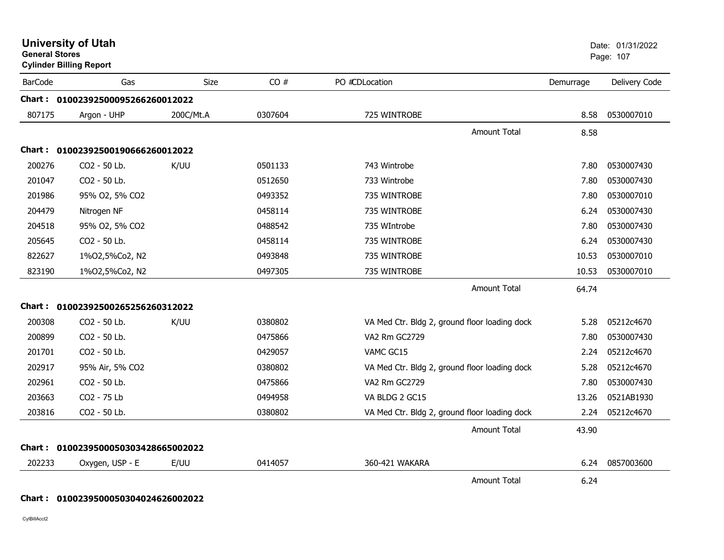| <b>University of Utah</b><br><b>General Stores</b><br><b>Cylinder Billing Report</b> |                                     |             |         |                                               |           | Date: 01/31/2022<br>Page: 107 |  |
|--------------------------------------------------------------------------------------|-------------------------------------|-------------|---------|-----------------------------------------------|-----------|-------------------------------|--|
| <b>BarCode</b>                                                                       | Gas                                 | <b>Size</b> | CO#     | PO #CDLocation                                | Demurrage | Delivery Code                 |  |
|                                                                                      | Chart: 01002392500095266260012022   |             |         |                                               |           |                               |  |
| 807175                                                                               | Argon - UHP                         | 200C/Mt.A   | 0307604 | 725 WINTROBE                                  | 8.58      | 0530007010                    |  |
|                                                                                      |                                     |             |         | Amount Total                                  | 8.58      |                               |  |
| Chart :                                                                              | 01002392500190666260012022          |             |         |                                               |           |                               |  |
| 200276                                                                               | CO2 - 50 Lb.                        | K/UU        | 0501133 | 743 Wintrobe                                  | 7.80      | 0530007430                    |  |
| 201047                                                                               | CO2 - 50 Lb.                        |             | 0512650 | 733 Wintrobe                                  | 7.80      | 0530007430                    |  |
| 201986                                                                               | 95% O2, 5% CO2                      |             | 0493352 | 735 WINTROBE                                  | 7.80      | 0530007010                    |  |
| 204479                                                                               | Nitrogen NF                         |             | 0458114 | 735 WINTROBE                                  | 6.24      | 0530007430                    |  |
| 204518                                                                               | 95% O2, 5% CO2                      |             | 0488542 | 735 WIntrobe                                  | 7.80      | 0530007430                    |  |
| 205645                                                                               | CO2 - 50 Lb.                        |             | 0458114 | 735 WINTROBE                                  | 6.24      | 0530007430                    |  |
| 822627                                                                               | 1%02,5%Co2, N2                      |             | 0493848 | 735 WINTROBE                                  | 10.53     | 0530007010                    |  |
| 823190                                                                               | 1%02,5%Co2, N2                      |             | 0497305 | 735 WINTROBE                                  | 10.53     | 0530007010                    |  |
|                                                                                      |                                     |             |         | <b>Amount Total</b>                           | 64.74     |                               |  |
| Chart :                                                                              | 01002392500265256260312022          |             |         |                                               |           |                               |  |
| 200308                                                                               | CO2 - 50 Lb.                        | K/UU        | 0380802 | VA Med Ctr. Bldg 2, ground floor loading dock | 5.28      | 05212c4670                    |  |
| 200899                                                                               | CO2 - 50 Lb.                        |             | 0475866 | <b>VA2 Rm GC2729</b>                          | 7.80      | 0530007430                    |  |
| 201701                                                                               | CO2 - 50 Lb.                        |             | 0429057 | VAMC GC15                                     | 2.24      | 05212c4670                    |  |
| 202917                                                                               | 95% Air, 5% CO2                     |             | 0380802 | VA Med Ctr. Bldg 2, ground floor loading dock | 5.28      | 05212c4670                    |  |
| 202961                                                                               | CO2 - 50 Lb.                        |             | 0475866 | VA2 Rm GC2729                                 | 7.80      | 0530007430                    |  |
| 203663                                                                               | CO2 - 75 Lb                         |             | 0494958 | VA BLDG 2 GC15                                | 13.26     | 0521AB1930                    |  |
| 203816                                                                               | CO2 - 50 Lb.                        |             | 0380802 | VA Med Ctr. Bldg 2, ground floor loading dock | 2.24      | 05212c4670                    |  |
|                                                                                      |                                     |             |         | <b>Amount Total</b>                           | 43.90     |                               |  |
|                                                                                      | Chart: 0100239500050303428665002022 |             |         |                                               |           |                               |  |
| 202233                                                                               | Oxygen, USP - E                     | E/UU        | 0414057 | 360-421 WAKARA                                | 6.24      | 0857003600                    |  |
|                                                                                      |                                     |             |         | <b>Amount Total</b>                           | 6.24      |                               |  |

### **Chart : 0100239500050304024626002022**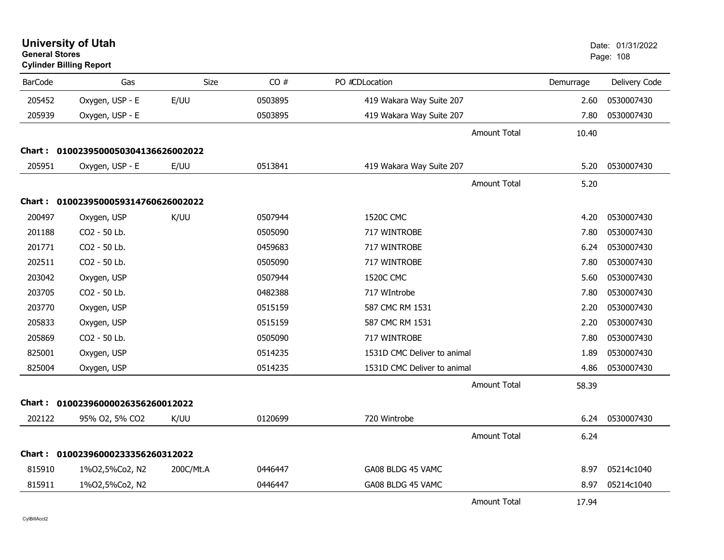| <b>University of Utah</b><br><b>General Stores</b><br><b>Cylinder Billing Report</b> |                                     |           |         |                             |           | Date: 01/31/2022<br>Page: 108 |  |
|--------------------------------------------------------------------------------------|-------------------------------------|-----------|---------|-----------------------------|-----------|-------------------------------|--|
| <b>BarCode</b>                                                                       | Gas                                 | Size      | CO#     | PO #CDLocation              | Demurrage | Delivery Code                 |  |
| 205452                                                                               | Oxygen, USP - E                     | E/UU      | 0503895 | 419 Wakara Way Suite 207    | 2.60      | 0530007430                    |  |
| 205939                                                                               | Oxygen, USP - E                     |           | 0503895 | 419 Wakara Way Suite 207    | 7.80      | 0530007430                    |  |
|                                                                                      |                                     |           |         | <b>Amount Total</b>         | 10.40     |                               |  |
|                                                                                      | Chart: 0100239500050304136626002022 |           |         |                             |           |                               |  |
| 205951                                                                               | Oxygen, USP - E                     | E/UU      | 0513841 | 419 Wakara Way Suite 207    | 5.20      | 0530007430                    |  |
|                                                                                      |                                     |           |         | <b>Amount Total</b>         | 5.20      |                               |  |
|                                                                                      | Chart: 0100239500059314760626002022 |           |         |                             |           |                               |  |
| 200497                                                                               | Oxygen, USP                         | K/UU      | 0507944 | <b>1520C CMC</b>            | 4.20      | 0530007430                    |  |
| 201188                                                                               | CO2 - 50 Lb.                        |           | 0505090 | 717 WINTROBE                | 7.80      | 0530007430                    |  |
| 201771                                                                               | CO <sub>2</sub> - 50 Lb.            |           | 0459683 | 717 WINTROBE                | 6.24      | 0530007430                    |  |
| 202511                                                                               | CO2 - 50 Lb.                        |           | 0505090 | 717 WINTROBE                | 7.80      | 0530007430                    |  |
| 203042                                                                               | Oxygen, USP                         |           | 0507944 | 1520C CMC                   | 5.60      | 0530007430                    |  |
| 203705                                                                               | CO2 - 50 Lb.                        |           | 0482388 | 717 WIntrobe                | 7.80      | 0530007430                    |  |
| 203770                                                                               | Oxygen, USP                         |           | 0515159 | 587 CMC RM 1531             | 2.20      | 0530007430                    |  |
| 205833                                                                               | Oxygen, USP                         |           | 0515159 | 587 CMC RM 1531             | 2.20      | 0530007430                    |  |
| 205869                                                                               | CO2 - 50 Lb.                        |           | 0505090 | 717 WINTROBE                | 7.80      | 0530007430                    |  |
| 825001                                                                               | Oxygen, USP                         |           | 0514235 | 1531D CMC Deliver to animal | 1.89      | 0530007430                    |  |
| 825004                                                                               | Oxygen, USP                         |           | 0514235 | 1531D CMC Deliver to animal | 4.86      | 0530007430                    |  |
|                                                                                      |                                     |           |         | <b>Amount Total</b>         | 58.39     |                               |  |
|                                                                                      | Chart: 01002396000026356260012022   |           |         |                             |           |                               |  |
| 202122                                                                               | 95% O2, 5% CO2                      | K/UU      | 0120699 | 720 Wintrobe                | 6.24      | 0530007430                    |  |
|                                                                                      |                                     |           |         | <b>Amount Total</b>         | 6.24      |                               |  |
|                                                                                      | Chart: 01002396000233356260312022   |           |         |                             |           |                               |  |
| 815910                                                                               | 1%02,5%Co2, N2                      | 200C/Mt.A | 0446447 | GA08 BLDG 45 VAMC           | 8.97      | 05214c1040                    |  |
| 815911                                                                               | 1%02,5%Co2, N2                      |           | 0446447 | GA08 BLDG 45 VAMC           | 8.97      | 05214c1040                    |  |
|                                                                                      |                                     |           |         | <b>Amount Total</b>         | 17.94     |                               |  |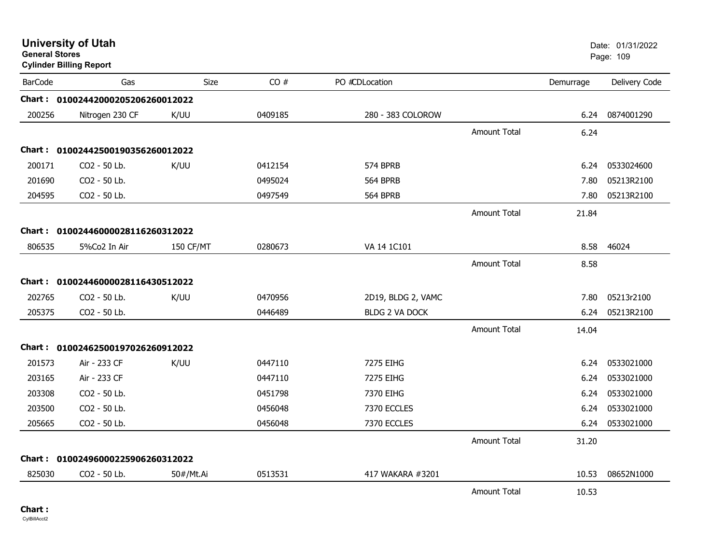|                | <b>University of Utah</b><br><b>General Stores</b><br><b>Cylinder Billing Report</b> |                  |         |                       |                     |           | Date: 01/31/2022<br>Page: 109 |
|----------------|--------------------------------------------------------------------------------------|------------------|---------|-----------------------|---------------------|-----------|-------------------------------|
| <b>BarCode</b> | Gas                                                                                  | Size             | CO#     | PO #CDLocation        |                     | Demurrage | Delivery Code                 |
|                | Chart: 01002442000205206260012022                                                    |                  |         |                       |                     |           |                               |
| 200256         | Nitrogen 230 CF                                                                      | K/UU             | 0409185 | 280 - 383 COLOROW     |                     | 6.24      | 0874001290                    |
|                |                                                                                      |                  |         |                       | <b>Amount Total</b> | 6.24      |                               |
|                | Chart: 01002442500190356260012022                                                    |                  |         |                       |                     |           |                               |
| 200171         | CO2 - 50 Lb.                                                                         | K/UU             | 0412154 | 574 BPRB              |                     | 6.24      | 0533024600                    |
| 201690         | CO2 - 50 Lb.                                                                         |                  | 0495024 | 564 BPRB              |                     | 7.80      | 05213R2100                    |
| 204595         | CO2 - 50 Lb.                                                                         |                  | 0497549 | 564 BPRB              |                     | 7.80      | 05213R2100                    |
|                |                                                                                      |                  |         |                       | <b>Amount Total</b> | 21.84     |                               |
|                | Chart: 01002446000028116260312022                                                    |                  |         |                       |                     |           |                               |
| 806535         | 5%Co2 In Air                                                                         | <b>150 CF/MT</b> | 0280673 | VA 14 1C101           |                     | 8.58      | 46024                         |
|                |                                                                                      |                  |         |                       | <b>Amount Total</b> | 8.58      |                               |
|                | Chart: 01002446000028116430512022                                                    |                  |         |                       |                     |           |                               |
| 202765         | CO2 - 50 Lb.                                                                         | K/UU             | 0470956 | 2D19, BLDG 2, VAMC    |                     | 7.80      | 05213r2100                    |
| 205375         | CO2 - 50 Lb.                                                                         |                  | 0446489 | <b>BLDG 2 VA DOCK</b> |                     | 6.24      | 05213R2100                    |
|                |                                                                                      |                  |         |                       | <b>Amount Total</b> | 14.04     |                               |
|                | Chart: 01002462500197026260912022                                                    |                  |         |                       |                     |           |                               |
| 201573         | Air - 233 CF                                                                         | K/UU             | 0447110 | 7275 EIHG             |                     | 6.24      | 0533021000                    |
| 203165         | Air - 233 CF                                                                         |                  | 0447110 | 7275 EIHG             |                     | 6.24      | 0533021000                    |
| 203308         | CO2 - 50 Lb.                                                                         |                  | 0451798 | 7370 EIHG             |                     | 6.24      | 0533021000                    |
| 203500         | CO2 - 50 Lb.                                                                         |                  | 0456048 | 7370 ECCLES           |                     | 6.24      | 0533021000                    |
| 205665         | CO2 - 50 Lb.                                                                         |                  | 0456048 | 7370 ECCLES           |                     | 6.24      | 0533021000                    |
|                |                                                                                      |                  |         |                       | <b>Amount Total</b> | 31.20     |                               |
|                | Chart: 01002496000225906260312022                                                    |                  |         |                       |                     |           |                               |
| 825030         | CO2 - 50 Lb.                                                                         | 50#/Mt.Ai        | 0513531 | 417 WAKARA #3201      |                     | 10.53     | 08652N1000                    |
|                |                                                                                      |                  |         |                       | <b>Amount Total</b> | 10.53     |                               |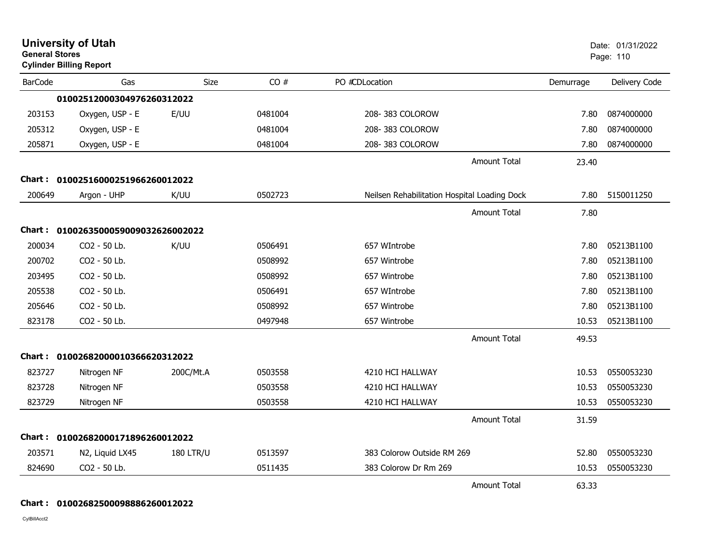| <b>University of Utah</b><br><b>General Stores</b><br><b>Cylinder Billing Report</b> |                                     |                  |         |                                              |           | Date: 01/31/2022<br>Page: 110 |  |
|--------------------------------------------------------------------------------------|-------------------------------------|------------------|---------|----------------------------------------------|-----------|-------------------------------|--|
| <b>BarCode</b>                                                                       | Gas                                 | <b>Size</b>      | CO#     | PO #CDLocation                               | Demurrage | Delivery Code                 |  |
|                                                                                      | 01002512000304976260312022          |                  |         |                                              |           |                               |  |
| 203153                                                                               | Oxygen, USP - E                     | E/UU             | 0481004 | 208-383 COLOROW                              | 7.80      | 0874000000                    |  |
| 205312                                                                               | Oxygen, USP - E                     |                  | 0481004 | 208-383 COLOROW                              | 7.80      | 0874000000                    |  |
| 205871                                                                               | Oxygen, USP - E                     |                  | 0481004 | 208-383 COLOROW                              | 7.80      | 0874000000                    |  |
|                                                                                      |                                     |                  |         | <b>Amount Total</b>                          | 23.40     |                               |  |
|                                                                                      | Chart: 01002516000251966260012022   |                  |         |                                              |           |                               |  |
| 200649                                                                               | Argon - UHP                         | K/UU             | 0502723 | Neilsen Rehabilitation Hospital Loading Dock | 7.80      | 5150011250                    |  |
|                                                                                      |                                     |                  |         | <b>Amount Total</b>                          | 7.80      |                               |  |
|                                                                                      | Chart: 0100263500059009032626002022 |                  |         |                                              |           |                               |  |
| 200034                                                                               | CO2 - 50 Lb.                        | K/UU             | 0506491 | 657 WIntrobe                                 | 7.80      | 05213B1100                    |  |
| 200702                                                                               | CO2 - 50 Lb.                        |                  | 0508992 | 657 Wintrobe                                 | 7.80      | 05213B1100                    |  |
| 203495                                                                               | CO2 - 50 Lb.                        |                  | 0508992 | 657 Wintrobe                                 | 7.80      | 05213B1100                    |  |
| 205538                                                                               | CO2 - 50 Lb.                        |                  | 0506491 | 657 WIntrobe                                 | 7.80      | 05213B1100                    |  |
| 205646                                                                               | CO2 - 50 Lb.                        |                  | 0508992 | 657 Wintrobe                                 | 7.80      | 05213B1100                    |  |
| 823178                                                                               | CO2 - 50 Lb.                        |                  | 0497948 | 657 Wintrobe                                 | 10.53     | 05213B1100                    |  |
|                                                                                      |                                     |                  |         | <b>Amount Total</b>                          | 49.53     |                               |  |
|                                                                                      | Chart: 01002682000010366620312022   |                  |         |                                              |           |                               |  |
| 823727                                                                               | Nitrogen NF                         | 200C/Mt.A        | 0503558 | 4210 HCI HALLWAY                             | 10.53     | 0550053230                    |  |
| 823728                                                                               | Nitrogen NF                         |                  | 0503558 | 4210 HCI HALLWAY                             | 10.53     | 0550053230                    |  |
| 823729                                                                               | Nitrogen NF                         |                  | 0503558 | 4210 HCI HALLWAY                             | 10.53     | 0550053230                    |  |
|                                                                                      |                                     |                  |         | <b>Amount Total</b>                          | 31.59     |                               |  |
| Chart :                                                                              | 01002682000171896260012022          |                  |         |                                              |           |                               |  |
| 203571                                                                               | N2, Liquid LX45                     | <b>180 LTR/U</b> | 0513597 | 383 Colorow Outside RM 269                   | 52.80     | 0550053230                    |  |
| 824690                                                                               | CO2 - 50 Lb.                        |                  | 0511435 | 383 Colorow Dr Rm 269                        | 10.53     | 0550053230                    |  |
|                                                                                      |                                     |                  |         | <b>Amount Total</b>                          | 63.33     |                               |  |

**Chart : 01002682500098886260012022**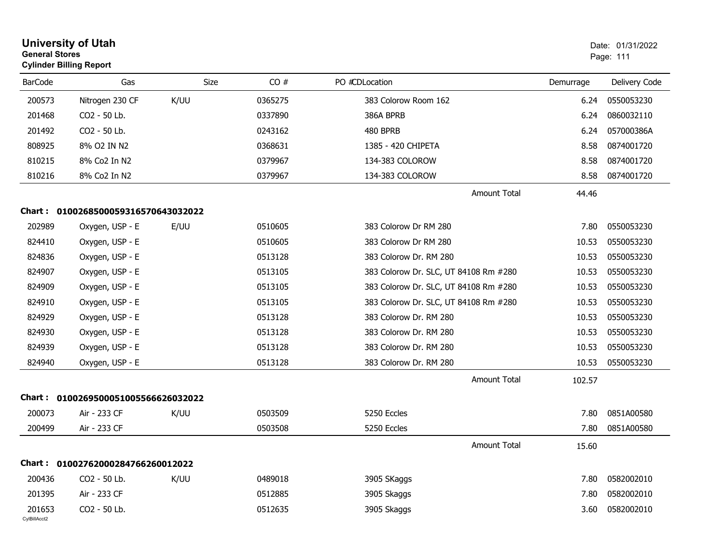| <b>General Stores</b>  | <b>University of Utah</b><br><b>Cylinder Billing Report</b> |      |         |                                       |           | Date: 01/31/2022<br>Page: 111 |
|------------------------|-------------------------------------------------------------|------|---------|---------------------------------------|-----------|-------------------------------|
| <b>BarCode</b>         | Gas                                                         | Size | CO#     | PO #CDLocation                        | Demurrage | Delivery Code                 |
| 200573                 | Nitrogen 230 CF                                             | K/UU | 0365275 | 383 Colorow Room 162                  | 6.24      | 0550053230                    |
| 201468                 | CO2 - 50 Lb.                                                |      | 0337890 | 386A BPRB                             | 6.24      | 0860032110                    |
| 201492                 | CO2 - 50 Lb.                                                |      | 0243162 | 480 BPRB                              | 6.24      | 057000386A                    |
| 808925                 | 8% O2 IN N2                                                 |      | 0368631 | 1385 - 420 CHIPETA                    | 8.58      | 0874001720                    |
| 810215                 | 8% Co2 In N2                                                |      | 0379967 | 134-383 COLOROW                       | 8.58      | 0874001720                    |
| 810216                 | 8% Co2 In N2                                                |      | 0379967 | 134-383 COLOROW                       | 8.58      | 0874001720                    |
|                        |                                                             |      |         | <b>Amount Total</b>                   | 44.46     |                               |
| Chart :                | 0100268500059316570643032022                                |      |         |                                       |           |                               |
| 202989                 | Oxygen, USP - E                                             | E/UU | 0510605 | 383 Colorow Dr RM 280                 | 7.80      | 0550053230                    |
| 824410                 | Oxygen, USP - E                                             |      | 0510605 | 383 Colorow Dr RM 280                 | 10.53     | 0550053230                    |
| 824836                 | Oxygen, USP - E                                             |      | 0513128 | 383 Colorow Dr. RM 280                | 10.53     | 0550053230                    |
| 824907                 | Oxygen, USP - E                                             |      | 0513105 | 383 Colorow Dr. SLC, UT 84108 Rm #280 | 10.53     | 0550053230                    |
| 824909                 | Oxygen, USP - E                                             |      | 0513105 | 383 Colorow Dr. SLC, UT 84108 Rm #280 | 10.53     | 0550053230                    |
| 824910                 | Oxygen, USP - E                                             |      | 0513105 | 383 Colorow Dr. SLC, UT 84108 Rm #280 | 10.53     | 0550053230                    |
| 824929                 | Oxygen, USP - E                                             |      | 0513128 | 383 Colorow Dr. RM 280                | 10.53     | 0550053230                    |
| 824930                 | Oxygen, USP - E                                             |      | 0513128 | 383 Colorow Dr. RM 280                | 10.53     | 0550053230                    |
| 824939                 | Oxygen, USP - E                                             |      | 0513128 | 383 Colorow Dr. RM 280                | 10.53     | 0550053230                    |
| 824940                 | Oxygen, USP - E                                             |      | 0513128 | 383 Colorow Dr. RM 280                | 10.53     | 0550053230                    |
|                        |                                                             |      |         | <b>Amount Total</b>                   | 102.57    |                               |
| Chart :                | 0100269500051005566626032022                                |      |         |                                       |           |                               |
| 200073                 | Air - 233 CF                                                | K/UU | 0503509 | 5250 Eccles                           | 7.80      | 0851A00580                    |
| 200499                 | Air - 233 CF                                                |      | 0503508 | 5250 Eccles                           | 7.80      | 0851A00580                    |
|                        |                                                             |      |         | <b>Amount Total</b>                   | 15.60     |                               |
|                        | Chart: 01002762000284766260012022                           |      |         |                                       |           |                               |
| 200436                 | CO2 - 50 Lb.                                                | K/UU | 0489018 | 3905 SKaggs                           | 7.80      | 0582002010                    |
| 201395                 | Air - 233 CF                                                |      | 0512885 | 3905 Skaggs                           | 7.80      | 0582002010                    |
| 201653<br>CylBillAcct2 | CO2 - 50 Lb.                                                |      | 0512635 | 3905 Skaggs                           | 3.60      | 0582002010                    |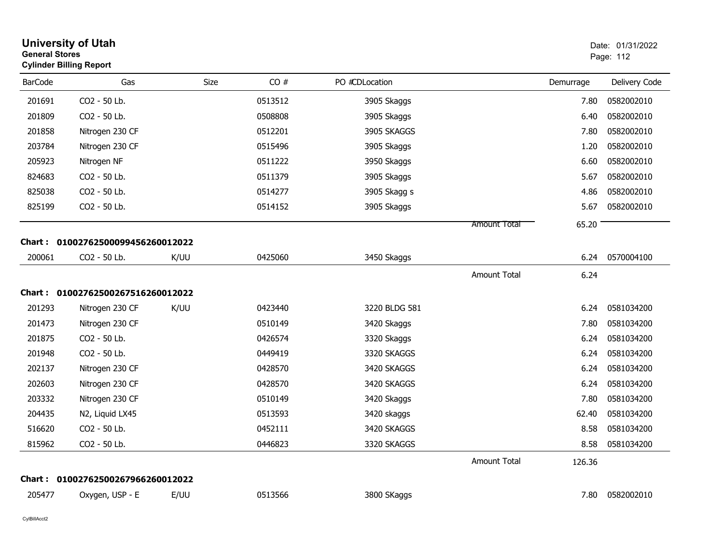|                | <b>University of Utah</b><br><b>General Stores</b><br><b>Cylinder Billing Report</b> |      |         |                |                     |           | Date: 01/31/2022<br>Page: 112 |  |
|----------------|--------------------------------------------------------------------------------------|------|---------|----------------|---------------------|-----------|-------------------------------|--|
| <b>BarCode</b> | Gas                                                                                  | Size | CO#     | PO #CDLocation |                     | Demurrage | Delivery Code                 |  |
| 201691         | CO <sub>2</sub> - 50 Lb.                                                             |      | 0513512 | 3905 Skaggs    |                     | 7.80      | 0582002010                    |  |
| 201809         | CO2 - 50 Lb.                                                                         |      | 0508808 | 3905 Skaggs    |                     | 6.40      | 0582002010                    |  |
| 201858         | Nitrogen 230 CF                                                                      |      | 0512201 | 3905 SKAGGS    |                     | 7.80      | 0582002010                    |  |
| 203784         | Nitrogen 230 CF                                                                      |      | 0515496 | 3905 Skaggs    |                     | 1.20      | 0582002010                    |  |
| 205923         | Nitrogen NF                                                                          |      | 0511222 | 3950 Skaggs    |                     | 6.60      | 0582002010                    |  |
| 824683         | CO2 - 50 Lb.                                                                         |      | 0511379 | 3905 Skaggs    |                     | 5.67      | 0582002010                    |  |
| 825038         | CO2 - 50 Lb.                                                                         |      | 0514277 | 3905 Skagg s   |                     | 4.86      | 0582002010                    |  |
| 825199         | CO2 - 50 Lb.                                                                         |      | 0514152 | 3905 Skaggs    |                     | 5.67      | 0582002010                    |  |
|                |                                                                                      |      |         |                | Amount Total        | 65.20     |                               |  |
|                | Chart: 01002762500099456260012022                                                    |      |         |                |                     |           |                               |  |
| 200061         | CO2 - 50 Lb.                                                                         | K/UU | 0425060 | 3450 Skaggs    |                     | 6.24      | 0570004100                    |  |
|                |                                                                                      |      |         |                | <b>Amount Total</b> | 6.24      |                               |  |
|                | Chart: 01002762500267516260012022                                                    |      |         |                |                     |           |                               |  |
| 201293         | Nitrogen 230 CF                                                                      | K/UU | 0423440 | 3220 BLDG 581  |                     | 6.24      | 0581034200                    |  |
| 201473         | Nitrogen 230 CF                                                                      |      | 0510149 | 3420 Skaggs    |                     | 7.80      | 0581034200                    |  |
| 201875         | CO2 - 50 Lb.                                                                         |      | 0426574 | 3320 Skaggs    |                     | 6.24      | 0581034200                    |  |
| 201948         | CO2 - 50 Lb.                                                                         |      | 0449419 | 3320 SKAGGS    |                     | 6.24      | 0581034200                    |  |
| 202137         | Nitrogen 230 CF                                                                      |      | 0428570 | 3420 SKAGGS    |                     | 6.24      | 0581034200                    |  |
| 202603         | Nitrogen 230 CF                                                                      |      | 0428570 | 3420 SKAGGS    |                     | 6.24      | 0581034200                    |  |
| 203332         | Nitrogen 230 CF                                                                      |      | 0510149 | 3420 Skaggs    |                     | 7.80      | 0581034200                    |  |
| 204435         | N2, Liquid LX45                                                                      |      | 0513593 | 3420 skaggs    |                     | 62.40     | 0581034200                    |  |
| 516620         | CO2 - 50 Lb.                                                                         |      | 0452111 | 3420 SKAGGS    |                     | 8.58      | 0581034200                    |  |
| 815962         | CO2 - 50 Lb.                                                                         |      | 0446823 | 3320 SKAGGS    |                     | 8.58      | 0581034200                    |  |
|                |                                                                                      |      |         |                | <b>Amount Total</b> | 126.36    |                               |  |
| Chart :        | 01002762500267966260012022                                                           |      |         |                |                     |           |                               |  |
| 205477         | Oxygen, USP - E                                                                      | E/UU | 0513566 | 3800 SKaggs    |                     | 7.80      | 0582002010                    |  |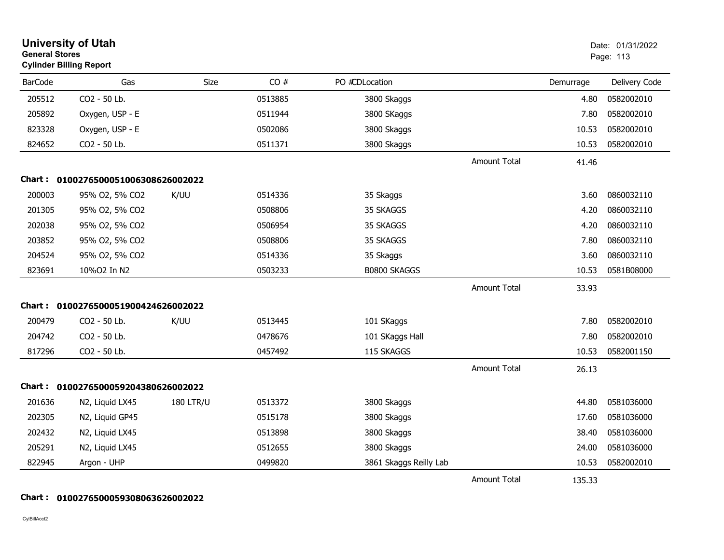| <b>General Stores</b> | <b>University of Utah</b><br><b>Cylinder Billing Report</b> |                  |         |                        |                     |           | Date: 01/31/2022<br>Page: 113 |
|-----------------------|-------------------------------------------------------------|------------------|---------|------------------------|---------------------|-----------|-------------------------------|
| <b>BarCode</b>        | Gas                                                         | Size             | CO#     | PO #CDLocation         |                     | Demurrage | Delivery Code                 |
| 205512                | CO2 - 50 Lb.                                                |                  | 0513885 | 3800 Skaggs            |                     | 4.80      | 0582002010                    |
| 205892                | Oxygen, USP - E                                             |                  | 0511944 | 3800 SKaggs            |                     | 7.80      | 0582002010                    |
| 823328                | Oxygen, USP - E                                             |                  | 0502086 | 3800 Skaggs            |                     | 10.53     | 0582002010                    |
| 824652                | CO2 - 50 Lb.                                                |                  | 0511371 | 3800 Skaggs            |                     | 10.53     | 0582002010                    |
|                       |                                                             |                  |         |                        | <b>Amount Total</b> | 41.46     |                               |
|                       | Chart: 0100276500051006308626002022                         |                  |         |                        |                     |           |                               |
| 200003                | 95% O2, 5% CO2                                              | K/UU             | 0514336 | 35 Skaggs              |                     | 3.60      | 0860032110                    |
| 201305                | 95% O2, 5% CO2                                              |                  | 0508806 | 35 SKAGGS              |                     | 4.20      | 0860032110                    |
| 202038                | 95% O2, 5% CO2                                              |                  | 0506954 | 35 SKAGGS              |                     | 4.20      | 0860032110                    |
| 203852                | 95% O2, 5% CO2                                              |                  | 0508806 | 35 SKAGGS              |                     | 7.80      | 0860032110                    |
| 204524                | 95% O2, 5% CO2                                              |                  | 0514336 | 35 Skaggs              |                     | 3.60      | 0860032110                    |
| 823691                | 10%02 In N2                                                 |                  | 0503233 | <b>B0800 SKAGGS</b>    |                     | 10.53     | 0581B08000                    |
|                       |                                                             |                  |         |                        | <b>Amount Total</b> | 33.93     |                               |
|                       | Chart: 0100276500051900424626002022                         |                  |         |                        |                     |           |                               |
| 200479                | CO2 - 50 Lb.                                                | K/UU             | 0513445 | 101 SKaggs             |                     | 7.80      | 0582002010                    |
| 204742                | CO2 - 50 Lb.                                                |                  | 0478676 | 101 SKaggs Hall        |                     | 7.80      | 0582002010                    |
| 817296                | CO2 - 50 Lb.                                                |                  | 0457492 | 115 SKAGGS             |                     | 10.53     | 0582001150                    |
|                       |                                                             |                  |         |                        | <b>Amount Total</b> | 26.13     |                               |
|                       | Chart: 0100276500059204380626002022                         |                  |         |                        |                     |           |                               |
| 201636                | N2, Liquid LX45                                             | <b>180 LTR/U</b> | 0513372 | 3800 Skaggs            |                     | 44.80     | 0581036000                    |
| 202305                | N2, Liquid GP45                                             |                  | 0515178 | 3800 Skaggs            |                     | 17.60     | 0581036000                    |
| 202432                | N2, Liquid LX45                                             |                  | 0513898 | 3800 Skaggs            |                     | 38.40     | 0581036000                    |
| 205291                | N2, Liquid LX45                                             |                  | 0512655 | 3800 Skaggs            |                     | 24.00     | 0581036000                    |
| 822945                | Argon - UHP                                                 |                  | 0499820 | 3861 Skaggs Reilly Lab |                     | 10.53     | 0582002010                    |
|                       |                                                             |                  |         |                        | <b>Amount Total</b> | 135.33    |                               |

#### **Chart : 0100276500059308063626002022**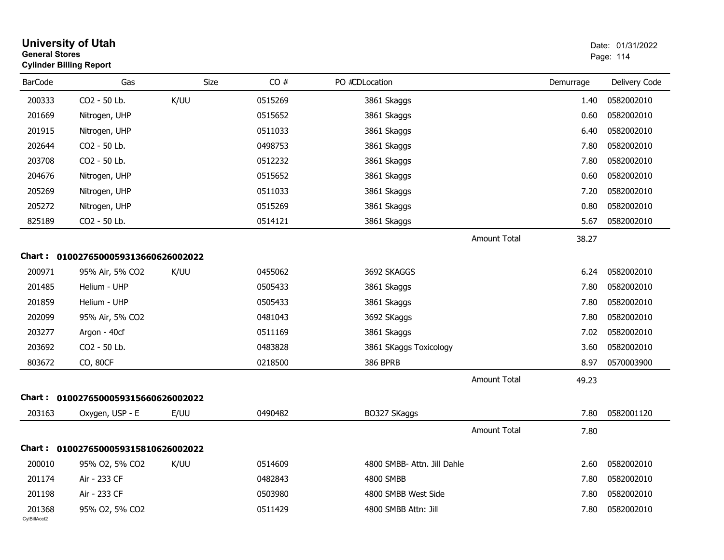| <b>General Stores</b>  | <b>University of Utah</b><br><b>Cylinder Billing Report</b> |      |         |                             |                     |           | Date: 01/31/2022<br>Page: 114 |
|------------------------|-------------------------------------------------------------|------|---------|-----------------------------|---------------------|-----------|-------------------------------|
| <b>BarCode</b>         | Gas                                                         | Size | CO#     | PO #CDLocation              |                     | Demurrage | Delivery Code                 |
| 200333                 | CO2 - 50 Lb.                                                | K/UU | 0515269 | 3861 Skaggs                 |                     | 1.40      | 0582002010                    |
| 201669                 | Nitrogen, UHP                                               |      | 0515652 | 3861 Skaggs                 |                     | 0.60      | 0582002010                    |
| 201915                 | Nitrogen, UHP                                               |      | 0511033 | 3861 Skaggs                 |                     | 6.40      | 0582002010                    |
| 202644                 | CO2 - 50 Lb.                                                |      | 0498753 | 3861 Skaggs                 |                     | 7.80      | 0582002010                    |
| 203708                 | CO2 - 50 Lb.                                                |      | 0512232 | 3861 Skaggs                 |                     | 7.80      | 0582002010                    |
| 204676                 | Nitrogen, UHP                                               |      | 0515652 | 3861 Skaggs                 |                     | 0.60      | 0582002010                    |
| 205269                 | Nitrogen, UHP                                               |      | 0511033 | 3861 Skaggs                 |                     | 7.20      | 0582002010                    |
| 205272                 | Nitrogen, UHP                                               |      | 0515269 | 3861 Skaggs                 |                     | 0.80      | 0582002010                    |
| 825189                 | CO2 - 50 Lb.                                                |      | 0514121 | 3861 Skaggs                 |                     | 5.67      | 0582002010                    |
|                        |                                                             |      |         |                             | <b>Amount Total</b> | 38.27     |                               |
|                        | Chart: 0100276500059313660626002022                         |      |         |                             |                     |           |                               |
| 200971                 | 95% Air, 5% CO2                                             | K/UU | 0455062 | 3692 SKAGGS                 |                     | 6.24      | 0582002010                    |
| 201485                 | Helium - UHP                                                |      | 0505433 | 3861 Skaggs                 |                     | 7.80      | 0582002010                    |
| 201859                 | Helium - UHP                                                |      | 0505433 | 3861 Skaggs                 |                     | 7.80      | 0582002010                    |
| 202099                 | 95% Air, 5% CO2                                             |      | 0481043 | 3692 SKaggs                 |                     | 7.80      | 0582002010                    |
| 203277                 | Argon - 40cf                                                |      | 0511169 | 3861 Skaggs                 |                     | 7.02      | 0582002010                    |
| 203692                 | CO2 - 50 Lb.                                                |      | 0483828 | 3861 SKaggs Toxicology      |                     | 3.60      | 0582002010                    |
| 803672                 | CO, 80CF                                                    |      | 0218500 | 386 BPRB                    |                     | 8.97      | 0570003900                    |
|                        |                                                             |      |         |                             | <b>Amount Total</b> | 49.23     |                               |
|                        | Chart: 0100276500059315660626002022                         |      |         |                             |                     |           |                               |
| 203163                 | Oxygen, USP - E                                             | E/UU | 0490482 | BO327 SKaggs                |                     | 7.80      | 0582001120                    |
|                        |                                                             |      |         |                             | <b>Amount Total</b> | 7.80      |                               |
|                        | Chart: 0100276500059315810626002022                         |      |         |                             |                     |           |                               |
| 200010                 | 95% O2, 5% CO2                                              | K/UU | 0514609 | 4800 SMBB- Attn. Jill Dahle |                     | 2.60      | 0582002010                    |
| 201174                 | Air - 233 CF                                                |      | 0482843 | 4800 SMBB                   |                     | 7.80      | 0582002010                    |
| 201198                 | Air - 233 CF                                                |      | 0503980 | 4800 SMBB West Side         |                     | 7.80      | 0582002010                    |
| 201368<br>CylBillAcct2 | 95% O2, 5% CO2                                              |      | 0511429 | 4800 SMBB Attn: Jill        |                     | 7.80      | 0582002010                    |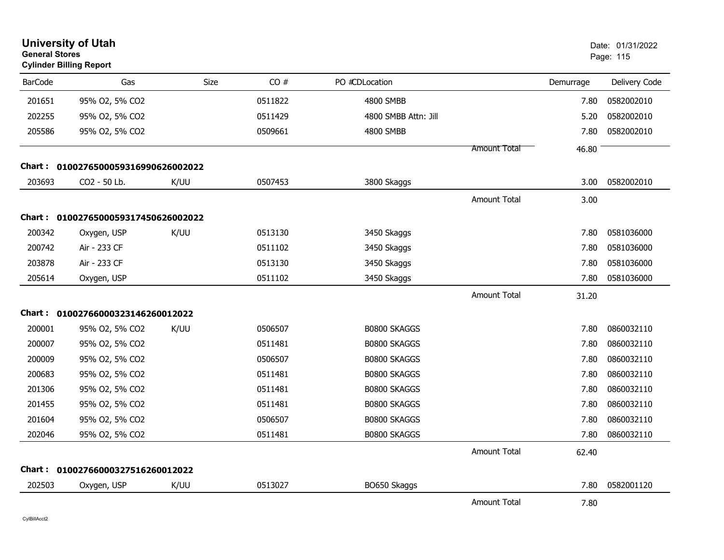| <b>General Stores</b> | <b>University of Utah</b><br><b>Cylinder Billing Report</b> |             |         |                      |                     |           | Date: 01/31/2022<br>Page: 115 |
|-----------------------|-------------------------------------------------------------|-------------|---------|----------------------|---------------------|-----------|-------------------------------|
| <b>BarCode</b>        | Gas                                                         | <b>Size</b> | CO#     | PO #CDLocation       |                     | Demurrage | Delivery Code                 |
| 201651                | 95% O2, 5% CO2                                              |             | 0511822 | 4800 SMBB            |                     | 7.80      | 0582002010                    |
| 202255                | 95% O2, 5% CO2                                              |             | 0511429 | 4800 SMBB Attn: Jill |                     | 5.20      | 0582002010                    |
| 205586                | 95% O2, 5% CO2                                              |             | 0509661 | 4800 SMBB            |                     | 7.80      | 0582002010                    |
|                       |                                                             |             |         |                      | Amount Total        | 46.80     |                               |
|                       | Chart: 0100276500059316990626002022                         |             |         |                      |                     |           |                               |
| 203693                | CO2 - 50 Lb.                                                | K/UU        | 0507453 | 3800 Skaggs          |                     | 3.00      | 0582002010                    |
|                       |                                                             |             |         |                      | <b>Amount Total</b> | 3.00      |                               |
|                       | Chart: 0100276500059317450626002022                         |             |         |                      |                     |           |                               |
| 200342                | Oxygen, USP                                                 | K/UU        | 0513130 | 3450 Skaggs          |                     | 7.80      | 0581036000                    |
| 200742                | Air - 233 CF                                                |             | 0511102 | 3450 Skaggs          |                     | 7.80      | 0581036000                    |
| 203878                | Air - 233 CF                                                |             | 0513130 | 3450 Skaggs          |                     | 7.80      | 0581036000                    |
| 205614                | Oxygen, USP                                                 |             | 0511102 | 3450 Skaggs          |                     | 7.80      | 0581036000                    |
|                       |                                                             |             |         |                      | <b>Amount Total</b> | 31.20     |                               |
|                       | Chart: 01002766000323146260012022                           |             |         |                      |                     |           |                               |
| 200001                | 95% O2, 5% CO2                                              | K/UU        | 0506507 | B0800 SKAGGS         |                     | 7.80      | 0860032110                    |
| 200007                | 95% O2, 5% CO2                                              |             | 0511481 | <b>B0800 SKAGGS</b>  |                     | 7.80      | 0860032110                    |
| 200009                | 95% O2, 5% CO2                                              |             | 0506507 | B0800 SKAGGS         |                     | 7.80      | 0860032110                    |
| 200683                | 95% O2, 5% CO2                                              |             | 0511481 | B0800 SKAGGS         |                     | 7.80      | 0860032110                    |
| 201306                | 95% O2, 5% CO2                                              |             | 0511481 | B0800 SKAGGS         |                     | 7.80      | 0860032110                    |
| 201455                | 95% O2, 5% CO2                                              |             | 0511481 | B0800 SKAGGS         |                     | 7.80      | 0860032110                    |
| 201604                | 95% O2, 5% CO2                                              |             | 0506507 | <b>B0800 SKAGGS</b>  |                     | 7.80      | 0860032110                    |
| 202046                | 95% O2, 5% CO2                                              |             | 0511481 | B0800 SKAGGS         |                     | 7.80      | 0860032110                    |
|                       |                                                             |             |         |                      | <b>Amount Total</b> | 62.40     |                               |
|                       | Chart: 01002766000327516260012022                           |             |         |                      |                     |           |                               |
| 202503                | Oxygen, USP                                                 | K/UU        | 0513027 | BO650 Skaggs         |                     | 7.80      | 0582001120                    |
|                       |                                                             |             |         |                      | <b>Amount Total</b> | 7.80      |                               |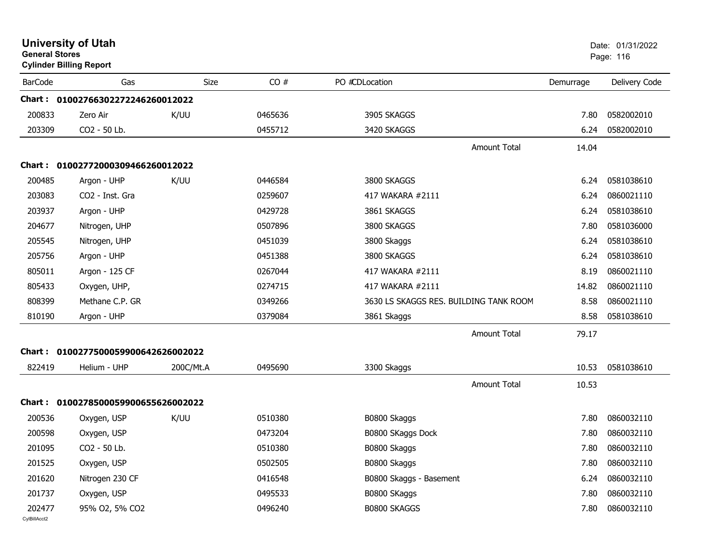| <b>General Stores</b>  | <b>University of Utah</b><br><b>Cylinder Billing Report</b> |           |         |                                        | Date: 01/31/2022<br>Page: 116 |                 |
|------------------------|-------------------------------------------------------------|-----------|---------|----------------------------------------|-------------------------------|-----------------|
| <b>BarCode</b>         | Gas                                                         | Size      | CO#     | PO #CDLocation                         | Demurrage                     | Delivery Code   |
|                        | Chart: 01002766302272246260012022                           |           |         |                                        |                               |                 |
| 200833                 | Zero Air                                                    | K/UU      | 0465636 | 3905 SKAGGS                            | 7.80                          | 0582002010      |
| 203309                 | CO2 - 50 Lb.                                                |           | 0455712 | 3420 SKAGGS                            | 6.24                          | 0582002010      |
|                        |                                                             |           |         | <b>Amount Total</b>                    | 14.04                         |                 |
|                        | Chart: 01002772000309466260012022                           |           |         |                                        |                               |                 |
| 200485                 | Argon - UHP                                                 | K/UU      | 0446584 | 3800 SKAGGS                            | 6.24                          | 0581038610      |
| 203083                 | CO2 - Inst. Gra                                             |           | 0259607 | 417 WAKARA #2111                       | 6.24                          | 0860021110      |
| 203937                 | Argon - UHP                                                 |           | 0429728 | 3861 SKAGGS                            | 6.24                          | 0581038610      |
| 204677                 | Nitrogen, UHP                                               |           | 0507896 | 3800 SKAGGS                            | 7.80                          | 0581036000      |
| 205545                 | Nitrogen, UHP                                               |           | 0451039 | 3800 Skaggs                            | 6.24                          | 0581038610      |
| 205756                 | Argon - UHP                                                 |           | 0451388 | 3800 SKAGGS                            | 6.24                          | 0581038610      |
| 805011                 | Argon - 125 CF                                              |           | 0267044 | 417 WAKARA #2111                       | 8.19                          | 0860021110      |
| 805433                 | Oxygen, UHP,                                                |           | 0274715 | 417 WAKARA #2111                       | 14.82                         | 0860021110      |
| 808399                 | Methane C.P. GR                                             |           | 0349266 | 3630 LS SKAGGS RES. BUILDING TANK ROOM | 8.58                          | 0860021110      |
| 810190                 | Argon - UHP                                                 |           | 0379084 | 3861 Skaggs                            | 8.58                          | 0581038610      |
|                        |                                                             |           |         | <b>Amount Total</b>                    | 79.17                         |                 |
|                        | Chart: 0100277500059900642626002022                         |           |         |                                        |                               |                 |
| 822419                 | Helium - UHP                                                | 200C/Mt.A | 0495690 | 3300 Skaggs                            | 10.53                         | 0581038610      |
|                        |                                                             |           |         | <b>Amount Total</b>                    | 10.53                         |                 |
|                        | Chart: 0100278500059900655626002022                         |           |         |                                        |                               |                 |
| 200536                 | Oxygen, USP                                                 | K/UU      | 0510380 | B0800 Skaggs                           | 7.80                          | 0860032110      |
| 200598                 | Oxygen, USP                                                 |           | 0473204 | B0800 SKaggs Dock                      | 7.80                          | 0860032110      |
| 201095                 | CO2 - 50 Lb.                                                |           | 0510380 | B0800 Skaggs                           |                               | 7.80 0860032110 |
| 201525                 | Oxygen, USP                                                 |           | 0502505 | B0800 Skaggs                           | 7.80                          | 0860032110      |
| 201620                 | Nitrogen 230 CF                                             |           | 0416548 | B0800 Skaggs - Basement                | 6.24                          | 0860032110      |
| 201737                 | Oxygen, USP                                                 |           | 0495533 | B0800 SKaggs                           | 7.80                          | 0860032110      |
| 202477<br>CylBillAcct2 | 95% O2, 5% CO2                                              |           | 0496240 | B0800 SKAGGS                           | 7.80                          | 0860032110      |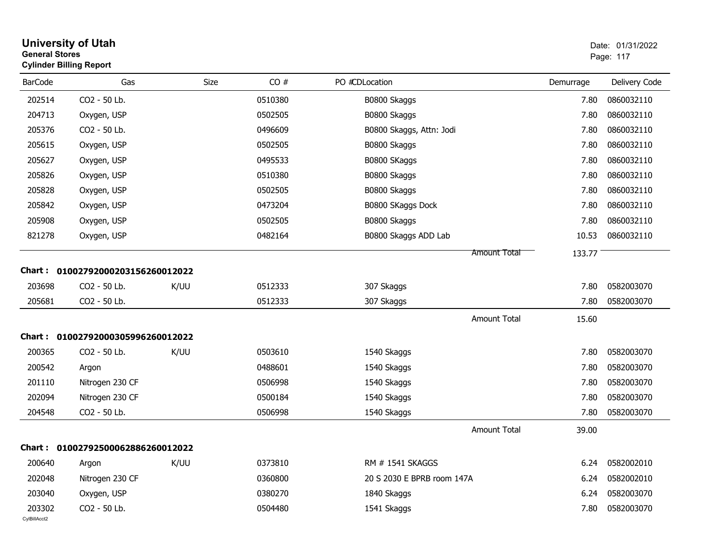| <b>General Stores</b>  | <b>University of Utah</b><br><b>Cylinder Billing Report</b> |      |         |                            |           | Date: 01/31/2022<br>Page: 117 |
|------------------------|-------------------------------------------------------------|------|---------|----------------------------|-----------|-------------------------------|
| <b>BarCode</b>         | Gas                                                         | Size | CO#     | PO #CDLocation             | Demurrage | Delivery Code                 |
| 202514                 | CO2 - 50 Lb.                                                |      | 0510380 | B0800 Skaggs               | 7.80      | 0860032110                    |
| 204713                 | Oxygen, USP                                                 |      | 0502505 | B0800 Skaggs               | 7.80      | 0860032110                    |
| 205376                 | CO2 - 50 Lb.                                                |      | 0496609 | B0800 Skaggs, Attn: Jodi   | 7.80      | 0860032110                    |
| 205615                 | Oxygen, USP                                                 |      | 0502505 | B0800 Skaggs               | 7.80      | 0860032110                    |
| 205627                 | Oxygen, USP                                                 |      | 0495533 | B0800 SKaggs               | 7.80      | 0860032110                    |
| 205826                 | Oxygen, USP                                                 |      | 0510380 | B0800 Skaggs               | 7.80      | 0860032110                    |
| 205828                 | Oxygen, USP                                                 |      | 0502505 | B0800 Skaggs               | 7.80      | 0860032110                    |
| 205842                 | Oxygen, USP                                                 |      | 0473204 | B0800 SKaggs Dock          | 7.80      | 0860032110                    |
| 205908                 | Oxygen, USP                                                 |      | 0502505 | B0800 Skaggs               | 7.80      | 0860032110                    |
| 821278                 | Oxygen, USP                                                 |      | 0482164 | B0800 Skaggs ADD Lab       | 10.53     | 0860032110                    |
|                        |                                                             |      |         | <b>Amount Total</b>        | 133.77    |                               |
| <b>Chart:</b>          | 01002792000203156260012022                                  |      |         |                            |           |                               |
| 203698                 | CO2 - 50 Lb.                                                | K/UU | 0512333 | 307 Skaggs                 | 7.80      | 0582003070                    |
| 205681                 | CO2 - 50 Lb.                                                |      | 0512333 | 307 Skaggs                 | 7.80      | 0582003070                    |
|                        |                                                             |      |         | <b>Amount Total</b>        | 15.60     |                               |
| <b>Chart:</b>          | 01002792000305996260012022                                  |      |         |                            |           |                               |
| 200365                 | CO2 - 50 Lb.                                                | K/UU | 0503610 | 1540 Skaggs                | 7.80      | 0582003070                    |
| 200542                 | Argon                                                       |      | 0488601 | 1540 Skaggs                | 7.80      | 0582003070                    |
| 201110                 | Nitrogen 230 CF                                             |      | 0506998 | 1540 Skaggs                | 7.80      | 0582003070                    |
| 202094                 | Nitrogen 230 CF                                             |      | 0500184 | 1540 Skaggs                | 7.80      | 0582003070                    |
| 204548                 | CO2 - 50 Lb.                                                |      | 0506998 | 1540 Skaggs                | 7.80      | 0582003070                    |
|                        |                                                             |      |         | <b>Amount Total</b>        | 39.00     |                               |
|                        | Chart: 01002792500062886260012022                           |      |         |                            |           |                               |
| 200640                 | Argon                                                       | K/UU | 0373810 | RM # 1541 SKAGGS           | 6.24      | 0582002010                    |
| 202048                 | Nitrogen 230 CF                                             |      | 0360800 | 20 S 2030 E BPRB room 147A | 6.24      | 0582002010                    |
| 203040                 | Oxygen, USP                                                 |      | 0380270 | 1840 Skaggs                | 6.24      | 0582003070                    |
| 203302<br>CylBillAcct2 | CO2 - 50 Lb.                                                |      | 0504480 | 1541 Skaggs                | 7.80      | 0582003070                    |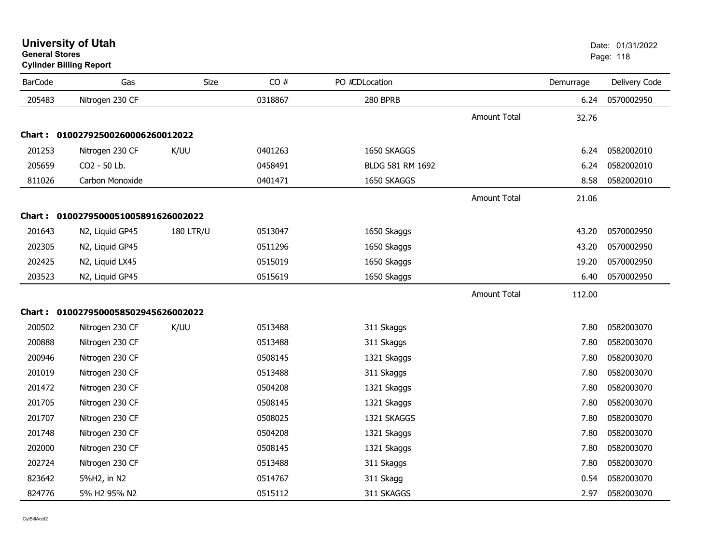| <b>BarCode</b> | Gas                                  | Size             | CO#     | PO #CDLocation   |                     | Demurrage | Delivery Code |
|----------------|--------------------------------------|------------------|---------|------------------|---------------------|-----------|---------------|
| 205483         | Nitrogen 230 CF                      |                  | 0318867 | 280 BPRB         |                     | 6.24      | 0570002950    |
|                |                                      |                  |         |                  | <b>Amount Total</b> | 32.76     |               |
|                | Chart: 01002792500260006260012022    |                  |         |                  |                     |           |               |
| 201253         | Nitrogen 230 CF                      | K/UU             | 0401263 | 1650 SKAGGS      |                     | 6.24      | 0582002010    |
| 205659         | CO2 - 50 Lb.                         |                  | 0458491 | BLDG 581 RM 1692 |                     | 6.24      | 0582002010    |
| 811026         | Carbon Monoxide                      |                  | 0401471 | 1650 SKAGGS      |                     | 8.58      | 0582002010    |
|                |                                      |                  |         |                  | <b>Amount Total</b> | 21.06     |               |
|                | Chart: 0100279500051005891626002022  |                  |         |                  |                     |           |               |
| 201643         | N2, Liquid GP45                      | <b>180 LTR/U</b> | 0513047 | 1650 Skaggs      |                     | 43.20     | 0570002950    |
| 202305         | N2, Liquid GP45                      |                  | 0511296 | 1650 Skaggs      |                     | 43.20     | 0570002950    |
| 202425         | N2, Liquid LX45                      |                  | 0515019 | 1650 Skaggs      |                     | 19.20     | 0570002950    |
| 203523         | N2, Liquid GP45                      |                  | 0515619 | 1650 Skaggs      |                     | 6.40      | 0570002950    |
|                |                                      |                  |         |                  | Amount Total        | 112.00    |               |
|                | Chart: 0100279500058502945626002022  |                  |         |                  |                     |           |               |
| 200502         | Nitrogen 230 CF                      | K/UU             | 0513488 | 311 Skaggs       |                     | 7.80      | 0582003070    |
| 200888         | Nitrogen 230 CF                      |                  | 0513488 | 311 Skaggs       |                     | 7.80      | 0582003070    |
| 200946         | Nitrogen 230 CF                      |                  | 0508145 | 1321 Skaggs      |                     | 7.80      | 0582003070    |
| 201019         | Nitrogen 230 CF                      |                  | 0513488 | 311 Skaggs       |                     | 7.80      | 0582003070    |
| 201472         | Nitrogen 230 CF                      |                  | 0504208 | 1321 Skaggs      |                     | 7.80      | 0582003070    |
| 201705         | Nitrogen 230 CF                      |                  | 0508145 | 1321 Skaggs      |                     | 7.80      | 0582003070    |
| 201707         | Nitrogen 230 CF                      |                  | 0508025 | 1321 SKAGGS      |                     | 7.80      | 0582003070    |
| 201748         | Nitrogen 230 CF                      |                  | 0504208 | 1321 Skaggs      |                     | 7.80      | 0582003070    |
| 202000         | Nitrogen 230 CF                      |                  | 0508145 | 1321 Skaggs      |                     | 7.80      | 0582003070    |
| 202724         | Nitrogen 230 CF                      |                  | 0513488 | 311 Skaggs       |                     | 7.80      | 0582003070    |
| 823642         | 5%H2, in N2                          |                  | 0514767 | 311 Skagg        |                     | 0.54      | 0582003070    |
| 824776         | 5% H <sub>2</sub> 95% N <sub>2</sub> |                  | 0515112 | 311 SKAGGS       |                     | 2.97      | 0582003070    |

#### **Cylinder Billing Report**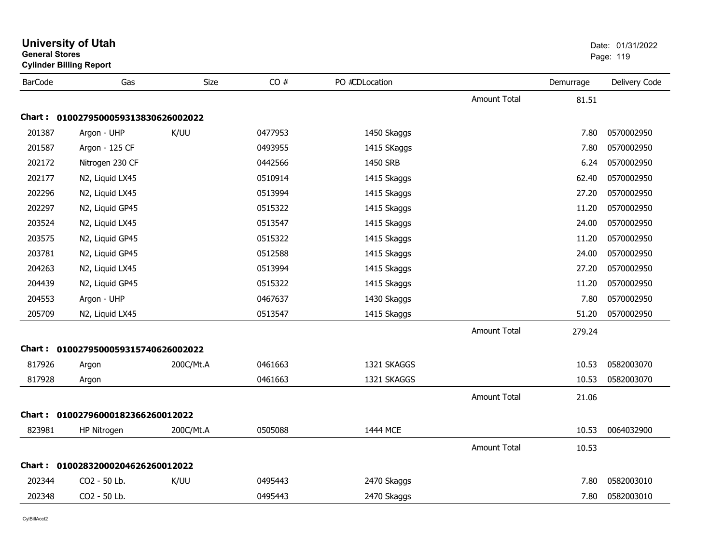| General Stores | <b>Cylinder Billing Report</b>      |           |         |                | Page: 119           |           |               |
|----------------|-------------------------------------|-----------|---------|----------------|---------------------|-----------|---------------|
| <b>BarCode</b> | Gas                                 | Size      | CO#     | PO #CDLocation |                     | Demurrage | Delivery Code |
|                |                                     |           |         |                | <b>Amount Total</b> | 81.51     |               |
|                | Chart: 0100279500059313830626002022 |           |         |                |                     |           |               |
| 201387         | Argon - UHP                         | K/UU      | 0477953 | 1450 Skaggs    |                     | 7.80      | 0570002950    |
| 201587         | Argon - 125 CF                      |           | 0493955 | 1415 SKaggs    |                     | 7.80      | 0570002950    |
| 202172         | Nitrogen 230 CF                     |           | 0442566 | 1450 SRB       |                     | 6.24      | 0570002950    |
| 202177         | N2, Liquid LX45                     |           | 0510914 | 1415 Skaggs    |                     | 62.40     | 0570002950    |
| 202296         | N2, Liquid LX45                     |           | 0513994 | 1415 Skaggs    |                     | 27.20     | 0570002950    |
| 202297         | N2, Liquid GP45                     |           | 0515322 | 1415 Skaggs    |                     | 11.20     | 0570002950    |
| 203524         | N2, Liquid LX45                     |           | 0513547 | 1415 Skaggs    |                     | 24.00     | 0570002950    |
| 203575         | N2, Liquid GP45                     |           | 0515322 | 1415 Skaggs    |                     | 11.20     | 0570002950    |
| 203781         | N2, Liquid GP45                     |           | 0512588 | 1415 Skaggs    |                     | 24.00     | 0570002950    |
| 204263         | N2, Liquid LX45                     |           | 0513994 | 1415 Skaggs    |                     | 27.20     | 0570002950    |
| 204439         | N2, Liquid GP45                     |           | 0515322 | 1415 Skaggs    |                     | 11.20     | 0570002950    |
| 204553         | Argon - UHP                         |           | 0467637 | 1430 Skaggs    |                     | 7.80      | 0570002950    |
| 205709         | N2, Liquid LX45                     |           | 0513547 | 1415 Skaggs    |                     | 51.20     | 0570002950    |
|                |                                     |           |         |                | Amount Total        | 279.24    |               |
|                | Chart: 0100279500059315740626002022 |           |         |                |                     |           |               |
| 817926         | Argon                               | 200C/Mt.A | 0461663 | 1321 SKAGGS    |                     | 10.53     | 0582003070    |
| 817928         | Argon                               |           | 0461663 | 1321 SKAGGS    |                     | 10.53     | 0582003070    |
|                |                                     |           |         |                | <b>Amount Total</b> | 21.06     |               |
|                | Chart: 01002796000182366260012022   |           |         |                |                     |           |               |
| 823981         | HP Nitrogen                         | 200C/Mt.A | 0505088 | 1444 MCE       |                     | 10.53     | 0064032900    |
|                |                                     |           |         |                | <b>Amount Total</b> | 10.53     |               |
| Chart :        | 01002832000204626260012022          |           |         |                |                     |           |               |
| 202344         | CO2 - 50 Lb.                        | K/UU      | 0495443 | 2470 Skaggs    |                     | 7.80      | 0582003010    |
| 202348         | CO2 - 50 Lb.                        |           | 0495443 | 2470 Skaggs    |                     | 7.80      | 0582003010    |
|                |                                     |           |         |                |                     |           |               |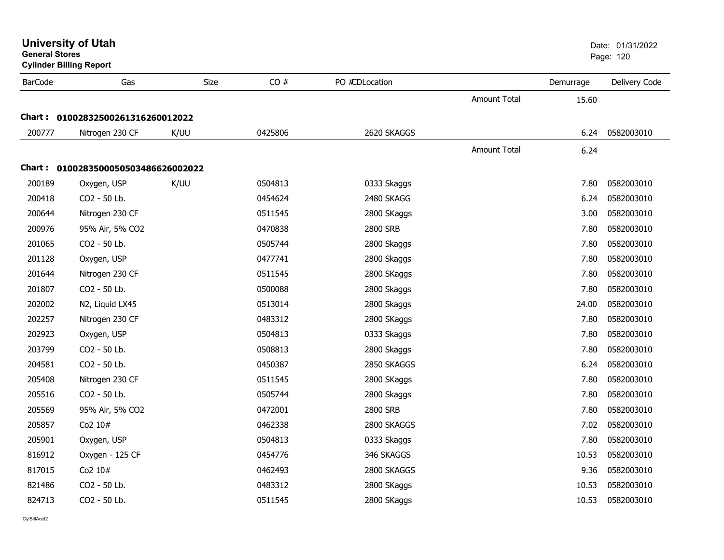| General Stores | <b>Cylinder Billing Report</b>      |      |         |                |                     |           | Page: 120     |  |
|----------------|-------------------------------------|------|---------|----------------|---------------------|-----------|---------------|--|
| <b>BarCode</b> | Gas                                 | Size | CO#     | PO #CDLocation |                     | Demurrage | Delivery Code |  |
|                |                                     |      |         |                | Amount Total        | 15.60     |               |  |
|                | Chart: 01002832500261316260012022   |      |         |                |                     |           |               |  |
| 200777         | Nitrogen 230 CF                     | K/UU | 0425806 | 2620 SKAGGS    |                     | 6.24      | 0582003010    |  |
|                |                                     |      |         |                | <b>Amount Total</b> | 6.24      |               |  |
|                | Chart: 0100283500050503486626002022 |      |         |                |                     |           |               |  |
| 200189         | Oxygen, USP                         | K/UU | 0504813 | 0333 Skaggs    |                     | 7.80      | 0582003010    |  |
| 200418         | CO2 - 50 Lb.                        |      | 0454624 | 2480 SKAGG     |                     | 6.24      | 0582003010    |  |
| 200644         | Nitrogen 230 CF                     |      | 0511545 | 2800 SKaggs    |                     | 3.00      | 0582003010    |  |
| 200976         | 95% Air, 5% CO2                     |      | 0470838 | 2800 SRB       |                     | 7.80      | 0582003010    |  |
| 201065         | CO2 - 50 Lb.                        |      | 0505744 | 2800 Skaggs    |                     | 7.80      | 0582003010    |  |
| 201128         | Oxygen, USP                         |      | 0477741 | 2800 Skaggs    |                     | 7.80      | 0582003010    |  |
| 201644         | Nitrogen 230 CF                     |      | 0511545 | 2800 SKaggs    |                     | 7.80      | 0582003010    |  |
| 201807         | CO2 - 50 Lb.                        |      | 0500088 | 2800 Skaggs    |                     | 7.80      | 0582003010    |  |
| 202002         | N2, Liquid LX45                     |      | 0513014 | 2800 Skaggs    |                     | 24.00     | 0582003010    |  |
| 202257         | Nitrogen 230 CF                     |      | 0483312 | 2800 SKaggs    |                     | 7.80      | 0582003010    |  |
| 202923         | Oxygen, USP                         |      | 0504813 | 0333 Skaggs    |                     | 7.80      | 0582003010    |  |
| 203799         | CO2 - 50 Lb.                        |      | 0508813 | 2800 Skaggs    |                     | 7.80      | 0582003010    |  |
| 204581         | CO2 - 50 Lb.                        |      | 0450387 | 2850 SKAGGS    |                     | 6.24      | 0582003010    |  |
| 205408         | Nitrogen 230 CF                     |      | 0511545 | 2800 SKaggs    |                     | 7.80      | 0582003010    |  |
| 205516         | CO2 - 50 Lb.                        |      | 0505744 | 2800 Skaggs    |                     | 7.80      | 0582003010    |  |
| 205569         | 95% Air, 5% CO2                     |      | 0472001 | 2800 SRB       |                     | 7.80      | 0582003010    |  |
| 205857         | Co2 10#                             |      | 0462338 | 2800 SKAGGS    |                     | 7.02      | 0582003010    |  |
| 205901         | Oxygen, USP                         |      | 0504813 | 0333 Skaggs    |                     | 7.80      | 0582003010    |  |
| 816912         | Oxygen - 125 CF                     |      | 0454776 | 346 SKAGGS     |                     | 10.53     | 0582003010    |  |
| 817015         | Co2 10#                             |      | 0462493 | 2800 SKAGGS    |                     | 9.36      | 0582003010    |  |
| 821486         | CO2 - 50 Lb.                        |      | 0483312 | 2800 SKaggs    |                     | 10.53     | 0582003010    |  |
| 824713         | CO2 - 50 Lb.                        |      | 0511545 | 2800 SKaggs    |                     | 10.53     | 0582003010    |  |

CylBillAcct2

**General Stores**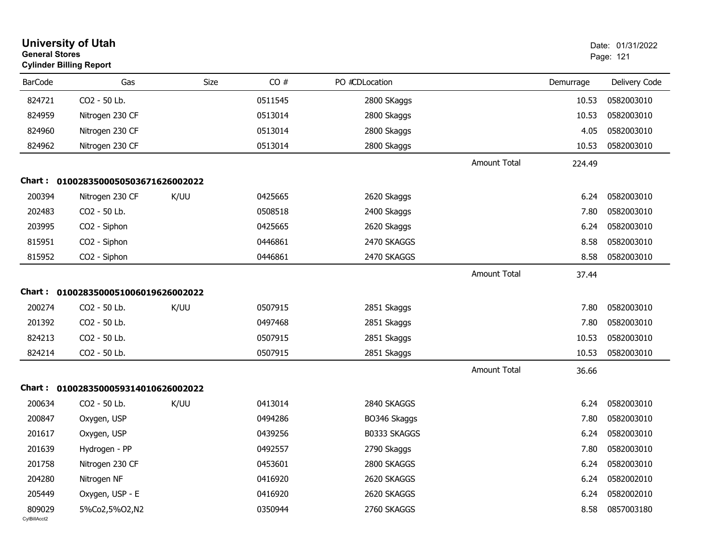| <b>General Stores</b>  | <b>University of Utah</b><br><b>Cylinder Billing Report</b> |             |         |                |                     |           | Date: 01/31/2022<br>Page: 121 |
|------------------------|-------------------------------------------------------------|-------------|---------|----------------|---------------------|-----------|-------------------------------|
| <b>BarCode</b>         | Gas                                                         | <b>Size</b> | CO#     | PO #CDLocation |                     | Demurrage | Delivery Code                 |
| 824721                 | CO2 - 50 Lb.                                                |             | 0511545 | 2800 SKaggs    |                     | 10.53     | 0582003010                    |
| 824959                 | Nitrogen 230 CF                                             |             | 0513014 | 2800 Skaggs    |                     | 10.53     | 0582003010                    |
| 824960                 | Nitrogen 230 CF                                             |             | 0513014 | 2800 Skaggs    |                     | 4.05      | 0582003010                    |
| 824962                 | Nitrogen 230 CF                                             |             | 0513014 | 2800 Skaggs    |                     | 10.53     | 0582003010                    |
|                        |                                                             |             |         |                | <b>Amount Total</b> | 224.49    |                               |
| Chart :                | 0100283500050503671626002022                                |             |         |                |                     |           |                               |
| 200394                 | Nitrogen 230 CF                                             | K/UU        | 0425665 | 2620 Skaggs    |                     | 6.24      | 0582003010                    |
| 202483                 | CO2 - 50 Lb.                                                |             | 0508518 | 2400 Skaggs    |                     | 7.80      | 0582003010                    |
| 203995                 | CO2 - Siphon                                                |             | 0425665 | 2620 Skaggs    |                     | 6.24      | 0582003010                    |
| 815951                 | CO2 - Siphon                                                |             | 0446861 | 2470 SKAGGS    |                     | 8.58      | 0582003010                    |
| 815952                 | CO2 - Siphon                                                |             | 0446861 | 2470 SKAGGS    |                     | 8.58      | 0582003010                    |
|                        |                                                             |             |         |                | <b>Amount Total</b> | 37.44     |                               |
| Chart :                | 0100283500051006019626002022                                |             |         |                |                     |           |                               |
| 200274                 | CO2 - 50 Lb.                                                | K/UU        | 0507915 | 2851 Skaggs    |                     | 7.80      | 0582003010                    |
| 201392                 | CO2 - 50 Lb.                                                |             | 0497468 | 2851 Skaggs    |                     | 7.80      | 0582003010                    |
| 824213                 | CO2 - 50 Lb.                                                |             | 0507915 | 2851 Skaggs    |                     | 10.53     | 0582003010                    |
| 824214                 | CO2 - 50 Lb.                                                |             | 0507915 | 2851 Skaggs    |                     | 10.53     | 0582003010                    |
|                        |                                                             |             |         |                | Amount Total        | 36.66     |                               |
| Chart:                 | 0100283500059314010626002022                                |             |         |                |                     |           |                               |
| 200634                 | CO2 - 50 Lb.                                                | K/UU        | 0413014 | 2840 SKAGGS    |                     | 6.24      | 0582003010                    |
| 200847                 | Oxygen, USP                                                 |             | 0494286 | BO346 Skaggs   |                     | 7.80      | 0582003010                    |
| 201617                 | Oxygen, USP                                                 |             | 0439256 | B0333 SKAGGS   |                     | 6.24      | 0582003010                    |
| 201639                 | Hydrogen - PP                                               |             | 0492557 | 2790 Skaggs    |                     | 7.80      | 0582003010                    |
| 201758                 | Nitrogen 230 CF                                             |             | 0453601 | 2800 SKAGGS    |                     | 6.24      | 0582003010                    |
| 204280                 | Nitrogen NF                                                 |             | 0416920 | 2620 SKAGGS    |                     | 6.24      | 0582002010                    |
| 205449                 | Oxygen, USP - E                                             |             | 0416920 | 2620 SKAGGS    |                     | 6.24      | 0582002010                    |
| 809029<br>CylBillAcct2 | 5%Co2,5%O2,N2                                               |             | 0350944 | 2760 SKAGGS    |                     | 8.58      | 0857003180                    |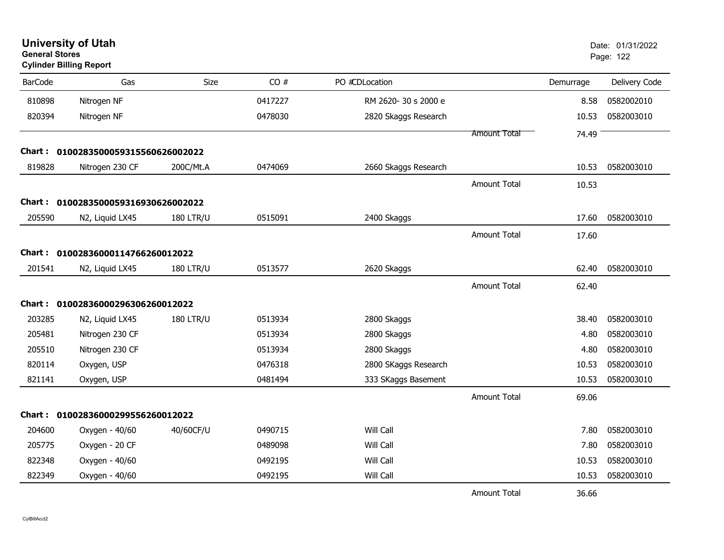| <b>General Stores</b><br><b>Cylinder Billing Report</b> |                                     | Page: 122        |         |                      |                     |           |               |
|---------------------------------------------------------|-------------------------------------|------------------|---------|----------------------|---------------------|-----------|---------------|
| <b>BarCode</b>                                          | Gas                                 | Size             | CO#     | PO #CDLocation       |                     | Demurrage | Delivery Code |
| 810898                                                  | Nitrogen NF                         |                  | 0417227 | RM 2620-30 s 2000 e  |                     | 8.58      | 0582002010    |
| 820394                                                  | Nitrogen NF                         |                  | 0478030 | 2820 Skaggs Research |                     | 10.53     | 0582003010    |
|                                                         |                                     |                  |         |                      | Amount Total        | 74.49     |               |
| Chart :                                                 | 0100283500059315560626002022        |                  |         |                      |                     |           |               |
| 819828                                                  | Nitrogen 230 CF                     | 200C/Mt.A        | 0474069 | 2660 Skaggs Research |                     | 10.53     | 0582003010    |
|                                                         |                                     |                  |         |                      | <b>Amount Total</b> | 10.53     |               |
|                                                         | Chart: 0100283500059316930626002022 |                  |         |                      |                     |           |               |
| 205590                                                  | N2, Liquid LX45                     | <b>180 LTR/U</b> | 0515091 | 2400 Skaggs          |                     | 17.60     | 0582003010    |
|                                                         |                                     |                  |         |                      | Amount Total        | 17.60     |               |
|                                                         | Chart: 01002836000114766260012022   |                  |         |                      |                     |           |               |
| 201541                                                  | N2, Liquid LX45                     | <b>180 LTR/U</b> | 0513577 | 2620 Skaggs          |                     | 62.40     | 0582003010    |
|                                                         |                                     |                  |         |                      | Amount Total        | 62.40     |               |
| Chart :                                                 | 01002836000296306260012022          |                  |         |                      |                     |           |               |
| 203285                                                  | N2, Liquid LX45                     | <b>180 LTR/U</b> | 0513934 | 2800 Skaggs          |                     | 38.40     | 0582003010    |
| 205481                                                  | Nitrogen 230 CF                     |                  | 0513934 | 2800 Skaggs          |                     | 4.80      | 0582003010    |
| 205510                                                  | Nitrogen 230 CF                     |                  | 0513934 | 2800 Skaggs          |                     | 4.80      | 0582003010    |
| 820114                                                  | Oxygen, USP                         |                  | 0476318 | 2800 SKaggs Research |                     | 10.53     | 0582003010    |
| 821141                                                  | Oxygen, USP                         |                  | 0481494 | 333 SKaggs Basement  |                     | 10.53     | 0582003010    |
|                                                         |                                     |                  |         |                      | <b>Amount Total</b> | 69.06     |               |
|                                                         | Chart: 01002836000299556260012022   |                  |         |                      |                     |           |               |
| 204600                                                  | Oxygen - 40/60                      | 40/60CF/U        | 0490715 | Will Call            |                     | 7.80      | 0582003010    |
| 205775                                                  | Oxygen - 20 CF                      |                  | 0489098 | Will Call            |                     | 7.80      | 0582003010    |
| 822348                                                  | Oxygen - 40/60                      |                  | 0492195 | Will Call            |                     | 10.53     | 0582003010    |
| 822349                                                  | Oxygen - 40/60                      |                  | 0492195 | Will Call            |                     | 10.53     | 0582003010    |
|                                                         |                                     |                  |         |                      | <b>Amount Total</b> | 36.66     |               |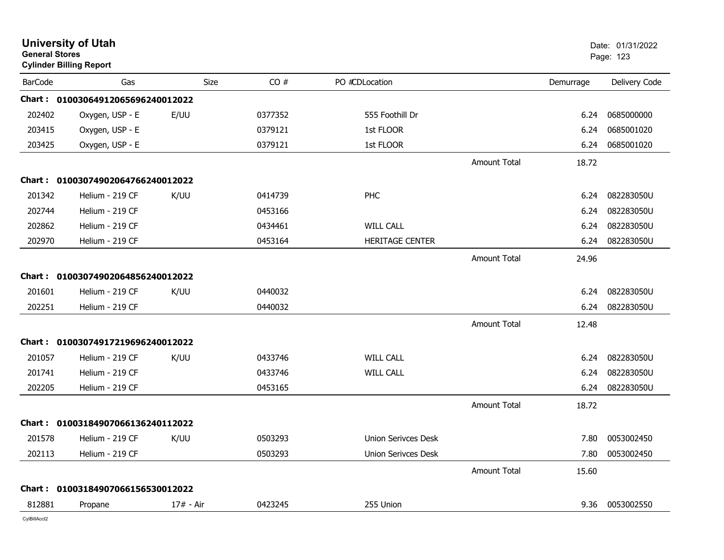| <b>University of Utah</b><br><b>General Stores</b><br><b>Cylinder Billing Report</b> |                                   | Date: 01/31/2022<br>Page: 123 |         |                            |                     |           |               |
|--------------------------------------------------------------------------------------|-----------------------------------|-------------------------------|---------|----------------------------|---------------------|-----------|---------------|
| <b>BarCode</b>                                                                       | Gas                               | <b>Size</b>                   | CO#     | PO #CDLocation             |                     | Demurrage | Delivery Code |
|                                                                                      | Chart: 01003064912065696240012022 |                               |         |                            |                     |           |               |
| 202402                                                                               | Oxygen, USP - E                   | E/UU                          | 0377352 | 555 Foothill Dr            |                     | 6.24      | 0685000000    |
| 203415                                                                               | Oxygen, USP - E                   |                               | 0379121 | 1st FLOOR                  |                     | 6.24      | 0685001020    |
| 203425                                                                               | Oxygen, USP - E                   |                               | 0379121 | 1st FLOOR                  |                     | 6.24      | 0685001020    |
|                                                                                      |                                   |                               |         |                            | <b>Amount Total</b> | 18.72     |               |
|                                                                                      | Chart: 01003074902064766240012022 |                               |         |                            |                     |           |               |
| 201342                                                                               | Helium - 219 CF                   | K/UU                          | 0414739 | PHC                        |                     | 6.24      | 082283050U    |
| 202744                                                                               | Helium - 219 CF                   |                               | 0453166 |                            |                     | 6.24      | 082283050U    |
| 202862                                                                               | Helium - 219 CF                   |                               | 0434461 | <b>WILL CALL</b>           |                     | 6.24      | 082283050U    |
| 202970                                                                               | Helium - 219 CF                   |                               | 0453164 | <b>HERITAGE CENTER</b>     |                     | 6.24      | 082283050U    |
|                                                                                      |                                   |                               |         |                            | <b>Amount Total</b> | 24.96     |               |
|                                                                                      | Chart: 01003074902064856240012022 |                               |         |                            |                     |           |               |
| 201601                                                                               | Helium - 219 CF                   | K/UU                          | 0440032 |                            |                     | 6.24      | 082283050U    |
| 202251                                                                               | Helium - 219 CF                   |                               | 0440032 |                            |                     | 6.24      | 082283050U    |
|                                                                                      |                                   |                               |         |                            | <b>Amount Total</b> | 12.48     |               |
|                                                                                      | Chart: 01003074917219696240012022 |                               |         |                            |                     |           |               |
| 201057                                                                               | Helium - 219 CF                   | K/UU                          | 0433746 | <b>WILL CALL</b>           |                     | 6.24      | 082283050U    |
| 201741                                                                               | Helium - 219 CF                   |                               | 0433746 | <b>WILL CALL</b>           |                     | 6.24      | 082283050U    |
| 202205                                                                               | Helium - 219 CF                   |                               | 0453165 |                            |                     | 6.24      | 082283050U    |
|                                                                                      |                                   |                               |         |                            | <b>Amount Total</b> | 18.72     |               |
|                                                                                      | Chart: 01003184907066136240112022 |                               |         |                            |                     |           |               |
| 201578                                                                               | Helium - 219 CF                   | K/UU                          | 0503293 | <b>Union Serivces Desk</b> |                     | 7.80      | 0053002450    |
| 202113                                                                               | Helium - 219 CF                   |                               | 0503293 | <b>Union Serivces Desk</b> |                     | 7.80      | 0053002450    |
|                                                                                      |                                   |                               |         |                            | <b>Amount Total</b> | 15.60     |               |
|                                                                                      | Chart: 01003184907066156530012022 |                               |         |                            |                     |           |               |
| 812881                                                                               | Propane                           | $17# - Air$                   | 0423245 | 255 Union                  |                     | 9.36      | 0053002550    |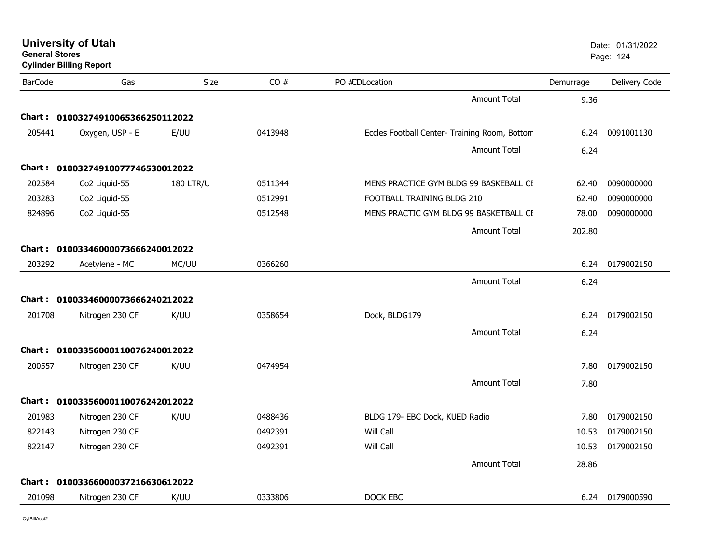| <b>General Stores</b> | <b>Cylinder Billing Report</b> |                  |         |                                               |           | Page: 124     |
|-----------------------|--------------------------------|------------------|---------|-----------------------------------------------|-----------|---------------|
| <b>BarCode</b>        | Gas                            | Size             | CO#     | PO #CDLocation                                | Demurrage | Delivery Code |
|                       |                                |                  |         | <b>Amount Total</b>                           | 9.36      |               |
| Chart :               | 01003274910065366250112022     |                  |         |                                               |           |               |
| 205441                | Oxygen, USP - E                | E/UU             | 0413948 | Eccles Football Center- Training Room, Bottom | 6.24      | 0091001130    |
|                       |                                |                  |         | Amount Total                                  | 6.24      |               |
| Chart :               | 01003274910077746530012022     |                  |         |                                               |           |               |
| 202584                | Co <sub>2</sub> Liquid-55      | <b>180 LTR/U</b> | 0511344 | MENS PRACTICE GYM BLDG 99 BASKEBALL CE        | 62.40     | 0090000000    |
| 203283                | Co2 Liquid-55                  |                  | 0512991 | FOOTBALL TRAINING BLDG 210                    | 62.40     | 0090000000    |
| 824896                | Co2 Liquid-55                  |                  | 0512548 | MENS PRACTIC GYM BLDG 99 BASKETBALL CE        | 78.00     | 0090000000    |
|                       |                                |                  |         | Amount Total                                  | 202.80    |               |
| Chart :               | 01003346000073666240012022     |                  |         |                                               |           |               |
| 203292                | Acetylene - MC                 | MC/UU            | 0366260 |                                               | 6.24      | 0179002150    |
|                       |                                |                  |         | <b>Amount Total</b>                           | 6.24      |               |
| Chart :               | 01003346000073666240212022     |                  |         |                                               |           |               |
| 201708                | Nitrogen 230 CF                | K/UU             | 0358654 | Dock, BLDG179                                 | 6.24      | 0179002150    |
|                       |                                |                  |         | <b>Amount Total</b>                           | 6.24      |               |
| Chart :               | 01003356000110076240012022     |                  |         |                                               |           |               |
| 200557                | Nitrogen 230 CF                | K/UU             | 0474954 |                                               | 7.80      | 0179002150    |
|                       |                                |                  |         | <b>Amount Total</b>                           | 7.80      |               |
| Chart : _             | 01003356000110076242012022     |                  |         |                                               |           |               |
| 201983                | Nitrogen 230 CF                | K/UU             | 0488436 | BLDG 179- EBC Dock, KUED Radio                | 7.80      | 0179002150    |
| 822143                | Nitrogen 230 CF                |                  | 0492391 | Will Call                                     | 10.53     | 0179002150    |
| 822147                | Nitrogen 230 CF                |                  | 0492391 | Will Call                                     | 10.53     | 0179002150    |
|                       |                                |                  |         | <b>Amount Total</b>                           | 28.86     |               |
| <b>Chart :</b>        | 01003366000037216630612022     |                  |         |                                               |           |               |
| 201098                | Nitrogen 230 CF                | K/UU             | 0333806 | DOCK EBC                                      | 6.24      | 0179000590    |
|                       |                                |                  |         |                                               |           |               |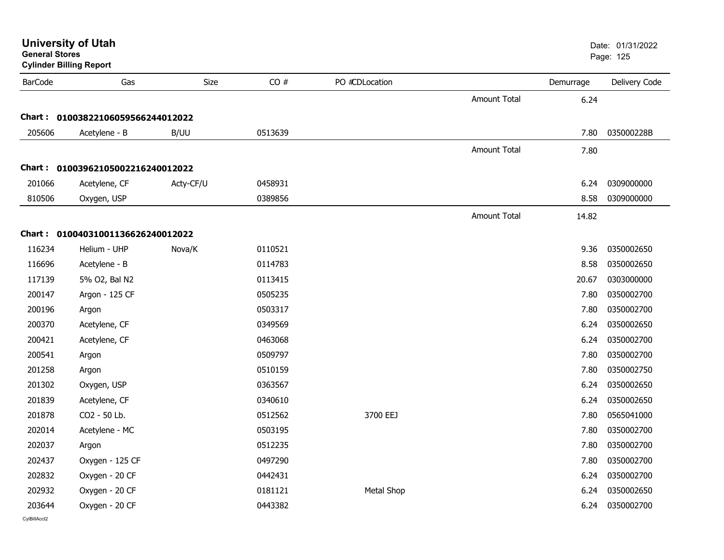| <b>University of Utah</b><br><b>General Stores</b><br><b>Cylinder Billing Report</b> |                                   |           |         | Date: 01/31/2022<br>Page: 125 |                     |           |               |
|--------------------------------------------------------------------------------------|-----------------------------------|-----------|---------|-------------------------------|---------------------|-----------|---------------|
| <b>BarCode</b>                                                                       | Gas                               | Size      | CO#     | PO #CDLocation                |                     | Demurrage | Delivery Code |
|                                                                                      |                                   |           |         |                               | <b>Amount Total</b> | 6.24      |               |
|                                                                                      | Chart: 01003822106059566244012022 |           |         |                               |                     |           |               |
| 205606                                                                               | Acetylene - B                     | B/UU      | 0513639 |                               |                     | 7.80      | 035000228B    |
|                                                                                      |                                   |           |         |                               | Amount Total        | 7.80      |               |
|                                                                                      | Chart: 01003962105002216240012022 |           |         |                               |                     |           |               |
| 201066                                                                               | Acetylene, CF                     | Acty-CF/U | 0458931 |                               |                     | 6.24      | 0309000000    |
| 810506                                                                               | Oxygen, USP                       |           | 0389856 |                               |                     | 8.58      | 0309000000    |
|                                                                                      |                                   |           |         |                               | <b>Amount Total</b> | 14.82     |               |
|                                                                                      | Chart: 01004031001136626240012022 |           |         |                               |                     |           |               |
| 116234                                                                               | Helium - UHP                      | Nova/K    | 0110521 |                               |                     | 9.36      | 0350002650    |
| 116696                                                                               | Acetylene - B                     |           | 0114783 |                               |                     | 8.58      | 0350002650    |
| 117139                                                                               | 5% O2, Bal N2                     |           | 0113415 |                               |                     | 20.67     | 0303000000    |
| 200147                                                                               | Argon - 125 CF                    |           | 0505235 |                               |                     | 7.80      | 0350002700    |
| 200196                                                                               | Argon                             |           | 0503317 |                               |                     | 7.80      | 0350002700    |
| 200370                                                                               | Acetylene, CF                     |           | 0349569 |                               |                     | 6.24      | 0350002650    |
| 200421                                                                               | Acetylene, CF                     |           | 0463068 |                               |                     | 6.24      | 0350002700    |
| 200541                                                                               | Argon                             |           | 0509797 |                               |                     | 7.80      | 0350002700    |
| 201258                                                                               | Argon                             |           | 0510159 |                               |                     | 7.80      | 0350002750    |
| 201302                                                                               | Oxygen, USP                       |           | 0363567 |                               |                     | 6.24      | 0350002650    |
| 201839                                                                               | Acetylene, CF                     |           | 0340610 |                               |                     | 6.24      | 0350002650    |
| 201878                                                                               | CO2 - 50 Lb.                      |           | 0512562 | 3700 EEJ                      |                     | 7.80      | 0565041000    |
| 202014                                                                               | Acetylene - MC                    |           | 0503195 |                               |                     | 7.80      | 0350002700    |
| 202037                                                                               | Argon                             |           | 0512235 |                               |                     | 7.80      | 0350002700    |
| 202437                                                                               | Oxygen - 125 CF                   |           | 0497290 |                               |                     | 7.80      | 0350002700    |
| 202832                                                                               | Oxygen - 20 CF                    |           | 0442431 |                               |                     | 6.24      | 0350002700    |
| 202932                                                                               | Oxygen - 20 CF                    |           | 0181121 | <b>Metal Shop</b>             |                     | 6.24      | 0350002650    |
| 203644                                                                               | Oxygen - 20 CF                    |           | 0443382 |                               |                     | 6.24      | 0350002700    |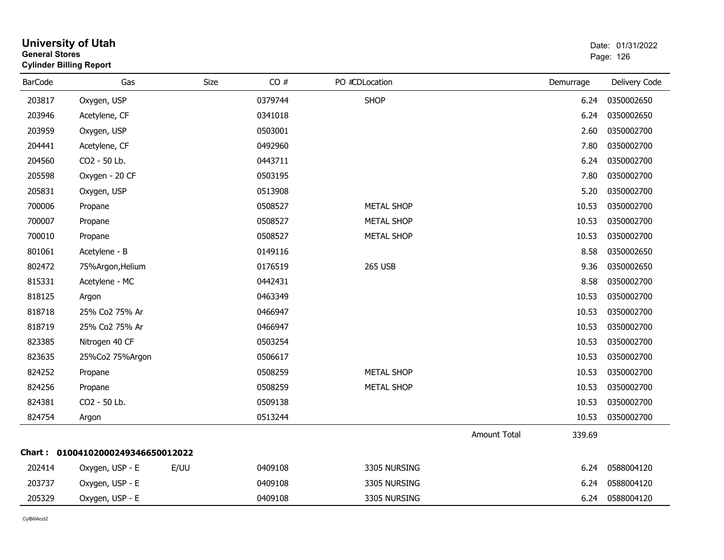|                | <b>Cylinder Billing Report</b>    |      |         |                   |                     |           |               |
|----------------|-----------------------------------|------|---------|-------------------|---------------------|-----------|---------------|
| <b>BarCode</b> | Gas                               | Size | CO#     | PO #CDLocation    |                     | Demurrage | Delivery Code |
| 203817         | Oxygen, USP                       |      | 0379744 | <b>SHOP</b>       |                     | 6.24      | 0350002650    |
| 203946         | Acetylene, CF                     |      | 0341018 |                   |                     | 6.24      | 0350002650    |
| 203959         | Oxygen, USP                       |      | 0503001 |                   |                     | 2.60      | 0350002700    |
| 204441         | Acetylene, CF                     |      | 0492960 |                   |                     | 7.80      | 0350002700    |
| 204560         | CO2 - 50 Lb.                      |      | 0443711 |                   |                     | 6.24      | 0350002700    |
| 205598         | Oxygen - 20 CF                    |      | 0503195 |                   |                     | 7.80      | 0350002700    |
| 205831         | Oxygen, USP                       |      | 0513908 |                   |                     | 5.20      | 0350002700    |
| 700006         | Propane                           |      | 0508527 | <b>METAL SHOP</b> |                     | 10.53     | 0350002700    |
| 700007         | Propane                           |      | 0508527 | <b>METAL SHOP</b> |                     | 10.53     | 0350002700    |
| 700010         | Propane                           |      | 0508527 | <b>METAL SHOP</b> |                     | 10.53     | 0350002700    |
| 801061         | Acetylene - B                     |      | 0149116 |                   |                     | 8.58      | 0350002650    |
| 802472         | 75%Argon, Helium                  |      | 0176519 | <b>265 USB</b>    |                     | 9.36      | 0350002650    |
| 815331         | Acetylene - MC                    |      | 0442431 |                   |                     | 8.58      | 0350002700    |
| 818125         | Argon                             |      | 0463349 |                   |                     | 10.53     | 0350002700    |
| 818718         | 25% Co2 75% Ar                    |      | 0466947 |                   |                     | 10.53     | 0350002700    |
| 818719         | 25% Co2 75% Ar                    |      | 0466947 |                   |                     | 10.53     | 0350002700    |
| 823385         | Nitrogen 40 CF                    |      | 0503254 |                   |                     | 10.53     | 0350002700    |
| 823635         | 25%Co2 75%Argon                   |      | 0506617 |                   |                     | 10.53     | 0350002700    |
| 824252         | Propane                           |      | 0508259 | <b>METAL SHOP</b> |                     | 10.53     | 0350002700    |
| 824256         | Propane                           |      | 0508259 | <b>METAL SHOP</b> |                     | 10.53     | 0350002700    |
| 824381         | CO2 - 50 Lb.                      |      | 0509138 |                   |                     | 10.53     | 0350002700    |
| 824754         | Argon                             |      | 0513244 |                   |                     | 10.53     | 0350002700    |
|                |                                   |      |         |                   | <b>Amount Total</b> | 339.69    |               |
|                | Chart: 01004102000249346650012022 |      |         |                   |                     |           |               |
| 202414         | Oxygen, USP - E                   | E/UU | 0409108 | 3305 NURSING      |                     | 6.24      | 0588004120    |
| 203737         | Oxygen, USP - E                   |      | 0409108 | 3305 NURSING      |                     | 6.24      | 0588004120    |
| 205329         | Oxygen, USP - E                   |      | 0409108 | 3305 NURSING      |                     | 6.24      | 0588004120    |

## **General Stores**end and the state of the state of the state of the state of the state of the state of the state of the state of the state of the state of the state of the state of the state of the state of the state of the state of the st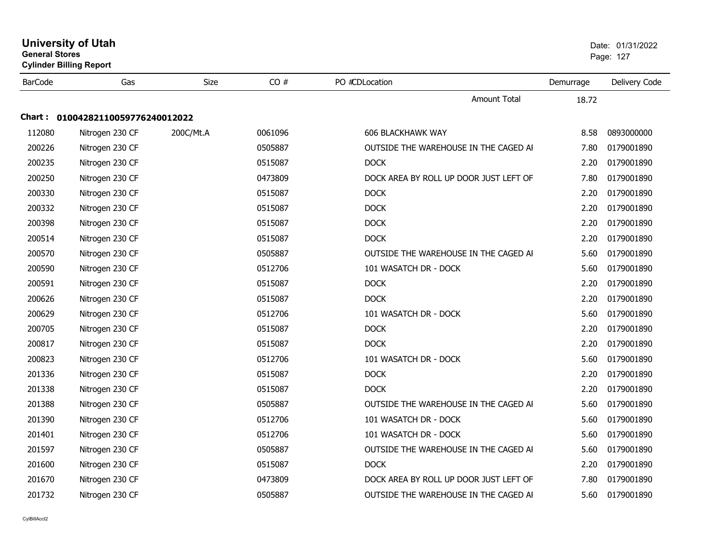| <b>General Stores</b> | <b>University of Utah</b><br><b>Cylinder Billing Report</b> |             |         |                                        |           | Date: 01/31/2022<br>Page: 127 |
|-----------------------|-------------------------------------------------------------|-------------|---------|----------------------------------------|-----------|-------------------------------|
| <b>BarCode</b>        | Gas                                                         | <b>Size</b> | CO#     | PO #CDLocation                         | Demurrage | Delivery Code                 |
|                       |                                                             |             |         | <b>Amount Total</b>                    | 18.72     |                               |
|                       | Chart: 01004282110059776240012022                           |             |         |                                        |           |                               |
| 112080                | Nitrogen 230 CF                                             | 200C/Mt.A   | 0061096 | <b>606 BLACKHAWK WAY</b>               | 8.58      | 0893000000                    |
| 200226                | Nitrogen 230 CF                                             |             | 0505887 | OUTSIDE THE WAREHOUSE IN THE CAGED AI  | 7.80      | 0179001890                    |
| 200235                | Nitrogen 230 CF                                             |             | 0515087 | <b>DOCK</b>                            | 2.20      | 0179001890                    |
| 200250                | Nitrogen 230 CF                                             |             | 0473809 | DOCK AREA BY ROLL UP DOOR JUST LEFT OF | 7.80      | 0179001890                    |
| 200330                | Nitrogen 230 CF                                             |             | 0515087 | <b>DOCK</b>                            | 2.20      | 0179001890                    |
| 200332                | Nitrogen 230 CF                                             |             | 0515087 | <b>DOCK</b>                            | 2.20      | 0179001890                    |
| 200398                | Nitrogen 230 CF                                             |             | 0515087 | <b>DOCK</b>                            | 2.20      | 0179001890                    |
| 200514                | Nitrogen 230 CF                                             |             | 0515087 | <b>DOCK</b>                            | 2.20      | 0179001890                    |
| 200570                | Nitrogen 230 CF                                             |             | 0505887 | OUTSIDE THE WAREHOUSE IN THE CAGED AI  | 5.60      | 0179001890                    |
| 200590                | Nitrogen 230 CF                                             |             | 0512706 | 101 WASATCH DR - DOCK                  | 5.60      | 0179001890                    |
| 200591                | Nitrogen 230 CF                                             |             | 0515087 | <b>DOCK</b>                            | 2.20      | 0179001890                    |
| 200626                | Nitrogen 230 CF                                             |             | 0515087 | <b>DOCK</b>                            | 2.20      | 0179001890                    |
| 200629                | Nitrogen 230 CF                                             |             | 0512706 | 101 WASATCH DR - DOCK                  | 5.60      | 0179001890                    |
| 200705                | Nitrogen 230 CF                                             |             | 0515087 | <b>DOCK</b>                            | 2.20      | 0179001890                    |
| 200817                | Nitrogen 230 CF                                             |             | 0515087 | <b>DOCK</b>                            | 2.20      | 0179001890                    |
| 200823                | Nitrogen 230 CF                                             |             | 0512706 | 101 WASATCH DR - DOCK                  | 5.60      | 0179001890                    |
| 201336                | Nitrogen 230 CF                                             |             | 0515087 | <b>DOCK</b>                            | 2.20      | 0179001890                    |
| 201338                | Nitrogen 230 CF                                             |             | 0515087 | <b>DOCK</b>                            | 2.20      | 0179001890                    |
| 201388                | Nitrogen 230 CF                                             |             | 0505887 | OUTSIDE THE WAREHOUSE IN THE CAGED AI  | 5.60      | 0179001890                    |
| 201390                | Nitrogen 230 CF                                             |             | 0512706 | 101 WASATCH DR - DOCK                  | 5.60      | 0179001890                    |
| 201401                | Nitrogen 230 CF                                             |             | 0512706 | 101 WASATCH DR - DOCK                  | 5.60      | 0179001890                    |
| 201597                | Nitrogen 230 CF                                             |             | 0505887 | OUTSIDE THE WAREHOUSE IN THE CAGED AI  | 5.60      | 0179001890                    |
| 201600                | Nitrogen 230 CF                                             |             | 0515087 | <b>DOCK</b>                            | 2.20      | 0179001890                    |
| 201670                | Nitrogen 230 CF                                             |             | 0473809 | DOCK AREA BY ROLL UP DOOR JUST LEFT OF | 7.80      | 0179001890                    |
| 201732                | Nitrogen 230 CF                                             |             | 0505887 | OUTSIDE THE WAREHOUSE IN THE CAGED AI  | 5.60      | 0179001890                    |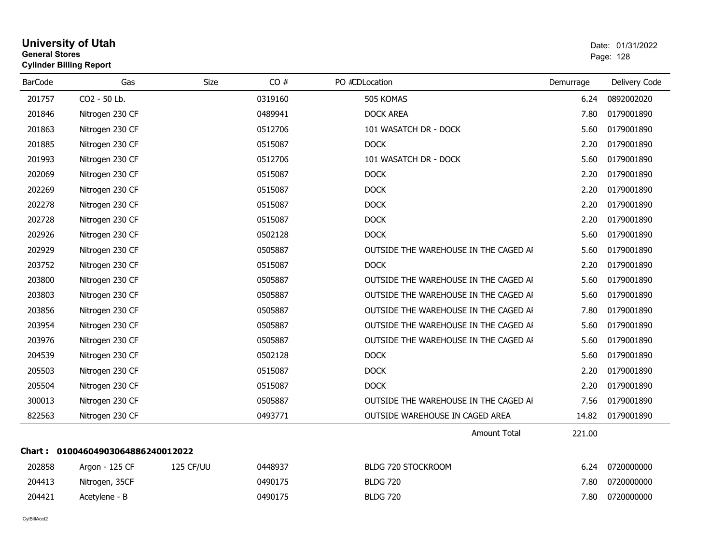#### **University of Utah** Date: 01/31/2022 **General Stores**end and the state of the state of the state of the state of the state of the state of the state of the state of the state of the state of the state of the state of the state of the state of the state of the state of the st **Cylinder Billing Report**

| <b>BarCode</b> | Gas                        | Size      | CO#     | PO #CDLocation                        | Demurrage | Delivery Code |
|----------------|----------------------------|-----------|---------|---------------------------------------|-----------|---------------|
| 201757         | CO2 - 50 Lb.               |           | 0319160 | 505 KOMAS                             | 6.24      | 0892002020    |
| 201846         | Nitrogen 230 CF            |           | 0489941 | <b>DOCK AREA</b>                      | 7.80      | 0179001890    |
| 201863         | Nitrogen 230 CF            |           | 0512706 | 101 WASATCH DR - DOCK                 | 5.60      | 0179001890    |
| 201885         | Nitrogen 230 CF            |           | 0515087 | <b>DOCK</b>                           | 2.20      | 0179001890    |
| 201993         | Nitrogen 230 CF            |           | 0512706 | 101 WASATCH DR - DOCK                 | 5.60      | 0179001890    |
| 202069         | Nitrogen 230 CF            |           | 0515087 | <b>DOCK</b>                           | 2.20      | 0179001890    |
| 202269         | Nitrogen 230 CF            |           | 0515087 | <b>DOCK</b>                           | 2.20      | 0179001890    |
| 202278         | Nitrogen 230 CF            |           | 0515087 | <b>DOCK</b>                           | 2.20      | 0179001890    |
| 202728         | Nitrogen 230 CF            |           | 0515087 | <b>DOCK</b>                           | 2.20      | 0179001890    |
| 202926         | Nitrogen 230 CF            |           | 0502128 | <b>DOCK</b>                           | 5.60      | 0179001890    |
| 202929         | Nitrogen 230 CF            |           | 0505887 | OUTSIDE THE WAREHOUSE IN THE CAGED AI | 5.60      | 0179001890    |
| 203752         | Nitrogen 230 CF            |           | 0515087 | <b>DOCK</b>                           | 2.20      | 0179001890    |
| 203800         | Nitrogen 230 CF            |           | 0505887 | OUTSIDE THE WAREHOUSE IN THE CAGED AI | 5.60      | 0179001890    |
| 203803         | Nitrogen 230 CF            |           | 0505887 | OUTSIDE THE WAREHOUSE IN THE CAGED AI | 5.60      | 0179001890    |
| 203856         | Nitrogen 230 CF            |           | 0505887 | OUTSIDE THE WAREHOUSE IN THE CAGED AI | 7.80      | 0179001890    |
| 203954         | Nitrogen 230 CF            |           | 0505887 | OUTSIDE THE WAREHOUSE IN THE CAGED AI | 5.60      | 0179001890    |
| 203976         | Nitrogen 230 CF            |           | 0505887 | OUTSIDE THE WAREHOUSE IN THE CAGED AI | 5.60      | 0179001890    |
| 204539         | Nitrogen 230 CF            |           | 0502128 | <b>DOCK</b>                           | 5.60      | 0179001890    |
| 205503         | Nitrogen 230 CF            |           | 0515087 | <b>DOCK</b>                           | 2.20      | 0179001890    |
| 205504         | Nitrogen 230 CF            |           | 0515087 | <b>DOCK</b>                           | 2.20      | 0179001890    |
| 300013         | Nitrogen 230 CF            |           | 0505887 | OUTSIDE THE WAREHOUSE IN THE CAGED AI | 7.56      | 0179001890    |
| 822563         | Nitrogen 230 CF            |           | 0493771 | OUTSIDE WAREHOUSE IN CAGED AREA       | 14.82     | 0179001890    |
|                |                            |           |         | <b>Amount Total</b>                   | 221.00    |               |
| Chart : .      | 01004604903064886240012022 |           |         |                                       |           |               |
| 202858         | Argon - 125 CF             | 125 CF/UU | 0448937 | BLDG 720 STOCKROOM                    | 6.24      | 0720000000    |
| 204413         | Nitrogen, 35CF             |           | 0490175 | <b>BLDG 720</b>                       | 7.80      | 0720000000    |
| 204421         | Acetylene - B              |           | 0490175 | <b>BLDG 720</b>                       | 7.80      | 0720000000    |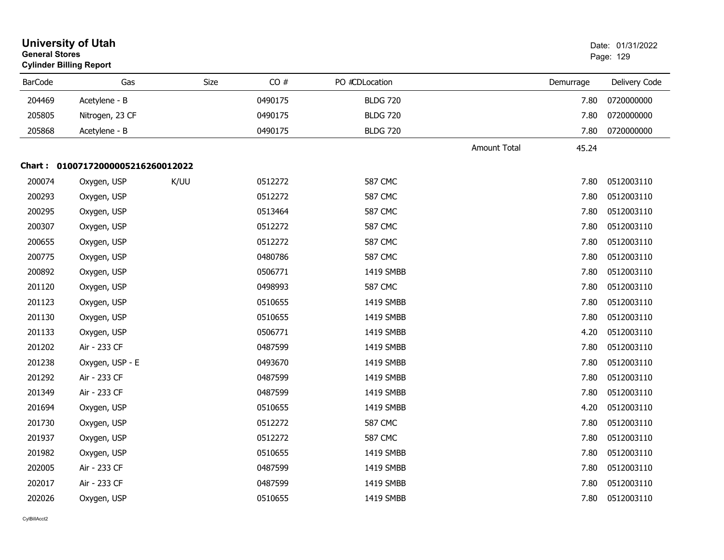| <b>General Stores</b> | <b>University of Utah</b><br><b>Cylinder Billing Report</b> |      |      |         |                 |                     |           | Date: 01/31/2022<br>Page: 129 |
|-----------------------|-------------------------------------------------------------|------|------|---------|-----------------|---------------------|-----------|-------------------------------|
| <b>BarCode</b>        | Gas                                                         |      | Size | CO#     | PO #CDLocation  |                     | Demurrage | Delivery Code                 |
| 204469                | Acetylene - B                                               |      |      | 0490175 | <b>BLDG 720</b> |                     | 7.80      | 0720000000                    |
| 205805                | Nitrogen, 23 CF                                             |      |      | 0490175 | <b>BLDG 720</b> |                     | 7.80      | 0720000000                    |
| 205868                | Acetylene - B                                               |      |      | 0490175 | <b>BLDG 720</b> |                     | 7.80      | 0720000000                    |
|                       |                                                             |      |      |         |                 | <b>Amount Total</b> | 45.24     |                               |
|                       | Chart: 01007172000005216260012022                           |      |      |         |                 |                     |           |                               |
| 200074                | Oxygen, USP                                                 | K/UU |      | 0512272 | <b>587 CMC</b>  |                     | 7.80      | 0512003110                    |
| 200293                | Oxygen, USP                                                 |      |      | 0512272 | <b>587 CMC</b>  |                     | 7.80      | 0512003110                    |
| 200295                | Oxygen, USP                                                 |      |      | 0513464 | <b>587 CMC</b>  |                     | 7.80      | 0512003110                    |
| 200307                | Oxygen, USP                                                 |      |      | 0512272 | <b>587 CMC</b>  |                     | 7.80      | 0512003110                    |
| 200655                | Oxygen, USP                                                 |      |      | 0512272 | <b>587 CMC</b>  |                     | 7.80      | 0512003110                    |
| 200775                | Oxygen, USP                                                 |      |      | 0480786 | <b>587 CMC</b>  |                     | 7.80      | 0512003110                    |
| 200892                | Oxygen, USP                                                 |      |      | 0506771 | 1419 SMBB       |                     | 7.80      | 0512003110                    |
| 201120                | Oxygen, USP                                                 |      |      | 0498993 | <b>587 CMC</b>  |                     | 7.80      | 0512003110                    |
| 201123                | Oxygen, USP                                                 |      |      | 0510655 | 1419 SMBB       |                     | 7.80      | 0512003110                    |
| 201130                | Oxygen, USP                                                 |      |      | 0510655 | 1419 SMBB       |                     | 7.80      | 0512003110                    |
| 201133                | Oxygen, USP                                                 |      |      | 0506771 | 1419 SMBB       |                     | 4.20      | 0512003110                    |
| 201202                | Air - 233 CF                                                |      |      | 0487599 | 1419 SMBB       |                     | 7.80      | 0512003110                    |
| 201238                | Oxygen, USP - E                                             |      |      | 0493670 | 1419 SMBB       |                     | 7.80      | 0512003110                    |
| 201292                | Air - 233 CF                                                |      |      | 0487599 | 1419 SMBB       |                     | 7.80      | 0512003110                    |
| 201349                | Air - 233 CF                                                |      |      | 0487599 | 1419 SMBB       |                     | 7.80      | 0512003110                    |
| 201694                | Oxygen, USP                                                 |      |      | 0510655 | 1419 SMBB       |                     | 4.20      | 0512003110                    |
| 201730                | Oxygen, USP                                                 |      |      | 0512272 | <b>587 CMC</b>  |                     | 7.80      | 0512003110                    |
| 201937                | Oxygen, USP                                                 |      |      | 0512272 | <b>587 CMC</b>  |                     | 7.80      | 0512003110                    |
| 201982                | Oxygen, USP                                                 |      |      | 0510655 | 1419 SMBB       |                     | 7.80      | 0512003110                    |
| 202005                | Air - 233 CF                                                |      |      | 0487599 | 1419 SMBB       |                     | 7.80      | 0512003110                    |
| 202017                | Air - 233 CF                                                |      |      | 0487599 | 1419 SMBB       |                     | 7.80      | 0512003110                    |
| 202026                | Oxygen, USP                                                 |      |      | 0510655 | 1419 SMBB       |                     | 7.80      | 0512003110                    |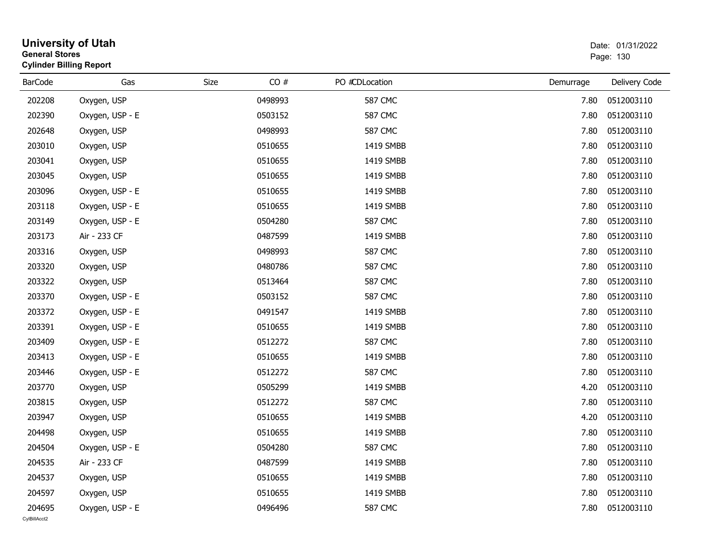| <b>General Stores</b>  | <b>University of Utah</b><br><b>Cylinder Billing Report</b> |      |         |                |           | Date: 01/31/2022<br>Page: 130 |
|------------------------|-------------------------------------------------------------|------|---------|----------------|-----------|-------------------------------|
| <b>BarCode</b>         | Gas                                                         | Size | CO#     | PO #CDLocation | Demurrage | Delivery Code                 |
| 202208                 | Oxygen, USP                                                 |      | 0498993 | <b>587 CMC</b> | 7.80      | 0512003110                    |
| 202390                 | Oxygen, USP - E                                             |      | 0503152 | <b>587 CMC</b> | 7.80      | 0512003110                    |
| 202648                 | Oxygen, USP                                                 |      | 0498993 | <b>587 CMC</b> | 7.80      | 0512003110                    |
| 203010                 | Oxygen, USP                                                 |      | 0510655 | 1419 SMBB      | 7.80      | 0512003110                    |
| 203041                 | Oxygen, USP                                                 |      | 0510655 | 1419 SMBB      | 7.80      | 0512003110                    |
| 203045                 | Oxygen, USP                                                 |      | 0510655 | 1419 SMBB      | 7.80      | 0512003110                    |
| 203096                 | Oxygen, USP - E                                             |      | 0510655 | 1419 SMBB      | 7.80      | 0512003110                    |
| 203118                 | Oxygen, USP - E                                             |      | 0510655 | 1419 SMBB      | 7.80      | 0512003110                    |
| 203149                 | Oxygen, USP - E                                             |      | 0504280 | <b>587 CMC</b> | 7.80      | 0512003110                    |
| 203173                 | Air - 233 CF                                                |      | 0487599 | 1419 SMBB      | 7.80      | 0512003110                    |
| 203316                 | Oxygen, USP                                                 |      | 0498993 | <b>587 CMC</b> | 7.80      | 0512003110                    |
| 203320                 | Oxygen, USP                                                 |      | 0480786 | <b>587 CMC</b> | 7.80      | 0512003110                    |
| 203322                 | Oxygen, USP                                                 |      | 0513464 | <b>587 CMC</b> | 7.80      | 0512003110                    |
| 203370                 | Oxygen, USP - E                                             |      | 0503152 | <b>587 CMC</b> | 7.80      | 0512003110                    |
| 203372                 | Oxygen, USP - E                                             |      | 0491547 | 1419 SMBB      | 7.80      | 0512003110                    |
| 203391                 | Oxygen, USP - E                                             |      | 0510655 | 1419 SMBB      | 7.80      | 0512003110                    |
| 203409                 | Oxygen, USP - E                                             |      | 0512272 | <b>587 CMC</b> | 7.80      | 0512003110                    |
| 203413                 | Oxygen, USP - E                                             |      | 0510655 | 1419 SMBB      | 7.80      | 0512003110                    |
| 203446                 | Oxygen, USP - E                                             |      | 0512272 | <b>587 CMC</b> | 7.80      | 0512003110                    |
| 203770                 | Oxygen, USP                                                 |      | 0505299 | 1419 SMBB      | 4.20      | 0512003110                    |
| 203815                 | Oxygen, USP                                                 |      | 0512272 | <b>587 CMC</b> | 7.80      | 0512003110                    |
| 203947                 | Oxygen, USP                                                 |      | 0510655 | 1419 SMBB      | 4.20      | 0512003110                    |
| 204498                 | Oxygen, USP                                                 |      | 0510655 | 1419 SMBB      | 7.80      | 0512003110                    |
| 204504                 | Oxygen, USP - E                                             |      | 0504280 | <b>587 CMC</b> | 7.80      | 0512003110                    |
| 204535                 | Air - 233 CF                                                |      | 0487599 | 1419 SMBB      | 7.80      | 0512003110                    |
| 204537                 | Oxygen, USP                                                 |      | 0510655 | 1419 SMBB      | 7.80      | 0512003110                    |
| 204597                 | Oxygen, USP                                                 |      | 0510655 | 1419 SMBB      | 7.80      | 0512003110                    |
| 204695<br>CvIBillAcct2 | Oxygen, USP - E                                             |      | 0496496 | <b>587 CMC</b> | 7.80      | 0512003110                    |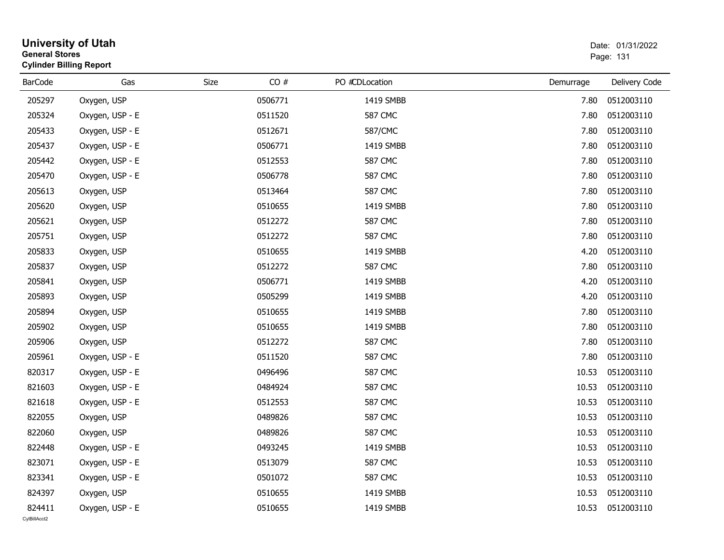|                | <b>General Stores</b><br><b>Cylinder Billing Report</b> |      |         |  |                | 01/01/4044<br>Page: 131 |               |
|----------------|---------------------------------------------------------|------|---------|--|----------------|-------------------------|---------------|
| <b>BarCode</b> | Gas                                                     | Size | CO#     |  | PO #CDLocation | Demurrage               | Delivery Code |
| 205297         | Oxygen, USP                                             |      | 0506771 |  | 1419 SMBB      | 7.80                    | 0512003110    |
| 205324         | Oxygen, USP - E                                         |      | 0511520 |  | <b>587 CMC</b> | 7.80                    | 0512003110    |
| 205433         | Oxygen, USP - E                                         |      | 0512671 |  | 587/CMC        | 7.80                    | 0512003110    |
| 205437         | Oxygen, USP - E                                         |      | 0506771 |  | 1419 SMBB      | 7.80                    | 0512003110    |
| 205442         | Oxygen, USP - E                                         |      | 0512553 |  | <b>587 CMC</b> | 7.80                    | 0512003110    |
| 205470         | Oxygen, USP - E                                         |      | 0506778 |  | <b>587 CMC</b> | 7.80                    | 0512003110    |
| 205613         | Oxygen, USP                                             |      | 0513464 |  | <b>587 CMC</b> | 7.80                    | 0512003110    |
| 205620         | Oxygen, USP                                             |      | 0510655 |  | 1419 SMBB      | 7.80                    | 0512003110    |
| 205621         | Oxygen, USP                                             |      | 0512272 |  | <b>587 CMC</b> | 7.80                    | 0512003110    |
| 205751         | Oxygen, USP                                             |      | 0512272 |  | <b>587 CMC</b> | 7.80                    | 0512003110    |
| 205833         | Oxygen, USP                                             |      | 0510655 |  | 1419 SMBB      | 4.20                    | 0512003110    |
| 205837         | Oxygen, USP                                             |      | 0512272 |  | <b>587 CMC</b> | 7.80                    | 0512003110    |
| 205841         | Oxygen, USP                                             |      | 0506771 |  | 1419 SMBB      | 4.20                    | 0512003110    |
| 205893         | Oxygen, USP                                             |      | 0505299 |  | 1419 SMBB      | 4.20                    | 0512003110    |
| 205894         | Oxygen, USP                                             |      | 0510655 |  | 1419 SMBB      | 7.80                    | 0512003110    |
| 205902         | Oxygen, USP                                             |      | 0510655 |  | 1419 SMBB      | 7.80                    | 0512003110    |
| 205906         | Oxygen, USP                                             |      | 0512272 |  | <b>587 CMC</b> | 7.80                    | 0512003110    |
| 205961         | Oxygen, USP - E                                         |      | 0511520 |  | <b>587 CMC</b> | 7.80                    | 0512003110    |
| 820317         | Oxygen, USP - E                                         |      | 0496496 |  | <b>587 CMC</b> | 10.53                   | 0512003110    |
| 821603         | Oxygen, USP - E                                         |      | 0484924 |  | <b>587 CMC</b> | 10.53                   | 0512003110    |
| 821618         | Oxygen, USP - E                                         |      | 0512553 |  | <b>587 CMC</b> | 10.53                   | 0512003110    |
| 822055         | Oxygen, USP                                             |      | 0489826 |  | <b>587 CMC</b> | 10.53                   | 0512003110    |
| 822060         | Oxygen, USP                                             |      | 0489826 |  | <b>587 CMC</b> | 10.53                   | 0512003110    |
| 822448         | Oxygen, USP - E                                         |      | 0493245 |  | 1419 SMBB      | 10.53                   | 0512003110    |
| 823071         | Oxygen, USP - E                                         |      | 0513079 |  | <b>587 CMC</b> | 10.53                   | 0512003110    |
| 823341         | Oxygen, USP - E                                         |      | 0501072 |  | <b>587 CMC</b> | 10.53                   | 0512003110    |
| 824397         | Oxygen, USP                                             |      | 0510655 |  | 1419 SMBB      | 10.53                   | 0512003110    |
| 824411         | Oxygen, USP - E                                         |      | 0510655 |  | 1419 SMBB      | 10.53                   | 0512003110    |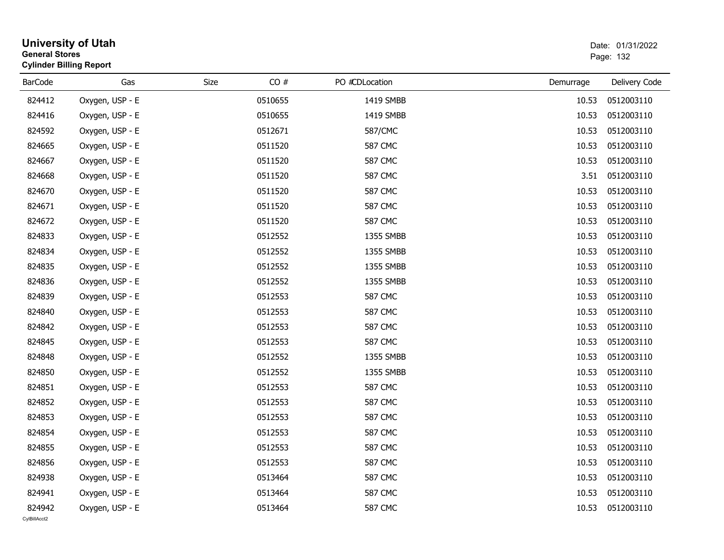| <b>General Stores</b>  | University of Utah<br><b>Cylinder Billing Report</b> | Date: 01/31/2022<br>Page: 132 |         |                |           |               |
|------------------------|------------------------------------------------------|-------------------------------|---------|----------------|-----------|---------------|
| <b>BarCode</b>         | Gas                                                  | Size                          | CO#     | PO #CDLocation | Demurrage | Delivery Code |
| 824412                 | Oxygen, USP - E                                      |                               | 0510655 | 1419 SMBB      | 10.53     | 0512003110    |
| 824416                 | Oxygen, USP - E                                      |                               | 0510655 | 1419 SMBB      | 10.53     | 0512003110    |
| 824592                 | Oxygen, USP - E                                      |                               | 0512671 | 587/CMC        | 10.53     | 0512003110    |
| 824665                 | Oxygen, USP - E                                      |                               | 0511520 | <b>587 CMC</b> | 10.53     | 0512003110    |
| 824667                 | Oxygen, USP - E                                      |                               | 0511520 | <b>587 CMC</b> | 10.53     | 0512003110    |
| 824668                 | Oxygen, USP - E                                      |                               | 0511520 | <b>587 CMC</b> | 3.51      | 0512003110    |
| 824670                 | Oxygen, USP - E                                      |                               | 0511520 | <b>587 CMC</b> | 10.53     | 0512003110    |
| 824671                 | Oxygen, USP - E                                      |                               | 0511520 | <b>587 CMC</b> | 10.53     | 0512003110    |
| 824672                 | Oxygen, USP - E                                      |                               | 0511520 | <b>587 CMC</b> | 10.53     | 0512003110    |
| 824833                 | Oxygen, USP - E                                      |                               | 0512552 | 1355 SMBB      | 10.53     | 0512003110    |
| 824834                 | Oxygen, USP - E                                      |                               | 0512552 | 1355 SMBB      | 10.53     | 0512003110    |
| 824835                 | Oxygen, USP - E                                      |                               | 0512552 | 1355 SMBB      | 10.53     | 0512003110    |
| 824836                 | Oxygen, USP - E                                      |                               | 0512552 | 1355 SMBB      | 10.53     | 0512003110    |
| 824839                 | Oxygen, USP - E                                      |                               | 0512553 | <b>587 CMC</b> | 10.53     | 0512003110    |
| 824840                 | Oxygen, USP - E                                      |                               | 0512553 | <b>587 CMC</b> | 10.53     | 0512003110    |
| 824842                 | Oxygen, USP - E                                      |                               | 0512553 | <b>587 CMC</b> | 10.53     | 0512003110    |
| 824845                 | Oxygen, USP - E                                      |                               | 0512553 | <b>587 CMC</b> | 10.53     | 0512003110    |
| 824848                 | Oxygen, USP - E                                      |                               | 0512552 | 1355 SMBB      | 10.53     | 0512003110    |
| 824850                 | Oxygen, USP - E                                      |                               | 0512552 | 1355 SMBB      | 10.53     | 0512003110    |
| 824851                 | Oxygen, USP - E                                      |                               | 0512553 | <b>587 CMC</b> | 10.53     | 0512003110    |
| 824852                 | Oxygen, USP - E                                      |                               | 0512553 | <b>587 CMC</b> | 10.53     | 0512003110    |
| 824853                 | Oxygen, USP - E                                      |                               | 0512553 | <b>587 CMC</b> | 10.53     | 0512003110    |
| 824854                 | Oxygen, USP - E                                      |                               | 0512553 | <b>587 CMC</b> | 10.53     | 0512003110    |
| 824855                 | Oxygen, USP - E                                      |                               | 0512553 | <b>587 CMC</b> | 10.53     | 0512003110    |
| 824856                 | Oxygen, USP - E                                      |                               | 0512553 | <b>587 CMC</b> | 10.53     | 0512003110    |
| 824938                 | Oxygen, USP - E                                      |                               | 0513464 | <b>587 CMC</b> | 10.53     | 0512003110    |
| 824941                 | Oxygen, USP - E                                      |                               | 0513464 | <b>587 CMC</b> | 10.53     | 0512003110    |
| 824942<br>CvIBillAcct2 | Oxygen, USP - E                                      |                               | 0513464 | <b>587 CMC</b> | 10.53     | 0512003110    |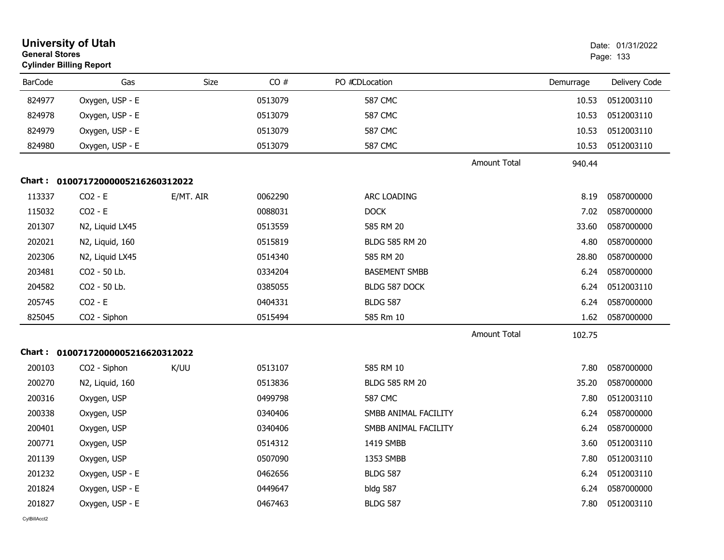| <b>General Stores</b> | <b>University of Utah</b><br><b>Cylinder Billing Report</b> |             |         |                       |                     |           | Date: 01/31/2022<br>Page: 133 |
|-----------------------|-------------------------------------------------------------|-------------|---------|-----------------------|---------------------|-----------|-------------------------------|
| <b>BarCode</b>        | Gas                                                         | <b>Size</b> | CO#     | PO #CDLocation        |                     | Demurrage | Delivery Code                 |
| 824977                | Oxygen, USP - E                                             |             | 0513079 | <b>587 CMC</b>        |                     | 10.53     | 0512003110                    |
| 824978                | Oxygen, USP - E                                             |             | 0513079 | 587 CMC               |                     | 10.53     | 0512003110                    |
| 824979                | Oxygen, USP - E                                             |             | 0513079 | <b>587 CMC</b>        |                     | 10.53     | 0512003110                    |
| 824980                | Oxygen, USP - E                                             |             | 0513079 | <b>587 CMC</b>        |                     | 10.53     | 0512003110                    |
|                       |                                                             |             |         |                       | <b>Amount Total</b> | 940.44    |                               |
|                       | Chart: 01007172000005216260312022                           |             |         |                       |                     |           |                               |
| 113337                | $CO2 - E$                                                   | E/MT. AIR   | 0062290 | ARC LOADING           |                     | 8.19      | 0587000000                    |
| 115032                | $CO2 - E$                                                   |             | 0088031 | <b>DOCK</b>           |                     | 7.02      | 0587000000                    |
| 201307                | N2, Liquid LX45                                             |             | 0513559 | 585 RM 20             |                     | 33.60     | 0587000000                    |
| 202021                | N2, Liquid, 160                                             |             | 0515819 | <b>BLDG 585 RM 20</b> |                     | 4.80      | 0587000000                    |
| 202306                | N2, Liquid LX45                                             |             | 0514340 | 585 RM 20             |                     | 28.80     | 0587000000                    |
| 203481                | CO2 - 50 Lb.                                                |             | 0334204 | <b>BASEMENT SMBB</b>  |                     | 6.24      | 0587000000                    |
| 204582                | CO2 - 50 Lb.                                                |             | 0385055 | BLDG 587 DOCK         |                     | 6.24      | 0512003110                    |
| 205745                | $CO2 - E$                                                   |             | 0404331 | <b>BLDG 587</b>       |                     | 6.24      | 0587000000                    |
| 825045                | CO2 - Siphon                                                |             | 0515494 | 585 Rm 10             |                     | 1.62      | 0587000000                    |
|                       |                                                             |             |         |                       | <b>Amount Total</b> | 102.75    |                               |
|                       | Chart: 01007172000005216620312022                           |             |         |                       |                     |           |                               |
| 200103                | CO2 - Siphon                                                | K/UU        | 0513107 | 585 RM 10             |                     | 7.80      | 0587000000                    |
| 200270                | N2, Liquid, 160                                             |             | 0513836 | <b>BLDG 585 RM 20</b> |                     | 35.20     | 0587000000                    |
| 200316                | Oxygen, USP                                                 |             | 0499798 | 587 CMC               |                     | 7.80      | 0512003110                    |
| 200338                | Oxygen, USP                                                 |             | 0340406 | SMBB ANIMAL FACILITY  |                     | 6.24      | 0587000000                    |
| 200401                | Oxygen, USP                                                 |             | 0340406 | SMBB ANIMAL FACILITY  |                     | 6.24      | 0587000000                    |
| 200771                | Oxygen, USP                                                 |             | 0514312 | 1419 SMBB             |                     | 3.60      | 0512003110                    |
| 201139                | Oxygen, USP                                                 |             | 0507090 | 1353 SMBB             |                     | 7.80      | 0512003110                    |
| 201232                | Oxygen, USP - E                                             |             | 0462656 | <b>BLDG 587</b>       |                     | 6.24      | 0512003110                    |
| 201824                | Oxygen, USP - E                                             |             | 0449647 | bldg 587              |                     | 6.24      | 0587000000                    |
| 201827                | Oxygen, USP - E                                             |             | 0467463 | <b>BLDG 587</b>       |                     | 7.80      | 0512003110                    |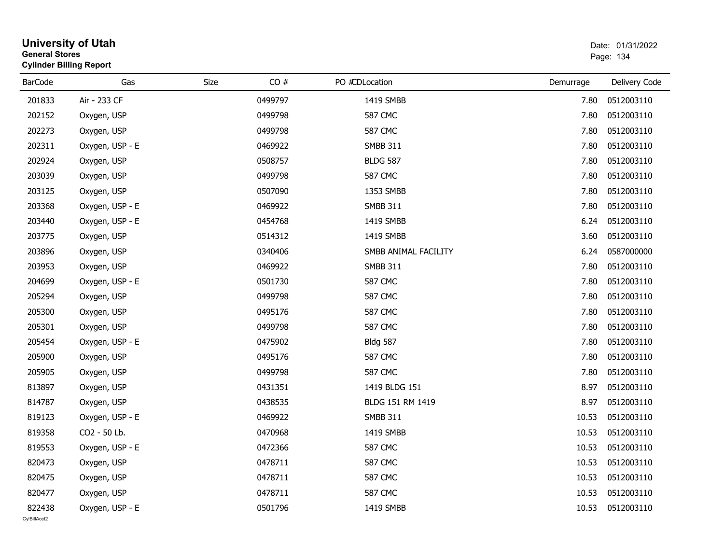| <b>General Stores</b>  | <b>University of Utah</b><br><b>Cylinder Billing Report</b> |      |         |                      |           | Date: 01/31/2022<br>Page: 134 |
|------------------------|-------------------------------------------------------------|------|---------|----------------------|-----------|-------------------------------|
| <b>BarCode</b>         | Gas                                                         | Size | CO#     | PO #CDLocation       | Demurrage | Delivery Code                 |
| 201833                 | Air - 233 CF                                                |      | 0499797 | 1419 SMBB            | 7.80      | 0512003110                    |
| 202152                 | Oxygen, USP                                                 |      | 0499798 | <b>587 CMC</b>       | 7.80      | 0512003110                    |
| 202273                 | Oxygen, USP                                                 |      | 0499798 | <b>587 CMC</b>       | 7.80      | 0512003110                    |
| 202311                 | Oxygen, USP - E                                             |      | 0469922 | <b>SMBB 311</b>      | 7.80      | 0512003110                    |
| 202924                 | Oxygen, USP                                                 |      | 0508757 | <b>BLDG 587</b>      | 7.80      | 0512003110                    |
| 203039                 | Oxygen, USP                                                 |      | 0499798 | <b>587 CMC</b>       | 7.80      | 0512003110                    |
| 203125                 | Oxygen, USP                                                 |      | 0507090 | 1353 SMBB            | 7.80      | 0512003110                    |
| 203368                 | Oxygen, USP - E                                             |      | 0469922 | <b>SMBB 311</b>      | 7.80      | 0512003110                    |
| 203440                 | Oxygen, USP - E                                             |      | 0454768 | 1419 SMBB            | 6.24      | 0512003110                    |
| 203775                 | Oxygen, USP                                                 |      | 0514312 | 1419 SMBB            | 3.60      | 0512003110                    |
| 203896                 | Oxygen, USP                                                 |      | 0340406 | SMBB ANIMAL FACILITY | 6.24      | 0587000000                    |
| 203953                 | Oxygen, USP                                                 |      | 0469922 | <b>SMBB 311</b>      | 7.80      | 0512003110                    |
| 204699                 | Oxygen, USP - E                                             |      | 0501730 | <b>587 CMC</b>       | 7.80      | 0512003110                    |
| 205294                 | Oxygen, USP                                                 |      | 0499798 | <b>587 CMC</b>       | 7.80      | 0512003110                    |
| 205300                 | Oxygen, USP                                                 |      | 0495176 | <b>587 CMC</b>       | 7.80      | 0512003110                    |
| 205301                 | Oxygen, USP                                                 |      | 0499798 | <b>587 CMC</b>       | 7.80      | 0512003110                    |
| 205454                 | Oxygen, USP - E                                             |      | 0475902 | <b>Bldg 587</b>      | 7.80      | 0512003110                    |
| 205900                 | Oxygen, USP                                                 |      | 0495176 | <b>587 CMC</b>       | 7.80      | 0512003110                    |
| 205905                 | Oxygen, USP                                                 |      | 0499798 | <b>587 CMC</b>       | 7.80      | 0512003110                    |
| 813897                 | Oxygen, USP                                                 |      | 0431351 | 1419 BLDG 151        | 8.97      | 0512003110                    |
| 814787                 | Oxygen, USP                                                 |      | 0438535 | BLDG 151 RM 1419     | 8.97      | 0512003110                    |
| 819123                 | Oxygen, USP - E                                             |      | 0469922 | <b>SMBB 311</b>      | 10.53     | 0512003110                    |
| 819358                 | CO2 - 50 Lb.                                                |      | 0470968 | 1419 SMBB            | 10.53     | 0512003110                    |
| 819553                 | Oxygen, USP - E                                             |      | 0472366 | <b>587 CMC</b>       |           | 10.53  0512003110             |
| 820473                 | Oxygen, USP                                                 |      | 0478711 | <b>587 CMC</b>       | 10.53     | 0512003110                    |
| 820475                 | Oxygen, USP                                                 |      | 0478711 | <b>587 CMC</b>       | 10.53     | 0512003110                    |
| 820477                 | Oxygen, USP                                                 |      | 0478711 | <b>587 CMC</b>       | 10.53     | 0512003110                    |
| 822438<br>CvIBillAcct2 | Oxygen, USP - E                                             |      | 0501796 | 1419 SMBB            | 10.53     | 0512003110                    |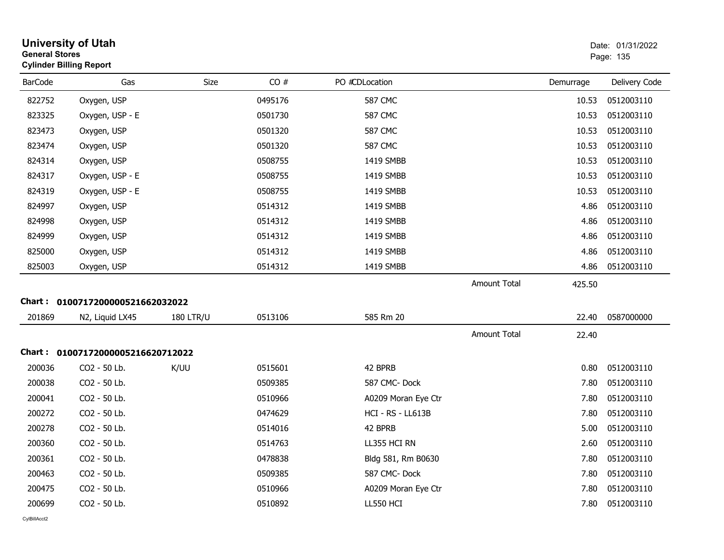| <b>General Stores</b> | <b>University of Utah</b><br><b>Cylinder Billing Report</b> |                  |         |                          |                     |           | Date: 01/31/2022<br>Page: 135 |
|-----------------------|-------------------------------------------------------------|------------------|---------|--------------------------|---------------------|-----------|-------------------------------|
| <b>BarCode</b>        | Gas                                                         | Size             | CO#     | PO #CDLocation           |                     | Demurrage | Delivery Code                 |
| 822752                | Oxygen, USP                                                 |                  | 0495176 | <b>587 CMC</b>           |                     | 10.53     | 0512003110                    |
| 823325                | Oxygen, USP - E                                             |                  | 0501730 | 587 CMC                  |                     | 10.53     | 0512003110                    |
| 823473                | Oxygen, USP                                                 |                  | 0501320 | <b>587 CMC</b>           |                     | 10.53     | 0512003110                    |
| 823474                | Oxygen, USP                                                 |                  | 0501320 | <b>587 CMC</b>           |                     | 10.53     | 0512003110                    |
| 824314                | Oxygen, USP                                                 |                  | 0508755 | 1419 SMBB                |                     | 10.53     | 0512003110                    |
| 824317                | Oxygen, USP - E                                             |                  | 0508755 | 1419 SMBB                |                     | 10.53     | 0512003110                    |
| 824319                | Oxygen, USP - E                                             |                  | 0508755 | 1419 SMBB                |                     | 10.53     | 0512003110                    |
| 824997                | Oxygen, USP                                                 |                  | 0514312 | 1419 SMBB                |                     | 4.86      | 0512003110                    |
| 824998                | Oxygen, USP                                                 |                  | 0514312 | 1419 SMBB                |                     | 4.86      | 0512003110                    |
| 824999                | Oxygen, USP                                                 |                  | 0514312 | 1419 SMBB                |                     | 4.86      | 0512003110                    |
| 825000                | Oxygen, USP                                                 |                  | 0514312 | 1419 SMBB                |                     | 4.86      | 0512003110                    |
| 825003                | Oxygen, USP                                                 |                  | 0514312 | 1419 SMBB                |                     | 4.86      | 0512003110                    |
|                       |                                                             |                  |         |                          | <b>Amount Total</b> | 425.50    |                               |
|                       | Chart: 0100717200000521662032022                            |                  |         |                          |                     |           |                               |
| 201869                | N2, Liquid LX45                                             | <b>180 LTR/U</b> | 0513106 | 585 Rm 20                |                     | 22.40     | 0587000000                    |
|                       |                                                             |                  |         |                          | <b>Amount Total</b> | 22.40     |                               |
|                       | Chart: 01007172000005216620712022                           |                  |         |                          |                     |           |                               |
| 200036                | CO2 - 50 Lb.                                                | K/UU             | 0515601 | 42 BPRB                  |                     | 0.80      | 0512003110                    |
| 200038                | CO2 - 50 Lb.                                                |                  | 0509385 | 587 CMC-Dock             |                     | 7.80      | 0512003110                    |
| 200041                | CO2 - 50 Lb.                                                |                  | 0510966 | A0209 Moran Eye Ctr      |                     | 7.80      | 0512003110                    |
| 200272                | CO2 - 50 Lb.                                                |                  | 0474629 | <b>HCI - RS - LL613B</b> |                     | 7.80      | 0512003110                    |
| 200278                | CO2 - 50 Lb.                                                |                  | 0514016 | 42 BPRB                  |                     | 5.00      | 0512003110                    |
| 200360                | CO2 - 50 Lb.                                                |                  | 0514763 | LL355 HCI RN             |                     | 2.60      | 0512003110                    |
| 200361                | CO2 - 50 Lb.                                                |                  | 0478838 | Bldg 581, Rm B0630       |                     | 7.80      | 0512003110                    |
| 200463                | CO2 - 50 Lb.                                                |                  | 0509385 | 587 CMC-Dock             |                     | 7.80      | 0512003110                    |
| 200475                | CO2 - 50 Lb.                                                |                  | 0510966 | A0209 Moran Eye Ctr      |                     | 7.80      | 0512003110                    |
| 200699                | CO2 - 50 Lb.                                                |                  | 0510892 | LL550 HCI                |                     | 7.80      | 0512003110                    |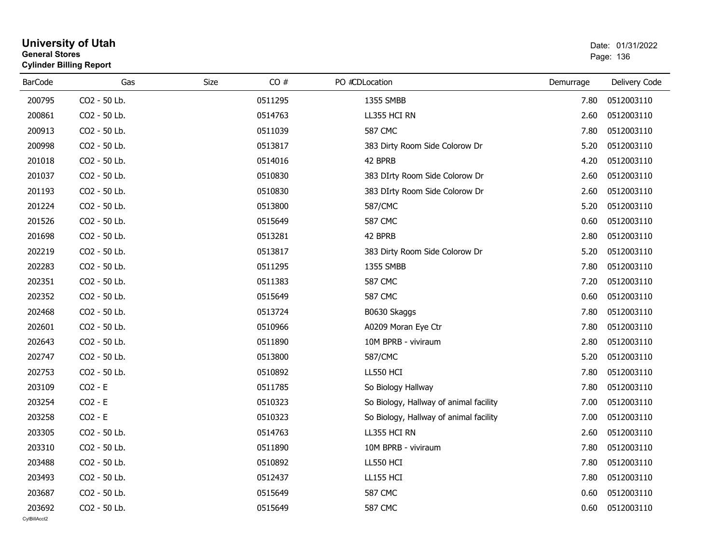| General Stores | <b>Cylinder Billing Report</b> |      |         |                                        |           | Page: 136     |
|----------------|--------------------------------|------|---------|----------------------------------------|-----------|---------------|
| <b>BarCode</b> | Gas                            | Size | CO#     | PO #CDLocation                         | Demurrage | Delivery Code |
| 200795         | CO2 - 50 Lb.                   |      | 0511295 | 1355 SMBB                              | 7.80      | 0512003110    |
| 200861         | CO2 - 50 Lb.                   |      | 0514763 | LL355 HCI RN                           | 2.60      | 0512003110    |
| 200913         | CO2 - 50 Lb.                   |      | 0511039 | <b>587 CMC</b>                         | 7.80      | 0512003110    |
| 200998         | CO2 - 50 Lb.                   |      | 0513817 | 383 Dirty Room Side Colorow Dr         | 5.20      | 0512003110    |
| 201018         | CO2 - 50 Lb.                   |      | 0514016 | 42 BPRB                                | 4.20      | 0512003110    |
| 201037         | CO2 - 50 Lb.                   |      | 0510830 | 383 DIrty Room Side Colorow Dr         | 2.60      | 0512003110    |
| 201193         | CO2 - 50 Lb.                   |      | 0510830 | 383 DIrty Room Side Colorow Dr         | 2.60      | 0512003110    |
| 201224         | CO2 - 50 Lb.                   |      | 0513800 | 587/CMC                                | 5.20      | 0512003110    |
| 201526         | CO2 - 50 Lb.                   |      | 0515649 | <b>587 CMC</b>                         | 0.60      | 0512003110    |
| 201698         | CO2 - 50 Lb.                   |      | 0513281 | 42 BPRB                                | 2.80      | 0512003110    |
| 202219         | CO2 - 50 Lb.                   |      | 0513817 | 383 Dirty Room Side Colorow Dr         | 5.20      | 0512003110    |
| 202283         | CO2 - 50 Lb.                   |      | 0511295 | 1355 SMBB                              | 7.80      | 0512003110    |
| 202351         | CO2 - 50 Lb.                   |      | 0511383 | <b>587 CMC</b>                         | 7.20      | 0512003110    |
| 202352         | CO2 - 50 Lb.                   |      | 0515649 | <b>587 CMC</b>                         | 0.60      | 0512003110    |
| 202468         | CO2 - 50 Lb.                   |      | 0513724 | B0630 Skaggs                           | 7.80      | 0512003110    |
| 202601         | CO2 - 50 Lb.                   |      | 0510966 | A0209 Moran Eye Ctr                    | 7.80      | 0512003110    |
| 202643         | CO2 - 50 Lb.                   |      | 0511890 | 10M BPRB - viviraum                    | 2.80      | 0512003110    |
| 202747         | CO2 - 50 Lb.                   |      | 0513800 | 587/CMC                                | 5.20      | 0512003110    |
| 202753         | CO2 - 50 Lb.                   |      | 0510892 | LL550 HCI                              | 7.80      | 0512003110    |
| 203109         | $CO2 - E$                      |      | 0511785 | So Biology Hallway                     | 7.80      | 0512003110    |
| 203254         | $CO2 - E$                      |      | 0510323 | So Biology, Hallway of animal facility | 7.00      | 0512003110    |
| 203258         | $CO2 - E$                      |      | 0510323 | So Biology, Hallway of animal facility | 7.00      | 0512003110    |
| 203305         | CO2 - 50 Lb.                   |      | 0514763 | LL355 HCI RN                           | 2.60      | 0512003110    |
| 203310         | CO2 - 50 Lb.                   |      | 0511890 | 10M BPRB - viviraum                    | 7.80      | 0512003110    |
| 203488         | CO2 - 50 Lb.                   |      | 0510892 | <b>LL550 HCI</b>                       | 7.80      | 0512003110    |
| 203493         | CO2 - 50 Lb.                   |      | 0512437 | <b>LL155 HCI</b>                       | 7.80      | 0512003110    |
| 203687         | CO2 - 50 Lb.                   |      | 0515649 | <b>587 CMC</b>                         | 0.60      | 0512003110    |
| 203692         | CO2 - 50 Lb.                   |      | 0515649 | <b>587 CMC</b>                         | 0.60      | 0512003110    |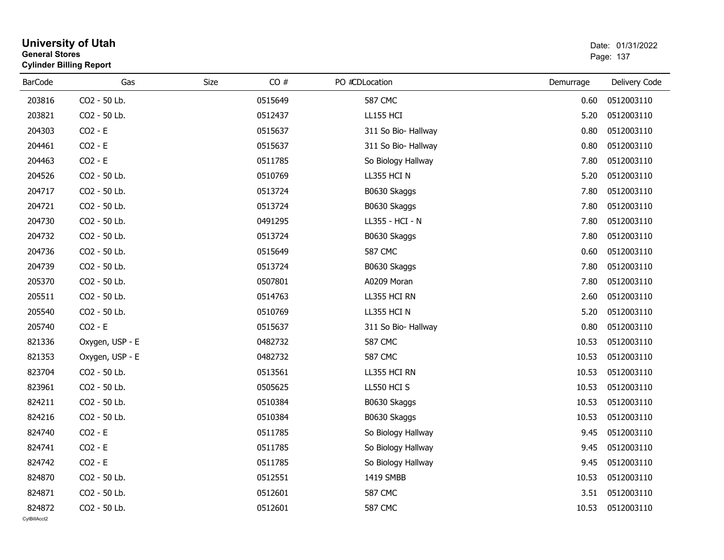| General Stores | <b>Cylinder Billing Report</b> |      |         |                     |           | Page: 137     |
|----------------|--------------------------------|------|---------|---------------------|-----------|---------------|
| <b>BarCode</b> | Gas                            | Size | CO#     | PO #CDLocation      | Demurrage | Delivery Code |
| 203816         | CO2 - 50 Lb.                   |      | 0515649 | <b>587 CMC</b>      | 0.60      | 0512003110    |
| 203821         | CO2 - 50 Lb.                   |      | 0512437 | <b>LL155 HCI</b>    | 5.20      | 0512003110    |
| 204303         | $CO2 - E$                      |      | 0515637 | 311 So Bio- Hallway | 0.80      | 0512003110    |
| 204461         | $CO2 - E$                      |      | 0515637 | 311 So Bio- Hallway | 0.80      | 0512003110    |
| 204463         | $CO2 - E$                      |      | 0511785 | So Biology Hallway  | 7.80      | 0512003110    |
| 204526         | CO2 - 50 Lb.                   |      | 0510769 | LL355 HCI N         | 5.20      | 0512003110    |
| 204717         | CO2 - 50 Lb.                   |      | 0513724 | B0630 Skaggs        | 7.80      | 0512003110    |
| 204721         | CO2 - 50 Lb.                   |      | 0513724 | B0630 Skaggs        | 7.80      | 0512003110    |
| 204730         | CO2 - 50 Lb.                   |      | 0491295 | LL355 - HCI - N     | 7.80      | 0512003110    |
| 204732         | CO2 - 50 Lb.                   |      | 0513724 | B0630 Skaggs        | 7.80      | 0512003110    |
| 204736         | CO2 - 50 Lb.                   |      | 0515649 | <b>587 CMC</b>      | 0.60      | 0512003110    |
| 204739         | CO2 - 50 Lb.                   |      | 0513724 | B0630 Skaggs        | 7.80      | 0512003110    |
| 205370         | CO2 - 50 Lb.                   |      | 0507801 | A0209 Moran         | 7.80      | 0512003110    |
| 205511         | CO2 - 50 Lb.                   |      | 0514763 | LL355 HCI RN        | 2.60      | 0512003110    |
| 205540         | CO2 - 50 Lb.                   |      | 0510769 | LL355 HCI N         | 5.20      | 0512003110    |
| 205740         | $CO2 - E$                      |      | 0515637 | 311 So Bio- Hallway | 0.80      | 0512003110    |
| 821336         | Oxygen, USP - E                |      | 0482732 | <b>587 CMC</b>      | 10.53     | 0512003110    |
| 821353         | Oxygen, USP - E                |      | 0482732 | <b>587 CMC</b>      | 10.53     | 0512003110    |
| 823704         | CO2 - 50 Lb.                   |      | 0513561 | LL355 HCI RN        | 10.53     | 0512003110    |
| 823961         | CO2 - 50 Lb.                   |      | 0505625 | LL550 HCI S         | 10.53     | 0512003110    |
| 824211         | CO2 - 50 Lb.                   |      | 0510384 | B0630 Skaggs        | 10.53     | 0512003110    |
| 824216         | CO2 - 50 Lb.                   |      | 0510384 | B0630 Skaggs        | 10.53     | 0512003110    |
| 824740         | $CO2 - E$                      |      | 0511785 | So Biology Hallway  | 9.45      | 0512003110    |
| 824741         | $CO2 - E$                      |      | 0511785 | So Biology Hallway  | 9.45      | 0512003110    |
| 824742         | $CO2 - E$                      |      | 0511785 | So Biology Hallway  | 9.45      | 0512003110    |
| 824870         | CO2 - 50 Lb.                   |      | 0512551 | 1419 SMBB           | 10.53     | 0512003110    |
| 824871         | CO2 - 50 Lb.                   |      | 0512601 | <b>587 CMC</b>      | 3.51      | 0512003110    |
| 824872         | CO <sub>2</sub> - 50 Lb.       |      | 0512601 | <b>587 CMC</b>      | 10.53     | 0512003110    |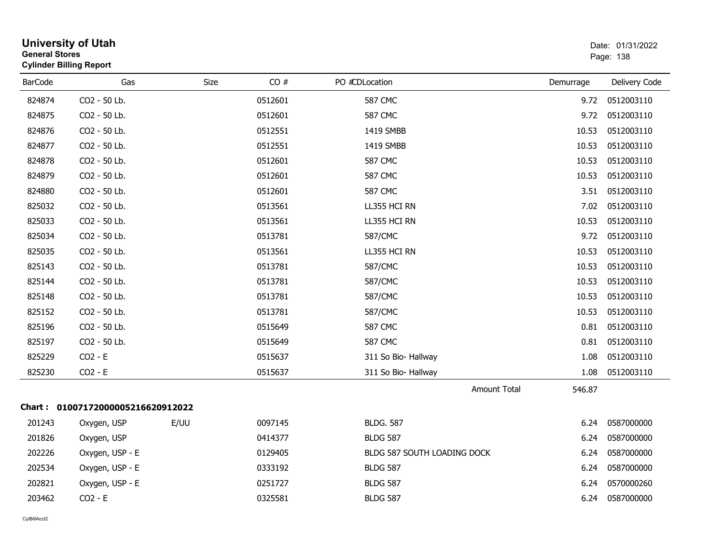| <b>General Stores</b><br><b>Cylinder Billing Report</b> | <b>University of Utah</b>         |      |         |                             |           | Date: 01/31/2022<br>Page: 138 |
|---------------------------------------------------------|-----------------------------------|------|---------|-----------------------------|-----------|-------------------------------|
| <b>BarCode</b>                                          | Gas                               | Size | CO#     | PO #CDLocation              | Demurrage | Delivery Code                 |
| 824874                                                  | CO2 - 50 Lb.                      |      | 0512601 | <b>587 CMC</b>              | 9.72      | 0512003110                    |
| 824875                                                  | CO2 - 50 Lb.                      |      | 0512601 | <b>587 CMC</b>              | 9.72      | 0512003110                    |
| 824876                                                  | CO2 - 50 Lb.                      |      | 0512551 | 1419 SMBB                   | 10.53     | 0512003110                    |
| 824877                                                  | CO2 - 50 Lb.                      |      | 0512551 | 1419 SMBB                   | 10.53     | 0512003110                    |
| 824878                                                  | CO2 - 50 Lb.                      |      | 0512601 | <b>587 CMC</b>              | 10.53     | 0512003110                    |
| 824879                                                  | CO2 - 50 Lb.                      |      | 0512601 | <b>587 CMC</b>              | 10.53     | 0512003110                    |
| 824880                                                  | CO2 - 50 Lb.                      |      | 0512601 | 587 CMC                     | 3.51      | 0512003110                    |
| 825032                                                  | CO2 - 50 Lb.                      |      | 0513561 | LL355 HCI RN                | 7.02      | 0512003110                    |
| 825033                                                  | CO2 - 50 Lb.                      |      | 0513561 | LL355 HCI RN                | 10.53     | 0512003110                    |
| 825034                                                  | CO2 - 50 Lb.                      |      | 0513781 | 587/CMC                     | 9.72      | 0512003110                    |
| 825035                                                  | CO2 - 50 Lb.                      |      | 0513561 | LL355 HCI RN                | 10.53     | 0512003110                    |
| 825143                                                  | CO2 - 50 Lb.                      |      | 0513781 | 587/CMC                     | 10.53     | 0512003110                    |
| 825144                                                  | CO2 - 50 Lb.                      |      | 0513781 | 587/CMC                     | 10.53     | 0512003110                    |
| 825148                                                  | CO2 - 50 Lb.                      |      | 0513781 | 587/CMC                     | 10.53     | 0512003110                    |
| 825152                                                  | CO2 - 50 Lb.                      |      | 0513781 | 587/CMC                     | 10.53     | 0512003110                    |
| 825196                                                  | CO2 - 50 Lb.                      |      | 0515649 | <b>587 CMC</b>              | 0.81      | 0512003110                    |
| 825197                                                  | CO2 - 50 Lb.                      |      | 0515649 | <b>587 CMC</b>              | 0.81      | 0512003110                    |
| 825229                                                  | $CO2 - E$                         |      | 0515637 | 311 So Bio- Hallway         | 1.08      | 0512003110                    |
| 825230                                                  | $CO2 - E$                         |      | 0515637 | 311 So Bio- Hallway         | 1.08      | 0512003110                    |
|                                                         |                                   |      |         | <b>Amount Total</b>         | 546.87    |                               |
|                                                         | Chart: 01007172000005216620912022 |      |         |                             |           |                               |
| 201243                                                  | Oxygen, USP                       | E/UU | 0097145 | <b>BLDG. 587</b>            | 6.24      | 0587000000                    |
| 201826                                                  | Oxygen, USP                       |      | 0414377 | <b>BLDG 587</b>             | 6.24      | 0587000000                    |
| 202226                                                  | Oxygen, USP - E                   |      | 0129405 | BLDG 587 SOUTH LOADING DOCK | 6.24      | 0587000000                    |
| 202534                                                  | Oxygen, USP - E                   |      | 0333192 | <b>BLDG 587</b>             | 6.24      | 0587000000                    |
| 202821                                                  | Oxygen, USP - E                   |      | 0251727 | <b>BLDG 587</b>             | 6.24      | 0570000260                    |
| 203462                                                  | $CO2 - E$                         |      | 0325581 | <b>BLDG 587</b>             | 6.24      | 0587000000                    |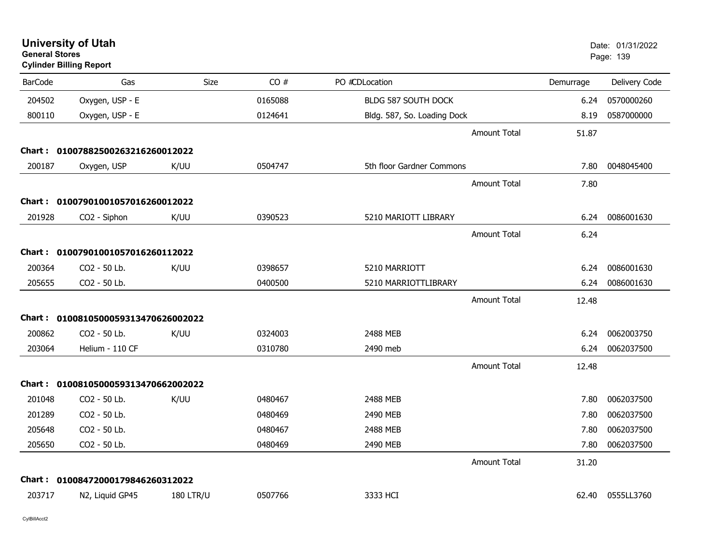| <b>General Stores</b> | <b>Cylinder Billing Report</b>      |                  |         |                             |           | Page: 139     |
|-----------------------|-------------------------------------|------------------|---------|-----------------------------|-----------|---------------|
| <b>BarCode</b>        | Gas                                 | Size             | CO#     | PO #CDLocation              | Demurrage | Delivery Code |
| 204502                | Oxygen, USP - E                     |                  | 0165088 | BLDG 587 SOUTH DOCK         | 6.24      | 0570000260    |
| 800110                | Oxygen, USP - E                     |                  | 0124641 | Bldg. 587, So. Loading Dock | 8.19      | 0587000000    |
|                       |                                     |                  |         | <b>Amount Total</b>         | 51.87     |               |
|                       | Chart: 01007882500263216260012022   |                  |         |                             |           |               |
| 200187                | Oxygen, USP                         | K/UU             | 0504747 | 5th floor Gardner Commons   | 7.80      | 0048045400    |
|                       |                                     |                  |         | <b>Amount Total</b>         | 7.80      |               |
|                       | Chart: 01007901001057016260012022   |                  |         |                             |           |               |
| 201928                | CO2 - Siphon                        | K/UU             | 0390523 | 5210 MARIOTT LIBRARY        | 6.24      | 0086001630    |
|                       |                                     |                  |         | <b>Amount Total</b>         | 6.24      |               |
|                       | Chart: 01007901001057016260112022   |                  |         |                             |           |               |
| 200364                | CO2 - 50 Lb.                        | K/UU             | 0398657 | 5210 MARRIOTT               | 6.24      | 0086001630    |
| 205655                | CO2 - 50 Lb.                        |                  | 0400500 | 5210 MARRIOTTLIBRARY        | 6.24      | 0086001630    |
|                       |                                     |                  |         | <b>Amount Total</b>         | 12.48     |               |
|                       | Chart: 0100810500059313470626002022 |                  |         |                             |           |               |
| 200862                | CO2 - 50 Lb.                        | K/UU             | 0324003 | 2488 MEB                    | 6.24      | 0062003750    |
| 203064                | Helium - 110 CF                     |                  | 0310780 | 2490 meb                    | 6.24      | 0062037500    |
|                       |                                     |                  |         | <b>Amount Total</b>         | 12.48     |               |
|                       | Chart: 0100810500059313470662002022 |                  |         |                             |           |               |
| 201048                | CO2 - 50 Lb.                        | K/UU             | 0480467 | 2488 MEB                    | 7.80      | 0062037500    |
| 201289                | CO2 - 50 Lb.                        |                  | 0480469 | 2490 MEB                    | 7.80      | 0062037500    |
| 205648                | CO2 - 50 Lb.                        |                  | 0480467 | 2488 MEB                    | 7.80      | 0062037500    |
| 205650                | CO2 - 50 Lb.                        |                  | 0480469 | 2490 MEB                    | 7.80      | 0062037500    |
|                       |                                     |                  |         | <b>Amount Total</b>         | 31.20     |               |
|                       | Chart: 01008472000179846260312022   |                  |         |                             |           |               |
| 203717                | N2, Liquid GP45                     | <b>180 LTR/U</b> | 0507766 | 3333 HCI                    | 62.40     | 0555LL3760    |
|                       |                                     |                  |         |                             |           |               |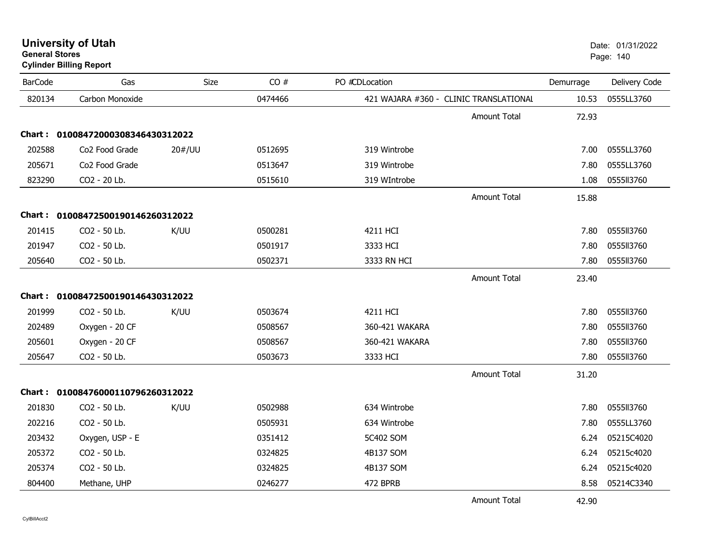| <b>University of Utah</b> |  |
|---------------------------|--|
| <b>General Stores</b>     |  |

### **Cylinder Billing Report**

| <b>BarCode</b> | Gas                               | Size   | CO#     | PO #CDLocation                         |                     | Demurrage | Delivery Code |
|----------------|-----------------------------------|--------|---------|----------------------------------------|---------------------|-----------|---------------|
| 820134         | Carbon Monoxide                   |        | 0474466 | 421 WAJARA #360 - CLINIC TRANSLATIONAL |                     | 10.53     | 0555LL3760    |
|                |                                   |        |         |                                        | <b>Amount Total</b> | 72.93     |               |
| Chart : .      | 01008472000308346430312022        |        |         |                                        |                     |           |               |
| 202588         | Co2 Food Grade                    | 20#/UU | 0512695 | 319 Wintrobe                           |                     | 7.00      | 0555LL3760    |
| 205671         | Co2 Food Grade                    |        | 0513647 | 319 Wintrobe                           |                     | 7.80      | 0555LL3760    |
| 823290         | CO2 - 20 Lb.                      |        | 0515610 | 319 WIntrobe                           |                     | 1.08      | 0555113760    |
|                |                                   |        |         |                                        | <b>Amount Total</b> | 15.88     |               |
| Chart :        | 01008472500190146260312022        |        |         |                                        |                     |           |               |
| 201415         | CO2 - 50 Lb.                      | K/UU   | 0500281 | 4211 HCI                               |                     | 7.80      | 0555113760    |
| 201947         | CO2 - 50 Lb.                      |        | 0501917 | 3333 HCI                               |                     | 7.80      | 0555113760    |
| 205640         | CO2 - 50 Lb.                      |        | 0502371 | 3333 RN HCI                            |                     | 7.80      | 0555113760    |
|                |                                   |        |         |                                        | <b>Amount Total</b> | 23.40     |               |
|                | Chart: 01008472500190146430312022 |        |         |                                        |                     |           |               |
| 201999         | CO2 - 50 Lb.                      | K/UU   | 0503674 | 4211 HCI                               |                     | 7.80      | 0555113760    |
| 202489         | Oxygen - 20 CF                    |        | 0508567 | 360-421 WAKARA                         |                     | 7.80      | 0555113760    |
| 205601         | Oxygen - 20 CF                    |        | 0508567 | 360-421 WAKARA                         |                     | 7.80      | 0555113760    |
| 205647         | CO2 - 50 Lb.                      |        | 0503673 | 3333 HCI                               |                     | 7.80      | 0555113760    |
|                |                                   |        |         |                                        | <b>Amount Total</b> | 31.20     |               |
|                | Chart: 01008476000110796260312022 |        |         |                                        |                     |           |               |
| 201830         | CO2 - 50 Lb.                      | K/UU   | 0502988 | 634 Wintrobe                           |                     | 7.80      | 0555113760    |
| 202216         | CO2 - 50 Lb.                      |        | 0505931 | 634 Wintrobe                           |                     | 7.80      | 0555LL3760    |
| 203432         | Oxygen, USP - E                   |        | 0351412 | 5C402 SOM                              |                     | 6.24      | 05215C4020    |
| 205372         | CO2 - 50 Lb.                      |        | 0324825 | 4B137 SOM                              |                     | 6.24      | 05215c4020    |
| 205374         | CO2 - 50 Lb.                      |        | 0324825 | 4B137 SOM                              |                     | 6.24      | 05215c4020    |
| 804400         | Methane, UHP                      |        | 0246277 | 472 BPRB                               |                     | 8.58      | 05214C3340    |
|                |                                   |        |         |                                        | <b>Amount Total</b> | 42.90     |               |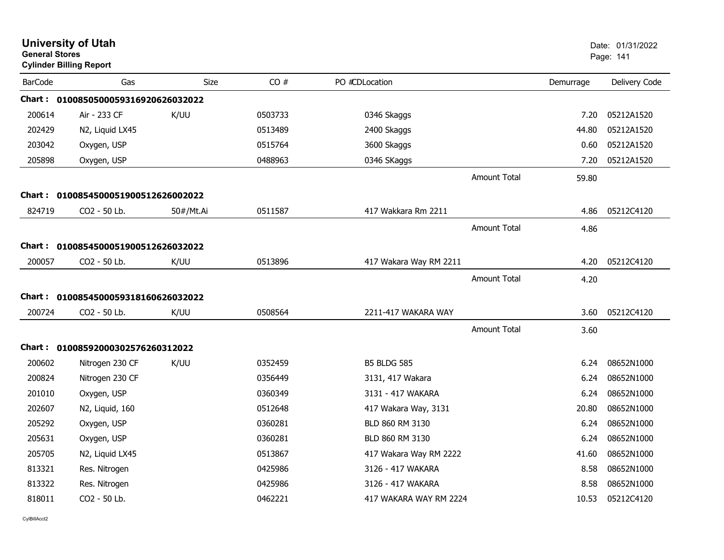| <b>General Stores</b> | <b>University of Utah</b><br><b>Cylinder Billing Report</b> |             |         |                        |                     |           | Date: 01/31/2022<br>Page: 141 |
|-----------------------|-------------------------------------------------------------|-------------|---------|------------------------|---------------------|-----------|-------------------------------|
| <b>BarCode</b>        | Gas                                                         | <b>Size</b> | CO#     | PO #CDLocation         |                     | Demurrage | Delivery Code                 |
|                       | Chart: 0100850500059316920626032022                         |             |         |                        |                     |           |                               |
| 200614                | Air - 233 CF                                                | K/UU        | 0503733 | 0346 Skaggs            |                     | 7.20      | 05212A1520                    |
| 202429                | N2, Liquid LX45                                             |             | 0513489 | 2400 Skaggs            |                     | 44.80     | 05212A1520                    |
| 203042                | Oxygen, USP                                                 |             | 0515764 | 3600 Skaggs            |                     | 0.60      | 05212A1520                    |
| 205898                | Oxygen, USP                                                 |             | 0488963 | 0346 SKaggs            |                     | 7.20      | 05212A1520                    |
|                       |                                                             |             |         |                        | <b>Amount Total</b> | 59.80     |                               |
|                       | Chart: 0100854500051900512626002022                         |             |         |                        |                     |           |                               |
| 824719                | CO2 - 50 Lb.                                                | 50#/Mt.Ai   | 0511587 | 417 Wakkara Rm 2211    |                     | 4.86      | 05212C4120                    |
|                       |                                                             |             |         |                        | <b>Amount Total</b> | 4.86      |                               |
|                       | Chart: 0100854500051900512626032022                         |             |         |                        |                     |           |                               |
| 200057                | CO2 - 50 Lb.                                                | K/UU        | 0513896 | 417 Wakara Way RM 2211 |                     | 4.20      | 05212C4120                    |
|                       |                                                             |             |         |                        | <b>Amount Total</b> | 4.20      |                               |
|                       | Chart: 0100854500059318160626032022                         |             |         |                        |                     |           |                               |
| 200724                | CO2 - 50 Lb.                                                | K/UU        | 0508564 | 2211-417 WAKARA WAY    |                     | 3.60      | 05212C4120                    |
|                       |                                                             |             |         |                        | <b>Amount Total</b> | 3.60      |                               |
|                       | Chart: 01008592000302576260312022                           |             |         |                        |                     |           |                               |
| 200602                | Nitrogen 230 CF                                             | K/UU        | 0352459 | <b>B5 BLDG 585</b>     |                     | 6.24      | 08652N1000                    |
| 200824                | Nitrogen 230 CF                                             |             | 0356449 | 3131, 417 Wakara       |                     | 6.24      | 08652N1000                    |
| 201010                | Oxygen, USP                                                 |             | 0360349 | 3131 - 417 WAKARA      |                     | 6.24      | 08652N1000                    |
| 202607                | N2, Liquid, 160                                             |             | 0512648 | 417 Wakara Way, 3131   |                     | 20.80     | 08652N1000                    |
| 205292                | Oxygen, USP                                                 |             | 0360281 | BLD 860 RM 3130        |                     | 6.24      | 08652N1000                    |
| 205631                | Oxygen, USP                                                 |             | 0360281 | BLD 860 RM 3130        |                     | 6.24      | 08652N1000                    |
| 205705                | N2, Liquid LX45                                             |             | 0513867 | 417 Wakara Way RM 2222 |                     | 41.60     | 08652N1000                    |
| 813321                | Res. Nitrogen                                               |             | 0425986 | 3126 - 417 WAKARA      |                     | 8.58      | 08652N1000                    |
| 813322                | Res. Nitrogen                                               |             | 0425986 | 3126 - 417 WAKARA      |                     | 8.58      | 08652N1000                    |
| 818011                | CO2 - 50 Lb.                                                |             | 0462221 | 417 WAKARA WAY RM 2224 |                     | 10.53     | 05212C4120                    |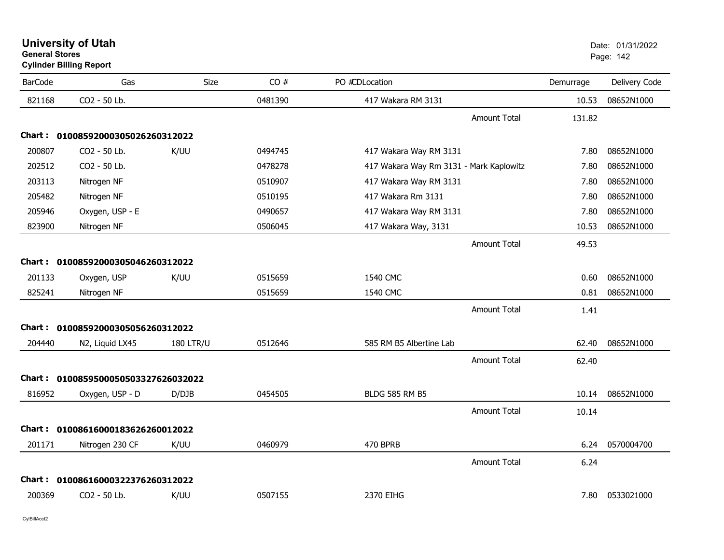| <b>University of Utah</b>      | Date: 01/ |
|--------------------------------|-----------|
| <b>General Stores</b>          | Page: 142 |
| <b>Cylinder Billing Report</b> |           |

| <b>BarCode</b> | Gas                                 | Size             | CO#     | PO #CDLocation                          | Demurrage | Delivery Code |
|----------------|-------------------------------------|------------------|---------|-----------------------------------------|-----------|---------------|
| 821168         | CO2 - 50 Lb.                        |                  | 0481390 | 417 Wakara RM 3131                      | 10.53     | 08652N1000    |
|                |                                     |                  |         | <b>Amount Total</b>                     | 131.82    |               |
|                | Chart: 01008592000305026260312022   |                  |         |                                         |           |               |
| 200807         | CO2 - 50 Lb.                        | K/UU             | 0494745 | 417 Wakara Way RM 3131                  | 7.80      | 08652N1000    |
| 202512         | CO2 - 50 Lb.                        |                  | 0478278 | 417 Wakara Way Rm 3131 - Mark Kaplowitz | 7.80      | 08652N1000    |
| 203113         | Nitrogen NF                         |                  | 0510907 | 417 Wakara Way RM 3131                  | 7.80      | 08652N1000    |
| 205482         | Nitrogen NF                         |                  | 0510195 | 417 Wakara Rm 3131                      | 7.80      | 08652N1000    |
| 205946         | Oxygen, USP - E                     |                  | 0490657 | 417 Wakara Way RM 3131                  | 7.80      | 08652N1000    |
| 823900         | Nitrogen NF                         |                  | 0506045 | 417 Wakara Way, 3131                    | 10.53     | 08652N1000    |
|                |                                     |                  |         | <b>Amount Total</b>                     | 49.53     |               |
|                | Chart: 01008592000305046260312022   |                  |         |                                         |           |               |
| 201133         | Oxygen, USP                         | K/UU             | 0515659 | 1540 CMC                                | 0.60      | 08652N1000    |
| 825241         | Nitrogen NF                         |                  | 0515659 | 1540 CMC                                | 0.81      | 08652N1000    |
|                |                                     |                  |         | <b>Amount Total</b>                     | 1.41      |               |
|                | Chart: 01008592000305056260312022   |                  |         |                                         |           |               |
| 204440         | N2, Liquid LX45                     | <b>180 LTR/U</b> | 0512646 | 585 RM B5 Albertine Lab                 | 62.40     | 08652N1000    |
|                |                                     |                  |         | Amount Total                            | 62.40     |               |
|                | Chart: 0100859500050503327626032022 |                  |         |                                         |           |               |
| 816952         | Oxygen, USP - D                     | D/DJB            | 0454505 | <b>BLDG 585 RM B5</b>                   | 10.14     | 08652N1000    |
|                |                                     |                  |         | <b>Amount Total</b>                     | 10.14     |               |
|                | Chart: 01008616000183626260012022   |                  |         |                                         |           |               |
| 201171         | Nitrogen 230 CF                     | K/UU             | 0460979 | 470 BPRB                                | 6.24      | 0570004700    |
|                |                                     |                  |         | <b>Amount Total</b>                     | 6.24      |               |
| Chart :        | 01008616000322376260312022          |                  |         |                                         |           |               |
| 200369         | CO2 - 50 Lb.                        | K/UU             | 0507155 | 2370 EIHG                               | 7.80      | 0533021000    |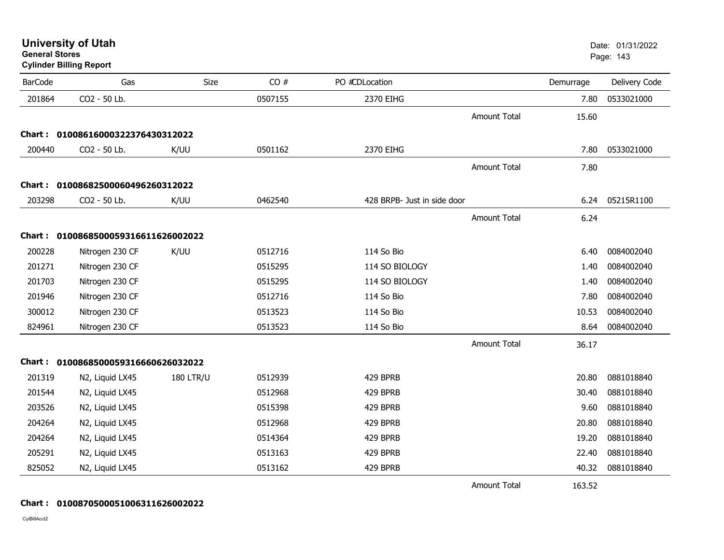**Cylinder Billing Report**

| <b>BarCode</b> | Gas                                 | Size             | CO#     | PO #CDLocation              |                     | Demurrage | Delivery Code |
|----------------|-------------------------------------|------------------|---------|-----------------------------|---------------------|-----------|---------------|
| 201864         | CO2 - 50 Lb.                        |                  | 0507155 | 2370 EIHG                   |                     | 7.80      | 0533021000    |
|                |                                     |                  |         |                             | <b>Amount Total</b> | 15.60     |               |
| Chart:         | 01008616000322376430312022          |                  |         |                             |                     |           |               |
| 200440         | CO2 - 50 Lb.                        | K/UU             | 0501162 | 2370 EIHG                   |                     | 7.80      | 0533021000    |
|                |                                     |                  |         |                             | <b>Amount Total</b> | 7.80      |               |
| Chart :        | 01008682500060496260312022          |                  |         |                             |                     |           |               |
| 203298         | CO2 - 50 Lb.                        | K/UU             | 0462540 | 428 BRPB- Just in side door |                     | 6.24      | 05215R1100    |
|                |                                     |                  |         |                             | <b>Amount Total</b> | 6.24      |               |
|                | Chart: 0100868500059316611626002022 |                  |         |                             |                     |           |               |
| 200228         | Nitrogen 230 CF                     | K/UU             | 0512716 | 114 So Bio                  |                     | 6.40      | 0084002040    |
| 201271         | Nitrogen 230 CF                     |                  | 0515295 | 114 SO BIOLOGY              |                     | 1.40      | 0084002040    |
| 201703         | Nitrogen 230 CF                     |                  | 0515295 | 114 SO BIOLOGY              |                     | 1.40      | 0084002040    |
| 201946         | Nitrogen 230 CF                     |                  | 0512716 | 114 So Bio                  |                     | 7.80      | 0084002040    |
| 300012         | Nitrogen 230 CF                     |                  | 0513523 | 114 So Bio                  |                     | 10.53     | 0084002040    |
| 824961         | Nitrogen 230 CF                     |                  | 0513523 | 114 So Bio                  |                     | 8.64      | 0084002040    |
|                |                                     |                  |         |                             |                     |           |               |
|                |                                     |                  |         |                             | <b>Amount Total</b> | 36.17     |               |
| Chart :        | 0100868500059316660626032022        |                  |         |                             |                     |           |               |
| 201319         | N2, Liquid LX45                     | <b>180 LTR/U</b> | 0512939 | 429 BPRB                    |                     | 20.80     | 0881018840    |
| 201544         | N2, Liquid LX45                     |                  | 0512968 | 429 BPRB                    |                     | 30.40     | 0881018840    |
| 203526         | N2, Liquid LX45                     |                  | 0515398 | 429 BPRB                    |                     | 9.60      | 0881018840    |
| 204264         | N2, Liquid LX45                     |                  | 0512968 | 429 BPRB                    |                     | 20.80     | 0881018840    |
| 204264         | N2, Liquid LX45                     |                  | 0514364 | 429 BPRB                    |                     | 19.20     | 0881018840    |
| 205291         | N2, Liquid LX45                     |                  | 0513163 | 429 BPRB                    |                     | 22.40     | 0881018840    |
| 825052         | N2, Liquid LX45                     |                  | 0513162 | 429 BPRB                    |                     | 40.32     | 0881018840    |
|                |                                     |                  |         |                             | <b>Amount Total</b> | 163.52    |               |

**Chart : 0100870500051006311626002022**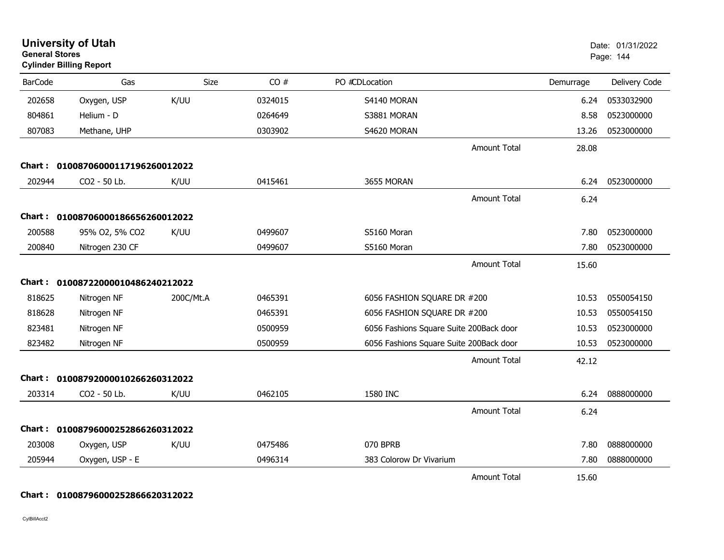| <b>University of Utah</b><br><b>General Stores</b><br><b>Cylinder Billing Report</b> |                                   |           |         |                                         |           | Date: 01/31/2022<br>Page: 144 |
|--------------------------------------------------------------------------------------|-----------------------------------|-----------|---------|-----------------------------------------|-----------|-------------------------------|
| <b>BarCode</b>                                                                       | Gas                               | Size      | CO#     | PO #CDLocation                          | Demurrage | Delivery Code                 |
| 202658                                                                               | Oxygen, USP                       | K/UU      | 0324015 | S4140 MORAN                             | 6.24      | 0533032900                    |
| 804861                                                                               | Helium - D                        |           | 0264649 | S3881 MORAN                             | 8.58      | 0523000000                    |
| 807083                                                                               | Methane, UHP                      |           | 0303902 | S4620 MORAN                             | 13.26     | 0523000000                    |
|                                                                                      |                                   |           |         | <b>Amount Total</b>                     | 28.08     |                               |
|                                                                                      | Chart: 01008706000117196260012022 |           |         |                                         |           |                               |
| 202944                                                                               | CO2 - 50 Lb.                      | K/UU      | 0415461 | 3655 MORAN                              | 6.24      | 0523000000                    |
|                                                                                      |                                   |           |         | <b>Amount Total</b>                     | 6.24      |                               |
| Chart :                                                                              | 01008706000186656260012022        |           |         |                                         |           |                               |
| 200588                                                                               | 95% O2, 5% CO2                    | K/UU      | 0499607 | S5160 Moran                             | 7.80      | 0523000000                    |
| 200840                                                                               | Nitrogen 230 CF                   |           | 0499607 | S5160 Moran                             | 7.80      | 0523000000                    |
|                                                                                      |                                   |           |         | <b>Amount Total</b>                     | 15.60     |                               |
|                                                                                      | Chart: 01008722000010486240212022 |           |         |                                         |           |                               |
| 818625                                                                               | Nitrogen NF                       | 200C/Mt.A | 0465391 | 6056 FASHION SQUARE DR #200             | 10.53     | 0550054150                    |
| 818628                                                                               | Nitrogen NF                       |           | 0465391 | 6056 FASHION SQUARE DR #200             | 10.53     | 0550054150                    |
| 823481                                                                               | Nitrogen NF                       |           | 0500959 | 6056 Fashions Square Suite 200Back door | 10.53     | 0523000000                    |
| 823482                                                                               | Nitrogen NF                       |           | 0500959 | 6056 Fashions Square Suite 200Back door | 10.53     | 0523000000                    |
|                                                                                      |                                   |           |         | <b>Amount Total</b>                     | 42.12     |                               |
| Chart :                                                                              | 01008792000010266260312022        |           |         |                                         |           |                               |
| 203314                                                                               | CO2 - 50 Lb.                      | K/UU      | 0462105 | 1580 INC                                | 6.24      | 0888000000                    |
|                                                                                      |                                   |           |         | <b>Amount Total</b>                     | 6.24      |                               |
| Chart :                                                                              | 01008796000252866260312022        |           |         |                                         |           |                               |
| 203008                                                                               | Oxygen, USP                       | K/UU      | 0475486 | 070 BPRB                                | 7.80      | 0888000000                    |
| 205944                                                                               | Oxygen, USP - E                   |           | 0496314 | 383 Colorow Dr Vivarium                 | 7.80      | 0888000000                    |
|                                                                                      |                                   |           |         | <b>Amount Total</b>                     | 15.60     |                               |

#### **Chart : 01008796000252866620312022**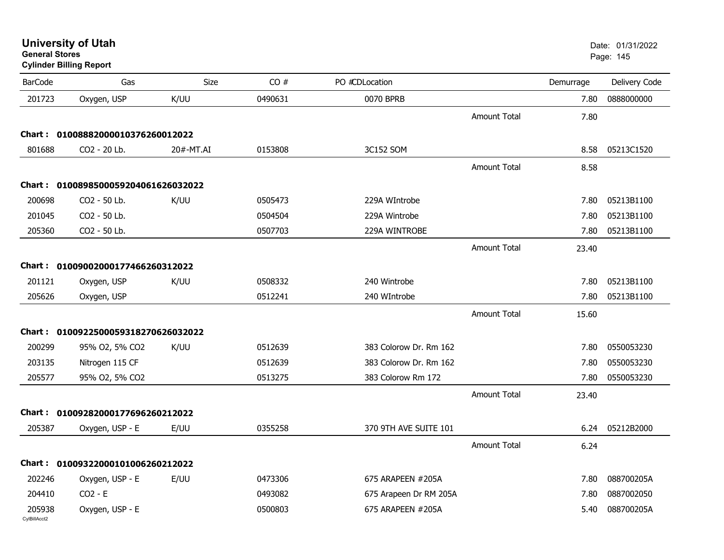**University of Utah** Date: 01/31/2022 **General Stores**

# **Cylinder Billing Report**

| <b>BarCode</b>         | Gas                                 | Size      | CO#     | PO #CDLocation         |                     | Demurrage | Delivery Code |
|------------------------|-------------------------------------|-----------|---------|------------------------|---------------------|-----------|---------------|
| 201723                 | Oxygen, USP                         | K/UU      | 0490631 | 0070 BPRB              |                     | 7.80      | 0888000000    |
|                        |                                     |           |         |                        | <b>Amount Total</b> | 7.80      |               |
| Chart :                | 01008882000010376260012022          |           |         |                        |                     |           |               |
| 801688                 | CO2 - 20 Lb.                        | 20#-MT.AI | 0153808 | 3C152 SOM              |                     | 8.58      | 05213C1520    |
|                        |                                     |           |         |                        | <b>Amount Total</b> | 8.58      |               |
|                        | Chart: 0100898500059204061626032022 |           |         |                        |                     |           |               |
| 200698                 | CO2 - 50 Lb.                        | K/UU      | 0505473 | 229A WIntrobe          |                     | 7.80      | 05213B1100    |
| 201045                 | CO2 - 50 Lb.                        |           | 0504504 | 229A Wintrobe          |                     | 7.80      | 05213B1100    |
| 205360                 | CO2 - 50 Lb.                        |           | 0507703 | 229A WINTROBE          |                     | 7.80      | 05213B1100    |
|                        |                                     |           |         |                        | <b>Amount Total</b> | 23.40     |               |
|                        | Chart: 01009002000177466260312022   |           |         |                        |                     |           |               |
| 201121                 | Oxygen, USP                         | K/UU      | 0508332 | 240 Wintrobe           |                     | 7.80      | 05213B1100    |
| 205626                 | Oxygen, USP                         |           | 0512241 | 240 WIntrobe           |                     | 7.80      | 05213B1100    |
|                        |                                     |           |         |                        | <b>Amount Total</b> | 15.60     |               |
|                        | Chart: 0100922500059318270626032022 |           |         |                        |                     |           |               |
| 200299                 | 95% O2, 5% CO2                      | K/UU      | 0512639 | 383 Colorow Dr. Rm 162 |                     | 7.80      | 0550053230    |
| 203135                 | Nitrogen 115 CF                     |           | 0512639 | 383 Colorow Dr. Rm 162 |                     | 7.80      | 0550053230    |
| 205577                 | 95% O2, 5% CO2                      |           | 0513275 | 383 Colorow Rm 172     |                     | 7.80      | 0550053230    |
|                        |                                     |           |         |                        | <b>Amount Total</b> | 23.40     |               |
|                        | Chart: 01009282000177696260212022   |           |         |                        |                     |           |               |
| 205387                 | Oxygen, USP - E                     | E/UU      | 0355258 | 370 9TH AVE SUITE 101  |                     | 6.24      | 05212B2000    |
|                        |                                     |           |         |                        | <b>Amount Total</b> | 6.24      |               |
|                        | Chart: 01009322000101006260212022   |           |         |                        |                     |           |               |
|                        |                                     |           |         |                        |                     |           |               |
| 202246                 | Oxygen, USP - E                     | E/UU      | 0473306 | 675 ARAPEEN #205A      |                     | 7.80      | 088700205A    |
| 204410                 | $CO2 - E$                           |           | 0493082 | 675 Arapeen Dr RM 205A |                     | 7.80      | 0887002050    |
| 205938<br>CvIBillAcct2 | Oxygen, USP - E                     |           | 0500803 | 675 ARAPEEN #205A      |                     | 5.40      | 088700205A    |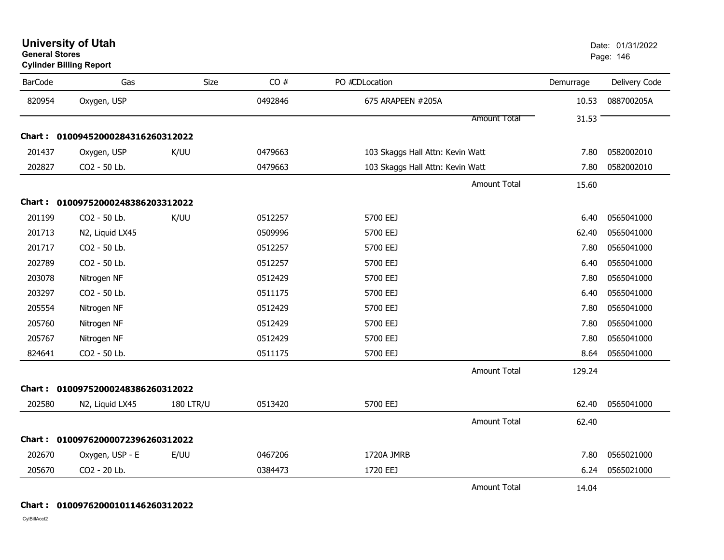**University of Utah** Date: 01/31/2022 **General Stores**

**Cylinder Billing Report**

| <b>BarCode</b> | Gas                               | <b>Size</b>      | CO#     | PO #CDLocation                   | Demurrage | Delivery Code |
|----------------|-----------------------------------|------------------|---------|----------------------------------|-----------|---------------|
| 820954         | Oxygen, USP                       |                  | 0492846 | 675 ARAPEEN #205A                | 10.53     | 088700205A    |
|                |                                   |                  |         | Amount Total                     | 31.53     |               |
|                | Chart: 01009452000284316260312022 |                  |         |                                  |           |               |
| 201437         | Oxygen, USP                       | K/UU             | 0479663 | 103 Skaggs Hall Attn: Kevin Watt | 7.80      | 0582002010    |
| 202827         | CO2 - 50 Lb.                      |                  | 0479663 | 103 Skaggs Hall Attn: Kevin Watt | 7.80      | 0582002010    |
|                |                                   |                  |         | <b>Amount Total</b>              | 15.60     |               |
|                | Chart: 01009752000248386203312022 |                  |         |                                  |           |               |
| 201199         | CO2 - 50 Lb.                      | K/UU             | 0512257 | 5700 EEJ                         | 6.40      | 0565041000    |
| 201713         | N2, Liquid LX45                   |                  | 0509996 | 5700 EEJ                         | 62.40     | 0565041000    |
| 201717         | CO2 - 50 Lb.                      |                  | 0512257 | 5700 EEJ                         | 7.80      | 0565041000    |
| 202789         | CO2 - 50 Lb.                      |                  | 0512257 | 5700 EEJ                         | 6.40      | 0565041000    |
| 203078         | Nitrogen NF                       |                  | 0512429 | 5700 EEJ                         | 7.80      | 0565041000    |
| 203297         | CO2 - 50 Lb.                      |                  | 0511175 | 5700 EEJ                         | 6.40      | 0565041000    |
| 205554         | Nitrogen NF                       |                  | 0512429 | 5700 EEJ                         | 7.80      | 0565041000    |
| 205760         | Nitrogen NF                       |                  | 0512429 | 5700 EEJ                         | 7.80      | 0565041000    |
| 205767         | Nitrogen NF                       |                  | 0512429 | 5700 EEJ                         | 7.80      | 0565041000    |
| 824641         | CO2 - 50 Lb.                      |                  | 0511175 | 5700 EEJ                         | 8.64      | 0565041000    |
|                |                                   |                  |         | <b>Amount Total</b>              | 129.24    |               |
|                | Chart: 01009752000248386260312022 |                  |         |                                  |           |               |
| 202580         | N2, Liquid LX45                   | <b>180 LTR/U</b> | 0513420 | 5700 EEJ                         | 62.40     | 0565041000    |
|                |                                   |                  |         | <b>Amount Total</b>              | 62.40     |               |
|                | Chart: 01009762000072396260312022 |                  |         |                                  |           |               |
| 202670         | Oxygen, USP - E                   | E/UU             | 0467206 | 1720A JMRB                       | 7.80      | 0565021000    |
| 205670         | CO2 - 20 Lb.                      |                  | 0384473 | 1720 EEJ                         | 6.24      | 0565021000    |
|                |                                   |                  |         | <b>Amount Total</b>              | 14.04     |               |

**Chart : 01009762000101146260312022**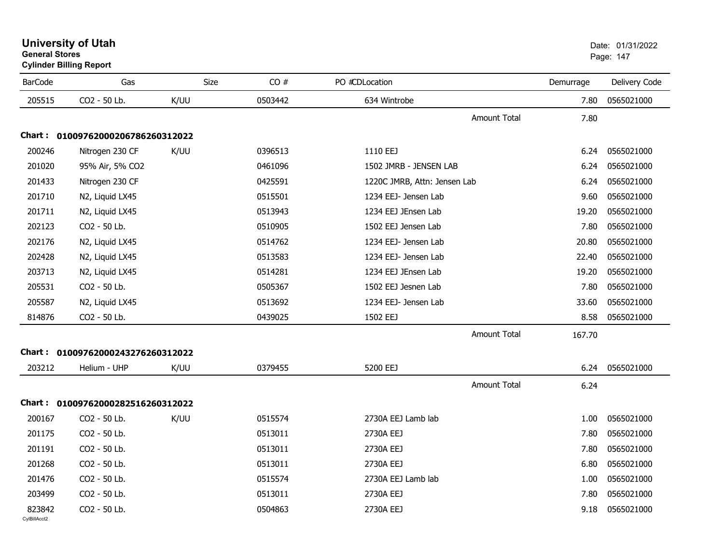|                | <b>Cylinder Billing Report</b>    |      |         |                              |           |               |  |  |  |
|----------------|-----------------------------------|------|---------|------------------------------|-----------|---------------|--|--|--|
| <b>BarCode</b> | Gas                               | Size | CO#     | PO #CDLocation               | Demurrage | Delivery Code |  |  |  |
| 205515         | CO2 - 50 Lb.                      | K/UU | 0503442 | 634 Wintrobe                 | 7.80      | 0565021000    |  |  |  |
|                |                                   |      |         | <b>Amount Total</b>          | 7.80      |               |  |  |  |
|                | Chart: 01009762000206786260312022 |      |         |                              |           |               |  |  |  |
| 200246         | Nitrogen 230 CF                   | K/UU | 0396513 | 1110 EEJ                     | 6.24      | 0565021000    |  |  |  |
| 201020         | 95% Air, 5% CO2                   |      | 0461096 | 1502 JMRB - JENSEN LAB       | 6.24      | 0565021000    |  |  |  |
| 201433         | Nitrogen 230 CF                   |      | 0425591 | 1220C JMRB, Attn: Jensen Lab | 6.24      | 0565021000    |  |  |  |
| 201710         | N2, Liquid LX45                   |      | 0515501 | 1234 EEJ- Jensen Lab         | 9.60      | 0565021000    |  |  |  |
| 201711         | N2, Liquid LX45                   |      | 0513943 | 1234 EEJ JEnsen Lab          | 19.20     | 0565021000    |  |  |  |
| 202123         | CO2 - 50 Lb.                      |      | 0510905 | 1502 EEJ Jensen Lab          | 7.80      | 0565021000    |  |  |  |
| 202176         | N2, Liquid LX45                   |      | 0514762 | 1234 EEJ- Jensen Lab         | 20.80     | 0565021000    |  |  |  |
| 202428         | N2, Liquid LX45                   |      | 0513583 | 1234 EEJ- Jensen Lab         | 22.40     | 0565021000    |  |  |  |
| 203713         | N2, Liquid LX45                   |      | 0514281 | 1234 EEJ JEnsen Lab          | 19.20     | 0565021000    |  |  |  |
| 205531         | CO2 - 50 Lb.                      |      | 0505367 | 1502 EEJ Jesnen Lab          | 7.80      | 0565021000    |  |  |  |
| 205587         | N2, Liquid LX45                   |      | 0513692 | 1234 EEJ- Jensen Lab         | 33.60     | 0565021000    |  |  |  |
| 814876         | CO2 - 50 Lb.                      |      | 0439025 | 1502 EEJ                     | 8.58      | 0565021000    |  |  |  |
|                |                                   |      |         | <b>Amount Total</b>          | 167.70    |               |  |  |  |
| Chart :        | 01009762000243276260312022        |      |         |                              |           |               |  |  |  |
| 203212         | Helium - UHP                      | K/UU | 0379455 | 5200 EEJ                     | 6.24      | 0565021000    |  |  |  |
|                |                                   |      |         | <b>Amount Total</b>          | 6.24      |               |  |  |  |
|                | Chart: 01009762000282516260312022 |      |         |                              |           |               |  |  |  |
| 200167         | CO2 - 50 Lb.                      | K/UU | 0515574 | 2730A EEJ Lamb lab           | 1.00      | 0565021000    |  |  |  |
| 201175         | CO2 - 50 Lb.                      |      | 0513011 | 2730A EEJ                    | 7.80      | 0565021000    |  |  |  |
| 201191         | CO2 - 50 Lb.                      |      | 0513011 | 2730A EEJ                    | 7.80      | 0565021000    |  |  |  |
| 201268         | CO2 - 50 Lb.                      |      | 0513011 | 2730A EEJ                    | 6.80      | 0565021000    |  |  |  |
| 201476         | CO2 - 50 Lb.                      |      | 0515574 | 2730A EEJ Lamb lab           | 1.00      | 0565021000    |  |  |  |
| 203499         | CO2 - 50 Lb.                      |      | 0513011 | 2730A EEJ                    | 7.80      | 0565021000    |  |  |  |
| 823842         | CO2 - 50 Lb.                      |      | 0504863 | 2730A EEJ                    | 9.18      | 0565021000    |  |  |  |

# **University of Utah** Date: 01/31/2022 **General Stores**end and the state of the state of the state of the state of the state of the state of the state of the state of the state of the state of the state of the state of the state of the state of the state of the state of the st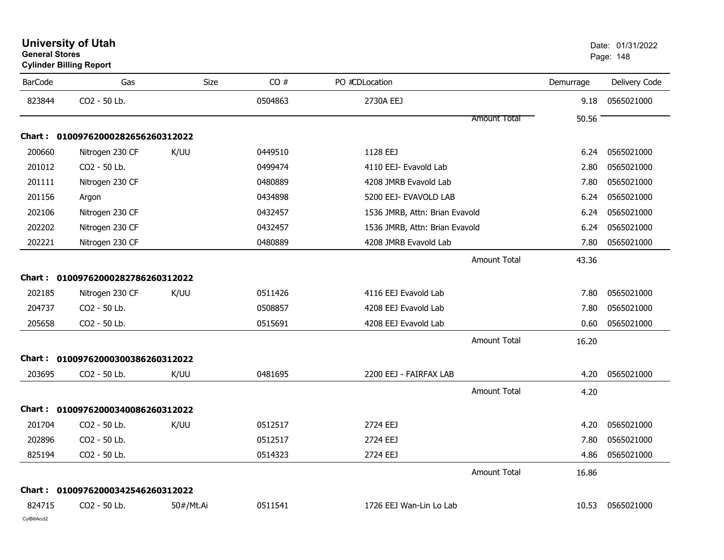| <b>BarCode</b> | Gas                               | Size      | CO#     | PO #CDLocation                 |                     | Demurrage | Delivery Code |
|----------------|-----------------------------------|-----------|---------|--------------------------------|---------------------|-----------|---------------|
| 823844         | CO2 - 50 Lb.                      |           | 0504863 | 2730A EEJ                      |                     | 9.18      | 0565021000    |
|                |                                   |           |         |                                | Amount Total        | 50.56     |               |
|                | Chart: 01009762000282656260312022 |           |         |                                |                     |           |               |
| 200660         | Nitrogen 230 CF                   | K/UU      | 0449510 | 1128 EEJ                       |                     | 6.24      | 0565021000    |
| 201012         | CO2 - 50 Lb.                      |           | 0499474 | 4110 EEJ- Evavold Lab          |                     | 2.80      | 0565021000    |
| 201111         | Nitrogen 230 CF                   |           | 0480889 | 4208 JMRB Evavold Lab          |                     | 7.80      | 0565021000    |
| 201156         | Argon                             |           | 0434898 | 5200 EEJ- EVAVOLD LAB          |                     | 6.24      | 0565021000    |
| 202106         | Nitrogen 230 CF                   |           | 0432457 | 1536 JMRB, Attn: Brian Evavold |                     | 6.24      | 0565021000    |
| 202202         | Nitrogen 230 CF                   |           | 0432457 | 1536 JMRB, Attn: Brian Evavold |                     | 6.24      | 0565021000    |
| 202221         | Nitrogen 230 CF                   |           | 0480889 | 4208 JMRB Evavold Lab          |                     | 7.80      | 0565021000    |
|                |                                   |           |         |                                | <b>Amount Total</b> | 43.36     |               |
|                | Chart: 01009762000282786260312022 |           |         |                                |                     |           |               |
| 202185         | Nitrogen 230 CF                   | K/UU      | 0511426 | 4116 EEJ Evavold Lab           |                     | 7.80      | 0565021000    |
| 204737         | CO2 - 50 Lb.                      |           | 0508857 | 4208 EEJ Evavold Lab           |                     | 7.80      | 0565021000    |
| 205658         | CO2 - 50 Lb.                      |           | 0515691 | 4208 EEJ Evavold Lab           |                     | 0.60      | 0565021000    |
|                |                                   |           |         |                                | <b>Amount Total</b> | 16.20     |               |
| <b>Chart:</b>  | 01009762000300386260312022        |           |         |                                |                     |           |               |
| 203695         | CO2 - 50 Lb.                      | K/UU      | 0481695 | 2200 EEJ - FAIRFAX LAB         |                     | 4.20      | 0565021000    |
|                |                                   |           |         |                                | <b>Amount Total</b> | 4.20      |               |
|                | Chart: 01009762000340086260312022 |           |         |                                |                     |           |               |
| 201704         | CO2 - 50 Lb.                      | K/UU      | 0512517 | 2724 EEJ                       |                     | 4.20      | 0565021000    |
| 202896         | CO2 - 50 Lb.                      |           | 0512517 | 2724 EEJ                       |                     | 7.80      | 0565021000    |
| 825194         | CO2 - 50 Lb.                      |           | 0514323 | 2724 EEJ                       |                     | 4.86      | 0565021000    |
|                |                                   |           |         |                                | <b>Amount Total</b> | 16.86     |               |
| <b>Chart:</b>  | 01009762000342546260312022        |           |         |                                |                     |           |               |
| 824715         | CO2 - 50 Lb.                      | 50#/Mt.Ai | 0511541 | 1726 EEJ Wan-Lin Lo Lab        |                     | 10.53     | 0565021000    |

### **University of Utah** Date: 01/31/2022 **General Stores**end and the state of the state of the state of the state of the state of the state of the state of the state of the state of the state of the state of the state of the state of the state of the state of the state of the st **Cylinder Billing Report**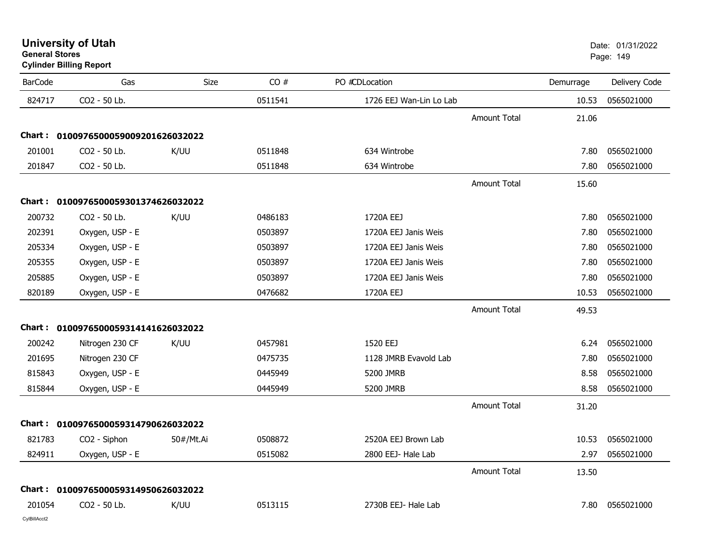**University of Utah** Date: 01/31/2022 **General Stores**

**Cylinder Billing Report**

| <b>BarCode</b> | Gas                                 | <b>Size</b> | CO#     | PO #CDLocation          |                     | Demurrage | Delivery Code |
|----------------|-------------------------------------|-------------|---------|-------------------------|---------------------|-----------|---------------|
| 824717         | CO2 - 50 Lb.                        |             | 0511541 | 1726 EEJ Wan-Lin Lo Lab |                     | 10.53     | 0565021000    |
|                |                                     |             |         |                         | <b>Amount Total</b> | 21.06     |               |
|                | Chart: 0100976500059009201626032022 |             |         |                         |                     |           |               |
| 201001         | CO2 - 50 Lb.                        | K/UU        | 0511848 | 634 Wintrobe            |                     | 7.80      | 0565021000    |
| 201847         | CO2 - 50 Lb.                        |             | 0511848 | 634 Wintrobe            |                     | 7.80      | 0565021000    |
|                |                                     |             |         |                         | Amount Total        | 15.60     |               |
|                | Chart: 0100976500059301374626032022 |             |         |                         |                     |           |               |
| 200732         | CO2 - 50 Lb.                        | K/UU        | 0486183 | 1720A EEJ               |                     | 7.80      | 0565021000    |
| 202391         | Oxygen, USP - E                     |             | 0503897 | 1720A EEJ Janis Weis    |                     | 7.80      | 0565021000    |
| 205334         | Oxygen, USP - E                     |             | 0503897 | 1720A EEJ Janis Weis    |                     | 7.80      | 0565021000    |
| 205355         | Oxygen, USP - E                     |             | 0503897 | 1720A EEJ Janis Weis    |                     | 7.80      | 0565021000    |
| 205885         | Oxygen, USP - E                     |             | 0503897 | 1720A EEJ Janis Weis    |                     | 7.80      | 0565021000    |
| 820189         | Oxygen, USP - E                     |             | 0476682 | 1720A EEJ               |                     | 10.53     | 0565021000    |
|                |                                     |             |         |                         | <b>Amount Total</b> | 49.53     |               |
|                | Chart: 0100976500059314141626032022 |             |         |                         |                     |           |               |
| 200242         | Nitrogen 230 CF                     | K/UU        | 0457981 | 1520 EEJ                |                     | 6.24      | 0565021000    |
| 201695         | Nitrogen 230 CF                     |             | 0475735 | 1128 JMRB Evavold Lab   |                     | 7.80      | 0565021000    |
| 815843         | Oxygen, USP - E                     |             | 0445949 | 5200 JMRB               |                     | 8.58      | 0565021000    |
| 815844         | Oxygen, USP - E                     |             | 0445949 | 5200 JMRB               |                     | 8.58      | 0565021000    |
|                |                                     |             |         |                         | <b>Amount Total</b> | 31.20     |               |
|                | Chart: 0100976500059314790626032022 |             |         |                         |                     |           |               |
| 821783         | CO2 - Siphon                        | 50#/Mt.Ai   | 0508872 | 2520A EEJ Brown Lab     |                     | 10.53     | 0565021000    |
| 824911         | Oxygen, USP - E                     |             | 0515082 | 2800 EEJ- Hale Lab      |                     | 2.97      | 0565021000    |
|                |                                     |             |         |                         | <b>Amount Total</b> | 13.50     |               |
|                | Chart: 0100976500059314950626032022 |             |         |                         |                     |           |               |
| 201054         | CO2 - 50 Lb.                        | K/UU        | 0513115 | 2730B EEJ- Hale Lab     |                     | 7.80      | 0565021000    |
| CvIBillAcct2   |                                     |             |         |                         |                     |           |               |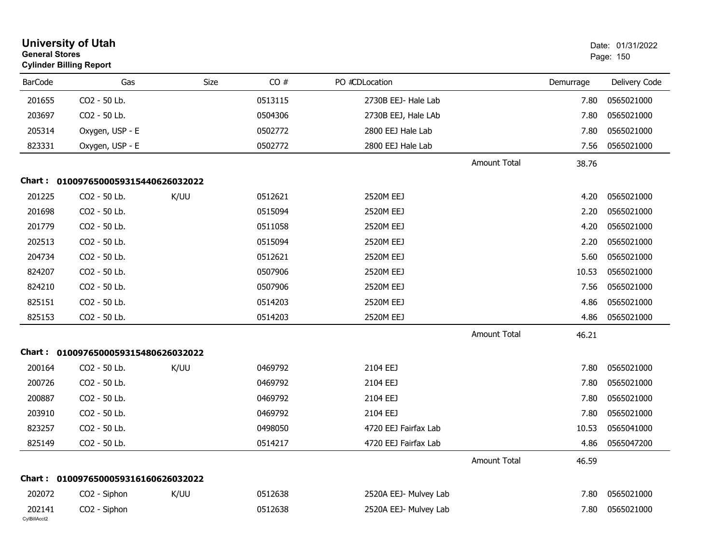|                        | <b>University of Utah</b><br><b>General Stores</b><br><b>Cylinder Billing Report</b> |      |         |                       | Date: 01/31/2022<br>Page: 150 |           |               |
|------------------------|--------------------------------------------------------------------------------------|------|---------|-----------------------|-------------------------------|-----------|---------------|
| <b>BarCode</b>         | Gas                                                                                  | Size | CO#     | PO #CDLocation        |                               | Demurrage | Delivery Code |
| 201655                 | CO2 - 50 Lb.                                                                         |      | 0513115 | 2730B EEJ- Hale Lab   |                               | 7.80      | 0565021000    |
| 203697                 | CO2 - 50 Lb.                                                                         |      | 0504306 | 2730B EEJ, Hale LAb   |                               | 7.80      | 0565021000    |
| 205314                 | Oxygen, USP - E                                                                      |      | 0502772 | 2800 EEJ Hale Lab     |                               | 7.80      | 0565021000    |
| 823331                 | Oxygen, USP - E                                                                      |      | 0502772 | 2800 EEJ Hale Lab     |                               | 7.56      | 0565021000    |
|                        |                                                                                      |      |         |                       | <b>Amount Total</b>           | 38.76     |               |
| Chart :                | 0100976500059315440626032022                                                         |      |         |                       |                               |           |               |
| 201225                 | CO2 - 50 Lb.                                                                         | K/UU | 0512621 | 2520M EEJ             |                               | 4.20      | 0565021000    |
| 201698                 | CO2 - 50 Lb.                                                                         |      | 0515094 | 2520M EEJ             |                               | 2.20      | 0565021000    |
| 201779                 | CO2 - 50 Lb.                                                                         |      | 0511058 | 2520M EEJ             |                               | 4.20      | 0565021000    |
| 202513                 | CO2 - 50 Lb.                                                                         |      | 0515094 | 2520M EEJ             |                               | 2.20      | 0565021000    |
| 204734                 | CO2 - 50 Lb.                                                                         |      | 0512621 | 2520M EEJ             |                               | 5.60      | 0565021000    |
| 824207                 | CO2 - 50 Lb.                                                                         |      | 0507906 | 2520M EEJ             |                               | 10.53     | 0565021000    |
| 824210                 | CO2 - 50 Lb.                                                                         |      | 0507906 | 2520M EEJ             |                               | 7.56      | 0565021000    |
| 825151                 | CO2 - 50 Lb.                                                                         |      | 0514203 | 2520M EEJ             |                               | 4.86      | 0565021000    |
| 825153                 | CO2 - 50 Lb.                                                                         |      | 0514203 | 2520M EEJ             |                               | 4.86      | 0565021000    |
|                        |                                                                                      |      |         |                       | <b>Amount Total</b>           | 46.21     |               |
|                        | Chart: 0100976500059315480626032022                                                  |      |         |                       |                               |           |               |
| 200164                 | CO2 - 50 Lb.                                                                         | K/UU | 0469792 | 2104 EEJ              |                               | 7.80      | 0565021000    |
| 200726                 | CO2 - 50 Lb.                                                                         |      | 0469792 | 2104 EEJ              |                               | 7.80      | 0565021000    |
| 200887                 | CO2 - 50 Lb.                                                                         |      | 0469792 | 2104 EEJ              |                               | 7.80      | 0565021000    |
| 203910                 | CO2 - 50 Lb.                                                                         |      | 0469792 | 2104 EEJ              |                               | 7.80      | 0565021000    |
| 823257                 | CO2 - 50 Lb.                                                                         |      | 0498050 | 4720 EEJ Fairfax Lab  |                               | 10.53     | 0565041000    |
| 825149                 | CO2 - 50 Lb.                                                                         |      | 0514217 | 4720 EEJ Fairfax Lab  |                               | 4.86      | 0565047200    |
|                        |                                                                                      |      |         |                       | <b>Amount Total</b>           | 46.59     |               |
|                        | Chart: 0100976500059316160626032022                                                  |      |         |                       |                               |           |               |
| 202072                 | CO <sub>2</sub> - Siphon                                                             | K/UU | 0512638 | 2520A EEJ- Mulvey Lab |                               | 7.80      | 0565021000    |
| 202141<br>CylBillAcct2 | CO2 - Siphon                                                                         |      | 0512638 | 2520A EEJ- Mulvey Lab |                               | 7.80      | 0565021000    |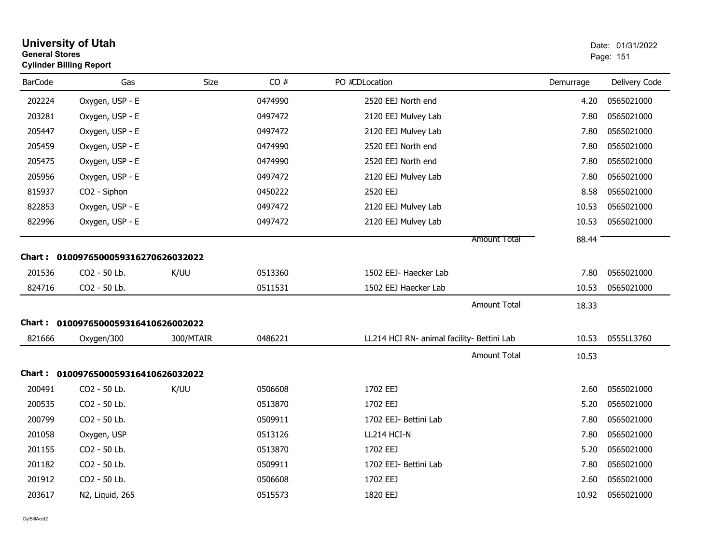|                | <b>University of Utah</b><br>Date: 01/31/2022<br><b>General Stores</b><br>Page: 151<br><b>Cylinder Billing Report</b> |           |         |                                            |           |               |
|----------------|-----------------------------------------------------------------------------------------------------------------------|-----------|---------|--------------------------------------------|-----------|---------------|
| <b>BarCode</b> | Gas                                                                                                                   | Size      | CO#     | PO #CDLocation                             | Demurrage | Delivery Code |
| 202224         | Oxygen, USP - E                                                                                                       |           | 0474990 | 2520 EEJ North end                         | 4.20      | 0565021000    |
| 203281         | Oxygen, USP - E                                                                                                       |           | 0497472 | 2120 EEJ Mulvey Lab                        | 7.80      | 0565021000    |
| 205447         | Oxygen, USP - E                                                                                                       |           | 0497472 | 2120 EEJ Mulvey Lab                        | 7.80      | 0565021000    |
| 205459         | Oxygen, USP - E                                                                                                       |           | 0474990 | 2520 EEJ North end                         | 7.80      | 0565021000    |
| 205475         | Oxygen, USP - E                                                                                                       |           | 0474990 | 2520 EEJ North end                         | 7.80      | 0565021000    |
| 205956         | Oxygen, USP - E                                                                                                       |           | 0497472 | 2120 EEJ Mulvey Lab                        | 7.80      | 0565021000    |
| 815937         | CO2 - Siphon                                                                                                          |           | 0450222 | 2520 EEJ                                   | 8.58      | 0565021000    |
| 822853         | Oxygen, USP - E                                                                                                       |           | 0497472 | 2120 EEJ Mulvey Lab                        | 10.53     | 0565021000    |
| 822996         | Oxygen, USP - E                                                                                                       |           | 0497472 | 2120 EEJ Mulvey Lab                        | 10.53     | 0565021000    |
|                |                                                                                                                       |           |         | <b>Amount Total</b>                        | 88.44     |               |
|                | Chart: 0100976500059316270626032022                                                                                   |           |         |                                            |           |               |
| 201536         | CO2 - 50 Lb.                                                                                                          | K/UU      | 0513360 | 1502 EEJ- Haecker Lab                      | 7.80      | 0565021000    |
| 824716         | CO2 - 50 Lb.                                                                                                          |           | 0511531 | 1502 EEJ Haecker Lab                       | 10.53     | 0565021000    |
|                |                                                                                                                       |           |         | <b>Amount Total</b>                        | 18.33     |               |
|                | Chart: 0100976500059316410626002022                                                                                   |           |         |                                            |           |               |
| 821666         | Oxygen/300                                                                                                            | 300/MTAIR | 0486221 | LL214 HCI RN- animal facility- Bettini Lab | 10.53     | 0555LL3760    |
|                |                                                                                                                       |           |         | <b>Amount Total</b>                        | 10.53     |               |
|                | Chart: 0100976500059316410626032022                                                                                   |           |         |                                            |           |               |
| 200491         | CO2 - 50 Lb.                                                                                                          | K/UU      | 0506608 | 1702 EEJ                                   | 2.60      | 0565021000    |
| 200535         | CO <sub>2</sub> - 50 Lb.                                                                                              |           | 0513870 | 1702 EEJ                                   | 5.20      | 0565021000    |
| 200799         | CO2 - 50 Lb.                                                                                                          |           | 0509911 | 1702 EEJ- Bettini Lab                      | 7.80      | 0565021000    |
| 201058         | Oxygen, USP                                                                                                           |           | 0513126 | LL214 HCI-N                                | 7.80      | 0565021000    |
| 201155         | CO2 - 50 Lb.                                                                                                          |           | 0513870 | 1702 EEJ                                   | 5.20      | 0565021000    |
| 201182         | CO <sub>2</sub> - 50 Lb.                                                                                              |           | 0509911 | 1702 EEJ- Bettini Lab                      | 7.80      | 0565021000    |
| 201912         | CO2 - 50 Lb.                                                                                                          |           | 0506608 | 1702 EEJ                                   | 2.60      | 0565021000    |
| 203617         | N2, Liquid, 265                                                                                                       |           | 0515573 | 1820 EEJ                                   | 10.92     | 0565021000    |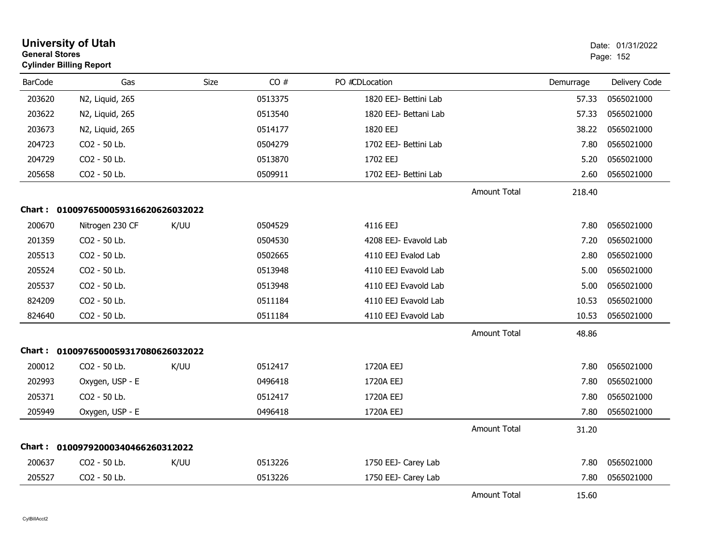|                | <b>University of Utah</b><br><b>General Stores</b><br><b>Cylinder Billing Report</b> |      |         |                       |                     | Date: 01/31/2022<br>Page: 152 |               |
|----------------|--------------------------------------------------------------------------------------|------|---------|-----------------------|---------------------|-------------------------------|---------------|
| <b>BarCode</b> | Gas                                                                                  | Size | CO#     | PO #CDLocation        |                     | Demurrage                     | Delivery Code |
| 203620         | N2, Liquid, 265                                                                      |      | 0513375 | 1820 EEJ- Bettini Lab |                     | 57.33                         | 0565021000    |
| 203622         | N2, Liquid, 265                                                                      |      | 0513540 | 1820 EEJ- Bettani Lab |                     | 57.33                         | 0565021000    |
| 203673         | N2, Liquid, 265                                                                      |      | 0514177 | 1820 EEJ              |                     | 38.22                         | 0565021000    |
| 204723         | CO2 - 50 Lb.                                                                         |      | 0504279 | 1702 EEJ- Bettini Lab |                     | 7.80                          | 0565021000    |
| 204729         | CO2 - 50 Lb.                                                                         |      | 0513870 | 1702 EEJ              |                     | 5.20                          | 0565021000    |
| 205658         | CO2 - 50 Lb.                                                                         |      | 0509911 | 1702 EEJ- Bettini Lab |                     | 2.60                          | 0565021000    |
|                |                                                                                      |      |         |                       | <b>Amount Total</b> | 218.40                        |               |
| Chart :        | 0100976500059316620626032022                                                         |      |         |                       |                     |                               |               |
| 200670         | Nitrogen 230 CF                                                                      | K/UU | 0504529 | 4116 EEJ              |                     | 7.80                          | 0565021000    |
| 201359         | CO2 - 50 Lb.                                                                         |      | 0504530 | 4208 EEJ- Evavold Lab |                     | 7.20                          | 0565021000    |
| 205513         | CO2 - 50 Lb.                                                                         |      | 0502665 | 4110 EEJ Evalod Lab   |                     | 2.80                          | 0565021000    |
| 205524         | CO2 - 50 Lb.                                                                         |      | 0513948 | 4110 EEJ Evavold Lab  |                     | 5.00                          | 0565021000    |
| 205537         | CO2 - 50 Lb.                                                                         |      | 0513948 | 4110 EEJ Evavold Lab  |                     | 5.00                          | 0565021000    |
| 824209         | CO2 - 50 Lb.                                                                         |      | 0511184 | 4110 EEJ Evavold Lab  |                     | 10.53                         | 0565021000    |
| 824640         | CO2 - 50 Lb.                                                                         |      | 0511184 | 4110 EEJ Evavold Lab  |                     | 10.53                         | 0565021000    |
|                |                                                                                      |      |         |                       | <b>Amount Total</b> | 48.86                         |               |
|                | Chart: 0100976500059317080626032022                                                  |      |         |                       |                     |                               |               |
| 200012         | CO2 - 50 Lb.                                                                         | K/UU | 0512417 | 1720A EEJ             |                     | 7.80                          | 0565021000    |
| 202993         | Oxygen, USP - E                                                                      |      | 0496418 | 1720A EEJ             |                     | 7.80                          | 0565021000    |
| 205371         | CO2 - 50 Lb.                                                                         |      | 0512417 | 1720A EEJ             |                     | 7.80                          | 0565021000    |
| 205949         | Oxygen, USP - E                                                                      |      | 0496418 | 1720A EEJ             |                     | 7.80                          | 0565021000    |
|                |                                                                                      |      |         |                       | <b>Amount Total</b> | 31.20                         |               |
| Chart :        | 01009792000340466260312022                                                           |      |         |                       |                     |                               |               |
| 200637         | CO2 - 50 Lb.                                                                         | K/UU | 0513226 | 1750 EEJ- Carey Lab   |                     | 7.80                          | 0565021000    |
| 205527         | CO2 - 50 Lb.                                                                         |      | 0513226 | 1750 EEJ- Carey Lab   |                     | 7.80                          | 0565021000    |
|                |                                                                                      |      |         |                       | <b>Amount Total</b> | 15.60                         |               |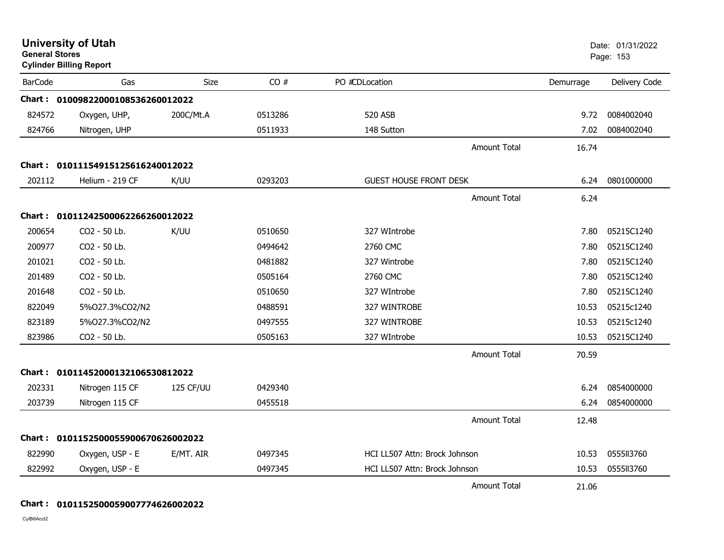|                | <b>University of Utah</b><br><b>General Stores</b><br><b>Cylinder Billing Report</b> |           |         |                               |                     | Date: 01/31/2022<br>Page: 153 |               |
|----------------|--------------------------------------------------------------------------------------|-----------|---------|-------------------------------|---------------------|-------------------------------|---------------|
| <b>BarCode</b> | Gas                                                                                  | Size      | CO#     | PO #CDLocation                |                     | Demurrage                     | Delivery Code |
|                | Chart: 01009822000108536260012022                                                    |           |         |                               |                     |                               |               |
| 824572         | Oxygen, UHP,                                                                         | 200C/Mt.A | 0513286 | 520 ASB                       |                     | 9.72                          | 0084002040    |
| 824766         | Nitrogen, UHP                                                                        |           | 0511933 | 148 Sutton                    |                     | 7.02                          | 0084002040    |
|                |                                                                                      |           |         |                               | <b>Amount Total</b> | 16.74                         |               |
|                | Chart: 01011154915125616240012022                                                    |           |         |                               |                     |                               |               |
| 202112         | Helium - 219 CF                                                                      | K/UU      | 0293203 | <b>GUEST HOUSE FRONT DESK</b> |                     | 6.24                          | 0801000000    |
|                |                                                                                      |           |         |                               | <b>Amount Total</b> | 6.24                          |               |
|                | Chart: 01011242500062266260012022                                                    |           |         |                               |                     |                               |               |
| 200654         | CO2 - 50 Lb.                                                                         | K/UU      | 0510650 | 327 WIntrobe                  |                     | 7.80                          | 05215C1240    |
| 200977         | CO2 - 50 Lb.                                                                         |           | 0494642 | 2760 CMC                      |                     | 7.80                          | 05215C1240    |
| 201021         | CO2 - 50 Lb.                                                                         |           | 0481882 | 327 Wintrobe                  |                     | 7.80                          | 05215C1240    |
| 201489         | CO2 - 50 Lb.                                                                         |           | 0505164 | 2760 CMC                      |                     | 7.80                          | 05215C1240    |
| 201648         | CO2 - 50 Lb.                                                                         |           | 0510650 | 327 WIntrobe                  |                     | 7.80                          | 05215C1240    |
| 822049         | 5%027.3%CO2/N2                                                                       |           | 0488591 | 327 WINTROBE                  |                     | 10.53                         | 05215c1240    |
| 823189         | 5%027.3%CO2/N2                                                                       |           | 0497555 | 327 WINTROBE                  |                     | 10.53                         | 05215c1240    |
| 823986         | CO2 - 50 Lb.                                                                         |           | 0505163 | 327 WIntrobe                  |                     | 10.53                         | 05215C1240    |
|                |                                                                                      |           |         |                               | <b>Amount Total</b> | 70.59                         |               |
|                | Chart: 01011452000132106530812022                                                    |           |         |                               |                     |                               |               |
| 202331         | Nitrogen 115 CF                                                                      | 125 CF/UU | 0429340 |                               |                     | 6.24                          | 0854000000    |
| 203739         | Nitrogen 115 CF                                                                      |           | 0455518 |                               |                     | 6.24                          | 0854000000    |
|                |                                                                                      |           |         |                               | <b>Amount Total</b> | 12.48                         |               |
|                | Chart: 0101152500055900670626002022                                                  |           |         |                               |                     |                               |               |
| 822990         | Oxygen, USP - E                                                                      | E/MT. AIR | 0497345 | HCI LL507 Attn: Brock Johnson |                     | 10.53                         | 0555113760    |
| 822992         | Oxygen, USP - E                                                                      |           | 0497345 | HCI LL507 Attn: Brock Johnson |                     | 10.53                         | 0555113760    |
|                |                                                                                      |           |         |                               | <b>Amount Total</b> | 21.06                         |               |

## **Chart : 0101152500059007774626002022**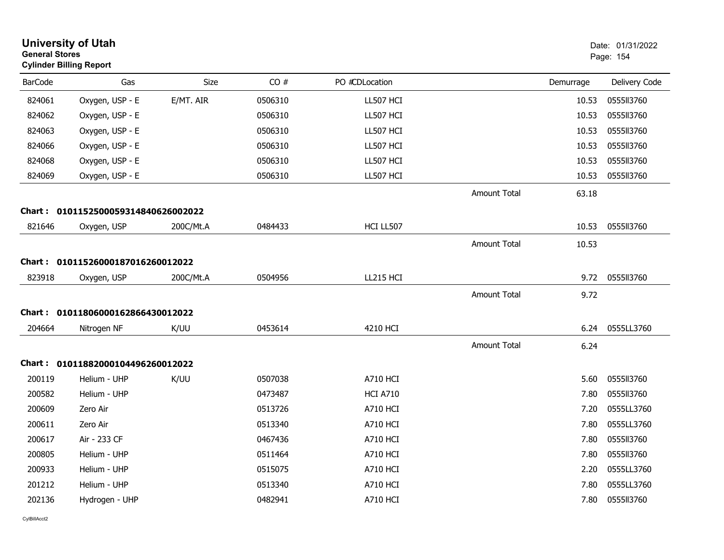| <b>General Stores</b> | <b>University of Utah</b><br><b>Cylinder Billing Report</b> |             |         |                 |                     |           | Date: 01/31/2022<br>Page: 154 |
|-----------------------|-------------------------------------------------------------|-------------|---------|-----------------|---------------------|-----------|-------------------------------|
| <b>BarCode</b>        | Gas                                                         | <b>Size</b> | CO#     | PO #CDLocation  |                     | Demurrage | Delivery Code                 |
| 824061                | Oxygen, USP - E                                             | E/MT. AIR   | 0506310 | LL507 HCI       |                     | 10.53     | 0555II3760                    |
| 824062                | Oxygen, USP - E                                             |             | 0506310 | LL507 HCI       |                     | 10.53     | 0555113760                    |
| 824063                | Oxygen, USP - E                                             |             | 0506310 | LL507 HCI       |                     | 10.53     | 0555113760                    |
| 824066                | Oxygen, USP - E                                             |             | 0506310 | LL507 HCI       |                     | 10.53     | 0555113760                    |
| 824068                | Oxygen, USP - E                                             |             | 0506310 | LL507 HCI       |                     | 10.53     | 055513760                     |
| 824069                | Oxygen, USP - E                                             |             | 0506310 | LL507 HCI       |                     | 10.53     | 0555113760                    |
|                       |                                                             |             |         |                 | <b>Amount Total</b> | 63.18     |                               |
|                       | Chart: 0101152500059314840626002022                         |             |         |                 |                     |           |                               |
| 821646                | Oxygen, USP                                                 | 200C/Mt.A   | 0484433 | HCI LL507       |                     | 10.53     | 0555113760                    |
|                       |                                                             |             |         |                 | <b>Amount Total</b> | 10.53     |                               |
|                       | Chart: 01011526000187016260012022                           |             |         |                 |                     |           |                               |
| 823918                | Oxygen, USP                                                 | 200C/Mt.A   | 0504956 | LL215 HCI       |                     | 9.72      | 0555113760                    |
|                       |                                                             |             |         |                 | <b>Amount Total</b> | 9.72      |                               |
|                       | Chart: 01011806000162866430012022                           |             |         |                 |                     |           |                               |
| 204664                | Nitrogen NF                                                 | K/UU        | 0453614 | 4210 HCI        |                     | 6.24      | 0555LL3760                    |
|                       |                                                             |             |         |                 | <b>Amount Total</b> | 6.24      |                               |
|                       | Chart: 01011882000104496260012022                           |             |         |                 |                     |           |                               |
| 200119                | Helium - UHP                                                | K/UU        | 0507038 | <b>A710 HCI</b> |                     | 5.60      | 0555113760                    |
| 200582                | Helium - UHP                                                |             | 0473487 | <b>HCI A710</b> |                     | 7.80      | 0555113760                    |
| 200609                | Zero Air                                                    |             | 0513726 | <b>A710 HCI</b> |                     | 7.20      | 0555LL3760                    |
| 200611                | Zero Air                                                    |             | 0513340 | <b>A710 HCI</b> |                     | 7.80      | 0555LL3760                    |
| 200617                | Air - 233 CF                                                |             | 0467436 | <b>A710 HCI</b> |                     | 7.80      | 0555113760                    |
| 200805                | Helium - UHP                                                |             | 0511464 | <b>A710 HCI</b> |                     | 7.80      | 0555113760                    |
| 200933                | Helium - UHP                                                |             | 0515075 | <b>A710 HCI</b> |                     | 2.20      | 0555LL3760                    |
| 201212                | Helium - UHP                                                |             | 0513340 | A710 HCI        |                     | 7.80      | 0555LL3760                    |
| 202136                | Hydrogen - UHP                                              |             | 0482941 | <b>A710 HCI</b> |                     | 7.80      | 0555113760                    |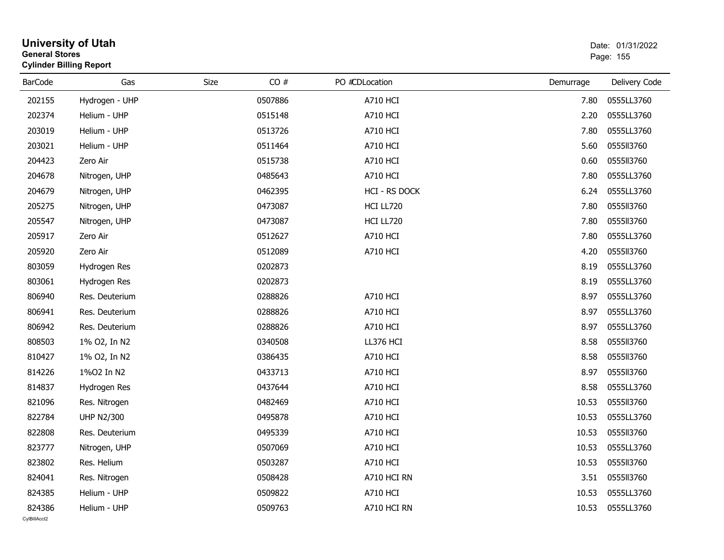| <b>General Stores</b>  | <b>University of Utah</b><br><b>Cylinder Billing Report</b> |      |         |                 |           | Date: 01/31/2022<br>Page: 155 |
|------------------------|-------------------------------------------------------------|------|---------|-----------------|-----------|-------------------------------|
| <b>BarCode</b>         | Gas                                                         | Size | CO#     | PO #CDLocation  | Demurrage | Delivery Code                 |
| 202155                 | Hydrogen - UHP                                              |      | 0507886 | <b>A710 HCI</b> | 7.80      | 0555LL3760                    |
| 202374                 | Helium - UHP                                                |      | 0515148 | <b>A710 HCI</b> | 2.20      | 0555LL3760                    |
| 203019                 | Helium - UHP                                                |      | 0513726 | <b>A710 HCI</b> | 7.80      | 0555LL3760                    |
| 203021                 | Helium - UHP                                                |      | 0511464 | <b>A710 HCI</b> | 5.60      | 0555113760                    |
| 204423                 | Zero Air                                                    |      | 0515738 | A710 HCI        | 0.60      | 0555113760                    |
| 204678                 | Nitrogen, UHP                                               |      | 0485643 | <b>A710 HCI</b> | 7.80      | 0555LL3760                    |
| 204679                 | Nitrogen, UHP                                               |      | 0462395 | HCI - RS DOCK   | 6.24      | 0555LL3760                    |
| 205275                 | Nitrogen, UHP                                               |      | 0473087 | HCI LL720       | 7.80      | 0555113760                    |
| 205547                 | Nitrogen, UHP                                               |      | 0473087 | HCI LL720       | 7.80      | 0555113760                    |
| 205917                 | Zero Air                                                    |      | 0512627 | <b>A710 HCI</b> | 7.80      | 0555LL3760                    |
| 205920                 | Zero Air                                                    |      | 0512089 | <b>A710 HCI</b> | 4.20      | 0555113760                    |
| 803059                 | Hydrogen Res                                                |      | 0202873 |                 | 8.19      | 0555LL3760                    |
| 803061                 | Hydrogen Res                                                |      | 0202873 |                 | 8.19      | 0555LL3760                    |
| 806940                 | Res. Deuterium                                              |      | 0288826 | <b>A710 HCI</b> | 8.97      | 0555LL3760                    |
| 806941                 | Res. Deuterium                                              |      | 0288826 | <b>A710 HCI</b> | 8.97      | 0555LL3760                    |
| 806942                 | Res. Deuterium                                              |      | 0288826 | A710 HCI        | 8.97      | 0555LL3760                    |
| 808503                 | 1% O2, In N2                                                |      | 0340508 | LL376 HCI       | 8.58      | 0555113760                    |
| 810427                 | 1% O2, In N2                                                |      | 0386435 | <b>A710 HCI</b> | 8.58      | 0555113760                    |
| 814226                 | 1%02 In N2                                                  |      | 0433713 | <b>A710 HCI</b> | 8.97      | 0555113760                    |
| 814837                 | Hydrogen Res                                                |      | 0437644 | <b>A710 HCI</b> | 8.58      | 0555LL3760                    |
| 821096                 | Res. Nitrogen                                               |      | 0482469 | <b>A710 HCI</b> | 10.53     | 0555113760                    |
| 822784                 | <b>UHP N2/300</b>                                           |      | 0495878 | <b>A710 HCI</b> | 10.53     | 0555LL3760                    |
| 822808                 | Res. Deuterium                                              |      | 0495339 | <b>A710 HCI</b> | 10.53     | 0555113760                    |
| 823777                 | Nitrogen, UHP                                               |      | 0507069 | <b>A710 HCI</b> |           | 10.53  0555LL3760             |
| 823802                 | Res. Helium                                                 |      | 0503287 | <b>A710 HCI</b> | 10.53     | 0555113760                    |
| 824041                 | Res. Nitrogen                                               |      | 0508428 | A710 HCI RN     | 3.51      | 0555113760                    |
| 824385                 | Helium - UHP                                                |      | 0509822 | <b>A710 HCI</b> | 10.53     | 0555LL3760                    |
| 824386<br>CvIBillAcct2 | Helium - UHP                                                |      | 0509763 | A710 HCI RN     | 10.53     | 0555LL3760                    |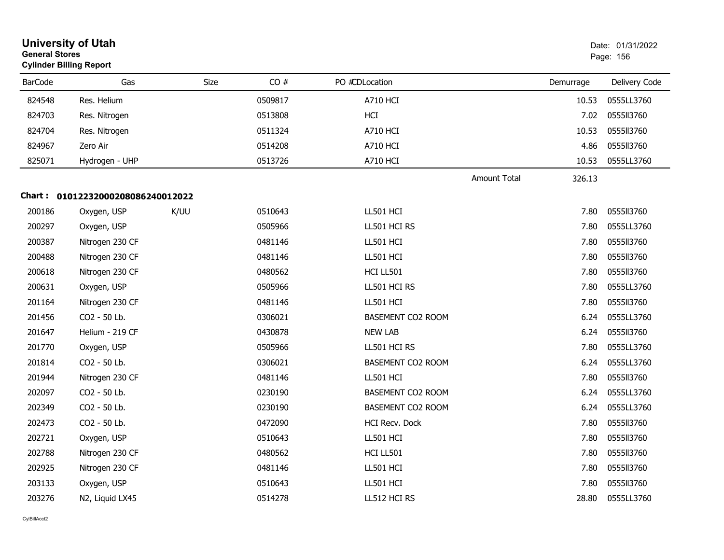| <b>General Stores</b> | <b>University of Utah</b><br><b>Cylinder Billing Report</b> |      |      |         |                          |                     |           | Date: 01/31/2022<br>Page: 156 |
|-----------------------|-------------------------------------------------------------|------|------|---------|--------------------------|---------------------|-----------|-------------------------------|
| <b>BarCode</b>        | Gas                                                         |      | Size | CO#     | PO #CDLocation           |                     | Demurrage | Delivery Code                 |
| 824548                | Res. Helium                                                 |      |      | 0509817 | <b>A710 HCI</b>          |                     | 10.53     | 0555LL3760                    |
| 824703                | Res. Nitrogen                                               |      |      | 0513808 | HCI                      |                     | 7.02      | 0555113760                    |
| 824704                | Res. Nitrogen                                               |      |      | 0511324 | A710 HCI                 |                     | 10.53     | 0555113760                    |
| 824967                | Zero Air                                                    |      |      | 0514208 | <b>A710 HCI</b>          |                     | 4.86      | 0555113760                    |
| 825071                | Hydrogen - UHP                                              |      |      | 0513726 | <b>A710 HCI</b>          |                     | 10.53     | 0555LL3760                    |
|                       |                                                             |      |      |         |                          | <b>Amount Total</b> | 326.13    |                               |
|                       | Chart: 01012232000208086240012022                           |      |      |         |                          |                     |           |                               |
| 200186                | Oxygen, USP                                                 | K/UU |      | 0510643 | LL501 HCI                |                     | 7.80      | 0555113760                    |
| 200297                | Oxygen, USP                                                 |      |      | 0505966 | LL501 HCI RS             |                     | 7.80      | 0555LL3760                    |
| 200387                | Nitrogen 230 CF                                             |      |      | 0481146 | LL501 HCI                |                     | 7.80      | 0555113760                    |
| 200488                | Nitrogen 230 CF                                             |      |      | 0481146 | LL501 HCI                |                     | 7.80      | 0555113760                    |
| 200618                | Nitrogen 230 CF                                             |      |      | 0480562 | HCI LL501                |                     | 7.80      | 0555113760                    |
| 200631                | Oxygen, USP                                                 |      |      | 0505966 | LL501 HCI RS             |                     | 7.80      | 0555LL3760                    |
| 201164                | Nitrogen 230 CF                                             |      |      | 0481146 | LL501 HCI                |                     | 7.80      | 0555113760                    |
| 201456                | CO2 - 50 Lb.                                                |      |      | 0306021 | <b>BASEMENT CO2 ROOM</b> |                     | 6.24      | 0555LL3760                    |
| 201647                | Helium - 219 CF                                             |      |      | 0430878 | <b>NEW LAB</b>           |                     | 6.24      | 0555113760                    |
| 201770                | Oxygen, USP                                                 |      |      | 0505966 | LL501 HCI RS             |                     | 7.80      | 0555LL3760                    |
| 201814                | CO2 - 50 Lb.                                                |      |      | 0306021 | BASEMENT CO2 ROOM        |                     | 6.24      | 0555LL3760                    |
| 201944                | Nitrogen 230 CF                                             |      |      | 0481146 | LL501 HCI                |                     | 7.80      | 0555113760                    |
| 202097                | CO2 - 50 Lb.                                                |      |      | 0230190 | BASEMENT CO2 ROOM        |                     | 6.24      | 0555LL3760                    |
| 202349                | CO2 - 50 Lb.                                                |      |      | 0230190 | <b>BASEMENT CO2 ROOM</b> |                     | 6.24      | 0555LL3760                    |
| 202473                | CO2 - 50 Lb.                                                |      |      | 0472090 | HCI Recv. Dock           |                     | 7.80      | 0555113760                    |
| 202721                | Oxygen, USP                                                 |      |      | 0510643 | LL501 HCI                |                     | 7.80      | 0555113760                    |
| 202788                | Nitrogen 230 CF                                             |      |      | 0480562 | HCI LL501                |                     | 7.80      | 0555113760                    |
| 202925                | Nitrogen 230 CF                                             |      |      | 0481146 | LL501 HCI                |                     | 7.80      | 0555113760                    |
| 203133                | Oxygen, USP                                                 |      |      | 0510643 | LL501 HCI                |                     | 7.80      | 0555113760                    |
| 203276                | N2, Liquid LX45                                             |      |      | 0514278 | LL512 HCI RS             |                     | 28.80     | 0555LL3760                    |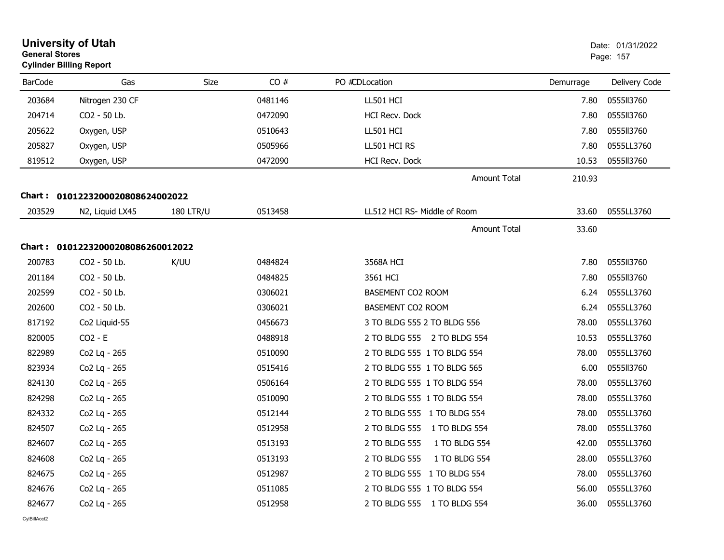| <b>General Stores</b> | <b>University of Utah</b><br><b>Cylinder Billing Report</b> |                  |         |                                |           | Date: 01/31/2022<br>Page: 157 |
|-----------------------|-------------------------------------------------------------|------------------|---------|--------------------------------|-----------|-------------------------------|
| <b>BarCode</b>        | Gas                                                         | Size             | CO#     | PO #CDLocation                 | Demurrage | Delivery Code                 |
| 203684                | Nitrogen 230 CF                                             |                  | 0481146 | LL501 HCI                      | 7.80      | 0555113760                    |
| 204714                | CO2 - 50 Lb.                                                |                  | 0472090 | HCI Recv. Dock                 | 7.80      | 0555II3760                    |
| 205622                | Oxygen, USP                                                 |                  | 0510643 | LL501 HCI                      | 7.80      | 0555113760                    |
| 205827                | Oxygen, USP                                                 |                  | 0505966 | LL501 HCI RS                   | 7.80      | 0555LL3760                    |
| 819512                | Oxygen, USP                                                 |                  | 0472090 | HCI Recv. Dock                 | 10.53     | 0555113760                    |
|                       |                                                             |                  |         | <b>Amount Total</b>            | 210.93    |                               |
|                       | Chart: 0101223200020808624002022                            |                  |         |                                |           |                               |
| 203529                | N2, Liquid LX45                                             | <b>180 LTR/U</b> | 0513458 | LL512 HCI RS- Middle of Room   | 33.60     | 0555LL3760                    |
|                       |                                                             |                  |         | <b>Amount Total</b>            | 33.60     |                               |
|                       | Chart: 01012232000208086260012022                           |                  |         |                                |           |                               |
| 200783                | CO2 - 50 Lb.                                                | K/UU             | 0484824 | 3568A HCI                      | 7.80      | 055513760                     |
| 201184                | CO2 - 50 Lb.                                                |                  | 0484825 | 3561 HCI                       | 7.80      | 0555113760                    |
| 202599                | CO2 - 50 Lb.                                                |                  | 0306021 | <b>BASEMENT CO2 ROOM</b>       | 6.24      | 0555LL3760                    |
| 202600                | CO2 - 50 Lb.                                                |                  | 0306021 | <b>BASEMENT CO2 ROOM</b>       | 6.24      | 0555LL3760                    |
| 817192                | Co2 Liquid-55                                               |                  | 0456673 | 3 TO BLDG 555 2 TO BLDG 556    | 78.00     | 0555LL3760                    |
| 820005                | $CO2 - E$                                                   |                  | 0488918 | 2 TO BLDG 555 2 TO BLDG 554    | 10.53     | 0555LL3760                    |
| 822989                | Co2 Lq - 265                                                |                  | 0510090 | 2 TO BLDG 555 1 TO BLDG 554    | 78.00     | 0555LL3760                    |
| 823934                | Co2 Lg - 265                                                |                  | 0515416 | 2 TO BLDG 555 1 TO BLDG 565    | 6.00      | 0555113760                    |
| 824130                | Co2 Lq - 265                                                |                  | 0506164 | 2 TO BLDG 555 1 TO BLDG 554    | 78.00     | 0555LL3760                    |
| 824298                | Co2 Lq - 265                                                |                  | 0510090 | 2 TO BLDG 555 1 TO BLDG 554    | 78.00     | 0555LL3760                    |
| 824332                | Co2 Lq - 265                                                |                  | 0512144 | 2 TO BLDG 555 1 TO BLDG 554    | 78.00     | 0555LL3760                    |
| 824507                | Co2 Lg - 265                                                |                  | 0512958 | 2 TO BLDG 555 1 TO BLDG 554    | 78.00     | 0555LL3760                    |
| 824607                | Co2 Lg - 265                                                |                  | 0513193 | 2 TO BLDG 555<br>1 TO BLDG 554 | 42.00     | 0555LL3760                    |
| 824608                | Co2 Lq - 265                                                |                  | 0513193 | 2 TO BLDG 555<br>1 TO BLDG 554 | 28.00     | 0555LL3760                    |
| 824675                | Co2 Lq - 265                                                |                  | 0512987 | 2 TO BLDG 555 1 TO BLDG 554    | 78.00     | 0555LL3760                    |
| 824676                | Co2 Lq - 265                                                |                  | 0511085 | 2 TO BLDG 555 1 TO BLDG 554    | 56.00     | 0555LL3760                    |
| 824677                | Co2 Lq - 265                                                |                  | 0512958 | 2 TO BLDG 555 1 TO BLDG 554    | 36.00     | 0555LL3760                    |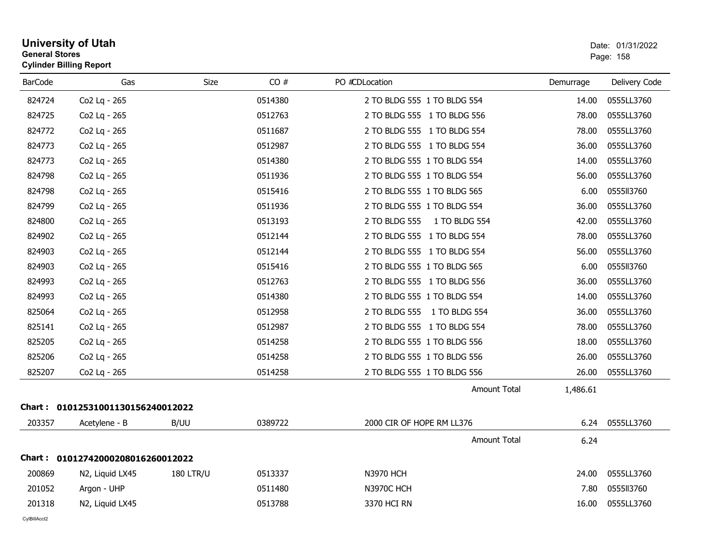| General Stores | <b>Cylinder Billing Report</b>    |                  |         |                                |           | Page: 158     |  |  |
|----------------|-----------------------------------|------------------|---------|--------------------------------|-----------|---------------|--|--|
| <b>BarCode</b> | Gas                               | Size             | CO#     | PO #CDLocation                 | Demurrage | Delivery Code |  |  |
| 824724         | Co2 Lq - 265                      |                  | 0514380 | 2 TO BLDG 555 1 TO BLDG 554    | 14.00     | 0555LL3760    |  |  |
| 824725         | Co2 Lq - 265                      |                  | 0512763 | 2 TO BLDG 555 1 TO BLDG 556    | 78.00     | 0555LL3760    |  |  |
| 824772         | Co2 Lq - 265                      |                  | 0511687 | 2 TO BLDG 555 1 TO BLDG 554    | 78.00     | 0555LL3760    |  |  |
| 824773         | Co2 Lq - 265                      |                  | 0512987 | 2 TO BLDG 555 1 TO BLDG 554    | 36.00     | 0555LL3760    |  |  |
| 824773         | Co2 Lq - 265                      |                  | 0514380 | 2 TO BLDG 555 1 TO BLDG 554    | 14.00     | 0555LL3760    |  |  |
| 824798         | Co2 Lq - 265                      |                  | 0511936 | 2 TO BLDG 555 1 TO BLDG 554    | 56.00     | 0555LL3760    |  |  |
| 824798         | Co2 Lq - 265                      |                  | 0515416 | 2 TO BLDG 555 1 TO BLDG 565    | 6.00      | 0555113760    |  |  |
| 824799         | Co2 Lq - 265                      |                  | 0511936 | 2 TO BLDG 555 1 TO BLDG 554    | 36.00     | 0555LL3760    |  |  |
| 824800         | Co2 Lq - 265                      |                  | 0513193 | 2 TO BLDG 555<br>1 TO BLDG 554 | 42.00     | 0555LL3760    |  |  |
| 824902         | Co2 Lq - 265                      |                  | 0512144 | 2 TO BLDG 555 1 TO BLDG 554    | 78.00     | 0555LL3760    |  |  |
| 824903         | Co2 Lq - 265                      |                  | 0512144 | 2 TO BLDG 555 1 TO BLDG 554    | 56.00     | 0555LL3760    |  |  |
| 824903         | Co2 Lq - 265                      |                  | 0515416 | 2 TO BLDG 555 1 TO BLDG 565    | 6.00      | 0555113760    |  |  |
| 824993         | Co2 Lq - 265                      |                  | 0512763 | 2 TO BLDG 555 1 TO BLDG 556    | 36.00     | 0555LL3760    |  |  |
| 824993         | Co2 Lq - 265                      |                  | 0514380 | 2 TO BLDG 555 1 TO BLDG 554    | 14.00     | 0555LL3760    |  |  |
| 825064         | Co2 Lq - 265                      |                  | 0512958 | 2 TO BLDG 555 1 TO BLDG 554    | 36.00     | 0555LL3760    |  |  |
| 825141         | Co2 Lq - 265                      |                  | 0512987 | 2 TO BLDG 555 1 TO BLDG 554    | 78.00     | 0555LL3760    |  |  |
| 825205         | Co2 Lq - 265                      |                  | 0514258 | 2 TO BLDG 555 1 TO BLDG 556    | 18.00     | 0555LL3760    |  |  |
| 825206         | Co2 Lq - 265                      |                  | 0514258 | 2 TO BLDG 555 1 TO BLDG 556    | 26.00     | 0555LL3760    |  |  |
| 825207         | Co2 Lq - 265                      |                  | 0514258 | 2 TO BLDG 555 1 TO BLDG 556    | 26.00     | 0555LL3760    |  |  |
|                |                                   |                  |         | <b>Amount Total</b>            | 1,486.61  |               |  |  |
|                | Chart: 01012531001130156240012022 |                  |         |                                |           |               |  |  |
| 203357         | Acetylene - B                     | B/UU             | 0389722 | 2000 CIR OF HOPE RM LL376      | 6.24      | 0555LL3760    |  |  |
|                |                                   |                  |         | <b>Amount Total</b>            | 6.24      |               |  |  |
|                | Chart: 01012742000208016260012022 |                  |         |                                |           |               |  |  |
| 200869         | N2, Liquid LX45                   | <b>180 LTR/U</b> | 0513337 | <b>N3970 HCH</b>               | 24.00     | 0555LL3760    |  |  |
| 201052         | Argon - UHP                       |                  | 0511480 | <b>N3970C HCH</b>              | 7.80      | 0555113760    |  |  |
| 201318         | N2, Liquid LX45                   |                  | 0513788 | 3370 HCI RN                    | 16.00     | 0555LL3760    |  |  |

# **University of Utah** Date: 01/31/2022 **General Stores**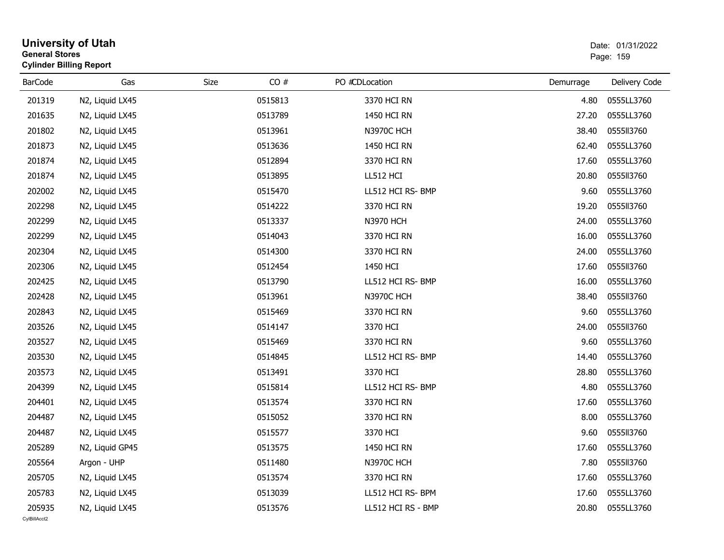| <b>General Stores</b> | <b>University of Utah</b><br><b>Cylinder Billing Report</b> |      |         |                    |           | Date: 01/31/2022<br>Page: 159 |  |
|-----------------------|-------------------------------------------------------------|------|---------|--------------------|-----------|-------------------------------|--|
| <b>BarCode</b>        | Gas                                                         | Size | CO#     | PO #CDLocation     | Demurrage | Delivery Code                 |  |
| 201319                | N2, Liquid LX45                                             |      | 0515813 | 3370 HCI RN        | 4.80      | 0555LL3760                    |  |
| 201635                | N <sub>2</sub> , Liquid LX <sub>45</sub>                    |      | 0513789 | 1450 HCI RN        | 27.20     | 0555LL3760                    |  |
| 201802                | N2, Liquid LX45                                             |      | 0513961 | N3970C HCH         | 38.40     | 0555113760                    |  |
| 201873                | N2, Liquid LX45                                             |      | 0513636 | 1450 HCI RN        | 62.40     | 0555LL3760                    |  |
| 201874                | N2, Liquid LX45                                             |      | 0512894 | 3370 HCI RN        | 17.60     | 0555LL3760                    |  |
| 201874                | N2, Liquid LX45                                             |      | 0513895 | LL512 HCI          | 20.80     | 0555113760                    |  |
| 202002                | N2, Liquid LX45                                             |      | 0515470 | LL512 HCI RS- BMP  | 9.60      | 0555LL3760                    |  |
| 202298                | N2, Liquid LX45                                             |      | 0514222 | 3370 HCI RN        | 19.20     | 0555113760                    |  |
| 202299                | N2, Liquid LX45                                             |      | 0513337 | <b>N3970 HCH</b>   | 24.00     | 0555LL3760                    |  |
| 202299                | N2, Liquid LX45                                             |      | 0514043 | 3370 HCI RN        | 16.00     | 0555LL3760                    |  |
| 202304                | N2, Liquid LX45                                             |      | 0514300 | 3370 HCI RN        | 24.00     | 0555LL3760                    |  |
| 202306                | N2, Liquid LX45                                             |      | 0512454 | 1450 HCI           | 17.60     | 0555113760                    |  |
| 202425                | N2, Liquid LX45                                             |      | 0513790 | LL512 HCI RS- BMP  | 16.00     | 0555LL3760                    |  |
| 202428                | N2, Liquid LX45                                             |      | 0513961 | N3970C HCH         | 38.40     | 0555113760                    |  |
| 202843                | N2, Liquid LX45                                             |      | 0515469 | 3370 HCI RN        | 9.60      | 0555LL3760                    |  |
| 203526                | N2, Liquid LX45                                             |      | 0514147 | 3370 HCI           | 24.00     | 0555113760                    |  |
| 203527                | N2, Liquid LX45                                             |      | 0515469 | 3370 HCI RN        | 9.60      | 0555LL3760                    |  |
| 203530                | N <sub>2</sub> , Liquid LX <sub>45</sub>                    |      | 0514845 | LL512 HCI RS- BMP  | 14.40     | 0555LL3760                    |  |
| 203573                | N2, Liquid LX45                                             |      | 0513491 | 3370 HCI           | 28.80     | 0555LL3760                    |  |
| 204399                | N2, Liquid LX45                                             |      | 0515814 | LL512 HCI RS- BMP  | 4.80      | 0555LL3760                    |  |
| 204401                | N2, Liquid LX45                                             |      | 0513574 | 3370 HCI RN        | 17.60     | 0555LL3760                    |  |
| 204487                | N2, Liquid LX45                                             |      | 0515052 | 3370 HCI RN        | 8.00      | 0555LL3760                    |  |
| 204487                | N2, Liquid LX45                                             |      | 0515577 | 3370 HCI           | 9.60      | 0555113760                    |  |
| 205289                | N2, Liquid GP45                                             |      | 0513575 | 1450 HCI RN        | 17.60     | 0555LL3760                    |  |
| 205564                | Argon - UHP                                                 |      | 0511480 | <b>N3970C HCH</b>  | 7.80      | 0555113760                    |  |
| 205705                | N2, Liquid LX45                                             |      | 0513574 | 3370 HCI RN        | 17.60     | 0555LL3760                    |  |
| 205783                | N2, Liquid LX45                                             |      | 0513039 | LL512 HCI RS- BPM  | 17.60     | 0555LL3760                    |  |
| 205935                | N2, Liquid LX45                                             |      | 0513576 | LL512 HCI RS - BMP | 20.80     | 0555LL3760                    |  |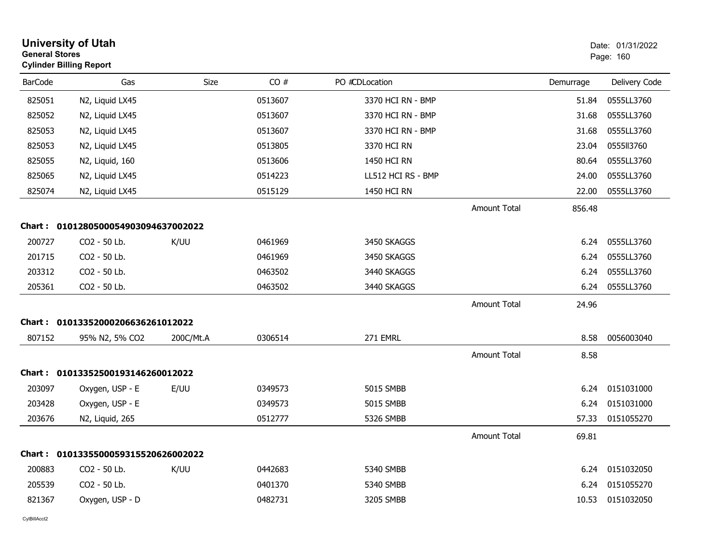|                | <b>University of Utah</b><br><b>General Stores</b><br><b>Cylinder Billing Report</b> |           |         |                    |                     |           | Date: 01/31/2022<br>Page: 160 |  |
|----------------|--------------------------------------------------------------------------------------|-----------|---------|--------------------|---------------------|-----------|-------------------------------|--|
| <b>BarCode</b> | Gas                                                                                  | Size      | CO#     | PO #CDLocation     |                     | Demurrage | Delivery Code                 |  |
| 825051         | N2, Liquid LX45                                                                      |           | 0513607 | 3370 HCI RN - BMP  |                     | 51.84     | 0555LL3760                    |  |
| 825052         | N2, Liquid LX45                                                                      |           | 0513607 | 3370 HCI RN - BMP  |                     | 31.68     | 0555LL3760                    |  |
| 825053         | N2, Liquid LX45                                                                      |           | 0513607 | 3370 HCI RN - BMP  |                     | 31.68     | 0555LL3760                    |  |
| 825053         | N2, Liquid LX45                                                                      |           | 0513805 | 3370 HCI RN        |                     | 23.04     | 0555113760                    |  |
| 825055         | N2, Liquid, 160                                                                      |           | 0513606 | 1450 HCI RN        |                     | 80.64     | 0555LL3760                    |  |
| 825065         | N2, Liquid LX45                                                                      |           | 0514223 | LL512 HCI RS - BMP |                     | 24.00     | 0555LL3760                    |  |
| 825074         | N2, Liquid LX45                                                                      |           | 0515129 | 1450 HCI RN        |                     | 22.00     | 0555LL3760                    |  |
|                |                                                                                      |           |         |                    | <b>Amount Total</b> | 856.48    |                               |  |
|                | Chart: 0101280500054903094637002022                                                  |           |         |                    |                     |           |                               |  |
| 200727         | CO2 - 50 Lb.                                                                         | K/UU      | 0461969 | 3450 SKAGGS        |                     | 6.24      | 0555LL3760                    |  |
| 201715         | CO2 - 50 Lb.                                                                         |           | 0461969 | 3450 SKAGGS        |                     | 6.24      | 0555LL3760                    |  |
| 203312         | CO2 - 50 Lb.                                                                         |           | 0463502 | 3440 SKAGGS        |                     | 6.24      | 0555LL3760                    |  |
| 205361         | CO2 - 50 Lb.                                                                         |           | 0463502 | 3440 SKAGGS        |                     | 6.24      | 0555LL3760                    |  |
|                |                                                                                      |           |         |                    | <b>Amount Total</b> | 24.96     |                               |  |
|                | Chart: 01013352000206636261012022                                                    |           |         |                    |                     |           |                               |  |
| 807152         | 95% N2, 5% CO2                                                                       | 200C/Mt.A | 0306514 | 271 EMRL           |                     | 8.58      | 0056003040                    |  |
|                |                                                                                      |           |         |                    | <b>Amount Total</b> | 8.58      |                               |  |
|                | Chart: 01013352500193146260012022                                                    |           |         |                    |                     |           |                               |  |
| 203097         | Oxygen, USP - E                                                                      | E/UU      | 0349573 | 5015 SMBB          |                     | 6.24      | 0151031000                    |  |
| 203428         | Oxygen, USP - E                                                                      |           | 0349573 | 5015 SMBB          |                     | 6.24      | 0151031000                    |  |
| 203676         | N2, Liquid, 265                                                                      |           | 0512777 | 5326 SMBB          |                     | 57.33     | 0151055270                    |  |
|                |                                                                                      |           |         |                    | <b>Amount Total</b> | 69.81     |                               |  |
|                | Chart: 0101335500059315520626002022                                                  |           |         |                    |                     |           |                               |  |
| 200883         | CO2 - 50 Lb.                                                                         | K/UU      | 0442683 | 5340 SMBB          |                     | 6.24      | 0151032050                    |  |
| 205539         | CO2 - 50 Lb.                                                                         |           | 0401370 | 5340 SMBB          |                     | 6.24      | 0151055270                    |  |
| 821367         | Oxygen, USP - D                                                                      |           | 0482731 | 3205 SMBB          |                     | 10.53     | 0151032050                    |  |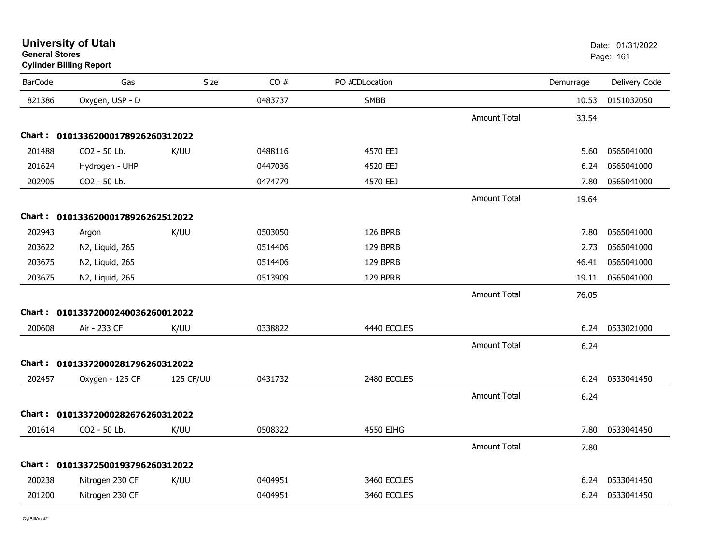|                | <b>Cymner Dinnig Report</b>       |           |         |                |                     |           |               |
|----------------|-----------------------------------|-----------|---------|----------------|---------------------|-----------|---------------|
| <b>BarCode</b> | Gas                               | Size      | CO#     | PO #CDLocation |                     | Demurrage | Delivery Code |
| 821386         | Oxygen, USP - D                   |           | 0483737 | <b>SMBB</b>    |                     | 10.53     | 0151032050    |
|                |                                   |           |         |                | Amount Total        | 33.54     |               |
|                | Chart: 01013362000178926260312022 |           |         |                |                     |           |               |
| 201488         | CO2 - 50 Lb.                      | K/UU      | 0488116 | 4570 EEJ       |                     | 5.60      | 0565041000    |
| 201624         | Hydrogen - UHP                    |           | 0447036 | 4520 EEJ       |                     | 6.24      | 0565041000    |
| 202905         | CO2 - 50 Lb.                      |           | 0474779 | 4570 EEJ       |                     | 7.80      | 0565041000    |
|                |                                   |           |         |                | Amount Total        | 19.64     |               |
|                | Chart: 01013362000178926262512022 |           |         |                |                     |           |               |
| 202943         | Argon                             | K/UU      | 0503050 | 126 BPRB       |                     | 7.80      | 0565041000    |
| 203622         | N2, Liquid, 265                   |           | 0514406 | 129 BPRB       |                     | 2.73      | 0565041000    |
| 203675         | N2, Liquid, 265                   |           | 0514406 | 129 BPRB       |                     | 46.41     | 0565041000    |
| 203675         | N2, Liquid, 265                   |           | 0513909 | 129 BPRB       |                     | 19.11     | 0565041000    |
|                |                                   |           |         |                | <b>Amount Total</b> | 76.05     |               |
|                | Chart: 01013372000240036260012022 |           |         |                |                     |           |               |
| 200608         | Air - 233 CF                      | K/UU      | 0338822 | 4440 ECCLES    |                     | 6.24      | 0533021000    |
|                |                                   |           |         |                | <b>Amount Total</b> | 6.24      |               |
|                | Chart: 01013372000281796260312022 |           |         |                |                     |           |               |
| 202457         | Oxygen - 125 CF                   | 125 CF/UU | 0431732 | 2480 ECCLES    |                     | 6.24      | 0533041450    |
|                |                                   |           |         |                | Amount Total        | 6.24      |               |
|                | Chart: 01013372000282676260312022 |           |         |                |                     |           |               |
| 201614         | CO2 - 50 Lb.                      | K/UU      | 0508322 | 4550 EIHG      |                     | 7.80      | 0533041450    |
|                |                                   |           |         |                | Amount Total        | 7.80      |               |
|                | Chart: 01013372500193796260312022 |           |         |                |                     |           |               |
| 200238         | Nitrogen 230 CF                   | K/UU      | 0404951 | 3460 ECCLES    |                     | 6.24      | 0533041450    |
| 201200         | Nitrogen 230 CF                   |           | 0404951 | 3460 ECCLES    |                     | 6.24      | 0533041450    |
|                |                                   |           |         |                |                     |           |               |

**University of Utah** Date: 01/31/2022 **General Stores**er van die 161de eeu n.C. In 161de eeu n.C. Soos ander van die 161de eeu n.C. Soos in 161de eeu n.C. 161de eeu **Cylinder Billing Report**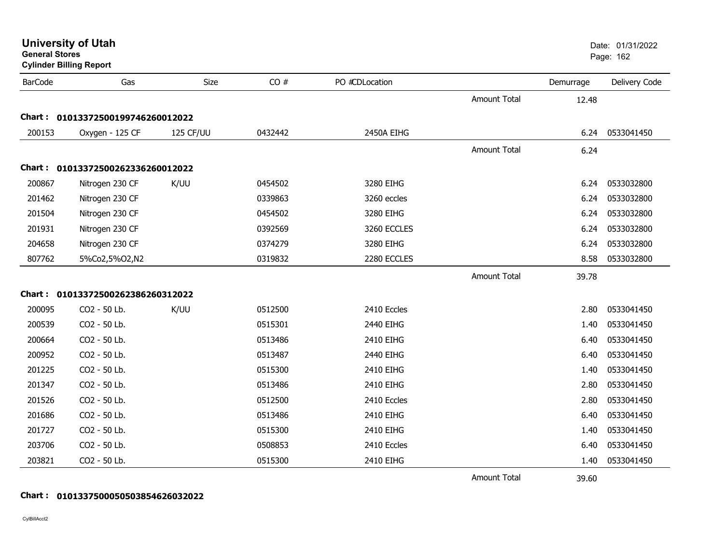|                | <b>Cylinder Dilling Report</b>    |           |         |                |                     |           |               |
|----------------|-----------------------------------|-----------|---------|----------------|---------------------|-----------|---------------|
| <b>BarCode</b> | Gas                               | Size      | CO#     | PO #CDLocation |                     | Demurrage | Delivery Code |
|                |                                   |           |         |                | <b>Amount Total</b> | 12.48     |               |
|                | Chart: 01013372500199746260012022 |           |         |                |                     |           |               |
| 200153         | Oxygen - 125 CF                   | 125 CF/UU | 0432442 | 2450A EIHG     |                     | 6.24      | 0533041450    |
|                |                                   |           |         |                | Amount Total        | 6.24      |               |
|                | Chart: 01013372500262336260012022 |           |         |                |                     |           |               |
| 200867         | Nitrogen 230 CF                   | K/UU      | 0454502 | 3280 EIHG      |                     | 6.24      | 0533032800    |
| 201462         | Nitrogen 230 CF                   |           | 0339863 | 3260 eccles    |                     | 6.24      | 0533032800    |
| 201504         | Nitrogen 230 CF                   |           | 0454502 | 3280 EIHG      |                     | 6.24      | 0533032800    |
| 201931         | Nitrogen 230 CF                   |           | 0392569 | 3260 ECCLES    |                     | 6.24      | 0533032800    |
| 204658         | Nitrogen 230 CF                   |           | 0374279 | 3280 EIHG      |                     | 6.24      | 0533032800    |
| 807762         | 5%Co2,5%O2,N2                     |           | 0319832 | 2280 ECCLES    |                     | 8.58      | 0533032800    |
|                |                                   |           |         |                | <b>Amount Total</b> | 39.78     |               |
|                | Chart: 01013372500262386260312022 |           |         |                |                     |           |               |
| 200095         | CO2 - 50 Lb.                      | K/UU      | 0512500 | 2410 Eccles    |                     | 2.80      | 0533041450    |
| 200539         | CO2 - 50 Lb.                      |           | 0515301 | 2440 EIHG      |                     | 1.40      | 0533041450    |
| 200664         | CO2 - 50 Lb.                      |           | 0513486 | 2410 EIHG      |                     | 6.40      | 0533041450    |
| 200952         | CO2 - 50 Lb.                      |           | 0513487 | 2440 EIHG      |                     | 6.40      | 0533041450    |
| 201225         | CO2 - 50 Lb.                      |           | 0515300 | 2410 EIHG      |                     | 1.40      | 0533041450    |
| 201347         | CO2 - 50 Lb.                      |           | 0513486 | 2410 EIHG      |                     | 2.80      | 0533041450    |
| 201526         | CO2 - 50 Lb.                      |           | 0512500 | 2410 Eccles    |                     | 2.80      | 0533041450    |
| 201686         | CO2 - 50 Lb.                      |           | 0513486 | 2410 EIHG      |                     | 6.40      | 0533041450    |
| 201727         | CO2 - 50 Lb.                      |           | 0515300 | 2410 EIHG      |                     | 1.40      | 0533041450    |
| 203706         | CO2 - 50 Lb.                      |           | 0508853 | 2410 Eccles    |                     | 6.40      | 0533041450    |
| 203821         | CO2 - 50 Lb.                      |           | 0515300 | 2410 EIHG      |                     | 1.40      | 0533041450    |
|                |                                   |           |         |                | <b>Amount Total</b> | 39.60     |               |

**General Stores**

**Cylinder Billing Report**

**Chart : 0101337500050503854626032022**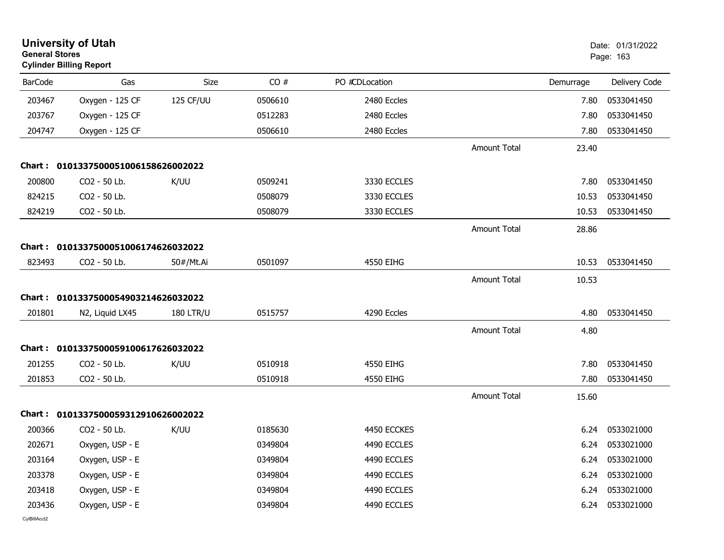| <b>General Stores</b> | <b>University of Utah</b><br><b>Cylinder Billing Report</b> |                  |         |                |                     |           | Date: 01/31/2022<br>Page: 163 |
|-----------------------|-------------------------------------------------------------|------------------|---------|----------------|---------------------|-----------|-------------------------------|
| <b>BarCode</b>        | Gas                                                         | Size             | CO#     | PO #CDLocation |                     | Demurrage | Delivery Code                 |
| 203467                | Oxygen - 125 CF                                             | 125 CF/UU        | 0506610 | 2480 Eccles    |                     | 7.80      | 0533041450                    |
| 203767                | Oxygen - 125 CF                                             |                  | 0512283 | 2480 Eccles    |                     | 7.80      | 0533041450                    |
| 204747                | Oxygen - 125 CF                                             |                  | 0506610 | 2480 Eccles    |                     | 7.80      | 0533041450                    |
|                       |                                                             |                  |         |                | <b>Amount Total</b> | 23.40     |                               |
|                       | Chart: 0101337500051006158626002022                         |                  |         |                |                     |           |                               |
| 200800                | CO2 - 50 Lb.                                                | K/UU             | 0509241 | 3330 ECCLES    |                     | 7.80      | 0533041450                    |
| 824215                | CO2 - 50 Lb.                                                |                  | 0508079 | 3330 ECCLES    |                     | 10.53     | 0533041450                    |
| 824219                | CO2 - 50 Lb.                                                |                  | 0508079 | 3330 ECCLES    |                     | 10.53     | 0533041450                    |
|                       |                                                             |                  |         |                | <b>Amount Total</b> | 28.86     |                               |
| Chart :               | 0101337500051006174626032022                                |                  |         |                |                     |           |                               |
| 823493                | CO2 - 50 Lb.                                                | 50#/Mt.Ai        | 0501097 | 4550 EIHG      |                     | 10.53     | 0533041450                    |
|                       |                                                             |                  |         |                | <b>Amount Total</b> | 10.53     |                               |
|                       | Chart: 0101337500054903214626032022                         |                  |         |                |                     |           |                               |
| 201801                | N2, Liquid LX45                                             | <b>180 LTR/U</b> | 0515757 | 4290 Eccles    |                     | 4.80      | 0533041450                    |
|                       |                                                             |                  |         |                | <b>Amount Total</b> | 4.80      |                               |
|                       | Chart: 0101337500059100617626032022                         |                  |         |                |                     |           |                               |
| 201255                | CO2 - 50 Lb.                                                | K/UU             | 0510918 | 4550 EIHG      |                     | 7.80      | 0533041450                    |
| 201853                | CO2 - 50 Lb.                                                |                  | 0510918 | 4550 EIHG      |                     | 7.80      | 0533041450                    |
|                       |                                                             |                  |         |                | <b>Amount Total</b> | 15.60     |                               |
| Chart :               | 0101337500059312910626002022                                |                  |         |                |                     |           |                               |
| 200366                | CO2 - 50 Lb.                                                | K/UU             | 0185630 | 4450 ECCKES    |                     | 6.24      | 0533021000                    |
| 202671                | Oxygen, USP - E                                             |                  | 0349804 | 4490 ECCLES    |                     | 6.24      | 0533021000                    |
| 203164                | Oxygen, USP - E                                             |                  | 0349804 | 4490 ECCLES    |                     | 6.24      | 0533021000                    |
| 203378                | Oxygen, USP - E                                             |                  | 0349804 | 4490 ECCLES    |                     | 6.24      | 0533021000                    |
| 203418                | Oxygen, USP - E                                             |                  | 0349804 | 4490 ECCLES    |                     | 6.24      | 0533021000                    |
| 203436                | Oxygen, USP - E                                             |                  | 0349804 | 4490 ECCLES    |                     | 6.24      | 0533021000                    |
| CvIBillAcct2          |                                                             |                  |         |                |                     |           |                               |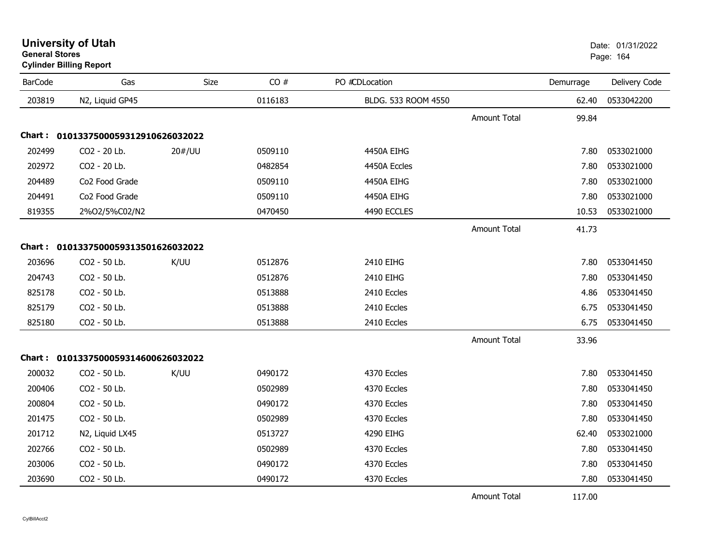| <b>University of Utah</b> |  |
|---------------------------|--|
| <b>General Stores</b>     |  |

# **Cylinder Billing Report**

| <b>BarCode</b> | Gas                                 | Size   | CO#     | PO #CDLocation      |                       | Demurrage | Delivery Code |
|----------------|-------------------------------------|--------|---------|---------------------|-----------------------|-----------|---------------|
| 203819         | N2, Liquid GP45                     |        | 0116183 | BLDG. 533 ROOM 4550 |                       | 62.40     | 0533042200    |
|                |                                     |        |         |                     | Amount Total          | 99.84     |               |
|                | Chart: 0101337500059312910626032022 |        |         |                     |                       |           |               |
| 202499         | CO2 - 20 Lb.                        | 20#/UU | 0509110 | 4450A EIHG          |                       | 7.80      | 0533021000    |
| 202972         | CO2 - 20 Lb.                        |        | 0482854 | 4450A Eccles        |                       | 7.80      | 0533021000    |
| 204489         | Co <sub>2</sub> Food Grade          |        | 0509110 | 4450A EIHG          |                       | 7.80      | 0533021000    |
| 204491         | Co2 Food Grade                      |        | 0509110 | 4450A EIHG          |                       | 7.80      | 0533021000    |
| 819355         | 2%O2/5%C02/N2                       |        | 0470450 | 4490 ECCLES         |                       | 10.53     | 0533021000    |
|                |                                     |        |         |                     | <b>Amount Total</b>   | 41.73     |               |
|                | Chart: 0101337500059313501626032022 |        |         |                     |                       |           |               |
| 203696         | CO2 - 50 Lb.                        | K/UU   | 0512876 | 2410 EIHG           |                       | 7.80      | 0533041450    |
| 204743         | CO2 - 50 Lb.                        |        | 0512876 | 2410 EIHG           |                       | 7.80      | 0533041450    |
| 825178         | CO2 - 50 Lb.                        |        | 0513888 | 2410 Eccles         |                       | 4.86      | 0533041450    |
| 825179         | CO2 - 50 Lb.                        |        | 0513888 | 2410 Eccles         |                       | 6.75      | 0533041450    |
| 825180         | CO2 - 50 Lb.                        |        | 0513888 | 2410 Eccles         |                       | 6.75      | 0533041450    |
|                |                                     |        |         |                     | <b>Amount Total</b>   | 33.96     |               |
|                | Chart: 0101337500059314600626032022 |        |         |                     |                       |           |               |
| 200032         | CO2 - 50 Lb.                        | K/UU   | 0490172 | 4370 Eccles         |                       | 7.80      | 0533041450    |
| 200406         | CO2 - 50 Lb.                        |        | 0502989 | 4370 Eccles         |                       | 7.80      | 0533041450    |
| 200804         | CO2 - 50 Lb.                        |        | 0490172 | 4370 Eccles         |                       | 7.80      | 0533041450    |
| 201475         | CO2 - 50 Lb.                        |        | 0502989 | 4370 Eccles         |                       | 7.80      | 0533041450    |
| 201712         | N2, Liquid LX45                     |        | 0513727 | 4290 EIHG           |                       | 62.40     | 0533021000    |
| 202766         | CO2 - 50 Lb.                        |        | 0502989 | 4370 Eccles         |                       | 7.80      | 0533041450    |
| 203006         | CO2 - 50 Lb.                        |        | 0490172 | 4370 Eccles         |                       | 7.80      | 0533041450    |
| 203690         | CO2 - 50 Lb.                        |        | 0490172 | 4370 Eccles         |                       | 7.80      | 0533041450    |
|                |                                     |        |         |                     | $\sim$ $ \sim$ $\sim$ |           |               |

Amount Total117.00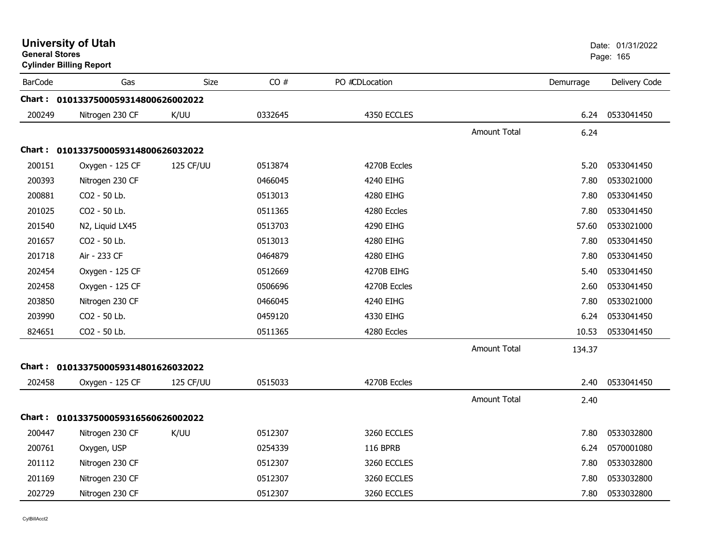|                | <b>University of Utah</b><br><b>General Stores</b><br><b>Cylinder Billing Report</b> |             |         |                 |                     |           | Date: 01/31/2022<br>Page: 165 |
|----------------|--------------------------------------------------------------------------------------|-------------|---------|-----------------|---------------------|-----------|-------------------------------|
| <b>BarCode</b> | Gas                                                                                  | <b>Size</b> | CO#     | PO #CDLocation  |                     | Demurrage | Delivery Code                 |
|                | Chart: 0101337500059314800626002022                                                  |             |         |                 |                     |           |                               |
| 200249         | Nitrogen 230 CF                                                                      | K/UU        | 0332645 | 4350 ECCLES     |                     | 6.24      | 0533041450                    |
|                |                                                                                      |             |         |                 | <b>Amount Total</b> | 6.24      |                               |
|                | Chart: 0101337500059314800626032022                                                  |             |         |                 |                     |           |                               |
| 200151         | Oxygen - 125 CF                                                                      | 125 CF/UU   | 0513874 | 4270B Eccles    |                     | 5.20      | 0533041450                    |
| 200393         | Nitrogen 230 CF                                                                      |             | 0466045 | 4240 EIHG       |                     | 7.80      | 0533021000                    |
| 200881         | CO2 - 50 Lb.                                                                         |             | 0513013 | 4280 EIHG       |                     | 7.80      | 0533041450                    |
| 201025         | CO2 - 50 Lb.                                                                         |             | 0511365 | 4280 Eccles     |                     | 7.80      | 0533041450                    |
| 201540         | N2, Liquid LX45                                                                      |             | 0513703 | 4290 EIHG       |                     | 57.60     | 0533021000                    |
| 201657         | CO2 - 50 Lb.                                                                         |             | 0513013 | 4280 EIHG       |                     | 7.80      | 0533041450                    |
| 201718         | Air - 233 CF                                                                         |             | 0464879 | 4280 EIHG       |                     | 7.80      | 0533041450                    |
| 202454         | Oxygen - 125 CF                                                                      |             | 0512669 | 4270B EIHG      |                     | 5.40      | 0533041450                    |
| 202458         | Oxygen - 125 CF                                                                      |             | 0506696 | 4270B Eccles    |                     | 2.60      | 0533041450                    |
| 203850         | Nitrogen 230 CF                                                                      |             | 0466045 | 4240 EIHG       |                     | 7.80      | 0533021000                    |
| 203990         | CO2 - 50 Lb.                                                                         |             | 0459120 | 4330 EIHG       |                     | 6.24      | 0533041450                    |
| 824651         | CO2 - 50 Lb.                                                                         |             | 0511365 | 4280 Eccles     |                     | 10.53     | 0533041450                    |
|                |                                                                                      |             |         |                 | <b>Amount Total</b> | 134.37    |                               |
|                | Chart: 0101337500059314801626032022                                                  |             |         |                 |                     |           |                               |
| 202458         | Oxygen - 125 CF                                                                      | 125 CF/UU   | 0515033 | 4270B Eccles    |                     | 2.40      | 0533041450                    |
|                |                                                                                      |             |         |                 | <b>Amount Total</b> | 2.40      |                               |
|                | Chart: 0101337500059316560626002022                                                  |             |         |                 |                     |           |                               |
| 200447         | Nitrogen 230 CF                                                                      | K/UU        | 0512307 | 3260 ECCLES     |                     | 7.80      | 0533032800                    |
| 200761         | Oxygen, USP                                                                          |             | 0254339 | <b>116 BPRB</b> |                     | 6.24      | 0570001080                    |
| 201112         | Nitrogen 230 CF                                                                      |             | 0512307 | 3260 ECCLES     |                     | 7.80      | 0533032800                    |
| 201169         | Nitrogen 230 CF                                                                      |             | 0512307 | 3260 ECCLES     |                     | 7.80      | 0533032800                    |
| 202729         | Nitrogen 230 CF                                                                      |             | 0512307 | 3260 ECCLES     |                     | 7.80      | 0533032800                    |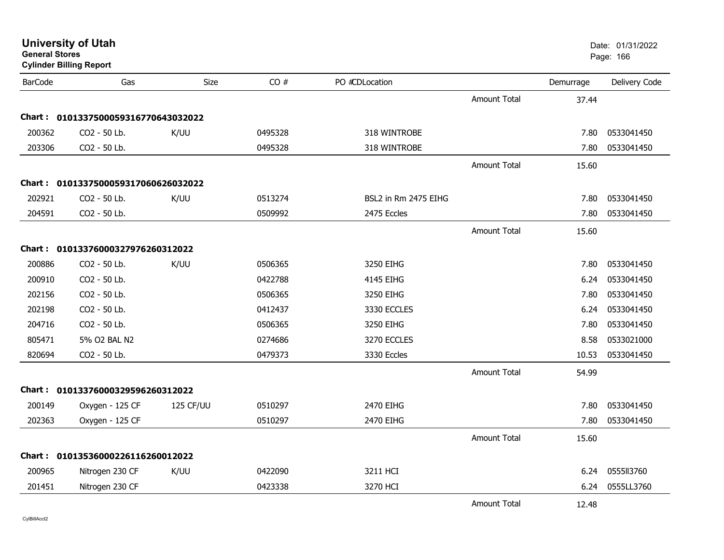| <b>General Stores</b> | <b>Cylinder Billing Report</b>      |           |         |                      |                     |           | Page: 166     |
|-----------------------|-------------------------------------|-----------|---------|----------------------|---------------------|-----------|---------------|
| <b>BarCode</b>        | Gas                                 | Size      | CO#     | PO #CDLocation       |                     | Demurrage | Delivery Code |
|                       |                                     |           |         |                      | <b>Amount Total</b> | 37.44     |               |
|                       | Chart: 0101337500059316770643032022 |           |         |                      |                     |           |               |
| 200362                | CO2 - 50 Lb.                        | K/UU      | 0495328 | 318 WINTROBE         |                     | 7.80      | 0533041450    |
| 203306                | CO2 - 50 Lb.                        |           | 0495328 | 318 WINTROBE         |                     | 7.80      | 0533041450    |
|                       |                                     |           |         |                      | <b>Amount Total</b> | 15.60     |               |
|                       | Chart: 0101337500059317060626032022 |           |         |                      |                     |           |               |
| 202921                | CO2 - 50 Lb.                        | K/UU      | 0513274 | BSL2 in Rm 2475 EIHG |                     | 7.80      | 0533041450    |
| 204591                | CO2 - 50 Lb.                        |           | 0509992 | 2475 Eccles          |                     | 7.80      | 0533041450    |
|                       |                                     |           |         |                      | <b>Amount Total</b> | 15.60     |               |
|                       | Chart: 01013376000327976260312022   |           |         |                      |                     |           |               |
| 200886                | CO2 - 50 Lb.                        | K/UU      | 0506365 | 3250 EIHG            |                     | 7.80      | 0533041450    |
| 200910                | CO2 - 50 Lb.                        |           | 0422788 | 4145 EIHG            |                     | 6.24      | 0533041450    |
| 202156                | CO2 - 50 Lb.                        |           | 0506365 | 3250 EIHG            |                     | 7.80      | 0533041450    |
| 202198                | CO2 - 50 Lb.                        |           | 0412437 | 3330 ECCLES          |                     | 6.24      | 0533041450    |
| 204716                | CO2 - 50 Lb.                        |           | 0506365 | 3250 EIHG            |                     | 7.80      | 0533041450    |
| 805471                | 5% O2 BAL N2                        |           | 0274686 | 3270 ECCLES          |                     | 8.58      | 0533021000    |
| 820694                | CO2 - 50 Lb.                        |           | 0479373 | 3330 Eccles          |                     | 10.53     | 0533041450    |
|                       |                                     |           |         |                      | <b>Amount Total</b> | 54.99     |               |
|                       | Chart: 01013376000329596260312022   |           |         |                      |                     |           |               |
| 200149                | Oxygen - 125 CF                     | 125 CF/UU | 0510297 | 2470 EIHG            |                     | 7.80      | 0533041450    |
| 202363                | Oxygen - 125 CF                     |           | 0510297 | 2470 EIHG            |                     | 7.80      | 0533041450    |
|                       |                                     |           |         |                      | <b>Amount Total</b> | 15.60     |               |
|                       | Chart: 01013536000226116260012022   |           |         |                      |                     |           |               |
| 200965                | Nitrogen 230 CF                     | K/UU      | 0422090 | 3211 HCI             |                     | 6.24      | 0555113760    |
| 201451                | Nitrogen 230 CF                     |           | 0423338 | 3270 HCI             |                     | 6.24      | 0555LL3760    |
|                       |                                     |           |         |                      | <b>Amount Total</b> | 12.48     |               |

**University of Utah** Date: 01/31/2022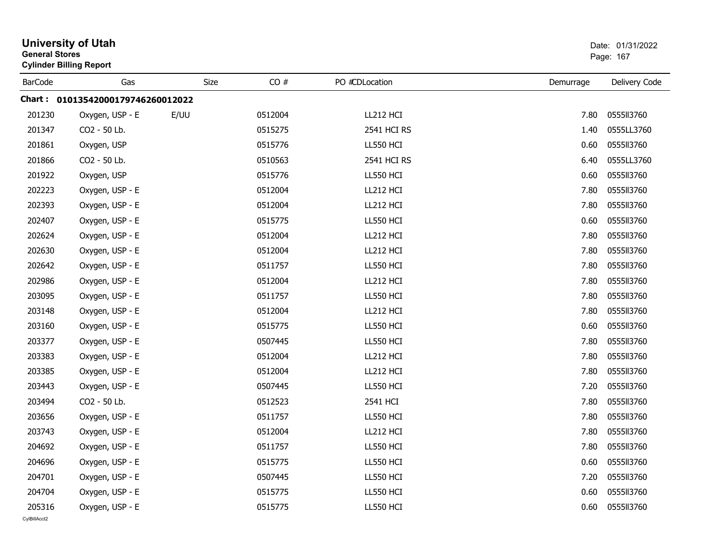|                | <b>University of Utah</b><br><b>General Stores</b><br><b>Cylinder Billing Report</b> |      |         |                  | Date: 01/31/2022<br>Page: 167 |               |  |
|----------------|--------------------------------------------------------------------------------------|------|---------|------------------|-------------------------------|---------------|--|
| <b>BarCode</b> | Gas                                                                                  | Size | CO#     | PO #CDLocation   | Demurrage                     | Delivery Code |  |
|                | Chart: 01013542000179746260012022                                                    |      |         |                  |                               |               |  |
| 201230         | Oxygen, USP - E                                                                      | E/UU | 0512004 | LL212 HCI        | 7.80                          | 0555113760    |  |
| 201347         | CO2 - 50 Lb.                                                                         |      | 0515275 | 2541 HCI RS      | 1.40                          | 0555LL3760    |  |
| 201861         | Oxygen, USP                                                                          |      | 0515776 | <b>LL550 HCI</b> | 0.60                          | 0555113760    |  |
| 201866         | CO2 - 50 Lb.                                                                         |      | 0510563 | 2541 HCI RS      | 6.40                          | 0555LL3760    |  |
| 201922         | Oxygen, USP                                                                          |      | 0515776 | <b>LL550 HCI</b> | 0.60                          | 0555113760    |  |
| 202223         | Oxygen, USP - E                                                                      |      | 0512004 | LL212 HCI        | 7.80                          | 0555113760    |  |
| 202393         | Oxygen, USP - E                                                                      |      | 0512004 | LL212 HCI        | 7.80                          | 0555113760    |  |
| 202407         | Oxygen, USP - E                                                                      |      | 0515775 | LL550 HCI        | 0.60                          | 0555113760    |  |
| 202624         | Oxygen, USP - E                                                                      |      | 0512004 | <b>LL212 HCI</b> | 7.80                          | 0555113760    |  |
| 202630         | Oxygen, USP - E                                                                      |      | 0512004 | LL212 HCI        | 7.80                          | 0555113760    |  |
| 202642         | Oxygen, USP - E                                                                      |      | 0511757 | LL550 HCI        | 7.80                          | 0555113760    |  |
| 202986         | Oxygen, USP - E                                                                      |      | 0512004 | LL212 HCI        | 7.80                          | 0555113760    |  |
| 203095         | Oxygen, USP - E                                                                      |      | 0511757 | <b>LL550 HCI</b> | 7.80                          | 0555113760    |  |
| 203148         | Oxygen, USP - E                                                                      |      | 0512004 | LL212 HCI        | 7.80                          | 0555113760    |  |
| 203160         | Oxygen, USP - E                                                                      |      | 0515775 | LL550 HCI        | 0.60                          | 0555113760    |  |
| 203377         | Oxygen, USP - E                                                                      |      | 0507445 | LL550 HCI        | 7.80                          | 0555113760    |  |
| 203383         | Oxygen, USP - E                                                                      |      | 0512004 | LL212 HCI        | 7.80                          | 0555113760    |  |
| 203385         | Oxygen, USP - E                                                                      |      | 0512004 | LL212 HCI        | 7.80                          | 0555113760    |  |
| 203443         | Oxygen, USP - E                                                                      |      | 0507445 | LL550 HCI        | 7.20                          | 0555113760    |  |
| 203494         | CO2 - 50 Lb.                                                                         |      | 0512523 | 2541 HCI         | 7.80                          | 0555113760    |  |
| 203656         | Oxygen, USP - E                                                                      |      | 0511757 | <b>LL550 HCI</b> | 7.80                          | 0555113760    |  |
| 203743         | Oxygen, USP - E                                                                      |      | 0512004 | LL212 HCI        | 7.80                          | 0555113760    |  |
| 204692         | Oxygen, USP - E                                                                      |      | 0511757 | LL550 HCI        | 7.80                          | 0555113760    |  |
| 204696         | Oxygen, USP - E                                                                      |      | 0515775 | LL550 HCI        | 0.60                          | 0555113760    |  |
| 204701         | Oxygen, USP - E                                                                      |      | 0507445 | LL550 HCI        | 7.20                          | 0555113760    |  |
| 204704         | Oxygen, USP - E                                                                      |      | 0515775 | LL550 HCI        | 0.60                          | 0555113760    |  |
| 205316         | Oxygen, USP - E                                                                      |      | 0515775 | LL550 HCI        | 0.60                          | 0555113760    |  |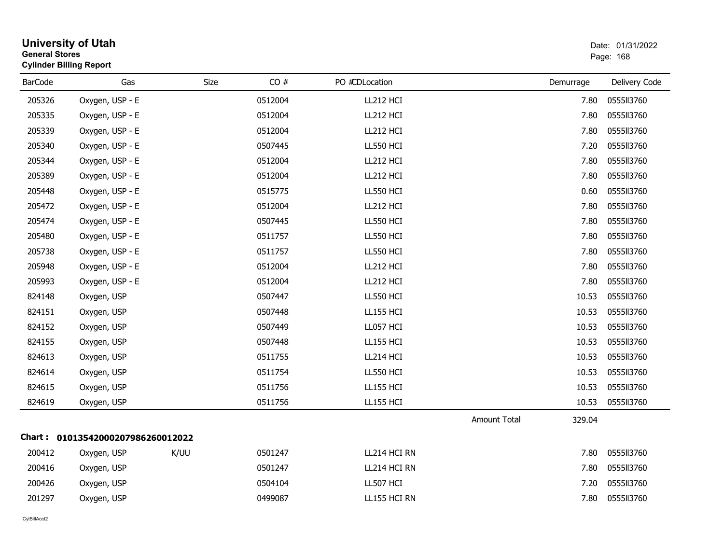|                | <b>University of Utah</b><br><b>General Stores</b><br><b>Cylinder Billing Report</b> |      |         |                  |                     |           |               |  |
|----------------|--------------------------------------------------------------------------------------|------|---------|------------------|---------------------|-----------|---------------|--|
| <b>BarCode</b> | Gas                                                                                  | Size | CO#     | PO #CDLocation   |                     | Demurrage | Delivery Code |  |
| 205326         | Oxygen, USP - E                                                                      |      | 0512004 | LL212 HCI        |                     | 7.80      | 0555113760    |  |
| 205335         | Oxygen, USP - E                                                                      |      | 0512004 | LL212 HCI        |                     | 7.80      | 0555113760    |  |
| 205339         | Oxygen, USP - E                                                                      |      | 0512004 | LL212 HCI        |                     | 7.80      | 0555113760    |  |
| 205340         | Oxygen, USP - E                                                                      |      | 0507445 | <b>LL550 HCI</b> |                     | 7.20      | 0555113760    |  |
| 205344         | Oxygen, USP - E                                                                      |      | 0512004 | LL212 HCI        |                     | 7.80      | 0555113760    |  |
| 205389         | Oxygen, USP - E                                                                      |      | 0512004 | LL212 HCI        |                     | 7.80      | 0555113760    |  |
| 205448         | Oxygen, USP - E                                                                      |      | 0515775 | LL550 HCI        |                     | 0.60      | 0555113760    |  |
| 205472         | Oxygen, USP - E                                                                      |      | 0512004 | LL212 HCI        |                     | 7.80      | 0555113760    |  |
| 205474         | Oxygen, USP - E                                                                      |      | 0507445 | LL550 HCI        |                     | 7.80      | 0555113760    |  |
| 205480         | Oxygen, USP - E                                                                      |      | 0511757 | LL550 HCI        |                     | 7.80      | 0555113760    |  |
| 205738         | Oxygen, USP - E                                                                      |      | 0511757 | LL550 HCI        |                     | 7.80      | 0555113760    |  |
| 205948         | Oxygen, USP - E                                                                      |      | 0512004 | LL212 HCI        |                     | 7.80      | 0555113760    |  |
| 205993         | Oxygen, USP - E                                                                      |      | 0512004 | LL212 HCI        |                     | 7.80      | 0555113760    |  |
| 824148         | Oxygen, USP                                                                          |      | 0507447 | LL550 HCI        |                     | 10.53     | 0555113760    |  |
| 824151         | Oxygen, USP                                                                          |      | 0507448 | <b>LL155 HCI</b> |                     | 10.53     | 0555113760    |  |
| 824152         | Oxygen, USP                                                                          |      | 0507449 | LL057 HCI        |                     | 10.53     | 0555113760    |  |
| 824155         | Oxygen, USP                                                                          |      | 0507448 | <b>LL155 HCI</b> |                     | 10.53     | 055513760     |  |
| 824613         | Oxygen, USP                                                                          |      | 0511755 | LL214 HCI        |                     | 10.53     | 0555113760    |  |
| 824614         | Oxygen, USP                                                                          |      | 0511754 | LL550 HCI        |                     | 10.53     | 0555113760    |  |
| 824615         | Oxygen, USP                                                                          |      | 0511756 | <b>LL155 HCI</b> |                     | 10.53     | 0555113760    |  |
| 824619         | Oxygen, USP                                                                          |      | 0511756 | <b>LL155 HCI</b> |                     | 10.53     | 0555113760    |  |
|                |                                                                                      |      |         |                  | <b>Amount Total</b> | 329.04    |               |  |
|                | Chart: 01013542000207986260012022                                                    |      |         |                  |                     |           |               |  |
| 200412         | Oxygen, USP                                                                          | K/UU | 0501247 | LL214 HCI RN     |                     | 7.80      | 0555113760    |  |
| 200416         | Oxygen, USP                                                                          |      | 0501247 | LL214 HCI RN     |                     | 7.80      | 0555113760    |  |
| 200426         | Oxygen, USP                                                                          |      | 0504104 | LL507 HCI        |                     | 7.20      | 0555113760    |  |
| 201297         | Oxygen, USP                                                                          |      | 0499087 | LL155 HCI RN     |                     | 7.80      | 0555113760    |  |
|                |                                                                                      |      |         |                  |                     |           |               |  |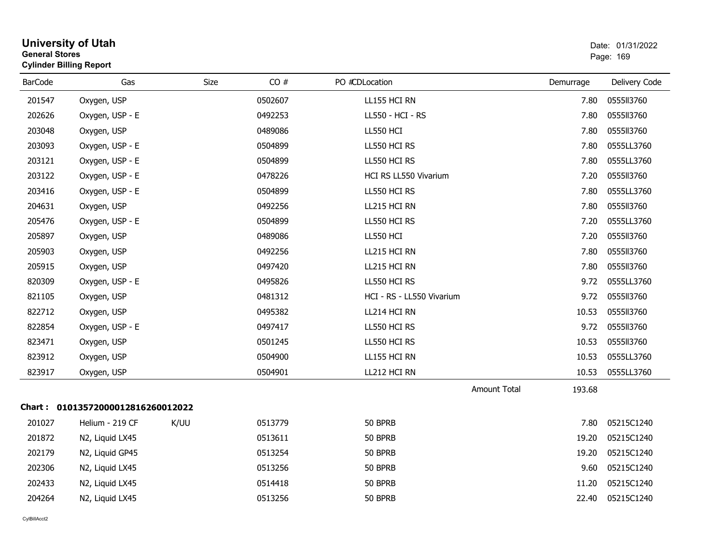| <b>General Stores</b> | <b>Cylinder Billing Report</b>    |      |         |                              |                     |           | Page: 169     |
|-----------------------|-----------------------------------|------|---------|------------------------------|---------------------|-----------|---------------|
| <b>BarCode</b>        | Gas                               | Size | CO#     | PO #CDLocation               |                     | Demurrage | Delivery Code |
| 201547                | Oxygen, USP                       |      | 0502607 | LL155 HCI RN                 |                     | 7.80      | 0555113760    |
| 202626                | Oxygen, USP - E                   |      | 0492253 | LL550 - HCI - RS             |                     | 7.80      | 0555113760    |
| 203048                | Oxygen, USP                       |      | 0489086 | <b>LL550 HCI</b>             |                     | 7.80      | 0555113760    |
| 203093                | Oxygen, USP - E                   |      | 0504899 | LL550 HCI RS                 |                     | 7.80      | 0555LL3760    |
| 203121                | Oxygen, USP - E                   |      | 0504899 | LL550 HCI RS                 |                     | 7.80      | 0555LL3760    |
| 203122                | Oxygen, USP - E                   |      | 0478226 | <b>HCI RS LL550 Vivarium</b> |                     | 7.20      | 0555113760    |
| 203416                | Oxygen, USP - E                   |      | 0504899 | LL550 HCI RS                 |                     | 7.80      | 0555LL3760    |
| 204631                | Oxygen, USP                       |      | 0492256 | LL215 HCI RN                 |                     | 7.80      | 0555113760    |
| 205476                | Oxygen, USP - E                   |      | 0504899 | LL550 HCI RS                 |                     | 7.20      | 0555LL3760    |
| 205897                | Oxygen, USP                       |      | 0489086 | LL550 HCI                    |                     | 7.20      | 0555113760    |
| 205903                | Oxygen, USP                       |      | 0492256 | LL215 HCI RN                 |                     | 7.80      | 0555113760    |
| 205915                | Oxygen, USP                       |      | 0497420 | LL215 HCI RN                 |                     | 7.80      | 0555113760    |
| 820309                | Oxygen, USP - E                   |      | 0495826 | LL550 HCI RS                 |                     | 9.72      | 0555LL3760    |
| 821105                | Oxygen, USP                       |      | 0481312 | HCI - RS - LL550 Vivarium    |                     | 9.72      | 0555113760    |
| 822712                | Oxygen, USP                       |      | 0495382 | LL214 HCI RN                 |                     | 10.53     | 0555113760    |
| 822854                | Oxygen, USP - E                   |      | 0497417 | LL550 HCI RS                 |                     | 9.72      | 0555113760    |
| 823471                | Oxygen, USP                       |      | 0501245 | LL550 HCI RS                 |                     | 10.53     | 0555113760    |
| 823912                | Oxygen, USP                       |      | 0504900 | LL155 HCI RN                 |                     | 10.53     | 0555LL3760    |
| 823917                | Oxygen, USP                       |      | 0504901 | LL212 HCI RN                 |                     | 10.53     | 0555LL3760    |
|                       |                                   |      |         |                              | <b>Amount Total</b> | 193.68    |               |
|                       | Chart: 01013572000012816260012022 |      |         |                              |                     |           |               |
| 201027                | Helium - 219 CF                   | K/UU | 0513779 | 50 BPRB                      |                     | 7.80      | 05215C1240    |
| 201872                | N2, Liquid LX45                   |      | 0513611 | 50 BPRB                      |                     | 19.20     | 05215C1240    |
| 202179                | N2, Liquid GP45                   |      | 0513254 | 50 BPRB                      |                     | 19.20     | 05215C1240    |
| 202306                | N2, Liquid LX45                   |      | 0513256 | 50 BPRB                      |                     | 9.60      | 05215C1240    |
| 202433                | N2, Liquid LX45                   |      | 0514418 | 50 BPRB                      |                     | 11.20     | 05215C1240    |
| 204264                | N2, Liquid LX45                   |      | 0513256 | 50 BPRB                      |                     | 22.40     | 05215C1240    |
|                       |                                   |      |         |                              |                     |           |               |

# **University of Utah** Date: 01/31/2022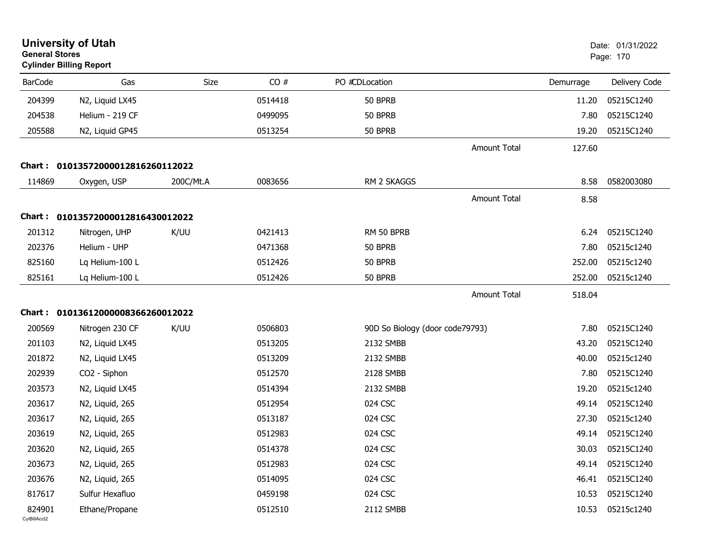| <b>General Stores</b>  | <b>University of Utah</b><br><b>Cylinder Billing Report</b> |             |         |                                 |                     |           |               |
|------------------------|-------------------------------------------------------------|-------------|---------|---------------------------------|---------------------|-----------|---------------|
| <b>BarCode</b>         | Gas                                                         | <b>Size</b> | CO#     | PO #CDLocation                  |                     | Demurrage | Delivery Code |
| 204399                 | N2, Liquid LX45                                             |             | 0514418 | 50 BPRB                         |                     | 11.20     | 05215C1240    |
| 204538                 | Helium - 219 CF                                             |             | 0499095 | 50 BPRB                         |                     | 7.80      | 05215C1240    |
| 205588                 | N2, Liquid GP45                                             |             | 0513254 | 50 BPRB                         |                     | 19.20     | 05215C1240    |
|                        |                                                             |             |         |                                 | <b>Amount Total</b> | 127.60    |               |
|                        | Chart: 01013572000012816260112022                           |             |         |                                 |                     |           |               |
| 114869                 | Oxygen, USP                                                 | 200C/Mt.A   | 0083656 | RM 2 SKAGGS                     |                     | 8.58      | 0582003080    |
|                        |                                                             |             |         |                                 | <b>Amount Total</b> | 8.58      |               |
|                        | Chart: 01013572000012816430012022                           |             |         |                                 |                     |           |               |
| 201312                 | Nitrogen, UHP                                               | K/UU        | 0421413 | RM 50 BPRB                      |                     | 6.24      | 05215C1240    |
| 202376                 | Helium - UHP                                                |             | 0471368 | 50 BPRB                         |                     | 7.80      | 05215c1240    |
| 825160                 | Lq Helium-100 L                                             |             | 0512426 | 50 BPRB                         |                     | 252.00    | 05215c1240    |
| 825161                 | Lq Helium-100 L                                             |             | 0512426 | 50 BPRB                         |                     | 252.00    | 05215c1240    |
|                        |                                                             |             |         |                                 | <b>Amount Total</b> | 518.04    |               |
|                        | Chart: 01013612000008366260012022                           |             |         |                                 |                     |           |               |
| 200569                 | Nitrogen 230 CF                                             | K/UU        | 0506803 | 90D So Biology (door code79793) |                     | 7.80      | 05215C1240    |
| 201103                 | N2, Liquid LX45                                             |             | 0513205 | 2132 SMBB                       |                     | 43.20     | 05215C1240    |
| 201872                 | N2, Liquid LX45                                             |             | 0513209 | 2132 SMBB                       |                     | 40.00     | 05215c1240    |
| 202939                 | CO2 - Siphon                                                |             | 0512570 | 2128 SMBB                       |                     | 7.80      | 05215C1240    |
| 203573                 | N2, Liquid LX45                                             |             | 0514394 | 2132 SMBB                       |                     | 19.20     | 05215c1240    |
| 203617                 | N2, Liquid, 265                                             |             | 0512954 | 024 CSC                         |                     | 49.14     | 05215C1240    |
| 203617                 | N2, Liquid, 265                                             |             | 0513187 | 024 CSC                         |                     | 27.30     | 05215c1240    |
| 203619                 | N2, Liquid, 265                                             |             | 0512983 | 024 CSC                         |                     | 49.14     | 05215C1240    |
| 203620                 | N2, Liquid, 265                                             |             | 0514378 | 024 CSC                         |                     | 30.03     | 05215C1240    |
| 203673                 | N2, Liquid, 265                                             |             | 0512983 | 024 CSC                         |                     | 49.14     | 05215C1240    |
| 203676                 | N2, Liquid, 265                                             |             | 0514095 | 024 CSC                         |                     | 46.41     | 05215C1240    |
| 817617                 | Sulfur Hexafluo                                             |             | 0459198 | 024 CSC                         |                     | 10.53     | 05215C1240    |
| 824901<br>CvIBillAcct2 | Ethane/Propane                                              |             | 0512510 | 2112 SMBB                       |                     | 10.53     | 05215c1240    |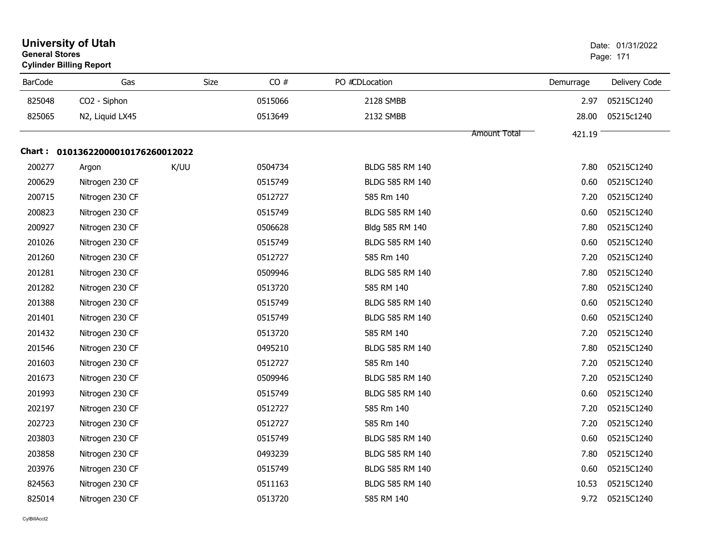| <b>General Stores</b> | <b>University of Utah</b><br><b>Cylinder Billing Report</b> |      |         |                 | Date: 01/31/2022<br>Page: 171 |           |               |
|-----------------------|-------------------------------------------------------------|------|---------|-----------------|-------------------------------|-----------|---------------|
| <b>BarCode</b>        | Gas                                                         | Size | CO#     | PO #CDLocation  |                               | Demurrage | Delivery Code |
| 825048                | CO2 - Siphon                                                |      | 0515066 | 2128 SMBB       |                               | 2.97      | 05215C1240    |
| 825065                | N2, Liquid LX45                                             |      | 0513649 | 2132 SMBB       |                               | 28.00     | 05215c1240    |
|                       |                                                             |      |         |                 | Amount Total                  | 421.19    |               |
|                       | Chart: 01013622000010176260012022                           |      |         |                 |                               |           |               |
| 200277                | Argon                                                       | K/UU | 0504734 | BLDG 585 RM 140 |                               | 7.80      | 05215C1240    |
| 200629                | Nitrogen 230 CF                                             |      | 0515749 | BLDG 585 RM 140 |                               | 0.60      | 05215C1240    |
| 200715                | Nitrogen 230 CF                                             |      | 0512727 | 585 Rm 140      |                               | 7.20      | 05215C1240    |
| 200823                | Nitrogen 230 CF                                             |      | 0515749 | BLDG 585 RM 140 |                               | 0.60      | 05215C1240    |
| 200927                | Nitrogen 230 CF                                             |      | 0506628 | Bldg 585 RM 140 |                               | 7.80      | 05215C1240    |
| 201026                | Nitrogen 230 CF                                             |      | 0515749 | BLDG 585 RM 140 |                               | 0.60      | 05215C1240    |
| 201260                | Nitrogen 230 CF                                             |      | 0512727 | 585 Rm 140      |                               | 7.20      | 05215C1240    |
| 201281                | Nitrogen 230 CF                                             |      | 0509946 | BLDG 585 RM 140 |                               | 7.80      | 05215C1240    |
| 201282                | Nitrogen 230 CF                                             |      | 0513720 | 585 RM 140      |                               | 7.80      | 05215C1240    |
| 201388                | Nitrogen 230 CF                                             |      | 0515749 | BLDG 585 RM 140 |                               | 0.60      | 05215C1240    |
| 201401                | Nitrogen 230 CF                                             |      | 0515749 | BLDG 585 RM 140 |                               | 0.60      | 05215C1240    |
| 201432                | Nitrogen 230 CF                                             |      | 0513720 | 585 RM 140      |                               | 7.20      | 05215C1240    |
| 201546                | Nitrogen 230 CF                                             |      | 0495210 | BLDG 585 RM 140 |                               | 7.80      | 05215C1240    |
| 201603                | Nitrogen 230 CF                                             |      | 0512727 | 585 Rm 140      |                               | 7.20      | 05215C1240    |
| 201673                | Nitrogen 230 CF                                             |      | 0509946 | BLDG 585 RM 140 |                               | 7.20      | 05215C1240    |
| 201993                | Nitrogen 230 CF                                             |      | 0515749 | BLDG 585 RM 140 |                               | 0.60      | 05215C1240    |
| 202197                | Nitrogen 230 CF                                             |      | 0512727 | 585 Rm 140      |                               | 7.20      | 05215C1240    |
| 202723                | Nitrogen 230 CF                                             |      | 0512727 | 585 Rm 140      |                               | 7.20      | 05215C1240    |
| 203803                | Nitrogen 230 CF                                             |      | 0515749 | BLDG 585 RM 140 |                               | 0.60      | 05215C1240    |
| 203858                | Nitrogen 230 CF                                             |      | 0493239 | BLDG 585 RM 140 |                               | 7.80      | 05215C1240    |
| 203976                | Nitrogen 230 CF                                             |      | 0515749 | BLDG 585 RM 140 |                               | 0.60      | 05215C1240    |
| 824563                | Nitrogen 230 CF                                             |      | 0511163 | BLDG 585 RM 140 |                               | 10.53     | 05215C1240    |
| 825014                | Nitrogen 230 CF                                             |      | 0513720 | 585 RM 140      |                               | 9.72      | 05215C1240    |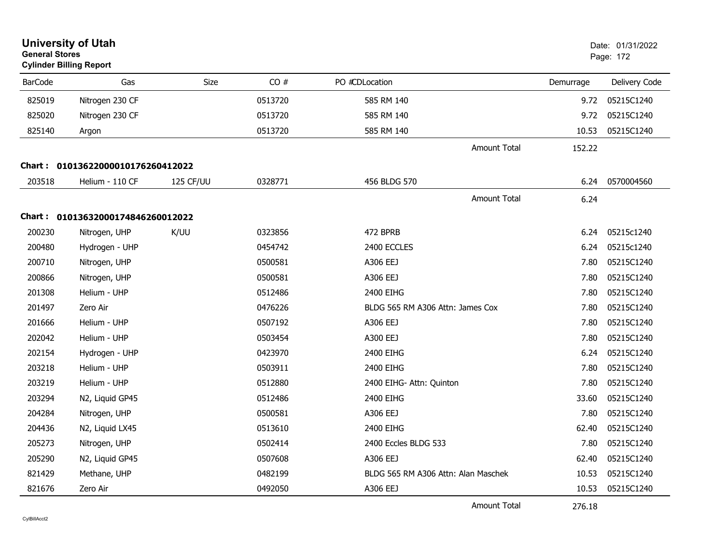| <b>University of Utah</b><br><b>General Stores</b><br><b>Cylinder Billing Report</b> |                                   | Date: 01/31/2022<br>Page: 172 |         |                                     |           |               |
|--------------------------------------------------------------------------------------|-----------------------------------|-------------------------------|---------|-------------------------------------|-----------|---------------|
| <b>BarCode</b>                                                                       | Gas                               | Size                          | CO#     | PO #CDLocation                      | Demurrage | Delivery Code |
| 825019                                                                               | Nitrogen 230 CF                   |                               | 0513720 | 585 RM 140                          | 9.72      | 05215C1240    |
| 825020                                                                               | Nitrogen 230 CF                   |                               | 0513720 | 585 RM 140                          | 9.72      | 05215C1240    |
| 825140                                                                               | Argon                             |                               | 0513720 | 585 RM 140                          | 10.53     | 05215C1240    |
|                                                                                      |                                   |                               |         | <b>Amount Total</b>                 | 152.22    |               |
|                                                                                      | Chart: 01013622000010176260412022 |                               |         |                                     |           |               |
| 203518                                                                               | Helium - 110 CF                   | 125 CF/UU                     | 0328771 | 456 BLDG 570                        | 6.24      | 0570004560    |
|                                                                                      |                                   |                               |         | <b>Amount Total</b>                 | 6.24      |               |
|                                                                                      | Chart: 01013632000174846260012022 |                               |         |                                     |           |               |
| 200230                                                                               | Nitrogen, UHP                     | K/UU                          | 0323856 | 472 BPRB                            | 6.24      | 05215c1240    |
| 200480                                                                               | Hydrogen - UHP                    |                               | 0454742 | 2400 ECCLES                         | 6.24      | 05215c1240    |
| 200710                                                                               | Nitrogen, UHP                     |                               | 0500581 | A306 EEJ                            | 7.80      | 05215C1240    |
| 200866                                                                               | Nitrogen, UHP                     |                               | 0500581 | A306 EEJ                            | 7.80      | 05215C1240    |
| 201308                                                                               | Helium - UHP                      |                               | 0512486 | 2400 EIHG                           | 7.80      | 05215C1240    |
| 201497                                                                               | Zero Air                          |                               | 0476226 | BLDG 565 RM A306 Attn: James Cox    | 7.80      | 05215C1240    |
| 201666                                                                               | Helium - UHP                      |                               | 0507192 | A306 EEJ                            | 7.80      | 05215C1240    |
| 202042                                                                               | Helium - UHP                      |                               | 0503454 | A300 EEJ                            | 7.80      | 05215C1240    |
| 202154                                                                               | Hydrogen - UHP                    |                               | 0423970 | 2400 EIHG                           | 6.24      | 05215C1240    |
| 203218                                                                               | Helium - UHP                      |                               | 0503911 | 2400 EIHG                           | 7.80      | 05215C1240    |
| 203219                                                                               | Helium - UHP                      |                               | 0512880 | 2400 EIHG- Attn: Quinton            | 7.80      | 05215C1240    |
| 203294                                                                               | N2, Liquid GP45                   |                               | 0512486 | 2400 EIHG                           | 33.60     | 05215C1240    |
| 204284                                                                               | Nitrogen, UHP                     |                               | 0500581 | A306 EEJ                            | 7.80      | 05215C1240    |
| 204436                                                                               | N2, Liquid LX45                   |                               | 0513610 | 2400 EIHG                           | 62.40     | 05215C1240    |
| 205273                                                                               | Nitrogen, UHP                     |                               | 0502414 | 2400 Eccles BLDG 533                | 7.80      | 05215C1240    |
| 205290                                                                               | N2, Liquid GP45                   |                               | 0507608 | A306 EEJ                            | 62.40     | 05215C1240    |
| 821429                                                                               | Methane, UHP                      |                               | 0482199 | BLDG 565 RM A306 Attn: Alan Maschek | 10.53     | 05215C1240    |
| 821676                                                                               | Zero Air                          |                               | 0492050 | A306 EEJ                            | 10.53     | 05215C1240    |

Amount Total

276.18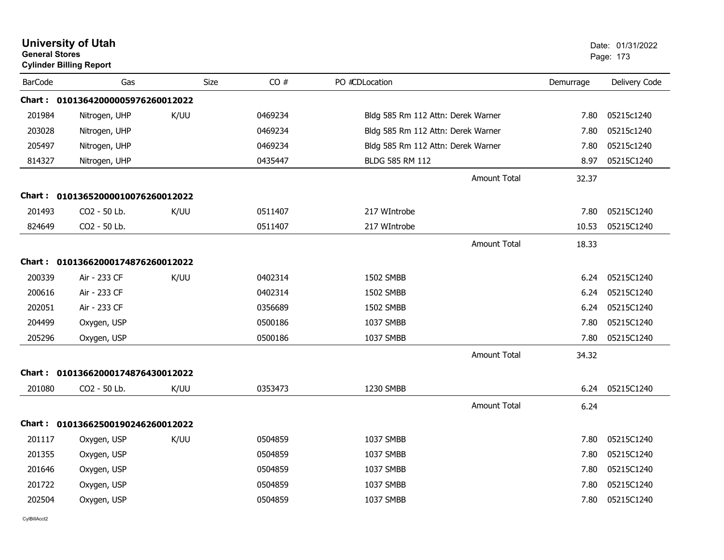|                | <b>University of Utah</b><br><b>General Stores</b><br><b>Cylinder Billing Report</b> |      |                    |                                    |           | Date: 01/31/2022<br>Page: 173 |  |  |
|----------------|--------------------------------------------------------------------------------------|------|--------------------|------------------------------------|-----------|-------------------------------|--|--|
| <b>BarCode</b> | Gas                                                                                  |      | CO#<br><b>Size</b> | PO #CDLocation                     | Demurrage | Delivery Code                 |  |  |
|                | Chart: 01013642000005976260012022                                                    |      |                    |                                    |           |                               |  |  |
| 201984         | Nitrogen, UHP                                                                        | K/UU | 0469234            | Bldg 585 Rm 112 Attn: Derek Warner | 7.80      | 05215c1240                    |  |  |
| 203028         | Nitrogen, UHP                                                                        |      | 0469234            | Bldg 585 Rm 112 Attn: Derek Warner | 7.80      | 05215c1240                    |  |  |
| 205497         | Nitrogen, UHP                                                                        |      | 0469234            | Bldg 585 Rm 112 Attn: Derek Warner | 7.80      | 05215c1240                    |  |  |
| 814327         | Nitrogen, UHP                                                                        |      | 0435447            | BLDG 585 RM 112                    | 8.97      | 05215C1240                    |  |  |
|                |                                                                                      |      |                    | <b>Amount Total</b>                | 32.37     |                               |  |  |
|                | Chart: 01013652000010076260012022                                                    |      |                    |                                    |           |                               |  |  |
| 201493         | CO2 - 50 Lb.                                                                         | K/UU | 0511407            | 217 WIntrobe                       | 7.80      | 05215C1240                    |  |  |
| 824649         | CO2 - 50 Lb.                                                                         |      | 0511407            | 217 WIntrobe                       | 10.53     | 05215C1240                    |  |  |
|                |                                                                                      |      |                    | <b>Amount Total</b>                | 18.33     |                               |  |  |
|                | Chart: 01013662000174876260012022                                                    |      |                    |                                    |           |                               |  |  |
| 200339         | Air - 233 CF                                                                         | K/UU | 0402314            | 1502 SMBB                          | 6.24      | 05215C1240                    |  |  |
| 200616         | Air - 233 CF                                                                         |      | 0402314            | 1502 SMBB                          | 6.24      | 05215C1240                    |  |  |
| 202051         | Air - 233 CF                                                                         |      | 0356689            | 1502 SMBB                          | 6.24      | 05215C1240                    |  |  |
| 204499         | Oxygen, USP                                                                          |      | 0500186            | 1037 SMBB                          | 7.80      | 05215C1240                    |  |  |
| 205296         | Oxygen, USP                                                                          |      | 0500186            | 1037 SMBB                          | 7.80      | 05215C1240                    |  |  |
|                |                                                                                      |      |                    | <b>Amount Total</b>                | 34.32     |                               |  |  |
|                | Chart: 01013662000174876430012022                                                    |      |                    |                                    |           |                               |  |  |
| 201080         | CO2 - 50 Lb.                                                                         | K/UU | 0353473            | 1230 SMBB                          | 6.24      | 05215C1240                    |  |  |
|                |                                                                                      |      |                    | <b>Amount Total</b>                | 6.24      |                               |  |  |
|                | Chart: 01013662500190246260012022                                                    |      |                    |                                    |           |                               |  |  |
| 201117         | Oxygen, USP                                                                          | K/UU | 0504859            | 1037 SMBB                          | 7.80      | 05215C1240                    |  |  |
| 201355         | Oxygen, USP                                                                          |      | 0504859            | 1037 SMBB                          | 7.80      | 05215C1240                    |  |  |
| 201646         | Oxygen, USP                                                                          |      | 0504859            | 1037 SMBB                          | 7.80      | 05215C1240                    |  |  |
| 201722         | Oxygen, USP                                                                          |      | 0504859            | 1037 SMBB                          | 7.80      | 05215C1240                    |  |  |
| 202504         | Oxygen, USP                                                                          |      | 0504859            | 1037 SMBB                          | 7.80      | 05215C1240                    |  |  |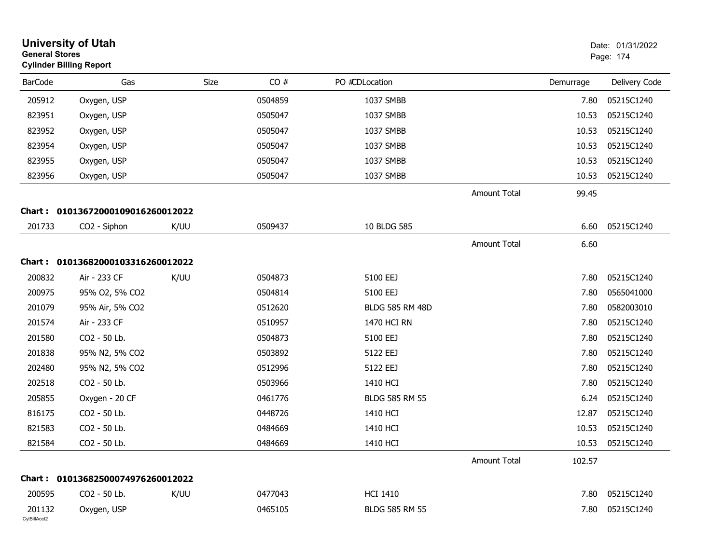| <b>General Stores</b>  | <b>University of Utah</b><br><b>Cylinder Billing Report</b> | Date: 01/31/2022<br>Page: 174 |         |                        |                     |           |                  |
|------------------------|-------------------------------------------------------------|-------------------------------|---------|------------------------|---------------------|-----------|------------------|
| <b>BarCode</b>         | Gas                                                         | Size                          | CO#     | PO #CDLocation         |                     | Demurrage | Delivery Code    |
| 205912                 | Oxygen, USP                                                 |                               | 0504859 | 1037 SMBB              |                     | 7.80      | 05215C1240       |
| 823951                 | Oxygen, USP                                                 |                               | 0505047 | 1037 SMBB              |                     | 10.53     | 05215C1240       |
| 823952                 | Oxygen, USP                                                 |                               | 0505047 | 1037 SMBB              |                     | 10.53     | 05215C1240       |
| 823954                 | Oxygen, USP                                                 |                               | 0505047 | 1037 SMBB              |                     | 10.53     | 05215C1240       |
| 823955                 | Oxygen, USP                                                 |                               | 0505047 | 1037 SMBB              |                     | 10.53     | 05215C1240       |
| 823956                 | Oxygen, USP                                                 |                               | 0505047 | 1037 SMBB              |                     | 10.53     | 05215C1240       |
|                        |                                                             |                               |         |                        | <b>Amount Total</b> | 99.45     |                  |
|                        | Chart: 01013672000109016260012022                           |                               |         |                        |                     |           |                  |
| 201733                 | CO2 - Siphon                                                | K/UU                          | 0509437 | 10 BLDG 585            |                     | 6.60      | 05215C1240       |
|                        |                                                             |                               |         |                        | Amount Total        | 6.60      |                  |
|                        | Chart: 01013682000103316260012022                           |                               |         |                        |                     |           |                  |
| 200832                 | Air - 233 CF                                                | K/UU                          | 0504873 | 5100 EEJ               |                     | 7.80      | 05215C1240       |
| 200975                 | 95% O2, 5% CO2                                              |                               | 0504814 | 5100 EEJ               |                     | 7.80      | 0565041000       |
| 201079                 | 95% Air, 5% CO2                                             |                               | 0512620 | <b>BLDG 585 RM 48D</b> |                     | 7.80      | 0582003010       |
| 201574                 | Air - 233 CF                                                |                               | 0510957 | 1470 HCI RN            |                     | 7.80      | 05215C1240       |
| 201580                 | CO2 - 50 Lb.                                                |                               | 0504873 | 5100 EEJ               |                     | 7.80      | 05215C1240       |
| 201838                 | 95% N2, 5% CO2                                              |                               | 0503892 | 5122 EEJ               |                     | 7.80      | 05215C1240       |
| 202480                 | 95% N2, 5% CO2                                              |                               | 0512996 | 5122 EEJ               |                     | 7.80      | 05215C1240       |
| 202518                 | CO2 - 50 Lb.                                                |                               | 0503966 | 1410 HCI               |                     | 7.80      | 05215C1240       |
| 205855                 | Oxygen - 20 CF                                              |                               | 0461776 | <b>BLDG 585 RM 55</b>  |                     | 6.24      | 05215C1240       |
| 816175                 | CO2 - 50 Lb.                                                |                               | 0448726 | 1410 HCI               |                     | 12.87     | 05215C1240       |
| 821583                 | CO2 - 50 Lb.                                                |                               | 0484669 | 1410 HCI               |                     | 10.53     | 05215C1240       |
| 821584                 | CO2 - 50 Lb.                                                |                               | 0484669 | 1410 HCI               |                     |           | 10.53 05215C1240 |
|                        |                                                             |                               |         |                        | Amount Total        | 102.57    |                  |
|                        | Chart: 01013682500074976260012022                           |                               |         |                        |                     |           |                  |
| 200595                 | CO2 - 50 Lb.                                                | K/UU                          | 0477043 | <b>HCI 1410</b>        |                     | 7.80      | 05215C1240       |
| 201132<br>CylBillAcct2 | Oxygen, USP                                                 |                               | 0465105 | BLDG 585 RM 55         |                     | 7.80      | 05215C1240       |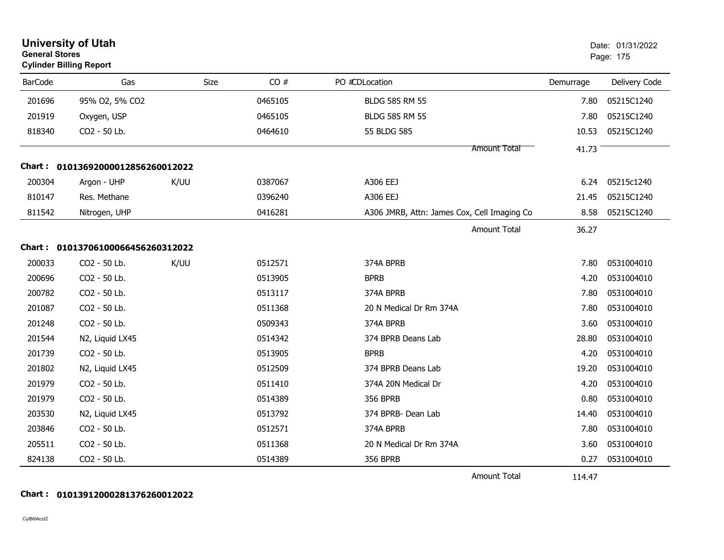| <b>General Stores</b> | <b>University of Utah</b><br><b>Cylinder Billing Report</b> |      |      |         |                                             | Date: 01/31/2022<br>Page: 175 |           |               |
|-----------------------|-------------------------------------------------------------|------|------|---------|---------------------------------------------|-------------------------------|-----------|---------------|
| <b>BarCode</b>        | Gas                                                         |      | Size | CO#     | PO #CDLocation                              |                               | Demurrage | Delivery Code |
| 201696                | 95% O2, 5% CO2                                              |      |      | 0465105 | <b>BLDG 585 RM 55</b>                       |                               | 7.80      | 05215C1240    |
| 201919                | Oxygen, USP                                                 |      |      | 0465105 | <b>BLDG 585 RM 55</b>                       |                               | 7.80      | 05215C1240    |
| 818340                | CO2 - 50 Lb.                                                |      |      | 0464610 | 55 BLDG 585                                 |                               | 10.53     | 05215C1240    |
|                       |                                                             |      |      |         |                                             | <b>Amount Total</b>           | 41.73     |               |
|                       | Chart: 01013692000012856260012022                           |      |      |         |                                             |                               |           |               |
| 200304                | Argon - UHP                                                 | K/UU |      | 0387067 | A306 EEJ                                    |                               | 6.24      | 05215c1240    |
| 810147                | Res. Methane                                                |      |      | 0396240 | A306 EEJ                                    |                               | 21.45     | 05215C1240    |
| 811542                | Nitrogen, UHP                                               |      |      | 0416281 | A306 JMRB, Attn: James Cox, Cell Imaging Co |                               | 8.58      | 05215C1240    |
|                       |                                                             |      |      |         |                                             | Amount Total                  | 36.27     |               |
|                       | Chart: 01013706100066456260312022                           |      |      |         |                                             |                               |           |               |
| 200033                | CO2 - 50 Lb.                                                | K/UU |      | 0512571 | 374A BPRB                                   |                               | 7.80      | 0531004010    |
| 200696                | CO2 - 50 Lb.                                                |      |      | 0513905 | <b>BPRB</b>                                 |                               | 4.20      | 0531004010    |
| 200782                | CO2 - 50 Lb.                                                |      |      | 0513117 | 374A BPRB                                   |                               | 7.80      | 0531004010    |
| 201087                | CO2 - 50 Lb.                                                |      |      | 0511368 | 20 N Medical Dr Rm 374A                     |                               | 7.80      | 0531004010    |
| 201248                | CO2 - 50 Lb.                                                |      |      | 0509343 | 374A BPRB                                   |                               | 3.60      | 0531004010    |
| 201544                | N2, Liquid LX45                                             |      |      | 0514342 | 374 BPRB Deans Lab                          |                               | 28.80     | 0531004010    |
| 201739                | CO2 - 50 Lb.                                                |      |      | 0513905 | <b>BPRB</b>                                 |                               | 4.20      | 0531004010    |
| 201802                | N2, Liquid LX45                                             |      |      | 0512509 | 374 BPRB Deans Lab                          |                               | 19.20     | 0531004010    |
| 201979                | CO2 - 50 Lb.                                                |      |      | 0511410 | 374A 20N Medical Dr                         |                               | 4.20      | 0531004010    |
| 201979                | CO2 - 50 Lb.                                                |      |      | 0514389 | <b>356 BPRB</b>                             |                               | 0.80      | 0531004010    |
| 203530                | N2, Liquid LX45                                             |      |      | 0513792 | 374 BPRB- Dean Lab                          |                               | 14.40     | 0531004010    |
| 203846                | CO2 - 50 Lb.                                                |      |      | 0512571 | 374A BPRB                                   |                               | 7.80      | 0531004010    |
| 205511                | CO2 - 50 Lb.                                                |      |      | 0511368 | 20 N Medical Dr Rm 374A                     |                               | 3.60      | 0531004010    |
| 824138                | CO2 - 50 Lb.                                                |      |      | 0514389 | <b>356 BPRB</b>                             |                               | 0.27      | 0531004010    |
|                       |                                                             |      |      |         |                                             | Amount Total                  | 114.47    |               |

# **Chart : 01013912000281376260012022**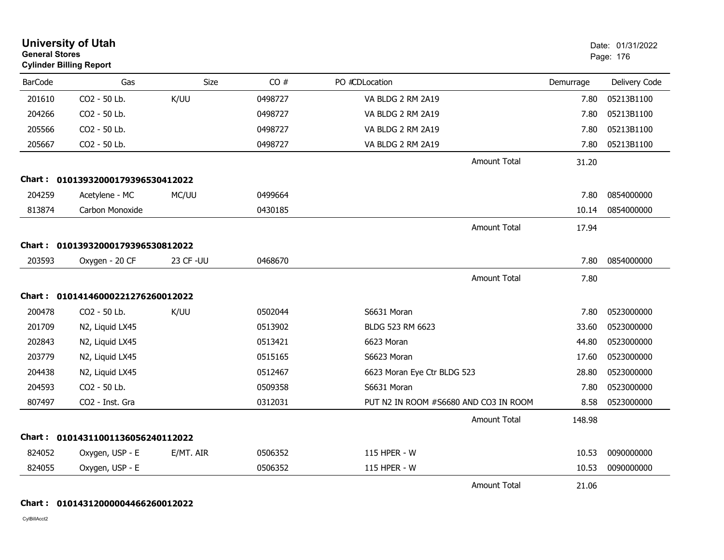|                | <b>University of Utah</b><br><b>General Stores</b><br><b>Cylinder Billing Report</b> |            |         |                                       |           | Date: 01/31/2022<br>Page: 176 |  |
|----------------|--------------------------------------------------------------------------------------|------------|---------|---------------------------------------|-----------|-------------------------------|--|
| <b>BarCode</b> | Gas                                                                                  | Size       | CO#     | PO #CDLocation                        | Demurrage | Delivery Code                 |  |
| 201610         | CO2 - 50 Lb.                                                                         | K/UU       | 0498727 | VA BLDG 2 RM 2A19                     | 7.80      | 05213B1100                    |  |
| 204266         | CO2 - 50 Lb.                                                                         |            | 0498727 | VA BLDG 2 RM 2A19                     | 7.80      | 05213B1100                    |  |
| 205566         | CO2 - 50 Lb.                                                                         |            | 0498727 | VA BLDG 2 RM 2A19                     | 7.80      | 05213B1100                    |  |
| 205667         | CO2 - 50 Lb.                                                                         |            | 0498727 | VA BLDG 2 RM 2A19                     | 7.80      | 05213B1100                    |  |
|                |                                                                                      |            |         | <b>Amount Total</b>                   | 31.20     |                               |  |
|                | Chart: 01013932000179396530412022                                                    |            |         |                                       |           |                               |  |
| 204259         | Acetylene - MC                                                                       | MC/UU      | 0499664 |                                       | 7.80      | 0854000000                    |  |
| 813874         | Carbon Monoxide                                                                      |            | 0430185 |                                       | 10.14     | 0854000000                    |  |
|                |                                                                                      |            |         | <b>Amount Total</b>                   | 17.94     |                               |  |
|                | Chart: 01013932000179396530812022                                                    |            |         |                                       |           |                               |  |
| 203593         | Oxygen - 20 CF                                                                       | 23 CF - UU | 0468670 |                                       | 7.80      | 0854000000                    |  |
|                |                                                                                      |            |         | <b>Amount Total</b>                   | 7.80      |                               |  |
|                | Chart: 01014146000221276260012022                                                    |            |         |                                       |           |                               |  |
| 200478         | CO2 - 50 Lb.                                                                         | K/UU       | 0502044 | S6631 Moran                           | 7.80      | 0523000000                    |  |
| 201709         | N2, Liquid LX45                                                                      |            | 0513902 | BLDG 523 RM 6623                      | 33.60     | 0523000000                    |  |
| 202843         | N2, Liquid LX45                                                                      |            | 0513421 | 6623 Moran                            | 44.80     | 0523000000                    |  |
| 203779         | N2, Liquid LX45                                                                      |            | 0515165 | S6623 Moran                           | 17.60     | 0523000000                    |  |
| 204438         | N2, Liquid LX45                                                                      |            | 0512467 | 6623 Moran Eye Ctr BLDG 523           | 28.80     | 0523000000                    |  |
| 204593         | CO2 - 50 Lb.                                                                         |            | 0509358 | S6631 Moran                           | 7.80      | 0523000000                    |  |
| 807497         | CO2 - Inst. Gra                                                                      |            | 0312031 | PUT N2 IN ROOM #S6680 AND CO3 IN ROOM | 8.58      | 0523000000                    |  |
|                |                                                                                      |            |         | <b>Amount Total</b>                   | 148.98    |                               |  |
|                | Chart: 01014311001136056240112022                                                    |            |         |                                       |           |                               |  |
| 824052         | Oxygen, USP - E                                                                      | E/MT. AIR  | 0506352 | 115 HPER - W                          | 10.53     | 0090000000                    |  |
| 824055         | Oxygen, USP - E                                                                      |            | 0506352 | 115 HPER - W                          | 10.53     | 0090000000                    |  |
|                |                                                                                      |            |         | <b>Amount Total</b>                   | 21.06     |                               |  |

**Chart : 01014312000004466260012022**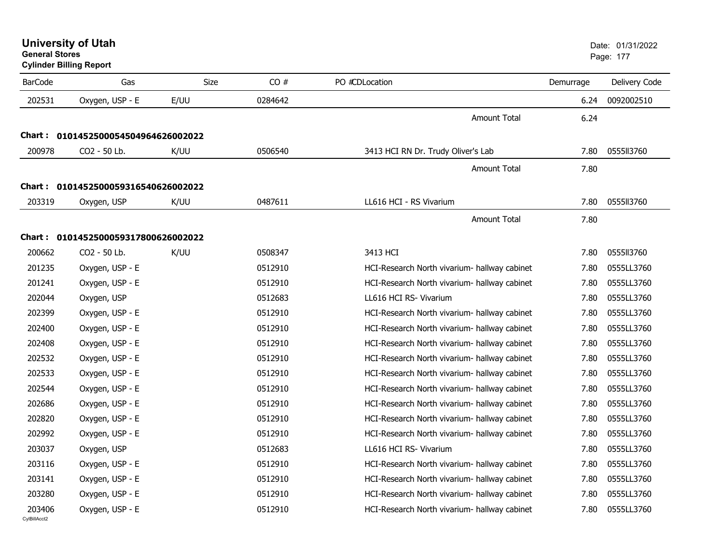| <b>General Stores</b>  | <b>University of Utah</b><br><b>Cylinder Billing Report</b> |             |         |                                              |           | Date: 01/31/2022<br>Page: 177 |
|------------------------|-------------------------------------------------------------|-------------|---------|----------------------------------------------|-----------|-------------------------------|
| <b>BarCode</b>         | Gas                                                         | <b>Size</b> | CO#     | PO #CDLocation                               | Demurrage | Delivery Code                 |
| 202531                 | Oxygen, USP - E                                             | E/UU        | 0284642 |                                              | 6.24      | 0092002510                    |
|                        |                                                             |             |         | <b>Amount Total</b>                          | 6.24      |                               |
|                        | Chart: 0101452500054504964626002022                         |             |         |                                              |           |                               |
| 200978                 | CO2 - 50 Lb.                                                | K/UU        | 0506540 | 3413 HCI RN Dr. Trudy Oliver's Lab           | 7.80      | 0555113760                    |
|                        |                                                             |             |         | <b>Amount Total</b>                          | 7.80      |                               |
|                        | Chart: 0101452500059316540626002022                         |             |         |                                              |           |                               |
| 203319                 | Oxygen, USP                                                 | K/UU        | 0487611 | LL616 HCI - RS Vivarium                      | 7.80      | 0555113760                    |
|                        |                                                             |             |         | <b>Amount Total</b>                          | 7.80      |                               |
|                        | Chart: 0101452500059317800626002022                         |             |         |                                              |           |                               |
| 200662                 | CO2 - 50 Lb.                                                | K/UU        | 0508347 | 3413 HCI                                     | 7.80      | 0555113760                    |
| 201235                 | Oxygen, USP - E                                             |             | 0512910 | HCI-Research North vivarium- hallway cabinet | 7.80      | 0555LL3760                    |
| 201241                 | Oxygen, USP - E                                             |             | 0512910 | HCI-Research North vivarium- hallway cabinet | 7.80      | 0555LL3760                    |
| 202044                 | Oxygen, USP                                                 |             | 0512683 | LL616 HCI RS- Vivarium                       | 7.80      | 0555LL3760                    |
| 202399                 | Oxygen, USP - E                                             |             | 0512910 | HCI-Research North vivarium- hallway cabinet | 7.80      | 0555LL3760                    |
| 202400                 | Oxygen, USP - E                                             |             | 0512910 | HCI-Research North vivarium- hallway cabinet | 7.80      | 0555LL3760                    |
| 202408                 | Oxygen, USP - E                                             |             | 0512910 | HCI-Research North vivarium- hallway cabinet | 7.80      | 0555LL3760                    |
| 202532                 | Oxygen, USP - E                                             |             | 0512910 | HCI-Research North vivarium- hallway cabinet | 7.80      | 0555LL3760                    |
| 202533                 | Oxygen, USP - E                                             |             | 0512910 | HCI-Research North vivarium- hallway cabinet | 7.80      | 0555LL3760                    |
| 202544                 | Oxygen, USP - E                                             |             | 0512910 | HCI-Research North vivarium- hallway cabinet | 7.80      | 0555LL3760                    |
| 202686                 | Oxygen, USP - E                                             |             | 0512910 | HCI-Research North vivarium- hallway cabinet | 7.80      | 0555LL3760                    |
| 202820                 | Oxygen, USP - E                                             |             | 0512910 | HCI-Research North vivarium- hallway cabinet | 7.80      | 0555LL3760                    |
| 202992                 | Oxygen, USP - E                                             |             | 0512910 | HCI-Research North vivarium- hallway cabinet | 7.80      | 0555LL3760                    |
| 203037                 | Oxygen, USP                                                 |             | 0512683 | LL616 HCI RS- Vivarium                       | 7.80      | 0555LL3760                    |
| 203116                 | Oxygen, USP - E                                             |             | 0512910 | HCI-Research North vivarium- hallway cabinet | 7.80      | 0555LL3760                    |
| 203141                 | Oxygen, USP - E                                             |             | 0512910 | HCI-Research North vivarium- hallway cabinet | 7.80      | 0555LL3760                    |
| 203280                 | Oxygen, USP - E                                             |             | 0512910 | HCI-Research North vivarium- hallway cabinet | 7.80      | 0555LL3760                    |
| 203406<br>CvIBillAcct2 | Oxygen, USP - E                                             |             | 0512910 | HCI-Research North vivarium- hallway cabinet | 7.80      | 0555LL3760                    |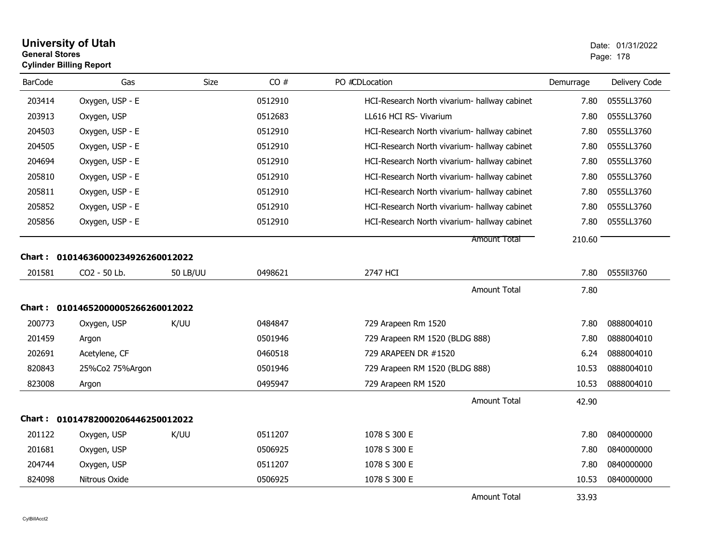## **University of Utah** Date: 01/31/2022 **General Stores**end and the state of the state of the state of the state of the state of the state of the state of the state of the state of the state of the state of the state of the state of the state of the state of the state of the st **Cylinder Billing Report**

| <b>BarCode</b> | Gas                               | <b>Size</b>     | CO#     | PO #CDLocation                               | Demurrage | Delivery Code |
|----------------|-----------------------------------|-----------------|---------|----------------------------------------------|-----------|---------------|
| 203414         | Oxygen, USP - E                   |                 | 0512910 | HCI-Research North vivarium- hallway cabinet | 7.80      | 0555LL3760    |
| 203913         | Oxygen, USP                       |                 | 0512683 | LL616 HCI RS- Vivarium                       | 7.80      | 0555LL3760    |
| 204503         | Oxygen, USP - E                   |                 | 0512910 | HCI-Research North vivarium- hallway cabinet | 7.80      | 0555LL3760    |
| 204505         | Oxygen, USP - E                   |                 | 0512910 | HCI-Research North vivarium- hallway cabinet | 7.80      | 0555LL3760    |
| 204694         | Oxygen, USP - E                   |                 | 0512910 | HCI-Research North vivarium- hallway cabinet | 7.80      | 0555LL3760    |
| 205810         | Oxygen, USP - E                   |                 | 0512910 | HCI-Research North vivarium- hallway cabinet | 7.80      | 0555LL3760    |
| 205811         | Oxygen, USP - E                   |                 | 0512910 | HCI-Research North vivarium- hallway cabinet | 7.80      | 0555LL3760    |
| 205852         | Oxygen, USP - E                   |                 | 0512910 | HCI-Research North vivarium- hallway cabinet | 7.80      | 0555LL3760    |
| 205856         | Oxygen, USP - E                   |                 | 0512910 | HCI-Research North vivarium- hallway cabinet | 7.80      | 0555LL3760    |
|                |                                   |                 |         | <b>Amount Total</b>                          | 210.60    |               |
| Chart :        | 01014636000234926260012022        |                 |         |                                              |           |               |
| 201581         | CO2 - 50 Lb.                      | <b>50 LB/UU</b> | 0498621 | 2747 HCI                                     | 7.80      | 0555113760    |
|                |                                   |                 |         | <b>Amount Total</b>                          | 7.80      |               |
|                | Chart: 01014652000005266260012022 |                 |         |                                              |           |               |
| 200773         | Oxygen, USP                       | K/UU            | 0484847 | 729 Arapeen Rm 1520                          | 7.80      | 0888004010    |
| 201459         | Argon                             |                 | 0501946 | 729 Arapeen RM 1520 (BLDG 888)               | 7.80      | 0888004010    |
| 202691         | Acetylene, CF                     |                 | 0460518 | 729 ARAPEEN DR #1520                         | 6.24      | 0888004010    |
| 820843         | 25%Co2 75%Argon                   |                 | 0501946 | 729 Arapeen RM 1520 (BLDG 888)               | 10.53     | 0888004010    |
| 823008         | Argon                             |                 | 0495947 | 729 Arapeen RM 1520                          | 10.53     | 0888004010    |
|                |                                   |                 |         | <b>Amount Total</b>                          | 42.90     |               |
| Chart :        | 01014782000206446250012022        |                 |         |                                              |           |               |
| 201122         | Oxygen, USP                       | K/UU            | 0511207 | 1078 S 300 E                                 | 7.80      | 0840000000    |
| 201681         | Oxygen, USP                       |                 | 0506925 | 1078 S 300 E                                 | 7.80      | 0840000000    |
| 204744         | Oxygen, USP                       |                 | 0511207 | 1078 S 300 E                                 | 7.80      | 0840000000    |
| 824098         | Nitrous Oxide                     |                 | 0506925 | 1078 S 300 E                                 | 10.53     | 0840000000    |
|                |                                   |                 |         | <b>Amount Total</b>                          | 33.93     |               |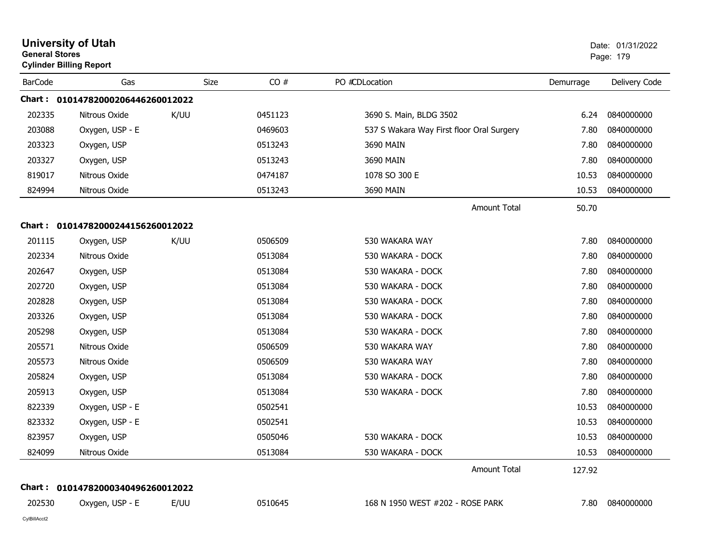|                | <b>University of Utah</b><br><b>General Stores</b><br><b>Cylinder Billing Report</b> |      |      |         |                                           | Date: 01/31/2022<br>Page: 179 |                 |
|----------------|--------------------------------------------------------------------------------------|------|------|---------|-------------------------------------------|-------------------------------|-----------------|
| <b>BarCode</b> | Gas                                                                                  |      | Size | CO#     | PO #CDLocation                            | Demurrage                     | Delivery Code   |
|                | Chart: 01014782000206446260012022                                                    |      |      |         |                                           |                               |                 |
| 202335         | Nitrous Oxide                                                                        | K/UU |      | 0451123 | 3690 S. Main, BLDG 3502                   | 6.24                          | 0840000000      |
| 203088         | Oxygen, USP - E                                                                      |      |      | 0469603 | 537 S Wakara Way First floor Oral Surgery | 7.80                          | 0840000000      |
| 203323         | Oxygen, USP                                                                          |      |      | 0513243 | 3690 MAIN                                 | 7.80                          | 0840000000      |
| 203327         | Oxygen, USP                                                                          |      |      | 0513243 | 3690 MAIN                                 | 7.80                          | 0840000000      |
| 819017         | Nitrous Oxide                                                                        |      |      | 0474187 | 1078 SO 300 E                             | 10.53                         | 0840000000      |
| 824994         | Nitrous Oxide                                                                        |      |      | 0513243 | 3690 MAIN                                 | 10.53                         | 0840000000      |
|                |                                                                                      |      |      |         | Amount Total                              | 50.70                         |                 |
|                | Chart: 01014782000244156260012022                                                    |      |      |         |                                           |                               |                 |
| 201115         | Oxygen, USP                                                                          | K/UU |      | 0506509 | 530 WAKARA WAY                            | 7.80                          | 0840000000      |
| 202334         | Nitrous Oxide                                                                        |      |      | 0513084 | 530 WAKARA - DOCK                         | 7.80                          | 0840000000      |
| 202647         | Oxygen, USP                                                                          |      |      | 0513084 | 530 WAKARA - DOCK                         | 7.80                          | 0840000000      |
| 202720         | Oxygen, USP                                                                          |      |      | 0513084 | 530 WAKARA - DOCK                         | 7.80                          | 0840000000      |
| 202828         | Oxygen, USP                                                                          |      |      | 0513084 | 530 WAKARA - DOCK                         | 7.80                          | 0840000000      |
| 203326         | Oxygen, USP                                                                          |      |      | 0513084 | 530 WAKARA - DOCK                         | 7.80                          | 0840000000      |
| 205298         | Oxygen, USP                                                                          |      |      | 0513084 | 530 WAKARA - DOCK                         | 7.80                          | 0840000000      |
| 205571         | Nitrous Oxide                                                                        |      |      | 0506509 | 530 WAKARA WAY                            | 7.80                          | 0840000000      |
| 205573         | Nitrous Oxide                                                                        |      |      | 0506509 | 530 WAKARA WAY                            | 7.80                          | 0840000000      |
| 205824         | Oxygen, USP                                                                          |      |      | 0513084 | 530 WAKARA - DOCK                         | 7.80                          | 0840000000      |
| 205913         | Oxygen, USP                                                                          |      |      | 0513084 | 530 WAKARA - DOCK                         | 7.80                          | 0840000000      |
| 822339         | Oxygen, USP - E                                                                      |      |      | 0502541 |                                           | 10.53                         | 0840000000      |
| 823332         | Oxygen, USP - E                                                                      |      |      | 0502541 |                                           | 10.53                         | 0840000000      |
| 823957         | Oxygen, USP                                                                          |      |      | 0505046 | 530 WAKARA - DOCK                         | 10.53                         | 0840000000      |
| 824099         | Nitrous Oxide                                                                        |      |      | 0513084 | 530 WAKARA - DOCK                         | 10.53                         | 0840000000      |
|                |                                                                                      |      |      |         | Amount Total                              | 127.92                        |                 |
|                | Chart: 01014782000340496260012022                                                    |      |      |         |                                           |                               |                 |
| 202530         | Oxygen, USP - E                                                                      | E/UU |      | 0510645 | 168 N 1950 WEST #202 - ROSE PARK          |                               | 7.80 0840000000 |
| CylBillAcct2   |                                                                                      |      |      |         |                                           |                               |                 |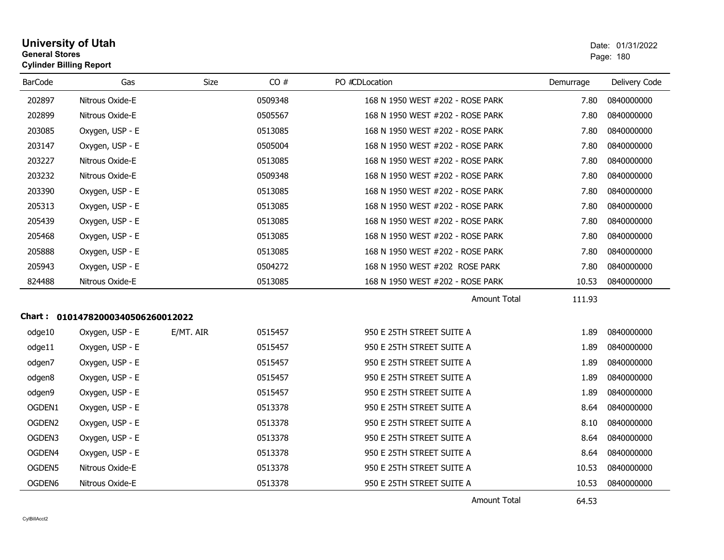| <b>University of Utah</b>      | Date: 01/ |  |
|--------------------------------|-----------|--|
| <b>General Stores</b>          | Page: 180 |  |
| <b>Cylinder Billing Report</b> |           |  |

| <b>BarCode</b>                    | Gas             | <b>Size</b> | CO#     | PO #CDLocation                   | Demurrage | Delivery Code |  |  |
|-----------------------------------|-----------------|-------------|---------|----------------------------------|-----------|---------------|--|--|
| 202897                            | Nitrous Oxide-E |             | 0509348 | 168 N 1950 WEST #202 - ROSE PARK | 7.80      | 0840000000    |  |  |
| 202899                            | Nitrous Oxide-E |             | 0505567 | 168 N 1950 WEST #202 - ROSE PARK | 7.80      | 0840000000    |  |  |
| 203085                            | Oxygen, USP - E |             | 0513085 | 168 N 1950 WEST #202 - ROSE PARK | 7.80      | 0840000000    |  |  |
| 203147                            | Oxygen, USP - E |             | 0505004 | 168 N 1950 WEST #202 - ROSE PARK | 7.80      | 0840000000    |  |  |
| 203227                            | Nitrous Oxide-E |             | 0513085 | 168 N 1950 WEST #202 - ROSE PARK | 7.80      | 0840000000    |  |  |
| 203232                            | Nitrous Oxide-E |             | 0509348 | 168 N 1950 WEST #202 - ROSE PARK | 7.80      | 0840000000    |  |  |
| 203390                            | Oxygen, USP - E |             | 0513085 | 168 N 1950 WEST #202 - ROSE PARK | 7.80      | 0840000000    |  |  |
| 205313                            | Oxygen, USP - E |             | 0513085 | 168 N 1950 WEST #202 - ROSE PARK | 7.80      | 0840000000    |  |  |
| 205439                            | Oxygen, USP - E |             | 0513085 | 168 N 1950 WEST #202 - ROSE PARK | 7.80      | 0840000000    |  |  |
| 205468                            | Oxygen, USP - E |             | 0513085 | 168 N 1950 WEST #202 - ROSE PARK | 7.80      | 0840000000    |  |  |
| 205888                            | Oxygen, USP - E |             | 0513085 | 168 N 1950 WEST #202 - ROSE PARK | 7.80      | 0840000000    |  |  |
| 205943                            | Oxygen, USP - E |             | 0504272 | 168 N 1950 WEST #202 ROSE PARK   | 7.80      | 0840000000    |  |  |
| 824488                            | Nitrous Oxide-E |             | 0513085 | 168 N 1950 WEST #202 - ROSE PARK | 10.53     | 0840000000    |  |  |
|                                   |                 |             |         | <b>Amount Total</b>              | 111.93    |               |  |  |
| Chart: 01014782000340506260012022 |                 |             |         |                                  |           |               |  |  |
| odge10                            | Oxygen, USP - E | E/MT. AIR   | 0515457 | 950 E 25TH STREET SUITE A        | 1.89      | 0840000000    |  |  |
| odge11                            | Oxygen, USP - E |             | 0515457 | 950 E 25TH STREET SUITE A        | 1.89      | 0840000000    |  |  |
| odgen7                            | Oxygen, USP - E |             | 0515457 | 950 E 25TH STREET SUITE A        | 1.89      | 0840000000    |  |  |
| odgen8                            | Oxygen, USP - E |             | 0515457 | 950 E 25TH STREET SUITE A        | 1.89      | 0840000000    |  |  |
| odgen9                            | Oxygen, USP - E |             | 0515457 | 950 E 25TH STREET SUITE A        | 1.89      | 0840000000    |  |  |
| OGDEN1                            | Oxygen, USP - E |             | 0513378 | 950 E 25TH STREET SUITE A        | 8.64      | 0840000000    |  |  |
| OGDEN2                            | Oxygen, USP - E |             | 0513378 | 950 E 25TH STREET SUITE A        | 8.10      | 0840000000    |  |  |
| OGDEN3                            | Oxygen, USP - E |             | 0513378 | 950 E 25TH STREET SUITE A        | 8.64      | 0840000000    |  |  |
| OGDEN4                            | Oxygen, USP - E |             | 0513378 | 950 E 25TH STREET SUITE A        | 8.64      | 0840000000    |  |  |
| OGDEN5                            | Nitrous Oxide-E |             | 0513378 | 950 E 25TH STREET SUITE A        | 10.53     | 0840000000    |  |  |
| OGDEN <sub>6</sub>                | Nitrous Oxide-E |             | 0513378 | 950 E 25TH STREET SUITE A        | 10.53     | 0840000000    |  |  |

Amount Total

64.53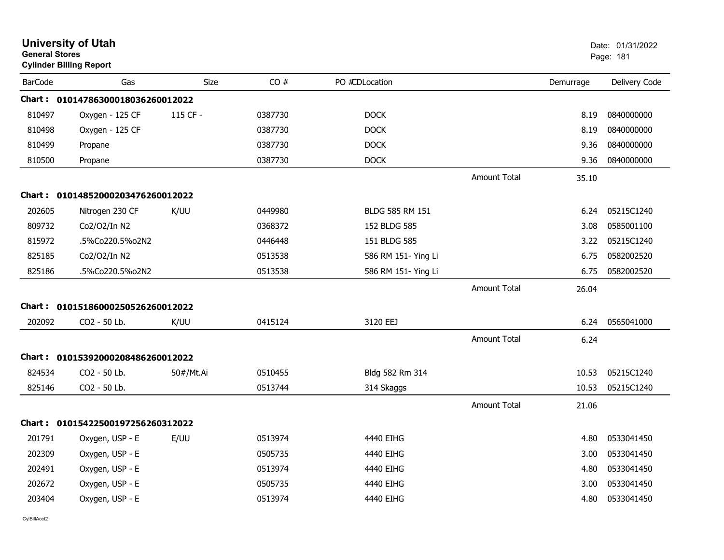|                | <b>University of Utah</b><br><b>General Stores</b><br><b>Cylinder Billing Report</b> |             |         |                     | Date: 01/31/2022<br>Page: 181 |           |               |
|----------------|--------------------------------------------------------------------------------------|-------------|---------|---------------------|-------------------------------|-----------|---------------|
| <b>BarCode</b> | Gas                                                                                  | <b>Size</b> | CO#     | PO #CDLocation      |                               | Demurrage | Delivery Code |
|                | Chart: 01014786300018036260012022                                                    |             |         |                     |                               |           |               |
| 810497         | Oxygen - 125 CF                                                                      | 115 CF -    | 0387730 | <b>DOCK</b>         |                               | 8.19      | 0840000000    |
| 810498         | Oxygen - 125 CF                                                                      |             | 0387730 | <b>DOCK</b>         |                               | 8.19      | 0840000000    |
| 810499         | Propane                                                                              |             | 0387730 | <b>DOCK</b>         |                               | 9.36      | 0840000000    |
| 810500         | Propane                                                                              |             | 0387730 | <b>DOCK</b>         |                               | 9.36      | 0840000000    |
|                |                                                                                      |             |         |                     | <b>Amount Total</b>           | 35.10     |               |
|                | Chart: 01014852000203476260012022                                                    |             |         |                     |                               |           |               |
| 202605         | Nitrogen 230 CF                                                                      | K/UU        | 0449980 | BLDG 585 RM 151     |                               | 6.24      | 05215C1240    |
| 809732         | Co2/O2/In N2                                                                         |             | 0368372 | 152 BLDG 585        |                               | 3.08      | 0585001100    |
| 815972         | .5%Co220.5%o2N2                                                                      |             | 0446448 | 151 BLDG 585        |                               | 3.22      | 05215C1240    |
| 825185         | Co2/O2/In N2                                                                         |             | 0513538 | 586 RM 151- Ying Li |                               | 6.75      | 0582002520    |
| 825186         | .5%Co220.5%o2N2                                                                      |             | 0513538 | 586 RM 151- Ying Li |                               | 6.75      | 0582002520    |
|                |                                                                                      |             |         |                     | <b>Amount Total</b>           | 26.04     |               |
|                | Chart: 01015186000250526260012022                                                    |             |         |                     |                               |           |               |
| 202092         | CO2 - 50 Lb.                                                                         | K/UU        | 0415124 | 3120 EEJ            |                               | 6.24      | 0565041000    |
|                |                                                                                      |             |         |                     | <b>Amount Total</b>           | 6.24      |               |
|                | Chart: 01015392000208486260012022                                                    |             |         |                     |                               |           |               |
| 824534         | CO2 - 50 Lb.                                                                         | 50#/Mt.Ai   | 0510455 | Bldg 582 Rm 314     |                               | 10.53     | 05215C1240    |
| 825146         | CO2 - 50 Lb.                                                                         |             | 0513744 | 314 Skaggs          |                               | 10.53     | 05215C1240    |
|                |                                                                                      |             |         |                     | <b>Amount Total</b>           | 21.06     |               |
|                | Chart: 01015422500197256260312022                                                    |             |         |                     |                               |           |               |
| 201791         | Oxygen, USP - E                                                                      | E/UU        | 0513974 | 4440 EIHG           |                               | 4.80      | 0533041450    |
| 202309         | Oxygen, USP - E                                                                      |             | 0505735 | 4440 EIHG           |                               | 3.00      | 0533041450    |
| 202491         | Oxygen, USP - E                                                                      |             | 0513974 | 4440 EIHG           |                               | 4.80      | 0533041450    |
| 202672         | Oxygen, USP - E                                                                      |             | 0505735 | 4440 EIHG           |                               | 3.00      | 0533041450    |
| 203404         | Oxygen, USP - E                                                                      |             | 0513974 | 4440 EIHG           |                               | 4.80      | 0533041450    |
|                |                                                                                      |             |         |                     |                               |           |               |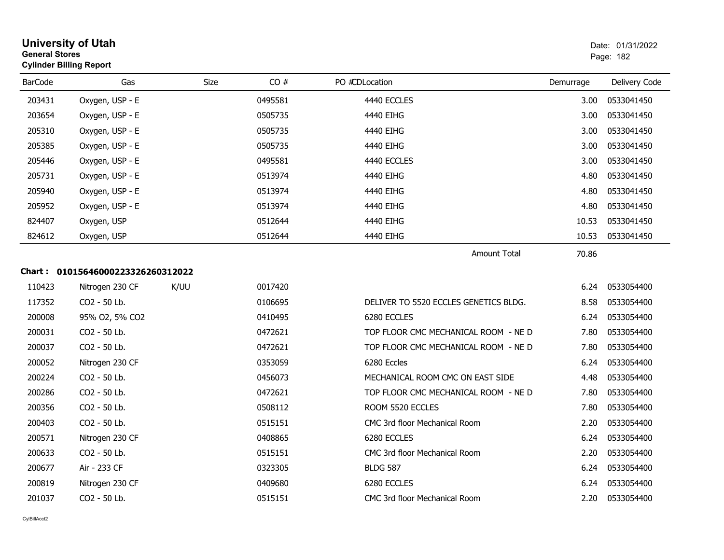| <b>University of Utah</b><br><b>General Stores</b><br><b>Cylinder Billing Report</b> |                                   |             |         |                                       |           | Date: 01/31/2022<br>Page: 182 |
|--------------------------------------------------------------------------------------|-----------------------------------|-------------|---------|---------------------------------------|-----------|-------------------------------|
| <b>BarCode</b>                                                                       | Gas                               | <b>Size</b> | CO#     | PO #CDLocation                        | Demurrage | Delivery Code                 |
| 203431                                                                               | Oxygen, USP - E                   |             | 0495581 | 4440 ECCLES                           | 3.00      | 0533041450                    |
| 203654                                                                               | Oxygen, USP - E                   |             | 0505735 | 4440 EIHG                             | 3.00      | 0533041450                    |
| 205310                                                                               | Oxygen, USP - E                   |             | 0505735 | 4440 EIHG                             | 3.00      | 0533041450                    |
| 205385                                                                               | Oxygen, USP - E                   |             | 0505735 | 4440 EIHG                             | 3.00      | 0533041450                    |
| 205446                                                                               | Oxygen, USP - E                   |             | 0495581 | 4440 ECCLES                           | 3.00      | 0533041450                    |
| 205731                                                                               | Oxygen, USP - E                   |             | 0513974 | 4440 EIHG                             | 4.80      | 0533041450                    |
| 205940                                                                               | Oxygen, USP - E                   |             | 0513974 | 4440 EIHG                             | 4.80      | 0533041450                    |
| 205952                                                                               | Oxygen, USP - E                   |             | 0513974 | 4440 EIHG                             | 4.80      | 0533041450                    |
| 824407                                                                               | Oxygen, USP                       |             | 0512644 | 4440 EIHG                             | 10.53     | 0533041450                    |
| 824612                                                                               | Oxygen, USP                       |             | 0512644 | 4440 EIHG                             | 10.53     | 0533041450                    |
|                                                                                      |                                   |             |         | <b>Amount Total</b>                   | 70.86     |                               |
|                                                                                      | Chart: 01015646000223326260312022 |             |         |                                       |           |                               |
| 110423                                                                               | Nitrogen 230 CF                   | K/UU        | 0017420 |                                       | 6.24      | 0533054400                    |
| 117352                                                                               | CO2 - 50 Lb.                      |             | 0106695 | DELIVER TO 5520 ECCLES GENETICS BLDG. | 8.58      | 0533054400                    |
| 200008                                                                               | 95% O2, 5% CO2                    |             | 0410495 | 6280 ECCLES                           | 6.24      | 0533054400                    |
| 200031                                                                               | CO2 - 50 Lb.                      |             | 0472621 | TOP FLOOR CMC MECHANICAL ROOM - NE D  | 7.80      | 0533054400                    |
| 200037                                                                               | CO2 - 50 Lb.                      |             | 0472621 | TOP FLOOR CMC MECHANICAL ROOM - NE D  | 7.80      | 0533054400                    |
| 200052                                                                               | Nitrogen 230 CF                   |             | 0353059 | 6280 Eccles                           | 6.24      | 0533054400                    |
| 200224                                                                               | CO2 - 50 Lb.                      |             | 0456073 | MECHANICAL ROOM CMC ON EAST SIDE      | 4.48      | 0533054400                    |
| 200286                                                                               | CO <sub>2</sub> - 50 Lb.          |             | 0472621 | TOP FLOOR CMC MECHANICAL ROOM - NE D  | 7.80      | 0533054400                    |
| 200356                                                                               | CO2 - 50 Lb.                      |             | 0508112 | ROOM 5520 ECCLES                      | 7.80      | 0533054400                    |
| 200403                                                                               | CO2 - 50 Lb.                      |             | 0515151 | CMC 3rd floor Mechanical Room         | 2.20      | 0533054400                    |
| 200571                                                                               | Nitrogen 230 CF                   |             | 0408865 | 6280 ECCLES                           | 6.24      | 0533054400                    |
| 200633                                                                               | CO <sub>2</sub> - 50 Lb.          |             | 0515151 | CMC 3rd floor Mechanical Room         | 2.20      | 0533054400                    |
| 200677                                                                               | Air - 233 CF                      |             | 0323305 | <b>BLDG 587</b>                       | 6.24      | 0533054400                    |
| 200819                                                                               | Nitrogen 230 CF                   |             | 0409680 | 6280 ECCLES                           | 6.24      | 0533054400                    |
| 201037                                                                               | $CO2 - 50$ Lb.                    |             | 0515151 | CMC 3rd floor Mechanical Room         | 2.20      | 0533054400                    |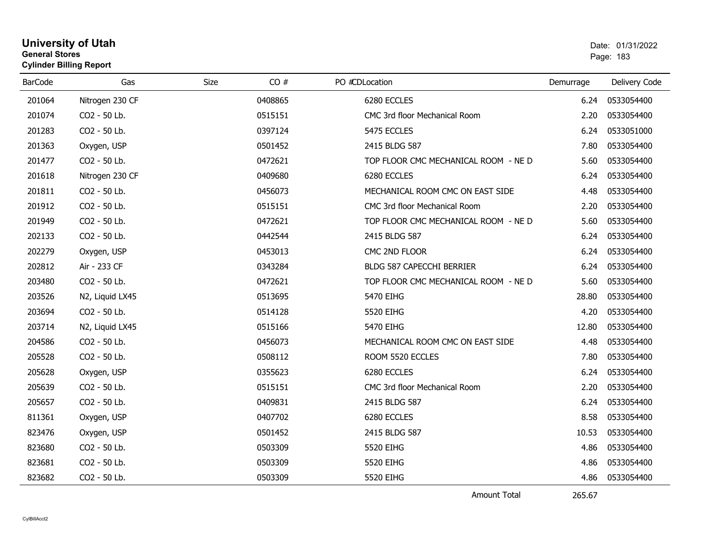### **University of Utah** Date: 01/31/2022 **General Stores**s and the contract of the contract of the contract of the contract of the contract of the contract of the contract of the contract of the contract of the contract of the contract of the contract of the contract of the cont **Cylinder Billing Report**

| <b>BarCode</b> | Gas             | CO#<br><b>Size</b> | PO #CDLocation                       | Demurrage | Delivery Code |
|----------------|-----------------|--------------------|--------------------------------------|-----------|---------------|
| 201064         | Nitrogen 230 CF | 0408865            | 6280 ECCLES                          | 6.24      | 0533054400    |
| 201074         | CO2 - 50 Lb.    | 0515151            | CMC 3rd floor Mechanical Room        | 2.20      | 0533054400    |
| 201283         | CO2 - 50 Lb.    | 0397124            | 5475 ECCLES                          | 6.24      | 0533051000    |
| 201363         | Oxygen, USP     | 0501452            | 2415 BLDG 587                        | 7.80      | 0533054400    |
| 201477         | CO2 - 50 Lb.    | 0472621            | TOP FLOOR CMC MECHANICAL ROOM - NE D | 5.60      | 0533054400    |
| 201618         | Nitrogen 230 CF | 0409680            | 6280 ECCLES                          | 6.24      | 0533054400    |
| 201811         | CO2 - 50 Lb.    | 0456073            | MECHANICAL ROOM CMC ON EAST SIDE     | 4.48      | 0533054400    |
| 201912         | CO2 - 50 Lb.    | 0515151            | CMC 3rd floor Mechanical Room        | 2.20      | 0533054400    |
| 201949         | CO2 - 50 Lb.    | 0472621            | TOP FLOOR CMC MECHANICAL ROOM - NE D | 5.60      | 0533054400    |
| 202133         | CO2 - 50 Lb.    | 0442544            | 2415 BLDG 587                        | 6.24      | 0533054400    |
| 202279         | Oxygen, USP     | 0453013            | CMC 2ND FLOOR                        | 6.24      | 0533054400    |
| 202812         | Air - 233 CF    | 0343284            | BLDG 587 CAPECCHI BERRIER            | 6.24      | 0533054400    |
| 203480         | CO2 - 50 Lb.    | 0472621            | TOP FLOOR CMC MECHANICAL ROOM - NE D | 5.60      | 0533054400    |
| 203526         | N2, Liquid LX45 | 0513695            | 5470 EIHG                            | 28.80     | 0533054400    |
| 203694         | CO2 - 50 Lb.    | 0514128            | 5520 EIHG                            | 4.20      | 0533054400    |
| 203714         | N2, Liquid LX45 | 0515166            | 5470 EIHG                            | 12.80     | 0533054400    |
| 204586         | CO2 - 50 Lb.    | 0456073            | MECHANICAL ROOM CMC ON EAST SIDE     | 4.48      | 0533054400    |
| 205528         | CO2 - 50 Lb.    | 0508112            | ROOM 5520 ECCLES                     | 7.80      | 0533054400    |
| 205628         | Oxygen, USP     | 0355623            | 6280 ECCLES                          | 6.24      | 0533054400    |
| 205639         | CO2 - 50 Lb.    | 0515151            | CMC 3rd floor Mechanical Room        | 2.20      | 0533054400    |
| 205657         | CO2 - 50 Lb.    | 0409831            | 2415 BLDG 587                        | 6.24      | 0533054400    |
| 811361         | Oxygen, USP     | 0407702            | 6280 ECCLES                          | 8.58      | 0533054400    |
| 823476         | Oxygen, USP     | 0501452            | 2415 BLDG 587                        | 10.53     | 0533054400    |
| 823680         | CO2 - 50 Lb.    | 0503309            | 5520 EIHG                            | 4.86      | 0533054400    |
| 823681         | CO2 - 50 Lb.    | 0503309            | 5520 EIHG                            | 4.86      | 0533054400    |
| 823682         | CO2 - 50 Lb.    | 0503309            | 5520 EIHG                            | 4.86      | 0533054400    |

Amount Total

265.67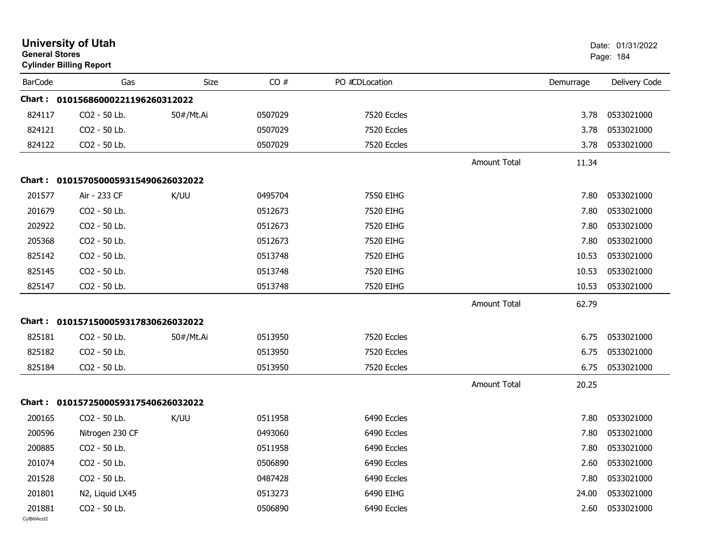| <b>General Stores</b>  | <b>University of Utah</b><br><b>Cylinder Billing Report</b> |             |         |                |                     |           | Date: 01/31/2022<br>Page: 184 |
|------------------------|-------------------------------------------------------------|-------------|---------|----------------|---------------------|-----------|-------------------------------|
| <b>BarCode</b>         | Gas                                                         | <b>Size</b> | CO#     | PO #CDLocation |                     | Demurrage | Delivery Code                 |
|                        | Chart: 01015686000221196260312022                           |             |         |                |                     |           |                               |
| 824117                 | CO2 - 50 Lb.                                                | 50#/Mt.Ai   | 0507029 | 7520 Eccles    |                     | 3.78      | 0533021000                    |
| 824121                 | CO2 - 50 Lb.                                                |             | 0507029 | 7520 Eccles    |                     | 3.78      | 0533021000                    |
| 824122                 | CO2 - 50 Lb.                                                |             | 0507029 | 7520 Eccles    |                     | 3.78      | 0533021000                    |
|                        |                                                             |             |         |                | <b>Amount Total</b> | 11.34     |                               |
|                        | Chart: 0101570500059315490626032022                         |             |         |                |                     |           |                               |
| 201577                 | Air - 233 CF                                                | K/UU        | 0495704 | 7550 EIHG      |                     | 7.80      | 0533021000                    |
| 201679                 | CO2 - 50 Lb.                                                |             | 0512673 | 7520 EIHG      |                     | 7.80      | 0533021000                    |
| 202922                 | CO2 - 50 Lb.                                                |             | 0512673 | 7520 EIHG      |                     | 7.80      | 0533021000                    |
| 205368                 | CO2 - 50 Lb.                                                |             | 0512673 | 7520 EIHG      |                     | 7.80      | 0533021000                    |
| 825142                 | CO2 - 50 Lb.                                                |             | 0513748 | 7520 EIHG      |                     | 10.53     | 0533021000                    |
| 825145                 | CO2 - 50 Lb.                                                |             | 0513748 | 7520 EIHG      |                     | 10.53     | 0533021000                    |
| 825147                 | CO2 - 50 Lb.                                                |             | 0513748 | 7520 EIHG      |                     | 10.53     | 0533021000                    |
|                        |                                                             |             |         |                | Amount Total        | 62.79     |                               |
| Chart :                | 0101571500059317830626032022                                |             |         |                |                     |           |                               |
| 825181                 | CO2 - 50 Lb.                                                | 50#/Mt.Ai   | 0513950 | 7520 Eccles    |                     | 6.75      | 0533021000                    |
| 825182                 | CO2 - 50 Lb.                                                |             | 0513950 | 7520 Eccles    |                     | 6.75      | 0533021000                    |
| 825184                 | CO2 - 50 Lb.                                                |             | 0513950 | 7520 Eccles    |                     | 6.75      | 0533021000                    |
|                        |                                                             |             |         |                | <b>Amount Total</b> | 20.25     |                               |
|                        | Chart: 0101572500059317540626032022                         |             |         |                |                     |           |                               |
| 200165                 | CO2 - 50 Lb.                                                | K/UU        | 0511958 | 6490 Eccles    |                     | 7.80      | 0533021000                    |
| 200596                 | Nitrogen 230 CF                                             |             | 0493060 | 6490 Eccles    |                     | 7.80      | 0533021000                    |
| 200885                 | CO2 - 50 Lb.                                                |             | 0511958 | 6490 Eccles    |                     | 7.80      | 0533021000                    |
| 201074                 | CO2 - 50 Lb.                                                |             | 0506890 | 6490 Eccles    |                     | 2.60      | 0533021000                    |
| 201528                 | CO2 - 50 Lb.                                                |             | 0487428 | 6490 Eccles    |                     | 7.80      | 0533021000                    |
| 201801                 | N2, Liquid LX45                                             |             | 0513273 | 6490 EIHG      |                     | 24.00     | 0533021000                    |
| 201881<br>CylBillAcct2 | CO2 - 50 Lb.                                                |             | 0506890 | 6490 Eccles    |                     | 2.60      | 0533021000                    |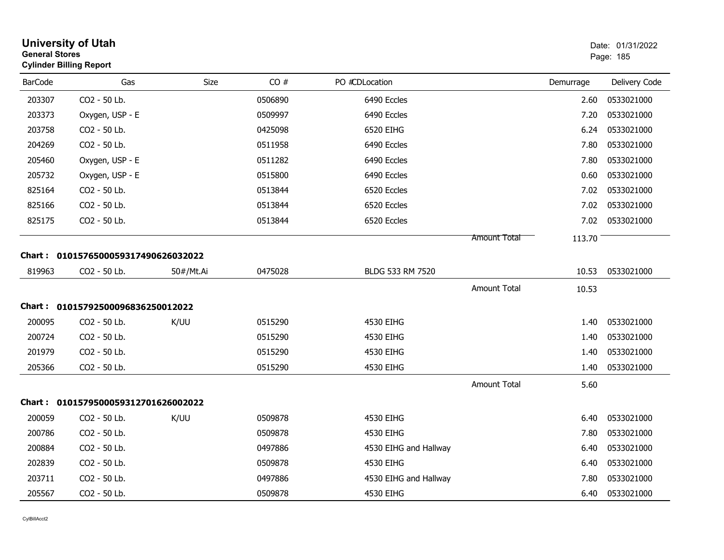| <b>University of Utah</b><br>Date: 01/31/2022<br><b>General Stores</b><br>Page: 185<br><b>Cylinder Billing Report</b> |                                     |           |         |                       |                     |           |               |
|-----------------------------------------------------------------------------------------------------------------------|-------------------------------------|-----------|---------|-----------------------|---------------------|-----------|---------------|
| <b>BarCode</b>                                                                                                        | Gas                                 | Size      | CO#     | PO #CDLocation        |                     | Demurrage | Delivery Code |
| 203307                                                                                                                | CO2 - 50 Lb.                        |           | 0506890 | 6490 Eccles           |                     | 2.60      | 0533021000    |
| 203373                                                                                                                | Oxygen, USP - E                     |           | 0509997 | 6490 Eccles           |                     | 7.20      | 0533021000    |
| 203758                                                                                                                | CO2 - 50 Lb.                        |           | 0425098 | 6520 EIHG             |                     | 6.24      | 0533021000    |
| 204269                                                                                                                | CO2 - 50 Lb.                        |           | 0511958 | 6490 Eccles           |                     | 7.80      | 0533021000    |
| 205460                                                                                                                | Oxygen, USP - E                     |           | 0511282 | 6490 Eccles           |                     | 7.80      | 0533021000    |
| 205732                                                                                                                | Oxygen, USP - E                     |           | 0515800 | 6490 Eccles           |                     | 0.60      | 0533021000    |
| 825164                                                                                                                | CO2 - 50 Lb.                        |           | 0513844 | 6520 Eccles           |                     | 7.02      | 0533021000    |
| 825166                                                                                                                | CO2 - 50 Lb.                        |           | 0513844 | 6520 Eccles           |                     | 7.02      | 0533021000    |
| 825175                                                                                                                | CO2 - 50 Lb.                        |           | 0513844 | 6520 Eccles           |                     | 7.02      | 0533021000    |
|                                                                                                                       |                                     |           |         |                       | <b>Amount Total</b> | 113.70    |               |
|                                                                                                                       | Chart: 0101576500059317490626032022 |           |         |                       |                     |           |               |
| 819963                                                                                                                | CO2 - 50 Lb.                        | 50#/Mt.Ai | 0475028 | BLDG 533 RM 7520      |                     | 10.53     | 0533021000    |
|                                                                                                                       |                                     |           |         |                       | <b>Amount Total</b> | 10.53     |               |
|                                                                                                                       | Chart: 01015792500096836250012022   |           |         |                       |                     |           |               |
| 200095                                                                                                                | CO2 - 50 Lb.                        | K/UU      | 0515290 | 4530 EIHG             |                     | 1.40      | 0533021000    |
| 200724                                                                                                                | CO2 - 50 Lb.                        |           | 0515290 | 4530 EIHG             |                     | 1.40      | 0533021000    |
| 201979                                                                                                                | CO2 - 50 Lb.                        |           | 0515290 | 4530 EIHG             |                     | 1.40      | 0533021000    |
| 205366                                                                                                                | CO2 - 50 Lb.                        |           | 0515290 | 4530 EIHG             |                     | 1.40      | 0533021000    |
|                                                                                                                       |                                     |           |         |                       | <b>Amount Total</b> | 5.60      |               |
|                                                                                                                       | Chart: 0101579500059312701626002022 |           |         |                       |                     |           |               |
| 200059                                                                                                                | CO2 - 50 Lb.                        | K/UU      | 0509878 | 4530 EIHG             |                     | 6.40      | 0533021000    |
| 200786                                                                                                                | CO2 - 50 Lb.                        |           | 0509878 | 4530 EIHG             |                     | 7.80      | 0533021000    |
| 200884                                                                                                                | CO2 - 50 Lb.                        |           | 0497886 | 4530 EIHG and Hallway |                     | 6.40      | 0533021000    |
| 202839                                                                                                                | CO2 - 50 Lb.                        |           | 0509878 | 4530 EIHG             |                     | 6.40      | 0533021000    |
| 203711                                                                                                                | CO2 - 50 Lb.                        |           | 0497886 | 4530 EIHG and Hallway |                     | 7.80      | 0533021000    |
| 205567                                                                                                                | CO2 - 50 Lb.                        |           | 0509878 | 4530 EIHG             |                     | 6.40      | 0533021000    |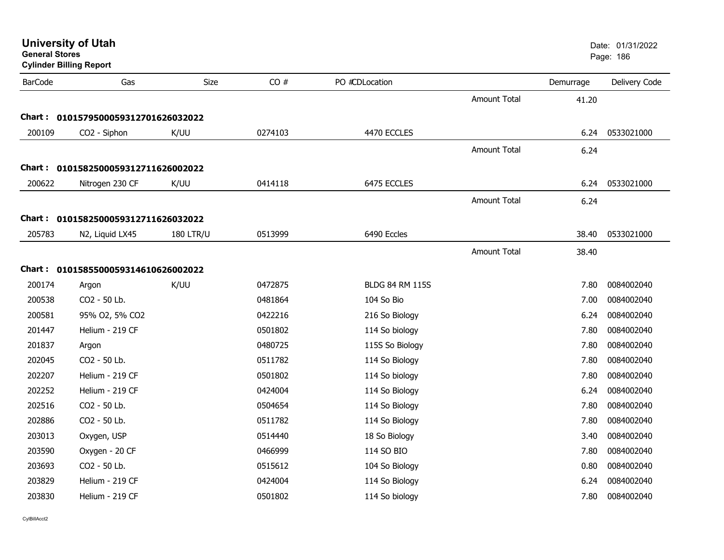| <b>University of Utah</b><br><b>General Stores</b><br><b>Cylinder Billing Report</b> |                                     |                  |         |                        |                     | Date: 01/31/2022<br>Page: 186 |               |
|--------------------------------------------------------------------------------------|-------------------------------------|------------------|---------|------------------------|---------------------|-------------------------------|---------------|
| <b>BarCode</b>                                                                       | Gas                                 | Size             | CO#     | PO #CDLocation         |                     | Demurrage                     | Delivery Code |
|                                                                                      |                                     |                  |         |                        | <b>Amount Total</b> | 41.20                         |               |
|                                                                                      | Chart: 0101579500059312701626032022 |                  |         |                        |                     |                               |               |
| 200109                                                                               | CO2 - Siphon                        | K/UU             | 0274103 | 4470 ECCLES            |                     | 6.24                          | 0533021000    |
|                                                                                      |                                     |                  |         |                        | <b>Amount Total</b> | 6.24                          |               |
|                                                                                      | Chart: 0101582500059312711626002022 |                  |         |                        |                     |                               |               |
| 200622                                                                               | Nitrogen 230 CF                     | K/UU             | 0414118 | 6475 ECCLES            |                     | 6.24                          | 0533021000    |
|                                                                                      |                                     |                  |         |                        | Amount Total        | 6.24                          |               |
|                                                                                      | Chart: 0101582500059312711626032022 |                  |         |                        |                     |                               |               |
| 205783                                                                               | N2, Liquid LX45                     | <b>180 LTR/U</b> | 0513999 | 6490 Eccles            |                     | 38.40                         | 0533021000    |
|                                                                                      |                                     |                  |         |                        |                     |                               |               |
|                                                                                      |                                     |                  |         |                        | <b>Amount Total</b> | 38.40                         |               |
|                                                                                      | Chart: 0101585500059314610626002022 |                  |         |                        |                     |                               |               |
| 200174                                                                               | Argon                               | K/UU             | 0472875 | <b>BLDG 84 RM 115S</b> |                     | 7.80                          | 0084002040    |
| 200538                                                                               | CO2 - 50 Lb.                        |                  | 0481864 | 104 So Bio             |                     | 7.00                          | 0084002040    |
| 200581                                                                               | 95% O2, 5% CO2                      |                  | 0422216 | 216 So Biology         |                     | 6.24                          | 0084002040    |
| 201447                                                                               | Helium - 219 CF                     |                  | 0501802 | 114 So biology         |                     | 7.80                          | 0084002040    |
| 201837                                                                               | Argon                               |                  | 0480725 | 115S So Biology        |                     | 7.80                          | 0084002040    |
| 202045                                                                               | CO2 - 50 Lb.                        |                  | 0511782 | 114 So Biology         |                     | 7.80                          | 0084002040    |
| 202207                                                                               | Helium - 219 CF                     |                  | 0501802 | 114 So biology         |                     | 7.80                          | 0084002040    |
| 202252                                                                               | Helium - 219 CF                     |                  | 0424004 | 114 So Biology         |                     | 6.24                          | 0084002040    |
| 202516                                                                               | CO2 - 50 Lb.                        |                  | 0504654 | 114 So Biology         |                     | 7.80                          | 0084002040    |
| 202886                                                                               | CO2 - 50 Lb.                        |                  | 0511782 | 114 So Biology         |                     | 7.80                          | 0084002040    |
| 203013                                                                               | Oxygen, USP                         |                  | 0514440 | 18 So Biology          |                     | 3.40                          | 0084002040    |
| 203590                                                                               | Oxygen - 20 CF                      |                  | 0466999 | 114 SO BIO             |                     | 7.80                          | 0084002040    |
| 203693                                                                               | CO2 - 50 Lb.                        |                  | 0515612 | 104 So Biology         |                     | 0.80                          | 0084002040    |
| 203829                                                                               | Helium - 219 CF                     |                  | 0424004 | 114 So Biology         |                     | 6.24                          | 0084002040    |
| 203830                                                                               | Helium - 219 CF                     |                  | 0501802 | 114 So biology         |                     | 7.80                          | 0084002040    |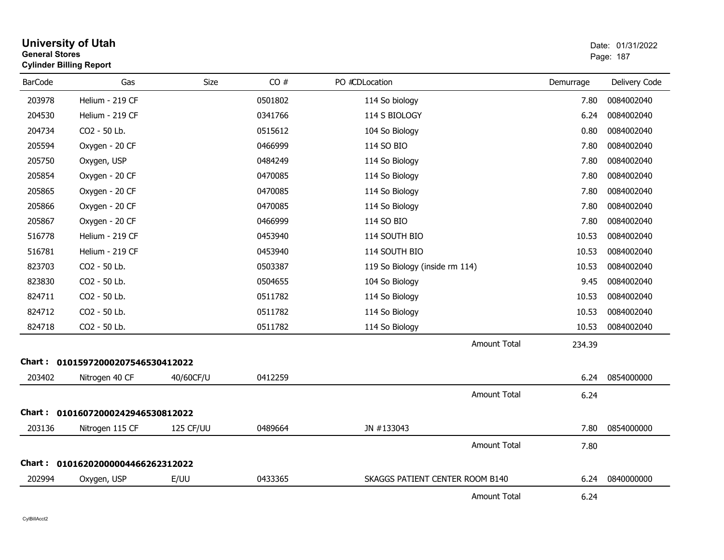| <b>General Stores</b> | <b>Cylinder Billing Report</b>    |             |         |                                 |           | Page: 187     |
|-----------------------|-----------------------------------|-------------|---------|---------------------------------|-----------|---------------|
| <b>BarCode</b>        | Gas                               | <b>Size</b> | CO#     | PO #CDLocation                  | Demurrage | Delivery Code |
| 203978                | Helium - 219 CF                   |             | 0501802 | 114 So biology                  | 7.80      | 0084002040    |
| 204530                | Helium - 219 CF                   |             | 0341766 | 114 S BIOLOGY                   | 6.24      | 0084002040    |
| 204734                | CO2 - 50 Lb.                      |             | 0515612 | 104 So Biology                  | 0.80      | 0084002040    |
| 205594                | Oxygen - 20 CF                    |             | 0466999 | 114 SO BIO                      | 7.80      | 0084002040    |
| 205750                | Oxygen, USP                       |             | 0484249 | 114 So Biology                  | 7.80      | 0084002040    |
| 205854                | Oxygen - 20 CF                    |             | 0470085 | 114 So Biology                  | 7.80      | 0084002040    |
| 205865                | Oxygen - 20 CF                    |             | 0470085 | 114 So Biology                  | 7.80      | 0084002040    |
| 205866                | Oxygen - 20 CF                    |             | 0470085 | 114 So Biology                  | 7.80      | 0084002040    |
| 205867                | Oxygen - 20 CF                    |             | 0466999 | 114 SO BIO                      | 7.80      | 0084002040    |
| 516778                | Helium - 219 CF                   |             | 0453940 | 114 SOUTH BIO                   | 10.53     | 0084002040    |
| 516781                | Helium - 219 CF                   |             | 0453940 | 114 SOUTH BIO                   | 10.53     | 0084002040    |
| 823703                | CO2 - 50 Lb.                      |             | 0503387 | 119 So Biology (inside rm 114)  | 10.53     | 0084002040    |
| 823830                | CO2 - 50 Lb.                      |             | 0504655 | 104 So Biology                  | 9.45      | 0084002040    |
| 824711                | CO2 - 50 Lb.                      |             | 0511782 | 114 So Biology                  | 10.53     | 0084002040    |
| 824712                | CO2 - 50 Lb.                      |             | 0511782 | 114 So Biology                  | 10.53     | 0084002040    |
| 824718                | CO2 - 50 Lb.                      |             | 0511782 | 114 So Biology                  | 10.53     | 0084002040    |
|                       |                                   |             |         | <b>Amount Total</b>             | 234.39    |               |
|                       | Chart: 01015972000207546530412022 |             |         |                                 |           |               |
| 203402                | Nitrogen 40 CF                    | 40/60CF/U   | 0412259 |                                 | 6.24      | 0854000000    |
|                       |                                   |             |         | <b>Amount Total</b>             | 6.24      |               |
|                       | Chart: 01016072000242946530812022 |             |         |                                 |           |               |
| 203136                | Nitrogen 115 CF                   | 125 CF/UU   | 0489664 | JN #133043                      | 7.80      | 0854000000    |
|                       |                                   |             |         | <b>Amount Total</b>             | 7.80      |               |
|                       | Chart: 01016202000004466262312022 |             |         |                                 |           |               |
| 202994                | Oxygen, USP                       | E/UU        | 0433365 | SKAGGS PATIENT CENTER ROOM B140 | 6.24      | 0840000000    |
|                       |                                   |             |         | <b>Amount Total</b>             | 6.24      |               |

# **University of Utah**  Date: 01/31/2022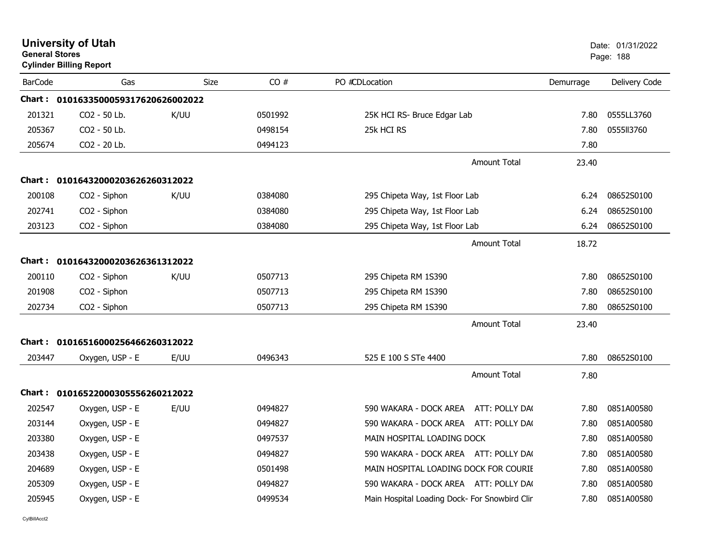| <b>General Stores</b> | <b>University of Utah</b><br><b>Cylinder Billing Report</b> |             |         |                                               |           | Date: 01/31/2022<br>Page: 188 |
|-----------------------|-------------------------------------------------------------|-------------|---------|-----------------------------------------------|-----------|-------------------------------|
| <b>BarCode</b>        | Gas                                                         | <b>Size</b> | CO#     | PO #CDLocation                                | Demurrage | Delivery Code                 |
|                       | Chart: 0101633500059317620626002022                         |             |         |                                               |           |                               |
| 201321                | CO <sub>2</sub> - 50 Lb.                                    | K/UU        | 0501992 | 25K HCI RS- Bruce Edgar Lab                   | 7.80      | 0555LL3760                    |
| 205367                | CO2 - 50 Lb.                                                |             | 0498154 | 25k HCI RS                                    | 7.80      | 0555113760                    |
| 205674                | CO2 - 20 Lb.                                                |             | 0494123 |                                               | 7.80      |                               |
|                       |                                                             |             |         | Amount Total                                  | 23.40     |                               |
|                       | Chart: 01016432000203626260312022                           |             |         |                                               |           |                               |
| 200108                | CO2 - Siphon                                                | K/UU        | 0384080 | 295 Chipeta Way, 1st Floor Lab                | 6.24      | 08652S0100                    |
| 202741                | CO2 - Siphon                                                |             | 0384080 | 295 Chipeta Way, 1st Floor Lab                | 6.24      | 08652S0100                    |
| 203123                | CO <sub>2</sub> - Siphon                                    |             | 0384080 | 295 Chipeta Way, 1st Floor Lab                | 6.24      | 08652S0100                    |
|                       |                                                             |             |         | Amount Total                                  | 18.72     |                               |
|                       | Chart: 01016432000203626361312022                           |             |         |                                               |           |                               |
| 200110                | CO <sub>2</sub> - Siphon                                    | K/UU        | 0507713 | 295 Chipeta RM 1S390                          | 7.80      | 08652S0100                    |
| 201908                | CO2 - Siphon                                                |             | 0507713 | 295 Chipeta RM 1S390                          | 7.80      | 08652S0100                    |
| 202734                | CO2 - Siphon                                                |             | 0507713 | 295 Chipeta RM 1S390                          | 7.80      | 08652S0100                    |
|                       |                                                             |             |         | <b>Amount Total</b>                           | 23.40     |                               |
|                       | Chart: 01016516000256466260312022                           |             |         |                                               |           |                               |
| 203447                | Oxygen, USP - E                                             | E/UU        | 0496343 | 525 E 100 S STe 4400                          | 7.80      | 08652S0100                    |
|                       |                                                             |             |         | <b>Amount Total</b>                           | 7.80      |                               |
|                       | Chart: 01016522000305556260212022                           |             |         |                                               |           |                               |
| 202547                | Oxygen, USP - E                                             | E/UU        | 0494827 | 590 WAKARA - DOCK AREA<br>ATT: POLLY DA(      | 7.80      | 0851A00580                    |
| 203144                | Oxygen, USP - E                                             |             | 0494827 | 590 WAKARA - DOCK AREA ATT: POLLY DA(         | 7.80      | 0851A00580                    |
| 203380                | Oxygen, USP - E                                             |             | 0497537 | MAIN HOSPITAL LOADING DOCK                    | 7.80      | 0851A00580                    |
| 203438                | Oxygen, USP - E                                             |             | 0494827 | 590 WAKARA - DOCK AREA ATT: POLLY DA(         | 7.80      | 0851A00580                    |
| 204689                | Oxygen, USP - E                                             |             | 0501498 | MAIN HOSPITAL LOADING DOCK FOR COURIE         | 7.80      | 0851A00580                    |
| 205309                | Oxygen, USP - E                                             |             | 0494827 | 590 WAKARA - DOCK AREA ATT: POLLY DAC         | 7.80      | 0851A00580                    |
| 205945                | Oxygen, USP - E                                             |             | 0499534 | Main Hospital Loading Dock- For Snowbird Clin | 7.80      | 0851A00580                    |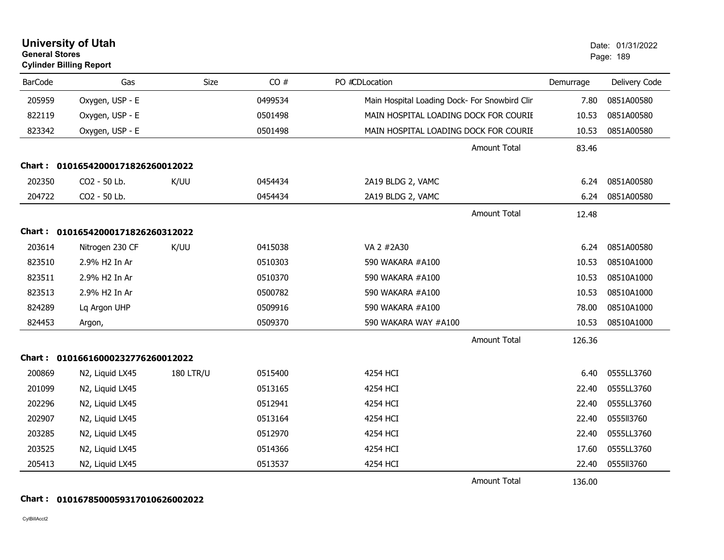| <b>General Stores</b> | <b>University of Utah</b><br><b>Cylinder Billing Report</b> |                  |         |                                               |           | Date: 01/31/2022<br>Page: 189 |
|-----------------------|-------------------------------------------------------------|------------------|---------|-----------------------------------------------|-----------|-------------------------------|
| <b>BarCode</b>        | Gas                                                         | Size             | CO#     | PO #CDLocation                                | Demurrage | Delivery Code                 |
| 205959                | Oxygen, USP - E                                             |                  | 0499534 | Main Hospital Loading Dock- For Snowbird Clin | 7.80      | 0851A00580                    |
| 822119                | Oxygen, USP - E                                             |                  | 0501498 | MAIN HOSPITAL LOADING DOCK FOR COURIE         | 10.53     | 0851A00580                    |
| 823342                | Oxygen, USP - E                                             |                  | 0501498 | MAIN HOSPITAL LOADING DOCK FOR COURIE         | 10.53     | 0851A00580                    |
|                       |                                                             |                  |         | <b>Amount Total</b>                           | 83.46     |                               |
|                       | Chart: 01016542000171826260012022                           |                  |         |                                               |           |                               |
| 202350                | CO2 - 50 Lb.                                                | K/UU             | 0454434 | 2A19 BLDG 2, VAMC                             | 6.24      | 0851A00580                    |
| 204722                | CO2 - 50 Lb.                                                |                  | 0454434 | 2A19 BLDG 2, VAMC                             | 6.24      | 0851A00580                    |
|                       |                                                             |                  |         | <b>Amount Total</b>                           | 12.48     |                               |
|                       | Chart: 01016542000171826260312022                           |                  |         |                                               |           |                               |
| 203614                | Nitrogen 230 CF                                             | K/UU             | 0415038 | VA 2 #2A30                                    | 6.24      | 0851A00580                    |
| 823510                | 2.9% H2 In Ar                                               |                  | 0510303 | 590 WAKARA #A100                              | 10.53     | 08510A1000                    |
| 823511                | 2.9% H2 In Ar                                               |                  | 0510370 | 590 WAKARA #A100                              | 10.53     | 08510A1000                    |
| 823513                | 2.9% H2 In Ar                                               |                  | 0500782 | 590 WAKARA #A100                              | 10.53     | 08510A1000                    |
| 824289                | Lq Argon UHP                                                |                  | 0509916 | 590 WAKARA #A100                              | 78.00     | 08510A1000                    |
| 824453                | Argon,                                                      |                  | 0509370 | 590 WAKARA WAY #A100                          | 10.53     | 08510A1000                    |
|                       |                                                             |                  |         | <b>Amount Total</b>                           | 126.36    |                               |
|                       | Chart: 01016616000232776260012022                           |                  |         |                                               |           |                               |
| 200869                | N2, Liquid LX45                                             | <b>180 LTR/U</b> | 0515400 | 4254 HCI                                      | 6.40      | 0555LL3760                    |
| 201099                | N2, Liquid LX45                                             |                  | 0513165 | 4254 HCI                                      | 22.40     | 0555LL3760                    |
| 202296                | N2, Liquid LX45                                             |                  | 0512941 | 4254 HCI                                      | 22.40     | 0555LL3760                    |
| 202907                | N2, Liquid LX45                                             |                  | 0513164 | 4254 HCI                                      | 22.40     | 0555II3760                    |
| 203285                | N2, Liquid LX45                                             |                  | 0512970 | 4254 HCI                                      | 22.40     | 0555LL3760                    |
| 203525                | N2, Liquid LX45                                             |                  | 0514366 | 4254 HCI                                      | 17.60     | 0555LL3760                    |
| 205413                | N2, Liquid LX45                                             |                  | 0513537 | 4254 HCI                                      | 22.40     | 0555II3760                    |
|                       |                                                             |                  |         | Amount Total                                  | 136.00    |                               |

### **Chart : 0101678500059317010626002022**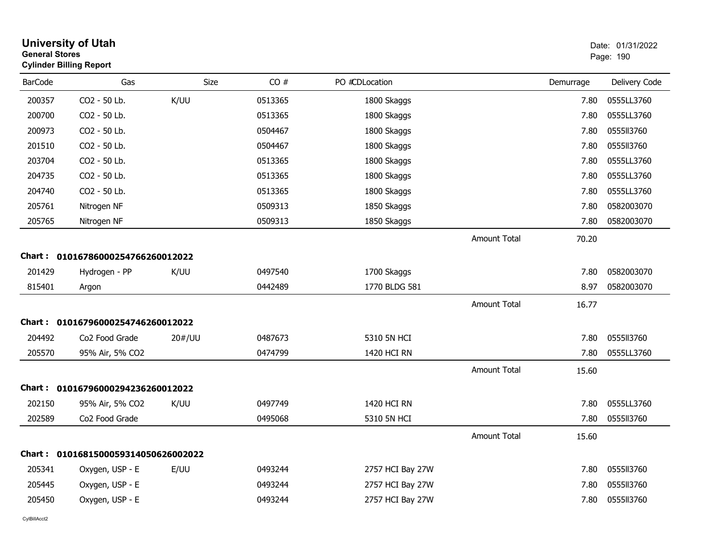| <b>General Stores</b> | <b>University of Utah</b><br><b>Cylinder Billing Report</b> |             |         |                  |                     |           | Date: 01/31/2022<br>Page: 190 |
|-----------------------|-------------------------------------------------------------|-------------|---------|------------------|---------------------|-----------|-------------------------------|
| <b>BarCode</b>        | Gas                                                         | <b>Size</b> | CO#     | PO #CDLocation   |                     | Demurrage | Delivery Code                 |
| 200357                | CO2 - 50 Lb.                                                | K/UU        | 0513365 | 1800 Skaggs      |                     | 7.80      | 0555LL3760                    |
| 200700                | CO2 - 50 Lb.                                                |             | 0513365 | 1800 Skaggs      |                     | 7.80      | 0555LL3760                    |
| 200973                | CO2 - 50 Lb.                                                |             | 0504467 | 1800 Skaggs      |                     | 7.80      | 0555113760                    |
| 201510                | CO2 - 50 Lb.                                                |             | 0504467 | 1800 Skaggs      |                     | 7.80      | 0555113760                    |
| 203704                | CO2 - 50 Lb.                                                |             | 0513365 | 1800 Skaggs      |                     | 7.80      | 0555LL3760                    |
| 204735                | CO2 - 50 Lb.                                                |             | 0513365 | 1800 Skaggs      |                     | 7.80      | 0555LL3760                    |
| 204740                | CO2 - 50 Lb.                                                |             | 0513365 | 1800 Skaggs      |                     | 7.80      | 0555LL3760                    |
| 205761                | Nitrogen NF                                                 |             | 0509313 | 1850 Skaggs      |                     | 7.80      | 0582003070                    |
| 205765                | Nitrogen NF                                                 |             | 0509313 | 1850 Skaggs      |                     | 7.80      | 0582003070                    |
|                       |                                                             |             |         |                  | <b>Amount Total</b> | 70.20     |                               |
|                       | Chart: 01016786000254766260012022                           |             |         |                  |                     |           |                               |
| 201429                | Hydrogen - PP                                               | K/UU        | 0497540 | 1700 Skaggs      |                     | 7.80      | 0582003070                    |
| 815401                | Argon                                                       |             | 0442489 | 1770 BLDG 581    |                     | 8.97      | 0582003070                    |
|                       |                                                             |             |         |                  | <b>Amount Total</b> | 16.77     |                               |
|                       | Chart: 01016796000254746260012022                           |             |         |                  |                     |           |                               |
| 204492                | Co <sub>2</sub> Food Grade                                  | 20#/UU      | 0487673 | 5310 5N HCI      |                     | 7.80      | 0555II3760                    |
| 205570                | 95% Air, 5% CO2                                             |             | 0474799 | 1420 HCI RN      |                     | 7.80      | 0555LL3760                    |
|                       |                                                             |             |         |                  | <b>Amount Total</b> | 15.60     |                               |
|                       | Chart: 01016796000294236260012022                           |             |         |                  |                     |           |                               |
| 202150                | 95% Air, 5% CO2                                             | K/UU        | 0497749 | 1420 HCI RN      |                     | 7.80      | 0555LL3760                    |
| 202589                | Co2 Food Grade                                              |             | 0495068 | 5310 5N HCI      |                     | 7.80      | 0555113760                    |
|                       |                                                             |             |         |                  | <b>Amount Total</b> | 15.60     |                               |
| Chart :               | 0101681500059314050626002022                                |             |         |                  |                     |           |                               |
| 205341                | Oxygen, USP - E                                             | E/UU        | 0493244 | 2757 HCI Bay 27W |                     | 7.80      | 0555113760                    |
| 205445                | Oxygen, USP - E                                             |             | 0493244 | 2757 HCI Bay 27W |                     | 7.80      | 055513760                     |
| 205450                | Oxygen, USP - E                                             |             | 0493244 | 2757 HCI Bay 27W |                     | 7.80      | 0555113760                    |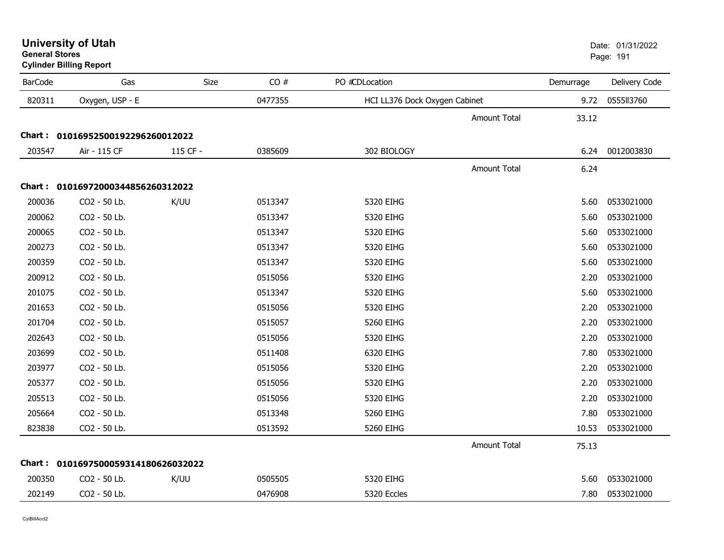| <b>University of Utah</b> |  |
|---------------------------|--|
| <b>General Stores</b>     |  |

**Cylinder Billing Report**

| <b>BarCode</b> | Gas                                 | Size     | CO#     | PO #CDLocation                | Demurrage | Delivery Code |
|----------------|-------------------------------------|----------|---------|-------------------------------|-----------|---------------|
| 820311         | Oxygen, USP - E                     |          | 0477355 | HCI LL376 Dock Oxygen Cabinet | 9.72      | 0555113760    |
|                |                                     |          |         | <b>Amount Total</b>           | 33.12     |               |
|                | Chart: 01016952500192296260012022   |          |         |                               |           |               |
| 203547         | Air - 115 CF                        | 115 CF - | 0385609 | 302 BIOLOGY                   | 6.24      | 0012003830    |
|                |                                     |          |         | <b>Amount Total</b>           | 6.24      |               |
|                | Chart: 01016972000344856260312022   |          |         |                               |           |               |
| 200036         | CO2 - 50 Lb.                        | K/UU     | 0513347 | 5320 EIHG                     | 5.60      | 0533021000    |
| 200062         | CO2 - 50 Lb.                        |          | 0513347 | 5320 EIHG                     | 5.60      | 0533021000    |
| 200065         | CO2 - 50 Lb.                        |          | 0513347 | 5320 EIHG                     | 5.60      | 0533021000    |
| 200273         | CO2 - 50 Lb.                        |          | 0513347 | 5320 EIHG                     | 5.60      | 0533021000    |
| 200359         | CO2 - 50 Lb.                        |          | 0513347 | 5320 EIHG                     | 5.60      | 0533021000    |
| 200912         | CO2 - 50 Lb.                        |          | 0515056 | 5320 EIHG                     | 2.20      | 0533021000    |
| 201075         | CO2 - 50 Lb.                        |          | 0513347 | 5320 EIHG                     | 5.60      | 0533021000    |
| 201653         | CO2 - 50 Lb.                        |          | 0515056 | 5320 EIHG                     | 2.20      | 0533021000    |
| 201704         | CO2 - 50 Lb.                        |          | 0515057 | 5260 EIHG                     | 2.20      | 0533021000    |
| 202643         | CO2 - 50 Lb.                        |          | 0515056 | 5320 EIHG                     | 2.20      | 0533021000    |
| 203699         | CO2 - 50 Lb.                        |          | 0511408 | 6320 EIHG                     | 7.80      | 0533021000    |
| 203977         | CO2 - 50 Lb.                        |          | 0515056 | 5320 EIHG                     | 2.20      | 0533021000    |
| 205377         | CO2 - 50 Lb.                        |          | 0515056 | 5320 EIHG                     | 2.20      | 0533021000    |
| 205513         | CO2 - 50 Lb.                        |          | 0515056 | 5320 EIHG                     | 2.20      | 0533021000    |
| 205664         | CO2 - 50 Lb.                        |          | 0513348 | 5260 EIHG                     | 7.80      | 0533021000    |
| 823838         | CO2 - 50 Lb.                        |          | 0513592 | 5260 EIHG                     | 10.53     | 0533021000    |
|                |                                     |          |         | Amount Total                  | 75.13     |               |
|                | Chart: 0101697500059314180626032022 |          |         |                               |           |               |
| 200350         | CO2 - 50 Lb.                        | K/UU     | 0505505 | 5320 EIHG                     | 5.60      | 0533021000    |
| 202149         | CO2 - 50 Lb.                        |          | 0476908 | 5320 Eccles                   | 7.80      | 0533021000    |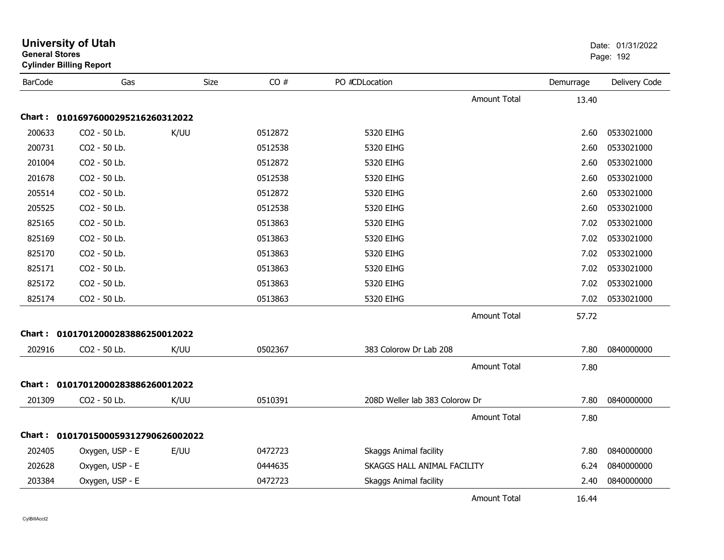| General Stores | <b>Cylinder Billing Report</b>      |      |         |                                |                     |           | Page: 192     |
|----------------|-------------------------------------|------|---------|--------------------------------|---------------------|-----------|---------------|
| <b>BarCode</b> | Gas                                 | Size | CO#     | PO #CDLocation                 |                     | Demurrage | Delivery Code |
|                |                                     |      |         |                                | <b>Amount Total</b> | 13.40     |               |
| Chart :        | 01016976000295216260312022          |      |         |                                |                     |           |               |
| 200633         | CO2 - 50 Lb.                        | K/UU | 0512872 | 5320 EIHG                      |                     | 2.60      | 0533021000    |
| 200731         | CO2 - 50 Lb.                        |      | 0512538 | 5320 EIHG                      |                     | 2.60      | 0533021000    |
| 201004         | CO2 - 50 Lb.                        |      | 0512872 | 5320 EIHG                      |                     | 2.60      | 0533021000    |
| 201678         | CO2 - 50 Lb.                        |      | 0512538 | 5320 EIHG                      |                     | 2.60      | 0533021000    |
| 205514         | CO2 - 50 Lb.                        |      | 0512872 | 5320 EIHG                      |                     | 2.60      | 0533021000    |
| 205525         | CO2 - 50 Lb.                        |      | 0512538 | 5320 EIHG                      |                     | 2.60      | 0533021000    |
| 825165         | CO2 - 50 Lb.                        |      | 0513863 | 5320 EIHG                      |                     | 7.02      | 0533021000    |
| 825169         | CO2 - 50 Lb.                        |      | 0513863 | 5320 EIHG                      |                     | 7.02      | 0533021000    |
| 825170         | CO2 - 50 Lb.                        |      | 0513863 | 5320 EIHG                      |                     | 7.02      | 0533021000    |
| 825171         | CO2 - 50 Lb.                        |      | 0513863 | 5320 EIHG                      |                     | 7.02      | 0533021000    |
| 825172         | CO2 - 50 Lb.                        |      | 0513863 | 5320 EIHG                      |                     | 7.02      | 0533021000    |
| 825174         | CO2 - 50 Lb.                        |      | 0513863 | 5320 EIHG                      |                     | 7.02      | 0533021000    |
|                |                                     |      |         |                                | <b>Amount Total</b> | 57.72     |               |
|                | Chart: 01017012000283886250012022   |      |         |                                |                     |           |               |
| 202916         | CO2 - 50 Lb.                        | K/UU | 0502367 | 383 Colorow Dr Lab 208         |                     | 7.80      | 0840000000    |
|                |                                     |      |         |                                | <b>Amount Total</b> | 7.80      |               |
|                | Chart: 01017012000283886260012022   |      |         |                                |                     |           |               |
| 201309         | CO2 - 50 Lb.                        | K/UU | 0510391 | 208D Weller lab 383 Colorow Dr |                     | 7.80      | 0840000000    |
|                |                                     |      |         |                                | <b>Amount Total</b> | 7.80      |               |
|                | Chart: 0101701500059312790626002022 |      |         |                                |                     |           |               |
| 202405         | Oxygen, USP - E                     | E/UU | 0472723 | <b>Skaggs Animal facility</b>  |                     | 7.80      | 0840000000    |
| 202628         | Oxygen, USP - E                     |      | 0444635 | SKAGGS HALL ANIMAL FACILITY    |                     | 6.24      | 0840000000    |
| 203384         | Oxygen, USP - E                     |      | 0472723 | Skaggs Animal facility         |                     | 2.40      | 0840000000    |
|                |                                     |      |         |                                | Amount Total        | 16.44     |               |

## **University of Utah** Date: 01/31/2022 **General Stores**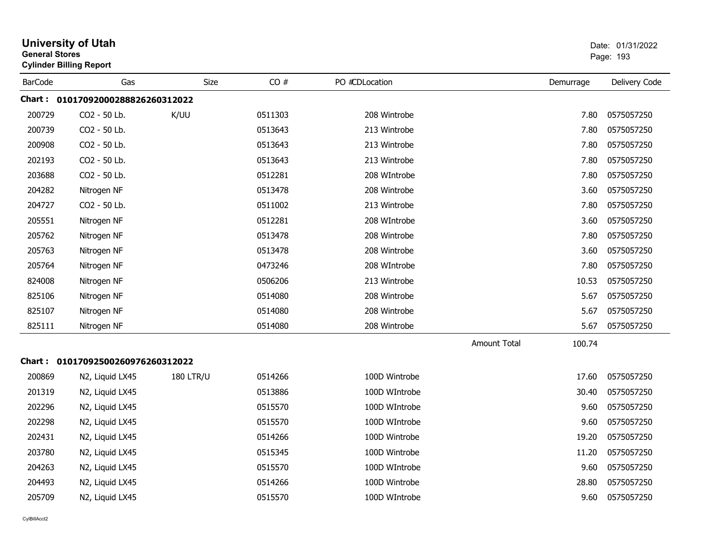| <b>General Stores</b> | <b>University of Utah</b><br><b>Cylinder Billing Report</b> |                  |         |                |                     |           | Date: 01/31/2022<br>Page: 193 |
|-----------------------|-------------------------------------------------------------|------------------|---------|----------------|---------------------|-----------|-------------------------------|
| <b>BarCode</b>        | Gas                                                         | Size             | CO#     | PO #CDLocation |                     | Demurrage | Delivery Code                 |
|                       | Chart: 01017092000288826260312022                           |                  |         |                |                     |           |                               |
| 200729                | CO2 - 50 Lb.                                                | K/UU             | 0511303 | 208 Wintrobe   |                     | 7.80      | 0575057250                    |
| 200739                | CO2 - 50 Lb.                                                |                  | 0513643 | 213 Wintrobe   |                     | 7.80      | 0575057250                    |
| 200908                | CO2 - 50 Lb.                                                |                  | 0513643 | 213 Wintrobe   |                     | 7.80      | 0575057250                    |
| 202193                | CO2 - 50 Lb.                                                |                  | 0513643 | 213 Wintrobe   |                     | 7.80      | 0575057250                    |
| 203688                | CO2 - 50 Lb.                                                |                  | 0512281 | 208 WIntrobe   |                     | 7.80      | 0575057250                    |
| 204282                | Nitrogen NF                                                 |                  | 0513478 | 208 Wintrobe   |                     | 3.60      | 0575057250                    |
| 204727                | CO2 - 50 Lb.                                                |                  | 0511002 | 213 Wintrobe   |                     | 7.80      | 0575057250                    |
| 205551                | Nitrogen NF                                                 |                  | 0512281 | 208 WIntrobe   |                     | 3.60      | 0575057250                    |
| 205762                | Nitrogen NF                                                 |                  | 0513478 | 208 Wintrobe   |                     | 7.80      | 0575057250                    |
| 205763                | Nitrogen NF                                                 |                  | 0513478 | 208 Wintrobe   |                     | 3.60      | 0575057250                    |
| 205764                | Nitrogen NF                                                 |                  | 0473246 | 208 WIntrobe   |                     | 7.80      | 0575057250                    |
| 824008                | Nitrogen NF                                                 |                  | 0506206 | 213 Wintrobe   |                     | 10.53     | 0575057250                    |
| 825106                | Nitrogen NF                                                 |                  | 0514080 | 208 Wintrobe   |                     | 5.67      | 0575057250                    |
| 825107                | Nitrogen NF                                                 |                  | 0514080 | 208 Wintrobe   |                     | 5.67      | 0575057250                    |
| 825111                | Nitrogen NF                                                 |                  | 0514080 | 208 Wintrobe   |                     | 5.67      | 0575057250                    |
|                       |                                                             |                  |         |                | <b>Amount Total</b> | 100.74    |                               |
|                       | Chart: 01017092500260976260312022                           |                  |         |                |                     |           |                               |
| 200869                | N2, Liquid LX45                                             | <b>180 LTR/U</b> | 0514266 | 100D Wintrobe  |                     | 17.60     | 0575057250                    |
| 201319                | N2, Liquid LX45                                             |                  | 0513886 | 100D WIntrobe  |                     | 30.40     | 0575057250                    |
| 202296                | N2, Liquid LX45                                             |                  | 0515570 | 100D WIntrobe  |                     | 9.60      | 0575057250                    |
| 202298                | N2, Liquid LX45                                             |                  | 0515570 | 100D WIntrobe  |                     | 9.60      | 0575057250                    |
| 202431                | N2, Liquid LX45                                             |                  | 0514266 | 100D Wintrobe  |                     | 19.20     | 0575057250                    |
| 203780                | N2, Liquid LX45                                             |                  | 0515345 | 100D Wintrobe  |                     | 11.20     | 0575057250                    |
| 204263                | N2, Liquid LX45                                             |                  | 0515570 | 100D WIntrobe  |                     | 9.60      | 0575057250                    |
| 204493                | N2, Liquid LX45                                             |                  | 0514266 | 100D Wintrobe  |                     | 28.80     | 0575057250                    |
| 205709                | N2, Liquid LX45                                             |                  | 0515570 | 100D WIntrobe  |                     | 9.60      | 0575057250                    |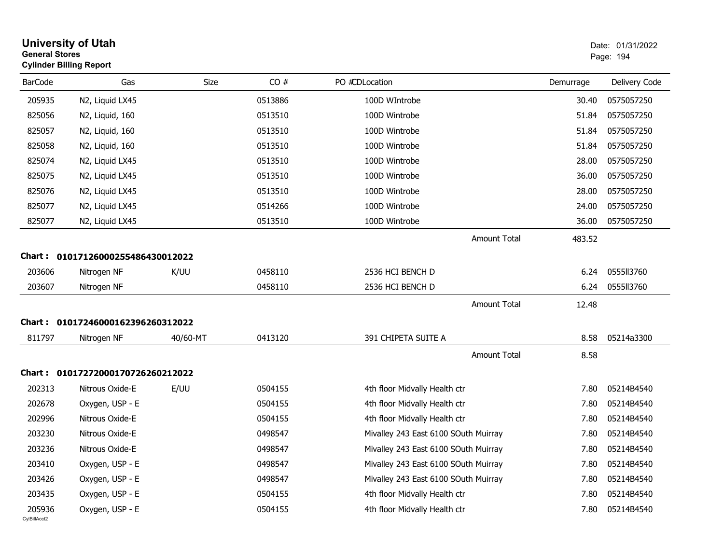| <b>General Stores</b>  | <b>University of Utah</b><br><b>Cylinder Billing Report</b> |             |         |                                      |           | Date: 01/31/2022<br>Page: 194 |
|------------------------|-------------------------------------------------------------|-------------|---------|--------------------------------------|-----------|-------------------------------|
| <b>BarCode</b>         | Gas                                                         | <b>Size</b> | CO#     | PO #CDLocation                       | Demurrage | Delivery Code                 |
| 205935                 | N2, Liquid LX45                                             |             | 0513886 | 100D WIntrobe                        | 30.40     | 0575057250                    |
| 825056                 | N2, Liquid, 160                                             |             | 0513510 | 100D Wintrobe                        | 51.84     | 0575057250                    |
| 825057                 | N2, Liquid, 160                                             |             | 0513510 | 100D Wintrobe                        | 51.84     | 0575057250                    |
| 825058                 | N2, Liquid, 160                                             |             | 0513510 | 100D Wintrobe                        | 51.84     | 0575057250                    |
| 825074                 | N2, Liquid LX45                                             |             | 0513510 | 100D Wintrobe                        | 28.00     | 0575057250                    |
| 825075                 | N2, Liquid LX45                                             |             | 0513510 | 100D Wintrobe                        | 36.00     | 0575057250                    |
| 825076                 | N2, Liquid LX45                                             |             | 0513510 | 100D Wintrobe                        | 28.00     | 0575057250                    |
| 825077                 | N2, Liquid LX45                                             |             | 0514266 | 100D Wintrobe                        | 24.00     | 0575057250                    |
| 825077                 | N2, Liquid LX45                                             |             | 0513510 | 100D Wintrobe                        | 36.00     | 0575057250                    |
|                        |                                                             |             |         | <b>Amount Total</b>                  | 483.52    |                               |
| Chart :                | 01017126000255486430012022                                  |             |         |                                      |           |                               |
| 203606                 | Nitrogen NF                                                 | K/UU        | 0458110 | 2536 HCI BENCH D                     | 6.24      | 0555113760                    |
| 203607                 | Nitrogen NF                                                 |             | 0458110 | 2536 HCI BENCH D                     | 6.24      | 0555113760                    |
|                        |                                                             |             |         | <b>Amount Total</b>                  | 12.48     |                               |
|                        | Chart: 01017246000162396260312022                           |             |         |                                      |           |                               |
| 811797                 | Nitrogen NF                                                 | 40/60-MT    | 0413120 | 391 CHIPETA SUITE A                  | 8.58      | 05214a3300                    |
|                        |                                                             |             |         | <b>Amount Total</b>                  | 8.58      |                               |
|                        | Chart: 01017272000170726260212022                           |             |         |                                      |           |                               |
| 202313                 | Nitrous Oxide-E                                             | E/UU        | 0504155 | 4th floor Midvally Health ctr        | 7.80      | 05214B4540                    |
| 202678                 | Oxygen, USP - E                                             |             | 0504155 | 4th floor Midvally Health ctr        | 7.80      | 05214B4540                    |
| 202996                 | Nitrous Oxide-E                                             |             | 0504155 | 4th floor Midvally Health ctr        | 7.80      | 05214B4540                    |
| 203230                 | Nitrous Oxide-E                                             |             | 0498547 | Mivalley 243 East 6100 SOuth Muirray | 7.80      | 05214B4540                    |
| 203236                 | Nitrous Oxide-E                                             |             | 0498547 | Mivalley 243 East 6100 SOuth Muirray | 7.80      | 05214B4540                    |
| 203410                 | Oxygen, USP - E                                             |             | 0498547 | Mivalley 243 East 6100 SOuth Muirray | 7.80      | 05214B4540                    |
| 203426                 | Oxygen, USP - E                                             |             | 0498547 | Mivalley 243 East 6100 SOuth Muirray | 7.80      | 05214B4540                    |
| 203435                 | Oxygen, USP - E                                             |             | 0504155 | 4th floor Midvally Health ctr        | 7.80      | 05214B4540                    |
| 205936<br>CylBillAcct2 | Oxygen, USP - E                                             |             | 0504155 | 4th floor Midvally Health ctr        | 7.80      | 05214B4540                    |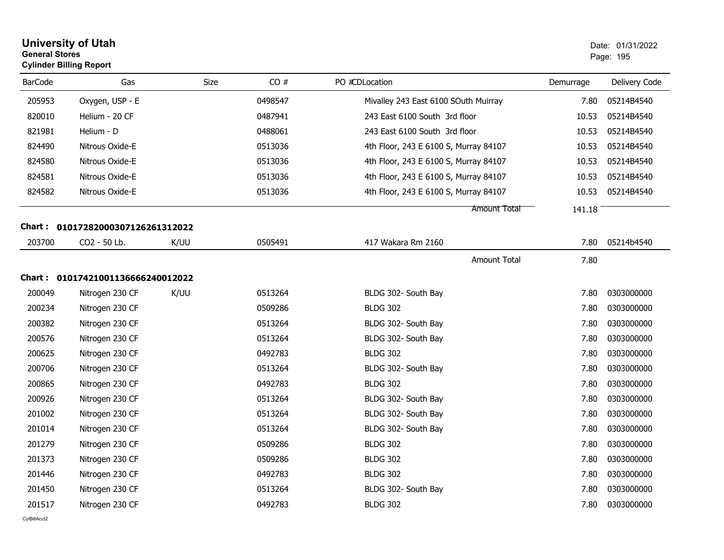| <b>General Stores</b> | <b>University of Utah</b><br><b>Cylinder Billing Report</b> |             |         |                                       |           | Date: 01/31/2022<br>Page: 195 |
|-----------------------|-------------------------------------------------------------|-------------|---------|---------------------------------------|-----------|-------------------------------|
| <b>BarCode</b>        | Gas                                                         | <b>Size</b> | CO#     | PO #CDLocation                        | Demurrage | Delivery Code                 |
| 205953                | Oxygen, USP - E                                             |             | 0498547 | Mivalley 243 East 6100 SOuth Muirray  | 7.80      | 05214B4540                    |
| 820010                | Helium - 20 CF                                              |             | 0487941 | 243 East 6100 South 3rd floor         | 10.53     | 05214B4540                    |
| 821981                | Helium - D                                                  |             | 0488061 | 243 East 6100 South 3rd floor         | 10.53     | 05214B4540                    |
| 824490                | Nitrous Oxide-E                                             |             | 0513036 | 4th Floor, 243 E 6100 S, Murray 84107 | 10.53     | 05214B4540                    |
| 824580                | Nitrous Oxide-E                                             |             | 0513036 | 4th Floor, 243 E 6100 S, Murray 84107 | 10.53     | 05214B4540                    |
| 824581                | Nitrous Oxide-E                                             |             | 0513036 | 4th Floor, 243 E 6100 S, Murray 84107 | 10.53     | 05214B4540                    |
| 824582                | Nitrous Oxide-E                                             |             | 0513036 | 4th Floor, 243 E 6100 S, Murray 84107 | 10.53     | 05214B4540                    |
|                       |                                                             |             |         | Amount Total                          | 141.18    |                               |
|                       | Chart: 01017282000307126261312022                           |             |         |                                       |           |                               |
| 203700                | CO2 - 50 Lb.                                                | K/UU        | 0505491 | 417 Wakara Rm 2160                    | 7.80      | 05214b4540                    |
|                       |                                                             |             |         | <b>Amount Total</b>                   | 7.80      |                               |
|                       | Chart: 01017421001136666240012022                           |             |         |                                       |           |                               |
| 200049                | Nitrogen 230 CF                                             | K/UU        | 0513264 | BLDG 302- South Bay                   | 7.80      | 0303000000                    |
| 200234                | Nitrogen 230 CF                                             |             | 0509286 | <b>BLDG 302</b>                       | 7.80      | 0303000000                    |
| 200382                | Nitrogen 230 CF                                             |             | 0513264 | BLDG 302- South Bay                   | 7.80      | 0303000000                    |
| 200576                | Nitrogen 230 CF                                             |             | 0513264 | BLDG 302- South Bay                   | 7.80      | 0303000000                    |
| 200625                | Nitrogen 230 CF                                             |             | 0492783 | <b>BLDG 302</b>                       | 7.80      | 0303000000                    |
| 200706                | Nitrogen 230 CF                                             |             | 0513264 | BLDG 302- South Bay                   | 7.80      | 0303000000                    |
| 200865                | Nitrogen 230 CF                                             |             | 0492783 | <b>BLDG 302</b>                       | 7.80      | 0303000000                    |
| 200926                | Nitrogen 230 CF                                             |             | 0513264 | BLDG 302- South Bay                   | 7.80      | 0303000000                    |
| 201002                | Nitrogen 230 CF                                             |             | 0513264 | BLDG 302- South Bay                   | 7.80      | 0303000000                    |
| 201014                | Nitrogen 230 CF                                             |             | 0513264 | BLDG 302- South Bay                   | 7.80      | 0303000000                    |
| 201279                | Nitrogen 230 CF                                             |             | 0509286 | <b>BLDG 302</b>                       | 7.80      | 0303000000                    |
| 201373                | Nitrogen 230 CF                                             |             | 0509286 | <b>BLDG 302</b>                       | 7.80      | 0303000000                    |
| 201446                | Nitrogen 230 CF                                             |             | 0492783 | <b>BLDG 302</b>                       | 7.80      | 0303000000                    |
| 201450                | Nitrogen 230 CF                                             |             | 0513264 | BLDG 302- South Bay                   | 7.80      | 0303000000                    |
| 201517                | Nitrogen 230 CF                                             |             | 0492783 | <b>BLDG 302</b>                       | 7.80      | 0303000000                    |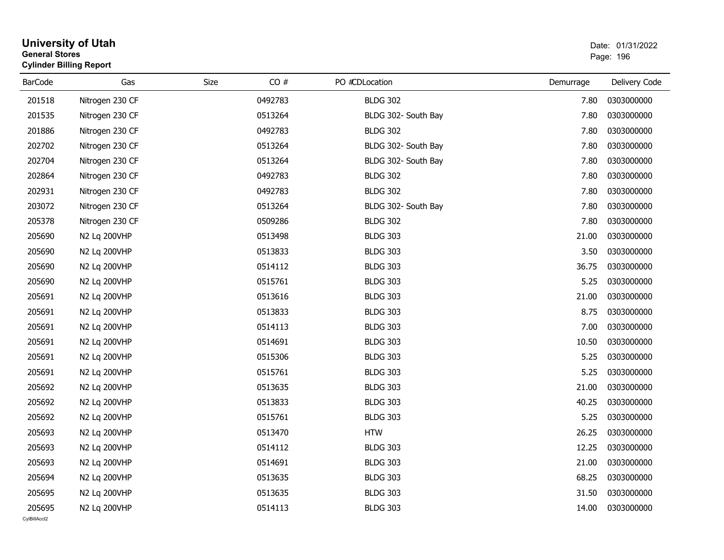| <b>General Stores</b>  | <b>University of Utah</b><br><b>Cylinder Billing Report</b> |      |         |                     |           | Date: 01/31/2022<br>Page: 196 |
|------------------------|-------------------------------------------------------------|------|---------|---------------------|-----------|-------------------------------|
| <b>BarCode</b>         | Gas                                                         | Size | CO#     | PO #CDLocation      | Demurrage | Delivery Code                 |
| 201518                 | Nitrogen 230 CF                                             |      | 0492783 | <b>BLDG 302</b>     | 7.80      | 0303000000                    |
| 201535                 | Nitrogen 230 CF                                             |      | 0513264 | BLDG 302- South Bay | 7.80      | 0303000000                    |
| 201886                 | Nitrogen 230 CF                                             |      | 0492783 | <b>BLDG 302</b>     | 7.80      | 0303000000                    |
| 202702                 | Nitrogen 230 CF                                             |      | 0513264 | BLDG 302- South Bay | 7.80      | 0303000000                    |
| 202704                 | Nitrogen 230 CF                                             |      | 0513264 | BLDG 302- South Bay | 7.80      | 0303000000                    |
| 202864                 | Nitrogen 230 CF                                             |      | 0492783 | <b>BLDG 302</b>     | 7.80      | 0303000000                    |
| 202931                 | Nitrogen 230 CF                                             |      | 0492783 | <b>BLDG 302</b>     | 7.80      | 0303000000                    |
| 203072                 | Nitrogen 230 CF                                             |      | 0513264 | BLDG 302- South Bay | 7.80      | 0303000000                    |
| 205378                 | Nitrogen 230 CF                                             |      | 0509286 | <b>BLDG 302</b>     | 7.80      | 0303000000                    |
| 205690                 | N2 Lq 200VHP                                                |      | 0513498 | <b>BLDG 303</b>     | 21.00     | 0303000000                    |
| 205690                 | N2 Lq 200VHP                                                |      | 0513833 | <b>BLDG 303</b>     | 3.50      | 0303000000                    |
| 205690                 | N2 Lq 200VHP                                                |      | 0514112 | <b>BLDG 303</b>     | 36.75     | 0303000000                    |
| 205690                 | N2 Lq 200VHP                                                |      | 0515761 | <b>BLDG 303</b>     | 5.25      | 0303000000                    |
| 205691                 | N2 Lg 200VHP                                                |      | 0513616 | <b>BLDG 303</b>     | 21.00     | 0303000000                    |
| 205691                 | N2 Lq 200VHP                                                |      | 0513833 | <b>BLDG 303</b>     | 8.75      | 0303000000                    |
| 205691                 | N2 Lq 200VHP                                                |      | 0514113 | <b>BLDG 303</b>     | 7.00      | 0303000000                    |
| 205691                 | N2 Lq 200VHP                                                |      | 0514691 | <b>BLDG 303</b>     | 10.50     | 0303000000                    |
| 205691                 | N2 Lq 200VHP                                                |      | 0515306 | <b>BLDG 303</b>     | 5.25      | 0303000000                    |
| 205691                 | N2 Lq 200VHP                                                |      | 0515761 | <b>BLDG 303</b>     | 5.25      | 0303000000                    |
| 205692                 | N2 Lq 200VHP                                                |      | 0513635 | <b>BLDG 303</b>     | 21.00     | 0303000000                    |
| 205692                 | N2 Lq 200VHP                                                |      | 0513833 | <b>BLDG 303</b>     | 40.25     | 0303000000                    |
| 205692                 | N2 Lq 200VHP                                                |      | 0515761 | <b>BLDG 303</b>     | 5.25      | 0303000000                    |
| 205693                 | N2 Lq 200VHP                                                |      | 0513470 | <b>HTW</b>          | 26.25     | 0303000000                    |
| 205693                 | N2 Lq 200VHP                                                |      | 0514112 | <b>BLDG 303</b>     | 12.25     | 0303000000                    |
| 205693                 | N2 Lq 200VHP                                                |      | 0514691 | <b>BLDG 303</b>     | 21.00     | 0303000000                    |
| 205694                 | N2 Lq 200VHP                                                |      | 0513635 | <b>BLDG 303</b>     | 68.25     | 0303000000                    |
| 205695                 | N2 Lq 200VHP                                                |      | 0513635 | <b>BLDG 303</b>     | 31.50     | 0303000000                    |
| 205695<br>CvIBillAcct2 | N2 Lq 200VHP                                                |      | 0514113 | <b>BLDG 303</b>     | 14.00     | 0303000000                    |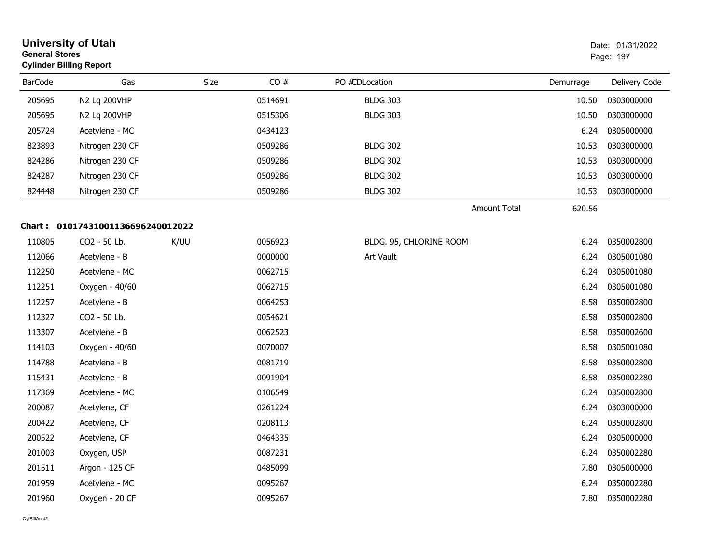| <b>General Stores</b> | <b>University of Utah</b><br><b>Cylinder Billing Report</b> |      |             |                         |                               | Date: 01/31/2022<br>Page: 197 |
|-----------------------|-------------------------------------------------------------|------|-------------|-------------------------|-------------------------------|-------------------------------|
| <b>BarCode</b>        | Gas                                                         |      | CO#<br>Size | PO #CDLocation          | Demurrage                     | Delivery Code                 |
| 205695                | N2 Lq 200VHP                                                |      | 0514691     | <b>BLDG 303</b>         | 10.50                         | 0303000000                    |
| 205695                | N2 Lq 200VHP                                                |      | 0515306     | <b>BLDG 303</b>         | 10.50                         | 0303000000                    |
| 205724                | Acetylene - MC                                              |      | 0434123     |                         | 6.24                          | 0305000000                    |
| 823893                | Nitrogen 230 CF                                             |      | 0509286     | <b>BLDG 302</b>         | 10.53                         | 0303000000                    |
| 824286                | Nitrogen 230 CF                                             |      | 0509286     | <b>BLDG 302</b>         | 10.53                         | 0303000000                    |
| 824287                | Nitrogen 230 CF                                             |      | 0509286     | <b>BLDG 302</b>         | 10.53                         | 0303000000                    |
| 824448                | Nitrogen 230 CF                                             |      | 0509286     | <b>BLDG 302</b>         | 10.53                         | 0303000000                    |
|                       |                                                             |      |             |                         | <b>Amount Total</b><br>620.56 |                               |
| Chart :               | 01017431001136696240012022                                  |      |             |                         |                               |                               |
| 110805                | CO2 - 50 Lb.                                                | K/UU | 0056923     | BLDG. 95, CHLORINE ROOM | 6.24                          | 0350002800                    |
| 112066                | Acetylene - B                                               |      | 0000000     | Art Vault               | 6.24                          | 0305001080                    |
| 112250                | Acetylene - MC                                              |      | 0062715     |                         | 6.24                          | 0305001080                    |
| 112251                | Oxygen - 40/60                                              |      | 0062715     |                         | 6.24                          | 0305001080                    |
| 112257                | Acetylene - B                                               |      | 0064253     |                         | 8.58                          | 0350002800                    |
| 112327                | CO2 - 50 Lb.                                                |      | 0054621     |                         | 8.58                          | 0350002800                    |
| 113307                | Acetylene - B                                               |      | 0062523     |                         | 8.58                          | 0350002600                    |
| 114103                | Oxygen - 40/60                                              |      | 0070007     |                         | 8.58                          | 0305001080                    |
| 114788                | Acetylene - B                                               |      | 0081719     |                         | 8.58                          | 0350002800                    |
| 115431                | Acetylene - B                                               |      | 0091904     |                         | 8.58                          | 0350002280                    |
| 117369                | Acetylene - MC                                              |      | 0106549     |                         | 6.24                          | 0350002800                    |
| 200087                | Acetylene, CF                                               |      | 0261224     |                         | 6.24                          | 0303000000                    |
| 200422                | Acetylene, CF                                               |      | 0208113     |                         | 6.24                          | 0350002800                    |
| 200522                | Acetylene, CF                                               |      | 0464335     |                         | 6.24                          | 0305000000                    |
| 201003                | Oxygen, USP                                                 |      | 0087231     |                         | 6.24                          | 0350002280                    |
| 201511                | Argon - 125 CF                                              |      | 0485099     |                         | 7.80                          | 0305000000                    |
| 201959                | Acetylene - MC                                              |      | 0095267     |                         | 6.24                          | 0350002280                    |
| 201960                | Oxygen - 20 CF                                              |      | 0095267     |                         | 7.80                          | 0350002280                    |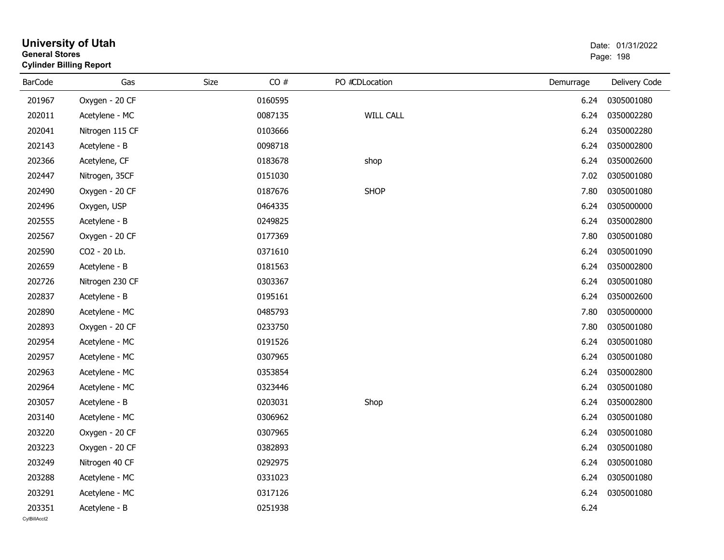| General Stores | <b>Cylinder Billing Report</b> |             |         |                  |           | Page: 198     |
|----------------|--------------------------------|-------------|---------|------------------|-----------|---------------|
| <b>BarCode</b> | Gas                            | <b>Size</b> | CO#     | PO #CDLocation   | Demurrage | Delivery Code |
| 201967         | Oxygen - 20 CF                 |             | 0160595 |                  | 6.24      | 0305001080    |
| 202011         | Acetylene - MC                 |             | 0087135 | <b>WILL CALL</b> | 6.24      | 0350002280    |
| 202041         | Nitrogen 115 CF                |             | 0103666 |                  | 6.24      | 0350002280    |
| 202143         | Acetylene - B                  |             | 0098718 |                  | 6.24      | 0350002800    |
| 202366         | Acetylene, CF                  |             | 0183678 | shop             | 6.24      | 0350002600    |
| 202447         | Nitrogen, 35CF                 |             | 0151030 |                  | 7.02      | 0305001080    |
| 202490         | Oxygen - 20 CF                 |             | 0187676 | <b>SHOP</b>      | 7.80      | 0305001080    |
| 202496         | Oxygen, USP                    |             | 0464335 |                  | 6.24      | 0305000000    |
| 202555         | Acetylene - B                  |             | 0249825 |                  | 6.24      | 0350002800    |
| 202567         | Oxygen - 20 CF                 |             | 0177369 |                  | 7.80      | 0305001080    |
| 202590         | CO2 - 20 Lb.                   |             | 0371610 |                  | 6.24      | 0305001090    |
| 202659         | Acetylene - B                  |             | 0181563 |                  | 6.24      | 0350002800    |
| 202726         | Nitrogen 230 CF                |             | 0303367 |                  | 6.24      | 0305001080    |
| 202837         | Acetylene - B                  |             | 0195161 |                  | 6.24      | 0350002600    |
| 202890         | Acetylene - MC                 |             | 0485793 |                  | 7.80      | 0305000000    |
| 202893         | Oxygen - 20 CF                 |             | 0233750 |                  | 7.80      | 0305001080    |
| 202954         | Acetylene - MC                 |             | 0191526 |                  | 6.24      | 0305001080    |
| 202957         | Acetylene - MC                 |             | 0307965 |                  | 6.24      | 0305001080    |
| 202963         | Acetylene - MC                 |             | 0353854 |                  | 6.24      | 0350002800    |
| 202964         | Acetylene - MC                 |             | 0323446 |                  | 6.24      | 0305001080    |
| 203057         | Acetylene - B                  |             | 0203031 | Shop             | 6.24      | 0350002800    |
| 203140         | Acetylene - MC                 |             | 0306962 |                  | 6.24      | 0305001080    |
| 203220         | Oxygen - 20 CF                 |             | 0307965 |                  | 6.24      | 0305001080    |
| 203223         | Oxygen - 20 CF                 |             | 0382893 |                  | 6.24      | 0305001080    |
| 203249         | Nitrogen 40 CF                 |             | 0292975 |                  | 6.24      | 0305001080    |
| 203288         | Acetylene - MC                 |             | 0331023 |                  | 6.24      | 0305001080    |
| 203291         | Acetylene - MC                 |             | 0317126 |                  | 6.24      | 0305001080    |
| 203351         | Acetylene - B                  |             | 0251938 |                  | 6.24      |               |

## **University of Utah** Date: 01/31/2022 **General Stores**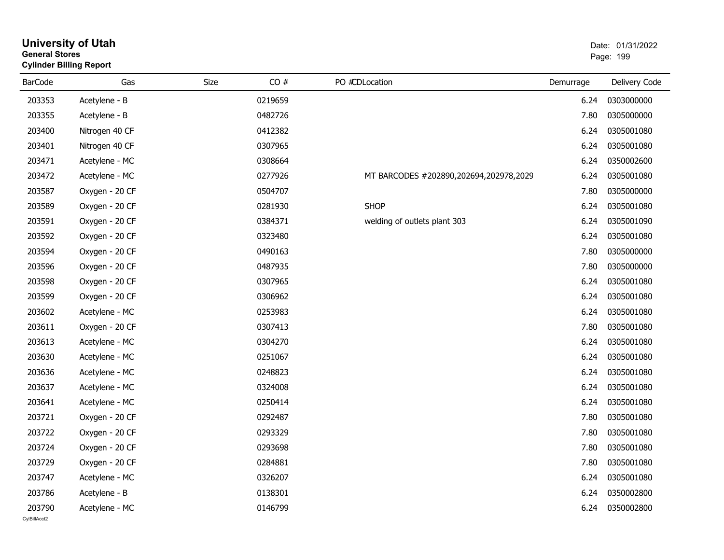| General Stores | <b>Cylinder Billing Report</b> |      |         |                                        |           | Page: 199     |
|----------------|--------------------------------|------|---------|----------------------------------------|-----------|---------------|
| <b>BarCode</b> | Gas                            | Size | CO#     | PO #CDLocation                         | Demurrage | Delivery Code |
| 203353         | Acetylene - B                  |      | 0219659 |                                        | 6.24      | 0303000000    |
| 203355         | Acetylene - B                  |      | 0482726 |                                        | 7.80      | 0305000000    |
| 203400         | Nitrogen 40 CF                 |      | 0412382 |                                        | 6.24      | 0305001080    |
| 203401         | Nitrogen 40 CF                 |      | 0307965 |                                        | 6.24      | 0305001080    |
| 203471         | Acetylene - MC                 |      | 0308664 |                                        | 6.24      | 0350002600    |
| 203472         | Acetylene - MC                 |      | 0277926 | MT BARCODES #202890,202694,202978,2029 | 6.24      | 0305001080    |
| 203587         | Oxygen - 20 CF                 |      | 0504707 |                                        | 7.80      | 0305000000    |
| 203589         | Oxygen - 20 CF                 |      | 0281930 | <b>SHOP</b>                            | 6.24      | 0305001080    |
| 203591         | Oxygen - 20 CF                 |      | 0384371 | welding of outlets plant 303           | 6.24      | 0305001090    |
| 203592         | Oxygen - 20 CF                 |      | 0323480 |                                        | 6.24      | 0305001080    |
| 203594         | Oxygen - 20 CF                 |      | 0490163 |                                        | 7.80      | 0305000000    |
| 203596         | Oxygen - 20 CF                 |      | 0487935 |                                        | 7.80      | 0305000000    |
| 203598         | Oxygen - 20 CF                 |      | 0307965 |                                        | 6.24      | 0305001080    |
| 203599         | Oxygen - 20 CF                 |      | 0306962 |                                        | 6.24      | 0305001080    |
| 203602         | Acetylene - MC                 |      | 0253983 |                                        | 6.24      | 0305001080    |
| 203611         | Oxygen - 20 CF                 |      | 0307413 |                                        | 7.80      | 0305001080    |
| 203613         | Acetylene - MC                 |      | 0304270 |                                        | 6.24      | 0305001080    |
| 203630         | Acetylene - MC                 |      | 0251067 |                                        | 6.24      | 0305001080    |
| 203636         | Acetylene - MC                 |      | 0248823 |                                        | 6.24      | 0305001080    |
| 203637         | Acetylene - MC                 |      | 0324008 |                                        | 6.24      | 0305001080    |
| 203641         | Acetylene - MC                 |      | 0250414 |                                        | 6.24      | 0305001080    |
| 203721         | Oxygen - 20 CF                 |      | 0292487 |                                        | 7.80      | 0305001080    |
| 203722         | Oxygen - 20 CF                 |      | 0293329 |                                        | 7.80      | 0305001080    |
| 203724         | Oxygen - 20 CF                 |      | 0293698 |                                        | 7.80      | 0305001080    |
| 203729         | Oxygen - 20 CF                 |      | 0284881 |                                        | 7.80      | 0305001080    |
| 203747         | Acetylene - MC                 |      | 0326207 |                                        | 6.24      | 0305001080    |
| 203786         | Acetylene - B                  |      | 0138301 |                                        | 6.24      | 0350002800    |
| 203790         | Acetylene - MC                 |      | 0146799 |                                        | 6.24      | 0350002800    |
|                |                                |      |         |                                        |           |               |

# **University of Utah** Date: 01/31/2022 **General Stores**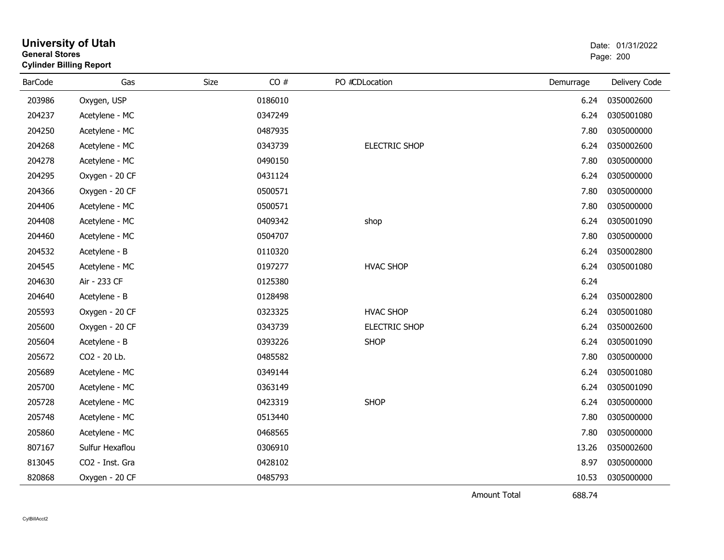| General Stores | <b>Cylinder Billing Report</b> |      |         |                      | Page: 200 |               |  |
|----------------|--------------------------------|------|---------|----------------------|-----------|---------------|--|
| <b>BarCode</b> | Gas                            | Size | CO#     | PO #CDLocation       | Demurrage | Delivery Code |  |
| 203986         | Oxygen, USP                    |      | 0186010 |                      | 6.24      | 0350002600    |  |
| 204237         | Acetylene - MC                 |      | 0347249 |                      | 6.24      | 0305001080    |  |
| 204250         | Acetylene - MC                 |      | 0487935 |                      | 7.80      | 0305000000    |  |
| 204268         | Acetylene - MC                 |      | 0343739 | <b>ELECTRIC SHOP</b> | 6.24      | 0350002600    |  |
| 204278         | Acetylene - MC                 |      | 0490150 |                      | 7.80      | 0305000000    |  |
| 204295         | Oxygen - 20 CF                 |      | 0431124 |                      | 6.24      | 0305000000    |  |
| 204366         | Oxygen - 20 CF                 |      | 0500571 |                      | 7.80      | 0305000000    |  |
| 204406         | Acetylene - MC                 |      | 0500571 |                      | 7.80      | 0305000000    |  |
| 204408         | Acetylene - MC                 |      | 0409342 | shop                 | 6.24      | 0305001090    |  |
| 204460         | Acetylene - MC                 |      | 0504707 |                      | 7.80      | 0305000000    |  |
| 204532         | Acetylene - B                  |      | 0110320 |                      | 6.24      | 0350002800    |  |
| 204545         | Acetylene - MC                 |      | 0197277 | <b>HVAC SHOP</b>     | 6.24      | 0305001080    |  |
| 204630         | Air - 233 CF                   |      | 0125380 |                      | 6.24      |               |  |
| 204640         | Acetylene - B                  |      | 0128498 |                      | 6.24      | 0350002800    |  |
| 205593         | Oxygen - 20 CF                 |      | 0323325 | <b>HVAC SHOP</b>     | 6.24      | 0305001080    |  |
| 205600         | Oxygen - 20 CF                 |      | 0343739 | <b>ELECTRIC SHOP</b> | 6.24      | 0350002600    |  |
| 205604         | Acetylene - B                  |      | 0393226 | <b>SHOP</b>          | 6.24      | 0305001090    |  |
| 205672         | CO2 - 20 Lb.                   |      | 0485582 |                      | 7.80      | 0305000000    |  |
| 205689         | Acetylene - MC                 |      | 0349144 |                      | 6.24      | 0305001080    |  |
| 205700         | Acetylene - MC                 |      | 0363149 |                      | 6.24      | 0305001090    |  |
| 205728         | Acetylene - MC                 |      | 0423319 | <b>SHOP</b>          | 6.24      | 0305000000    |  |
| 205748         | Acetylene - MC                 |      | 0513440 |                      | 7.80      | 0305000000    |  |
| 205860         | Acetylene - MC                 |      | 0468565 |                      | 7.80      | 0305000000    |  |
| 807167         | Sulfur Hexaflou                |      | 0306910 |                      | 13.26     | 0350002600    |  |
| 813045         | CO2 - Inst. Gra                |      | 0428102 |                      | 8.97      | 0305000000    |  |
| 820868         | Oxygen - 20 CF                 |      | 0485793 |                      | 10.53     | 0305000000    |  |

**University of Utah** Date: 01/31/2022

Amount Total

688.74

**General Stores**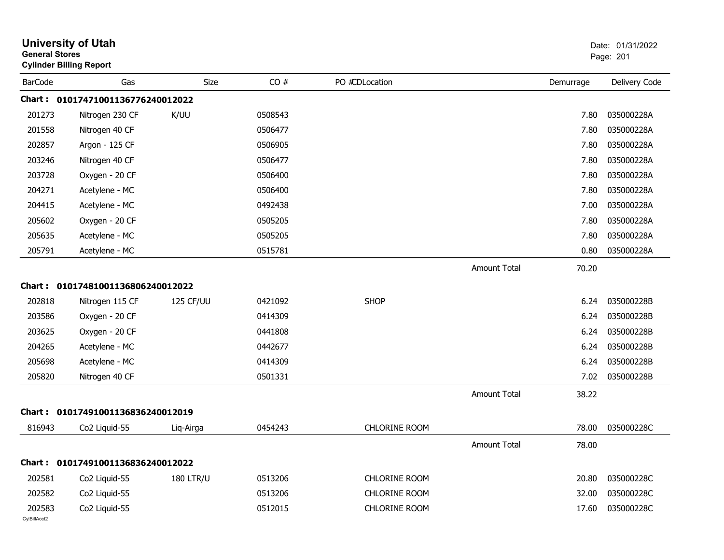| <b>General Stores</b>  | <b>University of Utah</b><br><b>Cylinder Billing Report</b> |                  |         |                      |                     |           | Date: 01/31/2022<br>Page: 201 |
|------------------------|-------------------------------------------------------------|------------------|---------|----------------------|---------------------|-----------|-------------------------------|
| <b>BarCode</b>         | Gas                                                         | <b>Size</b>      | CO#     | PO #CDLocation       |                     | Demurrage | Delivery Code                 |
|                        | Chart: 01017471001136776240012022                           |                  |         |                      |                     |           |                               |
| 201273                 | Nitrogen 230 CF                                             | K/UU             | 0508543 |                      |                     | 7.80      | 035000228A                    |
| 201558                 | Nitrogen 40 CF                                              |                  | 0506477 |                      |                     | 7.80      | 035000228A                    |
| 202857                 | Argon - 125 CF                                              |                  | 0506905 |                      |                     | 7.80      | 035000228A                    |
| 203246                 | Nitrogen 40 CF                                              |                  | 0506477 |                      |                     | 7.80      | 035000228A                    |
| 203728                 | Oxygen - 20 CF                                              |                  | 0506400 |                      |                     | 7.80      | 035000228A                    |
| 204271                 | Acetylene - MC                                              |                  | 0506400 |                      |                     | 7.80      | 035000228A                    |
| 204415                 | Acetylene - MC                                              |                  | 0492438 |                      |                     | 7.00      | 035000228A                    |
| 205602                 | Oxygen - 20 CF                                              |                  | 0505205 |                      |                     | 7.80      | 035000228A                    |
| 205635                 | Acetylene - MC                                              |                  | 0505205 |                      |                     | 7.80      | 035000228A                    |
| 205791                 | Acetylene - MC                                              |                  | 0515781 |                      |                     | 0.80      | 035000228A                    |
|                        |                                                             |                  |         |                      | <b>Amount Total</b> | 70.20     |                               |
|                        | Chart: 01017481001136806240012022                           |                  |         |                      |                     |           |                               |
| 202818                 | Nitrogen 115 CF                                             | 125 CF/UU        | 0421092 | <b>SHOP</b>          |                     | 6.24      | 035000228B                    |
| 203586                 | Oxygen - 20 CF                                              |                  | 0414309 |                      |                     | 6.24      | 035000228B                    |
| 203625                 | Oxygen - 20 CF                                              |                  | 0441808 |                      |                     | 6.24      | 035000228B                    |
| 204265                 | Acetylene - MC                                              |                  | 0442677 |                      |                     | 6.24      | 035000228B                    |
| 205698                 | Acetylene - MC                                              |                  | 0414309 |                      |                     | 6.24      | 035000228B                    |
| 205820                 | Nitrogen 40 CF                                              |                  | 0501331 |                      |                     | 7.02      | 035000228B                    |
|                        |                                                             |                  |         |                      | <b>Amount Total</b> | 38.22     |                               |
|                        | Chart: 01017491001136836240012019                           |                  |         |                      |                     |           |                               |
| 816943                 | Co <sub>2</sub> Liquid-55                                   | Liq-Airga        | 0454243 | <b>CHLORINE ROOM</b> |                     | 78.00     | 035000228C                    |
|                        |                                                             |                  |         |                      | Amount Total        | 78.00     |                               |
|                        | Chart: 01017491001136836240012022                           |                  |         |                      |                     |           |                               |
| 202581                 | Co2 Liquid-55                                               | <b>180 LTR/U</b> | 0513206 | CHLORINE ROOM        |                     | 20.80     | 035000228C                    |
| 202582                 | Co2 Liquid-55                                               |                  | 0513206 | CHLORINE ROOM        |                     | 32.00     | 035000228C                    |
| 202583<br>CylBillAcct2 | Co2 Liquid-55                                               |                  | 0512015 | CHLORINE ROOM        |                     | 17.60     | 035000228C                    |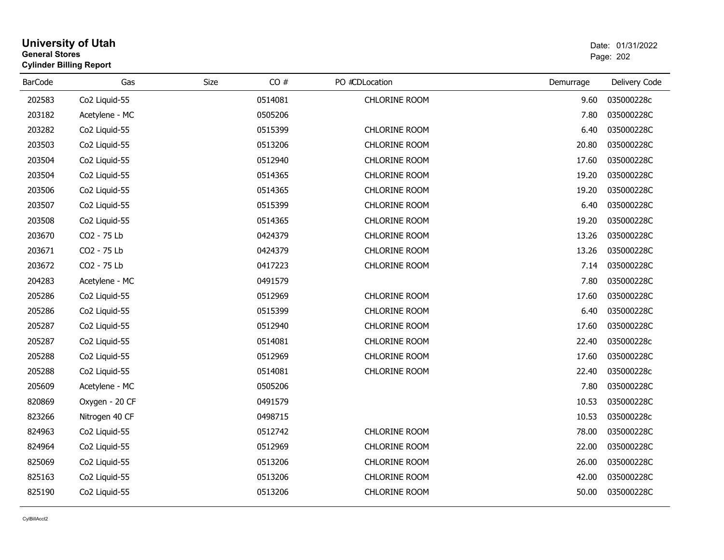### **University of Utah** Date: 01/31/2022 **General Stores**er and the state of the state of the state of the state of the state of the state of the state of the state of the state of the state of the state of the state of the state of the state of the state of the state of the sta **Cylinder Billing Report**

| <b>BarCode</b> | Gas            | CO#<br><b>Size</b> | PO #CDLocation       | Demurrage | Delivery Code |
|----------------|----------------|--------------------|----------------------|-----------|---------------|
| 202583         | Co2 Liquid-55  | 0514081            | CHLORINE ROOM        | 9.60      | 035000228c    |
| 203182         | Acetylene - MC | 0505206            |                      | 7.80      | 035000228C    |
| 203282         | Co2 Liquid-55  | 0515399            | <b>CHLORINE ROOM</b> | 6.40      | 035000228C    |
| 203503         | Co2 Liquid-55  | 0513206            | CHLORINE ROOM        | 20.80     | 035000228C    |
| 203504         | Co2 Liquid-55  | 0512940            | <b>CHLORINE ROOM</b> | 17.60     | 035000228C    |
| 203504         | Co2 Liquid-55  | 0514365            | CHLORINE ROOM        | 19.20     | 035000228C    |
| 203506         | Co2 Liquid-55  | 0514365            | CHLORINE ROOM        | 19.20     | 035000228C    |
| 203507         | Co2 Liquid-55  | 0515399            | CHLORINE ROOM        | 6.40      | 035000228C    |
| 203508         | Co2 Liquid-55  | 0514365            | CHLORINE ROOM        | 19.20     | 035000228C    |
| 203670         | CO2 - 75 Lb    | 0424379            | CHLORINE ROOM        | 13.26     | 035000228C    |
| 203671         | CO2 - 75 Lb    | 0424379            | CHLORINE ROOM        | 13.26     | 035000228C    |
| 203672         | CO2 - 75 Lb    | 0417223            | CHLORINE ROOM        | 7.14      | 035000228C    |
| 204283         | Acetylene - MC | 0491579            |                      | 7.80      | 035000228C    |
| 205286         | Co2 Liquid-55  | 0512969            | <b>CHLORINE ROOM</b> | 17.60     | 035000228C    |
| 205286         | Co2 Liquid-55  | 0515399            | <b>CHLORINE ROOM</b> | 6.40      | 035000228C    |
| 205287         | Co2 Liquid-55  | 0512940            | CHLORINE ROOM        | 17.60     | 035000228C    |
| 205287         | Co2 Liquid-55  | 0514081            | CHLORINE ROOM        | 22.40     | 035000228c    |
| 205288         | Co2 Liquid-55  | 0512969            | <b>CHLORINE ROOM</b> | 17.60     | 035000228C    |
| 205288         | Co2 Liquid-55  | 0514081            | CHLORINE ROOM        | 22.40     | 035000228c    |
| 205609         | Acetylene - MC | 0505206            |                      | 7.80      | 035000228C    |
| 820869         | Oxygen - 20 CF | 0491579            |                      | 10.53     | 035000228C    |
| 823266         | Nitrogen 40 CF | 0498715            |                      | 10.53     | 035000228c    |
| 824963         | Co2 Liquid-55  | 0512742            | CHLORINE ROOM        | 78.00     | 035000228C    |
| 824964         | Co2 Liquid-55  | 0512969            | <b>CHLORINE ROOM</b> | 22.00     | 035000228C    |
| 825069         | Co2 Liquid-55  | 0513206            | CHLORINE ROOM        | 26.00     | 035000228C    |
| 825163         | Co2 Liquid-55  | 0513206            | CHLORINE ROOM        | 42.00     | 035000228C    |
| 825190         | Co2 Liquid-55  | 0513206            | CHLORINE ROOM        | 50.00     | 035000228C    |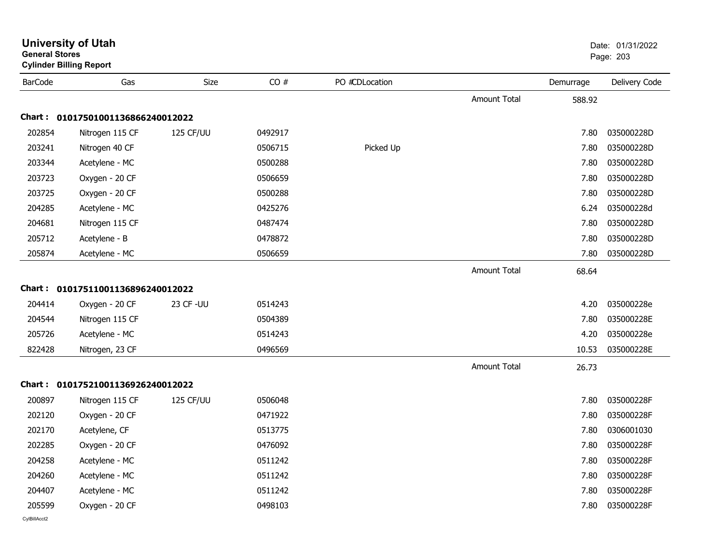|                | <b>University of Utah</b><br><b>General Stores</b><br><b>Cylinder Billing Report</b> |                  |         |                |                     | Date: 01/31/2022<br>Page: 203 |               |
|----------------|--------------------------------------------------------------------------------------|------------------|---------|----------------|---------------------|-------------------------------|---------------|
| <b>BarCode</b> | Gas                                                                                  | Size             | CO#     | PO #CDLocation |                     | Demurrage                     | Delivery Code |
|                |                                                                                      |                  |         |                | <b>Amount Total</b> | 588.92                        |               |
| Chart :        | 01017501001136866240012022                                                           |                  |         |                |                     |                               |               |
| 202854         | Nitrogen 115 CF                                                                      | <b>125 CF/UU</b> | 0492917 |                |                     | 7.80                          | 035000228D    |
| 203241         | Nitrogen 40 CF                                                                       |                  | 0506715 | Picked Up      |                     | 7.80                          | 035000228D    |
| 203344         | Acetylene - MC                                                                       |                  | 0500288 |                |                     | 7.80                          | 035000228D    |
| 203723         | Oxygen - 20 CF                                                                       |                  | 0506659 |                |                     | 7.80                          | 035000228D    |
| 203725         | Oxygen - 20 CF                                                                       |                  | 0500288 |                |                     | 7.80                          | 035000228D    |
| 204285         | Acetylene - MC                                                                       |                  | 0425276 |                |                     | 6.24                          | 035000228d    |
| 204681         | Nitrogen 115 CF                                                                      |                  | 0487474 |                |                     | 7.80                          | 035000228D    |
| 205712         | Acetylene - B                                                                        |                  | 0478872 |                |                     | 7.80                          | 035000228D    |
| 205874         | Acetylene - MC                                                                       |                  | 0506659 |                |                     | 7.80                          | 035000228D    |
|                |                                                                                      |                  |         |                | <b>Amount Total</b> | 68.64                         |               |
| Chart :        | 01017511001136896240012022                                                           |                  |         |                |                     |                               |               |
| 204414         | Oxygen - 20 CF                                                                       | 23 CF - UU       | 0514243 |                |                     | 4.20                          | 035000228e    |
| 204544         | Nitrogen 115 CF                                                                      |                  | 0504389 |                |                     | 7.80                          | 035000228E    |
| 205726         | Acetylene - MC                                                                       |                  | 0514243 |                |                     | 4.20                          | 035000228e    |
| 822428         | Nitrogen, 23 CF                                                                      |                  | 0496569 |                |                     | 10.53                         | 035000228E    |
|                |                                                                                      |                  |         |                | <b>Amount Total</b> | 26.73                         |               |
|                | Chart: 01017521001136926240012022                                                    |                  |         |                |                     |                               |               |
| 200897         | Nitrogen 115 CF                                                                      | <b>125 CF/UU</b> | 0506048 |                |                     | 7.80                          | 035000228F    |
| 202120         | Oxygen - 20 CF                                                                       |                  | 0471922 |                |                     | 7.80                          | 035000228F    |
| 202170         | Acetylene, CF                                                                        |                  | 0513775 |                |                     | 7.80                          | 0306001030    |
| 202285         | Oxygen - 20 CF                                                                       |                  | 0476092 |                |                     | 7.80                          | 035000228F    |
| 204258         | Acetylene - MC                                                                       |                  | 0511242 |                |                     | 7.80                          | 035000228F    |
| 204260         | Acetylene - MC                                                                       |                  | 0511242 |                |                     | 7.80                          | 035000228F    |
| 204407         | Acetylene - MC                                                                       |                  | 0511242 |                |                     | 7.80                          | 035000228F    |
| 205599         | Oxygen - 20 CF                                                                       |                  | 0498103 |                |                     | 7.80                          | 035000228F    |
| CvIBillAcct2   |                                                                                      |                  |         |                |                     |                               |               |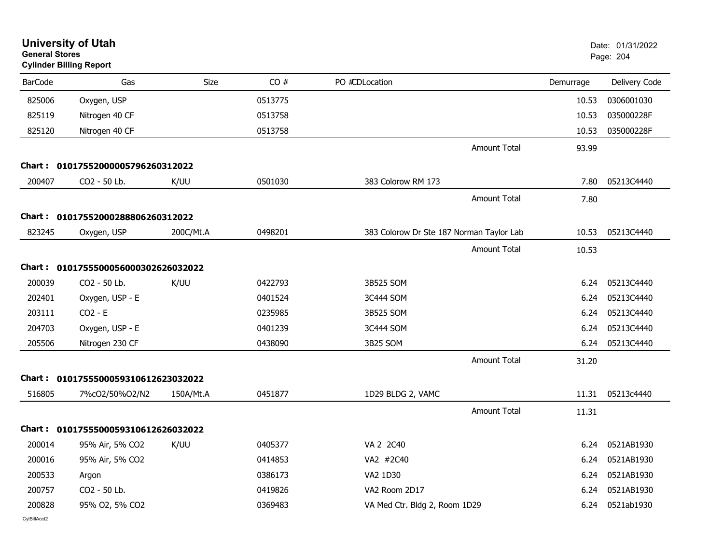| <b>General Stores</b> | <b>University of Utah</b><br><b>Cylinder Billing Report</b> |             |         |                                          |                     |           | Date: 01/31/2022<br>Page: 204 |
|-----------------------|-------------------------------------------------------------|-------------|---------|------------------------------------------|---------------------|-----------|-------------------------------|
| <b>BarCode</b>        | Gas                                                         | <b>Size</b> | CO#     | PO #CDLocation                           |                     | Demurrage | Delivery Code                 |
| 825006                | Oxygen, USP                                                 |             | 0513775 |                                          |                     | 10.53     | 0306001030                    |
| 825119                | Nitrogen 40 CF                                              |             | 0513758 |                                          |                     | 10.53     | 035000228F                    |
| 825120                | Nitrogen 40 CF                                              |             | 0513758 |                                          |                     | 10.53     | 035000228F                    |
|                       |                                                             |             |         |                                          | <b>Amount Total</b> | 93.99     |                               |
|                       | Chart: 01017552000005796260312022                           |             |         |                                          |                     |           |                               |
| 200407                | CO2 - 50 Lb.                                                | K/UU        | 0501030 | 383 Colorow RM 173                       |                     | 7.80      | 05213C4440                    |
|                       |                                                             |             |         |                                          | <b>Amount Total</b> | 7.80      |                               |
|                       | Chart: 01017552000288806260312022                           |             |         |                                          |                     |           |                               |
| 823245                | Oxygen, USP                                                 | 200C/Mt.A   | 0498201 | 383 Colorow Dr Ste 187 Norman Taylor Lab |                     | 10.53     | 05213C4440                    |
|                       |                                                             |             |         |                                          | Amount Total        | 10.53     |                               |
|                       | Chart: 0101755500056000302626032022                         |             |         |                                          |                     |           |                               |
| 200039                | CO2 - 50 Lb.                                                | K/UU        | 0422793 | 3B525 SOM                                |                     | 6.24      | 05213C4440                    |
| 202401                | Oxygen, USP - E                                             |             | 0401524 | 3C444 SOM                                |                     | 6.24      | 05213C4440                    |
| 203111                | $CO2 - E$                                                   |             | 0235985 | 3B525 SOM                                |                     | 6.24      | 05213C4440                    |
| 204703                | Oxygen, USP - E                                             |             | 0401239 | 3C444 SOM                                |                     | 6.24      | 05213C4440                    |
| 205506                | Nitrogen 230 CF                                             |             | 0438090 | 3B25 SOM                                 |                     | 6.24      | 05213C4440                    |
|                       |                                                             |             |         |                                          | <b>Amount Total</b> | 31.20     |                               |
|                       | Chart: 0101755500059310612623032022                         |             |         |                                          |                     |           |                               |
| 516805                | 7%cO2/50%O2/N2                                              | 150A/Mt.A   | 0451877 | 1D29 BLDG 2, VAMC                        |                     | 11.31     | 05213c4440                    |
|                       |                                                             |             |         |                                          | <b>Amount Total</b> | 11.31     |                               |
|                       | Chart: 0101755500059310612626032022                         |             |         |                                          |                     |           |                               |
| 200014                | 95% Air, 5% CO2 K/UU                                        |             | 0405377 | VA 2 2C40                                |                     |           | 6.24 0521AB1930               |
| 200016                | 95% Air, 5% CO2                                             |             | 0414853 | VA2 #2C40                                |                     | 6.24      | 0521AB1930                    |
| 200533                | Argon                                                       |             | 0386173 | VA2 1D30                                 |                     | 6.24      | 0521AB1930                    |
| 200757                | CO2 - 50 Lb.                                                |             | 0419826 | VA2 Room 2D17                            |                     | 6.24      | 0521AB1930                    |
| 200828                | 95% O2, 5% CO2                                              |             | 0369483 | VA Med Ctr. Bldg 2, Room 1D29            |                     | 6.24      | 0521ab1930                    |
| CvIBillAcct2          |                                                             |             |         |                                          |                     |           |                               |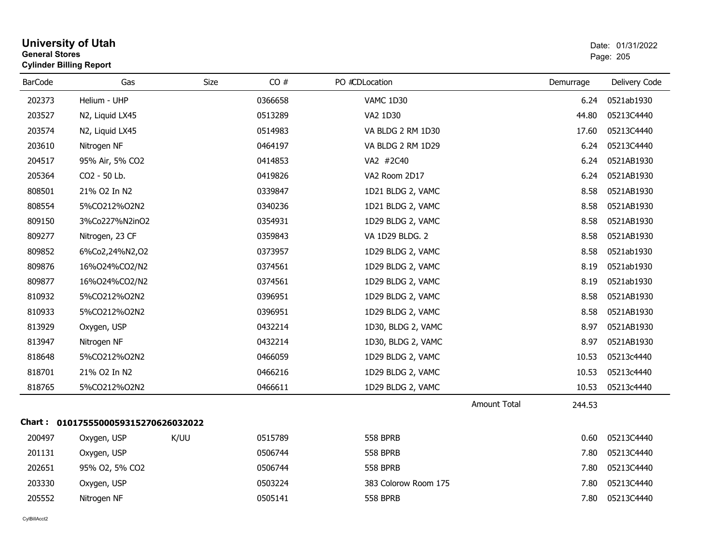| General Stores | <b>Cylinder Billing Report</b>      |             |         |                      |                               | Page: 205     |
|----------------|-------------------------------------|-------------|---------|----------------------|-------------------------------|---------------|
| <b>BarCode</b> | Gas                                 | <b>Size</b> | CO#     | PO #CDLocation       | Demurrage                     | Delivery Code |
| 202373         | Helium - UHP                        |             | 0366658 | VAMC 1D30            | 6.24                          | 0521ab1930    |
| 203527         | N2, Liquid LX45                     |             | 0513289 | VA2 1D30             | 44.80                         | 05213C4440    |
| 203574         | N2, Liquid LX45                     |             | 0514983 | VA BLDG 2 RM 1D30    | 17.60                         | 05213C4440    |
| 203610         | Nitrogen NF                         |             | 0464197 | VA BLDG 2 RM 1D29    | 6.24                          | 05213C4440    |
| 204517         | 95% Air, 5% CO2                     |             | 0414853 | VA2 #2C40            | 6.24                          | 0521AB1930    |
| 205364         | CO2 - 50 Lb.                        |             | 0419826 | VA2 Room 2D17        | 6.24                          | 0521AB1930    |
| 808501         | 21% O2 In N2                        |             | 0339847 | 1D21 BLDG 2, VAMC    | 8.58                          | 0521AB1930    |
| 808554         | 5%CO212%O2N2                        |             | 0340236 | 1D21 BLDG 2, VAMC    | 8.58                          | 0521AB1930    |
| 809150         | 3%Co227%N2inO2                      |             | 0354931 | 1D29 BLDG 2, VAMC    | 8.58                          | 0521AB1930    |
| 809277         | Nitrogen, 23 CF                     |             | 0359843 | VA 1D29 BLDG. 2      | 8.58                          | 0521AB1930    |
| 809852         | 6%Co2,24%N2,02                      |             | 0373957 | 1D29 BLDG 2, VAMC    | 8.58                          | 0521ab1930    |
| 809876         | 16%024%CO2/N2                       |             | 0374561 | 1D29 BLDG 2, VAMC    | 8.19                          | 0521ab1930    |
| 809877         | 16%024%CO2/N2                       |             | 0374561 | 1D29 BLDG 2, VAMC    | 8.19                          | 0521ab1930    |
| 810932         | 5%CO212%O2N2                        |             | 0396951 | 1D29 BLDG 2, VAMC    | 8.58                          | 0521AB1930    |
| 810933         | 5%CO212%O2N2                        |             | 0396951 | 1D29 BLDG 2, VAMC    | 8.58                          | 0521AB1930    |
| 813929         | Oxygen, USP                         |             | 0432214 | 1D30, BLDG 2, VAMC   | 8.97                          | 0521AB1930    |
| 813947         | Nitrogen NF                         |             | 0432214 | 1D30, BLDG 2, VAMC   | 8.97                          | 0521AB1930    |
| 818648         | 5%CO212%O2N2                        |             | 0466059 | 1D29 BLDG 2, VAMC    | 10.53                         | 05213c4440    |
| 818701         | 21% O2 In N2                        |             | 0466216 | 1D29 BLDG 2, VAMC    | 10.53                         | 05213c4440    |
| 818765         | 5%CO212%O2N2                        |             | 0466611 | 1D29 BLDG 2, VAMC    | 10.53                         | 05213c4440    |
|                |                                     |             |         |                      | <b>Amount Total</b><br>244.53 |               |
|                | Chart: 0101755500059315270626032022 |             |         |                      |                               |               |
| 200497         | Oxygen, USP                         | K/UU        | 0515789 | <b>558 BPRB</b>      | 0.60                          | 05213C4440    |
| 201131         | Oxygen, USP                         |             | 0506744 | <b>558 BPRB</b>      | 7.80                          | 05213C4440    |
| 202651         | 95% O2, 5% CO2                      |             | 0506744 | <b>558 BPRB</b>      | 7.80                          | 05213C4440    |
| 203330         | Oxygen, USP                         |             | 0503224 | 383 Colorow Room 175 | 7.80                          | 05213C4440    |
| 205552         | Nitrogen NF                         |             | 0505141 | <b>558 BPRB</b>      | 7.80                          | 05213C4440    |
|                |                                     |             |         |                      |                               |               |

# **University of Utah** Date: 01/31/2022 **General Stores**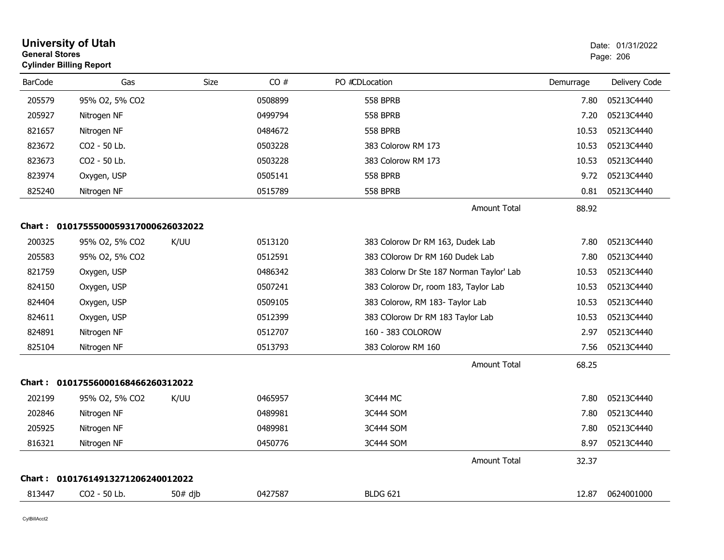| <b>General Stores</b> | <b>University of Utah</b><br><b>Cylinder Billing Report</b> |           |         |                                          |           | Date: 01/31/2022<br>Page: 206 |
|-----------------------|-------------------------------------------------------------|-----------|---------|------------------------------------------|-----------|-------------------------------|
| <b>BarCode</b>        | Gas                                                         | Size      | CO#     | PO #CDLocation                           | Demurrage | Delivery Code                 |
| 205579                | 95% O2, 5% CO2                                              |           | 0508899 | <b>558 BPRB</b>                          | 7.80      | 05213C4440                    |
| 205927                | Nitrogen NF                                                 |           | 0499794 | <b>558 BPRB</b>                          | 7.20      | 05213C4440                    |
| 821657                | Nitrogen NF                                                 |           | 0484672 | <b>558 BPRB</b>                          | 10.53     | 05213C4440                    |
| 823672                | CO2 - 50 Lb.                                                |           | 0503228 | 383 Colorow RM 173                       | 10.53     | 05213C4440                    |
| 823673                | CO <sub>2</sub> - 50 Lb.                                    |           | 0503228 | 383 Colorow RM 173                       | 10.53     | 05213C4440                    |
| 823974                | Oxygen, USP                                                 |           | 0505141 | <b>558 BPRB</b>                          | 9.72      | 05213C4440                    |
| 825240                | Nitrogen NF                                                 |           | 0515789 | <b>558 BPRB</b>                          | 0.81      | 05213C4440                    |
|                       |                                                             |           |         | Amount Total                             | 88.92     |                               |
|                       | Chart: 0101755500059317000626032022                         |           |         |                                          |           |                               |
| 200325                | 95% O2, 5% CO2                                              | K/UU      | 0513120 | 383 Colorow Dr RM 163, Dudek Lab         | 7.80      | 05213C4440                    |
| 205583                | 95% O2, 5% CO2                                              |           | 0512591 | 383 COlorow Dr RM 160 Dudek Lab          | 7.80      | 05213C4440                    |
| 821759                | Oxygen, USP                                                 |           | 0486342 | 383 Colorw Dr Ste 187 Norman Taylor' Lab | 10.53     | 05213C4440                    |
| 824150                | Oxygen, USP                                                 |           | 0507241 | 383 Colorow Dr, room 183, Taylor Lab     | 10.53     | 05213C4440                    |
| 824404                | Oxygen, USP                                                 |           | 0509105 | 383 Colorow, RM 183- Taylor Lab          | 10.53     | 05213C4440                    |
| 824611                | Oxygen, USP                                                 |           | 0512399 | 383 COlorow Dr RM 183 Taylor Lab         | 10.53     | 05213C4440                    |
| 824891                | Nitrogen NF                                                 |           | 0512707 | 160 - 383 COLOROW                        | 2.97      | 05213C4440                    |
| 825104                | Nitrogen NF                                                 |           | 0513793 | 383 Colorow RM 160                       | 7.56      | 05213C4440                    |
|                       |                                                             |           |         | <b>Amount Total</b>                      | 68.25     |                               |
|                       | Chart: 01017556000168466260312022                           |           |         |                                          |           |                               |
| 202199                | 95% O2, 5% CO2                                              | K/UU      | 0465957 | 3C444 MC                                 | 7.80      | 05213C4440                    |
| 202846                | Nitrogen NF                                                 |           | 0489981 | 3C444 SOM                                | 7.80      | 05213C4440                    |
| 205925                | Nitrogen NF                                                 |           | 0489981 | 3C444 SOM                                | 7.80      | 05213C4440                    |
| 816321                | Nitrogen NF                                                 |           | 0450776 | 3C444 SOM                                | 8.97      | 05213C4440                    |
|                       |                                                             |           |         | <b>Amount Total</b>                      | 32.37     |                               |
|                       | Chart: 01017614913271206240012022                           |           |         |                                          |           |                               |
| 813447                | CO <sub>2</sub> - 50 Lb.                                    | $50#$ djb | 0427587 | <b>BLDG 621</b>                          | 12.87     | 0624001000                    |
|                       |                                                             |           |         |                                          |           |                               |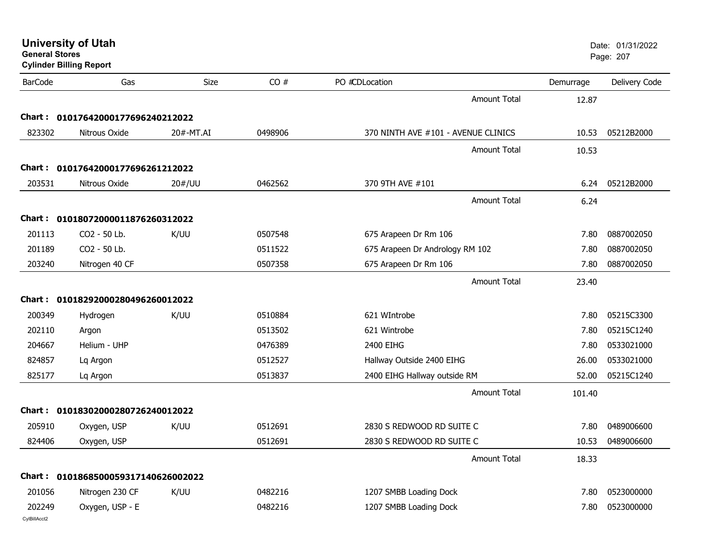| <b>General Stores</b> | <b>University of Utah</b><br><b>Cylinder Billing Report</b> |           |         |                                     |           | Date: 01/31/2022<br>Page: 207 |
|-----------------------|-------------------------------------------------------------|-----------|---------|-------------------------------------|-----------|-------------------------------|
| <b>BarCode</b>        | Gas                                                         | Size      | CO#     | PO #CDLocation                      | Demurrage | Delivery Code                 |
|                       |                                                             |           |         | <b>Amount Total</b>                 | 12.87     |                               |
|                       | Chart: 01017642000177696240212022                           |           |         |                                     |           |                               |
| 823302                | Nitrous Oxide                                               | 20#-MT.AI | 0498906 | 370 NINTH AVE #101 - AVENUE CLINICS | 10.53     | 05212B2000                    |
|                       |                                                             |           |         | <b>Amount Total</b>                 | 10.53     |                               |
|                       | Chart: 01017642000177696261212022                           |           |         |                                     |           |                               |
| 203531                | Nitrous Oxide                                               | 20#/UU    | 0462562 | 370 9TH AVE #101                    | 6.24      | 05212B2000                    |
|                       |                                                             |           |         | <b>Amount Total</b>                 | 6.24      |                               |
|                       | Chart: 01018072000011876260312022                           |           |         |                                     |           |                               |
| 201113                | CO2 - 50 Lb.                                                | K/UU      | 0507548 | 675 Arapeen Dr Rm 106               | 7.80      | 0887002050                    |
| 201189                | CO <sub>2</sub> - 50 Lb.                                    |           | 0511522 | 675 Arapeen Dr Andrology RM 102     | 7.80      | 0887002050                    |
| 203240                | Nitrogen 40 CF                                              |           | 0507358 | 675 Arapeen Dr Rm 106               | 7.80      | 0887002050                    |
|                       |                                                             |           |         | <b>Amount Total</b>                 | 23.40     |                               |
|                       | Chart: 01018292000280496260012022                           |           |         |                                     |           |                               |
| 200349                | Hydrogen                                                    | K/UU      | 0510884 | 621 WIntrobe                        | 7.80      | 05215C3300                    |
| 202110                | Argon                                                       |           | 0513502 | 621 Wintrobe                        | 7.80      | 05215C1240                    |
| 204667                | Helium - UHP                                                |           | 0476389 | 2400 EIHG                           | 7.80      | 0533021000                    |
| 824857                | Lq Argon                                                    |           | 0512527 | Hallway Outside 2400 EIHG           | 26.00     | 0533021000                    |
| 825177                | Lq Argon                                                    |           | 0513837 | 2400 EIHG Hallway outside RM        | 52.00     | 05215C1240                    |
|                       |                                                             |           |         | <b>Amount Total</b>                 | 101.40    |                               |
|                       | Chart: 01018302000280726240012022                           |           |         |                                     |           |                               |
| 205910                | Oxygen, USP                                                 | K/UU      | 0512691 | 2830 S REDWOOD RD SUITE C           | 7.80      | 0489006600                    |
| 824406                | Oxygen, USP                                                 |           | 0512691 | 2830 S REDWOOD RD SUITE C           | 10.53     | 0489006600                    |
|                       |                                                             |           |         | <b>Amount Total</b>                 | 18.33     |                               |
|                       | Chart: 0101868500059317140626002022                         |           |         |                                     |           |                               |
| 201056                | Nitrogen 230 CF                                             | K/UU      | 0482216 | 1207 SMBB Loading Dock              | 7.80      | 0523000000                    |
| 202249                | Oxygen, USP - E                                             |           | 0482216 | 1207 SMBB Loading Dock              | 7.80      | 0523000000                    |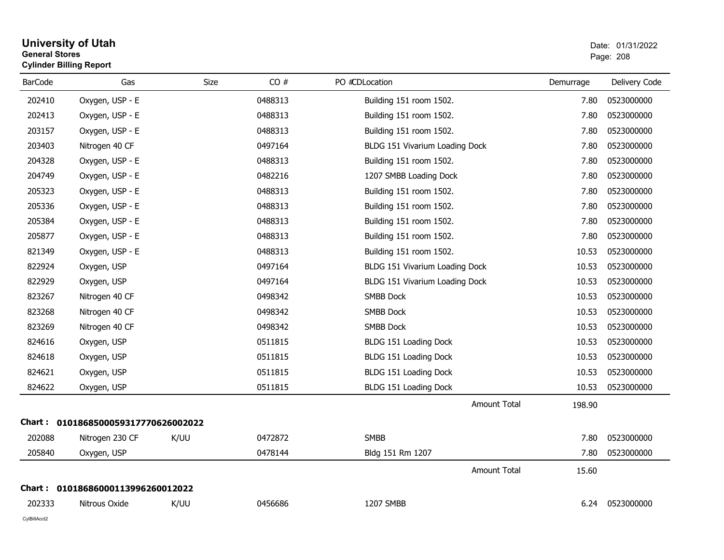### **University of Utah** Date: 01/31/2022 **General Stores**entry of the contract of the contract of the contract of the contract of the contract of the contract of the contract of the contract of the contract of the contract of the contract of the contract of the contract of the c **Cylinder Billing Report**

| <b>BarCode</b> | Gas                                 | Size | CO#     | PO #CDLocation                 | Demurrage | Delivery Code |
|----------------|-------------------------------------|------|---------|--------------------------------|-----------|---------------|
| 202410         | Oxygen, USP - E                     |      | 0488313 | Building 151 room 1502.        | 7.80      | 0523000000    |
| 202413         | Oxygen, USP - E                     |      | 0488313 | Building 151 room 1502.        | 7.80      | 0523000000    |
| 203157         | Oxygen, USP - E                     |      | 0488313 | Building 151 room 1502.        | 7.80      | 0523000000    |
| 203403         | Nitrogen 40 CF                      |      | 0497164 | BLDG 151 Vivarium Loading Dock | 7.80      | 0523000000    |
| 204328         | Oxygen, USP - E                     |      | 0488313 | Building 151 room 1502.        | 7.80      | 0523000000    |
| 204749         | Oxygen, USP - E                     |      | 0482216 | 1207 SMBB Loading Dock         | 7.80      | 0523000000    |
| 205323         | Oxygen, USP - E                     |      | 0488313 | Building 151 room 1502.        | 7.80      | 0523000000    |
| 205336         | Oxygen, USP - E                     |      | 0488313 | Building 151 room 1502.        | 7.80      | 0523000000    |
| 205384         | Oxygen, USP - E                     |      | 0488313 | Building 151 room 1502.        | 7.80      | 0523000000    |
| 205877         | Oxygen, USP - E                     |      | 0488313 | Building 151 room 1502.        | 7.80      | 0523000000    |
| 821349         | Oxygen, USP - E                     |      | 0488313 | Building 151 room 1502.        | 10.53     | 0523000000    |
| 822924         | Oxygen, USP                         |      | 0497164 | BLDG 151 Vivarium Loading Dock | 10.53     | 0523000000    |
| 822929         | Oxygen, USP                         |      | 0497164 | BLDG 151 Vivarium Loading Dock | 10.53     | 0523000000    |
| 823267         | Nitrogen 40 CF                      |      | 0498342 | SMBB Dock                      | 10.53     | 0523000000    |
| 823268         | Nitrogen 40 CF                      |      | 0498342 | SMBB Dock                      | 10.53     | 0523000000    |
| 823269         | Nitrogen 40 CF                      |      | 0498342 | <b>SMBB Dock</b>               | 10.53     | 0523000000    |
| 824616         | Oxygen, USP                         |      | 0511815 | BLDG 151 Loading Dock          | 10.53     | 0523000000    |
| 824618         | Oxygen, USP                         |      | 0511815 | BLDG 151 Loading Dock          | 10.53     | 0523000000    |
| 824621         | Oxygen, USP                         |      | 0511815 | BLDG 151 Loading Dock          | 10.53     | 0523000000    |
| 824622         | Oxygen, USP                         |      | 0511815 | BLDG 151 Loading Dock          | 10.53     | 0523000000    |
|                |                                     |      |         | <b>Amount Total</b>            | 198.90    |               |
|                | Chart: 0101868500059317770626002022 |      |         |                                |           |               |
| 202088         | Nitrogen 230 CF                     | K/UU | 0472872 | <b>SMBB</b>                    | 7.80      | 0523000000    |
| 205840         | Oxygen, USP                         |      | 0478144 | Bldg 151 Rm 1207               | 7.80      | 0523000000    |
|                |                                     |      |         | Amount Total                   | 15.60     |               |
| Chart :        | 01018686000113996260012022          |      |         |                                |           |               |
| 202333         | Nitrous Oxide                       | K/UU | 0456686 | 1207 SMBB                      | 6.24      | 0523000000    |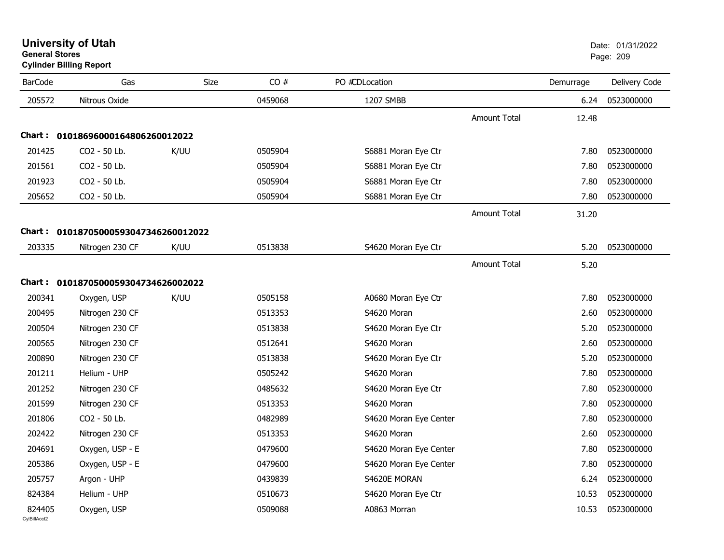| <b>University of Utah</b>      | Date: 01/ |
|--------------------------------|-----------|
| <b>General Stores</b>          | Page: 209 |
| <b>Cylinder Billing Report</b> |           |

| <b>BarCode</b> | Gas                                  | Size | CO#     | PO #CDLocation         |                     | Demurrage | Delivery Code |
|----------------|--------------------------------------|------|---------|------------------------|---------------------|-----------|---------------|
| 205572         | Nitrous Oxide                        |      | 0459068 | 1207 SMBB              |                     | 6.24      | 0523000000    |
|                |                                      |      |         |                        | <b>Amount Total</b> | 12.48     |               |
|                | Chart: 01018696000164806260012022    |      |         |                        |                     |           |               |
| 201425         | CO2 - 50 Lb.                         | K/UU | 0505904 | S6881 Moran Eye Ctr    |                     | 7.80      | 0523000000    |
| 201561         | CO2 - 50 Lb.                         |      | 0505904 | S6881 Moran Eye Ctr    |                     | 7.80      | 0523000000    |
| 201923         | CO2 - 50 Lb.                         |      | 0505904 | S6881 Moran Eye Ctr    |                     | 7.80      | 0523000000    |
| 205652         | CO2 - 50 Lb.                         |      | 0505904 | S6881 Moran Eye Ctr    |                     | 7.80      | 0523000000    |
|                |                                      |      |         |                        | Amount Total        | 31.20     |               |
|                | Chart: 01018705000593047346260012022 |      |         |                        |                     |           |               |
| 203335         | Nitrogen 230 CF                      | K/UU | 0513838 | S4620 Moran Eye Ctr    |                     | 5.20      | 0523000000    |
|                |                                      |      |         |                        | <b>Amount Total</b> | 5.20      |               |
|                | Chart: 0101870500059304734626002022  |      |         |                        |                     |           |               |
| 200341         | Oxygen, USP                          | K/UU | 0505158 | A0680 Moran Eye Ctr    |                     | 7.80      | 0523000000    |
| 200495         | Nitrogen 230 CF                      |      | 0513353 | S4620 Moran            |                     | 2.60      | 0523000000    |
| 200504         | Nitrogen 230 CF                      |      | 0513838 | S4620 Moran Eye Ctr    |                     | 5.20      | 0523000000    |
| 200565         | Nitrogen 230 CF                      |      | 0512641 | S4620 Moran            |                     | 2.60      | 0523000000    |
| 200890         | Nitrogen 230 CF                      |      | 0513838 | S4620 Moran Eye Ctr    |                     | 5.20      | 0523000000    |
| 201211         | Helium - UHP                         |      | 0505242 | S4620 Moran            |                     | 7.80      | 0523000000    |
| 201252         | Nitrogen 230 CF                      |      | 0485632 | S4620 Moran Eye Ctr    |                     | 7.80      | 0523000000    |
| 201599         | Nitrogen 230 CF                      |      | 0513353 | S4620 Moran            |                     | 7.80      | 0523000000    |
| 201806         | CO2 - 50 Lb.                         |      | 0482989 | S4620 Moran Eye Center |                     | 7.80      | 0523000000    |
| 202422         | Nitrogen 230 CF                      |      | 0513353 | S4620 Moran            |                     | 2.60      | 0523000000    |
| 204691         | Oxygen, USP - E                      |      | 0479600 | S4620 Moran Eye Center |                     | 7.80      | 0523000000    |
| 205386         | Oxygen, USP - E                      |      | 0479600 | S4620 Moran Eye Center |                     | 7.80      | 0523000000    |
| 205757         | Argon - UHP                          |      | 0439839 | S4620E MORAN           |                     | 6.24      | 0523000000    |
| 824384         | Helium - UHP                         |      | 0510673 | S4620 Moran Eye Ctr    |                     | 10.53     | 0523000000    |
| 824405         | Oxygen, USP                          |      | 0509088 | A0863 Morran           |                     | 10.53     | 0523000000    |
|                |                                      |      |         |                        |                     |           |               |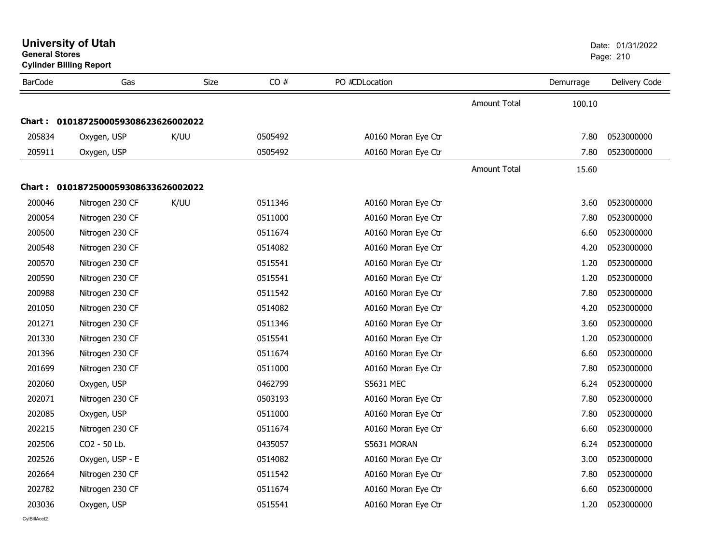| <b>General Stores</b> | <b>Cylinder Billing Report</b>      |             |         |                     |                     |           | Page: 210     |
|-----------------------|-------------------------------------|-------------|---------|---------------------|---------------------|-----------|---------------|
| <b>BarCode</b>        | Gas                                 | <b>Size</b> | CO#     | PO #CDLocation      |                     | Demurrage | Delivery Code |
|                       |                                     |             |         |                     | <b>Amount Total</b> | 100.10    |               |
|                       | Chart: 0101872500059308623626002022 |             |         |                     |                     |           |               |
| 205834                | Oxygen, USP                         | K/UU        | 0505492 | A0160 Moran Eye Ctr |                     | 7.80      | 0523000000    |
| 205911                | Oxygen, USP                         |             | 0505492 | A0160 Moran Eye Ctr |                     | 7.80      | 0523000000    |
|                       |                                     |             |         |                     | Amount Total        | 15.60     |               |
| Chart : I             | 0101872500059308633626002022        |             |         |                     |                     |           |               |
| 200046                | Nitrogen 230 CF                     | K/UU        | 0511346 | A0160 Moran Eye Ctr |                     | 3.60      | 0523000000    |
| 200054                | Nitrogen 230 CF                     |             | 0511000 | A0160 Moran Eye Ctr |                     | 7.80      | 0523000000    |
| 200500                | Nitrogen 230 CF                     |             | 0511674 | A0160 Moran Eye Ctr |                     | 6.60      | 0523000000    |
| 200548                | Nitrogen 230 CF                     |             | 0514082 | A0160 Moran Eye Ctr |                     | 4.20      | 0523000000    |
| 200570                | Nitrogen 230 CF                     |             | 0515541 | A0160 Moran Eye Ctr |                     | 1.20      | 0523000000    |
| 200590                | Nitrogen 230 CF                     |             | 0515541 | A0160 Moran Eye Ctr |                     | 1.20      | 0523000000    |
| 200988                | Nitrogen 230 CF                     |             | 0511542 | A0160 Moran Eye Ctr |                     | 7.80      | 0523000000    |
| 201050                | Nitrogen 230 CF                     |             | 0514082 | A0160 Moran Eye Ctr |                     | 4.20      | 0523000000    |
| 201271                | Nitrogen 230 CF                     |             | 0511346 | A0160 Moran Eye Ctr |                     | 3.60      | 0523000000    |
| 201330                | Nitrogen 230 CF                     |             | 0515541 | A0160 Moran Eye Ctr |                     | 1.20      | 0523000000    |
| 201396                | Nitrogen 230 CF                     |             | 0511674 | A0160 Moran Eye Ctr |                     | 6.60      | 0523000000    |
| 201699                | Nitrogen 230 CF                     |             | 0511000 | A0160 Moran Eye Ctr |                     | 7.80      | 0523000000    |
| 202060                | Oxygen, USP                         |             | 0462799 | S5631 MEC           |                     | 6.24      | 0523000000    |
| 202071                | Nitrogen 230 CF                     |             | 0503193 | A0160 Moran Eye Ctr |                     | 7.80      | 0523000000    |
| 202085                | Oxygen, USP                         |             | 0511000 | A0160 Moran Eye Ctr |                     | 7.80      | 0523000000    |
| 202215                | Nitrogen 230 CF                     |             | 0511674 | A0160 Moran Eye Ctr |                     | 6.60      | 0523000000    |
| 202506                | CO2 - 50 Lb.                        |             | 0435057 | S5631 MORAN         |                     | 6.24      | 0523000000    |
| 202526                | Oxygen, USP - E                     |             | 0514082 | A0160 Moran Eye Ctr |                     | 3.00      | 0523000000    |
| 202664                | Nitrogen 230 CF                     |             | 0511542 | A0160 Moran Eye Ctr |                     | 7.80      | 0523000000    |
| 202782                | Nitrogen 230 CF                     |             | 0511674 | A0160 Moran Eye Ctr |                     | 6.60      | 0523000000    |
| 203036                | Oxygen, USP                         |             | 0515541 | A0160 Moran Eye Ctr |                     | 1.20      | 0523000000    |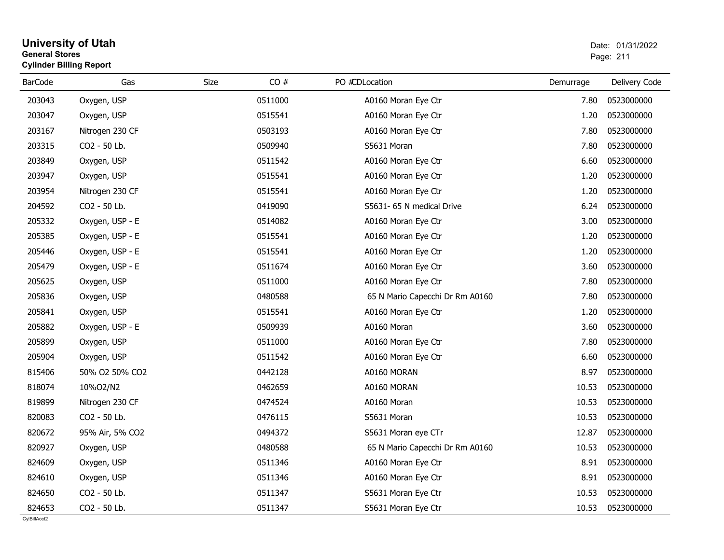### **University of Utah** Date: 01/31/2022 **General Stores**es and the contract of the contract of the contract of the contract of the contract of the contract of the contract of the contract of the contract of the contract of the contract of the contract of the contract of the con **Cylinder Billing Report**

| <b>BarCode</b> | Gas             | Size | CO#     | PO #CDLocation                  | Demurrage | Delivery Code |
|----------------|-----------------|------|---------|---------------------------------|-----------|---------------|
| 203043         | Oxygen, USP     |      | 0511000 | A0160 Moran Eye Ctr             | 7.80      | 0523000000    |
| 203047         | Oxygen, USP     |      | 0515541 | A0160 Moran Eye Ctr             | 1.20      | 0523000000    |
| 203167         | Nitrogen 230 CF |      | 0503193 | A0160 Moran Eye Ctr             | 7.80      | 0523000000    |
| 203315         | CO2 - 50 Lb.    |      | 0509940 | S5631 Moran                     | 7.80      | 0523000000    |
| 203849         | Oxygen, USP     |      | 0511542 | A0160 Moran Eye Ctr             | 6.60      | 0523000000    |
| 203947         | Oxygen, USP     |      | 0515541 | A0160 Moran Eye Ctr             | 1.20      | 0523000000    |
| 203954         | Nitrogen 230 CF |      | 0515541 | A0160 Moran Eye Ctr             | 1.20      | 0523000000    |
| 204592         | CO2 - 50 Lb.    |      | 0419090 | S5631- 65 N medical Drive       | 6.24      | 0523000000    |
| 205332         | Oxygen, USP - E |      | 0514082 | A0160 Moran Eye Ctr             | 3.00      | 0523000000    |
| 205385         | Oxygen, USP - E |      | 0515541 | A0160 Moran Eye Ctr             | 1.20      | 0523000000    |
| 205446         | Oxygen, USP - E |      | 0515541 | A0160 Moran Eye Ctr             | 1.20      | 0523000000    |
| 205479         | Oxygen, USP - E |      | 0511674 | A0160 Moran Eye Ctr             | 3.60      | 0523000000    |
| 205625         | Oxygen, USP     |      | 0511000 | A0160 Moran Eye Ctr             | 7.80      | 0523000000    |
| 205836         | Oxygen, USP     |      | 0480588 | 65 N Mario Capecchi Dr Rm A0160 | 7.80      | 0523000000    |
| 205841         | Oxygen, USP     |      | 0515541 | A0160 Moran Eye Ctr             | 1.20      | 0523000000    |
| 205882         | Oxygen, USP - E |      | 0509939 | A0160 Moran                     | 3.60      | 0523000000    |
| 205899         | Oxygen, USP     |      | 0511000 | A0160 Moran Eye Ctr             | 7.80      | 0523000000    |
| 205904         | Oxygen, USP     |      | 0511542 | A0160 Moran Eye Ctr             | 6.60      | 0523000000    |
| 815406         | 50% O2 50% CO2  |      | 0442128 | A0160 MORAN                     | 8.97      | 0523000000    |
| 818074         | 10%O2/N2        |      | 0462659 | A0160 MORAN                     | 10.53     | 0523000000    |
| 819899         | Nitrogen 230 CF |      | 0474524 | A0160 Moran                     | 10.53     | 0523000000    |
| 820083         | CO2 - 50 Lb.    |      | 0476115 | S5631 Moran                     | 10.53     | 0523000000    |
| 820672         | 95% Air, 5% CO2 |      | 0494372 | S5631 Moran eye CTr             | 12.87     | 0523000000    |
| 820927         | Oxygen, USP     |      | 0480588 | 65 N Mario Capecchi Dr Rm A0160 | 10.53     | 0523000000    |
| 824609         | Oxygen, USP     |      | 0511346 | A0160 Moran Eye Ctr             | 8.91      | 0523000000    |
| 824610         | Oxygen, USP     |      | 0511346 | A0160 Moran Eye Ctr             | 8.91      | 0523000000    |
| 824650         | CO2 - 50 Lb.    |      | 0511347 | S5631 Moran Eye Ctr             | 10.53     | 0523000000    |
| 824653         | CO2 - 50 Lb.    |      | 0511347 | S5631 Moran Eye Ctr             | 10.53     | 0523000000    |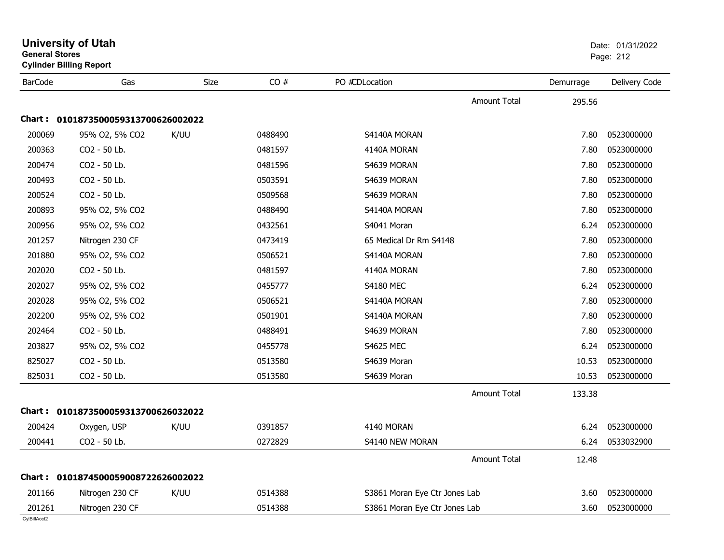| <b>University of Utah</b><br><b>General Stores</b><br><b>Cylinder Billing Report</b> |      |                                                                                                                   |                        |                     | Date: 01/31/2022<br>Page: 212                                  |               |  |
|--------------------------------------------------------------------------------------|------|-------------------------------------------------------------------------------------------------------------------|------------------------|---------------------|----------------------------------------------------------------|---------------|--|
| Gas                                                                                  | Size | CO#                                                                                                               | PO #CDLocation         |                     | Demurrage                                                      | Delivery Code |  |
|                                                                                      |      |                                                                                                                   |                        | <b>Amount Total</b> | 295.56                                                         |               |  |
|                                                                                      |      |                                                                                                                   |                        |                     |                                                                |               |  |
| 95% O2, 5% CO2                                                                       | K/UU | 0488490                                                                                                           | S4140A MORAN           |                     | 7.80                                                           | 0523000000    |  |
| CO2 - 50 Lb.                                                                         |      | 0481597                                                                                                           | 4140A MORAN            |                     | 7.80                                                           | 0523000000    |  |
| CO2 - 50 Lb.                                                                         |      | 0481596                                                                                                           | S4639 MORAN            |                     | 7.80                                                           | 0523000000    |  |
| CO <sub>2</sub> - 50 Lb.                                                             |      | 0503591                                                                                                           | S4639 MORAN            |                     | 7.80                                                           | 0523000000    |  |
| CO <sub>2</sub> - 50 Lb.                                                             |      | 0509568                                                                                                           | S4639 MORAN            |                     | 7.80                                                           | 0523000000    |  |
| 95% O2, 5% CO2                                                                       |      | 0488490                                                                                                           | S4140A MORAN           |                     | 7.80                                                           | 0523000000    |  |
| 95% O2, 5% CO2                                                                       |      | 0432561                                                                                                           | S4041 Moran            |                     | 6.24                                                           | 0523000000    |  |
| Nitrogen 230 CF                                                                      |      | 0473419                                                                                                           | 65 Medical Dr Rm S4148 |                     | 7.80                                                           | 0523000000    |  |
| 95% O2, 5% CO2                                                                       |      | 0506521                                                                                                           | S4140A MORAN           |                     | 7.80                                                           | 0523000000    |  |
| CO2 - 50 Lb.                                                                         |      | 0481597                                                                                                           | 4140A MORAN            |                     | 7.80                                                           | 0523000000    |  |
| 95% O2, 5% CO2                                                                       |      | 0455777                                                                                                           | <b>S4180 MEC</b>       |                     | 6.24                                                           | 0523000000    |  |
| 95% O2, 5% CO2                                                                       |      | 0506521                                                                                                           | S4140A MORAN           |                     | 7.80                                                           | 0523000000    |  |
| 95% O2, 5% CO2                                                                       |      | 0501901                                                                                                           | S4140A MORAN           |                     | 7.80                                                           | 0523000000    |  |
| CO2 - 50 Lb.                                                                         |      | 0488491                                                                                                           | S4639 MORAN            |                     | 7.80                                                           | 0523000000    |  |
| 95% O2, 5% CO2                                                                       |      | 0455778                                                                                                           | <b>S4625 MEC</b>       |                     | 6.24                                                           | 0523000000    |  |
| CO2 - 50 Lb.                                                                         |      | 0513580                                                                                                           | S4639 Moran            |                     | 10.53                                                          | 0523000000    |  |
| CO <sub>2</sub> - 50 Lb.                                                             |      | 0513580                                                                                                           | S4639 Moran            |                     | 10.53                                                          | 0523000000    |  |
|                                                                                      |      |                                                                                                                   |                        | Amount Total        | 133.38                                                         |               |  |
|                                                                                      |      |                                                                                                                   |                        |                     |                                                                |               |  |
| Oxygen, USP                                                                          | K/UU | 0391857                                                                                                           | 4140 MORAN             |                     | 6.24                                                           | 0523000000    |  |
| CO2 - 50 Lb.                                                                         |      | 0272829                                                                                                           | S4140 NEW MORAN        |                     | 6.24                                                           | 0533032900    |  |
|                                                                                      |      |                                                                                                                   |                        | <b>Amount Total</b> | 12.48                                                          |               |  |
|                                                                                      |      |                                                                                                                   |                        |                     |                                                                |               |  |
| Nitrogen 230 CF                                                                      | K/UU | 0514388                                                                                                           |                        |                     | 3.60                                                           | 0523000000    |  |
| Nitrogen 230 CF                                                                      |      | 0514388                                                                                                           |                        |                     | 3.60                                                           | 0523000000    |  |
|                                                                                      |      | Chart: 0101873500059313700626002022<br>Chart: 0101873500059313700626032022<br>Chart: 0101874500059008722626002022 |                        |                     | S3861 Moran Eye Ctr Jones Lab<br>S3861 Moran Eye Ctr Jones Lab |               |  |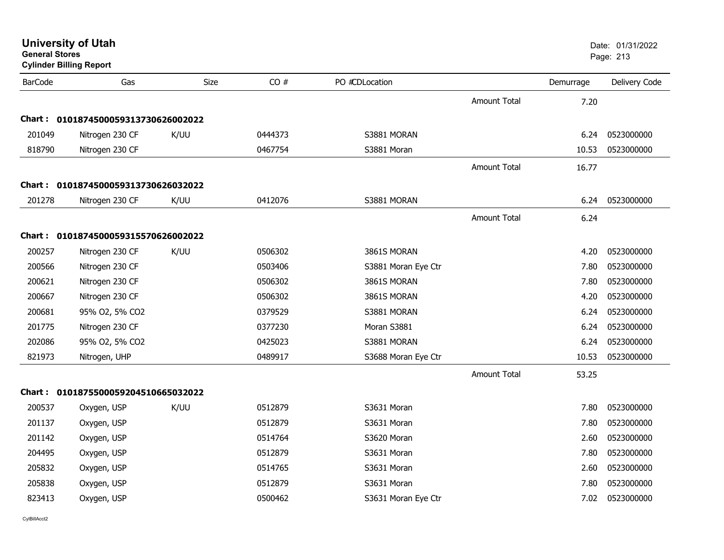| <b>University of Utah</b><br><b>General Stores</b><br><b>Cylinder Billing Report</b> |                                     |      |         |                     | Date: 01/31/2022<br>Page: 213 |           |               |
|--------------------------------------------------------------------------------------|-------------------------------------|------|---------|---------------------|-------------------------------|-----------|---------------|
| <b>BarCode</b>                                                                       | Gas                                 | Size | CO#     | PO #CDLocation      |                               | Demurrage | Delivery Code |
|                                                                                      |                                     |      |         |                     | <b>Amount Total</b>           | 7.20      |               |
|                                                                                      | Chart: 0101874500059313730626002022 |      |         |                     |                               |           |               |
| 201049                                                                               | Nitrogen 230 CF                     | K/UU | 0444373 | S3881 MORAN         |                               | 6.24      | 0523000000    |
| 818790                                                                               | Nitrogen 230 CF                     |      | 0467754 | S3881 Moran         |                               | 10.53     | 0523000000    |
|                                                                                      |                                     |      |         |                     | <b>Amount Total</b>           | 16.77     |               |
|                                                                                      | Chart: 0101874500059313730626032022 |      |         |                     |                               |           |               |
| 201278                                                                               | Nitrogen 230 CF                     | K/UU | 0412076 | S3881 MORAN         |                               | 6.24      | 0523000000    |
|                                                                                      |                                     |      |         |                     | <b>Amount Total</b>           | 6.24      |               |
|                                                                                      | Chart: 0101874500059315570626002022 |      |         |                     |                               |           |               |
| 200257                                                                               | Nitrogen 230 CF                     | K/UU | 0506302 | 3861S MORAN         |                               | 4.20      | 0523000000    |
| 200566                                                                               | Nitrogen 230 CF                     |      | 0503406 | S3881 Moran Eye Ctr |                               | 7.80      | 0523000000    |
| 200621                                                                               | Nitrogen 230 CF                     |      | 0506302 | 3861S MORAN         |                               | 7.80      | 0523000000    |
| 200667                                                                               | Nitrogen 230 CF                     |      | 0506302 | 3861S MORAN         |                               | 4.20      | 0523000000    |
| 200681                                                                               | 95% O2, 5% CO2                      |      | 0379529 | S3881 MORAN         |                               | 6.24      | 0523000000    |
| 201775                                                                               | Nitrogen 230 CF                     |      | 0377230 | Moran S3881         |                               | 6.24      | 0523000000    |
| 202086                                                                               | 95% O2, 5% CO2                      |      | 0425023 | S3881 MORAN         |                               | 6.24      | 0523000000    |
| 821973                                                                               | Nitrogen, UHP                       |      | 0489917 | S3688 Moran Eye Ctr |                               | 10.53     | 0523000000    |
|                                                                                      |                                     |      |         |                     | <b>Amount Total</b>           | 53.25     |               |
| Chart :                                                                              | 0101875500059204510665032022        |      |         |                     |                               |           |               |
| 200537                                                                               | Oxygen, USP                         | K/UU | 0512879 | S3631 Moran         |                               | 7.80      | 0523000000    |
| 201137                                                                               | Oxygen, USP                         |      | 0512879 | S3631 Moran         |                               | 7.80      | 0523000000    |
| 201142                                                                               | Oxygen, USP                         |      | 0514764 | S3620 Moran         |                               | 2.60      | 0523000000    |
| 204495                                                                               | Oxygen, USP                         |      | 0512879 | S3631 Moran         |                               | 7.80      | 0523000000    |
| 205832                                                                               | Oxygen, USP                         |      | 0514765 | S3631 Moran         |                               | 2.60      | 0523000000    |
| 205838                                                                               | Oxygen, USP                         |      | 0512879 | S3631 Moran         |                               | 7.80      | 0523000000    |
| 823413                                                                               | Oxygen, USP                         |      | 0500462 | S3631 Moran Eye Ctr |                               | 7.02      | 0523000000    |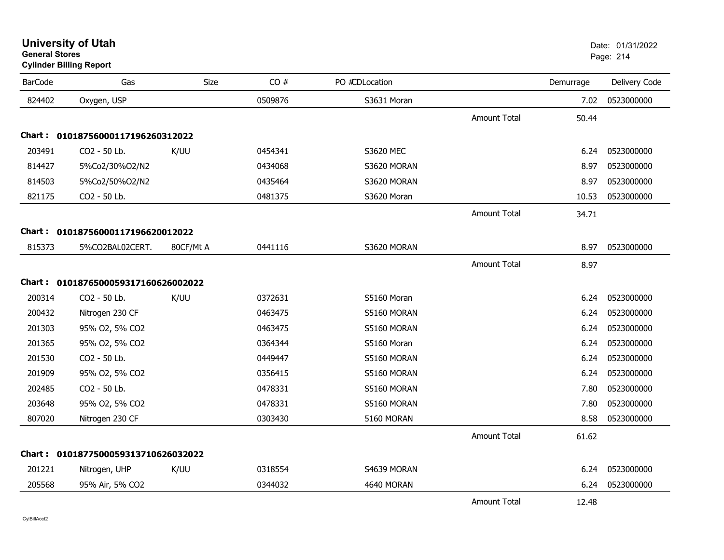| <b>University of Utah</b>      | Date: 01/ |
|--------------------------------|-----------|
| <b>General Stores</b>          | Page: 214 |
| <b>Cylinder Billing Report</b> |           |

| <b>BarCode</b>                               | Gas                               | Size      | CO#     | PO #CDLocation |                     | Demurrage | Delivery Code |
|----------------------------------------------|-----------------------------------|-----------|---------|----------------|---------------------|-----------|---------------|
| 824402                                       | Oxygen, USP                       |           | 0509876 | S3631 Moran    |                     | 7.02      | 0523000000    |
|                                              |                                   |           |         |                | <b>Amount Total</b> | 50.44     |               |
| 01018756000117196260312022<br><b>Chart :</b> |                                   |           |         |                |                     |           |               |
| 203491                                       | CO2 - 50 Lb.                      | K/UU      | 0454341 | S3620 MEC      |                     | 6.24      | 0523000000    |
| 814427                                       | 5%Co2/30%O2/N2                    |           | 0434068 | S3620 MORAN    |                     | 8.97      | 0523000000    |
| 814503                                       | 5%Co2/50%O2/N2                    |           | 0435464 | S3620 MORAN    |                     | 8.97      | 0523000000    |
| 821175                                       | CO2 - 50 Lb.                      |           | 0481375 | S3620 Moran    |                     | 10.53     | 0523000000    |
|                                              |                                   |           |         |                | <b>Amount Total</b> | 34.71     |               |
|                                              | Chart: 01018756000117196620012022 |           |         |                |                     |           |               |
| 815373                                       | 5%CO2BAL02CERT.                   | 80CF/Mt A | 0441116 | S3620 MORAN    |                     | 8.97      | 0523000000    |
|                                              |                                   |           |         |                | <b>Amount Total</b> | 8.97      |               |
| Chart :                                      | 0101876500059317160626002022      |           |         |                |                     |           |               |
| 200314                                       | CO2 - 50 Lb.                      | K/UU      | 0372631 | S5160 Moran    |                     | 6.24      | 0523000000    |
| 200432                                       | Nitrogen 230 CF                   |           | 0463475 | S5160 MORAN    |                     | 6.24      | 0523000000    |
| 201303                                       | 95% O2, 5% CO2                    |           | 0463475 | S5160 MORAN    |                     | 6.24      | 0523000000    |
| 201365                                       | 95% O2, 5% CO2                    |           | 0364344 | S5160 Moran    |                     | 6.24      | 0523000000    |
| 201530                                       | CO2 - 50 Lb.                      |           | 0449447 | S5160 MORAN    |                     | 6.24      | 0523000000    |
| 201909                                       | 95% O2, 5% CO2                    |           | 0356415 | S5160 MORAN    |                     | 6.24      | 0523000000    |
| 202485                                       | CO2 - 50 Lb.                      |           | 0478331 | S5160 MORAN    |                     | 7.80      | 0523000000    |
| 203648                                       | 95% O2, 5% CO2                    |           | 0478331 | S5160 MORAN    |                     | 7.80      | 0523000000    |
| 807020                                       | Nitrogen 230 CF                   |           | 0303430 | 5160 MORAN     |                     | 8.58      | 0523000000    |
|                                              |                                   |           |         |                | Amount Total        | 61.62     |               |
| Chart :                                      | 0101877500059313710626032022      |           |         |                |                     |           |               |
| 201221                                       | Nitrogen, UHP                     | K/UU      | 0318554 | S4639 MORAN    |                     | 6.24      | 0523000000    |
| 205568                                       | 95% Air, 5% CO2                   |           | 0344032 | 4640 MORAN     |                     | 6.24      | 0523000000    |
|                                              |                                   |           |         |                | <b>Amount Total</b> | 12.48     |               |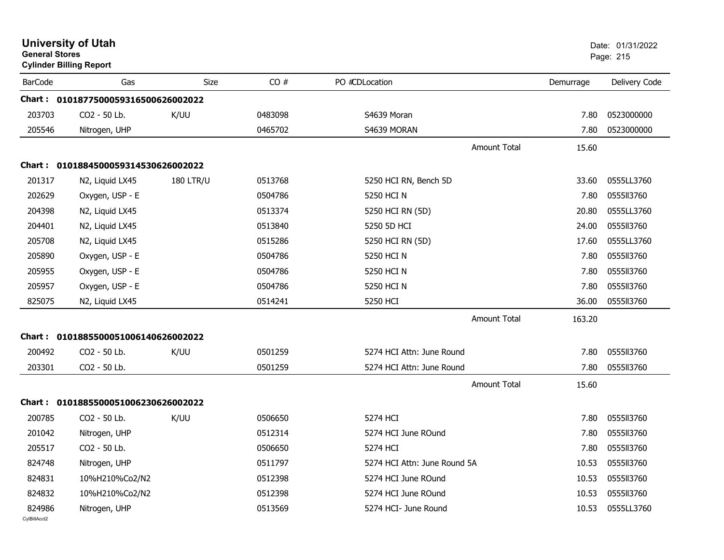| <b>General Stores</b>  | <b>University of Utah</b><br><b>Cylinder Billing Report</b> |                  |         |                              |           | Date: 01/31/2022<br>Page: 215 |
|------------------------|-------------------------------------------------------------|------------------|---------|------------------------------|-----------|-------------------------------|
| <b>BarCode</b>         | Gas                                                         | <b>Size</b>      | CO#     | PO #CDLocation               | Demurrage | Delivery Code                 |
|                        | Chart: 0101877500059316500626002022                         |                  |         |                              |           |                               |
| 203703                 | CO2 - 50 Lb.                                                | K/UU             | 0483098 | S4639 Moran                  | 7.80      | 0523000000                    |
| 205546                 | Nitrogen, UHP                                               |                  | 0465702 | S4639 MORAN                  | 7.80      | 0523000000                    |
|                        |                                                             |                  |         | <b>Amount Total</b>          | 15.60     |                               |
|                        | Chart: 0101884500059314530626002022                         |                  |         |                              |           |                               |
| 201317                 | N2, Liquid LX45                                             | <b>180 LTR/U</b> | 0513768 | 5250 HCI RN, Bench 5D        | 33.60     | 0555LL3760                    |
| 202629                 | Oxygen, USP - E                                             |                  | 0504786 | 5250 HCI N                   | 7.80      | 0555113760                    |
| 204398                 | N2, Liquid LX45                                             |                  | 0513374 | 5250 HCI RN (5D)             | 20.80     | 0555LL3760                    |
| 204401                 | N2, Liquid LX45                                             |                  | 0513840 | 5250 5D HCI                  | 24.00     | 0555113760                    |
| 205708                 | N2, Liquid LX45                                             |                  | 0515286 | 5250 HCI RN (5D)             | 17.60     | 0555LL3760                    |
| 205890                 | Oxygen, USP - E                                             |                  | 0504786 | 5250 HCI N                   | 7.80      | 0555113760                    |
| 205955                 | Oxygen, USP - E                                             |                  | 0504786 | 5250 HCI N                   | 7.80      | 0555113760                    |
| 205957                 | Oxygen, USP - E                                             |                  | 0504786 | 5250 HCI N                   | 7.80      | 0555II3760                    |
| 825075                 | N2, Liquid LX45                                             |                  | 0514241 | 5250 HCI                     | 36.00     | 0555113760                    |
|                        |                                                             |                  |         | <b>Amount Total</b>          | 163.20    |                               |
|                        | Chart: 0101885500051006140626002022                         |                  |         |                              |           |                               |
| 200492                 | CO2 - 50 Lb.                                                | K/UU             | 0501259 | 5274 HCI Attn: June Round    | 7.80      | 0555113760                    |
| 203301                 | CO2 - 50 Lb.                                                |                  | 0501259 | 5274 HCI Attn: June Round    | 7.80      | 0555113760                    |
|                        |                                                             |                  |         | <b>Amount Total</b>          | 15.60     |                               |
|                        | Chart: 0101885500051006230626002022                         |                  |         |                              |           |                               |
| 200785                 | CO2 - 50 Lb.                                                | K/UU             | 0506650 | 5274 HCI                     | 7.80      | 0555II3760                    |
| 201042                 | Nitrogen, UHP                                               |                  | 0512314 | 5274 HCI June ROund          | 7.80      | 0555113760                    |
| 205517                 | CO2 - 50 Lb.                                                |                  | 0506650 | 5274 HCI                     |           | 7.80  0555ll3760              |
| 824748                 | Nitrogen, UHP                                               |                  | 0511797 | 5274 HCI Attn: June Round 5A | 10.53     | 0555113760                    |
| 824831                 | 10%H210%Co2/N2                                              |                  | 0512398 | 5274 HCI June ROund          | 10.53     | 0555113760                    |
| 824832                 | 10%H210%Co2/N2                                              |                  | 0512398 | 5274 HCI June ROund          | 10.53     | 0555113760                    |
| 824986<br>CylBillAcct2 | Nitrogen, UHP                                               |                  | 0513569 | 5274 HCI- June Round         | 10.53     | 0555LL3760                    |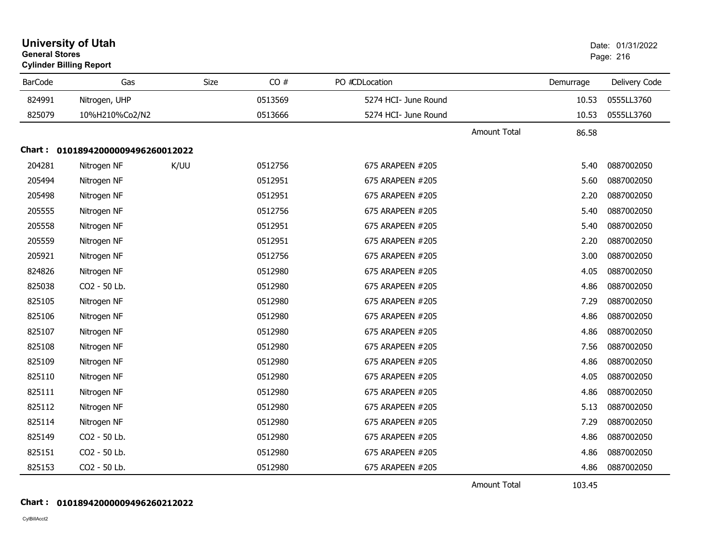| <b>University of Utah</b><br><b>General Stores</b><br><b>Cylinder Billing Report</b> |                                   |      |         |                      |                     | Date: 01/31/2022<br>Page: 216 |               |
|--------------------------------------------------------------------------------------|-----------------------------------|------|---------|----------------------|---------------------|-------------------------------|---------------|
| <b>BarCode</b>                                                                       | Gas                               | Size | CO#     | PO #CDLocation       |                     | Demurrage                     | Delivery Code |
| 824991                                                                               | Nitrogen, UHP                     |      | 0513569 | 5274 HCI- June Round |                     | 10.53                         | 0555LL3760    |
| 825079                                                                               | 10%H210%Co2/N2                    |      | 0513666 | 5274 HCI- June Round |                     | 10.53                         | 0555LL3760    |
|                                                                                      |                                   |      |         |                      | <b>Amount Total</b> | 86.58                         |               |
|                                                                                      | Chart: 01018942000009496260012022 |      |         |                      |                     |                               |               |
| 204281                                                                               | Nitrogen NF                       | K/UU | 0512756 | 675 ARAPEEN #205     |                     | 5.40                          | 0887002050    |
| 205494                                                                               | Nitrogen NF                       |      | 0512951 | 675 ARAPEEN #205     |                     | 5.60                          | 0887002050    |
| 205498                                                                               | Nitrogen NF                       |      | 0512951 | 675 ARAPEEN #205     |                     | 2.20                          | 0887002050    |
| 205555                                                                               | Nitrogen NF                       |      | 0512756 | 675 ARAPEEN #205     |                     | 5.40                          | 0887002050    |
| 205558                                                                               | Nitrogen NF                       |      | 0512951 | 675 ARAPEEN #205     |                     | 5.40                          | 0887002050    |
| 205559                                                                               | Nitrogen NF                       |      | 0512951 | 675 ARAPEEN #205     |                     | 2.20                          | 0887002050    |
| 205921                                                                               | Nitrogen NF                       |      | 0512756 | 675 ARAPEEN #205     |                     | 3.00                          | 0887002050    |
| 824826                                                                               | Nitrogen NF                       |      | 0512980 | 675 ARAPEEN #205     |                     | 4.05                          | 0887002050    |
| 825038                                                                               | CO2 - 50 Lb.                      |      | 0512980 | 675 ARAPEEN #205     |                     | 4.86                          | 0887002050    |
| 825105                                                                               | Nitrogen NF                       |      | 0512980 | 675 ARAPEEN #205     |                     | 7.29                          | 0887002050    |
| 825106                                                                               | Nitrogen NF                       |      | 0512980 | 675 ARAPEEN #205     |                     | 4.86                          | 0887002050    |
| 825107                                                                               | Nitrogen NF                       |      | 0512980 | 675 ARAPEEN #205     |                     | 4.86                          | 0887002050    |
| 825108                                                                               | Nitrogen NF                       |      | 0512980 | 675 ARAPEEN #205     |                     | 7.56                          | 0887002050    |
| 825109                                                                               | Nitrogen NF                       |      | 0512980 | 675 ARAPEEN #205     |                     | 4.86                          | 0887002050    |
| 825110                                                                               | Nitrogen NF                       |      | 0512980 | 675 ARAPEEN #205     |                     | 4.05                          | 0887002050    |
| 825111                                                                               | Nitrogen NF                       |      | 0512980 | 675 ARAPEEN #205     |                     | 4.86                          | 0887002050    |
| 825112                                                                               | Nitrogen NF                       |      | 0512980 | 675 ARAPEEN #205     |                     | 5.13                          | 0887002050    |
| 825114                                                                               | Nitrogen NF                       |      | 0512980 | 675 ARAPEEN #205     |                     | 7.29                          | 0887002050    |
| 825149                                                                               | CO2 - 50 Lb.                      |      | 0512980 | 675 ARAPEEN #205     |                     | 4.86                          | 0887002050    |
| 825151                                                                               | CO2 - 50 Lb.                      |      | 0512980 | 675 ARAPEEN #205     |                     | 4.86                          | 0887002050    |
| 825153                                                                               | CO2 - 50 Lb.                      |      | 0512980 | 675 ARAPEEN #205     |                     | 4.86                          | 0887002050    |

Amount Total103.45

### **Chart : 01018942000009496260212022**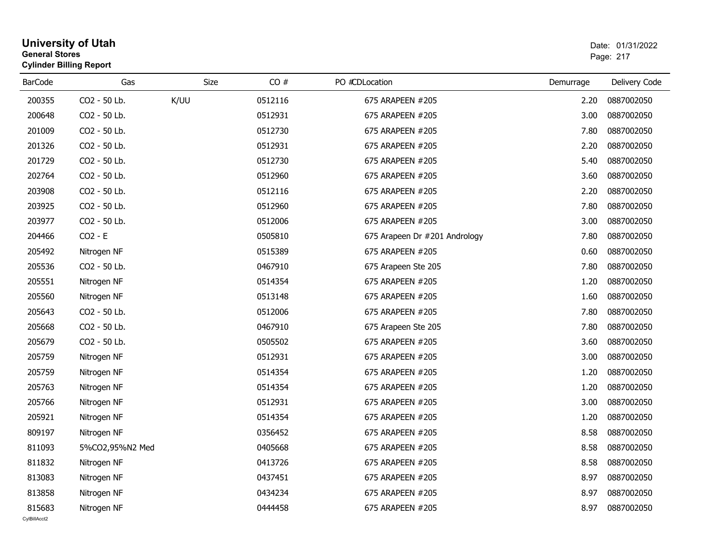|                | <b>General Stores</b><br><b>Cylinder Billing Report</b> |             |         |                               |           | Page: 217     |  |
|----------------|---------------------------------------------------------|-------------|---------|-------------------------------|-----------|---------------|--|
| <b>BarCode</b> | Gas                                                     | <b>Size</b> | CO#     | PO #CDLocation                | Demurrage | Delivery Code |  |
| 200355         | CO2 - 50 Lb.                                            | K/UU        | 0512116 | 675 ARAPEEN #205              | 2.20      | 0887002050    |  |
| 200648         | CO2 - 50 Lb.                                            |             | 0512931 | 675 ARAPEEN #205              | 3.00      | 0887002050    |  |
| 201009         | CO2 - 50 Lb.                                            |             | 0512730 | 675 ARAPEEN #205              | 7.80      | 0887002050    |  |
| 201326         | CO2 - 50 Lb.                                            |             | 0512931 | 675 ARAPEEN #205              | 2.20      | 0887002050    |  |
| 201729         | CO2 - 50 Lb.                                            |             | 0512730 | 675 ARAPEEN #205              | 5.40      | 0887002050    |  |
| 202764         | CO2 - 50 Lb.                                            |             | 0512960 | 675 ARAPEEN #205              | 3.60      | 0887002050    |  |
| 203908         | CO <sub>2</sub> - 50 Lb.                                |             | 0512116 | 675 ARAPEEN #205              | 2.20      | 0887002050    |  |
| 203925         | CO2 - 50 Lb.                                            |             | 0512960 | 675 ARAPEEN #205              | 7.80      | 0887002050    |  |
| 203977         | CO2 - 50 Lb.                                            |             | 0512006 | 675 ARAPEEN #205              | 3.00      | 0887002050    |  |
| 204466         | $CO2 - E$                                               |             | 0505810 | 675 Arapeen Dr #201 Andrology | 7.80      | 0887002050    |  |
| 205492         | Nitrogen NF                                             |             | 0515389 | 675 ARAPEEN #205              | 0.60      | 0887002050    |  |
| 205536         | CO2 - 50 Lb.                                            |             | 0467910 | 675 Arapeen Ste 205           | 7.80      | 0887002050    |  |
| 205551         | Nitrogen NF                                             |             | 0514354 | 675 ARAPEEN #205              | 1.20      | 0887002050    |  |
| 205560         | Nitrogen NF                                             |             | 0513148 | 675 ARAPEEN #205              | 1.60      | 0887002050    |  |
| 205643         | CO2 - 50 Lb.                                            |             | 0512006 | 675 ARAPEEN #205              | 7.80      | 0887002050    |  |
| 205668         | CO2 - 50 Lb.                                            |             | 0467910 | 675 Arapeen Ste 205           | 7.80      | 0887002050    |  |
| 205679         | CO2 - 50 Lb.                                            |             | 0505502 | 675 ARAPEEN #205              | 3.60      | 0887002050    |  |
| 205759         | Nitrogen NF                                             |             | 0512931 | 675 ARAPEEN #205              | 3.00      | 0887002050    |  |
| 205759         | Nitrogen NF                                             |             | 0514354 | 675 ARAPEEN #205              | 1.20      | 0887002050    |  |
| 205763         | Nitrogen NF                                             |             | 0514354 | 675 ARAPEEN #205              | 1.20      | 0887002050    |  |
| 205766         | Nitrogen NF                                             |             | 0512931 | 675 ARAPEEN #205              | 3.00      | 0887002050    |  |
| 205921         | Nitrogen NF                                             |             | 0514354 | 675 ARAPEEN #205              | 1.20      | 0887002050    |  |
| 809197         | Nitrogen NF                                             |             | 0356452 | 675 ARAPEEN #205              | 8.58      | 0887002050    |  |
| 811093         | 5%CO2,95%N2 Med                                         |             | 0405668 | 675 ARAPEEN #205              | 8.58      | 0887002050    |  |
| 811832         | Nitrogen NF                                             |             | 0413726 | 675 ARAPEEN #205              | 8.58      | 0887002050    |  |
| 813083         | Nitrogen NF                                             |             | 0437451 | 675 ARAPEEN #205              | 8.97      | 0887002050    |  |
| 813858         | Nitrogen NF                                             |             | 0434234 | 675 ARAPEEN #205              | 8.97      | 0887002050    |  |
| 815683         | Nitrogen NF                                             |             | 0444458 | 675 ARAPEEN #205              | 8.97      | 0887002050    |  |

# **University of Utah** Date: 01/31/2022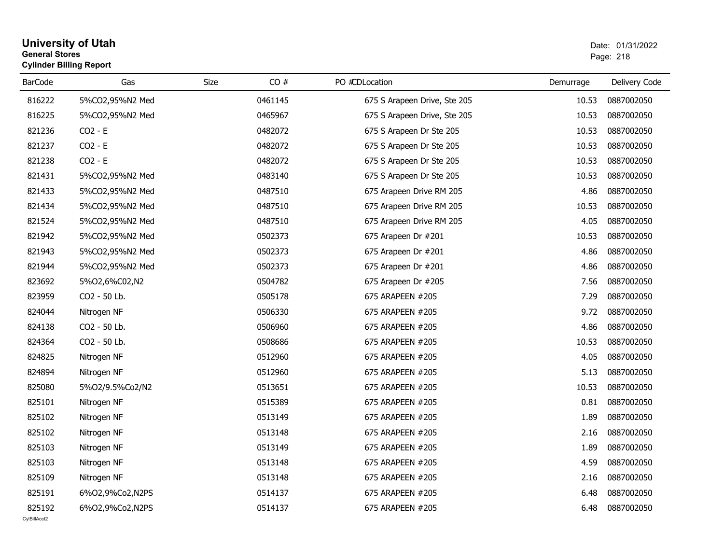#### **University of Utah** Date: 01/31/2022 **General Stores**s and the contract of the contract of the contract of the contract of the contract of the contract of the contract of the contract of the contract of the contract of the contract of the contract of the contract of the cont **Cylinder Billing Report**

| <b>BarCode</b>         | Gas             | Size | CO#     | PO #CDLocation               | Demurrage | Delivery Code |
|------------------------|-----------------|------|---------|------------------------------|-----------|---------------|
| 816222                 | 5%CO2,95%N2 Med |      | 0461145 | 675 S Arapeen Drive, Ste 205 | 10.53     | 0887002050    |
| 816225                 | 5%CO2,95%N2 Med |      | 0465967 | 675 S Arapeen Drive, Ste 205 | 10.53     | 0887002050    |
| 821236                 | $CO2 - E$       |      | 0482072 | 675 S Arapeen Dr Ste 205     | 10.53     | 0887002050    |
| 821237                 | $CO2 - E$       |      | 0482072 | 675 S Arapeen Dr Ste 205     | 10.53     | 0887002050    |
| 821238                 | $CO2 - E$       |      | 0482072 | 675 S Arapeen Dr Ste 205     | 10.53     | 0887002050    |
| 821431                 | 5%CO2,95%N2 Med |      | 0483140 | 675 S Arapeen Dr Ste 205     | 10.53     | 0887002050    |
| 821433                 | 5%CO2,95%N2 Med |      | 0487510 | 675 Arapeen Drive RM 205     | 4.86      | 0887002050    |
| 821434                 | 5%CO2,95%N2 Med |      | 0487510 | 675 Arapeen Drive RM 205     | 10.53     | 0887002050    |
| 821524                 | 5%CO2,95%N2 Med |      | 0487510 | 675 Arapeen Drive RM 205     | 4.05      | 0887002050    |
| 821942                 | 5%CO2,95%N2 Med |      | 0502373 | 675 Arapeen Dr #201          | 10.53     | 0887002050    |
| 821943                 | 5%CO2,95%N2 Med |      | 0502373 | 675 Arapeen Dr #201          | 4.86      | 0887002050    |
| 821944                 | 5%CO2,95%N2 Med |      | 0502373 | 675 Arapeen Dr #201          | 4.86      | 0887002050    |
| 823692                 | 5%02,6%C02,N2   |      | 0504782 | 675 Arapeen Dr #205          | 7.56      | 0887002050    |
| 823959                 | CO2 - 50 Lb.    |      | 0505178 | 675 ARAPEEN #205             | 7.29      | 0887002050    |
| 824044                 | Nitrogen NF     |      | 0506330 | 675 ARAPEEN #205             | 9.72      | 0887002050    |
| 824138                 | CO2 - 50 Lb.    |      | 0506960 | 675 ARAPEEN #205             | 4.86      | 0887002050    |
| 824364                 | CO2 - 50 Lb.    |      | 0508686 | 675 ARAPEEN #205             | 10.53     | 0887002050    |
| 824825                 | Nitrogen NF     |      | 0512960 | 675 ARAPEEN #205             | 4.05      | 0887002050    |
| 824894                 | Nitrogen NF     |      | 0512960 | 675 ARAPEEN #205             | 5.13      | 0887002050    |
| 825080                 | 5%O2/9.5%Co2/N2 |      | 0513651 | 675 ARAPEEN #205             | 10.53     | 0887002050    |
| 825101                 | Nitrogen NF     |      | 0515389 | 675 ARAPEEN #205             | 0.81      | 0887002050    |
| 825102                 | Nitrogen NF     |      | 0513149 | 675 ARAPEEN #205             | 1.89      | 0887002050    |
| 825102                 | Nitrogen NF     |      | 0513148 | 675 ARAPEEN #205             | 2.16      | 0887002050    |
| 825103                 | Nitrogen NF     |      | 0513149 | 675 ARAPEEN #205             | 1.89      | 0887002050    |
| 825103                 | Nitrogen NF     |      | 0513148 | 675 ARAPEEN #205             | 4.59      | 0887002050    |
| 825109                 | Nitrogen NF     |      | 0513148 | 675 ARAPEEN #205             | 2.16      | 0887002050    |
| 825191                 | 6%O2,9%Co2,N2PS |      | 0514137 | 675 ARAPEEN #205             | 6.48      | 0887002050    |
| 825192<br>CvIBillAcct2 | 6%02,9%Co2,N2PS |      | 0514137 | 675 ARAPEEN #205             | 6.48      | 0887002050    |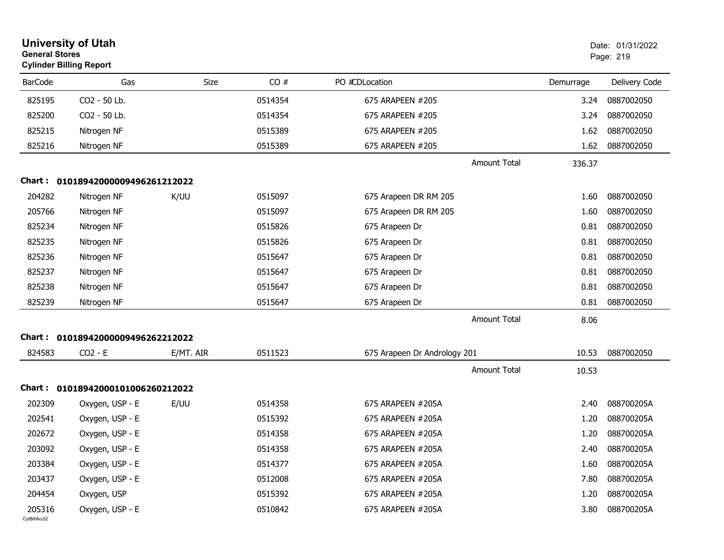| <b>General Stores</b>  | <b>University of Utah</b><br><b>Cylinder Billing Report</b> |           |         |                              |           | Date: 01/31/2022<br>Page: 219 |
|------------------------|-------------------------------------------------------------|-----------|---------|------------------------------|-----------|-------------------------------|
| <b>BarCode</b>         | Gas                                                         | Size      | CO#     | PO #CDLocation               | Demurrage | Delivery Code                 |
| 825195                 | CO2 - 50 Lb.                                                |           | 0514354 | 675 ARAPEEN #205             | 3.24      | 0887002050                    |
| 825200                 | CO2 - 50 Lb.                                                |           | 0514354 | 675 ARAPEEN #205             | 3.24      | 0887002050                    |
| 825215                 | Nitrogen NF                                                 |           | 0515389 | 675 ARAPEEN #205             | 1.62      | 0887002050                    |
| 825216                 | Nitrogen NF                                                 |           | 0515389 | 675 ARAPEEN #205             | 1.62      | 0887002050                    |
|                        |                                                             |           |         | <b>Amount Total</b>          | 336.37    |                               |
| Chart :                | 01018942000009496261212022                                  |           |         |                              |           |                               |
| 204282                 | Nitrogen NF                                                 | K/UU      | 0515097 | 675 Arapeen DR RM 205        | 1.60      | 0887002050                    |
| 205766                 | Nitrogen NF                                                 |           | 0515097 | 675 Arapeen DR RM 205        | 1.60      | 0887002050                    |
| 825234                 | Nitrogen NF                                                 |           | 0515826 | 675 Arapeen Dr               | 0.81      | 0887002050                    |
| 825235                 | Nitrogen NF                                                 |           | 0515826 | 675 Arapeen Dr               | 0.81      | 0887002050                    |
| 825236                 | Nitrogen NF                                                 |           | 0515647 | 675 Arapeen Dr               | 0.81      | 0887002050                    |
| 825237                 | Nitrogen NF                                                 |           | 0515647 | 675 Arapeen Dr               | 0.81      | 0887002050                    |
| 825238                 | Nitrogen NF                                                 |           | 0515647 | 675 Arapeen Dr               | 0.81      | 0887002050                    |
| 825239                 | Nitrogen NF                                                 |           | 0515647 | 675 Arapeen Dr               | 0.81      | 0887002050                    |
|                        |                                                             |           |         | <b>Amount Total</b>          | 8.06      |                               |
| Chart :                | 01018942000009496262212022                                  |           |         |                              |           |                               |
| 824583                 | $CO2 - E$                                                   | E/MT. AIR | 0511523 | 675 Arapeen Dr Andrology 201 | 10.53     | 0887002050                    |
|                        |                                                             |           |         | <b>Amount Total</b>          | 10.53     |                               |
| Chart :                | 01018942000101006260212022                                  |           |         |                              |           |                               |
| 202309                 | Oxygen, USP - E                                             | E/UU      | 0514358 | 675 ARAPEEN #205A            | 2.40      | 088700205A                    |
| 202541                 | Oxygen, USP - E                                             |           | 0515392 | 675 ARAPEEN #205A            | 1.20      | 088700205A                    |
| 202672                 | Oxygen, USP - E                                             |           | 0514358 | 675 ARAPEEN #205A            | 1.20      | 088700205A                    |
| 203092                 | Oxygen, USP - E                                             |           | 0514358 | 675 ARAPEEN #205A            | 2.40      | 088700205A                    |
| 203384                 | Oxygen, USP - E                                             |           | 0514377 | 675 ARAPEEN #205A            | 1.60      | 088700205A                    |
| 203437                 | Oxygen, USP - E                                             |           | 0512008 | 675 ARAPEEN #205A            | 7.80      | 088700205A                    |
| 204454                 | Oxygen, USP                                                 |           | 0515392 | 675 ARAPEEN #205A            | 1.20      | 088700205A                    |
| 205316<br>CylBillAcct2 | Oxygen, USP - E                                             |           | 0510842 | 675 ARAPEEN #205A            | 3.80      | 088700205A                    |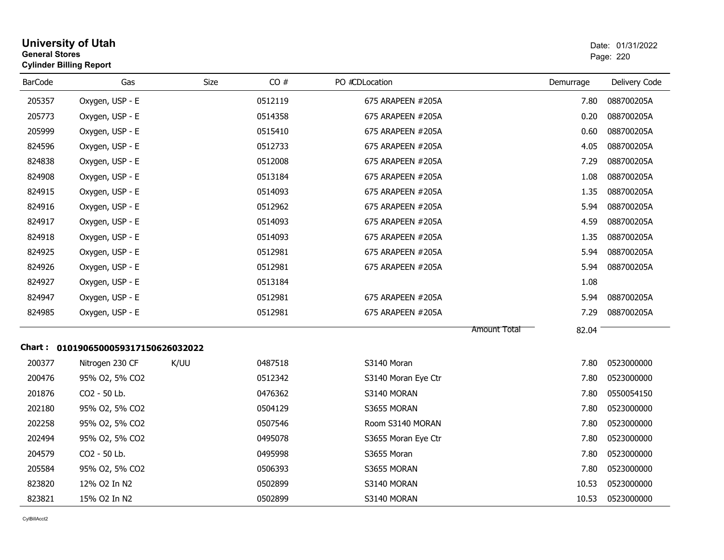| <b>University of Utah</b><br><b>General Stores</b><br><b>Cylinder Billing Report</b> |                                      |      |         |                     |                     |           | Date: 01/31/2022<br>Page: 220 |
|--------------------------------------------------------------------------------------|--------------------------------------|------|---------|---------------------|---------------------|-----------|-------------------------------|
| <b>BarCode</b>                                                                       | Gas                                  | Size | CO#     | PO #CDLocation      |                     | Demurrage | Delivery Code                 |
| 205357                                                                               | Oxygen, USP - E                      |      | 0512119 | 675 ARAPEEN #205A   |                     | 7.80      | 088700205A                    |
| 205773                                                                               | Oxygen, USP - E                      |      | 0514358 | 675 ARAPEEN #205A   |                     | 0.20      | 088700205A                    |
| 205999                                                                               | Oxygen, USP - E                      |      | 0515410 | 675 ARAPEEN #205A   |                     | 0.60      | 088700205A                    |
| 824596                                                                               | Oxygen, USP - E                      |      | 0512733 | 675 ARAPEEN #205A   |                     | 4.05      | 088700205A                    |
| 824838                                                                               | Oxygen, USP - E                      |      | 0512008 | 675 ARAPEEN #205A   |                     | 7.29      | 088700205A                    |
| 824908                                                                               | Oxygen, USP - E                      |      | 0513184 | 675 ARAPEEN #205A   |                     | 1.08      | 088700205A                    |
| 824915                                                                               | Oxygen, USP - E                      |      | 0514093 | 675 ARAPEEN #205A   |                     | 1.35      | 088700205A                    |
| 824916                                                                               | Oxygen, USP - E                      |      | 0512962 | 675 ARAPEEN #205A   |                     | 5.94      | 088700205A                    |
| 824917                                                                               | Oxygen, USP - E                      |      | 0514093 | 675 ARAPEEN #205A   |                     | 4.59      | 088700205A                    |
| 824918                                                                               | Oxygen, USP - E                      |      | 0514093 | 675 ARAPEEN #205A   |                     | 1.35      | 088700205A                    |
| 824925                                                                               | Oxygen, USP - E                      |      | 0512981 | 675 ARAPEEN #205A   |                     | 5.94      | 088700205A                    |
| 824926                                                                               | Oxygen, USP - E                      |      | 0512981 | 675 ARAPEEN #205A   |                     | 5.94      | 088700205A                    |
| 824927                                                                               | Oxygen, USP - E                      |      | 0513184 |                     |                     | 1.08      |                               |
| 824947                                                                               | Oxygen, USP - E                      |      | 0512981 | 675 ARAPEEN #205A   |                     | 5.94      | 088700205A                    |
| 824985                                                                               | Oxygen, USP - E                      |      | 0512981 | 675 ARAPEEN #205A   |                     | 7.29      | 088700205A                    |
|                                                                                      |                                      |      |         |                     | <b>Amount Total</b> | 82.04     |                               |
|                                                                                      | Chart : 0101906500059317150626032022 |      |         |                     |                     |           |                               |
| 200377                                                                               | Nitrogen 230 CF                      | K/UU | 0487518 | S3140 Moran         |                     | 7.80      | 0523000000                    |
| 200476                                                                               | 95% O2, 5% CO2                       |      | 0512342 | S3140 Moran Eye Ctr |                     | 7.80      | 0523000000                    |
| 201876                                                                               | CO2 - 50 Lb.                         |      | 0476362 | S3140 MORAN         |                     | 7.80      | 0550054150                    |
| 202180                                                                               | 95% O2, 5% CO2                       |      | 0504129 | S3655 MORAN         |                     | 7.80      | 0523000000                    |
| 202258                                                                               | 95% O2, 5% CO2                       |      | 0507546 | Room S3140 MORAN    |                     | 7.80      | 0523000000                    |
| 202494                                                                               | 95% O2, 5% CO2                       |      | 0495078 | S3655 Moran Eye Ctr |                     | 7.80      | 0523000000                    |
| 204579                                                                               | CO2 - 50 Lb.                         |      | 0495998 | S3655 Moran         |                     | 7.80      | 0523000000                    |
| 205584                                                                               | 95% O2, 5% CO2                       |      | 0506393 | S3655 MORAN         |                     | 7.80      | 0523000000                    |
| 823820                                                                               | 12% O2 In N2                         |      | 0502899 | S3140 MORAN         |                     | 10.53     | 0523000000                    |
| 823821                                                                               | 15% O2 In N2                         |      | 0502899 | S3140 MORAN         |                     | 10.53     | 0523000000                    |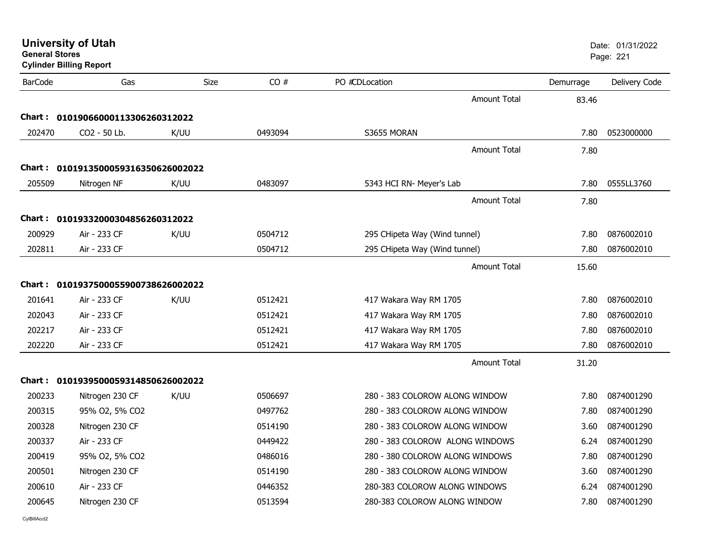| <b>General Stores</b> | <b>University of Utah</b><br><b>Cylinder Billing Report</b> |      |         |                                 |           | Date: 01/31/2022<br>Page: 221 |
|-----------------------|-------------------------------------------------------------|------|---------|---------------------------------|-----------|-------------------------------|
| <b>BarCode</b>        | Gas                                                         | Size | CO#     | PO #CDLocation                  | Demurrage | Delivery Code                 |
|                       |                                                             |      |         | <b>Amount Total</b>             | 83.46     |                               |
| <b>Chart:</b>         | 01019066000113306260312022                                  |      |         |                                 |           |                               |
| 202470                | CO2 - 50 Lb.                                                | K/UU | 0493094 | S3655 MORAN                     | 7.80      | 0523000000                    |
|                       |                                                             |      |         | <b>Amount Total</b>             | 7.80      |                               |
| Chart :               | 0101913500059316350626002022                                |      |         |                                 |           |                               |
| 205509                | Nitrogen NF                                                 | K/UU | 0483097 | 5343 HCI RN- Meyer's Lab        | 7.80      | 0555LL3760                    |
|                       |                                                             |      |         | <b>Amount Total</b>             | 7.80      |                               |
|                       |                                                             |      |         |                                 |           |                               |
| Chart :<br>200929     | 01019332000304856260312022<br>Air - 233 CF                  | K/UU | 0504712 | 295 CHipeta Way (Wind tunnel)   | 7.80      | 0876002010                    |
| 202811                | Air - 233 CF                                                |      | 0504712 | 295 CHipeta Way (Wind tunnel)   | 7.80      | 0876002010                    |
|                       |                                                             |      |         |                                 |           |                               |
|                       |                                                             |      |         | <b>Amount Total</b>             | 15.60     |                               |
| Chart :               | 0101937500055900738626002022                                |      |         |                                 |           |                               |
| 201641                | Air - 233 CF                                                | K/UU | 0512421 | 417 Wakara Way RM 1705          | 7.80      | 0876002010                    |
| 202043                | Air - 233 CF                                                |      | 0512421 | 417 Wakara Way RM 1705          | 7.80      | 0876002010                    |
| 202217                | Air - 233 CF                                                |      | 0512421 | 417 Wakara Way RM 1705          | 7.80      | 0876002010                    |
| 202220                | Air - 233 CF                                                |      | 0512421 | 417 Wakara Way RM 1705          | 7.80      | 0876002010                    |
|                       |                                                             |      |         | Amount Total                    | 31.20     |                               |
| Chart :               | 0101939500059314850626002022                                |      |         |                                 |           |                               |
| 200233                | Nitrogen 230 CF                                             | K/UU | 0506697 | 280 - 383 COLOROW ALONG WINDOW  | 7.80      | 0874001290                    |
| 200315                | 95% O2, 5% CO2                                              |      | 0497762 | 280 - 383 COLOROW ALONG WINDOW  | 7.80      | 0874001290                    |
| 200328                | Nitrogen 230 CF                                             |      | 0514190 | 280 - 383 COLOROW ALONG WINDOW  | 3.60      | 0874001290                    |
| 200337                | Air - 233 CF                                                |      | 0449422 | 280 - 383 COLOROW ALONG WINDOWS | 6.24      | 0874001290                    |
| 200419                | 95% O2, 5% CO2                                              |      | 0486016 | 280 - 380 COLOROW ALONG WINDOWS | 7.80      | 0874001290                    |
| 200501                | Nitrogen 230 CF                                             |      | 0514190 | 280 - 383 COLOROW ALONG WINDOW  | 3.60      | 0874001290                    |
| 200610                | Air - 233 CF                                                |      | 0446352 | 280-383 COLOROW ALONG WINDOWS   | 6.24      | 0874001290                    |
| 200645                | Nitrogen 230 CF                                             |      | 0513594 | 280-383 COLOROW ALONG WINDOW    | 7.80      | 0874001290                    |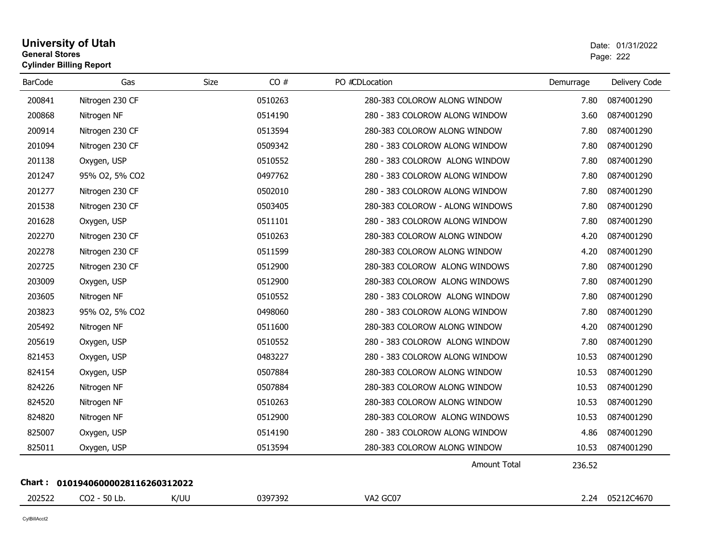#### **University of Utah** Date: 01/31/2022 **General Stores**estate the control of the control of the control of the control of the control of the control of the control of the control of the control of the control of the control of the control of the control of the control of the c **Cylinder Billing Report**

| <b>BarCode</b> | Gas                        | Size | CO#     | PO #CDLocation                  | Demurrage | Delivery Code |
|----------------|----------------------------|------|---------|---------------------------------|-----------|---------------|
| 200841         | Nitrogen 230 CF            |      | 0510263 | 280-383 COLOROW ALONG WINDOW    | 7.80      | 0874001290    |
| 200868         | Nitrogen NF                |      | 0514190 | 280 - 383 COLOROW ALONG WINDOW  | 3.60      | 0874001290    |
| 200914         | Nitrogen 230 CF            |      | 0513594 | 280-383 COLOROW ALONG WINDOW    | 7.80      | 0874001290    |
| 201094         | Nitrogen 230 CF            |      | 0509342 | 280 - 383 COLOROW ALONG WINDOW  | 7.80      | 0874001290    |
| 201138         | Oxygen, USP                |      | 0510552 | 280 - 383 COLOROW ALONG WINDOW  | 7.80      | 0874001290    |
| 201247         | 95% O2, 5% CO2             |      | 0497762 | 280 - 383 COLOROW ALONG WINDOW  | 7.80      | 0874001290    |
| 201277         | Nitrogen 230 CF            |      | 0502010 | 280 - 383 COLOROW ALONG WINDOW  | 7.80      | 0874001290    |
| 201538         | Nitrogen 230 CF            |      | 0503405 | 280-383 COLOROW - ALONG WINDOWS | 7.80      | 0874001290    |
| 201628         | Oxygen, USP                |      | 0511101 | 280 - 383 COLOROW ALONG WINDOW  | 7.80      | 0874001290    |
| 202270         | Nitrogen 230 CF            |      | 0510263 | 280-383 COLOROW ALONG WINDOW    | 4.20      | 0874001290    |
| 202278         | Nitrogen 230 CF            |      | 0511599 | 280-383 COLOROW ALONG WINDOW    | 4.20      | 0874001290    |
| 202725         | Nitrogen 230 CF            |      | 0512900 | 280-383 COLOROW ALONG WINDOWS   | 7.80      | 0874001290    |
| 203009         | Oxygen, USP                |      | 0512900 | 280-383 COLOROW ALONG WINDOWS   | 7.80      | 0874001290    |
| 203605         | Nitrogen NF                |      | 0510552 | 280 - 383 COLOROW ALONG WINDOW  | 7.80      | 0874001290    |
| 203823         | 95% O2, 5% CO2             |      | 0498060 | 280 - 383 COLOROW ALONG WINDOW  | 7.80      | 0874001290    |
| 205492         | Nitrogen NF                |      | 0511600 | 280-383 COLOROW ALONG WINDOW    | 4.20      | 0874001290    |
| 205619         | Oxygen, USP                |      | 0510552 | 280 - 383 COLOROW ALONG WINDOW  | 7.80      | 0874001290    |
| 821453         | Oxygen, USP                |      | 0483227 | 280 - 383 COLOROW ALONG WINDOW  | 10.53     | 0874001290    |
| 824154         | Oxygen, USP                |      | 0507884 | 280-383 COLOROW ALONG WINDOW    | 10.53     | 0874001290    |
| 824226         | Nitrogen NF                |      | 0507884 | 280-383 COLOROW ALONG WINDOW    | 10.53     | 0874001290    |
| 824520         | Nitrogen NF                |      | 0510263 | 280-383 COLOROW ALONG WINDOW    | 10.53     | 0874001290    |
| 824820         | Nitrogen NF                |      | 0512900 | 280-383 COLOROW ALONG WINDOWS   | 10.53     | 0874001290    |
| 825007         | Oxygen, USP                |      | 0514190 | 280 - 383 COLOROW ALONG WINDOW  | 4.86      | 0874001290    |
| 825011         | Oxygen, USP                |      | 0513594 | 280-383 COLOROW ALONG WINDOW    | 10.53     | 0874001290    |
|                |                            |      |         | Amount Total                    | 236.52    |               |
| Chart :        | 01019406000028116260312022 |      |         |                                 |           |               |
| 202522         | CO2 - 50 Lb.               | K/UU | 0397392 | VA2 GC07                        | 2.24      | 05212C4670    |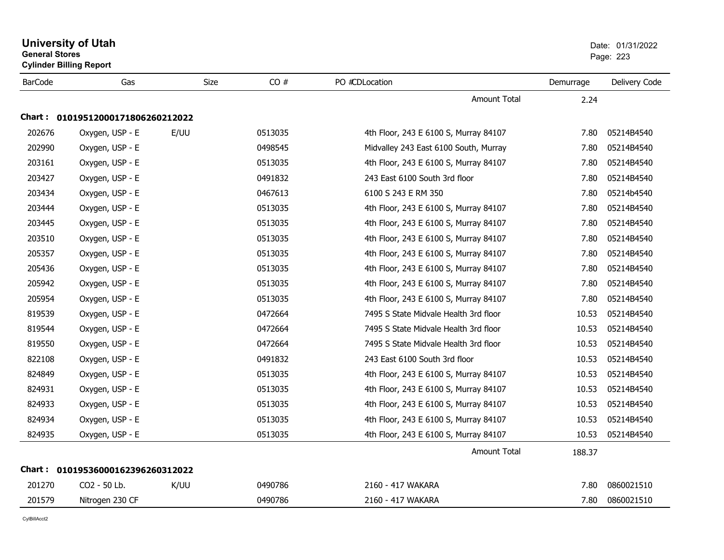|                | <b>University of Utah</b><br><b>General Stores</b><br><b>Cylinder Billing Report</b> |      |         |                                       |           | Date: 01/31/2022<br>Page: 223 |  |  |  |
|----------------|--------------------------------------------------------------------------------------|------|---------|---------------------------------------|-----------|-------------------------------|--|--|--|
| <b>BarCode</b> | Gas                                                                                  | Size | CO#     | PO #CDLocation                        | Demurrage | Delivery Code                 |  |  |  |
|                |                                                                                      |      |         | Amount Total                          | 2.24      |                               |  |  |  |
|                | Chart: 01019512000171806260212022                                                    |      |         |                                       |           |                               |  |  |  |
| 202676         | Oxygen, USP - E                                                                      | E/UU | 0513035 | 4th Floor, 243 E 6100 S, Murray 84107 | 7.80      | 05214B4540                    |  |  |  |
| 202990         | Oxygen, USP - E                                                                      |      | 0498545 | Midvalley 243 East 6100 South, Murray | 7.80      | 05214B4540                    |  |  |  |
| 203161         | Oxygen, USP - E                                                                      |      | 0513035 | 4th Floor, 243 E 6100 S, Murray 84107 | 7.80      | 05214B4540                    |  |  |  |
| 203427         | Oxygen, USP - E                                                                      |      | 0491832 | 243 East 6100 South 3rd floor         | 7.80      | 05214B4540                    |  |  |  |
| 203434         | Oxygen, USP - E                                                                      |      | 0467613 | 6100 S 243 E RM 350                   | 7.80      | 05214b4540                    |  |  |  |
| 203444         | Oxygen, USP - E                                                                      |      | 0513035 | 4th Floor, 243 E 6100 S, Murray 84107 | 7.80      | 05214B4540                    |  |  |  |
| 203445         | Oxygen, USP - E                                                                      |      | 0513035 | 4th Floor, 243 E 6100 S, Murray 84107 | 7.80      | 05214B4540                    |  |  |  |
| 203510         | Oxygen, USP - E                                                                      |      | 0513035 | 4th Floor, 243 E 6100 S, Murray 84107 | 7.80      | 05214B4540                    |  |  |  |
| 205357         | Oxygen, USP - E                                                                      |      | 0513035 | 4th Floor, 243 E 6100 S, Murray 84107 | 7.80      | 05214B4540                    |  |  |  |
| 205436         | Oxygen, USP - E                                                                      |      | 0513035 | 4th Floor, 243 E 6100 S, Murray 84107 | 7.80      | 05214B4540                    |  |  |  |
| 205942         | Oxygen, USP - E                                                                      |      | 0513035 | 4th Floor, 243 E 6100 S, Murray 84107 | 7.80      | 05214B4540                    |  |  |  |
| 205954         | Oxygen, USP - E                                                                      |      | 0513035 | 4th Floor, 243 E 6100 S, Murray 84107 | 7.80      | 05214B4540                    |  |  |  |
| 819539         | Oxygen, USP - E                                                                      |      | 0472664 | 7495 S State Midvale Health 3rd floor | 10.53     | 05214B4540                    |  |  |  |
| 819544         | Oxygen, USP - E                                                                      |      | 0472664 | 7495 S State Midvale Health 3rd floor | 10.53     | 05214B4540                    |  |  |  |
| 819550         | Oxygen, USP - E                                                                      |      | 0472664 | 7495 S State Midvale Health 3rd floor | 10.53     | 05214B4540                    |  |  |  |
| 822108         | Oxygen, USP - E                                                                      |      | 0491832 | 243 East 6100 South 3rd floor         | 10.53     | 05214B4540                    |  |  |  |
| 824849         | Oxygen, USP - E                                                                      |      | 0513035 | 4th Floor, 243 E 6100 S, Murray 84107 | 10.53     | 05214B4540                    |  |  |  |
| 824931         | Oxygen, USP - E                                                                      |      | 0513035 | 4th Floor, 243 E 6100 S, Murray 84107 | 10.53     | 05214B4540                    |  |  |  |
| 824933         | Oxygen, USP - E                                                                      |      | 0513035 | 4th Floor, 243 E 6100 S, Murray 84107 | 10.53     | 05214B4540                    |  |  |  |
| 824934         | Oxygen, USP - E                                                                      |      | 0513035 | 4th Floor, 243 E 6100 S, Murray 84107 | 10.53     | 05214B4540                    |  |  |  |
| 824935         | Oxygen, USP - E                                                                      |      | 0513035 | 4th Floor, 243 E 6100 S, Murray 84107 | 10.53     | 05214B4540                    |  |  |  |
|                |                                                                                      |      |         | <b>Amount Total</b>                   | 188.37    |                               |  |  |  |
|                | Chart: 01019536000162396260312022                                                    |      |         |                                       |           |                               |  |  |  |
| 201270         | CO2 - 50 Lb.                                                                         | K/UU | 0490786 | 2160 - 417 WAKARA                     | 7.80      | 0860021510                    |  |  |  |
| 201579         | Nitrogen 230 CF                                                                      |      | 0490786 | 2160 - 417 WAKARA                     | 7.80      | 0860021510                    |  |  |  |
|                |                                                                                      |      |         |                                       |           |                               |  |  |  |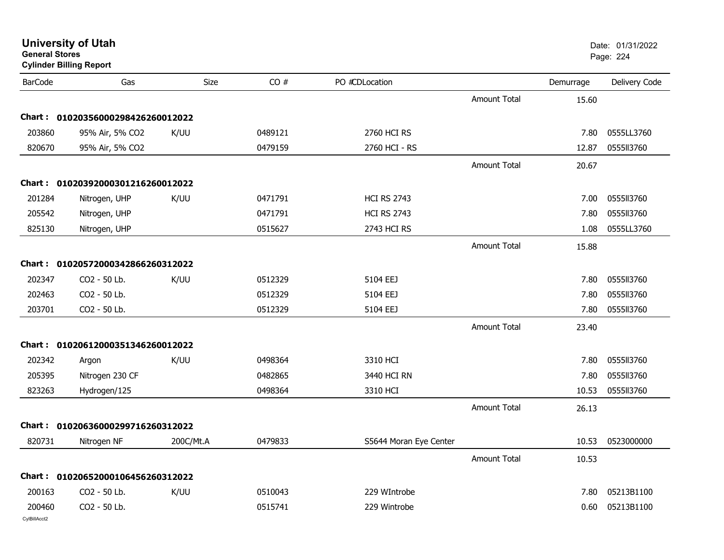| General Stores<br><b>Cylinder Billing Report</b> |                                   |           |         |                        |                     |           | Page: 224     |
|--------------------------------------------------|-----------------------------------|-----------|---------|------------------------|---------------------|-----------|---------------|
| <b>BarCode</b>                                   | Gas                               | Size      | CO#     | PO #CDLocation         |                     | Demurrage | Delivery Code |
|                                                  |                                   |           |         |                        | <b>Amount Total</b> | 15.60     |               |
|                                                  | Chart: 01020356000298426260012022 |           |         |                        |                     |           |               |
| 203860                                           | 95% Air, 5% CO2                   | K/UU      | 0489121 | 2760 HCI RS            |                     | 7.80      | 0555LL3760    |
| 820670                                           | 95% Air, 5% CO2                   |           | 0479159 | 2760 HCI - RS          |                     | 12.87     | 0555113760    |
|                                                  |                                   |           |         |                        | <b>Amount Total</b> | 20.67     |               |
|                                                  | Chart: 01020392000301216260012022 |           |         |                        |                     |           |               |
| 201284                                           | Nitrogen, UHP                     | K/UU      | 0471791 | <b>HCI RS 2743</b>     |                     | 7.00      | 0555113760    |
| 205542                                           | Nitrogen, UHP                     |           | 0471791 | <b>HCI RS 2743</b>     |                     | 7.80      | 0555113760    |
| 825130                                           | Nitrogen, UHP                     |           | 0515627 | 2743 HCI RS            |                     | 1.08      | 0555LL3760    |
|                                                  |                                   |           |         |                        | <b>Amount Total</b> | 15.88     |               |
|                                                  | Chart: 01020572000342866260312022 |           |         |                        |                     |           |               |
| 202347                                           | CO2 - 50 Lb.                      | K/UU      | 0512329 | 5104 EEJ               |                     | 7.80      | 0555113760    |
| 202463                                           | CO2 - 50 Lb.                      |           | 0512329 | 5104 EEJ               |                     | 7.80      | 0555113760    |
| 203701                                           | CO2 - 50 Lb.                      |           | 0512329 | 5104 EEJ               |                     | 7.80      | 0555113760    |
|                                                  |                                   |           |         |                        | <b>Amount Total</b> | 23.40     |               |
|                                                  | Chart: 01020612000351346260012022 |           |         |                        |                     |           |               |
| 202342                                           | Argon                             | K/UU      | 0498364 | 3310 HCI               |                     | 7.80      | 0555113760    |
| 205395                                           | Nitrogen 230 CF                   |           | 0482865 | 3440 HCI RN            |                     | 7.80      | 0555113760    |
| 823263                                           | Hydrogen/125                      |           | 0498364 | 3310 HCI               |                     | 10.53     | 0555113760    |
|                                                  |                                   |           |         |                        | <b>Amount Total</b> | 26.13     |               |
|                                                  | Chart: 01020636000299716260312022 |           |         |                        |                     |           |               |
| 820731                                           | Nitrogen NF                       | 200C/Mt.A | 0479833 | S5644 Moran Eye Center |                     | 10.53     | 0523000000    |
|                                                  |                                   |           |         |                        | Amount Total        | 10.53     |               |
|                                                  | Chart: 01020652000106456260312022 |           |         |                        |                     |           |               |
| 200163                                           | CO2 - 50 Lb.                      | K/UU      | 0510043 | 229 WIntrobe           |                     | 7.80      | 05213B1100    |
| 200460                                           | CO2 - 50 Lb.                      |           | 0515741 | 229 Wintrobe           |                     | 0.60      | 05213B1100    |
| CvIBillAcct2                                     |                                   |           |         |                        |                     |           |               |

### **University of Utah** Date: 01/31/2022 **General Stores**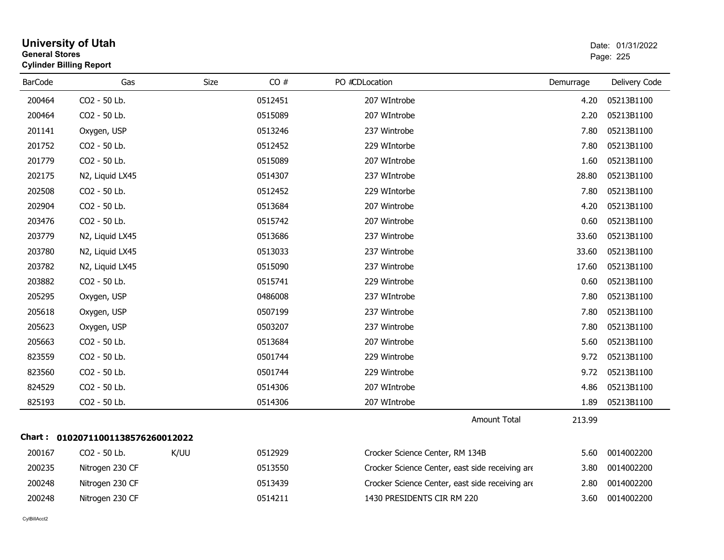|                | <b>University of Utah</b><br>Date: 01/31/2022<br><b>General Stores</b><br>Page: 225<br><b>Cylinder Billing Report</b> |      |         |                                                 |           |               |  |
|----------------|-----------------------------------------------------------------------------------------------------------------------|------|---------|-------------------------------------------------|-----------|---------------|--|
| <b>BarCode</b> | Gas                                                                                                                   | Size | CO#     | PO #CDLocation                                  | Demurrage | Delivery Code |  |
| 200464         | CO2 - 50 Lb.                                                                                                          |      | 0512451 | 207 WIntrobe                                    | 4.20      | 05213B1100    |  |
| 200464         | CO2 - 50 Lb.                                                                                                          |      | 0515089 | 207 WIntrobe                                    | 2.20      | 05213B1100    |  |
| 201141         | Oxygen, USP                                                                                                           |      | 0513246 | 237 Wintrobe                                    | 7.80      | 05213B1100    |  |
| 201752         | CO <sub>2</sub> - 50 Lb.                                                                                              |      | 0512452 | 229 WIntorbe                                    | 7.80      | 05213B1100    |  |
| 201779         | CO2 - 50 Lb.                                                                                                          |      | 0515089 | 207 WIntrobe                                    | 1.60      | 05213B1100    |  |
| 202175         | N2, Liquid LX45                                                                                                       |      | 0514307 | 237 WIntrobe                                    | 28.80     | 05213B1100    |  |
| 202508         | CO2 - 50 Lb.                                                                                                          |      | 0512452 | 229 WIntorbe                                    | 7.80      | 05213B1100    |  |
| 202904         | CO2 - 50 Lb.                                                                                                          |      | 0513684 | 207 Wintrobe                                    | 4.20      | 05213B1100    |  |
| 203476         | CO2 - 50 Lb.                                                                                                          |      | 0515742 | 207 Wintrobe                                    | 0.60      | 05213B1100    |  |
| 203779         | N2, Liquid LX45                                                                                                       |      | 0513686 | 237 Wintrobe                                    | 33.60     | 05213B1100    |  |
| 203780         | N2, Liquid LX45                                                                                                       |      | 0513033 | 237 Wintrobe                                    | 33.60     | 05213B1100    |  |
| 203782         | N2, Liquid LX45                                                                                                       |      | 0515090 | 237 Wintrobe                                    | 17.60     | 05213B1100    |  |
| 203882         | CO2 - 50 Lb.                                                                                                          |      | 0515741 | 229 Wintrobe                                    | 0.60      | 05213B1100    |  |
| 205295         | Oxygen, USP                                                                                                           |      | 0486008 | 237 WIntrobe                                    | 7.80      | 05213B1100    |  |
| 205618         | Oxygen, USP                                                                                                           |      | 0507199 | 237 Wintrobe                                    | 7.80      | 05213B1100    |  |
| 205623         | Oxygen, USP                                                                                                           |      | 0503207 | 237 Wintrobe                                    | 7.80      | 05213B1100    |  |
| 205663         | CO2 - 50 Lb.                                                                                                          |      | 0513684 | 207 Wintrobe                                    | 5.60      | 05213B1100    |  |
| 823559         | CO2 - 50 Lb.                                                                                                          |      | 0501744 | 229 Wintrobe                                    | 9.72      | 05213B1100    |  |
| 823560         | CO2 - 50 Lb.                                                                                                          |      | 0501744 | 229 Wintrobe                                    | 9.72      | 05213B1100    |  |
| 824529         | CO2 - 50 Lb.                                                                                                          |      | 0514306 | 207 WIntrobe                                    | 4.86      | 05213B1100    |  |
| 825193         | CO2 - 50 Lb.                                                                                                          |      | 0514306 | 207 WIntrobe                                    | 1.89      | 05213B1100    |  |
|                |                                                                                                                       |      |         | <b>Amount Total</b>                             | 213.99    |               |  |
|                | Chart: 01020711001138576260012022                                                                                     |      |         |                                                 |           |               |  |
| 200167         | CO2 - 50 Lb.                                                                                                          | K/UU | 0512929 | Crocker Science Center, RM 134B                 | 5.60      | 0014002200    |  |
| 200235         | Nitrogen 230 CF                                                                                                       |      | 0513550 | Crocker Science Center, east side receiving are | 3.80      | 0014002200    |  |
| 200248         | Nitrogen 230 CF                                                                                                       |      | 0513439 | Crocker Science Center, east side receiving are | 2.80      | 0014002200    |  |
| 200248         | Nitrogen 230 CF                                                                                                       |      | 0514211 | 1430 PRESIDENTS CIR RM 220                      | 3.60      | 0014002200    |  |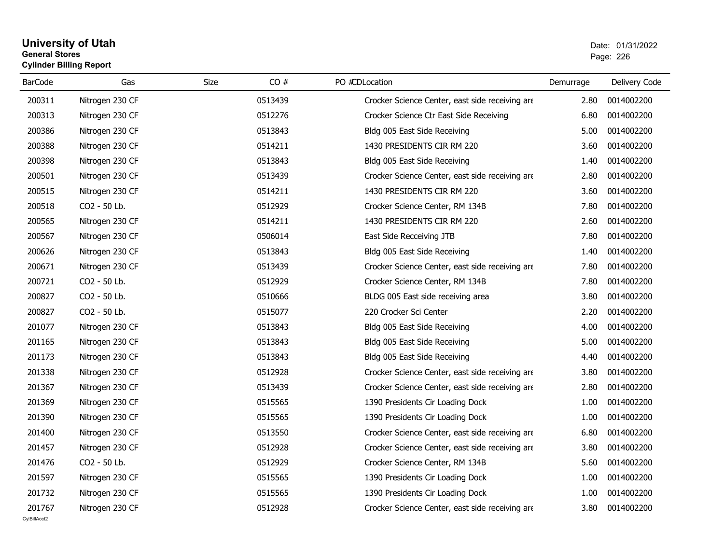#### **University of Utah** Date: 01/31/2022 **General Stores**entry of the control of the control of the control of the control of the control of the control of the control of the control of the control of the control of the control of the control of the control of the control of the **Cylinder Billing Report**

| <b>BarCode</b> | Gas             | CO#<br>Size | PO #CDLocation                                  | Demurrage | Delivery Code |
|----------------|-----------------|-------------|-------------------------------------------------|-----------|---------------|
| 200311         | Nitrogen 230 CF | 0513439     | Crocker Science Center, east side receiving are | 2.80      | 0014002200    |
| 200313         | Nitrogen 230 CF | 0512276     | Crocker Science Ctr East Side Receiving         | 6.80      | 0014002200    |
| 200386         | Nitrogen 230 CF | 0513843     | Bldg 005 East Side Receiving                    | 5.00      | 0014002200    |
| 200388         | Nitrogen 230 CF | 0514211     | 1430 PRESIDENTS CIR RM 220                      | 3.60      | 0014002200    |
| 200398         | Nitrogen 230 CF | 0513843     | Bldg 005 East Side Receiving                    | 1.40      | 0014002200    |
| 200501         | Nitrogen 230 CF | 0513439     | Crocker Science Center, east side receiving are | 2.80      | 0014002200    |
| 200515         | Nitrogen 230 CF | 0514211     | 1430 PRESIDENTS CIR RM 220                      | 3.60      | 0014002200    |
| 200518         | CO2 - 50 Lb.    | 0512929     | Crocker Science Center, RM 134B                 | 7.80      | 0014002200    |
| 200565         | Nitrogen 230 CF | 0514211     | 1430 PRESIDENTS CIR RM 220                      | 2.60      | 0014002200    |
| 200567         | Nitrogen 230 CF | 0506014     | East Side Recceiving JTB                        | 7.80      | 0014002200    |
| 200626         | Nitrogen 230 CF | 0513843     | Bldg 005 East Side Receiving                    | 1.40      | 0014002200    |
| 200671         | Nitrogen 230 CF | 0513439     | Crocker Science Center, east side receiving are | 7.80      | 0014002200    |
| 200721         | CO2 - 50 Lb.    | 0512929     | Crocker Science Center, RM 134B                 | 7.80      | 0014002200    |
| 200827         | CO2 - 50 Lb.    | 0510666     | BLDG 005 East side receiving area               | 3.80      | 0014002200    |
| 200827         | CO2 - 50 Lb.    | 0515077     | 220 Crocker Sci Center                          | 2.20      | 0014002200    |
| 201077         | Nitrogen 230 CF | 0513843     | Bldg 005 East Side Receiving                    | 4.00      | 0014002200    |
| 201165         | Nitrogen 230 CF | 0513843     | Bldg 005 East Side Receiving                    | 5.00      | 0014002200    |
| 201173         | Nitrogen 230 CF | 0513843     | Bldg 005 East Side Receiving                    | 4.40      | 0014002200    |
| 201338         | Nitrogen 230 CF | 0512928     | Crocker Science Center, east side receiving are | 3.80      | 0014002200    |
| 201367         | Nitrogen 230 CF | 0513439     | Crocker Science Center, east side receiving are | 2.80      | 0014002200    |
| 201369         | Nitrogen 230 CF | 0515565     | 1390 Presidents Cir Loading Dock                | 1.00      | 0014002200    |
| 201390         | Nitrogen 230 CF | 0515565     | 1390 Presidents Cir Loading Dock                | 1.00      | 0014002200    |
| 201400         | Nitrogen 230 CF | 0513550     | Crocker Science Center, east side receiving are | 6.80      | 0014002200    |
| 201457         | Nitrogen 230 CF | 0512928     | Crocker Science Center, east side receiving are | 3.80      | 0014002200    |
| 201476         | CO2 - 50 Lb.    | 0512929     | Crocker Science Center, RM 134B                 | 5.60      | 0014002200    |
| 201597         | Nitrogen 230 CF | 0515565     | 1390 Presidents Cir Loading Dock                | 1.00      | 0014002200    |
| 201732         | Nitrogen 230 CF | 0515565     | 1390 Presidents Cir Loading Dock                | 1.00      | 0014002200    |
| 201767         | Nitrogen 230 CF | 0512928     | Crocker Science Center, east side receiving are | 3.80      | 0014002200    |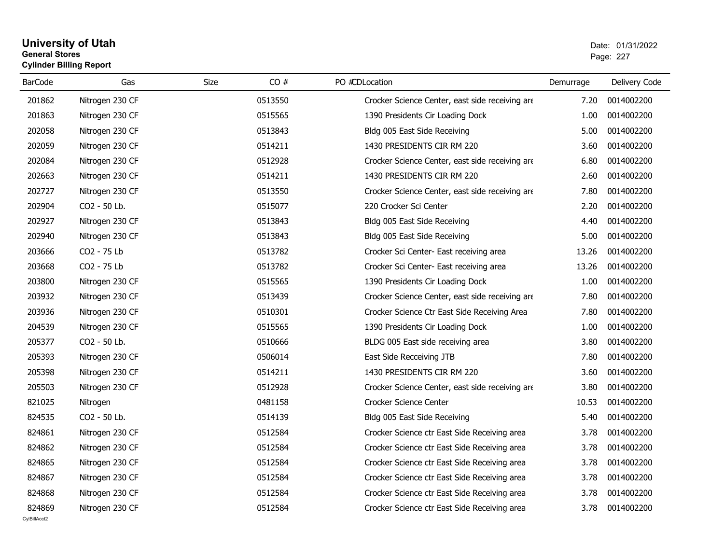#### **University of Utah** Date: 01/31/2022 **General Stores**estate the control of the control of the control of the control of the control of the control of the control of the control of the control of the control of the control of the control of the control of the control of the c **Cylinder Billing Report**

| <b>BarCode</b> | Gas             | <b>Size</b><br>CO# | PO #CDLocation                                  | Demurrage | Delivery Code |
|----------------|-----------------|--------------------|-------------------------------------------------|-----------|---------------|
| 201862         | Nitrogen 230 CF | 0513550            | Crocker Science Center, east side receiving are | 7.20      | 0014002200    |
| 201863         | Nitrogen 230 CF | 0515565            | 1390 Presidents Cir Loading Dock                | 1.00      | 0014002200    |
| 202058         | Nitrogen 230 CF | 0513843            | Bldg 005 East Side Receiving                    | 5.00      | 0014002200    |
| 202059         | Nitrogen 230 CF | 0514211            | 1430 PRESIDENTS CIR RM 220                      | 3.60      | 0014002200    |
| 202084         | Nitrogen 230 CF | 0512928            | Crocker Science Center, east side receiving are | 6.80      | 0014002200    |
| 202663         | Nitrogen 230 CF | 0514211            | 1430 PRESIDENTS CIR RM 220                      | 2.60      | 0014002200    |
| 202727         | Nitrogen 230 CF | 0513550            | Crocker Science Center, east side receiving are | 7.80      | 0014002200    |
| 202904         | CO2 - 50 Lb.    | 0515077            | 220 Crocker Sci Center                          | 2.20      | 0014002200    |
| 202927         | Nitrogen 230 CF | 0513843            | Bldg 005 East Side Receiving                    | 4.40      | 0014002200    |
| 202940         | Nitrogen 230 CF | 0513843            | Bldg 005 East Side Receiving                    | 5.00      | 0014002200    |
| 203666         | CO2 - 75 Lb     | 0513782            | Crocker Sci Center- East receiving area         | 13.26     | 0014002200    |
| 203668         | CO2 - 75 Lb     | 0513782            | Crocker Sci Center- East receiving area         | 13.26     | 0014002200    |
| 203800         | Nitrogen 230 CF | 0515565            | 1390 Presidents Cir Loading Dock                | 1.00      | 0014002200    |
| 203932         | Nitrogen 230 CF | 0513439            | Crocker Science Center, east side receiving are | 7.80      | 0014002200    |
| 203936         | Nitrogen 230 CF | 0510301            | Crocker Science Ctr East Side Receiving Area    | 7.80      | 0014002200    |
| 204539         | Nitrogen 230 CF | 0515565            | 1390 Presidents Cir Loading Dock                | 1.00      | 0014002200    |
| 205377         | CO2 - 50 Lb.    | 0510666            | BLDG 005 East side receiving area               | 3.80      | 0014002200    |
| 205393         | Nitrogen 230 CF | 0506014            | East Side Recceiving JTB                        | 7.80      | 0014002200    |
| 205398         | Nitrogen 230 CF | 0514211            | 1430 PRESIDENTS CIR RM 220                      | 3.60      | 0014002200    |
| 205503         | Nitrogen 230 CF | 0512928            | Crocker Science Center, east side receiving are | 3.80      | 0014002200    |
| 821025         | Nitrogen        | 0481158            | Crocker Science Center                          | 10.53     | 0014002200    |
| 824535         | CO2 - 50 Lb.    | 0514139            | Bldg 005 East Side Receiving                    | 5.40      | 0014002200    |
| 824861         | Nitrogen 230 CF | 0512584            | Crocker Science ctr East Side Receiving area    | 3.78      | 0014002200    |
| 824862         | Nitrogen 230 CF | 0512584            | Crocker Science ctr East Side Receiving area    | 3.78      | 0014002200    |
| 824865         | Nitrogen 230 CF | 0512584            | Crocker Science ctr East Side Receiving area    | 3.78      | 0014002200    |
| 824867         | Nitrogen 230 CF | 0512584            | Crocker Science ctr East Side Receiving area    | 3.78      | 0014002200    |
| 824868         | Nitrogen 230 CF | 0512584            | Crocker Science ctr East Side Receiving area    | 3.78      | 0014002200    |
| 824869         | Nitrogen 230 CF | 0512584            | Crocker Science ctr East Side Receiving area    | 3.78      | 0014002200    |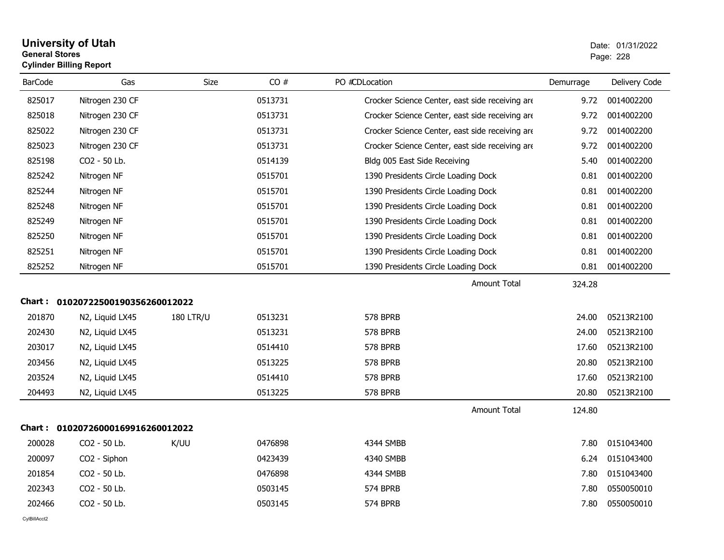#### **University of Utah** Date: 01/31/2022 **General Stores**entry of the contract of the contract of the contract of the contract of the contract of the contract of the contract of the contract of the contract of the contract of the contract of the contract of the contract of the c **Cylinder Billing Report**

| <b>BarCode</b> | Gas                               | <b>Size</b>      | CO#     | PO #CDLocation                                  | Demurrage | Delivery Code |
|----------------|-----------------------------------|------------------|---------|-------------------------------------------------|-----------|---------------|
| 825017         | Nitrogen 230 CF                   |                  | 0513731 | Crocker Science Center, east side receiving are | 9.72      | 0014002200    |
| 825018         | Nitrogen 230 CF                   |                  | 0513731 | Crocker Science Center, east side receiving are | 9.72      | 0014002200    |
| 825022         | Nitrogen 230 CF                   |                  | 0513731 | Crocker Science Center, east side receiving are | 9.72      | 0014002200    |
| 825023         | Nitrogen 230 CF                   |                  | 0513731 | Crocker Science Center, east side receiving are | 9.72      | 0014002200    |
| 825198         | CO2 - 50 Lb.                      |                  | 0514139 | Bldg 005 East Side Receiving                    | 5.40      | 0014002200    |
| 825242         | Nitrogen NF                       |                  | 0515701 | 1390 Presidents Circle Loading Dock             | 0.81      | 0014002200    |
| 825244         | Nitrogen NF                       |                  | 0515701 | 1390 Presidents Circle Loading Dock             | 0.81      | 0014002200    |
| 825248         | Nitrogen NF                       |                  | 0515701 | 1390 Presidents Circle Loading Dock             | 0.81      | 0014002200    |
| 825249         | Nitrogen NF                       |                  | 0515701 | 1390 Presidents Circle Loading Dock             | 0.81      | 0014002200    |
| 825250         | Nitrogen NF                       |                  | 0515701 | 1390 Presidents Circle Loading Dock             | 0.81      | 0014002200    |
| 825251         | Nitrogen NF                       |                  | 0515701 | 1390 Presidents Circle Loading Dock             | 0.81      | 0014002200    |
| 825252         | Nitrogen NF                       |                  | 0515701 | 1390 Presidents Circle Loading Dock             | 0.81      | 0014002200    |
|                |                                   |                  |         | <b>Amount Total</b>                             | 324.28    |               |
|                | Chart: 01020722500190356260012022 |                  |         |                                                 |           |               |
| 201870         | N2, Liquid LX45                   | <b>180 LTR/U</b> | 0513231 | <b>578 BPRB</b>                                 | 24.00     | 05213R2100    |
| 202430         | N2, Liquid LX45                   |                  | 0513231 | 578 BPRB                                        | 24.00     | 05213R2100    |
| 203017         | N2, Liquid LX45                   |                  | 0514410 | 578 BPRB                                        | 17.60     | 05213R2100    |
| 203456         | N2, Liquid LX45                   |                  | 0513225 | 578 BPRB                                        | 20.80     | 05213R2100    |
| 203524         | N2, Liquid LX45                   |                  | 0514410 | 578 BPRB                                        | 17.60     | 05213R2100    |
| 204493         | N2, Liquid LX45                   |                  | 0513225 | <b>578 BPRB</b>                                 | 20.80     | 05213R2100    |
|                |                                   |                  |         | <b>Amount Total</b>                             | 124.80    |               |
|                | Chart: 01020726000169916260012022 |                  |         |                                                 |           |               |
| 200028         | CO2 - 50 Lb.                      | K/UU             | 0476898 | 4344 SMBB                                       | 7.80      | 0151043400    |
| 200097         | CO2 - Siphon                      |                  | 0423439 | 4340 SMBB                                       | 6.24      | 0151043400    |
| 201854         | CO2 - 50 Lb.                      |                  | 0476898 | 4344 SMBB                                       | 7.80      | 0151043400    |
| 202343         | CO2 - 50 Lb.                      |                  | 0503145 | 574 BPRB                                        | 7.80      | 0550050010    |
| 202466         | CO2 - 50 Lb.                      |                  | 0503145 | 574 BPRB                                        | 7.80      | 0550050010    |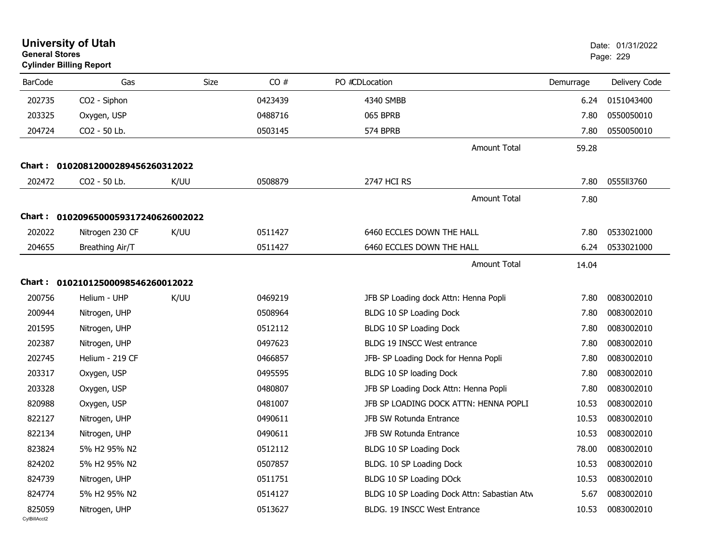| <b>General Stores</b>  | <b>University of Utah</b><br><b>Cylinder Billing Report</b> |      |         |                                             |           | Date: 01/31/2022<br>Page: 229 |
|------------------------|-------------------------------------------------------------|------|---------|---------------------------------------------|-----------|-------------------------------|
| <b>BarCode</b>         | Gas                                                         | Size | CO#     | PO #CDLocation                              | Demurrage | Delivery Code                 |
| 202735                 | CO2 - Siphon                                                |      | 0423439 | 4340 SMBB                                   | 6.24      | 0151043400                    |
| 203325                 | Oxygen, USP                                                 |      | 0488716 | 065 BPRB                                    | 7.80      | 0550050010                    |
| 204724                 | CO2 - 50 Lb.                                                |      | 0503145 | 574 BPRB                                    | 7.80      | 0550050010                    |
|                        |                                                             |      |         | <b>Amount Total</b>                         | 59.28     |                               |
|                        | Chart: 01020812000289456260312022                           |      |         |                                             |           |                               |
| 202472                 | CO2 - 50 Lb.                                                | K/UU | 0508879 | 2747 HCI RS                                 | 7.80      | 0555113760                    |
|                        |                                                             |      |         | <b>Amount Total</b>                         | 7.80      |                               |
|                        | Chart: 0102096500059317240626002022                         |      |         |                                             |           |                               |
| 202022                 | Nitrogen 230 CF                                             | K/UU | 0511427 | 6460 ECCLES DOWN THE HALL                   | 7.80      | 0533021000                    |
| 204655                 | Breathing Air/T                                             |      | 0511427 | 6460 ECCLES DOWN THE HALL                   | 6.24      | 0533021000                    |
|                        |                                                             |      |         | <b>Amount Total</b>                         | 14.04     |                               |
|                        | Chart: 01021012500098546260012022                           |      |         |                                             |           |                               |
| 200756                 | Helium - UHP                                                | K/UU | 0469219 | JFB SP Loading dock Attn: Henna Popli       | 7.80      | 0083002010                    |
| 200944                 | Nitrogen, UHP                                               |      | 0508964 | BLDG 10 SP Loading Dock                     | 7.80      | 0083002010                    |
| 201595                 | Nitrogen, UHP                                               |      | 0512112 | BLDG 10 SP Loading Dock                     | 7.80      | 0083002010                    |
| 202387                 | Nitrogen, UHP                                               |      | 0497623 | BLDG 19 INSCC West entrance                 | 7.80      | 0083002010                    |
| 202745                 | Helium - 219 CF                                             |      | 0466857 | JFB- SP Loading Dock for Henna Popli        | 7.80      | 0083002010                    |
| 203317                 | Oxygen, USP                                                 |      | 0495595 | BLDG 10 SP loading Dock                     | 7.80      | 0083002010                    |
| 203328                 | Oxygen, USP                                                 |      | 0480807 | JFB SP Loading Dock Attn: Henna Popli       | 7.80      | 0083002010                    |
| 820988                 | Oxygen, USP                                                 |      | 0481007 | JFB SP LOADING DOCK ATTN: HENNA POPLI       | 10.53     | 0083002010                    |
| 822127                 | Nitrogen, UHP                                               |      | 0490611 | JFB SW Rotunda Entrance                     | 10.53     | 0083002010                    |
| 822134                 | Nitrogen, UHP                                               |      | 0490611 | JFB SW Rotunda Entrance                     | 10.53     | 0083002010                    |
| 823824                 | 5% H2 95% N2                                                |      | 0512112 | BLDG 10 SP Loading Dock                     | 78.00     | 0083002010                    |
| 824202                 | 5% H2 95% N2                                                |      | 0507857 | BLDG. 10 SP Loading Dock                    | 10.53     | 0083002010                    |
| 824739                 | Nitrogen, UHP                                               |      | 0511751 | BLDG 10 SP Loading DOck                     | 10.53     | 0083002010                    |
| 824774                 | 5% H2 95% N2                                                |      | 0514127 | BLDG 10 SP Loading Dock Attn: Sabastian Atw | 5.67      | 0083002010                    |
| 825059<br>CvIBillAcct2 | Nitrogen, UHP                                               |      | 0513627 | BLDG. 19 INSCC West Entrance                | 10.53     | 0083002010                    |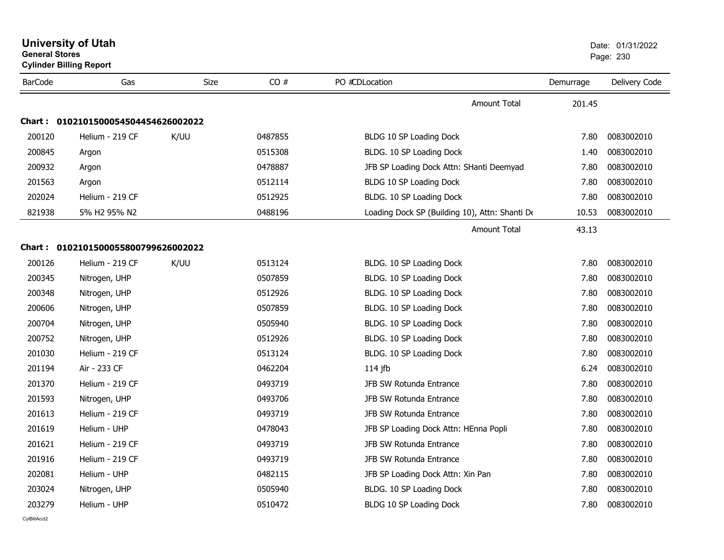| <b>General Stores</b> | <b>Cylinder Billing Report</b>      |             |         |                                                |           | Page: 230     |
|-----------------------|-------------------------------------|-------------|---------|------------------------------------------------|-----------|---------------|
| <b>BarCode</b>        | Gas                                 | <b>Size</b> | CO#     | PO #CDLocation                                 | Demurrage | Delivery Code |
|                       |                                     |             |         | <b>Amount Total</b>                            | 201.45    |               |
|                       | Chart: 0102101500054504454626002022 |             |         |                                                |           |               |
| 200120                | Helium - 219 CF                     | K/UU        | 0487855 | BLDG 10 SP Loading Dock                        | 7.80      | 0083002010    |
| 200845                | Argon                               |             | 0515308 | BLDG. 10 SP Loading Dock                       | 1.40      | 0083002010    |
| 200932                | Argon                               |             | 0478887 | JFB SP Loading Dock Attn: SHanti Deemyad       | 7.80      | 0083002010    |
| 201563                | Argon                               |             | 0512114 | BLDG 10 SP Loading Dock                        | 7.80      | 0083002010    |
| 202024                | Helium - 219 CF                     |             | 0512925 | BLDG. 10 SP Loading Dock                       | 7.80      | 0083002010    |
| 821938                | 5% H2 95% N2                        |             | 0488196 | Loading Dock SP (Building 10), Attn: Shanti De | 10.53     | 0083002010    |
|                       |                                     |             |         | <b>Amount Total</b>                            | 43.13     |               |
|                       | Chart: 0102101500055800799626002022 |             |         |                                                |           |               |
| 200126                | Helium - 219 CF                     | K/UU        | 0513124 | BLDG. 10 SP Loading Dock                       | 7.80      | 0083002010    |
| 200345                | Nitrogen, UHP                       |             | 0507859 | BLDG. 10 SP Loading Dock                       | 7.80      | 0083002010    |
| 200348                | Nitrogen, UHP                       |             | 0512926 | BLDG. 10 SP Loading Dock                       | 7.80      | 0083002010    |
| 200606                | Nitrogen, UHP                       |             | 0507859 | BLDG. 10 SP Loading Dock                       | 7.80      | 0083002010    |
| 200704                | Nitrogen, UHP                       |             | 0505940 | BLDG. 10 SP Loading Dock                       | 7.80      | 0083002010    |
| 200752                | Nitrogen, UHP                       |             | 0512926 | BLDG. 10 SP Loading Dock                       | 7.80      | 0083002010    |
| 201030                | Helium - 219 CF                     |             | 0513124 | BLDG. 10 SP Loading Dock                       | 7.80      | 0083002010    |
| 201194                | Air - 233 CF                        |             | 0462204 | 114 jfb                                        | 6.24      | 0083002010    |
| 201370                | Helium - 219 CF                     |             | 0493719 | JFB SW Rotunda Entrance                        | 7.80      | 0083002010    |
| 201593                | Nitrogen, UHP                       |             | 0493706 | JFB SW Rotunda Entrance                        | 7.80      | 0083002010    |
| 201613                | Helium - 219 CF                     |             | 0493719 | JFB SW Rotunda Entrance                        | 7.80      | 0083002010    |
| 201619                | Helium - UHP                        |             | 0478043 | JFB SP Loading Dock Attn: HEnna Popli          | 7.80      | 0083002010    |
| 201621                | Helium - 219 CF                     |             | 0493719 | JFB SW Rotunda Entrance                        | 7.80      | 0083002010    |
| 201916                | Helium - 219 CF                     |             | 0493719 | JFB SW Rotunda Entrance                        | 7.80      | 0083002010    |
| 202081                | Helium - UHP                        |             | 0482115 | JFB SP Loading Dock Attn: Xin Pan              | 7.80      | 0083002010    |
| 203024                | Nitrogen, UHP                       |             | 0505940 | BLDG. 10 SP Loading Dock                       | 7.80      | 0083002010    |
| 203279                | Helium - UHP                        |             | 0510472 | BLDG 10 SP Loading Dock                        | 7.80      | 0083002010    |

**University of Utah** Date: 01/31/2022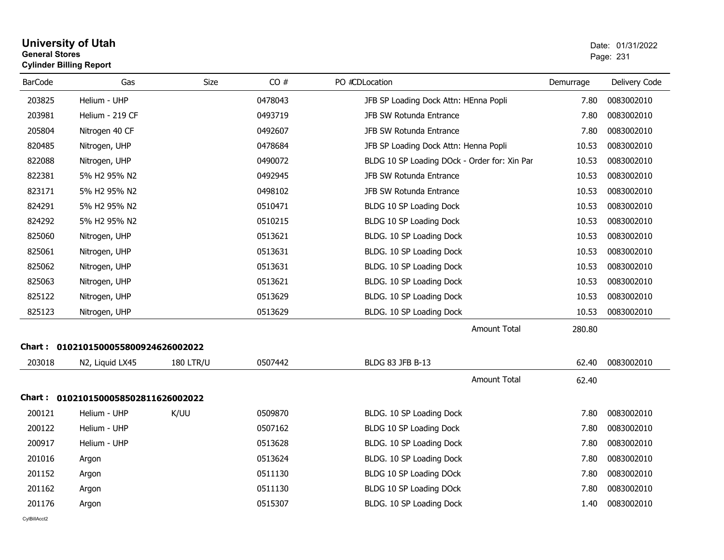#### **University of Utah** Date: 01/31/2022 **General Stores**er and the state of the state of the state of the state of the state of the state of the Page: 231  $\,$ **Cylinder Billing Report**

| <b>BarCode</b> | Gas                                 | Size             | CO#     | PO #CDLocation                               | Demurrage | Delivery Code |
|----------------|-------------------------------------|------------------|---------|----------------------------------------------|-----------|---------------|
| 203825         | Helium - UHP                        |                  | 0478043 | JFB SP Loading Dock Attn: HEnna Popli        | 7.80      | 0083002010    |
| 203981         | Helium - 219 CF                     |                  | 0493719 | JFB SW Rotunda Entrance                      | 7.80      | 0083002010    |
| 205804         | Nitrogen 40 CF                      |                  | 0492607 | JFB SW Rotunda Entrance                      | 7.80      | 0083002010    |
| 820485         | Nitrogen, UHP                       |                  | 0478684 | JFB SP Loading Dock Attn: Henna Popli        | 10.53     | 0083002010    |
| 822088         | Nitrogen, UHP                       |                  | 0490072 | BLDG 10 SP Loading DOck - Order for: Xin Par | 10.53     | 0083002010    |
| 822381         | 5% H2 95% N2                        |                  | 0492945 | JFB SW Rotunda Entrance                      | 10.53     | 0083002010    |
| 823171         | 5% H2 95% N2                        |                  | 0498102 | JFB SW Rotunda Entrance                      | 10.53     | 0083002010    |
| 824291         | 5% H2 95% N2                        |                  | 0510471 | BLDG 10 SP Loading Dock                      | 10.53     | 0083002010    |
| 824292         | 5% H2 95% N2                        |                  | 0510215 | BLDG 10 SP Loading Dock                      | 10.53     | 0083002010    |
| 825060         | Nitrogen, UHP                       |                  | 0513621 | BLDG. 10 SP Loading Dock                     | 10.53     | 0083002010    |
| 825061         | Nitrogen, UHP                       |                  | 0513631 | BLDG. 10 SP Loading Dock                     | 10.53     | 0083002010    |
| 825062         | Nitrogen, UHP                       |                  | 0513631 | BLDG. 10 SP Loading Dock                     | 10.53     | 0083002010    |
| 825063         | Nitrogen, UHP                       |                  | 0513621 | BLDG. 10 SP Loading Dock                     | 10.53     | 0083002010    |
| 825122         | Nitrogen, UHP                       |                  | 0513629 | BLDG. 10 SP Loading Dock                     | 10.53     | 0083002010    |
| 825123         | Nitrogen, UHP                       |                  | 0513629 | BLDG. 10 SP Loading Dock                     | 10.53     | 0083002010    |
|                |                                     |                  |         | <b>Amount Total</b>                          | 280.80    |               |
|                | Chart: 0102101500055800924626002022 |                  |         |                                              |           |               |
| 203018         | N2, Liquid LX45                     | <b>180 LTR/U</b> | 0507442 | BLDG 83 JFB B-13                             | 62.40     | 0083002010    |
|                |                                     |                  |         | <b>Amount Total</b>                          | 62.40     |               |
|                | Chart: 0102101500058502811626002022 |                  |         |                                              |           |               |
| 200121         | Helium - UHP                        | K/UU             | 0509870 | BLDG. 10 SP Loading Dock                     | 7.80      | 0083002010    |
| 200122         | Helium - UHP                        |                  | 0507162 | BLDG 10 SP Loading Dock                      | 7.80      | 0083002010    |
| 200917         | Helium - UHP                        |                  | 0513628 | BLDG. 10 SP Loading Dock                     | 7.80      | 0083002010    |
| 201016         | Argon                               |                  | 0513624 | BLDG. 10 SP Loading Dock                     | 7.80      | 0083002010    |
| 201152         | Argon                               |                  | 0511130 | BLDG 10 SP Loading DOck                      | 7.80      | 0083002010    |
| 201162         | Argon                               |                  | 0511130 | BLDG 10 SP Loading DOck                      | 7.80      | 0083002010    |
| 201176         | Argon                               |                  | 0515307 | BLDG. 10 SP Loading Dock                     | 1.40      | 0083002010    |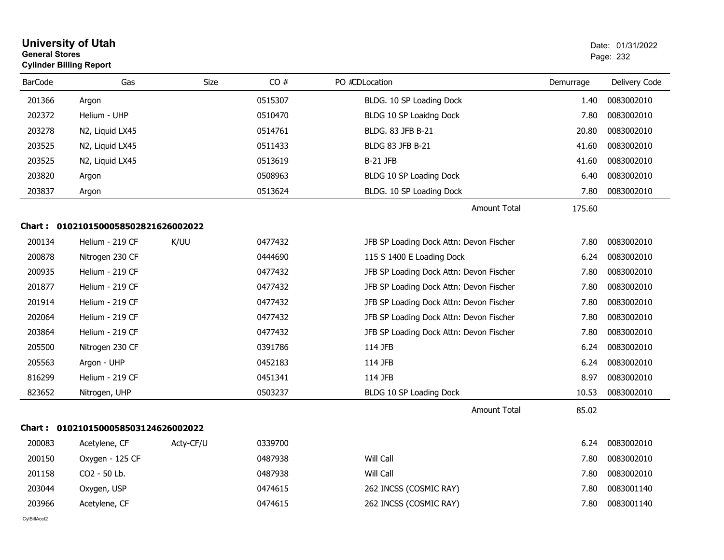| <b>General Stores</b> | <b>University of Utah</b><br><b>Cylinder Billing Report</b> |           |         |                                         |           | Date: 01/31/2022<br>Page: 232 |
|-----------------------|-------------------------------------------------------------|-----------|---------|-----------------------------------------|-----------|-------------------------------|
| <b>BarCode</b>        | Gas                                                         | Size      | CO#     | PO #CDLocation                          | Demurrage | Delivery Code                 |
| 201366                | Argon                                                       |           | 0515307 | BLDG. 10 SP Loading Dock                | 1.40      | 0083002010                    |
| 202372                | Helium - UHP                                                |           | 0510470 | BLDG 10 SP Loaidng Dock                 | 7.80      | 0083002010                    |
| 203278                | N2, Liquid LX45                                             |           | 0514761 | BLDG. 83 JFB B-21                       | 20.80     | 0083002010                    |
| 203525                | N2, Liquid LX45                                             |           | 0511433 | BLDG 83 JFB B-21                        | 41.60     | 0083002010                    |
| 203525                | N2, Liquid LX45                                             |           | 0513619 | <b>B-21 JFB</b>                         | 41.60     | 0083002010                    |
| 203820                | Argon                                                       |           | 0508963 | BLDG 10 SP Loading Dock                 | 6.40      | 0083002010                    |
| 203837                | Argon                                                       |           | 0513624 | BLDG. 10 SP Loading Dock                | 7.80      | 0083002010                    |
|                       |                                                             |           |         | <b>Amount Total</b>                     | 175.60    |                               |
|                       | Chart: 0102101500058502821626002022                         |           |         |                                         |           |                               |
| 200134                | Helium - 219 CF                                             | K/UU      | 0477432 | JFB SP Loading Dock Attn: Devon Fischer | 7.80      | 0083002010                    |
| 200878                | Nitrogen 230 CF                                             |           | 0444690 | 115 S 1400 E Loading Dock               | 6.24      | 0083002010                    |
| 200935                | Helium - 219 CF                                             |           | 0477432 | JFB SP Loading Dock Attn: Devon Fischer | 7.80      | 0083002010                    |
| 201877                | Helium - 219 CF                                             |           | 0477432 | JFB SP Loading Dock Attn: Devon Fischer | 7.80      | 0083002010                    |
| 201914                | Helium - 219 CF                                             |           | 0477432 | JFB SP Loading Dock Attn: Devon Fischer | 7.80      | 0083002010                    |
| 202064                | Helium - 219 CF                                             |           | 0477432 | JFB SP Loading Dock Attn: Devon Fischer | 7.80      | 0083002010                    |
| 203864                | Helium - 219 CF                                             |           | 0477432 | JFB SP Loading Dock Attn: Devon Fischer | 7.80      | 0083002010                    |
| 205500                | Nitrogen 230 CF                                             |           | 0391786 | 114 JFB                                 | 6.24      | 0083002010                    |
| 205563                | Argon - UHP                                                 |           | 0452183 | 114 JFB                                 | 6.24      | 0083002010                    |
| 816299                | Helium - 219 CF                                             |           | 0451341 | 114 JFB                                 | 8.97      | 0083002010                    |
| 823652                | Nitrogen, UHP                                               |           | 0503237 | BLDG 10 SP Loading Dock                 | 10.53     | 0083002010                    |
|                       |                                                             |           |         | <b>Amount Total</b>                     | 85.02     |                               |
|                       | Chart: 0102101500058503124626002022                         |           |         |                                         |           |                               |
| 200083                | Acetylene, CF                                               | Acty-CF/U | 0339700 |                                         | 6.24      | 0083002010                    |
| 200150                | Oxygen - 125 CF                                             |           | 0487938 | Will Call                               | 7.80      | 0083002010                    |
| 201158                | CO2 - 50 Lb.                                                |           | 0487938 | Will Call                               | 7.80      | 0083002010                    |
| 203044                | Oxygen, USP                                                 |           | 0474615 | 262 INCSS (COSMIC RAY)                  | 7.80      | 0083001140                    |
| 203966                | Acetylene, CF                                               |           | 0474615 | 262 INCSS (COSMIC RAY)                  | 7.80      | 0083001140                    |
|                       |                                                             |           |         |                                         |           |                               |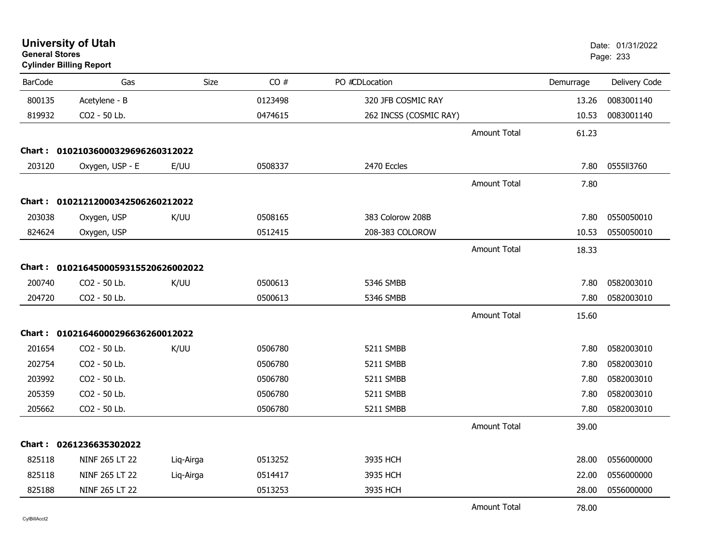| <b>General Stores</b> | <b>University of Utah</b><br><b>Cylinder Billing Report</b> |             |         |                        |                     |           | Date: 01/31/2022<br>Page: 233 |
|-----------------------|-------------------------------------------------------------|-------------|---------|------------------------|---------------------|-----------|-------------------------------|
| <b>BarCode</b>        | Gas                                                         | <b>Size</b> | CO#     | PO #CDLocation         |                     | Demurrage | Delivery Code                 |
| 800135                | Acetylene - B                                               |             | 0123498 | 320 JFB COSMIC RAY     |                     | 13.26     | 0083001140                    |
| 819932                | CO2 - 50 Lb.                                                |             | 0474615 | 262 INCSS (COSMIC RAY) |                     | 10.53     | 0083001140                    |
|                       |                                                             |             |         |                        | <b>Amount Total</b> | 61.23     |                               |
|                       | Chart: 01021036000329696260312022                           |             |         |                        |                     |           |                               |
| 203120                | Oxygen, USP - E                                             | E/UU        | 0508337 | 2470 Eccles            |                     | 7.80      | 0555113760                    |
|                       |                                                             |             |         |                        | <b>Amount Total</b> | 7.80      |                               |
|                       | Chart: 01021212000342506260212022                           |             |         |                        |                     |           |                               |
| 203038                | Oxygen, USP                                                 | K/UU        | 0508165 | 383 Colorow 208B       |                     | 7.80      | 0550050010                    |
| 824624                | Oxygen, USP                                                 |             | 0512415 | 208-383 COLOROW        |                     | 10.53     | 0550050010                    |
|                       |                                                             |             |         |                        | <b>Amount Total</b> | 18.33     |                               |
|                       | Chart: 0102164500059315520626002022                         |             |         |                        |                     |           |                               |
| 200740                | CO <sub>2</sub> - 50 Lb.                                    | K/UU        | 0500613 | 5346 SMBB              |                     | 7.80      | 0582003010                    |
| 204720                | CO2 - 50 Lb.                                                |             | 0500613 | 5346 SMBB              |                     | 7.80      | 0582003010                    |
|                       |                                                             |             |         |                        | <b>Amount Total</b> | 15.60     |                               |
|                       | Chart: 01021646000296636260012022                           |             |         |                        |                     |           |                               |
| 201654                | CO <sub>2</sub> - 50 Lb.                                    | K/UU        | 0506780 | 5211 SMBB              |                     | 7.80      | 0582003010                    |
| 202754                | CO2 - 50 Lb.                                                |             | 0506780 | 5211 SMBB              |                     | 7.80      | 0582003010                    |
| 203992                | CO2 - 50 Lb.                                                |             | 0506780 | 5211 SMBB              |                     | 7.80      | 0582003010                    |
| 205359                | CO2 - 50 Lb.                                                |             | 0506780 | 5211 SMBB              |                     | 7.80      | 0582003010                    |
| 205662                | CO2 - 50 Lb.                                                |             | 0506780 | 5211 SMBB              |                     | 7.80      | 0582003010                    |
|                       |                                                             |             |         |                        | <b>Amount Total</b> | 39.00     |                               |
|                       | Chart: 0261236635302022                                     |             |         |                        |                     |           |                               |
| 825118                | NINF 265 LT 22                                              | Liq-Airga   | 0513252 | 3935 HCH               |                     | 28.00     | 0556000000                    |
| 825118                | NINF 265 LT 22                                              | Liq-Airga   | 0514417 | 3935 HCH               |                     | 22.00     | 0556000000                    |
| 825188                | NINF 265 LT 22                                              |             | 0513253 | 3935 HCH               |                     | 28.00     | 0556000000                    |
|                       |                                                             |             |         |                        | <b>Amount Total</b> | 78.00     |                               |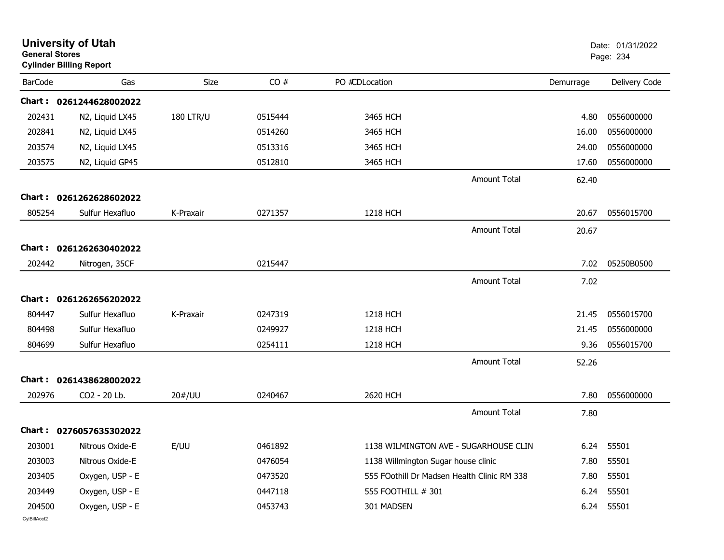| <b>General Stores</b> | <b>University of Utah</b><br><b>Cylinder Billing Report</b> |                  |         |                                     |                                             |           | Date: 01/31/2022<br>Page: 234 |
|-----------------------|-------------------------------------------------------------|------------------|---------|-------------------------------------|---------------------------------------------|-----------|-------------------------------|
| <b>BarCode</b>        | Gas                                                         | Size             | CO#     | PO #CDLocation                      |                                             | Demurrage | Delivery Code                 |
|                       | Chart: 0261244628002022                                     |                  |         |                                     |                                             |           |                               |
| 202431                | N2, Liquid LX45                                             | <b>180 LTR/U</b> | 0515444 | 3465 HCH                            |                                             | 4.80      | 0556000000                    |
| 202841                | N2, Liquid LX45                                             |                  | 0514260 | 3465 HCH                            |                                             | 16.00     | 0556000000                    |
| 203574                | N2, Liquid LX45                                             |                  | 0513316 | 3465 HCH                            |                                             | 24.00     | 0556000000                    |
| 203575                | N2, Liquid GP45                                             |                  | 0512810 | 3465 HCH                            |                                             | 17.60     | 0556000000                    |
|                       |                                                             |                  |         |                                     | <b>Amount Total</b>                         | 62.40     |                               |
|                       | Chart: 0261262628602022                                     |                  |         |                                     |                                             |           |                               |
| 805254                | Sulfur Hexafluo                                             | K-Praxair        | 0271357 | 1218 HCH                            |                                             | 20.67     | 0556015700                    |
|                       |                                                             |                  |         |                                     | <b>Amount Total</b>                         | 20.67     |                               |
|                       | Chart: 0261262630402022                                     |                  |         |                                     |                                             |           |                               |
| 202442                | Nitrogen, 35CF                                              |                  | 0215447 |                                     |                                             | 7.02      | 05250B0500                    |
|                       |                                                             |                  |         |                                     | <b>Amount Total</b>                         | 7.02      |                               |
| <b>Chart:</b>         | 0261262656202022                                            |                  |         |                                     |                                             |           |                               |
| 804447                | Sulfur Hexafluo                                             | K-Praxair        | 0247319 | <b>1218 HCH</b>                     |                                             | 21.45     | 0556015700                    |
| 804498                | Sulfur Hexafluo                                             |                  | 0249927 | <b>1218 HCH</b>                     |                                             | 21.45     | 0556000000                    |
| 804699                | Sulfur Hexafluo                                             |                  | 0254111 | 1218 HCH                            |                                             | 9.36      | 0556015700                    |
|                       |                                                             |                  |         |                                     | <b>Amount Total</b>                         | 52.26     |                               |
|                       | Chart: 0261438628002022                                     |                  |         |                                     |                                             |           |                               |
| 202976                | CO2 - 20 Lb.                                                | 20#/UU           | 0240467 | 2620 HCH                            |                                             | 7.80      | 0556000000                    |
|                       |                                                             |                  |         |                                     | <b>Amount Total</b>                         | 7.80      |                               |
|                       | Chart: 0276057635302022                                     |                  |         |                                     |                                             |           |                               |
|                       | 203001 Nitrous Oxide-E                                      | E/UU             | 0461892 |                                     | 1138 WILMINGTON AVE - SUGARHOUSE CLIN       |           | 6.24 55501                    |
| 203003                | Nitrous Oxide-E                                             |                  | 0476054 | 1138 Willmington Sugar house clinic |                                             | 7.80      | 55501                         |
| 203405                | Oxygen, USP - E                                             |                  | 0473520 |                                     | 555 FOothill Dr Madsen Health Clinic RM 338 | 7.80      | 55501                         |
| 203449                | Oxygen, USP - E                                             |                  | 0447118 | 555 FOOTHILL # 301                  |                                             | 6.24      | 55501                         |
| 204500                | Oxygen, USP - E                                             |                  | 0453743 | 301 MADSEN                          |                                             |           | 6.24 55501                    |
| CylBillAcct2          |                                                             |                  |         |                                     |                                             |           |                               |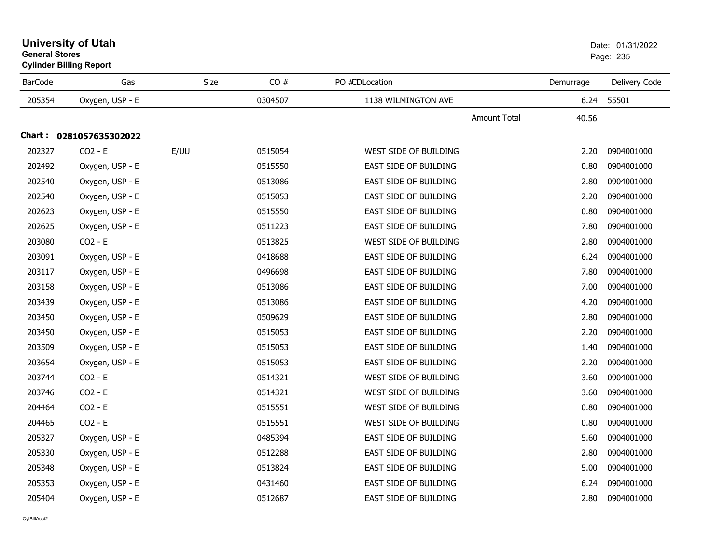| <b>BarCode</b> | Gas              | <b>Size</b> | CO#     | PO #CDLocation        | Demurrage | Delivery Code |
|----------------|------------------|-------------|---------|-----------------------|-----------|---------------|
| 205354         | Oxygen, USP - E  |             | 0304507 | 1138 WILMINGTON AVE   | 6.24      | 55501         |
|                |                  |             |         | <b>Amount Total</b>   | 40.56     |               |
| Chart :        | 0281057635302022 |             |         |                       |           |               |
| 202327         | $CO2 - E$        | E/UU        | 0515054 | WEST SIDE OF BUILDING | 2.20      | 0904001000    |
| 202492         | Oxygen, USP - E  |             | 0515550 | EAST SIDE OF BUILDING | 0.80      | 0904001000    |
| 202540         | Oxygen, USP - E  |             | 0513086 | EAST SIDE OF BUILDING | 2.80      | 0904001000    |
| 202540         | Oxygen, USP - E  |             | 0515053 | EAST SIDE OF BUILDING | 2.20      | 0904001000    |
| 202623         | Oxygen, USP - E  |             | 0515550 | EAST SIDE OF BUILDING | 0.80      | 0904001000    |
| 202625         | Oxygen, USP - E  |             | 0511223 | EAST SIDE OF BUILDING | 7.80      | 0904001000    |
| 203080         | $CO2 - E$        |             | 0513825 | WEST SIDE OF BUILDING | 2.80      | 0904001000    |
| 203091         | Oxygen, USP - E  |             | 0418688 | EAST SIDE OF BUILDING | 6.24      | 0904001000    |
| 203117         | Oxygen, USP - E  |             | 0496698 | EAST SIDE OF BUILDING | 7.80      | 0904001000    |
| 203158         | Oxygen, USP - E  |             | 0513086 | EAST SIDE OF BUILDING | 7.00      | 0904001000    |
| 203439         | Oxygen, USP - E  |             | 0513086 | EAST SIDE OF BUILDING | 4.20      | 0904001000    |
| 203450         | Oxygen, USP - E  |             | 0509629 | EAST SIDE OF BUILDING | 2.80      | 0904001000    |
| 203450         | Oxygen, USP - E  |             | 0515053 | EAST SIDE OF BUILDING | 2.20      | 0904001000    |
| 203509         | Oxygen, USP - E  |             | 0515053 | EAST SIDE OF BUILDING | 1.40      | 0904001000    |
| 203654         | Oxygen, USP - E  |             | 0515053 | EAST SIDE OF BUILDING | 2.20      | 0904001000    |
| 203744         | $CO2 - E$        |             | 0514321 | WEST SIDE OF BUILDING | 3.60      | 0904001000    |
| 203746         | $CO2 - E$        |             | 0514321 | WEST SIDE OF BUILDING | 3.60      | 0904001000    |
| 204464         | $CO2 - E$        |             | 0515551 | WEST SIDE OF BUILDING | 0.80      | 0904001000    |
| 204465         | $CO2 - E$        |             | 0515551 | WEST SIDE OF BUILDING | 0.80      | 0904001000    |
| 205327         | Oxygen, USP - E  |             | 0485394 | EAST SIDE OF BUILDING | 5.60      | 0904001000    |
| 205330         | Oxygen, USP - E  |             | 0512288 | EAST SIDE OF BUILDING | 2.80      | 0904001000    |
| 205348         | Oxygen, USP - E  |             | 0513824 | EAST SIDE OF BUILDING | 5.00      | 0904001000    |
| 205353         | Oxygen, USP - E  |             | 0431460 | EAST SIDE OF BUILDING | 6.24      | 0904001000    |
| 205404         | Oxygen, USP - E  |             | 0512687 | EAST SIDE OF BUILDING | 2.80      | 0904001000    |

## **University of Utah** Date: 01/31/2022 **General Stores**s and the contract of the contract of the contract of the contract of the contract of the contract of the contract of the contract of the contract of the contract of the contract of the contract of the contract of the cont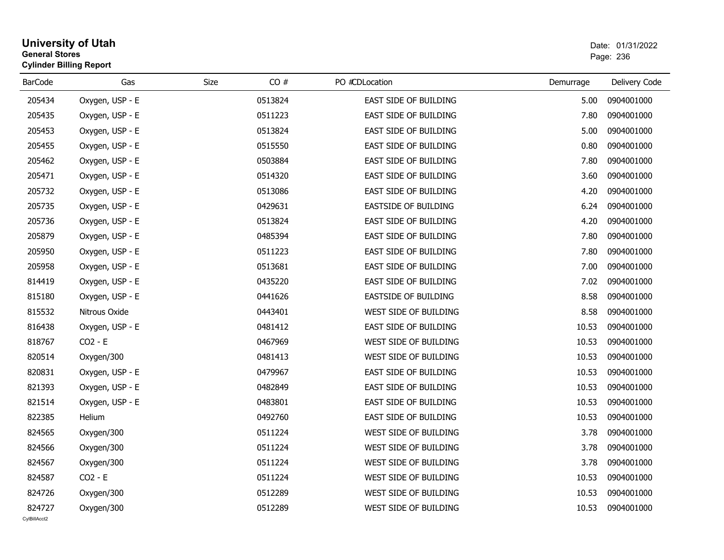#### **University of Utah** Date: 01/31/2022 **General Stores**entry of the contract of the contract of the contract of the contract of the contract of the contract of the contract of the contract of the contract of the contract of the contract of the contract of the contract of the c **Cylinder Billing Report**

| <b>BarCode</b> | Gas             | CO#<br>Size | PO #CDLocation              | Demurrage | Delivery Code |
|----------------|-----------------|-------------|-----------------------------|-----------|---------------|
| 205434         | Oxygen, USP - E | 0513824     | EAST SIDE OF BUILDING       | 5.00      | 0904001000    |
| 205435         | Oxygen, USP - E | 0511223     | EAST SIDE OF BUILDING       | 7.80      | 0904001000    |
| 205453         | Oxygen, USP - E | 0513824     | EAST SIDE OF BUILDING       | 5.00      | 0904001000    |
| 205455         | Oxygen, USP - E | 0515550     | EAST SIDE OF BUILDING       | 0.80      | 0904001000    |
| 205462         | Oxygen, USP - E | 0503884     | EAST SIDE OF BUILDING       | 7.80      | 0904001000    |
| 205471         | Oxygen, USP - E | 0514320     | EAST SIDE OF BUILDING       | 3.60      | 0904001000    |
| 205732         | Oxygen, USP - E | 0513086     | EAST SIDE OF BUILDING       | 4.20      | 0904001000    |
| 205735         | Oxygen, USP - E | 0429631     | <b>EASTSIDE OF BUILDING</b> | 6.24      | 0904001000    |
| 205736         | Oxygen, USP - E | 0513824     | EAST SIDE OF BUILDING       | 4.20      | 0904001000    |
| 205879         | Oxygen, USP - E | 0485394     | EAST SIDE OF BUILDING       | 7.80      | 0904001000    |
| 205950         | Oxygen, USP - E | 0511223     | EAST SIDE OF BUILDING       | 7.80      | 0904001000    |
| 205958         | Oxygen, USP - E | 0513681     | EAST SIDE OF BUILDING       | 7.00      | 0904001000    |
| 814419         | Oxygen, USP - E | 0435220     | EAST SIDE OF BUILDING       | 7.02      | 0904001000    |
| 815180         | Oxygen, USP - E | 0441626     | EASTSIDE OF BUILDING        | 8.58      | 0904001000    |
| 815532         | Nitrous Oxide   | 0443401     | WEST SIDE OF BUILDING       | 8.58      | 0904001000    |
| 816438         | Oxygen, USP - E | 0481412     | EAST SIDE OF BUILDING       | 10.53     | 0904001000    |
| 818767         | $CO2 - E$       | 0467969     | WEST SIDE OF BUILDING       | 10.53     | 0904001000    |
| 820514         | Oxygen/300      | 0481413     | WEST SIDE OF BUILDING       | 10.53     | 0904001000    |
| 820831         | Oxygen, USP - E | 0479967     | EAST SIDE OF BUILDING       | 10.53     | 0904001000    |
| 821393         | Oxygen, USP - E | 0482849     | EAST SIDE OF BUILDING       | 10.53     | 0904001000    |
| 821514         | Oxygen, USP - E | 0483801     | EAST SIDE OF BUILDING       | 10.53     | 0904001000    |
| 822385         | Helium          | 0492760     | EAST SIDE OF BUILDING       | 10.53     | 0904001000    |
| 824565         | Oxygen/300      | 0511224     | WEST SIDE OF BUILDING       | 3.78      | 0904001000    |
| 824566         | Oxygen/300      | 0511224     | WEST SIDE OF BUILDING       | 3.78      | 0904001000    |
| 824567         | Oxygen/300      | 0511224     | WEST SIDE OF BUILDING       | 3.78      | 0904001000    |
| 824587         | $CO2 - E$       | 0511224     | WEST SIDE OF BUILDING       | 10.53     | 0904001000    |
| 824726         | Oxygen/300      | 0512289     | WEST SIDE OF BUILDING       | 10.53     | 0904001000    |
| 824727         | Oxygen/300      | 0512289     | WEST SIDE OF BUILDING       | 10.53     | 0904001000    |
| CvIBillAcct2   |                 |             |                             |           |               |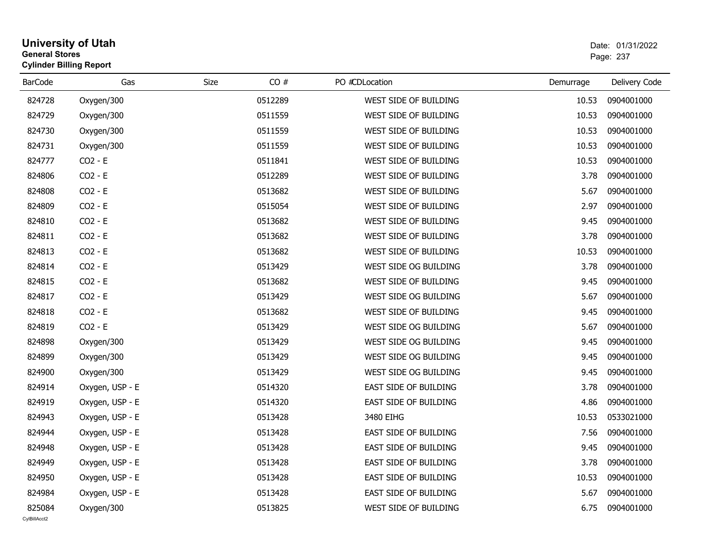#### **University of Utah** Date: 01/31/2022 **General Stores**er and the state of the state of the state of the state of the state of the state of the state of the state of the state of the state of the state of the state of the state of the state of the state of the state of the sta **Cylinder Billing Report**

| <b>BarCode</b>         | Gas             | CO#<br>Size | PO #CDLocation        | Demurrage | Delivery Code |
|------------------------|-----------------|-------------|-----------------------|-----------|---------------|
| 824728                 | Oxygen/300      | 0512289     | WEST SIDE OF BUILDING | 10.53     | 0904001000    |
| 824729                 | Oxygen/300      | 0511559     | WEST SIDE OF BUILDING | 10.53     | 0904001000    |
| 824730                 | Oxygen/300      | 0511559     | WEST SIDE OF BUILDING | 10.53     | 0904001000    |
| 824731                 | Oxygen/300      | 0511559     | WEST SIDE OF BUILDING | 10.53     | 0904001000    |
| 824777                 | $CO2 - E$       | 0511841     | WEST SIDE OF BUILDING | 10.53     | 0904001000    |
| 824806                 | $CO2 - E$       | 0512289     | WEST SIDE OF BUILDING | 3.78      | 0904001000    |
| 824808                 | $CO2 - E$       | 0513682     | WEST SIDE OF BUILDING | 5.67      | 0904001000    |
| 824809                 | $CO2 - E$       | 0515054     | WEST SIDE OF BUILDING | 2.97      | 0904001000    |
| 824810                 | $CO2 - E$       | 0513682     | WEST SIDE OF BUILDING | 9.45      | 0904001000    |
| 824811                 | $CO2 - E$       | 0513682     | WEST SIDE OF BUILDING | 3.78      | 0904001000    |
| 824813                 | $CO2 - E$       | 0513682     | WEST SIDE OF BUILDING | 10.53     | 0904001000    |
| 824814                 | $CO2 - E$       | 0513429     | WEST SIDE OG BUILDING | 3.78      | 0904001000    |
| 824815                 | $CO2 - E$       | 0513682     | WEST SIDE OF BUILDING | 9.45      | 0904001000    |
| 824817                 | $CO2 - E$       | 0513429     | WEST SIDE OG BUILDING | 5.67      | 0904001000    |
| 824818                 | $CO2 - E$       | 0513682     | WEST SIDE OF BUILDING | 9.45      | 0904001000    |
| 824819                 | $CO2 - E$       | 0513429     | WEST SIDE OG BUILDING | 5.67      | 0904001000    |
| 824898                 | Oxygen/300      | 0513429     | WEST SIDE OG BUILDING | 9.45      | 0904001000    |
| 824899                 | Oxygen/300      | 0513429     | WEST SIDE OG BUILDING | 9.45      | 0904001000    |
| 824900                 | Oxygen/300      | 0513429     | WEST SIDE OG BUILDING | 9.45      | 0904001000    |
| 824914                 | Oxygen, USP - E | 0514320     | EAST SIDE OF BUILDING | 3.78      | 0904001000    |
| 824919                 | Oxygen, USP - E | 0514320     | EAST SIDE OF BUILDING | 4.86      | 0904001000    |
| 824943                 | Oxygen, USP - E | 0513428     | 3480 EIHG             | 10.53     | 0533021000    |
| 824944                 | Oxygen, USP - E | 0513428     | EAST SIDE OF BUILDING | 7.56      | 0904001000    |
| 824948                 | Oxygen, USP - E | 0513428     | EAST SIDE OF BUILDING | 9.45      | 0904001000    |
| 824949                 | Oxygen, USP - E | 0513428     | EAST SIDE OF BUILDING | 3.78      | 0904001000    |
| 824950                 | Oxygen, USP - E | 0513428     | EAST SIDE OF BUILDING | 10.53     | 0904001000    |
| 824984                 | Oxygen, USP - E | 0513428     | EAST SIDE OF BUILDING | 5.67      | 0904001000    |
| 825084<br>CvIBillAcct2 | Oxygen/300      | 0513825     | WEST SIDE OF BUILDING | 6.75      | 0904001000    |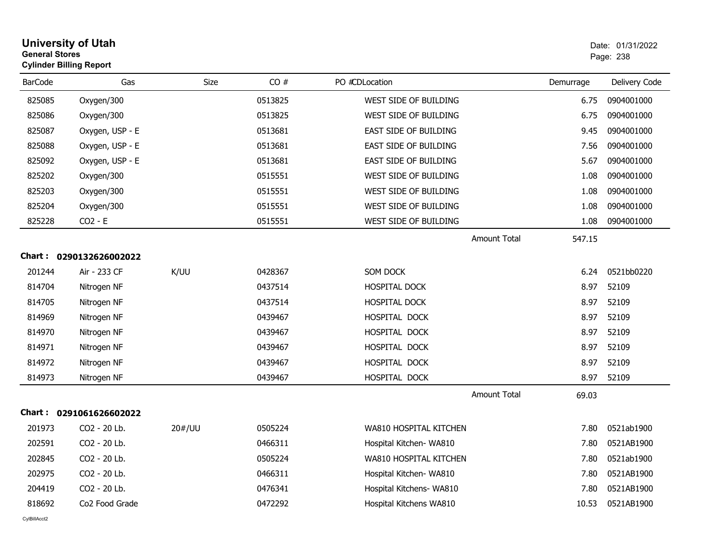| <b>General Stores</b> | <b>University of Utah</b><br><b>Cylinder Billing Report</b> |        |         |                              |                     |           | Date: 01/31/2022<br>Page: 238 |
|-----------------------|-------------------------------------------------------------|--------|---------|------------------------------|---------------------|-----------|-------------------------------|
| <b>BarCode</b>        | Gas                                                         | Size   | CO#     | PO #CDLocation               |                     | Demurrage | Delivery Code                 |
| 825085                | Oxygen/300                                                  |        | 0513825 | WEST SIDE OF BUILDING        |                     | 6.75      | 0904001000                    |
| 825086                | Oxygen/300                                                  |        | 0513825 | WEST SIDE OF BUILDING        |                     | 6.75      | 0904001000                    |
| 825087                | Oxygen, USP - E                                             |        | 0513681 | EAST SIDE OF BUILDING        |                     | 9.45      | 0904001000                    |
| 825088                | Oxygen, USP - E                                             |        | 0513681 | EAST SIDE OF BUILDING        |                     | 7.56      | 0904001000                    |
| 825092                | Oxygen, USP - E                                             |        | 0513681 | <b>EAST SIDE OF BUILDING</b> |                     | 5.67      | 0904001000                    |
| 825202                | Oxygen/300                                                  |        | 0515551 | WEST SIDE OF BUILDING        |                     | 1.08      | 0904001000                    |
| 825203                | Oxygen/300                                                  |        | 0515551 | WEST SIDE OF BUILDING        |                     | 1.08      | 0904001000                    |
| 825204                | Oxygen/300                                                  |        | 0515551 | WEST SIDE OF BUILDING        |                     | 1.08      | 0904001000                    |
| 825228                | $CO2 - E$                                                   |        | 0515551 | WEST SIDE OF BUILDING        |                     | 1.08      | 0904001000                    |
|                       |                                                             |        |         |                              | <b>Amount Total</b> | 547.15    |                               |
|                       | Chart: 0290132626002022                                     |        |         |                              |                     |           |                               |
| 201244                | Air - 233 CF                                                | K/UU   | 0428367 | SOM DOCK                     |                     | 6.24      | 0521bb0220                    |
| 814704                | Nitrogen NF                                                 |        | 0437514 | <b>HOSPITAL DOCK</b>         |                     | 8.97      | 52109                         |
| 814705                | Nitrogen NF                                                 |        | 0437514 | HOSPITAL DOCK                |                     | 8.97      | 52109                         |
| 814969                | Nitrogen NF                                                 |        | 0439467 | HOSPITAL DOCK                |                     | 8.97      | 52109                         |
| 814970                | Nitrogen NF                                                 |        | 0439467 | HOSPITAL DOCK                |                     | 8.97      | 52109                         |
| 814971                | Nitrogen NF                                                 |        | 0439467 | HOSPITAL DOCK                |                     | 8.97      | 52109                         |
| 814972                | Nitrogen NF                                                 |        | 0439467 | HOSPITAL DOCK                |                     | 8.97      | 52109                         |
| 814973                | Nitrogen NF                                                 |        | 0439467 | HOSPITAL DOCK                |                     | 8.97      | 52109                         |
|                       |                                                             |        |         |                              | <b>Amount Total</b> | 69.03     |                               |
|                       | Chart: 0291061626602022                                     |        |         |                              |                     |           |                               |
| 201973                | CO2 - 20 Lb.                                                | 20#/UU | 0505224 | WA810 HOSPITAL KITCHEN       |                     | 7.80      | 0521ab1900                    |
| 202591                | CO2 - 20 Lb.                                                |        | 0466311 | Hospital Kitchen- WA810      |                     | 7.80      | 0521AB1900                    |
| 202845                | CO2 - 20 Lb.                                                |        | 0505224 | WA810 HOSPITAL KITCHEN       |                     | 7.80      | 0521ab1900                    |
| 202975                | CO2 - 20 Lb.                                                |        | 0466311 | Hospital Kitchen- WA810      |                     | 7.80      | 0521AB1900                    |
| 204419                | CO2 - 20 Lb.                                                |        | 0476341 | Hospital Kitchens- WA810     |                     | 7.80      | 0521AB1900                    |
| 818692                | Co <sub>2</sub> Food Grade                                  |        | 0472292 | Hospital Kitchens WA810      |                     | 10.53     | 0521AB1900                    |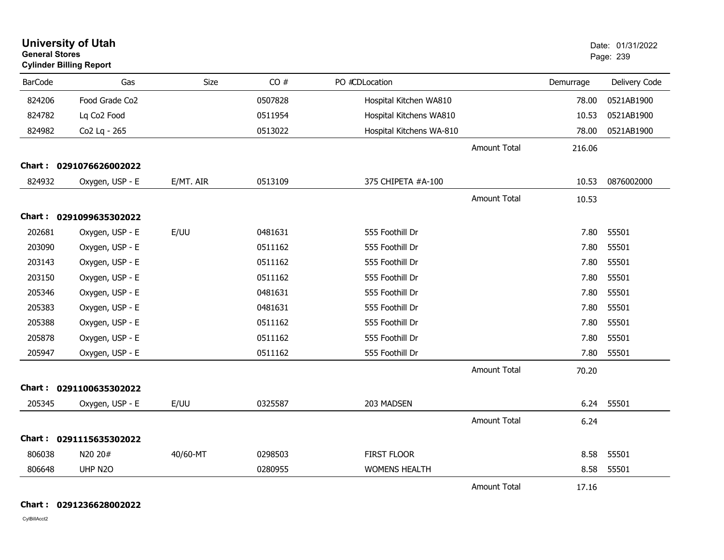| <b>University of Utah</b><br><b>General Stores</b><br><b>Cylinder Billing Report</b> |                            |           |         |                          |                     |           | Date: 01/31/2022<br>Page: 239 |
|--------------------------------------------------------------------------------------|----------------------------|-----------|---------|--------------------------|---------------------|-----------|-------------------------------|
| <b>BarCode</b>                                                                       | Gas                        | Size      | CO#     | PO #CDLocation           |                     | Demurrage | Delivery Code                 |
| 824206                                                                               | Food Grade Co <sub>2</sub> |           | 0507828 | Hospital Kitchen WA810   |                     | 78.00     | 0521AB1900                    |
| 824782                                                                               | Lq Co2 Food                |           | 0511954 | Hospital Kitchens WA810  |                     | 10.53     | 0521AB1900                    |
| 824982                                                                               | Co2 Lq - 265               |           | 0513022 | Hospital Kitchens WA-810 |                     | 78.00     | 0521AB1900                    |
|                                                                                      |                            |           |         |                          | <b>Amount Total</b> | 216.06    |                               |
|                                                                                      | Chart: 0291076626002022    |           |         |                          |                     |           |                               |
| 824932                                                                               | Oxygen, USP - E            | E/MT. AIR | 0513109 | 375 CHIPETA #A-100       |                     | 10.53     | 0876002000                    |
|                                                                                      |                            |           |         |                          | <b>Amount Total</b> | 10.53     |                               |
|                                                                                      | Chart: 0291099635302022    |           |         |                          |                     |           |                               |
| 202681                                                                               | Oxygen, USP - E            | E/UU      | 0481631 | 555 Foothill Dr          |                     | 7.80      | 55501                         |
| 203090                                                                               | Oxygen, USP - E            |           | 0511162 | 555 Foothill Dr          |                     | 7.80      | 55501                         |
| 203143                                                                               | Oxygen, USP - E            |           | 0511162 | 555 Foothill Dr          |                     | 7.80      | 55501                         |
| 203150                                                                               | Oxygen, USP - E            |           | 0511162 | 555 Foothill Dr          |                     | 7.80      | 55501                         |
| 205346                                                                               | Oxygen, USP - E            |           | 0481631 | 555 Foothill Dr          |                     | 7.80      | 55501                         |
| 205383                                                                               | Oxygen, USP - E            |           | 0481631 | 555 Foothill Dr          |                     | 7.80      | 55501                         |
| 205388                                                                               | Oxygen, USP - E            |           | 0511162 | 555 Foothill Dr          |                     | 7.80      | 55501                         |
| 205878                                                                               | Oxygen, USP - E            |           | 0511162 | 555 Foothill Dr          |                     | 7.80      | 55501                         |
| 205947                                                                               | Oxygen, USP - E            |           | 0511162 | 555 Foothill Dr          |                     | 7.80      | 55501                         |
|                                                                                      |                            |           |         |                          | <b>Amount Total</b> | 70.20     |                               |
|                                                                                      | Chart: 0291100635302022    |           |         |                          |                     |           |                               |
| 205345                                                                               | Oxygen, USP - E            | E/UU      | 0325587 | 203 MADSEN               |                     | 6.24      | 55501                         |
|                                                                                      |                            |           |         |                          | <b>Amount Total</b> | 6.24      |                               |
|                                                                                      | Chart: 0291115635302022    |           |         |                          |                     |           |                               |
| 806038                                                                               | N20 20#                    | 40/60-MT  | 0298503 | <b>FIRST FLOOR</b>       |                     | 8.58      | 55501                         |
| 806648                                                                               | UHP N2O                    |           | 0280955 | <b>WOMENS HEALTH</b>     |                     | 8.58      | 55501                         |
|                                                                                      |                            |           |         |                          | <b>Amount Total</b> | 17.16     |                               |

**Chart : 0291236628002022**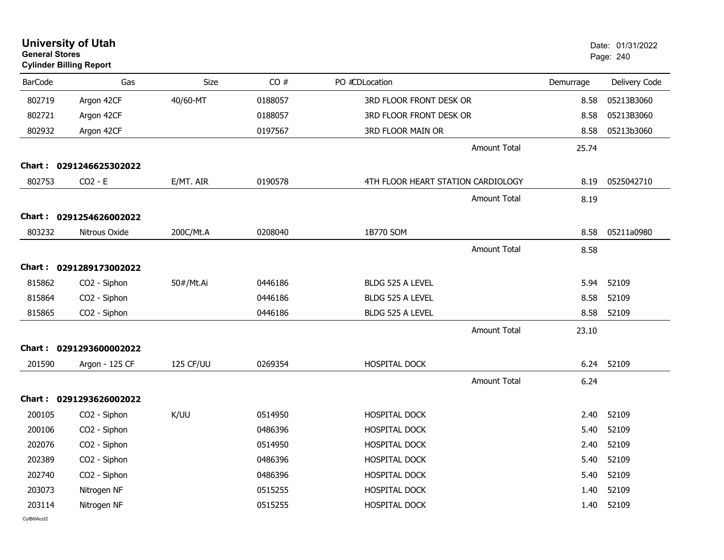| <b>General Stores</b> | <b>University of Utah</b><br><b>Cylinder Billing Report</b> |           |         |                                    |           | Date: 01/31/2022<br>Page: 240 |
|-----------------------|-------------------------------------------------------------|-----------|---------|------------------------------------|-----------|-------------------------------|
| <b>BarCode</b>        | Gas                                                         | Size      | CO#     | PO #CDLocation                     | Demurrage | Delivery Code                 |
| 802719                | Argon 42CF                                                  | 40/60-MT  | 0188057 | 3RD FLOOR FRONT DESK OR            | 8.58      | 05213B3060                    |
| 802721                | Argon 42CF                                                  |           | 0188057 | 3RD FLOOR FRONT DESK OR            | 8.58      | 05213B3060                    |
| 802932                | Argon 42CF                                                  |           | 0197567 | <b>3RD FLOOR MAIN OR</b>           | 8.58      | 05213b3060                    |
|                       |                                                             |           |         | <b>Amount Total</b>                | 25.74     |                               |
|                       | Chart: 0291246625302022                                     |           |         |                                    |           |                               |
| 802753                | $CO2 - E$                                                   | E/MT. AIR | 0190578 | 4TH FLOOR HEART STATION CARDIOLOGY | 8.19      | 0525042710                    |
|                       |                                                             |           |         | <b>Amount Total</b>                | 8.19      |                               |
|                       | Chart: 0291254626002022                                     |           |         |                                    |           |                               |
| 803232                | Nitrous Oxide                                               | 200C/Mt.A | 0208040 | 1B770 SOM                          | 8.58      | 05211a0980                    |
|                       |                                                             |           |         | <b>Amount Total</b>                | 8.58      |                               |
|                       | Chart: 0291289173002022                                     |           |         |                                    |           |                               |
| 815862                | CO <sub>2</sub> - Siphon                                    | 50#/Mt.Ai | 0446186 | BLDG 525 A LEVEL                   | 5.94      | 52109                         |
| 815864                | CO2 - Siphon                                                |           | 0446186 | BLDG 525 A LEVEL                   | 8.58      | 52109                         |
| 815865                | CO2 - Siphon                                                |           | 0446186 | <b>BLDG 525 A LEVEL</b>            | 8.58      | 52109                         |
|                       |                                                             |           |         | <b>Amount Total</b>                | 23.10     |                               |
|                       | Chart: 0291293600002022                                     |           |         |                                    |           |                               |
| 201590                | Argon - 125 CF                                              | 125 CF/UU | 0269354 | <b>HOSPITAL DOCK</b>               | 6.24      | 52109                         |
|                       |                                                             |           |         | <b>Amount Total</b>                | 6.24      |                               |
|                       | Chart: 0291293626002022                                     |           |         |                                    |           |                               |
| 200105                | CO2 - Siphon                                                | K/UU      | 0514950 | <b>HOSPITAL DOCK</b>               | 2.40      | 52109                         |
| 200106                | CO2 - Siphon                                                |           | 0486396 | HOSPITAL DOCK                      | 5.40      | 52109                         |
| 202076                | CO2 - Siphon                                                |           | 0514950 | <b>HOSPITAL DOCK</b>               | 2.40      | 52109                         |
| 202389                | CO2 - Siphon                                                |           | 0486396 | <b>HOSPITAL DOCK</b>               | 5.40      | 52109                         |
| 202740                | CO2 - Siphon                                                |           | 0486396 | HOSPITAL DOCK                      | 5.40      | 52109                         |
| 203073                | Nitrogen NF                                                 |           | 0515255 | <b>HOSPITAL DOCK</b>               | 1.40      | 52109                         |
| 203114                | Nitrogen NF                                                 |           | 0515255 | HOSPITAL DOCK                      | 1.40      | 52109                         |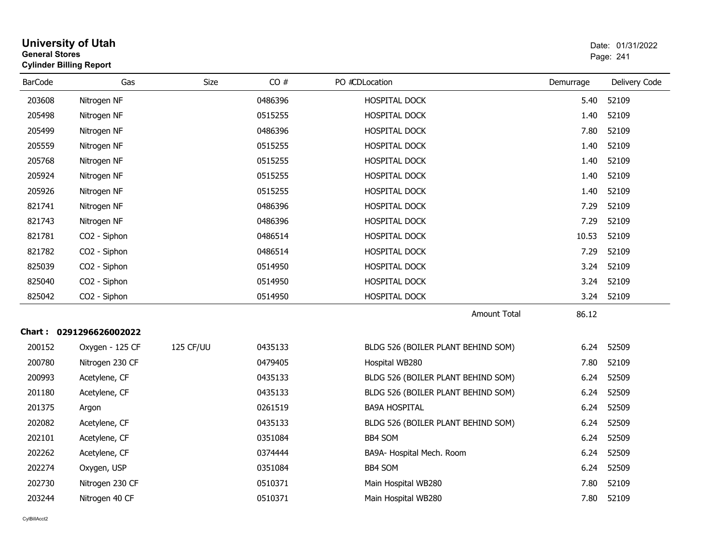| <b>University of Utah</b><br><b>General Stores</b><br><b>Cylinder Billing Report</b> |                         |           |         |                                    |           |               |
|--------------------------------------------------------------------------------------|-------------------------|-----------|---------|------------------------------------|-----------|---------------|
| <b>BarCode</b>                                                                       | Gas                     | Size      | CO#     | PO #CDLocation                     | Demurrage | Delivery Code |
| 203608                                                                               | Nitrogen NF             |           | 0486396 | HOSPITAL DOCK                      | 5.40      | 52109         |
| 205498                                                                               | Nitrogen NF             |           | 0515255 | HOSPITAL DOCK                      | 1.40      | 52109         |
| 205499                                                                               | Nitrogen NF             |           | 0486396 | HOSPITAL DOCK                      | 7.80      | 52109         |
| 205559                                                                               | Nitrogen NF             |           | 0515255 | HOSPITAL DOCK                      | 1.40      | 52109         |
| 205768                                                                               | Nitrogen NF             |           | 0515255 | HOSPITAL DOCK                      | 1.40      | 52109         |
| 205924                                                                               | Nitrogen NF             |           | 0515255 | HOSPITAL DOCK                      | 1.40      | 52109         |
| 205926                                                                               | Nitrogen NF             |           | 0515255 | HOSPITAL DOCK                      | 1.40      | 52109         |
| 821741                                                                               | Nitrogen NF             |           | 0486396 | HOSPITAL DOCK                      | 7.29      | 52109         |
| 821743                                                                               | Nitrogen NF             |           | 0486396 | <b>HOSPITAL DOCK</b>               | 7.29      | 52109         |
| 821781                                                                               | CO2 - Siphon            |           | 0486514 | HOSPITAL DOCK                      | 10.53     | 52109         |
| 821782                                                                               | CO2 - Siphon            |           | 0486514 | HOSPITAL DOCK                      | 7.29      | 52109         |
| 825039                                                                               | CO2 - Siphon            |           | 0514950 | HOSPITAL DOCK                      | 3.24      | 52109         |
| 825040                                                                               | CO2 - Siphon            |           | 0514950 | HOSPITAL DOCK                      | 3.24      | 52109         |
| 825042                                                                               | CO2 - Siphon            |           | 0514950 | HOSPITAL DOCK                      | 3.24      | 52109         |
|                                                                                      |                         |           |         | <b>Amount Total</b>                | 86.12     |               |
|                                                                                      | Chart: 0291296626002022 |           |         |                                    |           |               |
| 200152                                                                               | Oxygen - 125 CF         | 125 CF/UU | 0435133 | BLDG 526 (BOILER PLANT BEHIND SOM) | 6.24      | 52509         |
| 200780                                                                               | Nitrogen 230 CF         |           | 0479405 | Hospital WB280                     | 7.80      | 52109         |
| 200993                                                                               | Acetylene, CF           |           | 0435133 | BLDG 526 (BOILER PLANT BEHIND SOM) | 6.24      | 52509         |
| 201180                                                                               | Acetylene, CF           |           | 0435133 | BLDG 526 (BOILER PLANT BEHIND SOM) | 6.24      | 52509         |
| 201375                                                                               | Argon                   |           | 0261519 | <b>BA9A HOSPITAL</b>               | 6.24      | 52509         |
| 202082                                                                               | Acetylene, CF           |           | 0435133 | BLDG 526 (BOILER PLANT BEHIND SOM) | 6.24      | 52509         |
| 202101                                                                               | Acetylene, CF           |           | 0351084 | <b>BB4 SOM</b>                     | 6.24      | 52509         |
| 202262                                                                               | Acetylene, CF           |           | 0374444 | BA9A- Hospital Mech. Room          | 6.24      | 52509         |
| 202274                                                                               | Oxygen, USP             |           | 0351084 | BB4 SOM                            | 6.24      | 52509         |
| 202730                                                                               | Nitrogen 230 CF         |           | 0510371 | Main Hospital WB280                | 7.80      | 52109         |
| 203244                                                                               | Nitrogen 40 CF          |           | 0510371 | Main Hospital WB280                | 7.80      | 52109         |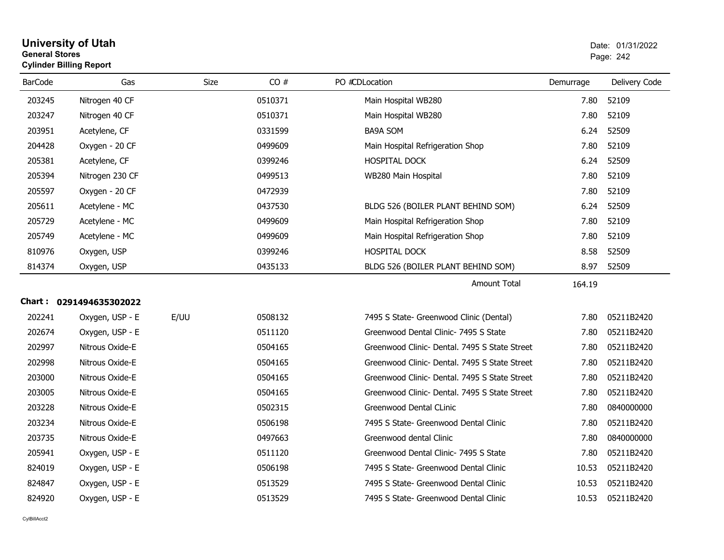| <b>General Stores</b><br><b>Cylinder Billing Report</b> |                         |             |         | Page: 242                                     |           |               |
|---------------------------------------------------------|-------------------------|-------------|---------|-----------------------------------------------|-----------|---------------|
| <b>BarCode</b>                                          | Gas                     | <b>Size</b> | CO#     | PO #CDLocation                                | Demurrage | Delivery Code |
| 203245                                                  | Nitrogen 40 CF          |             | 0510371 | Main Hospital WB280                           | 7.80      | 52109         |
| 203247                                                  | Nitrogen 40 CF          |             | 0510371 | Main Hospital WB280                           | 7.80      | 52109         |
| 203951                                                  | Acetylene, CF           |             | 0331599 | <b>BA9A SOM</b>                               | 6.24      | 52509         |
| 204428                                                  | Oxygen - 20 CF          |             | 0499609 | Main Hospital Refrigeration Shop              | 7.80      | 52109         |
| 205381                                                  | Acetylene, CF           |             | 0399246 | HOSPITAL DOCK                                 | 6.24      | 52509         |
| 205394                                                  | Nitrogen 230 CF         |             | 0499513 | WB280 Main Hospital                           | 7.80      | 52109         |
| 205597                                                  | Oxygen - 20 CF          |             | 0472939 |                                               | 7.80      | 52109         |
| 205611                                                  | Acetylene - MC          |             | 0437530 | BLDG 526 (BOILER PLANT BEHIND SOM)            | 6.24      | 52509         |
| 205729                                                  | Acetylene - MC          |             | 0499609 | Main Hospital Refrigeration Shop              | 7.80      | 52109         |
| 205749                                                  | Acetylene - MC          |             | 0499609 | Main Hospital Refrigeration Shop              | 7.80      | 52109         |
| 810976                                                  | Oxygen, USP             |             | 0399246 | HOSPITAL DOCK                                 | 8.58      | 52509         |
| 814374                                                  | Oxygen, USP             |             | 0435133 | BLDG 526 (BOILER PLANT BEHIND SOM)            | 8.97      | 52509         |
|                                                         |                         |             |         | Amount Total                                  | 164.19    |               |
|                                                         | Chart: 0291494635302022 |             |         |                                               |           |               |
| 202241                                                  | Oxygen, USP - E         | E/UU        | 0508132 | 7495 S State- Greenwood Clinic (Dental)       | 7.80      | 05211B2420    |
| 202674                                                  | Oxygen, USP - E         |             | 0511120 | Greenwood Dental Clinic- 7495 S State         | 7.80      | 05211B2420    |
| 202997                                                  | Nitrous Oxide-E         |             | 0504165 | Greenwood Clinic- Dental, 7495 S State Street | 7.80      | 05211B2420    |
| 202998                                                  | Nitrous Oxide-E         |             | 0504165 | Greenwood Clinic- Dental, 7495 S State Street | 7.80      | 05211B2420    |
| 203000                                                  | Nitrous Oxide-E         |             | 0504165 | Greenwood Clinic- Dental, 7495 S State Street | 7.80      | 05211B2420    |
| 203005                                                  | Nitrous Oxide-E         |             | 0504165 | Greenwood Clinic- Dental, 7495 S State Street | 7.80      | 05211B2420    |
| 203228                                                  | Nitrous Oxide-E         |             | 0502315 | Greenwood Dental CLinic                       | 7.80      | 0840000000    |
| 203234                                                  | Nitrous Oxide-E         |             | 0506198 | 7495 S State- Greenwood Dental Clinic         | 7.80      | 05211B2420    |
| 203735                                                  | Nitrous Oxide-E         |             | 0497663 | Greenwood dental Clinic                       | 7.80      | 0840000000    |
| 205941                                                  | Oxygen, USP - E         |             | 0511120 | Greenwood Dental Clinic- 7495 S State         | 7.80      | 05211B2420    |
| 824019                                                  | Oxygen, USP - E         |             | 0506198 | 7495 S State- Greenwood Dental Clinic         | 10.53     | 05211B2420    |
| 824847                                                  | Oxygen, USP - E         |             | 0513529 | 7495 S State- Greenwood Dental Clinic         | 10.53     | 05211B2420    |
| 824920                                                  | Oxygen, USP - E         |             | 0513529 | 7495 S State- Greenwood Dental Clinic         | 10.53     | 05211B2420    |

**University of Utah** Date: 01/31/2022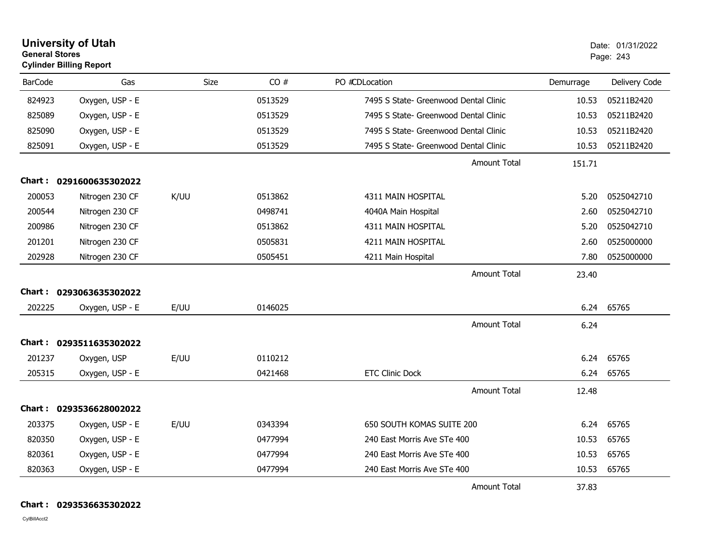| <b>General Stores</b> | <b>University of Utah</b><br><b>Cylinder Billing Report</b> |      |         |                                       | Date: 01/31/2022<br>Page: 243 |               |
|-----------------------|-------------------------------------------------------------|------|---------|---------------------------------------|-------------------------------|---------------|
| <b>BarCode</b>        | Gas                                                         | Size | CO#     | PO #CDLocation                        | Demurrage                     | Delivery Code |
| 824923                | Oxygen, USP - E                                             |      | 0513529 | 7495 S State- Greenwood Dental Clinic | 10.53                         | 05211B2420    |
| 825089                | Oxygen, USP - E                                             |      | 0513529 | 7495 S State- Greenwood Dental Clinic | 10.53                         | 05211B2420    |
| 825090                | Oxygen, USP - E                                             |      | 0513529 | 7495 S State- Greenwood Dental Clinic | 10.53                         | 05211B2420    |
| 825091                | Oxygen, USP - E                                             |      | 0513529 | 7495 S State- Greenwood Dental Clinic | 10.53                         | 05211B2420    |
|                       |                                                             |      |         | <b>Amount Total</b>                   | 151.71                        |               |
|                       | Chart: 0291600635302022                                     |      |         |                                       |                               |               |
| 200053                | Nitrogen 230 CF                                             | K/UU | 0513862 | 4311 MAIN HOSPITAL                    | 5.20                          | 0525042710    |
| 200544                | Nitrogen 230 CF                                             |      | 0498741 | 4040A Main Hospital                   | 2.60                          | 0525042710    |
| 200986                | Nitrogen 230 CF                                             |      | 0513862 | 4311 MAIN HOSPITAL                    | 5.20                          | 0525042710    |
| 201201                | Nitrogen 230 CF                                             |      | 0505831 | 4211 MAIN HOSPITAL                    | 2.60                          | 0525000000    |
| 202928                | Nitrogen 230 CF                                             |      | 0505451 | 4211 Main Hospital                    | 7.80                          | 0525000000    |
|                       |                                                             |      |         | Amount Total                          | 23.40                         |               |
|                       | Chart: 0293063635302022                                     |      |         |                                       |                               |               |
| 202225                | Oxygen, USP - E                                             | E/UU | 0146025 |                                       | 6.24                          | 65765         |
|                       |                                                             |      |         | <b>Amount Total</b>                   | 6.24                          |               |
| Chart :               | 0293511635302022                                            |      |         |                                       |                               |               |
| 201237                | Oxygen, USP                                                 | E/UU | 0110212 |                                       | 6.24                          | 65765         |
| 205315                | Oxygen, USP - E                                             |      | 0421468 | <b>ETC Clinic Dock</b>                | 6.24                          | 65765         |
|                       |                                                             |      |         | <b>Amount Total</b>                   | 12.48                         |               |
|                       | Chart: 0293536628002022                                     |      |         |                                       |                               |               |
| 203375                | Oxygen, USP - E                                             | E/UU | 0343394 | 650 SOUTH KOMAS SUITE 200             | 6.24                          | 65765         |
| 820350                | Oxygen, USP - E                                             |      | 0477994 | 10.53<br>240 East Morris Ave STe 400  |                               | 65765         |
| 820361                | Oxygen, USP - E                                             |      | 0477994 | 240 East Morris Ave STe 400           | 10.53                         | 65765         |
| 820363                | Oxygen, USP - E                                             |      | 0477994 | 240 East Morris Ave STe 400           | 10.53                         | 65765         |
|                       |                                                             |      |         | <b>Amount Total</b>                   | 37.83                         |               |

**Chart : 0293536635302022**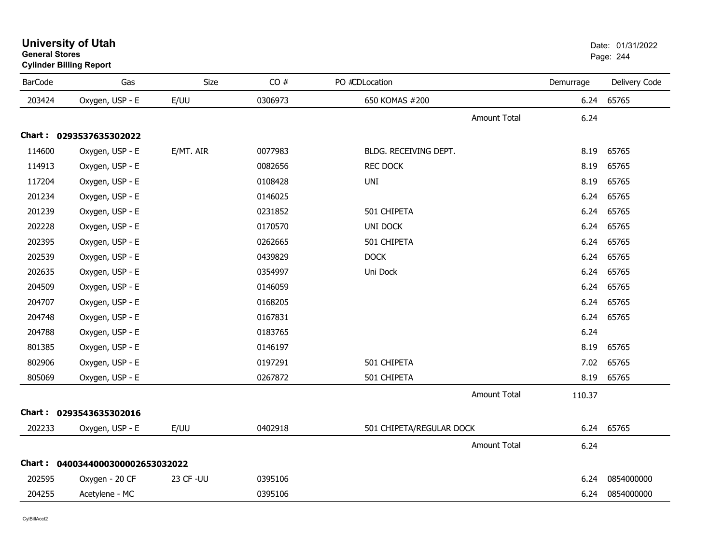|                | <b>Cylinder Billing Report</b>   |           |         |                          |           |                 |
|----------------|----------------------------------|-----------|---------|--------------------------|-----------|-----------------|
| <b>BarCode</b> | Gas                              | Size      | CO#     | PO #CDLocation           | Demurrage | Delivery Code   |
| 203424         | Oxygen, USP - E                  | E/UU      | 0306973 | 650 KOMAS #200           | 6.24      | 65765           |
|                |                                  |           |         | Amount Total             | 6.24      |                 |
|                | Chart: 0293537635302022          |           |         |                          |           |                 |
| 114600         | Oxygen, USP - E                  | E/MT. AIR | 0077983 | BLDG. RECEIVING DEPT.    | 8.19      | 65765           |
| 114913         | Oxygen, USP - E                  |           | 0082656 | <b>REC DOCK</b>          | 8.19      | 65765           |
| 117204         | Oxygen, USP - E                  |           | 0108428 | UNI                      | 8.19      | 65765           |
| 201234         | Oxygen, USP - E                  |           | 0146025 |                          | 6.24      | 65765           |
| 201239         | Oxygen, USP - E                  |           | 0231852 | 501 CHIPETA              | 6.24      | 65765           |
| 202228         | Oxygen, USP - E                  |           | 0170570 | <b>UNI DOCK</b>          | 6.24      | 65765           |
| 202395         | Oxygen, USP - E                  |           | 0262665 | 501 CHIPETA              | 6.24      | 65765           |
| 202539         | Oxygen, USP - E                  |           | 0439829 | <b>DOCK</b>              | 6.24      | 65765           |
| 202635         | Oxygen, USP - E                  |           | 0354997 | Uni Dock                 | 6.24      | 65765           |
| 204509         | Oxygen, USP - E                  |           | 0146059 |                          | 6.24      | 65765           |
| 204707         | Oxygen, USP - E                  |           | 0168205 |                          | 6.24      | 65765           |
| 204748         | Oxygen, USP - E                  |           | 0167831 |                          | 6.24      | 65765           |
| 204788         | Oxygen, USP - E                  |           | 0183765 |                          | 6.24      |                 |
| 801385         | Oxygen, USP - E                  |           | 0146197 |                          | 8.19      | 65765           |
| 802906         | Oxygen, USP - E                  |           | 0197291 | 501 CHIPETA              | 7.02      | 65765           |
| 805069         | Oxygen, USP - E                  |           | 0267872 | 501 CHIPETA              | 8.19      | 65765           |
|                |                                  |           |         | <b>Amount Total</b>      | 110.37    |                 |
|                | Chart: 0293543635302016          |           |         |                          |           |                 |
| 202233         | Oxygen, USP - E                  | E/UU      | 0402918 | 501 CHIPETA/REGULAR DOCK | 6.24      | 65765           |
|                |                                  |           |         | <b>Amount Total</b>      | 6.24      |                 |
|                | Chart: 0400344000300002653032022 |           |         |                          |           |                 |
| 202595         | Oxygen - 20 CF                   | 23 CF-UU  | 0395106 |                          | 6.24      | 0854000000      |
| 204255         | Acetylene - MC                   |           | 0395106 |                          |           | 6.24 0854000000 |

#### **University of Utah** Date: 01/31/2022 **General Stores**es and the contract of the contract of the contract of the contract of the contract of the contract of the contract of the contract of the contract of the contract of the contract of the contract of the contract of the con